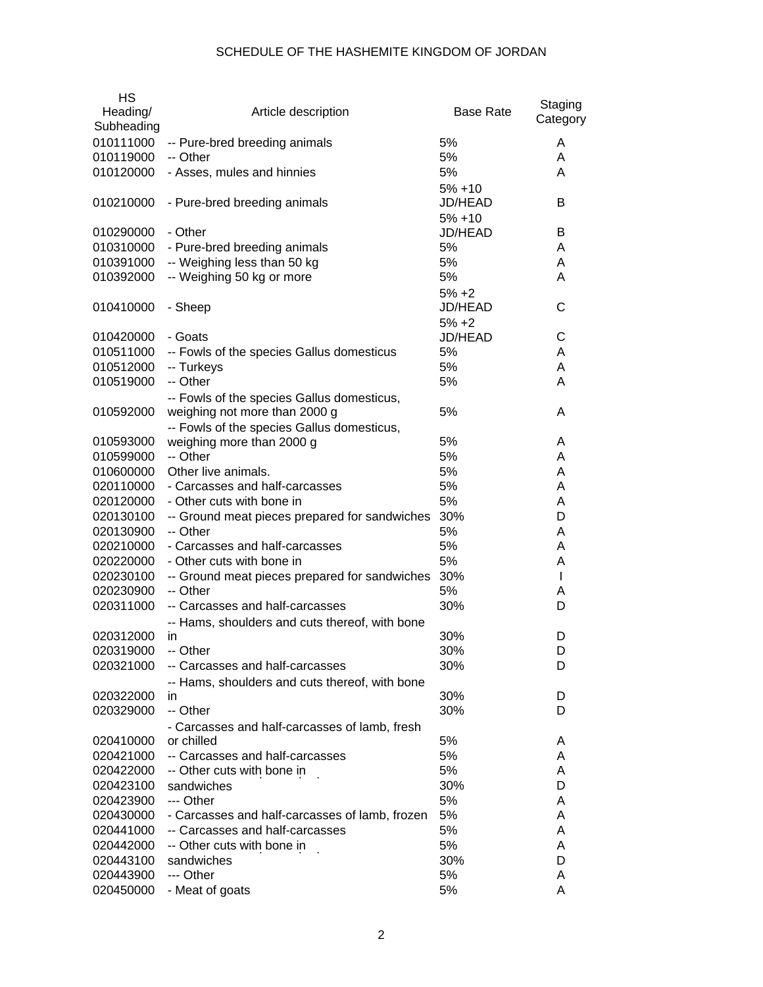| <b>HS</b><br>Heading/<br>Subheading | Article description                            | Base Rate            | Staging<br>Category |
|-------------------------------------|------------------------------------------------|----------------------|---------------------|
| 010111000                           | -- Pure-bred breeding animals                  | 5%                   | A                   |
| 010119000                           | -- Other                                       | 5%                   | A                   |
| 010120000                           | - Asses, mules and hinnies                     | 5%                   | A                   |
|                                     |                                                | $5% + 10$            |                     |
| 010210000                           | - Pure-bred breeding animals                   | JD/HEAD              | в                   |
| 010290000                           | - Other                                        | $5% + 10$<br>JD/HEAD | В                   |
| 010310000                           | - Pure-bred breeding animals                   | 5%                   | A                   |
| 010391000                           | -- Weighing less than 50 kg                    | 5%                   | A                   |
| 010392000                           | -- Weighing 50 kg or more                      | 5%                   | A                   |
|                                     |                                                | $5% +2$              |                     |
| 010410000                           | - Sheep                                        | JD/HEAD              | С                   |
|                                     |                                                | $5% +2$              |                     |
| 010420000                           | - Goats                                        | JD/HEAD              | С                   |
| 010511000                           | -- Fowls of the species Gallus domesticus      | 5%                   | A                   |
| 010512000                           | -- Turkeys                                     | 5%                   | A                   |
| 010519000                           | -- Other                                       | 5%                   | A                   |
|                                     | -- Fowls of the species Gallus domesticus,     |                      |                     |
| 010592000                           | weighing not more than 2000 g                  | 5%                   | A                   |
|                                     | -- Fowls of the species Gallus domesticus,     |                      |                     |
| 010593000                           | weighing more than 2000 g                      | 5%                   | A                   |
| 010599000                           | -- Other                                       | 5%                   | A                   |
| 010600000                           | Other live animals.                            | 5%                   | A                   |
| 020110000                           | - Carcasses and half-carcasses                 | 5%                   | A                   |
| 020120000                           | - Other cuts with bone in                      | 5%                   | A                   |
| 020130100                           | -- Ground meat pieces prepared for sandwiches  | 30%                  | D                   |
| 020130900                           | -- Other                                       | 5%                   | A                   |
| 020210000                           | - Carcasses and half-carcasses                 | 5%                   | A                   |
| 020220000                           | - Other cuts with bone in                      | 5%                   | A                   |
| 020230100                           | -- Ground meat pieces prepared for sandwiches  | 30%                  | $\mathbf{I}$        |
| 020230900                           | -- Other                                       | 5%                   | A                   |
| 020311000                           | -- Carcasses and half-carcasses                | 30%                  | D                   |
|                                     | -- Hams, shoulders and cuts thereof, with bone |                      |                     |
| 020312000                           | in                                             | 30%                  | D                   |
| 020319000                           | -- Other                                       | 30%                  | D                   |
| 020321000                           | -- Carcasses and half-carcasses                | 30%                  | D                   |
|                                     | -- Hams, shoulders and cuts thereof, with bone |                      |                     |
| 020322000                           | in                                             | 30%                  | D                   |
| 020329000                           | -- Other                                       | 30%                  | D                   |
|                                     | - Carcasses and half-carcasses of lamb, fresh  |                      |                     |
| 020410000                           | or chilled                                     | 5%                   | A                   |
| 020421000                           | -- Carcasses and half-carcasses                | 5%                   | A                   |
| 020422000                           | -- Other cuts with bone in                     | 5%                   | A                   |
| 020423100                           | sandwiches                                     | 30%                  | D                   |
| 020423900                           | --- Other                                      | 5%                   | A                   |
| 020430000                           | - Carcasses and half-carcasses of lamb, frozen | 5%                   | A                   |
| 020441000                           | -- Carcasses and half-carcasses                | 5%<br>5%             | A<br>A              |
| 020442000                           | -- Other cuts with bone in                     |                      | D                   |
| 020443100<br>020443900              | sandwiches<br>--- Other                        | 30%<br>5%            | A                   |
| 020450000                           | - Meat of goats                                | 5%                   | A                   |
|                                     |                                                |                      |                     |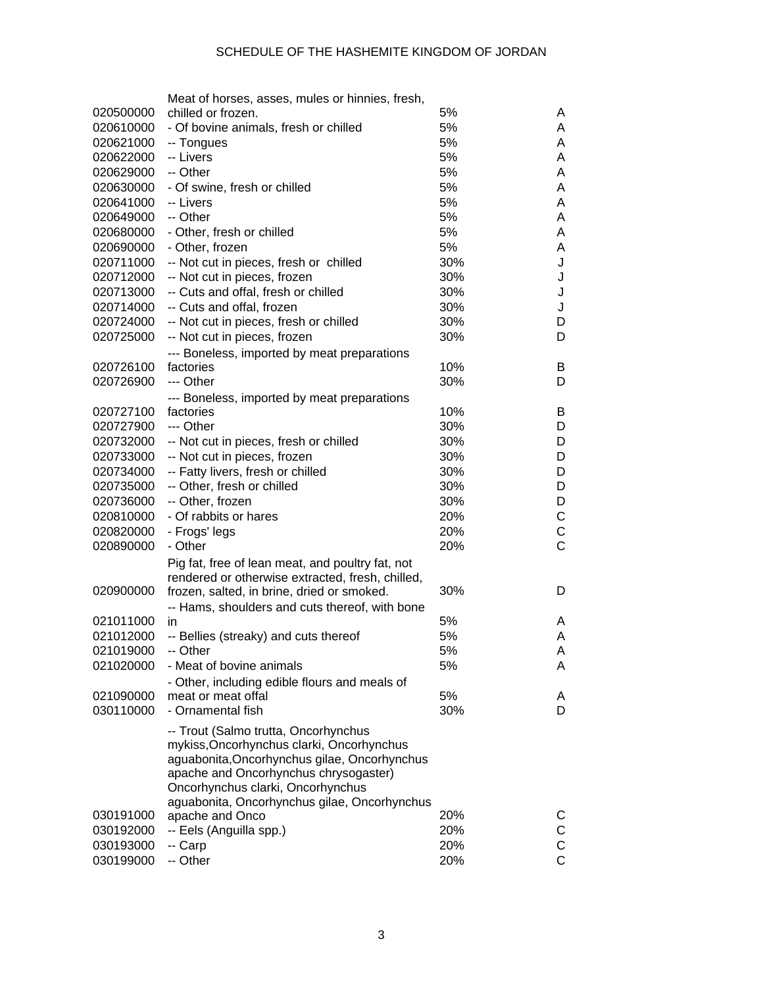|                        | Meat of horses, asses, mules or hinnies, fresh,  |     |                |
|------------------------|--------------------------------------------------|-----|----------------|
| 020500000              | chilled or frozen.                               | 5%  | A              |
| 020610000              | - Of bovine animals, fresh or chilled            | 5%  | A              |
| 020621000              | -- Tongues                                       | 5%  | A              |
| 020622000              | -- Livers                                        | 5%  | A              |
| 020629000              | -- Other                                         | 5%  | A              |
| 020630000              | - Of swine, fresh or chilled                     | 5%  | A              |
| 020641000              | -- Livers                                        | 5%  | A              |
| 020649000              | -- Other                                         | 5%  | A              |
| 020680000              | - Other, fresh or chilled                        | 5%  | A              |
| 020690000              | - Other, frozen                                  | 5%  | A              |
| 020711000              | -- Not cut in pieces, fresh or chilled           | 30% | J              |
| 020712000              | -- Not cut in pieces, frozen                     | 30% | J              |
| 020713000              | -- Cuts and offal, fresh or chilled              | 30% | J              |
|                        |                                                  |     |                |
| 020714000              | -- Cuts and offal, frozen                        | 30% | J              |
| 020724000              | -- Not cut in pieces, fresh or chilled           | 30% | D              |
| 020725000              | -- Not cut in pieces, frozen                     | 30% | D              |
|                        | --- Boneless, imported by meat preparations      |     |                |
| 020726100              | factories                                        | 10% | B              |
| 020726900              | --- Other                                        | 30% | D              |
|                        | --- Boneless, imported by meat preparations      |     |                |
| 020727100              | factories                                        | 10% | B              |
| 020727900              | --- Other                                        | 30% | D              |
| 020732000              | -- Not cut in pieces, fresh or chilled           | 30% | D              |
| 020733000              | -- Not cut in pieces, frozen                     | 30% | D              |
| 020734000              | -- Fatty livers, fresh or chilled                | 30% | D              |
| 020735000              | -- Other, fresh or chilled                       | 30% | D              |
| 020736000              | -- Other, frozen                                 | 30% | D              |
| 020810000              | - Of rabbits or hares                            | 20% | С              |
| 020820000              | - Frogs' legs                                    | 20% | $\mathsf C$    |
| 020890000              | - Other                                          | 20% | $\overline{C}$ |
|                        | Pig fat, free of lean meat, and poultry fat, not |     |                |
|                        | rendered or otherwise extracted, fresh, chilled, |     |                |
| 020900000              | frozen, salted, in brine, dried or smoked.       | 30% | D              |
|                        | -- Hams, shoulders and cuts thereof, with bone   |     |                |
| 021011000              | in                                               | 5%  | A              |
| 021012000              | -- Bellies (streaky) and cuts thereof            | 5%  | Α              |
| 021019000              | -- Other                                         | 5%  | A              |
| 021020000              | - Meat of bovine animals                         | 5%  | A              |
|                        |                                                  |     |                |
|                        | - Other, including edible flours and meals of    | 5%  |                |
| 021090000<br>030110000 | meat or meat offal                               | 30% | A<br>D         |
|                        | - Ornamental fish                                |     |                |
|                        | -- Trout (Salmo trutta, Oncorhynchus             |     |                |
|                        | mykiss, Oncorhynchus clarki, Oncorhynchus        |     |                |
|                        | aguabonita, Oncorhynchus gilae, Oncorhynchus     |     |                |
|                        | apache and Oncorhynchus chrysogaster)            |     |                |
|                        | Oncorhynchus clarki, Oncorhynchus                |     |                |
|                        | aguabonita, Oncorhynchus gilae, Oncorhynchus     |     |                |
| 030191000              | apache and Onco                                  | 20% | C              |
| 030192000              | -- Eels (Anguilla spp.)                          | 20% | С              |
| 030193000              | -- Carp                                          | 20% | $\mathsf C$    |
| 030199000              | -- Other                                         | 20% | $\overline{C}$ |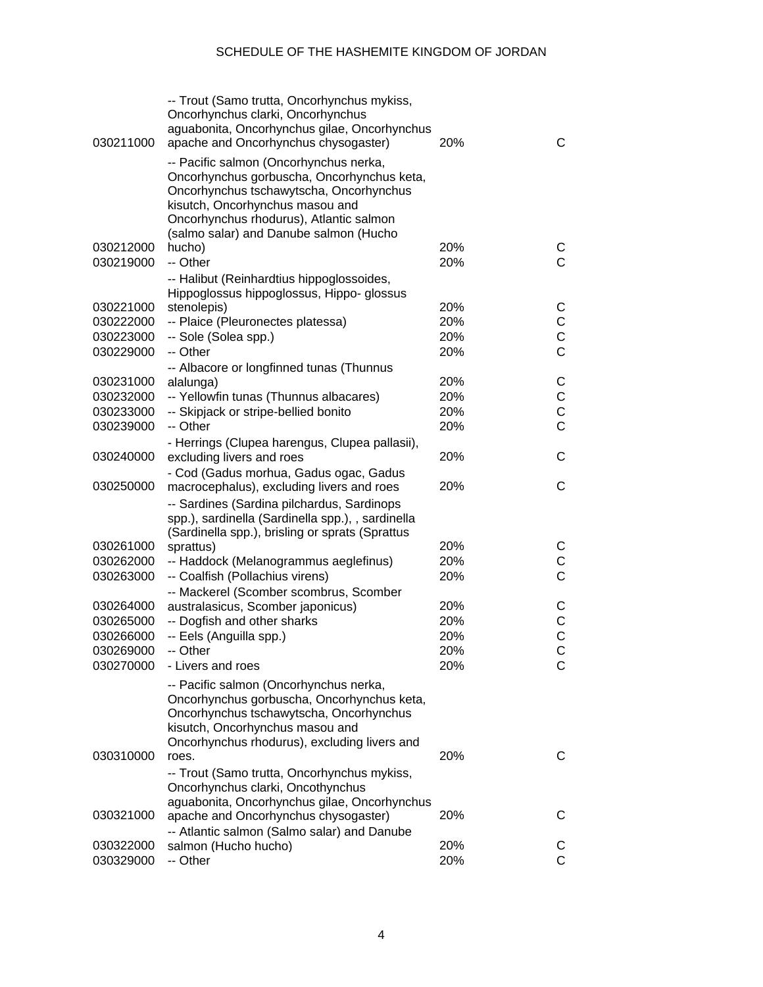| 030211000 | -- Trout (Samo trutta, Oncorhynchus mykiss,<br>Oncorhynchus clarki, Oncorhynchus<br>aguabonita, Oncorhynchus gilae, Oncorhynchus<br>apache and Oncorhynchus chysogaster)                                                                                | 20% | C              |
|-----------|---------------------------------------------------------------------------------------------------------------------------------------------------------------------------------------------------------------------------------------------------------|-----|----------------|
|           | -- Pacific salmon (Oncorhynchus nerka,<br>Oncorhynchus gorbuscha, Oncorhynchus keta,<br>Oncorhynchus tschawytscha, Oncorhynchus<br>kisutch, Oncorhynchus masou and<br>Oncorhynchus rhodurus), Atlantic salmon<br>(salmo salar) and Danube salmon (Hucho |     |                |
| 030212000 | hucho)                                                                                                                                                                                                                                                  | 20% | C              |
| 030219000 | -- Other                                                                                                                                                                                                                                                | 20% | C              |
|           | -- Halibut (Reinhardtius hippoglossoides,<br>Hippoglossus hippoglossus, Hippo- glossus                                                                                                                                                                  |     |                |
| 030221000 | stenolepis)                                                                                                                                                                                                                                             | 20% | С              |
| 030222000 | -- Plaice (Pleuronectes platessa)                                                                                                                                                                                                                       | 20% | С              |
| 030223000 | -- Sole (Solea spp.)                                                                                                                                                                                                                                    | 20% | $\mathsf C$    |
| 030229000 | -- Other                                                                                                                                                                                                                                                | 20% | $\overline{C}$ |
|           | -- Albacore or longfinned tunas (Thunnus                                                                                                                                                                                                                |     |                |
| 030231000 | alalunga)                                                                                                                                                                                                                                               | 20% | С              |
| 030232000 | -- Yellowfin tunas (Thunnus albacares)                                                                                                                                                                                                                  | 20% | C              |
| 030233000 | -- Skipjack or stripe-bellied bonito                                                                                                                                                                                                                    | 20% | $\mathsf C$    |
| 030239000 | -- Other                                                                                                                                                                                                                                                | 20% | $\mathsf{C}$   |
| 030240000 | - Herrings (Clupea harengus, Clupea pallasii),<br>excluding livers and roes                                                                                                                                                                             | 20% | С              |
| 030250000 | - Cod (Gadus morhua, Gadus ogac, Gadus<br>macrocephalus), excluding livers and roes                                                                                                                                                                     | 20% | C              |
|           | -- Sardines (Sardina pilchardus, Sardinops<br>spp.), sardinella (Sardinella spp.), , sardinella<br>(Sardinella spp.), brisling or sprats (Sprattus                                                                                                      |     |                |
| 030261000 | sprattus)                                                                                                                                                                                                                                               | 20% | С              |
| 030262000 | -- Haddock (Melanogrammus aeglefinus)                                                                                                                                                                                                                   | 20% | С              |
| 030263000 | -- Coalfish (Pollachius virens)                                                                                                                                                                                                                         | 20% | $\mathsf{C}$   |
|           | -- Mackerel (Scomber scombrus, Scomber                                                                                                                                                                                                                  |     |                |
| 030264000 | australasicus, Scomber japonicus)                                                                                                                                                                                                                       | 20% | С              |
| 030265000 | -- Dogfish and other sharks                                                                                                                                                                                                                             | 20% | C              |
| 030266000 | -- Eels (Anguilla spp.)                                                                                                                                                                                                                                 | 20% | $\ddot{C}$     |
| 030269000 | -- Other                                                                                                                                                                                                                                                | 20% | C              |
| 030270000 | - Livers and roes                                                                                                                                                                                                                                       | 20% | С              |
|           | -- Pacific salmon (Oncorhynchus nerka,<br>Oncorhynchus gorbuscha, Oncorhynchus keta,<br>Oncorhynchus tschawytscha, Oncorhynchus<br>kisutch, Oncorhynchus masou and                                                                                      |     |                |
| 030310000 | Oncorhynchus rhodurus), excluding livers and<br>roes.                                                                                                                                                                                                   | 20% | C              |
|           |                                                                                                                                                                                                                                                         |     |                |
|           | -- Trout (Samo trutta, Oncorhynchus mykiss,<br>Oncorhynchus clarki, Oncothynchus                                                                                                                                                                        |     |                |
| 030321000 | aguabonita, Oncorhynchus gilae, Oncorhynchus<br>apache and Oncorhynchus chysogaster)<br>-- Atlantic salmon (Salmo salar) and Danube                                                                                                                     | 20% | C              |
| 030322000 | salmon (Hucho hucho)                                                                                                                                                                                                                                    | 20% | C              |
| 030329000 | -- Other                                                                                                                                                                                                                                                | 20% | C              |
|           |                                                                                                                                                                                                                                                         |     |                |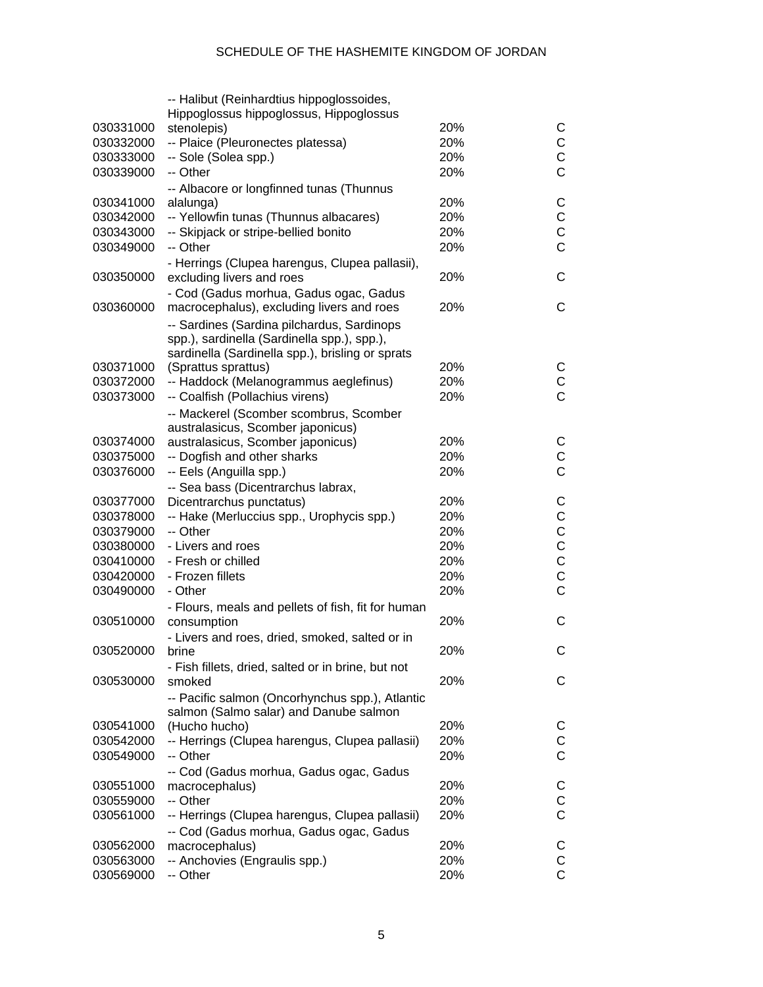|           | -- Halibut (Reinhardtius hippoglossoides,          |     |                |
|-----------|----------------------------------------------------|-----|----------------|
|           | Hippoglossus hippoglossus, Hippoglossus            |     |                |
| 030331000 | stenolepis)                                        | 20% | С              |
| 030332000 | -- Plaice (Pleuronectes platessa)                  | 20% | $\mathsf C$    |
| 030333000 | -- Sole (Solea spp.)                               | 20% | $\mathsf{C}$   |
| 030339000 | -- Other                                           | 20% | $\overline{C}$ |
|           | -- Albacore or longfinned tunas (Thunnus           |     |                |
| 030341000 | alalunga)                                          | 20% | C              |
| 030342000 | -- Yellowfin tunas (Thunnus albacares)             | 20% | $\mathsf C$    |
| 030343000 | -- Skipjack or stripe-bellied bonito               | 20% | $\mathsf{C}$   |
| 030349000 | -- Other                                           | 20% | $\overline{C}$ |
|           | - Herrings (Clupea harengus, Clupea pallasii),     |     |                |
| 030350000 | excluding livers and roes                          | 20% | C              |
|           | - Cod (Gadus morhua, Gadus ogac, Gadus             |     |                |
| 030360000 | macrocephalus), excluding livers and roes          | 20% | C              |
|           | -- Sardines (Sardina pilchardus, Sardinops         |     |                |
|           | spp.), sardinella (Sardinella spp.), spp.),        |     |                |
|           | sardinella (Sardinella spp.), brisling or sprats   |     |                |
| 030371000 | (Sprattus sprattus)                                | 20% | С              |
| 030372000 | -- Haddock (Melanogrammus aeglefinus)              | 20% | $\mathsf C$    |
| 030373000 | -- Coalfish (Pollachius virens)                    | 20% | $\overline{C}$ |
|           | -- Mackerel (Scomber scombrus, Scomber             |     |                |
|           | australasicus, Scomber japonicus)                  |     |                |
| 030374000 | australasicus, Scomber japonicus)                  | 20% | C              |
| 030375000 | -- Dogfish and other sharks                        | 20% | $\mathsf C$    |
| 030376000 | -- Eels (Anguilla spp.)                            | 20% | $\overline{C}$ |
|           | -- Sea bass (Dicentrarchus labrax,                 |     |                |
| 030377000 | Dicentrarchus punctatus)                           | 20% | C              |
| 030378000 | -- Hake (Merluccius spp., Urophycis spp.)          | 20% | $\mathsf C$    |
| 030379000 | -- Other                                           | 20% | $\mathsf C$    |
| 030380000 | - Livers and roes                                  | 20% | $\mathsf{C}$   |
| 030410000 | - Fresh or chilled                                 | 20% | $\mathsf{C}$   |
| 030420000 | - Frozen fillets                                   | 20% | $\mathsf{C}$   |
| 030490000 | - Other                                            | 20% | $\mathsf{C}$   |
|           | - Flours, meals and pellets of fish, fit for human |     |                |
| 030510000 | consumption                                        | 20% | C              |
|           | - Livers and roes, dried, smoked, salted or in     |     |                |
| 030520000 | brine                                              | 20% | С              |
|           | - Fish fillets, dried, salted or in brine, but not |     |                |
| 030530000 | smoked                                             | 20% | С              |
|           | -- Pacific salmon (Oncorhynchus spp.), Atlantic    |     |                |
|           | salmon (Salmo salar) and Danube salmon             |     |                |
| 030541000 | (Hucho hucho)                                      | 20% | C              |
| 030542000 | -- Herrings (Clupea harengus, Clupea pallasii)     | 20% | C              |
| 030549000 | -- Other                                           | 20% | C              |
|           |                                                    |     |                |
| 030551000 | -- Cod (Gadus morhua, Gadus ogac, Gadus            | 20% | C              |
| 030559000 | macrocephalus)<br>-- Other                         | 20% | C              |
|           |                                                    |     | C              |
| 030561000 | -- Herrings (Clupea harengus, Clupea pallasii)     | 20% |                |
|           | -- Cod (Gadus morhua, Gadus ogac, Gadus            |     |                |
| 030562000 | macrocephalus)                                     | 20% | C              |
| 030563000 | -- Anchovies (Engraulis spp.)                      | 20% | $\mathsf C$    |
| 030569000 | -- Other                                           | 20% | C              |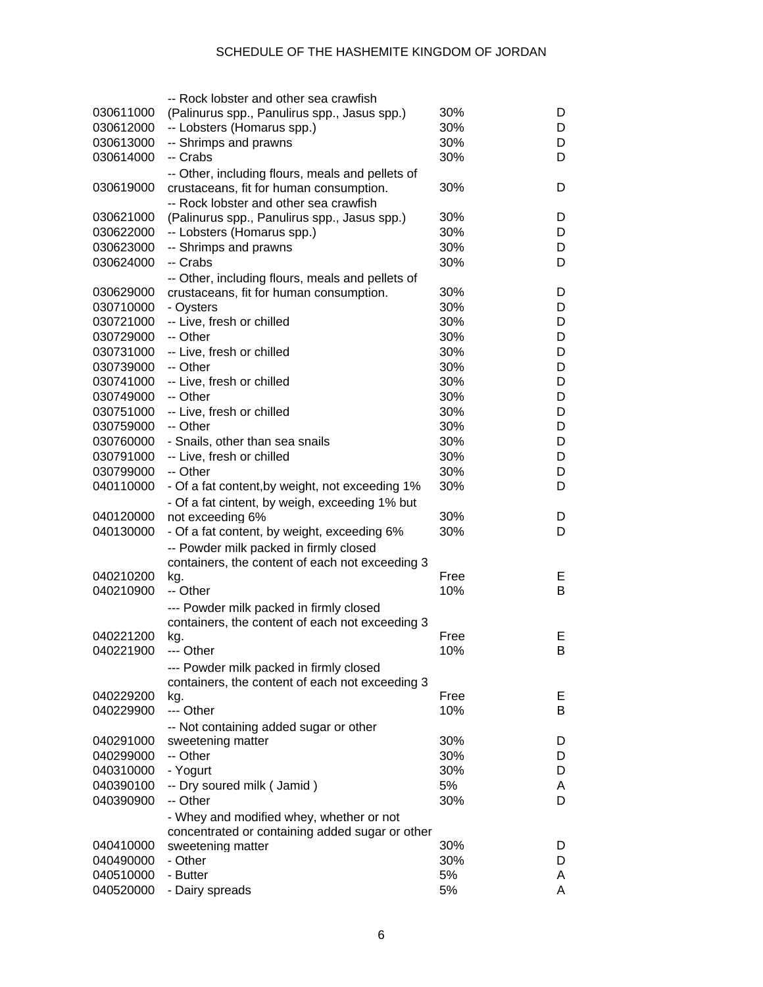|           | -- Rock lobster and other sea crawfish           |      |   |
|-----------|--------------------------------------------------|------|---|
| 030611000 | (Palinurus spp., Panulirus spp., Jasus spp.)     | 30%  | D |
| 030612000 | -- Lobsters (Homarus spp.)                       | 30%  | D |
| 030613000 | -- Shrimps and prawns                            | 30%  | D |
| 030614000 | -- Crabs                                         | 30%  | D |
|           | -- Other, including flours, meals and pellets of |      |   |
| 030619000 | crustaceans, fit for human consumption.          | 30%  | D |
|           | -- Rock lobster and other sea crawfish           |      |   |
| 030621000 | (Palinurus spp., Panulirus spp., Jasus spp.)     | 30%  | D |
| 030622000 | -- Lobsters (Homarus spp.)                       | 30%  | D |
| 030623000 | -- Shrimps and prawns                            | 30%  | D |
| 030624000 | -- Crabs                                         | 30%  | D |
|           | -- Other, including flours, meals and pellets of |      |   |
| 030629000 | crustaceans, fit for human consumption.          | 30%  | D |
| 030710000 | - Oysters                                        | 30%  | D |
| 030721000 | -- Live, fresh or chilled                        | 30%  | D |
| 030729000 | -- Other                                         | 30%  | D |
| 030731000 | -- Live, fresh or chilled                        | 30%  | D |
| 030739000 | -- Other                                         | 30%  | D |
|           |                                                  | 30%  | D |
| 030741000 | -- Live, fresh or chilled                        | 30%  |   |
| 030749000 | -- Other                                         |      | D |
| 030751000 | -- Live, fresh or chilled                        | 30%  | D |
| 030759000 | -- Other                                         | 30%  | D |
| 030760000 | - Snails, other than sea snails                  | 30%  | D |
| 030791000 | -- Live, fresh or chilled                        | 30%  | D |
| 030799000 | -- Other                                         | 30%  | D |
| 040110000 | - Of a fat content, by weight, not exceeding 1%  | 30%  | D |
|           | - Of a fat cintent, by weigh, exceeding 1% but   |      |   |
| 040120000 | not exceeding 6%                                 | 30%  | D |
| 040130000 | - Of a fat content, by weight, exceeding 6%      | 30%  | D |
|           | -- Powder milk packed in firmly closed           |      |   |
|           | containers, the content of each not exceeding 3  |      |   |
| 040210200 | kg.                                              | Free | Е |
| 040210900 | -- Other                                         | 10%  | B |
|           | --- Powder milk packed in firmly closed          |      |   |
|           | containers, the content of each not exceeding 3  |      |   |
| 040221200 | kg.                                              | Free | E |
| 040221900 | --- Other                                        | 10%  | B |
|           | --- Powder milk packed in firmly closed          |      |   |
|           | containers, the content of each not exceeding 3  |      |   |
| 040229200 | kg.                                              | Free | Е |
| 040229900 | --- Other                                        | 10%  | B |
|           | -- Not containing added sugar or other           |      |   |
| 040291000 | sweetening matter                                | 30%  | D |
| 040299000 | -- Other                                         | 30%  | D |
| 040310000 | - Yogurt                                         | 30%  | D |
| 040390100 | -- Dry soured milk (Jamid)                       | 5%   | A |
| 040390900 | -- Other                                         | 30%  | D |
|           | - Whey and modified whey, whether or not         |      |   |
|           | concentrated or containing added sugar or other  |      |   |
| 040410000 | sweetening matter                                | 30%  | D |
| 040490000 | - Other                                          | 30%  | D |
| 040510000 | - Butter                                         | 5%   | A |
| 040520000 | - Dairy spreads                                  | 5%   | A |
|           |                                                  |      |   |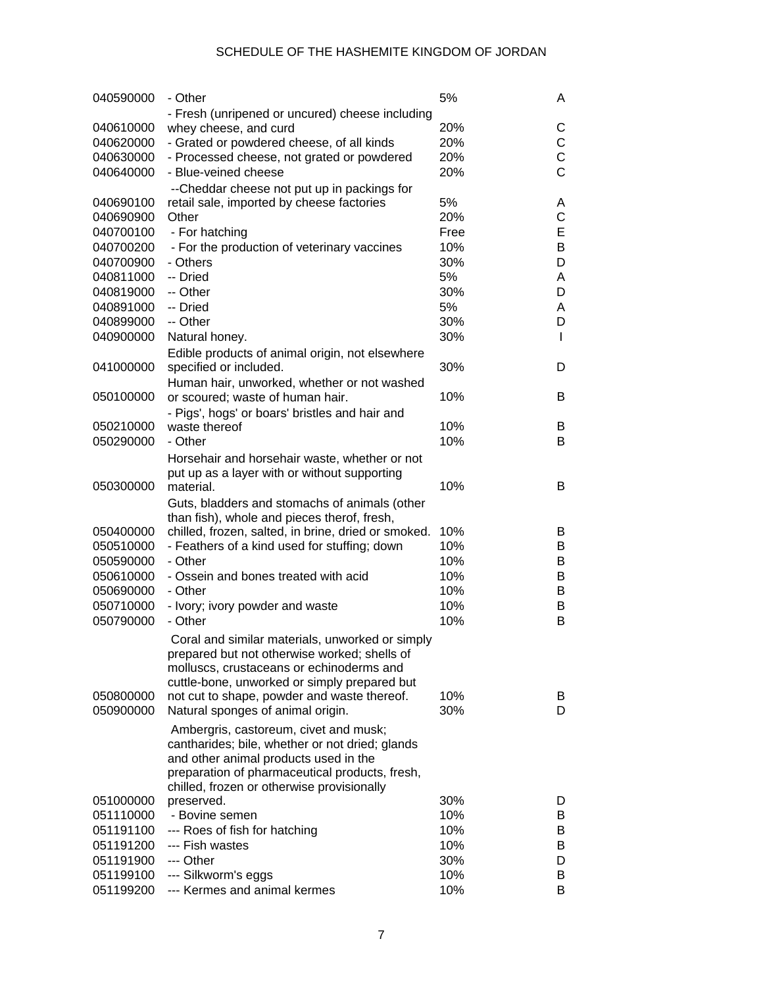| 040590000              | - Other                                                   | 5%   | A |
|------------------------|-----------------------------------------------------------|------|---|
|                        | - Fresh (unripened or uncured) cheese including           |      |   |
| 040610000              | whey cheese, and curd                                     | 20%  | С |
| 040620000              | - Grated or powdered cheese, of all kinds                 | 20%  | C |
| 040630000              | - Processed cheese, not grated or powdered                | 20%  | C |
| 040640000              | - Blue-veined cheese                                      | 20%  | Ċ |
|                        | --Cheddar cheese not put up in packings for               |      |   |
| 040690100              | retail sale, imported by cheese factories                 | 5%   | Α |
| 040690900              | Other                                                     | 20%  | С |
| 040700100              | - For hatching                                            | Free | E |
| 040700200              | - For the production of veterinary vaccines               | 10%  | В |
| 040700900              | - Others                                                  | 30%  | D |
| 040811000              | -- Dried                                                  | 5%   | A |
| 040819000              | -- Other                                                  | 30%  | D |
| 040891000              | -- Dried                                                  | 5%   | A |
| 040899000              | -- Other                                                  | 30%  | D |
| 040900000              | Natural honey.                                            | 30%  | L |
|                        | Edible products of animal origin, not elsewhere           |      |   |
| 041000000              | specified or included.                                    | 30%  | D |
|                        | Human hair, unworked, whether or not washed               |      |   |
| 050100000              | or scoured; waste of human hair.                          | 10%  | B |
|                        | - Pigs', hogs' or boars' bristles and hair and            |      |   |
| 050210000              | waste thereof                                             | 10%  | B |
| 050290000              | - Other                                                   | 10%  | B |
|                        |                                                           |      |   |
|                        | Horsehair and horsehair waste, whether or not             |      |   |
| 050300000              | put up as a layer with or without supporting<br>material. | 10%  | B |
|                        |                                                           |      |   |
|                        | Guts, bladders and stomachs of animals (other             |      |   |
| 050400000              | than fish), whole and pieces therof, fresh,               | 10%  | В |
|                        | chilled, frozen, salted, in brine, dried or smoked.       | 10%  | B |
| 050510000              | - Feathers of a kind used for stuffing; down<br>- Other   | 10%  | B |
| 050590000<br>050610000 | - Ossein and bones treated with acid                      | 10%  | B |
|                        | - Other                                                   | 10%  | B |
| 050690000<br>050710000 |                                                           | 10%  | B |
|                        | - Ivory; ivory powder and waste<br>- Other                | 10%  | B |
| 050790000              |                                                           |      |   |
|                        | Coral and similar materials, unworked or simply           |      |   |
|                        | prepared but not otherwise worked; shells of              |      |   |
|                        | molluscs, crustaceans or echinoderms and                  |      |   |
|                        | cuttle-bone, unworked or simply prepared but              |      |   |
| 050800000              | not cut to shape, powder and waste thereof.               | 10%  | B |
| 050900000              | Natural sponges of animal origin.                         | 30%  | D |
|                        | Ambergris, castoreum, civet and musk;                     |      |   |
|                        | cantharides; bile, whether or not dried; glands           |      |   |
|                        | and other animal products used in the                     |      |   |
|                        | preparation of pharmaceutical products, fresh,            |      |   |
|                        | chilled, frozen or otherwise provisionally                |      |   |
| 051000000              | preserved.                                                | 30%  | D |
| 051110000              | - Bovine semen                                            | 10%  | B |
| 051191100              | --- Roes of fish for hatching                             | 10%  | B |
| 051191200              | --- Fish wastes                                           | 10%  | B |
| 051191900              | --- Other                                                 | 30%  | D |
| 051199100              | --- Silkworm's eggs                                       | 10%  | B |
| 051199200              | --- Kermes and animal kermes                              | 10%  | В |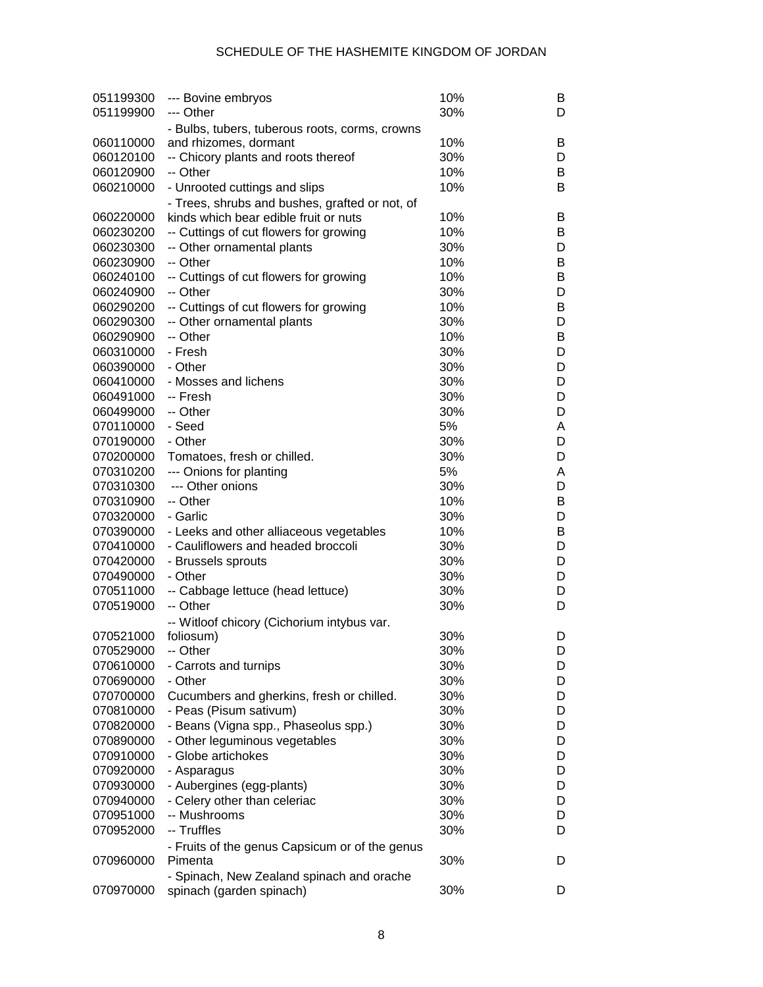| 051199300 | --- Bovine embryos                             | 10% | B |
|-----------|------------------------------------------------|-----|---|
| 051199900 | --- Other                                      | 30% | D |
|           | - Bulbs, tubers, tuberous roots, corms, crowns |     |   |
| 060110000 | and rhizomes, dormant                          | 10% | B |
| 060120100 | -- Chicory plants and roots thereof            | 30% | D |
| 060120900 | -- Other                                       | 10% | В |
| 060210000 | - Unrooted cuttings and slips                  | 10% | В |
|           | - Trees, shrubs and bushes, grafted or not, of |     |   |
| 060220000 | kinds which bear edible fruit or nuts          | 10% | B |
| 060230200 | -- Cuttings of cut flowers for growing         | 10% | В |
| 060230300 | -- Other ornamental plants                     | 30% | D |
| 060230900 | -- Other                                       | 10% | В |
| 060240100 | -- Cuttings of cut flowers for growing         | 10% | В |
| 060240900 | -- Other                                       | 30% | D |
| 060290200 | -- Cuttings of cut flowers for growing         | 10% | В |
| 060290300 | -- Other ornamental plants                     | 30% | D |
| 060290900 | -- Other                                       | 10% | В |
|           |                                                |     |   |
| 060310000 | - Fresh                                        | 30% | D |
| 060390000 | - Other                                        | 30% | D |
| 060410000 | - Mosses and lichens                           | 30% | D |
| 060491000 | -- Fresh                                       | 30% | D |
| 060499000 | -- Other                                       | 30% | D |
| 070110000 | - Seed                                         | 5%  | A |
| 070190000 | - Other                                        | 30% | D |
| 070200000 | Tomatoes, fresh or chilled.                    | 30% | D |
| 070310200 | --- Onions for planting                        | 5%  | A |
| 070310300 | --- Other onions                               | 30% | D |
| 070310900 | -- Other                                       | 10% | В |
| 070320000 | - Garlic                                       | 30% | D |
| 070390000 | - Leeks and other alliaceous vegetables        | 10% | В |
| 070410000 | - Cauliflowers and headed broccoli             | 30% | D |
| 070420000 | - Brussels sprouts                             | 30% | D |
| 070490000 | - Other                                        | 30% | D |
| 070511000 | -- Cabbage lettuce (head lettuce)              | 30% | D |
| 070519000 | -- Other                                       | 30% | D |
|           | -- Witloof chicory (Cichorium intybus var.     |     |   |
| 070521000 | foliosum)                                      | 30% | D |
| 070529000 | -- Other                                       | 30% | D |
| 070610000 | - Carrots and turnips                          | 30% | D |
| 070690000 | - Other                                        | 30% | D |
| 070700000 | Cucumbers and gherkins, fresh or chilled.      | 30% | D |
| 070810000 | - Peas (Pisum sativum)                         | 30% | D |
| 070820000 | - Beans (Vigna spp., Phaseolus spp.)           | 30% | D |
| 070890000 | - Other leguminous vegetables                  | 30% | D |
| 070910000 | - Globe artichokes                             | 30% | D |
| 070920000 | - Asparagus                                    | 30% | D |
| 070930000 | - Aubergines (egg-plants)                      | 30% | D |
| 070940000 | - Celery other than celeriac                   | 30% | D |
| 070951000 | -- Mushrooms                                   | 30% |   |
|           |                                                |     | D |
| 070952000 | -- Truffles                                    | 30% | D |
|           | - Fruits of the genus Capsicum or of the genus |     |   |
| 070960000 | Pimenta                                        | 30% | D |
|           | - Spinach, New Zealand spinach and orache      |     |   |
| 070970000 | spinach (garden spinach)                       | 30% | D |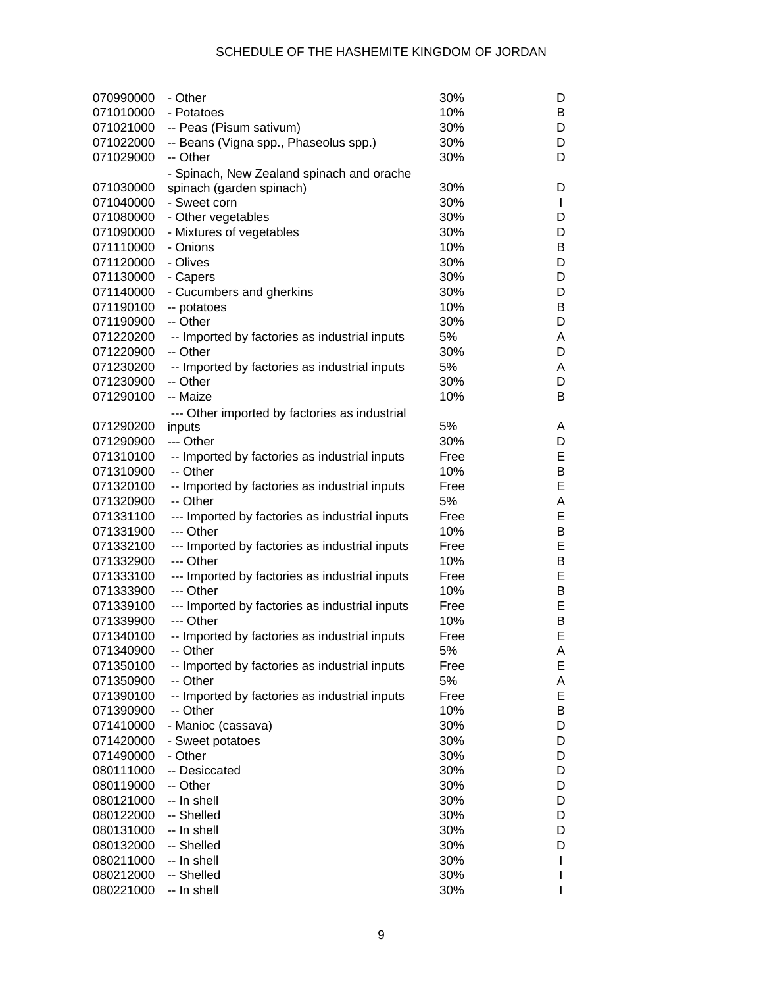| 070990000 | - Other                                                   | 30%  | D            |
|-----------|-----------------------------------------------------------|------|--------------|
| 071010000 | - Potatoes                                                | 10%  | B            |
| 071021000 | -- Peas (Pisum sativum)                                   | 30%  | D            |
| 071022000 | -- Beans (Vigna spp., Phaseolus spp.)                     | 30%  | D            |
| 071029000 | -- Other                                                  | 30%  | D            |
|           | - Spinach, New Zealand spinach and orache                 |      |              |
| 071030000 | spinach (garden spinach)                                  | 30%  | D            |
| 071040000 | - Sweet corn                                              | 30%  | $\mathbf{I}$ |
| 071080000 | - Other vegetables                                        | 30%  | D            |
| 071090000 | - Mixtures of vegetables                                  | 30%  | D            |
| 071110000 | - Onions                                                  | 10%  | В            |
| 071120000 | - Olives                                                  | 30%  | D            |
| 071130000 | - Capers                                                  | 30%  | D            |
| 071140000 | - Cucumbers and gherkins                                  | 30%  | D            |
| 071190100 | -- potatoes                                               | 10%  | В            |
| 071190900 | -- Other                                                  | 30%  | D            |
| 071220200 | -- Imported by factories as industrial inputs             | 5%   | Α            |
| 071220900 | -- Other                                                  | 30%  | D            |
| 071230200 | -- Imported by factories as industrial inputs             | 5%   | Α            |
| 071230900 | -- Other                                                  | 30%  | D            |
| 071290100 | -- Maize                                                  | 10%  | B            |
|           |                                                           |      |              |
| 071290200 | --- Other imported by factories as industrial             | 5%   | Α            |
| 071290900 | inputs<br>--- Other                                       | 30%  | D            |
| 071310100 | -- Imported by factories as industrial inputs             | Free | E            |
| 071310900 | -- Other                                                  | 10%  | B            |
| 071320100 |                                                           | Free | E            |
| 071320900 | -- Imported by factories as industrial inputs<br>-- Other | 5%   | A            |
|           |                                                           | Free | E            |
| 071331100 | --- Imported by factories as industrial inputs            |      |              |
| 071331900 | --- Other                                                 | 10%  | B<br>E       |
| 071332100 | --- Imported by factories as industrial inputs            | Free |              |
| 071332900 | --- Other                                                 | 10%  | B            |
| 071333100 | --- Imported by factories as industrial inputs            | Free | E            |
| 071333900 | --- Other                                                 | 10%  | B            |
| 071339100 | --- Imported by factories as industrial inputs            | Free | E            |
| 071339900 | --- Other                                                 | 10%  | В            |
| 071340100 | -- Imported by factories as industrial inputs             | Free | E            |
| 071340900 | -- Other                                                  | 5%   | A            |
| 071350100 | -- Imported by factories as industrial inputs             | Free | Е            |
| 071350900 | -- Other                                                  | 5%   | А            |
| 071390100 | -- Imported by factories as industrial inputs             | Free | Е            |
| 071390900 | -- Other                                                  | 10%  | В            |
| 071410000 | - Manioc (cassava)                                        | 30%  | D            |
| 071420000 | - Sweet potatoes                                          | 30%  | D            |
| 071490000 | - Other                                                   | 30%  | D            |
| 080111000 | -- Desiccated                                             | 30%  | D            |
| 080119000 | -- Other                                                  | 30%  | D            |
| 080121000 | -- In shell                                               | 30%  | D            |
| 080122000 | -- Shelled                                                | 30%  | D            |
| 080131000 | -- In shell                                               | 30%  | D            |
| 080132000 | -- Shelled                                                | 30%  | D            |
| 080211000 | -- In shell                                               | 30%  | L            |
| 080212000 | -- Shelled                                                | 30%  | I            |
| 080221000 | -- In shell                                               | 30%  |              |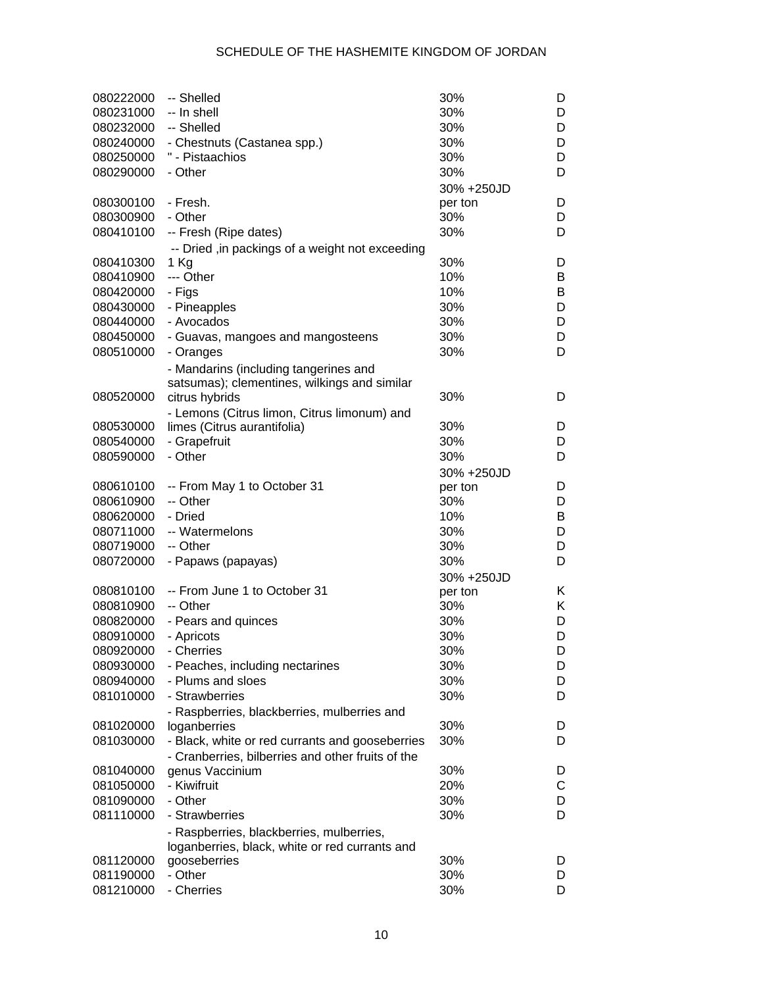| 080222000 | -- Shelled                                        | 30%        | D |
|-----------|---------------------------------------------------|------------|---|
| 080231000 | -- In shell                                       | 30%        | D |
| 080232000 | -- Shelled                                        | 30%        | D |
| 080240000 | - Chestnuts (Castanea spp.)                       | 30%        | D |
| 080250000 | " - Pistaachios                                   | 30%        | D |
| 080290000 | - Other                                           | 30%        | D |
|           |                                                   | 30% +250JD |   |
| 080300100 | - Fresh.                                          | per ton    | D |
| 080300900 | - Other                                           | 30%        | D |
| 080410100 | -- Fresh (Ripe dates)                             | 30%        | D |
|           | -- Dried , in packings of a weight not exceeding  |            |   |
| 080410300 | $1$ Kg                                            | 30%        | D |
| 080410900 | --- Other                                         | 10%        | B |
| 080420000 | - Figs                                            | 10%        | B |
| 080430000 | - Pineapples                                      | 30%        | D |
| 080440000 | - Avocados                                        | 30%        | D |
| 080450000 | - Guavas, mangoes and mangosteens                 | 30%        | D |
| 080510000 | - Oranges                                         | 30%        | D |
|           | - Mandarins (including tangerines and             |            |   |
|           | satsumas); clementines, wilkings and similar      |            |   |
| 080520000 | citrus hybrids                                    | 30%        | D |
|           | - Lemons (Citrus limon, Citrus limonum) and       |            |   |
| 080530000 | limes (Citrus aurantifolia)                       | 30%        | D |
| 080540000 | - Grapefruit                                      | 30%        | D |
| 080590000 | - Other                                           | 30%        | D |
|           |                                                   | 30% +250JD |   |
| 080610100 | -- From May 1 to October 31                       | per ton    | D |
| 080610900 | -- Other                                          | 30%        | D |
| 080620000 | - Dried                                           | 10%        | B |
| 080711000 | -- Watermelons                                    | 30%        | D |
| 080719000 | -- Other                                          | 30%        | D |
| 080720000 | - Papaws (papayas)                                | 30%        | D |
|           |                                                   | 30% +250JD |   |
| 080810100 | -- From June 1 to October 31                      | per ton    | Κ |
| 080810900 | -- Other                                          | 30%        | Κ |
| 080820000 | - Pears and quinces                               | 30%        | D |
| 080910000 | - Apricots                                        | 30%        | D |
| 080920000 | - Cherries                                        | 30%        | D |
| 080930000 | - Peaches, including nectarines                   | 30%        | D |
| 080940000 | - Plums and sloes                                 | 30%        | D |
| 081010000 | - Strawberries                                    | 30%        | D |
|           | - Raspberries, blackberries, mulberries and       |            |   |
| 081020000 | loganberries                                      | 30%        | D |
| 081030000 | - Black, white or red currants and gooseberries   | 30%        | D |
|           | - Cranberries, bilberries and other fruits of the |            |   |
| 081040000 | genus Vaccinium                                   | 30%        | D |
| 081050000 | - Kiwifruit                                       | 20%        | С |
| 081090000 | - Other                                           | 30%        | D |
| 081110000 | - Strawberries                                    | 30%        | D |
|           | - Raspberries, blackberries, mulberries,          |            |   |
|           | loganberries, black, white or red currants and    |            |   |
| 081120000 | gooseberries                                      | 30%        | D |
| 081190000 | - Other                                           | 30%        | D |
| 081210000 | - Cherries                                        | 30%        | D |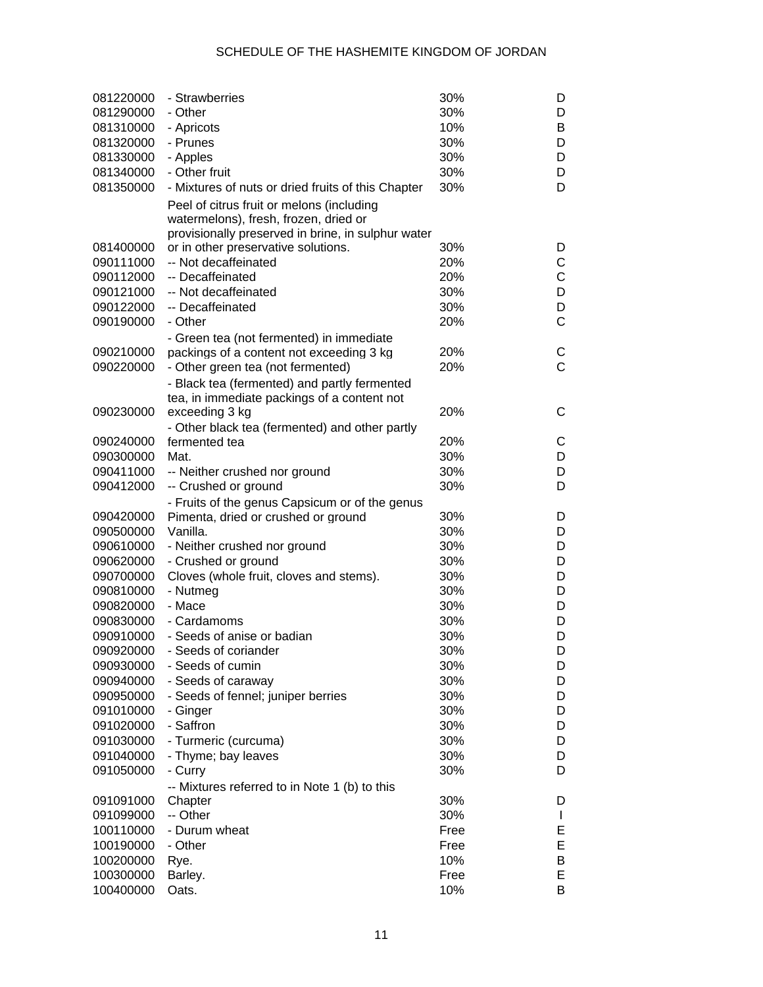| 081220000              | - Strawberries                                                                              | 30%         | D                 |
|------------------------|---------------------------------------------------------------------------------------------|-------------|-------------------|
| 081290000              | - Other                                                                                     | 30%         | D                 |
| 081310000              | - Apricots                                                                                  | 10%         | B                 |
| 081320000              | - Prunes                                                                                    | 30%         | D                 |
| 081330000              | - Apples                                                                                    | 30%         | D                 |
| 081340000              | - Other fruit                                                                               | 30%         | D                 |
| 081350000              | - Mixtures of nuts or dried fruits of this Chapter                                          | 30%         | D                 |
|                        | Peel of citrus fruit or melons (including<br>watermelons), fresh, frozen, dried or          |             |                   |
|                        | provisionally preserved in brine, in sulphur water                                          |             |                   |
| 081400000              | or in other preservative solutions.                                                         | 30%         | D                 |
| 090111000              | -- Not decaffeinated                                                                        | 20%         | С                 |
| 090112000              | -- Decaffeinated                                                                            | 20%         | C                 |
| 090121000              | -- Not decaffeinated                                                                        | 30%         | D                 |
| 090122000              | -- Decaffeinated                                                                            | 30%         | D                 |
| 090190000              | - Other                                                                                     | 20%         | C                 |
|                        | - Green tea (not fermented) in immediate                                                    |             |                   |
| 090210000              | packings of a content not exceeding 3 kg                                                    | 20%         | С                 |
| 090220000              | - Other green tea (not fermented)                                                           | 20%         | Ć                 |
|                        | - Black tea (fermented) and partly fermented<br>tea, in immediate packings of a content not |             |                   |
| 090230000              | exceeding 3 kg                                                                              | 20%         | С                 |
|                        | - Other black tea (fermented) and other partly                                              |             |                   |
| 090240000              | fermented tea                                                                               | 20%         | С                 |
| 090300000              | Mat.                                                                                        | 30%         | D                 |
| 090411000              | -- Neither crushed nor ground                                                               | 30%         | D                 |
| 090412000              | -- Crushed or ground                                                                        | 30%         | D                 |
|                        | - Fruits of the genus Capsicum or of the genus                                              |             |                   |
| 090420000              | Pimenta, dried or crushed or ground                                                         | 30%         | D                 |
| 090500000              | Vanilla.                                                                                    | 30%         | D                 |
| 090610000              | - Neither crushed nor ground                                                                | 30%         | D                 |
| 090620000              | - Crushed or ground                                                                         | 30%         | D                 |
| 090700000              | Cloves (whole fruit, cloves and stems).                                                     | 30%         | D                 |
| 090810000              | - Nutmeg                                                                                    | 30%         | D                 |
| 090820000              | - Mace                                                                                      | 30%         | D                 |
| 090830000              | - Cardamoms                                                                                 | 30%         | D                 |
| 090910000              | - Seeds of anise or badian                                                                  | 30%         | D                 |
| 090920000              | - Seeds of coriander                                                                        | 30%         | D                 |
| 090930000              | - Seeds of cumin                                                                            | 30%         | D                 |
| 090940000              | - Seeds of caraway                                                                          | 30%         | D                 |
| 090950000              | - Seeds of fennel; juniper berries                                                          | 30%         | D                 |
| 091010000              | - Ginger                                                                                    | 30%         | D                 |
| 091020000              | - Saffron                                                                                   | 30%         | D                 |
| 091030000              | - Turmeric (curcuma)                                                                        | 30%         | D                 |
| 091040000              | - Thyme; bay leaves                                                                         | 30%         | D                 |
| 091050000              | - Curry                                                                                     | 30%         | D                 |
|                        | -- Mixtures referred to in Note 1 (b) to this                                               |             |                   |
| 091091000              | Chapter<br>-- Other                                                                         | 30%         | D                 |
| 091099000<br>100110000 | - Durum wheat                                                                               | 30%<br>Free | $\mathbf{I}$<br>E |
| 100190000              | - Other                                                                                     | Free        | E                 |
| 100200000              | Rye.                                                                                        | 10%         | В                 |
| 100300000              | Barley.                                                                                     | Free        | Е                 |
| 100400000              | Oats.                                                                                       | 10%         | B                 |
|                        |                                                                                             |             |                   |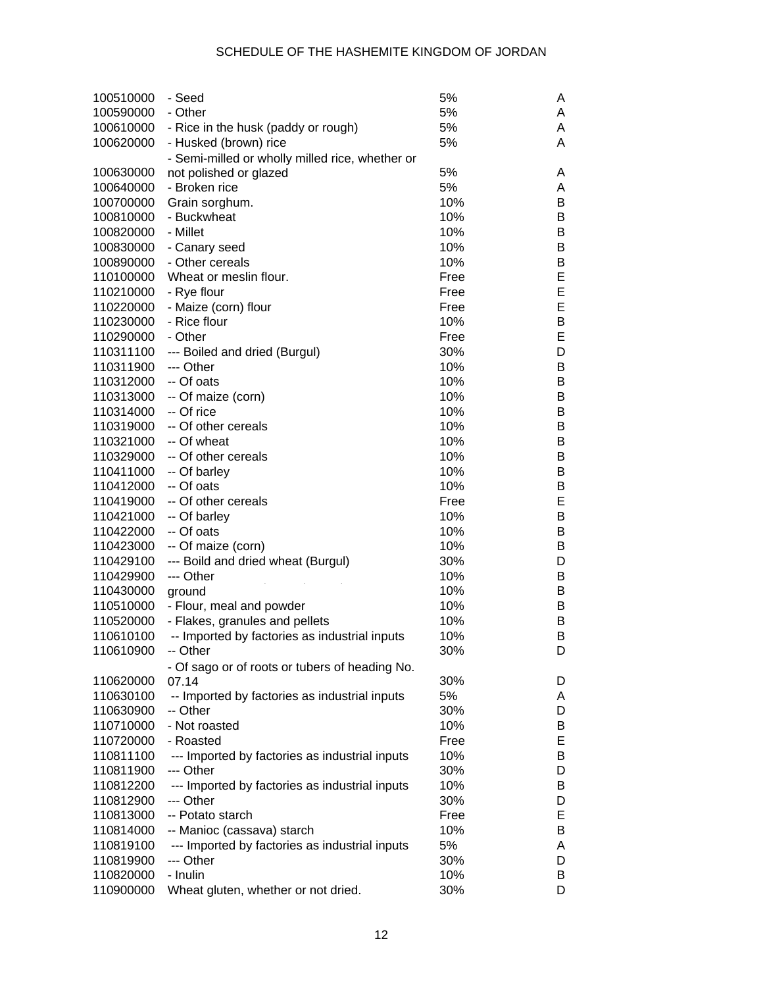| 100510000              | - Seed                                          | 5%   | Α |
|------------------------|-------------------------------------------------|------|---|
| 100590000              | - Other                                         | 5%   | A |
| 100610000              | - Rice in the husk (paddy or rough)             | 5%   | A |
| 100620000              | - Husked (brown) rice                           | 5%   | A |
|                        | - Semi-milled or wholly milled rice, whether or |      |   |
| 100630000              | not polished or glazed                          | 5%   | Α |
| 100640000              | - Broken rice                                   | 5%   | A |
| 100700000              | Grain sorghum.                                  | 10%  | В |
| 100810000              | - Buckwheat                                     | 10%  | В |
| 100820000              | - Millet                                        | 10%  | В |
| 100830000              | - Canary seed                                   | 10%  | В |
| 100890000              | - Other cereals                                 | 10%  | B |
| 110100000              | Wheat or meslin flour.                          | Free | E |
| 110210000              | - Rye flour                                     | Free | E |
| 110220000              | - Maize (corn) flour                            | Free | E |
| 110230000              | - Rice flour                                    | 10%  | B |
| 110290000              | - Other                                         | Free | E |
| 110311100              | --- Boiled and dried (Burgul)                   | 30%  | D |
| 110311900              | --- Other                                       | 10%  | В |
| 110312000              | -- Of oats                                      | 10%  | В |
| 110313000              | -- Of maize (corn)                              | 10%  | В |
| 110314000              | -- Of rice                                      | 10%  | В |
|                        | -- Of other cereals                             |      |   |
| 110319000<br>110321000 |                                                 | 10%  | В |
|                        | -- Of wheat                                     | 10%  | В |
| 110329000              | -- Of other cereals                             | 10%  | В |
| 110411000              | -- Of barley                                    | 10%  | В |
| 110412000              | -- Of oats                                      | 10%  | В |
| 110419000              | -- Of other cereals                             | Free | E |
| 110421000              | -- Of barley                                    | 10%  | В |
| 110422000              | -- Of oats                                      | 10%  | В |
| 110423000              | -- Of maize (corn)                              | 10%  | В |
| 110429100              | --- Boild and dried wheat (Burgul)              | 30%  | D |
| 110429900              | --- Other                                       | 10%  | B |
| 110430000              | ground                                          | 10%  | В |
| 110510000              | - Flour, meal and powder                        | 10%  | В |
| 110520000              | - Flakes, granules and pellets                  | 10%  | В |
| 110610100              | -- Imported by factories as industrial inputs   | 10%  | В |
| 110610900              | -- Other                                        | 30%  | D |
|                        | - Of sago or of roots or tubers of heading No.  |      |   |
| 110620000              | 07.14                                           | 30%  | D |
| 110630100              | -- Imported by factories as industrial inputs   | 5%   | A |
| 110630900              | -- Other                                        | 30%  | D |
| 110710000              | - Not roasted                                   | 10%  | B |
| 110720000              | - Roasted                                       | Free | E |
| 110811100              | --- Imported by factories as industrial inputs  | 10%  | B |
| 110811900              | --- Other                                       | 30%  | D |
| 110812200              | --- Imported by factories as industrial inputs  | 10%  | B |
| 110812900              | --- Other                                       | 30%  | D |
| 110813000              | -- Potato starch                                | Free | E |
| 110814000              | -- Manioc (cassava) starch                      | 10%  | B |
| 110819100              | --- Imported by factories as industrial inputs  | 5%   | Α |
| 110819900              | --- Other                                       | 30%  | D |
| 110820000              | - Inulin                                        | 10%  | B |
| 110900000              | Wheat gluten, whether or not dried.             | 30%  | D |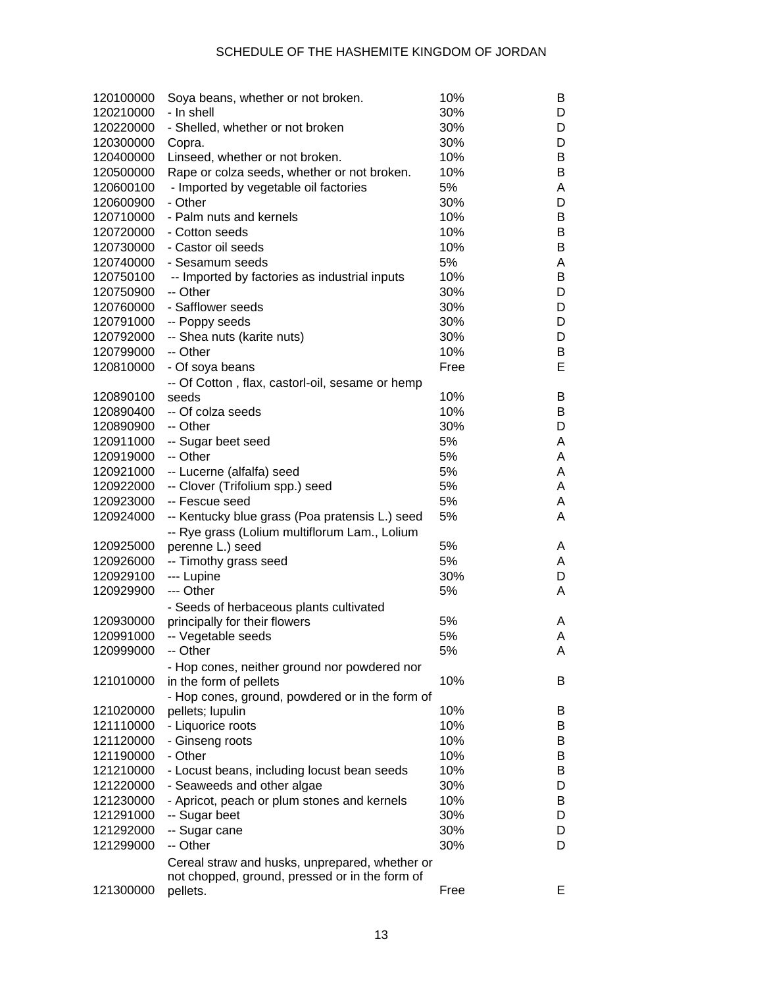| 120100000 | Soya beans, whether or not broken.              | 10%  | B |
|-----------|-------------------------------------------------|------|---|
| 120210000 | - In shell                                      | 30%  | D |
| 120220000 | - Shelled, whether or not broken                | 30%  | D |
| 120300000 | Copra.                                          | 30%  | D |
| 120400000 | Linseed, whether or not broken.                 | 10%  | B |
| 120500000 | Rape or colza seeds, whether or not broken.     | 10%  | B |
| 120600100 | - Imported by vegetable oil factories           | 5%   | Α |
| 120600900 | - Other                                         | 30%  | D |
| 120710000 | - Palm nuts and kernels                         | 10%  | B |
| 120720000 | - Cotton seeds                                  | 10%  | B |
| 120730000 | - Castor oil seeds                              | 10%  | B |
| 120740000 | - Sesamum seeds                                 | 5%   | Α |
| 120750100 | -- Imported by factories as industrial inputs   | 10%  | B |
| 120750900 | -- Other                                        | 30%  | D |
| 120760000 | - Safflower seeds                               | 30%  | D |
| 120791000 | -- Poppy seeds                                  | 30%  | D |
| 120792000 | -- Shea nuts (karite nuts)                      | 30%  | D |
| 120799000 | -- Other                                        | 10%  | В |
|           |                                                 |      | E |
| 120810000 | - Of soya beans                                 | Free |   |
|           | -- Of Cotton, flax, castorl-oil, sesame or hemp |      |   |
| 120890100 | seeds                                           | 10%  | B |
| 120890400 | -- Of colza seeds                               | 10%  | B |
| 120890900 | -- Other                                        | 30%  | D |
| 120911000 | -- Sugar beet seed                              | 5%   | A |
| 120919000 | -- Other                                        | 5%   | A |
| 120921000 | -- Lucerne (alfalfa) seed                       | 5%   | A |
| 120922000 | -- Clover (Trifolium spp.) seed                 | 5%   | A |
| 120923000 | -- Fescue seed                                  | 5%   | A |
| 120924000 | -- Kentucky blue grass (Poa pratensis L.) seed  | 5%   | A |
|           | -- Rye grass (Lolium multiflorum Lam., Lolium   |      |   |
| 120925000 | perenne L.) seed                                | 5%   | A |
| 120926000 | -- Timothy grass seed                           | 5%   | A |
| 120929100 | --- Lupine                                      | 30%  | D |
| 120929900 | --- Other                                       | 5%   | A |
|           | - Seeds of herbaceous plants cultivated         |      |   |
| 120930000 | principally for their flowers                   | 5%   | A |
| 120991000 | -- Vegetable seeds                              | 5%   | Α |
| 120999000 | -- Other                                        | 5%   | A |
|           | - Hop cones, neither ground nor powdered nor    |      |   |
| 121010000 | in the form of pellets                          | 10%  | B |
|           | - Hop cones, ground, powdered or in the form of |      |   |
| 121020000 | pellets; lupulin                                | 10%  | B |
| 121110000 | - Liquorice roots                               | 10%  | B |
| 121120000 | - Ginseng roots                                 | 10%  | B |
| 121190000 | - Other                                         | 10%  | B |
| 121210000 |                                                 | 10%  | B |
|           | - Locust beans, including locust bean seeds     | 30%  |   |
| 121220000 | - Seaweeds and other algae                      | 10%  | D |
| 121230000 | - Apricot, peach or plum stones and kernels     |      | B |
| 121291000 | -- Sugar beet                                   | 30%  | D |
| 121292000 | -- Sugar cane                                   | 30%  | D |
| 121299000 | -- Other                                        | 30%  | D |
|           | Cereal straw and husks, unprepared, whether or  |      |   |
|           | not chopped, ground, pressed or in the form of  |      |   |
| 121300000 | pellets.                                        | Free | Е |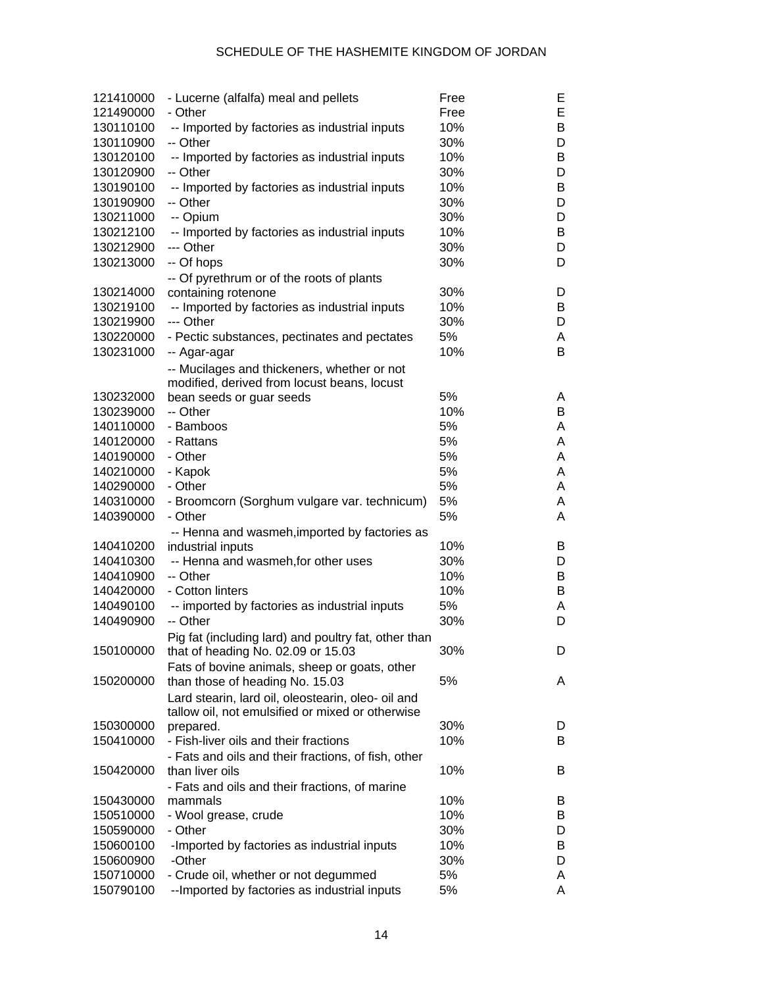| 121410000 | - Lucerne (alfalfa) meal and pellets                 | Free | Е |
|-----------|------------------------------------------------------|------|---|
| 121490000 | - Other                                              | Free | E |
| 130110100 | -- Imported by factories as industrial inputs        | 10%  | B |
| 130110900 | -- Other                                             | 30%  | D |
| 130120100 | -- Imported by factories as industrial inputs        | 10%  | B |
| 130120900 | -- Other                                             | 30%  | D |
| 130190100 | -- Imported by factories as industrial inputs        | 10%  | B |
| 130190900 | -- Other                                             | 30%  | D |
| 130211000 | -- Opium                                             | 30%  | D |
| 130212100 | -- Imported by factories as industrial inputs        | 10%  | B |
| 130212900 | --- Other                                            | 30%  | D |
| 130213000 | -- Of hops                                           | 30%  | D |
|           | -- Of pyrethrum or of the roots of plants            |      |   |
| 130214000 | containing rotenone                                  | 30%  | D |
| 130219100 | -- Imported by factories as industrial inputs        | 10%  | B |
| 130219900 | --- Other                                            | 30%  | D |
| 130220000 | - Pectic substances, pectinates and pectates         | 5%   | Α |
| 130231000 | -- Agar-agar                                         | 10%  | B |
|           | -- Mucilages and thickeners, whether or not          |      |   |
|           | modified, derived from locust beans, locust          |      |   |
| 130232000 | bean seeds or guar seeds                             | 5%   | A |
| 130239000 | -- Other                                             | 10%  | B |
| 140110000 | - Bamboos                                            | 5%   | Α |
| 140120000 | - Rattans                                            | 5%   | Α |
| 140190000 | - Other                                              | 5%   | Α |
| 140210000 | - Kapok                                              | 5%   | Α |
| 140290000 | - Other                                              | 5%   | Α |
| 140310000 | - Broomcorn (Sorghum vulgare var. technicum)         | 5%   | Α |
| 140390000 | - Other                                              | 5%   | A |
|           | -- Henna and wasmeh, imported by factories as        |      |   |
| 140410200 | industrial inputs                                    | 10%  | B |
| 140410300 | -- Henna and wasmeh, for other uses                  | 30%  | D |
| 140410900 | -- Other                                             | 10%  | B |
| 140420000 | - Cotton linters                                     | 10%  | B |
| 140490100 | -- imported by factories as industrial inputs        | 5%   | A |
| 140490900 | -- Other                                             | 30%  | D |
|           | Pig fat (including lard) and poultry fat, other than |      |   |
| 150100000 | that of heading No. 02.09 or 15.03                   | 30%  | D |
|           | Fats of bovine animals, sheep or goats, other        |      |   |
| 150200000 | than those of heading No. 15.03                      | 5%   | A |
|           | Lard stearin, lard oil, oleostearin, oleo- oil and   |      |   |
|           | tallow oil, not emulsified or mixed or otherwise     |      |   |
| 150300000 | prepared.                                            | 30%  | D |
| 150410000 | - Fish-liver oils and their fractions                | 10%  | B |
|           | - Fats and oils and their fractions, of fish, other  |      |   |
| 150420000 | than liver oils                                      | 10%  | B |
|           | - Fats and oils and their fractions, of marine       |      |   |
| 150430000 | mammals                                              | 10%  | B |
| 150510000 | - Wool grease, crude                                 | 10%  | B |
| 150590000 | - Other                                              | 30%  | D |
| 150600100 | -Imported by factories as industrial inputs          | 10%  | B |
| 150600900 | -Other                                               | 30%  | D |
| 150710000 | - Crude oil, whether or not degummed                 | 5%   | A |
| 150790100 | -- Imported by factories as industrial inputs        | 5%   | A |
|           |                                                      |      |   |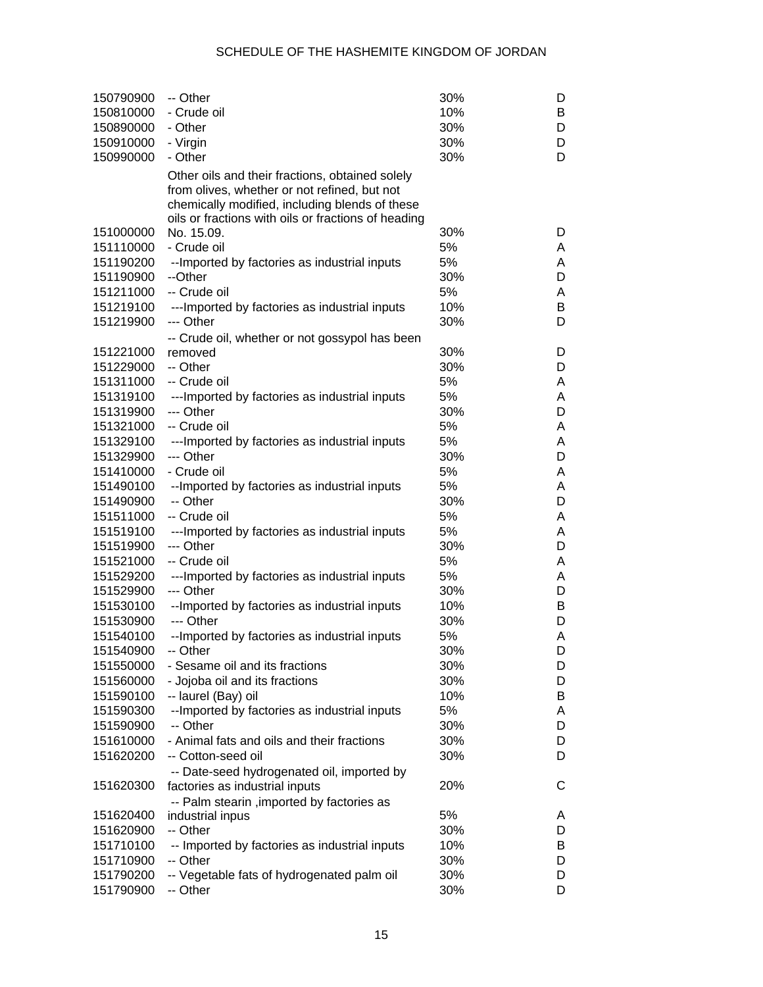| 150790900              | -- Other                                                  | 30%        | D      |
|------------------------|-----------------------------------------------------------|------------|--------|
| 150810000              | - Crude oil                                               | 10%        | B      |
| 150890000              | - Other                                                   | 30%        | D      |
| 150910000              | - Virgin                                                  | 30%        | D      |
| 150990000              | - Other                                                   | 30%        | D      |
|                        | Other oils and their fractions, obtained solely           |            |        |
|                        | from olives, whether or not refined, but not              |            |        |
|                        | chemically modified, including blends of these            |            |        |
|                        | oils or fractions with oils or fractions of heading       |            |        |
| 151000000              | No. 15.09.                                                | 30%        | D      |
| 151110000              | - Crude oil                                               | 5%         | A      |
| 151190200              | --Imported by factories as industrial inputs              | 5%         | A      |
| 151190900              | --Other                                                   | 30%        | D      |
| 151211000              | -- Crude oil                                              | 5%         | A      |
| 151219100              | ---Imported by factories as industrial inputs             | 10%        | B      |
| 151219900              | --- Other                                                 | 30%        | D      |
|                        | -- Crude oil, whether or not gossypol has been            |            |        |
| 151221000              | removed                                                   | 30%        | D      |
| 151229000              | -- Other                                                  | 30%        | D      |
| 151311000              | -- Crude oil                                              | 5%         | A      |
| 151319100              | ---Imported by factories as industrial inputs             | 5%         | A      |
| 151319900              | --- Other                                                 | 30%        | D      |
| 151321000              | -- Crude oil                                              | 5%         | A      |
| 151329100              | ---Imported by factories as industrial inputs             | 5%         | A      |
| 151329900              | --- Other                                                 | 30%        | D      |
| 151410000              | - Crude oil                                               | 5%         | A      |
| 151490100              | --Imported by factories as industrial inputs              | 5%         | A      |
| 151490900              | -- Other                                                  | 30%        | D      |
| 151511000              | -- Crude oil                                              | 5%         | A      |
| 151519100              | ---Imported by factories as industrial inputs             | 5%         | A      |
| 151519900              | --- Other                                                 | 30%        | D      |
| 151521000              | -- Crude oil                                              | 5%         | A      |
| 151529200              | ---Imported by factories as industrial inputs             | 5%         | A      |
| 151529900              | --- Other                                                 | 30%        | D      |
| 151530100              | --Imported by factories as industrial inputs              | 10%        | B      |
| 151530900              | --- Other                                                 | 30%        | D      |
| 151540100              | --Imported by factories as industrial inputs              | 5%         | Α      |
| 151540900              | -- Other                                                  | 30%        | D      |
| 151550000              | - Sesame oil and its fractions                            | 30%        | D      |
| 151560000              | - Jojoba oil and its fractions                            | 30%        | D      |
| 151590100              | -- laurel (Bay) oil                                       | 10%        | B      |
| 151590300              | -- Imported by factories as industrial inputs             | 5%         | A      |
| 151590900              | -- Other                                                  | 30%        | D      |
| 151610000              | - Animal fats and oils and their fractions                | 30%        | D      |
| 151620200              | -- Cotton-seed oil                                        | 30%        | D      |
|                        | -- Date-seed hydrogenated oil, imported by                |            |        |
| 151620300              | factories as industrial inputs                            | 20%        | С      |
|                        | -- Palm stearin , imported by factories as                |            |        |
| 151620400              | industrial inpus<br>-- Other                              | 5%         | A      |
| 151620900              |                                                           | 30%        | D      |
| 151710100<br>151710900 | -- Imported by factories as industrial inputs<br>-- Other | 10%<br>30% | B<br>D |
| 151790200              | -- Vegetable fats of hydrogenated palm oil                | 30%        | D      |
| 151790900              | -- Other                                                  | 30%        | D      |
|                        |                                                           |            |        |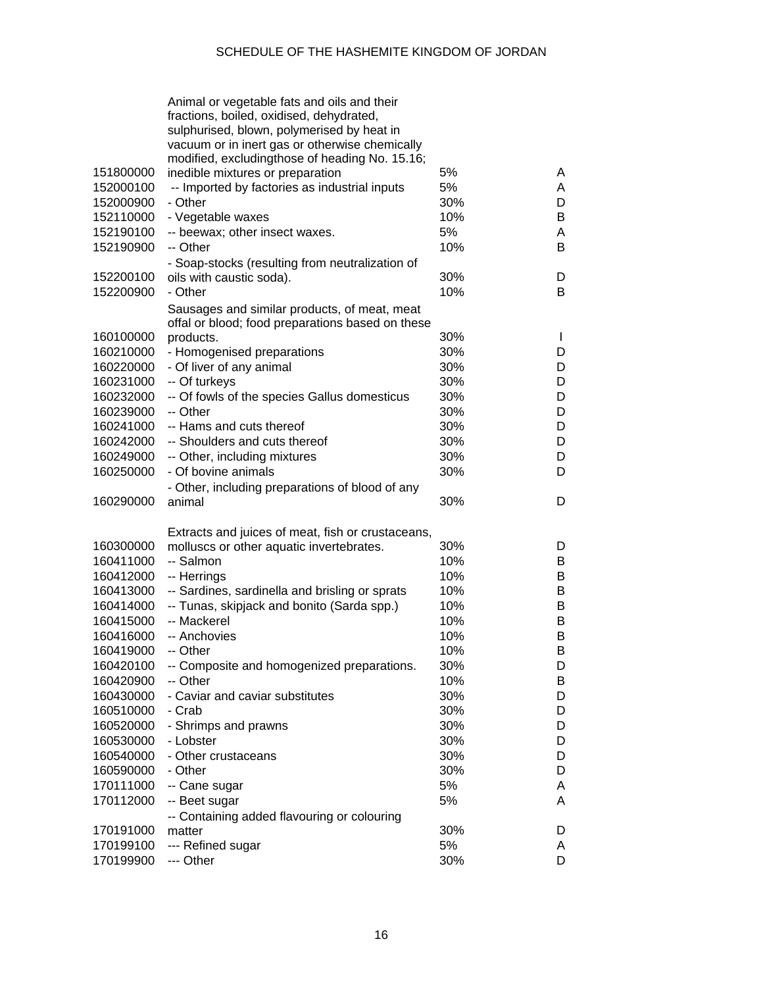|                        | Animal or vegetable fats and oils and their<br>fractions, boiled, oxidised, dehydrated, |           |              |
|------------------------|-----------------------------------------------------------------------------------------|-----------|--------------|
|                        | sulphurised, blown, polymerised by heat in                                              |           |              |
|                        | vacuum or in inert gas or otherwise chemically                                          |           |              |
|                        | modified, excludingthose of heading No. 15.16;                                          |           |              |
| 151800000              | inedible mixtures or preparation                                                        | 5%        | A            |
| 152000100              | -- Imported by factories as industrial inputs                                           | 5%        | A            |
| 152000900              | - Other                                                                                 | 30%       | D            |
| 152110000              | - Vegetable waxes                                                                       | 10%       | B            |
| 152190100              | -- beewax; other insect waxes.                                                          | 5%        | Α            |
| 152190900              | -- Other                                                                                | 10%       | B            |
|                        | - Soap-stocks (resulting from neutralization of                                         |           |              |
| 152200100              | oils with caustic soda).                                                                | 30%       | D            |
| 152200900              | - Other                                                                                 | 10%       | B            |
|                        | Sausages and similar products, of meat, meat                                            |           |              |
|                        | offal or blood; food preparations based on these                                        |           |              |
| 160100000              | products.                                                                               | 30%       | $\mathbf{I}$ |
| 160210000              | - Homogenised preparations                                                              | 30%       | D            |
| 160220000              | - Of liver of any animal                                                                | 30%       | D            |
| 160231000              | -- Of turkeys                                                                           | 30%       | D            |
| 160232000              | -- Of fowls of the species Gallus domesticus                                            | 30%       | D            |
| 160239000              | -- Other                                                                                | 30%       | D            |
| 160241000              | -- Hams and cuts thereof                                                                | 30%       | D            |
| 160242000              | -- Shoulders and cuts thereof                                                           | 30%       | D            |
| 160249000              | -- Other, including mixtures                                                            | 30%       | D            |
| 160250000              | - Of bovine animals                                                                     | 30%       | D            |
|                        | - Other, including preparations of blood of any                                         |           |              |
| 160290000              | animal                                                                                  | 30%       | D            |
|                        | Extracts and juices of meat, fish or crustaceans,                                       |           |              |
| 160300000              | molluscs or other aquatic invertebrates.                                                | 30%       | D            |
| 160411000              | -- Salmon                                                                               | 10%       | B            |
| 160412000              | -- Herrings                                                                             | 10%       | B            |
| 160413000              | -- Sardines, sardinella and brisling or sprats                                          | 10%       | B            |
| 160414000              | -- Tunas, skipjack and bonito (Sarda spp.)                                              | 10%       | B            |
| 160415000              | -- Mackerel                                                                             | 10%       | B            |
| 160416000              | -- Anchovies                                                                            | 10%       | B            |
| 160419000              | -- Other                                                                                | 10%       | B            |
| 160420100              | -- Composite and homogenized preparations.                                              | 30%       | D            |
| 160420900              | -- Other                                                                                | 10%       | B            |
| 160430000              | - Caviar and caviar substitutes                                                         | 30%       | D            |
| 160510000              | - Crab                                                                                  | 30%       | D            |
| 160520000              | - Shrimps and prawns                                                                    | 30%       | D            |
| 160530000              | - Lobster                                                                               | 30%       | D            |
| 160540000              | - Other crustaceans                                                                     | 30%       | D            |
| 160590000              | - Other                                                                                 | 30%       | D            |
| 170111000              | -- Cane sugar                                                                           | 5%        | A            |
| 170112000              |                                                                                         |           |              |
|                        | -- Beet sugar                                                                           | 5%        | A            |
|                        | -- Containing added flavouring or colouring                                             |           |              |
| 170191000              | matter                                                                                  | 30%<br>5% | D            |
| 170199100<br>170199900 | --- Refined sugar<br>--- Other                                                          | 30%       | A<br>D       |
|                        |                                                                                         |           |              |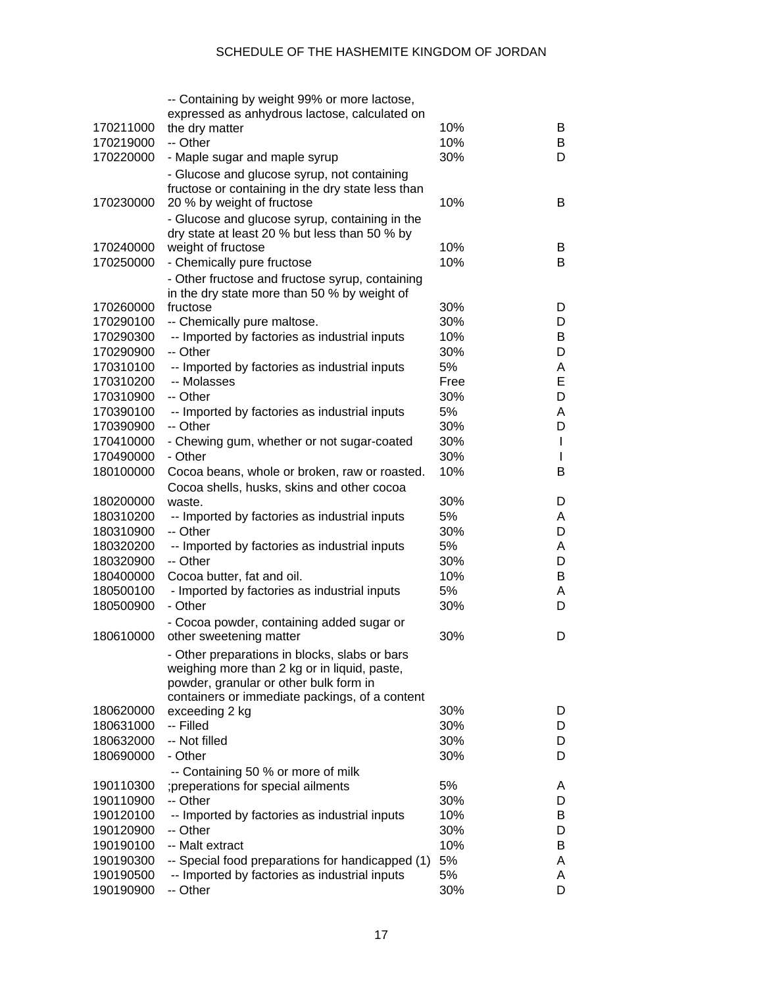|           | -- Containing by weight 99% or more lactose,              |      |   |
|-----------|-----------------------------------------------------------|------|---|
|           | expressed as anhydrous lactose, calculated on             |      |   |
| 170211000 | the dry matter                                            | 10%  | B |
| 170219000 | -- Other                                                  | 10%  | B |
| 170220000 | - Maple sugar and maple syrup                             | 30%  | D |
|           | - Glucose and glucose syrup, not containing               |      |   |
|           | fructose or containing in the dry state less than         |      |   |
| 170230000 | 20 % by weight of fructose                                | 10%  | B |
|           | - Glucose and glucose syrup, containing in the            |      |   |
|           | dry state at least 20 % but less than 50 % by             |      |   |
| 170240000 | weight of fructose                                        | 10%  | B |
| 170250000 | - Chemically pure fructose                                | 10%  | B |
|           | - Other fructose and fructose syrup, containing           |      |   |
|           | in the dry state more than 50 % by weight of              |      |   |
| 170260000 | fructose                                                  | 30%  | D |
| 170290100 | -- Chemically pure maltose.                               | 30%  | D |
| 170290300 | -- Imported by factories as industrial inputs             | 10%  | B |
| 170290900 | -- Other                                                  | 30%  | D |
| 170310100 | -- Imported by factories as industrial inputs             | 5%   | Α |
| 170310200 | -- Molasses                                               | Free | Е |
| 170310900 | -- Other                                                  | 30%  | D |
| 170390100 | -- Imported by factories as industrial inputs             | 5%   | A |
| 170390900 | -- Other                                                  | 30%  | D |
| 170410000 | - Chewing gum, whether or not sugar-coated                | 30%  | L |
| 170490000 | - Other                                                   | 30%  | L |
| 180100000 | Cocoa beans, whole or broken, raw or roasted.             | 10%  | B |
|           |                                                           |      |   |
| 180200000 | Cocoa shells, husks, skins and other cocoa<br>waste.      | 30%  | D |
| 180310200 | -- Imported by factories as industrial inputs             | 5%   | A |
| 180310900 | -- Other                                                  | 30%  | D |
| 180320200 |                                                           | 5%   |   |
|           | -- Imported by factories as industrial inputs<br>-- Other |      | Α |
| 180320900 |                                                           | 30%  | D |
| 180400000 | Cocoa butter, fat and oil.                                | 10%  | B |
| 180500100 | - Imported by factories as industrial inputs              | 5%   | Α |
| 180500900 | - Other                                                   | 30%  | D |
|           | - Cocoa powder, containing added sugar or                 |      |   |
| 180610000 | other sweetening matter                                   | 30%  | D |
|           | - Other preparations in blocks, slabs or bars             |      |   |
|           | weighing more than 2 kg or in liquid, paste,              |      |   |
|           | powder, granular or other bulk form in                    |      |   |
|           | containers or immediate packings, of a content            |      |   |
| 180620000 | exceeding 2 kg                                            | 30%  | D |
| 180631000 | -- Filled                                                 | 30%  | D |
| 180632000 | -- Not filled                                             | 30%  | D |
| 180690000 | - Other                                                   | 30%  | D |
|           | -- Containing 50 % or more of milk                        |      |   |
| 190110300 | ; preperations for special ailments                       | 5%   | A |
| 190110900 | -- Other                                                  | 30%  | D |
| 190120100 | -- Imported by factories as industrial inputs             | 10%  | B |
| 190120900 | -- Other                                                  | 30%  | D |
| 190190100 | -- Malt extract                                           | 10%  | B |
| 190190300 | -- Special food preparations for handicapped (1)          | 5%   | A |
| 190190500 | -- Imported by factories as industrial inputs             | 5%   | A |
| 190190900 | -- Other                                                  | 30%  | D |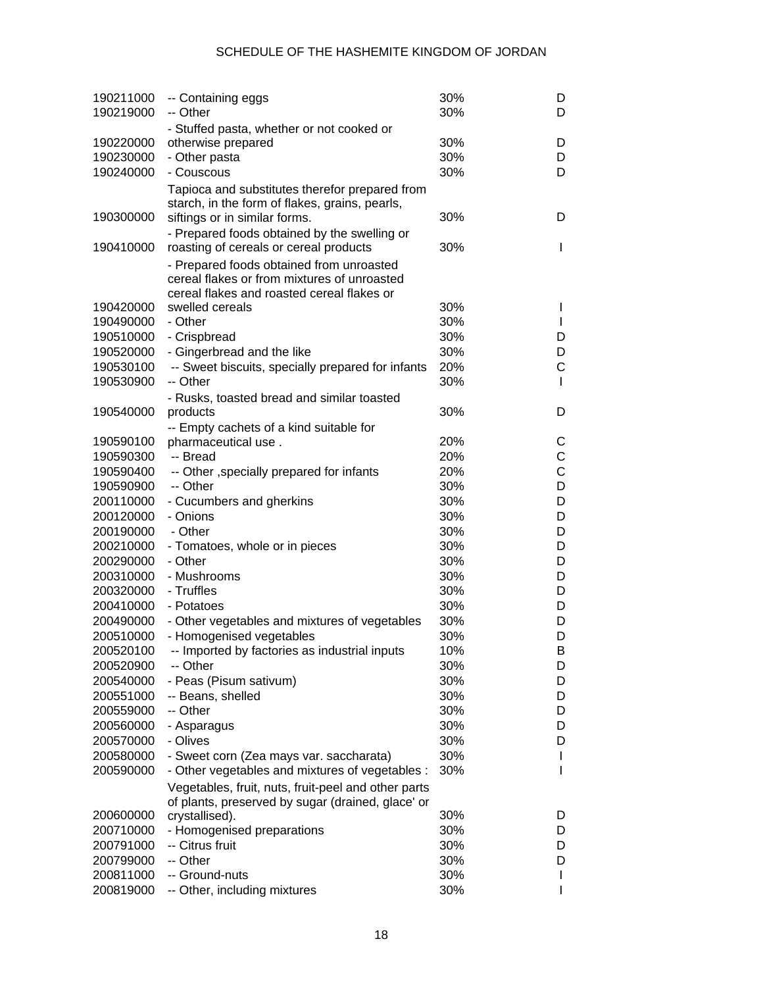| 190211000<br>190219000 | -- Containing eggs<br>-- Other                      | 30%<br>30% | D<br>D |
|------------------------|-----------------------------------------------------|------------|--------|
|                        | - Stuffed pasta, whether or not cooked or           |            |        |
| 190220000              | otherwise prepared                                  | 30%        | D      |
| 190230000              | - Other pasta                                       | 30%        | D      |
| 190240000              | - Couscous                                          | 30%        | D      |
|                        | Tapioca and substitutes therefor prepared from      |            |        |
|                        | starch, in the form of flakes, grains, pearls,      |            |        |
| 190300000              | siftings or in similar forms.                       | 30%        | D      |
|                        | - Prepared foods obtained by the swelling or        |            |        |
| 190410000              | roasting of cereals or cereal products              | 30%        | L      |
|                        | - Prepared foods obtained from unroasted            |            |        |
|                        | cereal flakes or from mixtures of unroasted         |            |        |
|                        | cereal flakes and roasted cereal flakes or          |            |        |
| 190420000              | swelled cereals                                     | 30%        | I      |
| 190490000              | - Other                                             | 30%        | L      |
| 190510000              | - Crispbread                                        | 30%        | D      |
| 190520000              | - Gingerbread and the like                          | 30%        | D      |
| 190530100              | -- Sweet biscuits, specially prepared for infants   | 20%        | C      |
| 190530900              | -- Other                                            | 30%        | L      |
|                        | - Rusks, toasted bread and similar toasted          |            |        |
| 190540000              | products                                            | 30%        | D      |
|                        | -- Empty cachets of a kind suitable for             |            |        |
| 190590100              | pharmaceutical use.                                 | 20%        | С      |
| 190590300              | -- Bread                                            | 20%        | C      |
| 190590400              | -- Other , specially prepared for infants           | 20%        | C      |
| 190590900              | -- Other                                            | 30%        | D      |
| 200110000              | - Cucumbers and gherkins                            | 30%        | D      |
| 200120000              | - Onions                                            | 30%        | D      |
| 200190000              | - Other                                             | 30%        | D      |
| 200210000              | - Tomatoes, whole or in pieces                      | 30%        | D      |
| 200290000              | - Other                                             | 30%        | D      |
| 200310000              | - Mushrooms                                         | 30%        | D      |
| 200320000              | - Truffles                                          | 30%        | D      |
| 200410000              | - Potatoes                                          | 30%        | D      |
| 200490000              | - Other vegetables and mixtures of vegetables       | 30%        | D      |
| 200510000              | - Homogenised vegetables                            | 30%        | D      |
| 200520100              | -- Imported by factories as industrial inputs       | 10%        | В      |
| 200520900              | -- Other                                            | 30%        | D      |
| 200540000              | - Peas (Pisum sativum)                              | 30%        | D      |
| 200551000              | -- Beans, shelled                                   | 30%        | D      |
| 200559000              | -- Other                                            | 30%        | D      |
| 200560000              | - Asparagus                                         | 30%        | D      |
| 200570000              | - Olives                                            | 30%        | D      |
| 200580000              | - Sweet corn (Zea mays var. saccharata)             | 30%        | L      |
| 200590000              | - Other vegetables and mixtures of vegetables :     | 30%        | I      |
|                        | Vegetables, fruit, nuts, fruit-peel and other parts |            |        |
|                        | of plants, preserved by sugar (drained, glace' or   |            |        |
| 200600000              | crystallised).                                      | 30%        | D      |
| 200710000              | - Homogenised preparations                          | 30%        | D      |
| 200791000              | -- Citrus fruit                                     | 30%        | D      |
| 200799000              | -- Other                                            | 30%        | D      |
| 200811000              | -- Ground-nuts                                      | 30%        | L      |
| 200819000              | -- Other, including mixtures                        | 30%        |        |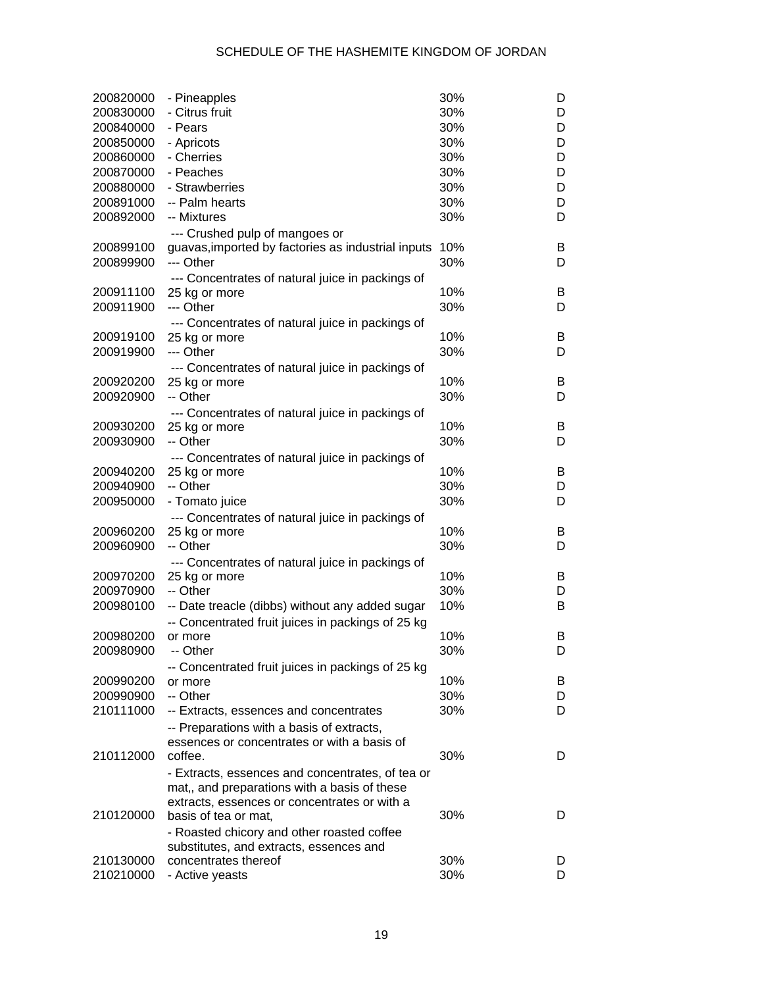| 200820000              | - Pineapples                                                 | 30% | D |
|------------------------|--------------------------------------------------------------|-----|---|
| 200830000              | - Citrus fruit                                               | 30% | D |
| 200840000              | - Pears                                                      | 30% | D |
| 200850000              | - Apricots                                                   | 30% | D |
| 200860000              | - Cherries                                                   | 30% | D |
| 200870000              | - Peaches                                                    | 30% | D |
| 200880000              | - Strawberries                                               | 30% | D |
| 200891000              | -- Palm hearts                                               | 30% | D |
| 200892000              | -- Mixtures                                                  | 30% | D |
|                        | --- Crushed pulp of mangoes or                               |     |   |
| 200899100              | guavas, imported by factories as industrial inputs           | 10% | B |
| 200899900              | --- Other                                                    | 30% | D |
|                        | --- Concentrates of natural juice in packings of             |     |   |
| 200911100              | 25 kg or more                                                | 10% | B |
| 200911900              | --- Other                                                    | 30% | D |
|                        | --- Concentrates of natural juice in packings of             |     |   |
| 200919100              | 25 kg or more                                                | 10% | B |
| 200919900              | --- Other                                                    | 30% | D |
|                        | --- Concentrates of natural juice in packings of             |     |   |
| 200920200              | 25 kg or more                                                | 10% | B |
| 200920900              | -- Other                                                     | 30% | D |
|                        | --- Concentrates of natural juice in packings of             |     |   |
| 200930200              | 25 kg or more                                                | 10% | B |
| 200930900              | -- Other                                                     | 30% | D |
|                        | --- Concentrates of natural juice in packings of             |     |   |
| 200940200              | 25 kg or more                                                | 10% | B |
| 200940900              | -- Other                                                     | 30% | D |
| 200950000              | - Tomato juice                                               | 30% | D |
|                        | --- Concentrates of natural juice in packings of             |     |   |
| 200960200              | 25 kg or more                                                | 10% | B |
| 200960900              | -- Other                                                     | 30% | D |
|                        | --- Concentrates of natural juice in packings of             |     |   |
| 200970200              | 25 kg or more                                                | 10% | B |
| 200970900              | -- Other                                                     | 30% | D |
| 200980100              | -- Date treacle (dibbs) without any added sugar              | 10% | B |
|                        |                                                              |     |   |
| 200980200              | -- Concentrated fruit juices in packings of 25 kg<br>or more | 10% | B |
| 200980900              | -- Other                                                     | 30% | D |
|                        |                                                              |     |   |
| 200990200              | -- Concentrated fruit juices in packings of 25 kg            | 10% | B |
|                        | or more<br>-- Other                                          | 30% |   |
| 200990900<br>210111000 |                                                              |     | D |
|                        | -- Extracts, essences and concentrates                       | 30% | D |
|                        | -- Preparations with a basis of extracts,                    |     |   |
|                        | essences or concentrates or with a basis of                  |     |   |
| 210112000              | coffee.                                                      | 30% | D |
|                        | - Extracts, essences and concentrates, of tea or             |     |   |
|                        | mat,, and preparations with a basis of these                 |     |   |
|                        | extracts, essences or concentrates or with a                 |     |   |
| 210120000              | basis of tea or mat,                                         | 30% | D |
|                        | - Roasted chicory and other roasted coffee                   |     |   |
|                        | substitutes, and extracts, essences and                      |     |   |
| 210130000              | concentrates thereof                                         | 30% | D |
| 210210000              | - Active yeasts                                              | 30% | D |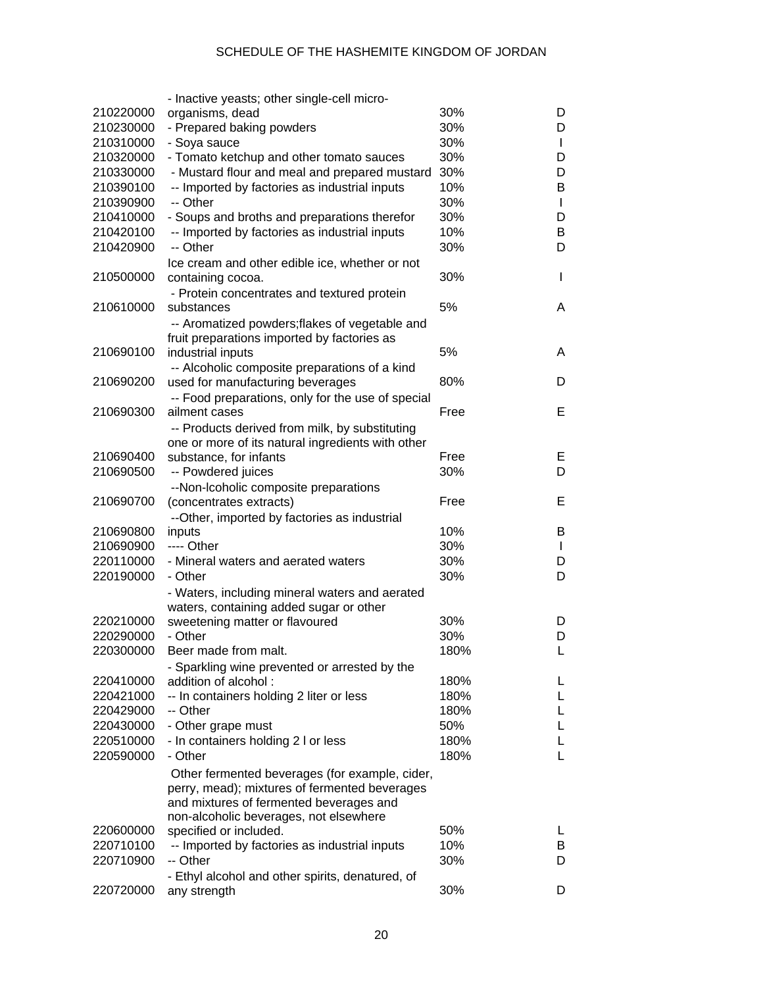|           | - Inactive yeasts; other single-cell micro-                             |      |    |
|-----------|-------------------------------------------------------------------------|------|----|
| 210220000 | organisms, dead                                                         | 30%  | D  |
| 210230000 | - Prepared baking powders                                               | 30%  | D  |
| 210310000 | - Soya sauce                                                            | 30%  | L  |
| 210320000 | - Tomato ketchup and other tomato sauces                                | 30%  | D  |
| 210330000 | - Mustard flour and meal and prepared mustard                           | 30%  | D  |
| 210390100 | -- Imported by factories as industrial inputs                           | 10%  | В  |
| 210390900 | -- Other                                                                | 30%  | L  |
| 210410000 | - Soups and broths and preparations therefor                            | 30%  | D  |
| 210420100 | -- Imported by factories as industrial inputs                           | 10%  | В  |
| 210420900 | -- Other                                                                | 30%  | D  |
|           | Ice cream and other edible ice, whether or not                          |      |    |
| 210500000 | containing cocoa.                                                       | 30%  | I  |
|           | - Protein concentrates and textured protein                             |      |    |
| 210610000 | substances                                                              | 5%   | A  |
|           |                                                                         |      |    |
|           | -- Aromatized powders; flakes of vegetable and                          |      |    |
| 210690100 | fruit preparations imported by factories as                             | 5%   |    |
|           | industrial inputs                                                       |      | A  |
|           | -- Alcoholic composite preparations of a kind                           |      |    |
| 210690200 | used for manufacturing beverages                                        | 80%  | D  |
|           | -- Food preparations, only for the use of special                       |      |    |
| 210690300 | ailment cases                                                           | Free | Е  |
|           | -- Products derived from milk, by substituting                          |      |    |
|           | one or more of its natural ingredients with other                       |      |    |
| 210690400 | substance, for infants                                                  | Free | E, |
| 210690500 | -- Powdered juices                                                      | 30%  | D  |
|           | --Non-Icoholic composite preparations                                   |      |    |
| 210690700 | (concentrates extracts)                                                 | Free | Е  |
|           | --Other, imported by factories as industrial                            |      |    |
| 210690800 | inputs                                                                  | 10%  | B  |
| 210690900 | ---- Other                                                              | 30%  | L  |
| 220110000 | - Mineral waters and aerated waters                                     | 30%  | D  |
| 220190000 | - Other                                                                 | 30%  | D  |
|           | - Waters, including mineral waters and aerated                          |      |    |
|           | waters, containing added sugar or other                                 |      |    |
| 220210000 | sweetening matter or flavoured                                          | 30%  | D  |
| 220290000 | - Other                                                                 | 30%  | D  |
| 220300000 | Beer made from malt.                                                    | 180% | L  |
|           | - Sparkling wine prevented or arrested by the                           |      |    |
| 220410000 | addition of alcohol:                                                    | 180% | L. |
| 220421000 | -- In containers holding 2 liter or less                                | 180% | L. |
| 220429000 | -- Other                                                                | 180% | L. |
| 220430000 | - Other grape must                                                      | 50%  | L. |
| 220510000 | - In containers holding 2 I or less                                     | 180% | L. |
| 220590000 | - Other                                                                 | 180% | L. |
|           |                                                                         |      |    |
|           | Other fermented beverages (for example, cider,                          |      |    |
|           | perry, mead); mixtures of fermented beverages                           |      |    |
|           | and mixtures of fermented beverages and                                 |      |    |
| 220600000 | non-alcoholic beverages, not elsewhere                                  | 50%  | L  |
| 220710100 | specified or included.<br>-- Imported by factories as industrial inputs | 10%  | B  |
| 220710900 | -- Other                                                                | 30%  | D  |
|           |                                                                         |      |    |
|           | - Ethyl alcohol and other spirits, denatured, of                        |      |    |
| 220720000 | any strength                                                            | 30%  | D  |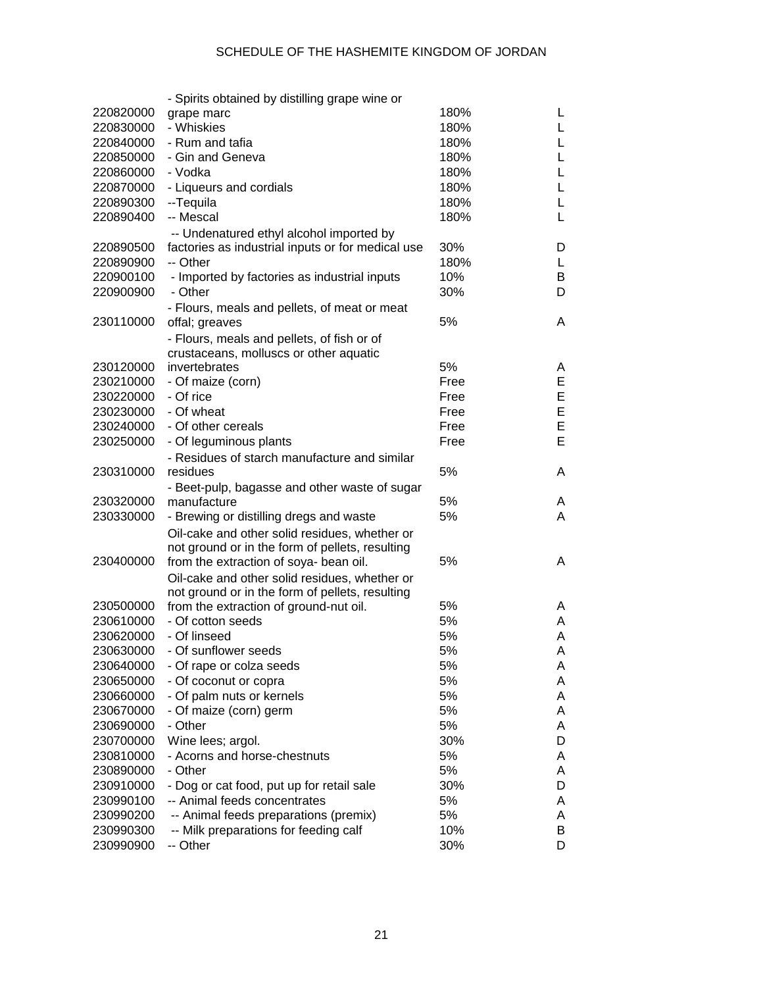|           | - Spirits obtained by distilling grape wine or                                                |      |    |
|-----------|-----------------------------------------------------------------------------------------------|------|----|
| 220820000 | grape marc                                                                                    | 180% | L. |
| 220830000 | - Whiskies                                                                                    | 180% | L. |
| 220840000 | - Rum and tafia                                                                               | 180% | L  |
| 220850000 | - Gin and Geneva                                                                              | 180% | L  |
| 220860000 | - Vodka                                                                                       | 180% | L  |
| 220870000 | - Liqueurs and cordials                                                                       | 180% | L  |
| 220890300 | --Tequila                                                                                     | 180% | L  |
| 220890400 | -- Mescal                                                                                     | 180% | L  |
|           |                                                                                               |      |    |
| 220890500 | -- Undenatured ethyl alcohol imported by<br>factories as industrial inputs or for medical use | 30%  | D  |
| 220890900 | -- Other                                                                                      | 180% | L  |
|           |                                                                                               | 10%  |    |
| 220900100 | - Imported by factories as industrial inputs                                                  |      | B  |
| 220900900 | - Other                                                                                       | 30%  | D  |
|           | - Flours, meals and pellets, of meat or meat                                                  |      |    |
| 230110000 | offal; greaves                                                                                | 5%   | A  |
|           | - Flours, meals and pellets, of fish or of                                                    |      |    |
|           | crustaceans, molluscs or other aquatic                                                        |      |    |
| 230120000 | invertebrates                                                                                 | 5%   | A  |
| 230210000 | - Of maize (corn)                                                                             | Free | E  |
| 230220000 | - Of rice                                                                                     | Free | E  |
| 230230000 | - Of wheat                                                                                    | Free | E  |
| 230240000 | - Of other cereals                                                                            | Free | E  |
| 230250000 | - Of leguminous plants                                                                        | Free | E  |
|           | - Residues of starch manufacture and similar                                                  |      |    |
| 230310000 | residues                                                                                      | 5%   | A  |
|           | - Beet-pulp, bagasse and other waste of sugar                                                 |      |    |
| 230320000 | manufacture                                                                                   | 5%   | A  |
| 230330000 | - Brewing or distilling dregs and waste                                                       | 5%   | A  |
|           | Oil-cake and other solid residues, whether or                                                 |      |    |
|           | not ground or in the form of pellets, resulting                                               |      |    |
| 230400000 | from the extraction of soya- bean oil.                                                        | 5%   | A  |
|           |                                                                                               |      |    |
|           | Oil-cake and other solid residues, whether or                                                 |      |    |
|           | not ground or in the form of pellets, resulting                                               | 5%   |    |
| 230500000 | from the extraction of ground-nut oil.                                                        |      | A  |
| 230610000 | - Of cotton seeds                                                                             | 5%   | A  |
| 230620000 | - Of linseed                                                                                  | 5%   | A  |
| 230630000 | - Of sunflower seeds                                                                          | 5%   | A  |
| 230640000 | - Of rape or colza seeds                                                                      | 5%   | A  |
| 230650000 | - Of coconut or copra                                                                         | 5%   | A  |
| 230660000 | - Of palm nuts or kernels                                                                     | 5%   | A  |
| 230670000 | - Of maize (corn) germ                                                                        | 5%   | A  |
| 230690000 | - Other                                                                                       | 5%   | A  |
| 230700000 | Wine lees; argol.                                                                             | 30%  | D  |
| 230810000 | - Acorns and horse-chestnuts                                                                  | 5%   | A  |
| 230890000 | - Other                                                                                       | 5%   | A  |
| 230910000 | - Dog or cat food, put up for retail sale                                                     | 30%  | D  |
| 230990100 | -- Animal feeds concentrates                                                                  | 5%   | A  |
| 230990200 | -- Animal feeds preparations (premix)                                                         | 5%   | A  |
| 230990300 | -- Milk preparations for feeding calf                                                         | 10%  | B  |
| 230990900 | -- Other                                                                                      | 30%  | D  |
|           |                                                                                               |      |    |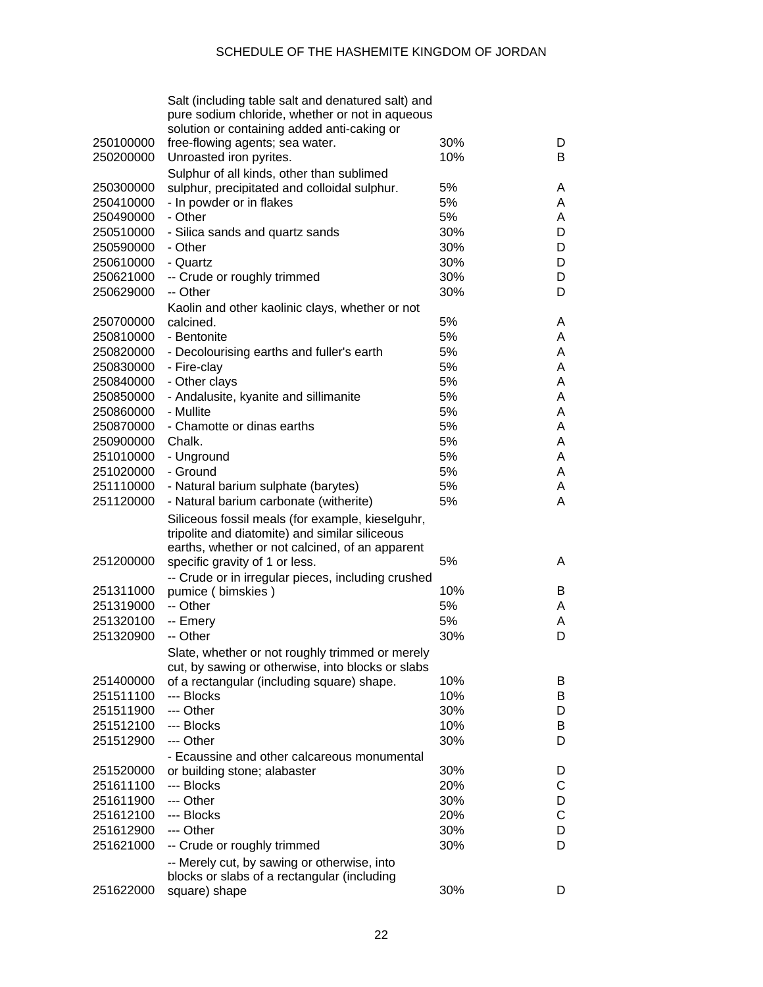|           | Salt (including table salt and denatured salt) and |     |   |
|-----------|----------------------------------------------------|-----|---|
|           | pure sodium chloride, whether or not in aqueous    |     |   |
|           | solution or containing added anti-caking or        |     |   |
| 250100000 | free-flowing agents; sea water.                    | 30% | D |
| 250200000 | Unroasted iron pyrites.                            | 10% | B |
|           | Sulphur of all kinds, other than sublimed          |     |   |
| 250300000 | sulphur, precipitated and colloidal sulphur.       | 5%  | A |
| 250410000 | - In powder or in flakes                           | 5%  | A |
| 250490000 | - Other                                            | 5%  | A |
| 250510000 | - Silica sands and quartz sands                    | 30% | D |
| 250590000 | - Other                                            | 30% | D |
| 250610000 | - Quartz                                           | 30% | D |
| 250621000 | -- Crude or roughly trimmed                        | 30% | D |
| 250629000 | -- Other                                           | 30% | D |
|           | Kaolin and other kaolinic clays, whether or not    |     |   |
| 250700000 | calcined.                                          | 5%  | A |
| 250810000 | - Bentonite                                        | 5%  | A |
| 250820000 | - Decolourising earths and fuller's earth          | 5%  | A |
| 250830000 | - Fire-clay                                        | 5%  | A |
| 250840000 | - Other clays                                      | 5%  | A |
| 250850000 | - Andalusite, kyanite and sillimanite              | 5%  | A |
| 250860000 | - Mullite                                          | 5%  | A |
| 250870000 | - Chamotte or dinas earths                         | 5%  | A |
| 250900000 | Chalk.                                             | 5%  | A |
| 251010000 | - Unground                                         | 5%  | A |
| 251020000 | - Ground                                           | 5%  | A |
| 251110000 | - Natural barium sulphate (barytes)                | 5%  | A |
| 251120000 | - Natural barium carbonate (witherite)             | 5%  | A |
|           | Siliceous fossil meals (for example, kieselguhr,   |     |   |
|           | tripolite and diatomite) and similar siliceous     |     |   |
|           | earths, whether or not calcined, of an apparent    |     |   |
| 251200000 | specific gravity of 1 or less.                     | 5%  | A |
|           | -- Crude or in irregular pieces, including crushed |     |   |
| 251311000 | pumice (bimskies)                                  | 10% | B |
| 251319000 | -- Other                                           | 5%  | A |
| 251320100 | -- Emery                                           | 5%  | A |
| 251320900 | -- Other                                           | 30% | D |
|           | Slate, whether or not roughly trimmed or merely    |     |   |
|           | cut, by sawing or otherwise, into blocks or slabs  |     |   |
| 251400000 | of a rectangular (including square) shape.         | 10% | B |
| 251511100 | --- Blocks                                         | 10% | B |
| 251511900 | --- Other                                          | 30% | D |
| 251512100 | --- Blocks                                         | 10% | B |
| 251512900 | --- Other                                          | 30% | D |
|           | - Ecaussine and other calcareous monumental        |     |   |
| 251520000 | or building stone; alabaster                       | 30% | D |
| 251611100 | --- Blocks                                         | 20% | C |
| 251611900 | --- Other                                          | 30% | D |
| 251612100 | --- Blocks                                         | 20% | C |
| 251612900 | --- Other                                          | 30% | D |
| 251621000 | -- Crude or roughly trimmed                        | 30% | D |
|           | -- Merely cut, by sawing or otherwise, into        |     |   |
|           | blocks or slabs of a rectangular (including        |     |   |
| 251622000 | square) shape                                      | 30% | D |
|           |                                                    |     |   |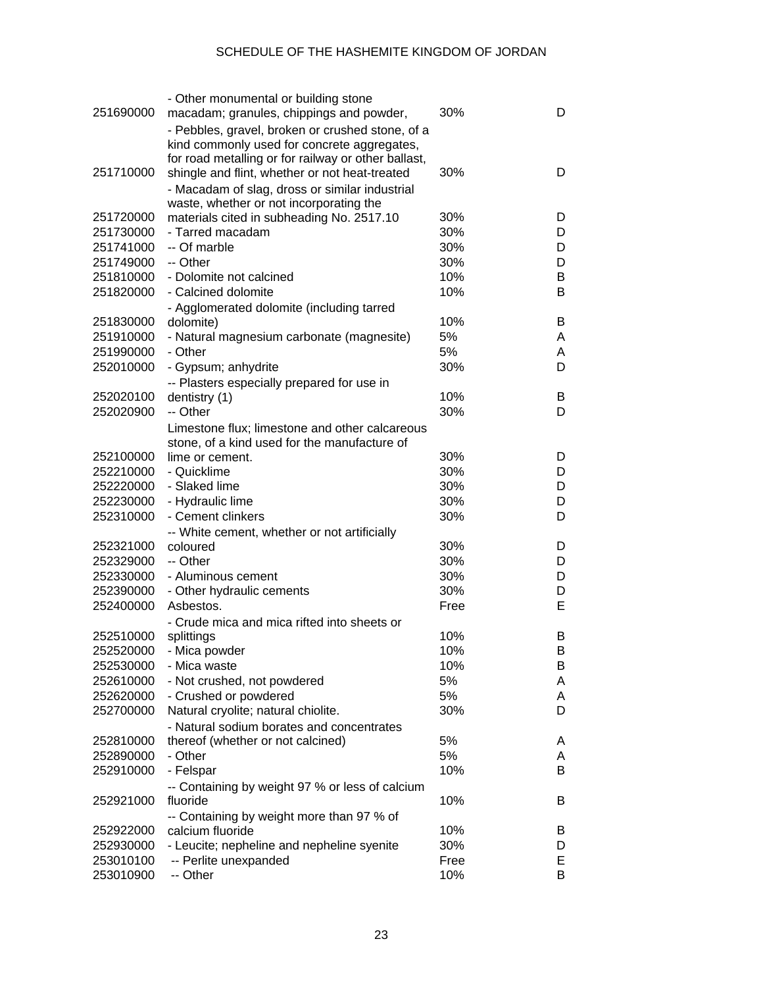| 251690000              | - Other monumental or building stone<br>macadam; granules, chippings and powder,                | 30%        | D      |
|------------------------|-------------------------------------------------------------------------------------------------|------------|--------|
|                        |                                                                                                 |            |        |
|                        | - Pebbles, gravel, broken or crushed stone, of a<br>kind commonly used for concrete aggregates, |            |        |
|                        | for road metalling or for railway or other ballast,                                             |            |        |
| 251710000              | shingle and flint, whether or not heat-treated                                                  | 30%        | D      |
|                        | - Macadam of slag, dross or similar industrial                                                  |            |        |
|                        | waste, whether or not incorporating the                                                         |            |        |
| 251720000              | materials cited in subheading No. 2517.10                                                       | 30%        | D      |
| 251730000              | - Tarred macadam                                                                                | 30%        | D      |
| 251741000              | -- Of marble                                                                                    | 30%        | D      |
| 251749000              | -- Other                                                                                        | 30%        | D      |
| 251810000              | - Dolomite not calcined                                                                         | 10%        | B      |
| 251820000              | - Calcined dolomite                                                                             | 10%        | B      |
|                        |                                                                                                 |            |        |
| 251830000              | - Agglomerated dolomite (including tarred<br>dolomite)                                          | 10%        | B      |
| 251910000              | - Natural magnesium carbonate (magnesite)                                                       | 5%         | A      |
| 251990000              | - Other                                                                                         | 5%         | A      |
| 252010000              | - Gypsum; anhydrite                                                                             | 30%        | D      |
|                        |                                                                                                 |            |        |
| 252020100              | -- Plasters especially prepared for use in<br>dentistry (1)                                     | 10%        | B      |
| 252020900              | -- Other                                                                                        | 30%        | D      |
|                        |                                                                                                 |            |        |
|                        | Limestone flux; limestone and other calcareous                                                  |            |        |
|                        | stone, of a kind used for the manufacture of                                                    | 30%        |        |
| 252100000<br>252210000 | lime or cement.<br>- Quicklime                                                                  | 30%        | D<br>D |
| 252220000              | - Slaked lime                                                                                   | 30%        | D      |
|                        |                                                                                                 | 30%        |        |
| 252230000              | - Hydraulic lime<br>- Cement clinkers                                                           |            | D      |
| 252310000              |                                                                                                 | 30%        | D      |
|                        | -- White cement, whether or not artificially                                                    |            |        |
| 252321000              | coloured<br>-- Other                                                                            | 30%<br>30% | D      |
| 252329000              |                                                                                                 |            | D      |
| 252330000              | - Aluminous cement                                                                              | 30%        | D      |
| 252390000              | - Other hydraulic cements<br>Asbestos.                                                          | 30%        | D      |
| 252400000              |                                                                                                 | Free       | E      |
|                        | - Crude mica and mica rifted into sheets or                                                     |            |        |
| 252510000              | splittings                                                                                      | 10%        | В      |
| 252520000              | - Mica powder                                                                                   | 10%        | В      |
| 252530000              | - Mica waste                                                                                    | 10%        | В      |
| 252610000              | - Not crushed, not powdered                                                                     | 5%         | A      |
| 252620000              | - Crushed or powdered                                                                           | 5%         | A      |
| 252700000              | Natural cryolite; natural chiolite.                                                             | 30%        | D      |
|                        | - Natural sodium borates and concentrates                                                       |            |        |
| 252810000              | thereof (whether or not calcined)                                                               | 5%         | A      |
| 252890000              | - Other                                                                                         | 5%         | A      |
| 252910000              | - Felspar                                                                                       | 10%        | B      |
|                        | -- Containing by weight 97 % or less of calcium                                                 |            |        |
| 252921000              | fluoride                                                                                        | 10%        | В      |
|                        | -- Containing by weight more than 97 % of                                                       |            |        |
| 252922000              | calcium fluoride                                                                                | 10%        | В      |
| 252930000              | - Leucite; nepheline and nepheline syenite                                                      | 30%        | D      |
| 253010100              | -- Perlite unexpanded                                                                           | Free       | Е      |
| 253010900              | -- Other                                                                                        | 10%        | B      |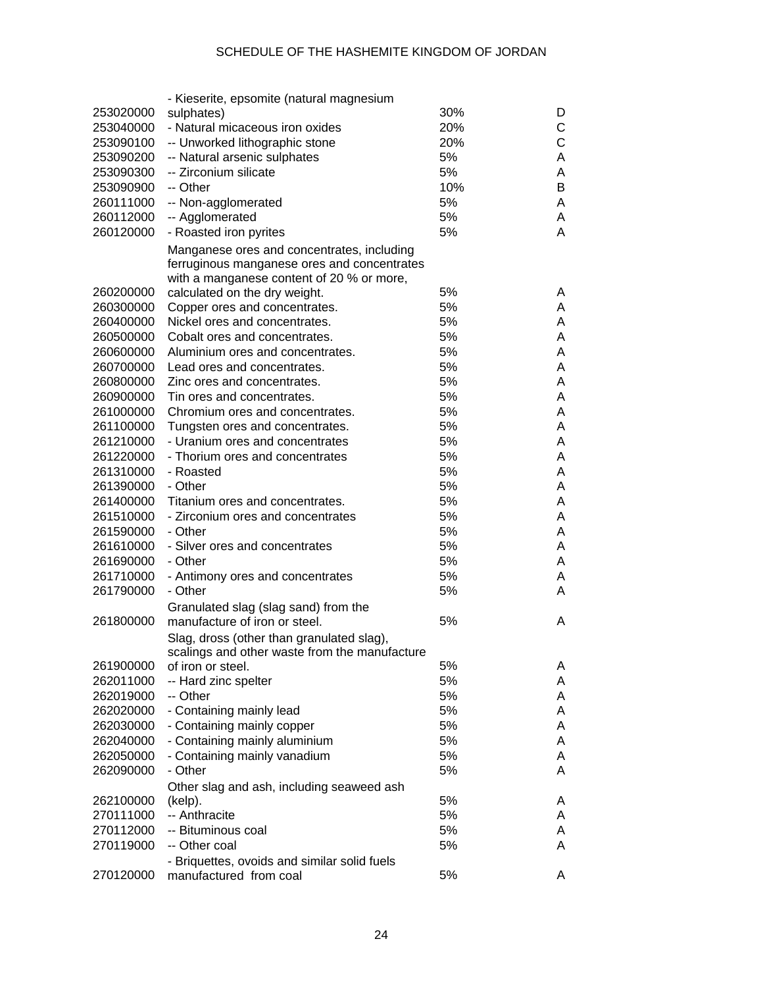|           | - Kieserite, epsomite (natural magnesium                               |     |   |
|-----------|------------------------------------------------------------------------|-----|---|
| 253020000 | sulphates)                                                             | 30% | D |
| 253040000 | - Natural micaceous iron oxides                                        | 20% | С |
| 253090100 | -- Unworked lithographic stone                                         | 20% | C |
| 253090200 | -- Natural arsenic sulphates                                           | 5%  | Α |
| 253090300 | -- Zirconium silicate                                                  | 5%  | Α |
| 253090900 | -- Other                                                               | 10% | B |
| 260111000 | -- Non-agglomerated                                                    | 5%  | Α |
| 260112000 | -- Agglomerated                                                        | 5%  | Α |
| 260120000 | - Roasted iron pyrites                                                 | 5%  | Α |
|           |                                                                        |     |   |
|           | Manganese ores and concentrates, including                             |     |   |
|           | ferruginous manganese ores and concentrates                            |     |   |
| 260200000 | with a manganese content of 20 % or more,                              | 5%  | A |
|           | calculated on the dry weight.                                          | 5%  | Α |
| 260300000 | Copper ores and concentrates.                                          | 5%  |   |
| 260400000 | Nickel ores and concentrates.                                          |     | Α |
| 260500000 | Cobalt ores and concentrates.                                          | 5%  | Α |
| 260600000 | Aluminium ores and concentrates.                                       | 5%  | Α |
| 260700000 | Lead ores and concentrates.                                            | 5%  | Α |
| 260800000 | Zinc ores and concentrates.                                            | 5%  | Α |
| 260900000 | Tin ores and concentrates.                                             | 5%  | Α |
| 261000000 | Chromium ores and concentrates.                                        | 5%  | Α |
| 261100000 | Tungsten ores and concentrates.                                        | 5%  | Α |
| 261210000 | - Uranium ores and concentrates                                        | 5%  | Α |
| 261220000 | - Thorium ores and concentrates                                        | 5%  | Α |
| 261310000 | - Roasted                                                              | 5%  | Α |
| 261390000 | - Other                                                                | 5%  | Α |
| 261400000 | Titanium ores and concentrates.                                        | 5%  | Α |
| 261510000 | - Zirconium ores and concentrates                                      | 5%  | Α |
| 261590000 | - Other                                                                | 5%  | Α |
| 261610000 | - Silver ores and concentrates                                         | 5%  | Α |
| 261690000 | - Other                                                                | 5%  | Α |
| 261710000 | - Antimony ores and concentrates                                       | 5%  | Α |
| 261790000 | - Other                                                                | 5%  | Α |
|           | Granulated slag (slag sand) from the                                   |     |   |
| 261800000 | manufacture of iron or steel.                                          | 5%  | A |
|           | Slag, dross (other than granulated slag),                              |     |   |
|           | scalings and other waste from the manufacture                          |     |   |
| 261900000 | of iron or steel.                                                      | 5%  | A |
| 262011000 | -- Hard zinc spelter                                                   | 5%  | A |
| 262019000 | -- Other                                                               | 5%  | A |
| 262020000 | - Containing mainly lead                                               | 5%  | A |
| 262030000 | - Containing mainly copper                                             | 5%  | Α |
| 262040000 | - Containing mainly aluminium                                          | 5%  | Α |
| 262050000 | - Containing mainly vanadium                                           | 5%  | Α |
| 262090000 | - Other                                                                | 5%  | Α |
|           | Other slag and ash, including seaweed ash                              |     |   |
| 262100000 | (kelp).                                                                | 5%  | A |
| 270111000 | -- Anthracite                                                          | 5%  | Α |
| 270112000 | -- Bituminous coal                                                     | 5%  | A |
| 270119000 | -- Other coal                                                          | 5%  | Α |
|           |                                                                        |     |   |
| 270120000 | - Briquettes, ovoids and similar solid fuels<br>manufactured from coal | 5%  | A |
|           |                                                                        |     |   |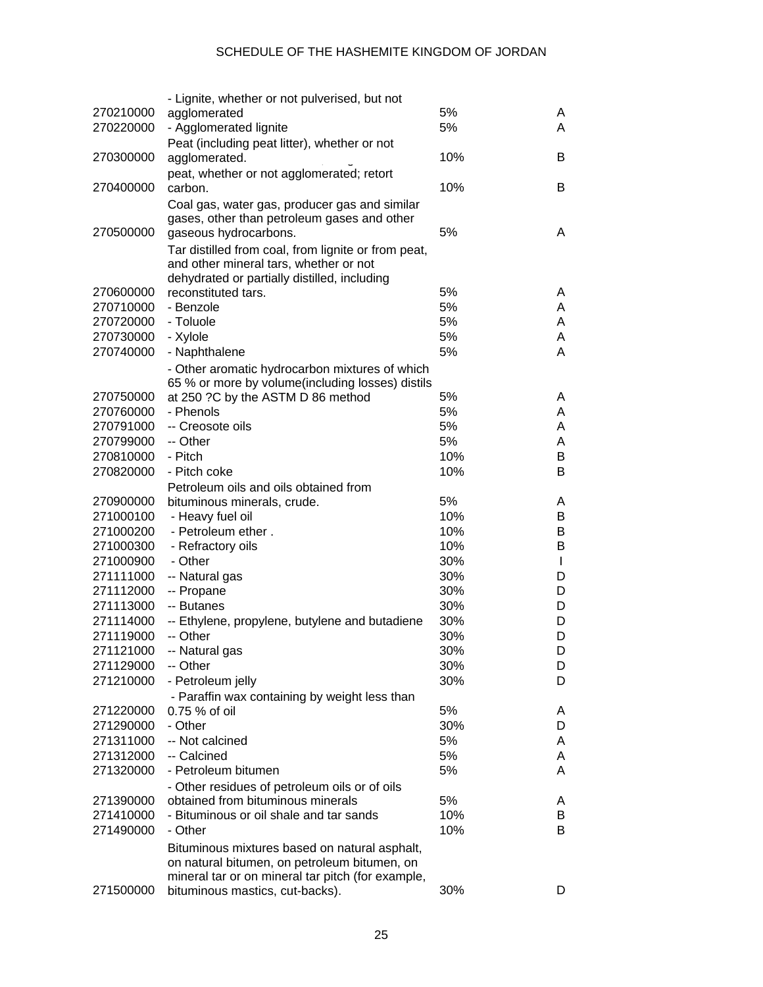|           | - Lignite, whether or not pulverised, but not                                                 |     |              |
|-----------|-----------------------------------------------------------------------------------------------|-----|--------------|
| 270210000 | agglomerated                                                                                  | 5%  | A            |
| 270220000 | - Agglomerated lignite                                                                        | 5%  | A            |
|           | Peat (including peat litter), whether or not                                                  |     |              |
| 270300000 | agglomerated.                                                                                 | 10% | B            |
|           | peat, whether or not agglomerated; retort                                                     |     |              |
| 270400000 | carbon.                                                                                       | 10% | B            |
|           | Coal gas, water gas, producer gas and similar                                                 |     |              |
|           | gases, other than petroleum gases and other                                                   |     |              |
| 270500000 | gaseous hydrocarbons.                                                                         | 5%  | A            |
|           |                                                                                               |     |              |
|           | Tar distilled from coal, from lignite or from peat,<br>and other mineral tars, whether or not |     |              |
|           | dehydrated or partially distilled, including                                                  |     |              |
| 270600000 | reconstituted tars.                                                                           | 5%  | A            |
| 270710000 | - Benzole                                                                                     | 5%  | A            |
| 270720000 | - Toluole                                                                                     | 5%  | A            |
|           |                                                                                               | 5%  |              |
| 270730000 | - Xylole                                                                                      |     | A            |
| 270740000 | - Naphthalene                                                                                 | 5%  | A            |
|           | - Other aromatic hydrocarbon mixtures of which                                                |     |              |
|           | 65 % or more by volume(including losses) distils                                              |     |              |
| 270750000 | at 250 ?C by the ASTM D 86 method                                                             | 5%  | A            |
| 270760000 | - Phenols                                                                                     | 5%  | A            |
| 270791000 | -- Creosote oils                                                                              | 5%  | A            |
| 270799000 | -- Other                                                                                      | 5%  | A            |
| 270810000 | - Pitch                                                                                       | 10% | В            |
| 270820000 | - Pitch coke                                                                                  | 10% | В            |
|           | Petroleum oils and oils obtained from                                                         |     |              |
| 270900000 | bituminous minerals, crude.                                                                   | 5%  | A            |
| 271000100 | - Heavy fuel oil                                                                              | 10% | В            |
| 271000200 | - Petroleum ether.                                                                            | 10% | B            |
| 271000300 | - Refractory oils                                                                             | 10% | B            |
| 271000900 | - Other                                                                                       | 30% | $\mathbf{I}$ |
| 271111000 | -- Natural gas                                                                                | 30% | D            |
| 271112000 | -- Propane                                                                                    | 30% | D            |
| 271113000 | -- Butanes                                                                                    | 30% | D            |
| 271114000 | -- Ethylene, propylene, butylene and butadiene                                                | 30% | D            |
| 271119000 | -- Other                                                                                      | 30% | D            |
| 271121000 | -- Natural gas                                                                                | 30% | D            |
| 271129000 | -- Other                                                                                      | 30% | D            |
| 271210000 | - Petroleum jelly                                                                             | 30% | D            |
|           | - Paraffin wax containing by weight less than                                                 |     |              |
| 271220000 | $0.75%$ of oil                                                                                | 5%  | A            |
| 271290000 | - Other                                                                                       | 30% | D            |
| 271311000 | -- Not calcined                                                                               | 5%  | A            |
| 271312000 | -- Calcined                                                                                   | 5%  | A            |
| 271320000 | - Petroleum bitumen                                                                           | 5%  | A            |
|           |                                                                                               |     |              |
|           | - Other residues of petroleum oils or of oils                                                 |     |              |
| 271390000 | obtained from bituminous minerals                                                             | 5%  | A            |
| 271410000 | - Bituminous or oil shale and tar sands                                                       | 10% | В            |
| 271490000 | - Other                                                                                       | 10% | B            |
|           | Bituminous mixtures based on natural asphalt,                                                 |     |              |
|           | on natural bitumen, on petroleum bitumen, on                                                  |     |              |
|           | mineral tar or on mineral tar pitch (for example,                                             |     |              |
| 271500000 | bituminous mastics, cut-backs).                                                               | 30% | D            |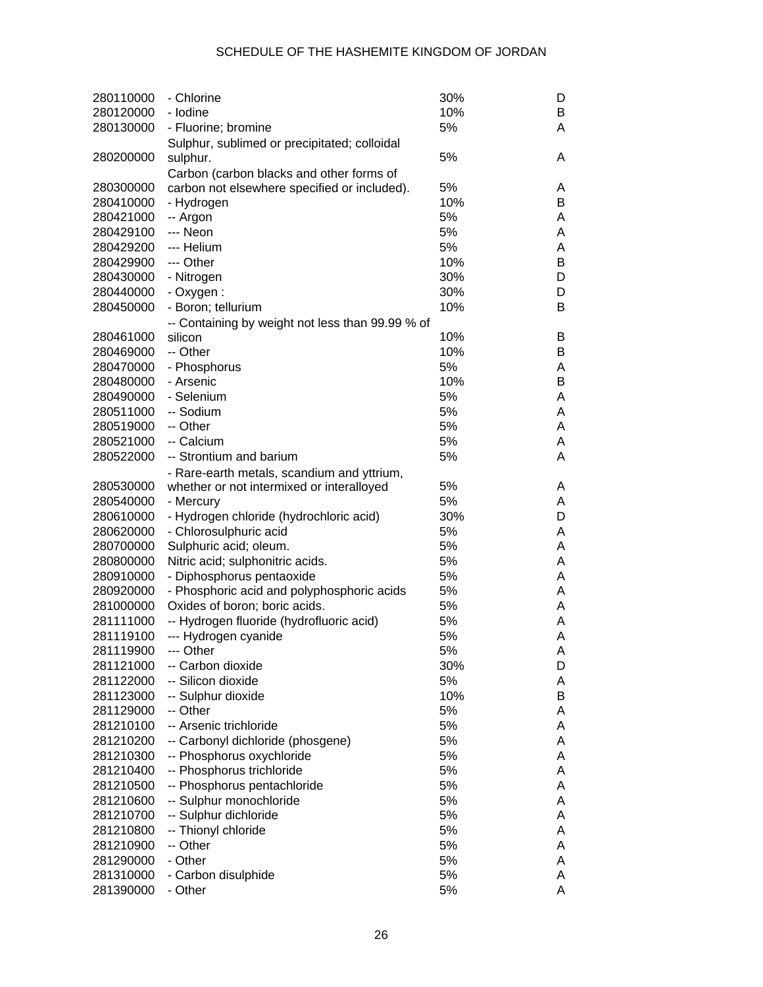| 280110000 | - Chlorine                                       | 30% | D |
|-----------|--------------------------------------------------|-----|---|
| 280120000 | - Iodine                                         | 10% | B |
| 280130000 | - Fluorine; bromine                              | 5%  | A |
|           | Sulphur, sublimed or precipitated; colloidal     |     |   |
| 280200000 | sulphur.                                         | 5%  | A |
|           | Carbon (carbon blacks and other forms of         |     |   |
| 280300000 | carbon not elsewhere specified or included).     | 5%  | Α |
| 280410000 | - Hydrogen                                       | 10% | B |
| 280421000 | -- Argon                                         | 5%  | Α |
| 280429100 | --- Neon                                         | 5%  | Α |
| 280429200 | --- Helium                                       | 5%  | Α |
| 280429900 | --- Other                                        | 10% | B |
| 280430000 | - Nitrogen                                       | 30% | D |
| 280440000 | - Oxygen:                                        | 30% | D |
| 280450000 | - Boron; tellurium                               | 10% | B |
|           | -- Containing by weight not less than 99.99 % of |     |   |
| 280461000 | silicon                                          | 10% | B |
| 280469000 | -- Other                                         | 10% | B |
| 280470000 | - Phosphorus                                     | 5%  | Α |
| 280480000 | - Arsenic                                        | 10% | B |
| 280490000 | - Selenium                                       | 5%  | Α |
| 280511000 | -- Sodium                                        | 5%  | A |
| 280519000 | -- Other                                         | 5%  | A |
| 280521000 | -- Calcium                                       | 5%  | A |
| 280522000 | -- Strontium and barium                          | 5%  | A |
|           | - Rare-earth metals, scandium and yttrium,       |     |   |
| 280530000 | whether or not intermixed or interalloyed        | 5%  | Α |
| 280540000 | - Mercury                                        | 5%  | A |
| 280610000 | - Hydrogen chloride (hydrochloric acid)          | 30% | D |
| 280620000 | - Chlorosulphuric acid                           | 5%  | Α |
| 280700000 | Sulphuric acid; oleum.                           | 5%  | Α |
| 280800000 | Nitric acid; sulphonitric acids.                 | 5%  | A |
| 280910000 | - Diphosphorus pentaoxide                        | 5%  | A |
| 280920000 | - Phosphoric acid and polyphosphoric acids       | 5%  | A |
| 281000000 | Oxides of boron; boric acids.                    | 5%  | A |
| 281111000 | -- Hydrogen fluoride (hydrofluoric acid)         | 5%  | Α |
| 281119100 | --- Hydrogen cyanide                             | 5%  | Α |
| 281119900 | --- Other                                        | 5%  | A |
| 281121000 | -- Carbon dioxide                                | 30% | D |
| 281122000 | -- Silicon dioxide                               | 5%  | Α |
| 281123000 | -- Sulphur dioxide                               | 10% | B |
| 281129000 | -- Other                                         | 5%  | Α |
| 281210100 | -- Arsenic trichloride                           | 5%  | Α |
| 281210200 | -- Carbonyl dichloride (phosgene)                | 5%  | Α |
| 281210300 | -- Phosphorus oxychloride                        | 5%  | Α |
| 281210400 | -- Phosphorus trichloride                        | 5%  | Α |
| 281210500 | -- Phosphorus pentachloride                      | 5%  | Α |
| 281210600 | -- Sulphur monochloride                          | 5%  | Α |
| 281210700 | -- Sulphur dichloride                            | 5%  | Α |
| 281210800 | -- Thionyl chloride                              | 5%  | Α |
| 281210900 | -- Other                                         | 5%  | Α |
| 281290000 | - Other                                          | 5%  | Α |
| 281310000 | - Carbon disulphide                              | 5%  | Α |
| 281390000 | - Other                                          | 5%  | Α |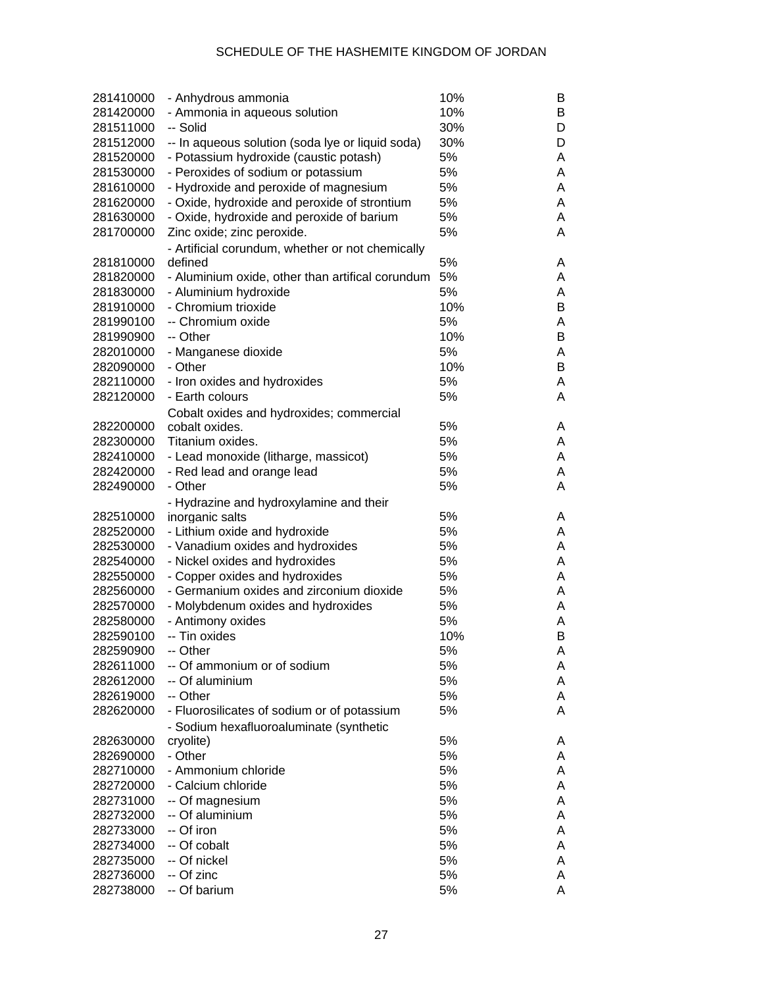| 281410000 | - Anhydrous ammonia                                                | 10% | В      |
|-----------|--------------------------------------------------------------------|-----|--------|
| 281420000 | - Ammonia in aqueous solution                                      | 10% | В      |
| 281511000 | -- Solid                                                           | 30% | D      |
| 281512000 | -- In aqueous solution (soda lye or liquid soda)                   | 30% | D      |
| 281520000 | - Potassium hydroxide (caustic potash)                             | 5%  | A      |
| 281530000 | - Peroxides of sodium or potassium                                 | 5%  | A      |
| 281610000 | - Hydroxide and peroxide of magnesium                              | 5%  | Α      |
| 281620000 | - Oxide, hydroxide and peroxide of strontium                       | 5%  | A      |
| 281630000 | - Oxide, hydroxide and peroxide of barium                          | 5%  | A      |
| 281700000 | Zinc oxide; zinc peroxide.                                         | 5%  | A      |
|           | - Artificial corundum, whether or not chemically                   |     |        |
| 281810000 | defined                                                            | 5%  | A      |
| 281820000 | - Aluminium oxide, other than artifical corundum                   | 5%  | A      |
| 281830000 | - Aluminium hydroxide                                              | 5%  | A      |
| 281910000 | - Chromium trioxide                                                | 10% | В      |
| 281990100 | -- Chromium oxide                                                  | 5%  | Α      |
| 281990900 | -- Other                                                           | 10% | В      |
| 282010000 | - Manganese dioxide                                                | 5%  | Α      |
| 282090000 | - Other                                                            | 10% | В      |
| 282110000 | - Iron oxides and hydroxides                                       | 5%  | A      |
| 282120000 | - Earth colours                                                    | 5%  | A      |
|           |                                                                    |     |        |
| 282200000 | Cobalt oxides and hydroxides; commercial<br>cobalt oxides.         | 5%  | A      |
| 282300000 | Titanium oxides.                                                   | 5%  | A      |
| 282410000 |                                                                    | 5%  | A      |
| 282420000 | - Lead monoxide (litharge, massicot)<br>- Red lead and orange lead | 5%  | A      |
| 282490000 | - Other                                                            | 5%  | A      |
|           |                                                                    |     |        |
|           | - Hydrazine and hydroxylamine and their                            | 5%  |        |
| 282510000 | inorganic salts                                                    | 5%  | A<br>A |
| 282520000 | - Lithium oxide and hydroxide                                      |     |        |
| 282530000 | - Vanadium oxides and hydroxides                                   | 5%  | A      |
| 282540000 | - Nickel oxides and hydroxides                                     | 5%  | A      |
| 282550000 | - Copper oxides and hydroxides                                     | 5%  | A      |
| 282560000 | - Germanium oxides and zirconium dioxide                           | 5%  | A      |
| 282570000 | - Molybdenum oxides and hydroxides                                 | 5%  | A      |
| 282580000 | - Antimony oxides                                                  | 5%  | A      |
| 282590100 | -- Tin oxides                                                      | 10% | B      |
| 282590900 | -- Other                                                           | 5%  | A      |
| 282611000 | -- Of ammonium or of sodium                                        | 5%  | A      |
| 282612000 | -- Of aluminium                                                    | 5%  | A      |
| 282619000 | -- Other                                                           | 5%  | A      |
| 282620000 | - Fluorosilicates of sodium or of potassium                        | 5%  | A      |
|           | - Sodium hexafluoroaluminate (synthetic                            |     |        |
| 282630000 | cryolite)                                                          | 5%  | A      |
| 282690000 | - Other                                                            | 5%  | A      |
| 282710000 | - Ammonium chloride                                                | 5%  | A      |
| 282720000 | - Calcium chloride                                                 | 5%  | A      |
| 282731000 | -- Of magnesium                                                    | 5%  | A      |
| 282732000 | -- Of aluminium                                                    | 5%  | A      |
| 282733000 | -- Of iron                                                         | 5%  | A      |
| 282734000 | -- Of cobalt                                                       | 5%  | A      |
| 282735000 | -- Of nickel                                                       | 5%  | A      |
| 282736000 | -- Of zinc                                                         | 5%  | A      |
| 282738000 | -- Of barium                                                       | 5%  | Α      |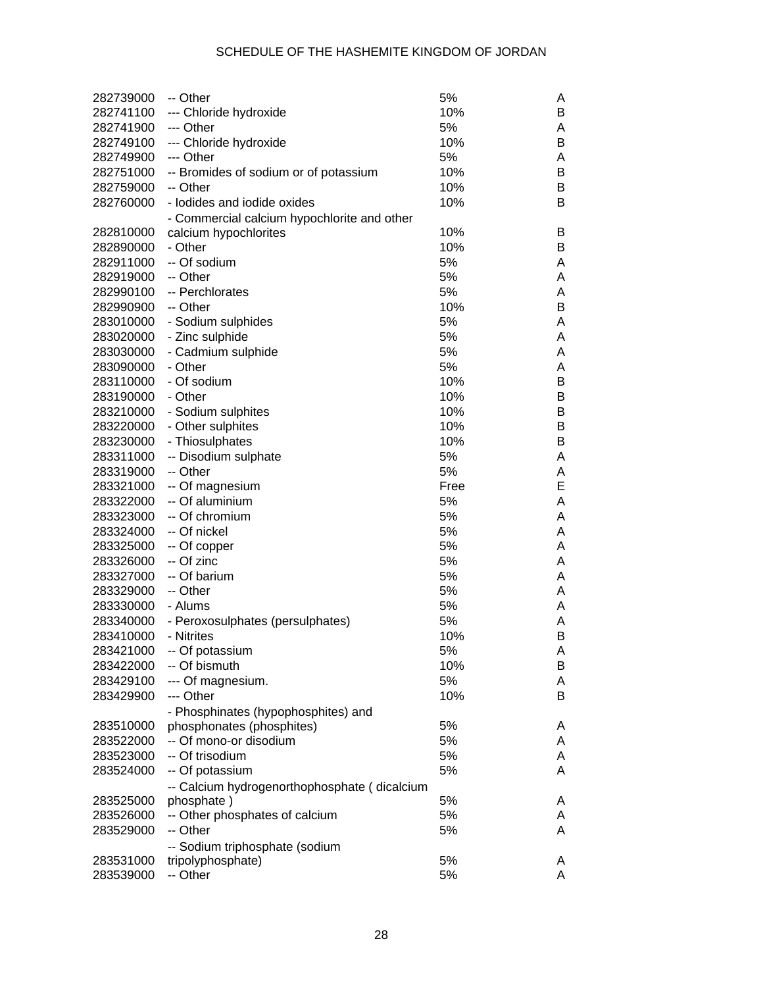| 282739000 | -- Other                                     | 5%   | Α |
|-----------|----------------------------------------------|------|---|
| 282741100 | --- Chloride hydroxide                       | 10%  | B |
| 282741900 | --- Other                                    | 5%   | Α |
| 282749100 | --- Chloride hydroxide                       | 10%  | B |
| 282749900 | --- Other                                    | 5%   | Α |
| 282751000 | -- Bromides of sodium or of potassium        | 10%  | B |
| 282759000 | -- Other                                     | 10%  | B |
| 282760000 | - lodides and iodide oxides                  | 10%  | B |
|           | - Commercial calcium hypochlorite and other  |      |   |
| 282810000 | calcium hypochlorites                        | 10%  | B |
| 282890000 | - Other                                      | 10%  | B |
| 282911000 | -- Of sodium                                 | 5%   | Α |
| 282919000 | -- Other                                     | 5%   | Α |
| 282990100 | -- Perchlorates                              | 5%   | Α |
| 282990900 | -- Other                                     | 10%  | B |
| 283010000 | - Sodium sulphides                           | 5%   | Α |
| 283020000 | - Zinc sulphide                              | 5%   | Α |
| 283030000 |                                              | 5%   |   |
|           | - Cadmium sulphide<br>- Other                | 5%   | Α |
| 283090000 |                                              |      | Α |
| 283110000 | - Of sodium                                  | 10%  | B |
| 283190000 | - Other                                      | 10%  | B |
| 283210000 | - Sodium sulphites                           | 10%  | B |
| 283220000 | - Other sulphites                            | 10%  | B |
| 283230000 | - Thiosulphates                              | 10%  | B |
| 283311000 | -- Disodium sulphate                         | 5%   | Α |
| 283319000 | -- Other                                     | 5%   | Α |
| 283321000 | -- Of magnesium                              | Free | E |
| 283322000 | -- Of aluminium                              | 5%   | Α |
| 283323000 | -- Of chromium                               | 5%   | Α |
| 283324000 | -- Of nickel                                 | 5%   | Α |
| 283325000 | -- Of copper                                 | 5%   | Α |
| 283326000 | -- Of zinc                                   | 5%   | Α |
| 283327000 | -- Of barium                                 | 5%   | Α |
| 283329000 | -- Other                                     | 5%   | Α |
| 283330000 | - Alums                                      | 5%   | Α |
| 283340000 | - Peroxosulphates (persulphates)             | 5%   | Α |
| 283410000 | - Nitrites                                   | 10%  | В |
| 283421000 | -- Of potassium                              | 5%   | Α |
| 283422000 | -- Of bismuth                                | 10%  | B |
| 283429100 | --- Of magnesium.                            | 5%   | A |
| 283429900 | --- Other                                    | 10%  | B |
|           | - Phosphinates (hypophosphites) and          |      |   |
| 283510000 | phosphonates (phosphites)                    | 5%   | A |
| 283522000 | -- Of mono-or disodium                       | 5%   | A |
| 283523000 | -- Of trisodium                              | 5%   | A |
| 283524000 | -- Of potassium                              | 5%   | A |
|           | -- Calcium hydrogenorthophosphate (dicalcium |      |   |
| 283525000 | phosphate)                                   | 5%   | A |
| 283526000 | -- Other phosphates of calcium               | 5%   | A |
| 283529000 | -- Other                                     | 5%   | A |
|           | -- Sodium triphosphate (sodium               |      |   |
| 283531000 | tripolyphosphate)                            | 5%   | A |
| 283539000 | -- Other                                     | 5%   | A |
|           |                                              |      |   |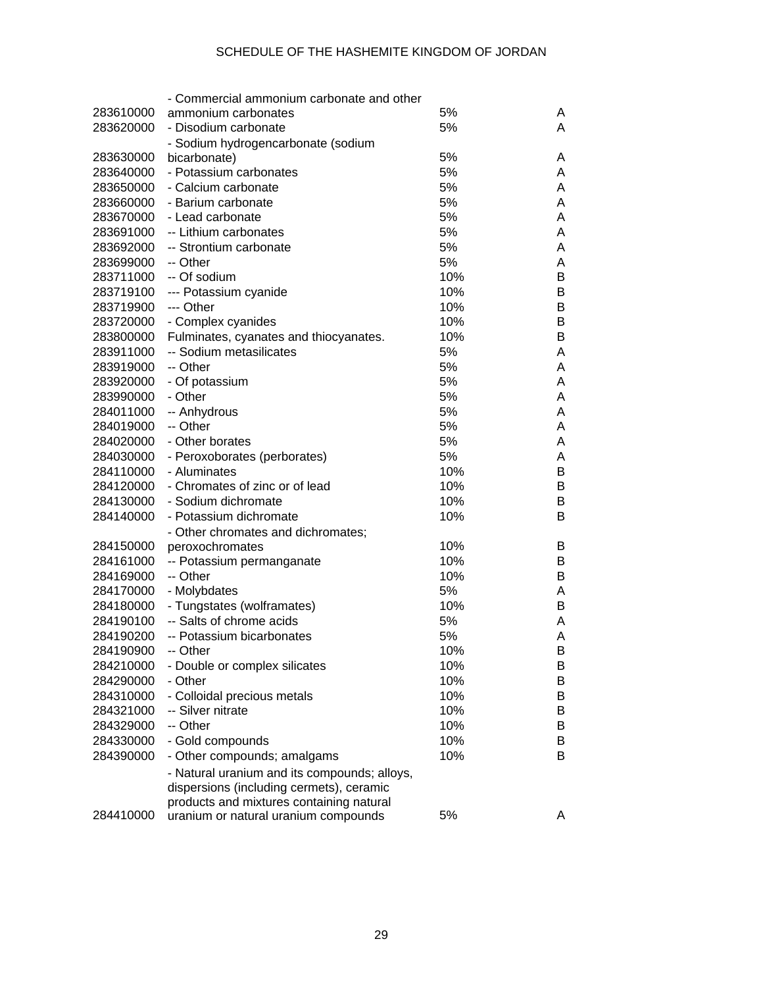|           | - Commercial ammonium carbonate and other    |     |   |
|-----------|----------------------------------------------|-----|---|
| 283610000 | ammonium carbonates                          | 5%  | A |
| 283620000 | - Disodium carbonate                         | 5%  | A |
|           | - Sodium hydrogencarbonate (sodium           |     |   |
| 283630000 | bicarbonate)                                 | 5%  | A |
| 283640000 | - Potassium carbonates                       | 5%  | A |
| 283650000 | - Calcium carbonate                          | 5%  | A |
| 283660000 | - Barium carbonate                           | 5%  | A |
| 283670000 | - Lead carbonate                             | 5%  | A |
| 283691000 | -- Lithium carbonates                        | 5%  | A |
| 283692000 | -- Strontium carbonate                       | 5%  | A |
| 283699000 | -- Other                                     | 5%  | Α |
| 283711000 | -- Of sodium                                 | 10% | В |
| 283719100 | --- Potassium cyanide                        | 10% | В |
| 283719900 | --- Other                                    | 10% | В |
| 283720000 | - Complex cyanides                           | 10% | В |
| 283800000 | Fulminates, cyanates and thiocyanates.       | 10% | В |
| 283911000 | -- Sodium metasilicates                      | 5%  | A |
| 283919000 | -- Other                                     | 5%  | Α |
| 283920000 | - Of potassium                               | 5%  | Α |
| 283990000 | - Other                                      | 5%  | Α |
| 284011000 | -- Anhydrous                                 | 5%  | Α |
| 284019000 | -- Other                                     | 5%  | A |
| 284020000 | - Other borates                              | 5%  | A |
| 284030000 | - Peroxoborates (perborates)                 | 5%  | Α |
| 284110000 | - Aluminates                                 | 10% | В |
| 284120000 | - Chromates of zinc or of lead               | 10% | В |
| 284130000 | - Sodium dichromate                          | 10% | B |
| 284140000 | - Potassium dichromate                       | 10% | В |
|           | - Other chromates and dichromates;           |     |   |
| 284150000 | peroxochromates                              | 10% | В |
| 284161000 | -- Potassium permanganate                    | 10% | В |
| 284169000 | -- Other                                     | 10% | B |
| 284170000 | - Molybdates                                 | 5%  | Α |
| 284180000 | - Tungstates (wolframates)                   | 10% | В |
| 284190100 | -- Salts of chrome acids                     | 5%  | A |
| 284190200 | -- Potassium bicarbonates                    | 5%  | Α |
| 284190900 | -- Other                                     | 10% | Β |
| 284210000 | - Double or complex silicates                | 10% | B |
| 284290000 | - Other                                      | 10% | B |
| 284310000 | - Colloidal precious metals                  | 10% | B |
| 284321000 | -- Silver nitrate                            | 10% | B |
| 284329000 | -- Other                                     | 10% |   |
| 284330000 |                                              | 10% | B |
|           | - Gold compounds                             |     | B |
| 284390000 | - Other compounds; amalgams                  | 10% | B |
|           | - Natural uranium and its compounds; alloys, |     |   |
|           | dispersions (including cermets), ceramic     |     |   |
|           | products and mixtures containing natural     |     |   |
| 284410000 | uranium or natural uranium compounds         | 5%  | A |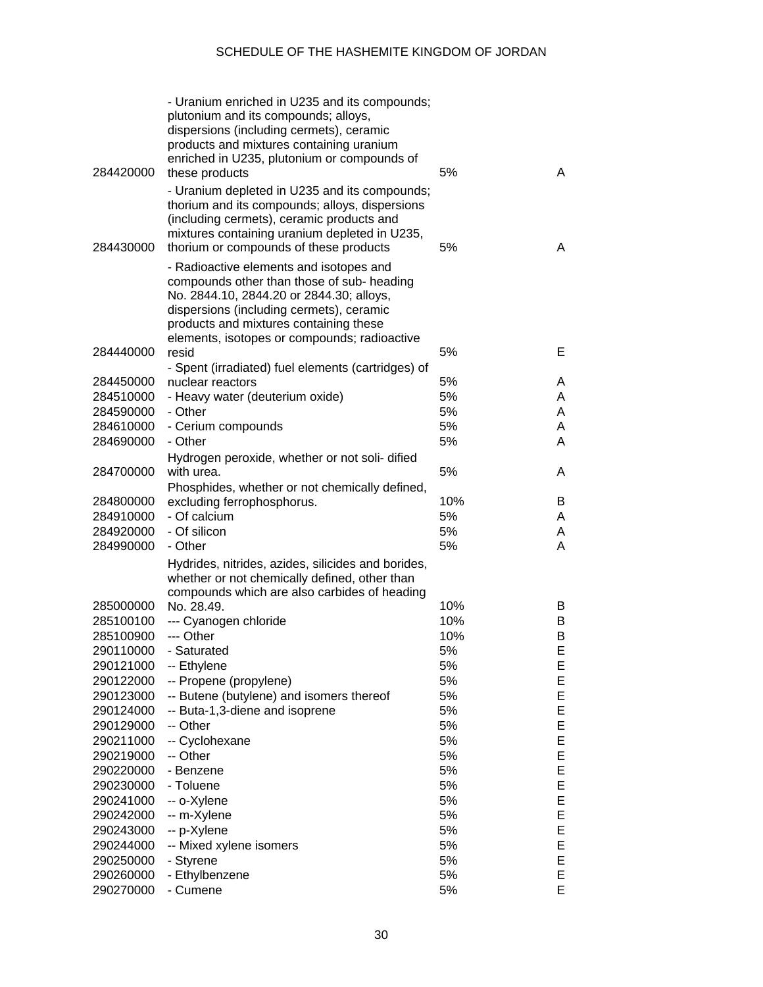| 284420000              | - Uranium enriched in U235 and its compounds;<br>plutonium and its compounds; alloys,<br>dispersions (including cermets), ceramic<br>products and mixtures containing uranium<br>enriched in U235, plutonium or compounds of<br>these products                          | 5%         | A      |
|------------------------|-------------------------------------------------------------------------------------------------------------------------------------------------------------------------------------------------------------------------------------------------------------------------|------------|--------|
| 284430000              | - Uranium depleted in U235 and its compounds;<br>thorium and its compounds; alloys, dispersions<br>(including cermets), ceramic products and<br>mixtures containing uranium depleted in U235,<br>thorium or compounds of these products                                 | 5%         | A      |
|                        | - Radioactive elements and isotopes and<br>compounds other than those of sub- heading<br>No. 2844.10, 2844.20 or 2844.30; alloys,<br>dispersions (including cermets), ceramic<br>products and mixtures containing these<br>elements, isotopes or compounds; radioactive |            |        |
| 284440000              | resid                                                                                                                                                                                                                                                                   | 5%         | Е      |
|                        | - Spent (irradiated) fuel elements (cartridges) of                                                                                                                                                                                                                      |            |        |
| 284450000              | nuclear reactors                                                                                                                                                                                                                                                        | 5%         | A      |
| 284510000              | - Heavy water (deuterium oxide)                                                                                                                                                                                                                                         | 5%         | A      |
| 284590000              | - Other                                                                                                                                                                                                                                                                 | 5%         | A      |
| 284610000              | - Cerium compounds                                                                                                                                                                                                                                                      | 5%         | A      |
| 284690000              | - Other                                                                                                                                                                                                                                                                 | 5%         | A      |
|                        | Hydrogen peroxide, whether or not soli-dified                                                                                                                                                                                                                           |            |        |
| 284700000              | with urea.                                                                                                                                                                                                                                                              | 5%         | A      |
|                        | Phosphides, whether or not chemically defined,                                                                                                                                                                                                                          |            |        |
| 284800000              | excluding ferrophosphorus.                                                                                                                                                                                                                                              | 10%        | В      |
| 284910000              | - Of calcium                                                                                                                                                                                                                                                            | 5%         | A      |
| 284920000              | - Of silicon                                                                                                                                                                                                                                                            | 5%         | A      |
| 284990000              | - Other                                                                                                                                                                                                                                                                 | 5%         | A      |
|                        | Hydrides, nitrides, azides, silicides and borides,<br>whether or not chemically defined, other than                                                                                                                                                                     |            |        |
|                        | compounds which are also carbides of heading                                                                                                                                                                                                                            |            |        |
| 285000000<br>285100100 | No. 28.49.                                                                                                                                                                                                                                                              | 10%<br>10% | B      |
|                        | --- Cyanogen chloride<br>--- Other                                                                                                                                                                                                                                      |            | B      |
| 285100900              |                                                                                                                                                                                                                                                                         | 10%        | B<br>E |
| 290110000              | - Saturated                                                                                                                                                                                                                                                             | 5%         |        |
| 290121000              | -- Ethylene                                                                                                                                                                                                                                                             | 5%         | Е      |
| 290122000              | -- Propene (propylene)                                                                                                                                                                                                                                                  | 5%         | Ε      |
| 290123000              | -- Butene (butylene) and isomers thereof                                                                                                                                                                                                                                | 5%         | Е      |
| 290124000              | -- Buta-1,3-diene and isoprene                                                                                                                                                                                                                                          | 5%         | Ε      |
| 290129000              | -- Other                                                                                                                                                                                                                                                                | 5%         | Ε      |
| 290211000              | -- Cyclohexane                                                                                                                                                                                                                                                          | 5%         | Ε      |
| 290219000              | -- Other                                                                                                                                                                                                                                                                | 5%         | Ε      |
| 290220000              | - Benzene                                                                                                                                                                                                                                                               | 5%         | Ε      |
| 290230000              | - Toluene                                                                                                                                                                                                                                                               | 5%         | Ε      |
| 290241000              | -- o-Xylene                                                                                                                                                                                                                                                             | 5%         | Ε      |
| 290242000              | -- m-Xylene                                                                                                                                                                                                                                                             | 5%         | Ε      |
| 290243000              | -- p-Xylene                                                                                                                                                                                                                                                             | 5%         | Ε      |
| 290244000              | -- Mixed xylene isomers                                                                                                                                                                                                                                                 | 5%         | Ε      |
| 290250000              | - Styrene                                                                                                                                                                                                                                                               | 5%         | Ε      |
| 290260000              | - Ethylbenzene                                                                                                                                                                                                                                                          | 5%         | Ε      |
| 290270000              | - Cumene                                                                                                                                                                                                                                                                | 5%         | Е      |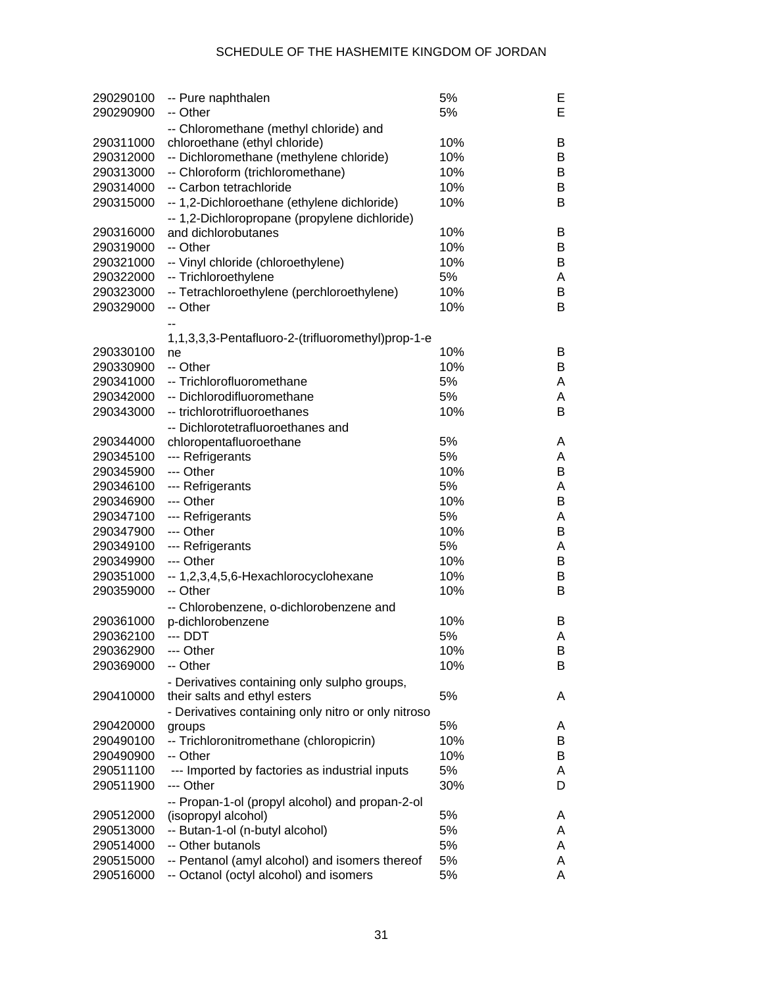| 290290100 | -- Pure naphthalen                                  | 5%  | Е      |
|-----------|-----------------------------------------------------|-----|--------|
| 290290900 | -- Other                                            | 5%  | E      |
|           | -- Chloromethane (methyl chloride) and              |     |        |
| 290311000 | chloroethane (ethyl chloride)                       | 10% | В      |
| 290312000 | -- Dichloromethane (methylene chloride)             | 10% | В      |
| 290313000 | -- Chloroform (trichloromethane)                    | 10% | В      |
| 290314000 | -- Carbon tetrachloride                             | 10% | B      |
| 290315000 | -- 1,2-Dichloroethane (ethylene dichloride)         | 10% | B      |
|           | -- 1,2-Dichloropropane (propylene dichloride)       |     |        |
| 290316000 | and dichlorobutanes                                 | 10% | В      |
| 290319000 | -- Other                                            | 10% | В      |
| 290321000 | -- Vinyl chloride (chloroethylene)                  | 10% | В      |
| 290322000 | -- Trichloroethylene                                | 5%  | Α      |
| 290323000 | -- Tetrachloroethylene (perchloroethylene)          | 10% | В<br>B |
| 290329000 | -- Other                                            | 10% |        |
|           |                                                     |     |        |
| 290330100 | 1,1,3,3,3-Pentafluoro-2-(trifluoromethyl)prop-1-e   | 10% | В      |
| 290330900 | ne<br>-- Other                                      | 10% | B      |
| 290341000 | -- Trichlorofluoromethane                           | 5%  | Α      |
| 290342000 | -- Dichlorodifluoromethane                          | 5%  | Α      |
| 290343000 | -- trichlorotrifluoroethanes                        | 10% | B      |
|           |                                                     |     |        |
| 290344000 | -- Dichlorotetrafluoroethanes and                   | 5%  | A      |
| 290345100 | chloropentafluoroethane<br>--- Refrigerants         | 5%  | A      |
| 290345900 | --- Other                                           | 10% | В      |
| 290346100 | --- Refrigerants                                    | 5%  | A      |
| 290346900 | --- Other                                           | 10% | В      |
| 290347100 | --- Refrigerants                                    | 5%  | А      |
| 290347900 | --- Other                                           | 10% | В      |
| 290349100 | --- Refrigerants                                    | 5%  | A      |
| 290349900 | --- Other                                           | 10% | В      |
| 290351000 | -- 1,2,3,4,5,6-Hexachlorocyclohexane                | 10% | В      |
| 290359000 | -- Other                                            | 10% | Β      |
|           | -- Chlorobenzene, o-dichlorobenzene and             |     |        |
| 290361000 | p-dichlorobenzene                                   | 10% | B      |
| 290362100 | --- DDT                                             | 5%  | A      |
| 290362900 | --- Other                                           | 10% | B      |
| 290369000 | -- Other                                            | 10% | B      |
|           | - Derivatives containing only sulpho groups,        |     |        |
| 290410000 | their salts and ethyl esters                        | 5%  | A      |
|           | - Derivatives containing only nitro or only nitroso |     |        |
| 290420000 | groups                                              | 5%  | A      |
| 290490100 | -- Trichloronitromethane (chloropicrin)             | 10% | B      |
| 290490900 | -- Other                                            | 10% | B      |
| 290511100 | --- Imported by factories as industrial inputs      | 5%  | A      |
| 290511900 | --- Other                                           | 30% | D      |
|           | -- Propan-1-ol (propyl alcohol) and propan-2-ol     |     |        |
| 290512000 | (isopropyl alcohol)                                 | 5%  | A      |
| 290513000 | -- Butan-1-ol (n-butyl alcohol)                     | 5%  | A      |
| 290514000 | -- Other butanols                                   | 5%  | A      |
| 290515000 | -- Pentanol (amyl alcohol) and isomers thereof      | 5%  | A      |
| 290516000 | -- Octanol (octyl alcohol) and isomers              | 5%  | Α      |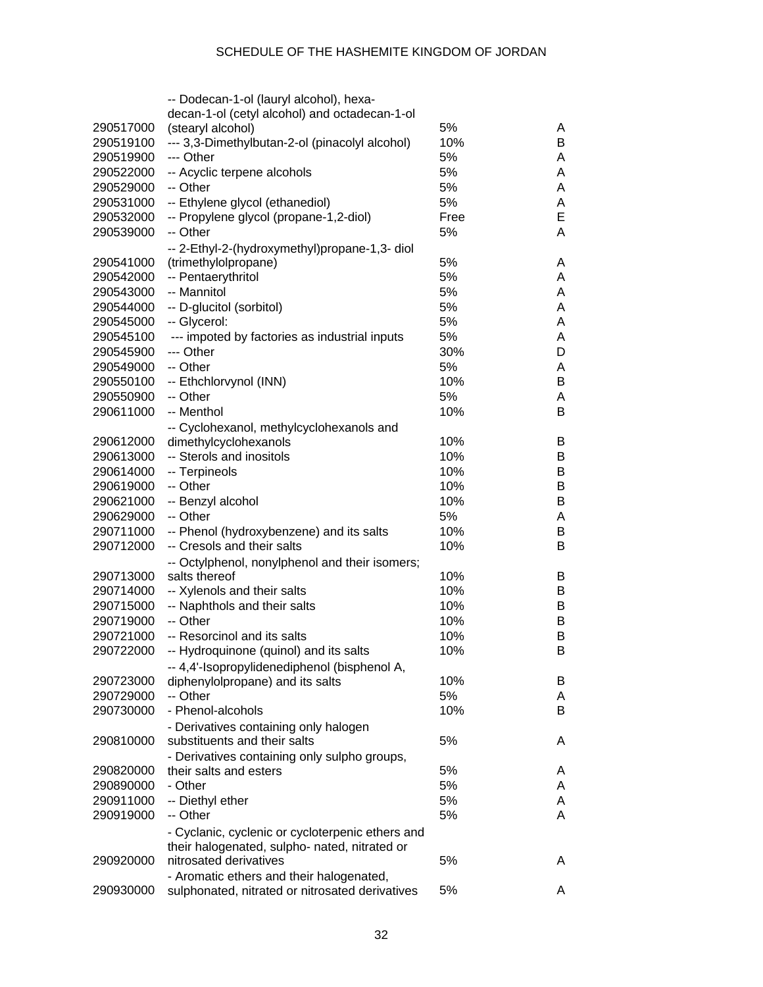|           | -- Dodecan-1-ol (lauryl alcohol), hexa-                                          |      |   |
|-----------|----------------------------------------------------------------------------------|------|---|
|           | decan-1-ol (cetyl alcohol) and octadecan-1-ol                                    |      |   |
| 290517000 | (stearyl alcohol)                                                                | 5%   | A |
| 290519100 | --- 3,3-Dimethylbutan-2-ol (pinacolyl alcohol)                                   | 10%  | B |
| 290519900 | --- Other                                                                        | 5%   | A |
| 290522000 | -- Acyclic terpene alcohols                                                      | 5%   | A |
| 290529000 | -- Other                                                                         | 5%   | A |
| 290531000 | -- Ethylene glycol (ethanediol)                                                  | 5%   | A |
| 290532000 | -- Propylene glycol (propane-1,2-diol)                                           | Free | Е |
| 290539000 | -- Other                                                                         | 5%   | A |
|           | -- 2-Ethyl-2-(hydroxymethyl)propane-1,3- diol                                    |      |   |
| 290541000 | (trimethylolpropane)                                                             | 5%   | A |
| 290542000 | -- Pentaerythritol                                                               | 5%   | A |
| 290543000 | -- Mannitol                                                                      | 5%   | A |
| 290544000 | -- D-glucitol (sorbitol)                                                         | 5%   | A |
| 290545000 | -- Glycerol:                                                                     | 5%   | A |
|           |                                                                                  | 5%   | A |
| 290545100 | --- impoted by factories as industrial inputs                                    |      |   |
| 290545900 | --- Other                                                                        | 30%  | D |
| 290549000 | -- Other                                                                         | 5%   | A |
| 290550100 | -- Ethchlorvynol (INN)                                                           | 10%  | B |
| 290550900 | -- Other                                                                         | 5%   | A |
| 290611000 | -- Menthol                                                                       | 10%  | B |
|           | -- Cyclohexanol, methylcyclohexanols and                                         |      |   |
| 290612000 | dimethylcyclohexanols                                                            | 10%  | B |
| 290613000 | -- Sterols and inositols                                                         | 10%  | В |
| 290614000 | -- Terpineols                                                                    | 10%  | B |
| 290619000 | -- Other                                                                         | 10%  | B |
| 290621000 | -- Benzyl alcohol                                                                | 10%  | B |
| 290629000 | -- Other                                                                         | 5%   | Α |
| 290711000 | -- Phenol (hydroxybenzene) and its salts                                         | 10%  | B |
| 290712000 | -- Cresols and their salts                                                       | 10%  | в |
|           | -- Octylphenol, nonylphenol and their isomers;                                   |      |   |
| 290713000 | salts thereof                                                                    | 10%  | B |
| 290714000 | -- Xylenols and their salts                                                      | 10%  | В |
| 290715000 | -- Naphthols and their salts                                                     | 10%  | В |
| 290719000 | -- Other                                                                         | 10%  | В |
| 290721000 | -- Resorcinol and its salts                                                      | 10%  | в |
| 290722000 | -- Hydroquinone (quinol) and its salts                                           | 10%  | Β |
|           |                                                                                  |      |   |
| 290723000 | -- 4,4'-Isopropylidenediphenol (bisphenol A,<br>diphenylolpropane) and its salts | 10%  | В |
| 290729000 | -- Other                                                                         | 5%   | A |
|           |                                                                                  |      |   |
| 290730000 | - Phenol-alcohols                                                                | 10%  | B |
|           | - Derivatives containing only halogen                                            |      |   |
| 290810000 | substituents and their salts                                                     | 5%   | A |
|           | - Derivatives containing only sulpho groups,                                     |      |   |
| 290820000 | their salts and esters                                                           | 5%   | A |
| 290890000 | - Other                                                                          | 5%   | A |
| 290911000 | -- Diethyl ether                                                                 | 5%   | A |
| 290919000 | -- Other                                                                         | 5%   | A |
|           | - Cyclanic, cyclenic or cycloterpenic ethers and                                 |      |   |
|           | their halogenated, sulpho- nated, nitrated or                                    |      |   |
| 290920000 | nitrosated derivatives                                                           | 5%   | A |
|           | - Aromatic ethers and their halogenated,                                         |      |   |
| 290930000 | sulphonated, nitrated or nitrosated derivatives                                  | 5%   | A |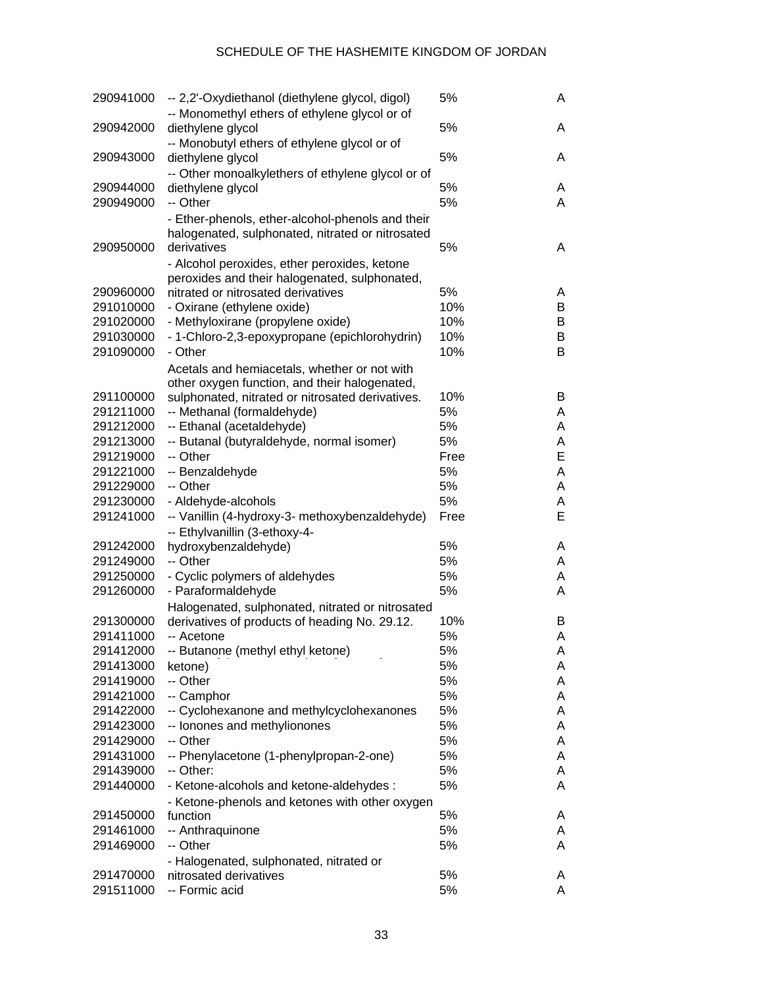| 290941000 | -- 2,2'-Oxydiethanol (diethylene glycol, digol)<br>-- Monomethyl ethers of ethylene glycol or of                    | 5%   | A |
|-----------|---------------------------------------------------------------------------------------------------------------------|------|---|
| 290942000 | diethylene glycol<br>-- Monobutyl ethers of ethylene glycol or of                                                   | 5%   | A |
| 290943000 | diethylene glycol                                                                                                   | 5%   | A |
|           | -- Other monoalkylethers of ethylene glycol or of                                                                   |      |   |
| 290944000 | diethylene glycol                                                                                                   | 5%   | A |
| 290949000 | -- Other                                                                                                            | 5%   | A |
| 290950000 | - Ether-phenols, ether-alcohol-phenols and their<br>halogenated, sulphonated, nitrated or nitrosated<br>derivatives | 5%   | A |
|           | - Alcohol peroxides, ether peroxides, ketone                                                                        |      |   |
|           | peroxides and their halogenated, sulphonated,                                                                       |      |   |
| 290960000 | nitrated or nitrosated derivatives                                                                                  | 5%   | A |
| 291010000 | - Oxirane (ethylene oxide)                                                                                          | 10%  | B |
| 291020000 | - Methyloxirane (propylene oxide)                                                                                   | 10%  | В |
| 291030000 | - 1-Chloro-2,3-epoxypropane (epichlorohydrin)                                                                       | 10%  | B |
| 291090000 | - Other                                                                                                             | 10%  | B |
|           | Acetals and hemiacetals, whether or not with                                                                        |      |   |
|           | other oxygen function, and their halogenated,                                                                       |      |   |
| 291100000 | sulphonated, nitrated or nitrosated derivatives.                                                                    | 10%  | B |
| 291211000 | -- Methanal (formaldehyde)                                                                                          | 5%   | A |
| 291212000 | -- Ethanal (acetaldehyde)                                                                                           | 5%   | A |
| 291213000 | -- Butanal (butyraldehyde, normal isomer)                                                                           | 5%   | A |
| 291219000 | -- Other                                                                                                            | Free | Е |
| 291221000 | -- Benzaldehyde                                                                                                     | 5%   | A |
| 291229000 | -- Other                                                                                                            | 5%   | A |
| 291230000 | - Aldehyde-alcohols                                                                                                 | 5%   | A |
| 291241000 | -- Vanillin (4-hydroxy-3- methoxybenzaldehyde)                                                                      | Free | Е |
|           | -- Ethylvanillin (3-ethoxy-4-                                                                                       |      |   |
| 291242000 | hydroxybenzaldehyde)                                                                                                | 5%   | A |
| 291249000 | -- Other                                                                                                            | 5%   | A |
| 291250000 | - Cyclic polymers of aldehydes                                                                                      | 5%   | A |
| 291260000 | - Paraformaldehyde                                                                                                  | 5%   | A |
|           | Halogenated, sulphonated, nitrated or nitrosated                                                                    |      |   |
| 291300000 | derivatives of products of heading No. 29.12.                                                                       | 10%  | B |
| 291411000 | -- Acetone                                                                                                          | 5%   | A |
| 291412000 | -- Butanone (methyl ethyl ketone)                                                                                   | 5%   | A |
| 291413000 | ketone)                                                                                                             | 5%   | A |
| 291419000 | -- Other                                                                                                            | 5%   | A |
| 291421000 | -- Camphor                                                                                                          | 5%   | Α |
| 291422000 | -- Cyclohexanone and methylcyclohexanones                                                                           | 5%   | Α |
| 291423000 | -- Ionones and methylionones                                                                                        | 5%   | Α |
| 291429000 | -- Other                                                                                                            | 5%   | Α |
| 291431000 | -- Phenylacetone (1-phenylpropan-2-one)                                                                             | 5%   | Α |
| 291439000 | -- Other:                                                                                                           | 5%   | Α |
| 291440000 | - Ketone-alcohols and ketone-aldehydes :                                                                            | 5%   | A |
|           | - Ketone-phenols and ketones with other oxygen                                                                      |      |   |
| 291450000 | function                                                                                                            | 5%   | A |
| 291461000 | -- Anthraquinone                                                                                                    | 5%   | A |
| 291469000 | -- Other                                                                                                            | 5%   | A |
|           | - Halogenated, sulphonated, nitrated or                                                                             |      |   |
| 291470000 | nitrosated derivatives                                                                                              | 5%   | A |
| 291511000 | -- Formic acid                                                                                                      | 5%   | A |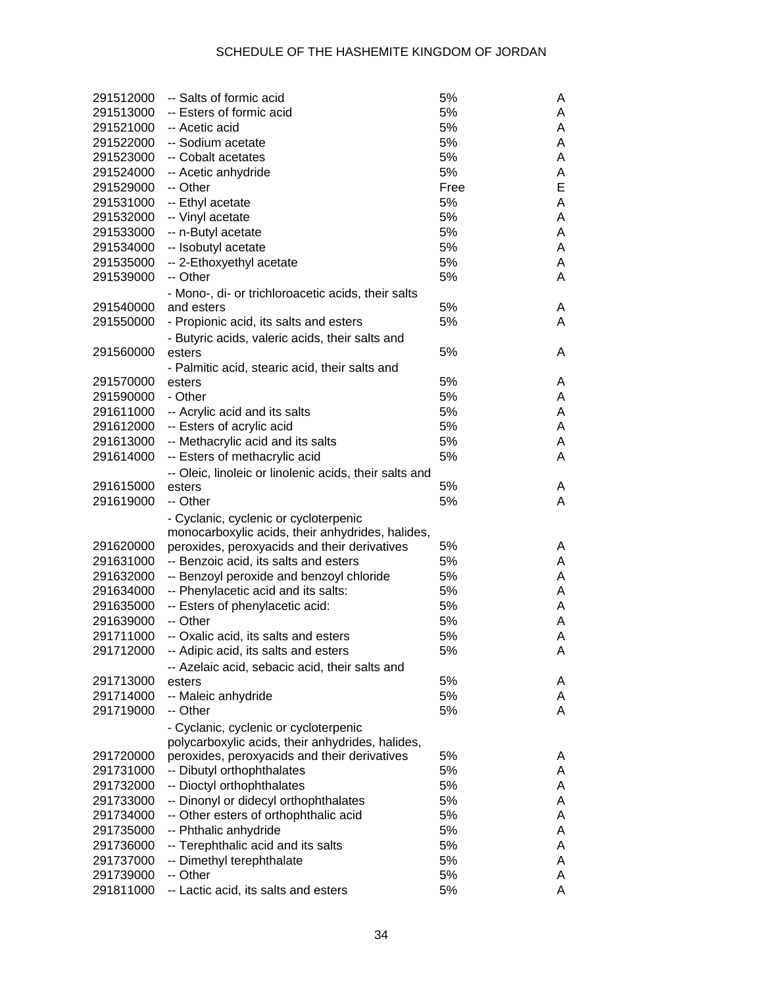| 291512000 | -- Salts of formic acid                                          | 5%       | A |
|-----------|------------------------------------------------------------------|----------|---|
| 291513000 | -- Esters of formic acid                                         | 5%       | A |
| 291521000 | -- Acetic acid                                                   | 5%       | A |
| 291522000 | -- Sodium acetate                                                | 5%       | A |
| 291523000 | -- Cobalt acetates                                               | 5%       | A |
| 291524000 | -- Acetic anhydride                                              | 5%       | Α |
| 291529000 | -- Other                                                         | Free     | E |
| 291531000 | -- Ethyl acetate                                                 | 5%       | Α |
| 291532000 | -- Vinyl acetate                                                 | 5%       | A |
| 291533000 | -- n-Butyl acetate                                               | 5%       | Α |
| 291534000 | -- Isobutyl acetate                                              | 5%       | A |
| 291535000 | -- 2-Ethoxyethyl acetate                                         | 5%       | A |
| 291539000 | -- Other                                                         | 5%       | Α |
|           | - Mono-, di- or trichloroacetic acids, their salts               |          |   |
| 291540000 | and esters                                                       | 5%       | A |
| 291550000 | - Propionic acid, its salts and esters                           | 5%       | A |
|           | - Butyric acids, valeric acids, their salts and                  |          |   |
| 291560000 | esters                                                           | 5%       | A |
|           | - Palmitic acid, stearic acid, their salts and                   |          |   |
| 291570000 | esters                                                           | 5%       | A |
| 291590000 | - Other                                                          | 5%       | A |
| 291611000 | -- Acrylic acid and its salts                                    | 5%       | A |
| 291612000 | -- Esters of acrylic acid                                        | 5%       | A |
| 291613000 | -- Methacrylic acid and its salts                                | 5%       | A |
| 291614000 | -- Esters of methacrylic acid                                    | 5%       | A |
|           |                                                                  |          |   |
| 291615000 | -- Oleic, linoleic or linolenic acids, their salts and<br>esters | 5%       | A |
| 291619000 | -- Other                                                         | 5%       | A |
|           |                                                                  |          |   |
|           | - Cyclanic, cyclenic or cycloterpenic                            |          |   |
|           | monocarboxylic acids, their anhydrides, halides,                 |          |   |
| 291620000 | peroxides, peroxyacids and their derivatives                     | 5%       | A |
| 291631000 | -- Benzoic acid, its salts and esters                            | 5%       | A |
| 291632000 | -- Benzoyl peroxide and benzoyl chloride                         | 5%<br>5% | A |
| 291634000 | -- Phenylacetic acid and its salts:                              |          | A |
| 291635000 | -- Esters of phenylacetic acid:                                  | 5%       | A |
| 291639000 | -- Other                                                         | 5%       | A |
| 291711000 | -- Oxalic acid, its salts and esters                             | 5%       | A |
| 291712000 | -- Adipic acid, its salts and esters                             | 5%       | Α |
|           | -- Azelaic acid, sebacic acid, their salts and                   |          |   |
| 291713000 | esters                                                           | 5%       | A |
| 291714000 | -- Maleic anhydride                                              | 5%       | A |
| 291719000 | -- Other                                                         | 5%       | Α |
|           | - Cyclanic, cyclenic or cycloterpenic                            |          |   |
|           | polycarboxylic acids, their anhydrides, halides,                 |          |   |
| 291720000 | peroxides, peroxyacids and their derivatives                     | 5%       | A |
| 291731000 | -- Dibutyl orthophthalates                                       | 5%       | A |
| 291732000 | -- Dioctyl orthophthalates                                       | 5%       | A |
| 291733000 | -- Dinonyl or didecyl orthophthalates                            | 5%       | A |
| 291734000 | -- Other esters of orthophthalic acid                            | 5%       | A |
| 291735000 | -- Phthalic anhydride                                            | 5%       | A |
| 291736000 | -- Terephthalic acid and its salts                               | 5%       | A |
| 291737000 | -- Dimethyl terephthalate                                        | 5%       | A |
| 291739000 | -- Other                                                         | 5%       | A |
| 291811000 | -- Lactic acid, its salts and esters                             | 5%       | Α |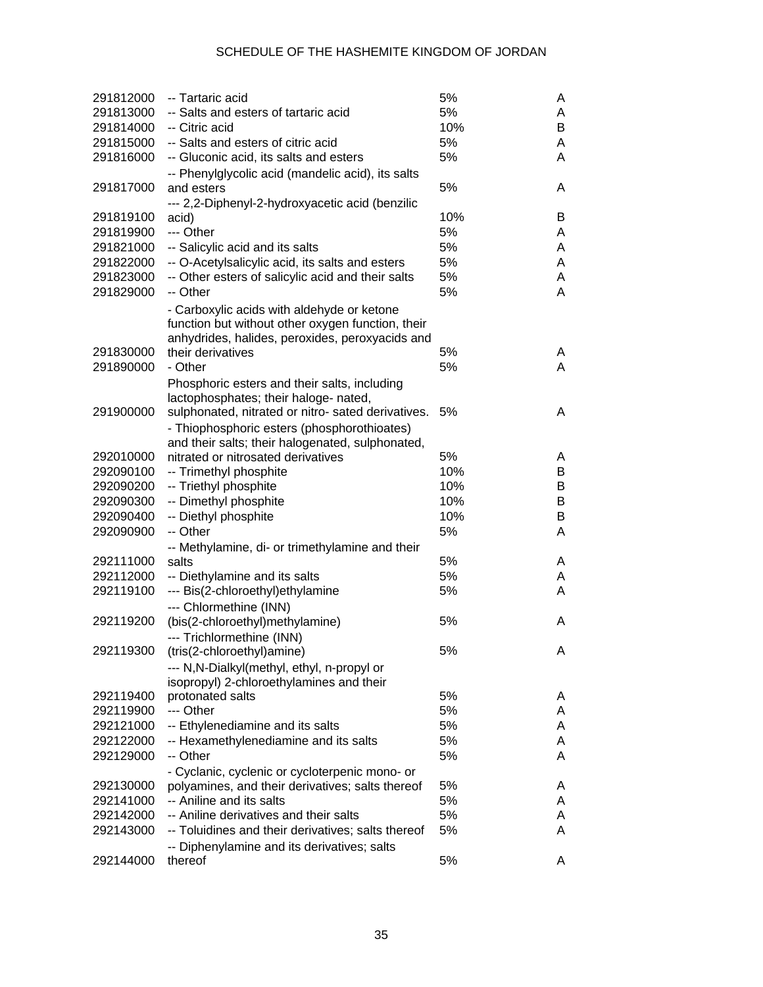| 291812000 | -- Tartaric acid                                   | 5%  | A |
|-----------|----------------------------------------------------|-----|---|
| 291813000 | -- Salts and esters of tartaric acid               | 5%  | A |
| 291814000 | -- Citric acid                                     | 10% | B |
| 291815000 | -- Salts and esters of citric acid                 | 5%  | A |
| 291816000 | -- Gluconic acid, its salts and esters             | 5%  | A |
|           | -- Phenylglycolic acid (mandelic acid), its salts  |     |   |
| 291817000 | and esters                                         | 5%  | A |
|           | --- 2,2-Diphenyl-2-hydroxyacetic acid (benzilic    |     |   |
| 291819100 | acid)                                              | 10% | B |
| 291819900 | --- Other                                          | 5%  | A |
| 291821000 | -- Salicylic acid and its salts                    | 5%  | A |
| 291822000 | -- O-Acetylsalicylic acid, its salts and esters    | 5%  | A |
| 291823000 | -- Other esters of salicylic acid and their salts  | 5%  | A |
| 291829000 | -- Other                                           | 5%  | A |
|           | - Carboxylic acids with aldehyde or ketone         |     |   |
|           | function but without other oxygen function, their  |     |   |
|           | anhydrides, halides, peroxides, peroxyacids and    |     |   |
| 291830000 | their derivatives                                  | 5%  | A |
| 291890000 | - Other                                            | 5%  | A |
|           | Phosphoric esters and their salts, including       |     |   |
|           | lactophosphates; their haloge- nated,              |     |   |
| 291900000 | sulphonated, nitrated or nitro- sated derivatives. | 5%  | A |
|           | - Thiophosphoric esters (phosphorothioates)        |     |   |
|           | and their salts; their halogenated, sulphonated,   |     |   |
| 292010000 | nitrated or nitrosated derivatives                 | 5%  | A |
| 292090100 | -- Trimethyl phosphite                             | 10% | B |
| 292090200 | -- Triethyl phosphite                              | 10% | B |
| 292090300 | -- Dimethyl phosphite                              | 10% | B |
| 292090400 | -- Diethyl phosphite                               | 10% | B |
| 292090900 | -- Other                                           | 5%  | A |
|           | -- Methylamine, di- or trimethylamine and their    |     |   |
| 292111000 | salts                                              | 5%  | A |
| 292112000 | -- Diethylamine and its salts                      | 5%  | A |
| 292119100 | --- Bis(2-chloroethyl)ethylamine                   | 5%  | A |
|           | --- Chlormethine (INN)                             |     |   |
| 292119200 | (bis(2-chloroethyl)methylamine)                    | 5%  | A |
|           | --- Trichlormethine (INN)                          |     |   |
| 292119300 | (tris(2-chloroethyl)amine)                         | 5%  | A |
|           | --- N, N-Dialkyl(methyl, ethyl, n-propyl or        |     |   |
|           | isopropyl) 2-chloroethylamines and their           |     |   |
| 292119400 | protonated salts                                   | 5%  | A |
| 292119900 | --- Other                                          | 5%  | A |
| 292121000 | -- Ethylenediamine and its salts                   | 5%  | A |
| 292122000 | -- Hexamethylenediamine and its salts              | 5%  | A |
| 292129000 | -- Other                                           | 5%  | A |
|           | - Cyclanic, cyclenic or cycloterpenic mono- or     |     |   |
| 292130000 | polyamines, and their derivatives; salts thereof   | 5%  | A |
| 292141000 | -- Aniline and its salts                           | 5%  | A |
| 292142000 | -- Aniline derivatives and their salts             | 5%  | A |
| 292143000 | -- Toluidines and their derivatives; salts thereof | 5%  | A |
|           | -- Diphenylamine and its derivatives; salts        |     |   |
| 292144000 | thereof                                            | 5%  | A |
|           |                                                    |     |   |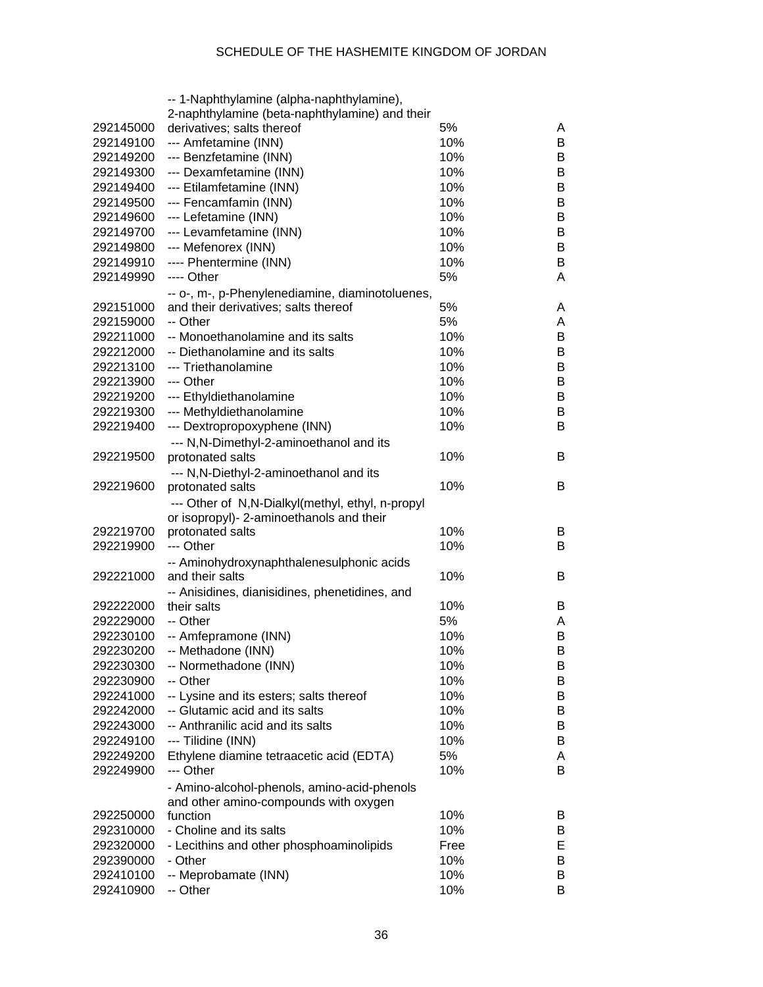|           | -- 1-Naphthylamine (alpha-naphthylamine),        |      |   |
|-----------|--------------------------------------------------|------|---|
|           | 2-naphthylamine (beta-naphthylamine) and their   |      |   |
| 292145000 | derivatives; salts thereof                       | 5%   | A |
| 292149100 | --- Amfetamine (INN)                             | 10%  | B |
| 292149200 | --- Benzfetamine (INN)                           | 10%  | B |
| 292149300 | --- Dexamfetamine (INN)                          | 10%  | B |
| 292149400 | --- Etilamfetamine (INN)                         | 10%  | B |
| 292149500 | --- Fencamfamin (INN)                            | 10%  | B |
| 292149600 | --- Lefetamine (INN)                             | 10%  | B |
| 292149700 | --- Levamfetamine (INN)                          | 10%  | B |
| 292149800 | --- Mefenorex (INN)                              | 10%  | B |
| 292149910 | ---- Phentermine (INN)                           | 10%  | B |
| 292149990 | ---- Other                                       | 5%   | A |
|           | -- o-, m-, p-Phenylenediamine, diaminotoluenes,  |      |   |
| 292151000 | and their derivatives; salts thereof             | 5%   | A |
| 292159000 | -- Other                                         | 5%   | A |
| 292211000 | -- Monoethanolamine and its salts                | 10%  | B |
| 292212000 | -- Diethanolamine and its salts                  | 10%  | B |
| 292213100 | --- Triethanolamine                              | 10%  | B |
| 292213900 | --- Other                                        | 10%  | B |
| 292219200 |                                                  | 10%  | B |
| 292219300 | --- Ethyldiethanolamine                          | 10%  |   |
|           | --- Methyldiethanolamine                         |      | B |
| 292219400 | --- Dextropropoxyphene (INN)                     | 10%  | B |
|           | --- N,N-Dimethyl-2-aminoethanol and its          |      |   |
| 292219500 | protonated salts                                 | 10%  | B |
|           | --- N, N-Diethyl-2-aminoethanol and its          |      |   |
| 292219600 | protonated salts                                 | 10%  | B |
|           | --- Other of N,N-Dialkyl(methyl, ethyl, n-propyl |      |   |
|           | or isopropyl)- 2-aminoethanols and their         |      |   |
| 292219700 | protonated salts                                 | 10%  | B |
| 292219900 | --- Other                                        | 10%  | B |
|           | -- Aminohydroxynaphthalenesulphonic acids        |      |   |
| 292221000 | and their salts                                  | 10%  | B |
|           | -- Anisidines, dianisidines, phenetidines, and   |      |   |
| 292222000 | their salts                                      | 10%  | B |
| 292229000 | -- Other                                         | 5%   | A |
| 292230100 | -- Amfepramone (INN)                             | 10%  | B |
| 292230200 | -- Methadone (INN)                               | 10%  | B |
| 292230300 | -- Normethadone (INN)                            | 10%  | в |
| 292230900 | -- Other                                         | 10%  | B |
| 292241000 | -- Lysine and its esters; salts thereof          | 10%  | B |
| 292242000 | -- Glutamic acid and its salts                   | 10%  | B |
| 292243000 | -- Anthranilic acid and its salts                | 10%  | B |
| 292249100 | --- Tilidine (INN)                               | 10%  | B |
| 292249200 | Ethylene diamine tetraacetic acid (EDTA)         | 5%   | A |
| 292249900 | --- Other                                        | 10%  | B |
|           | - Amino-alcohol-phenols, amino-acid-phenols      |      |   |
|           | and other amino-compounds with oxygen            |      |   |
| 292250000 | function                                         | 10%  | B |
| 292310000 | - Choline and its salts                          | 10%  | B |
| 292320000 | - Lecithins and other phosphoaminolipids         | Free | E |
| 292390000 | - Other                                          | 10%  | B |
| 292410100 | -- Meprobamate (INN)                             | 10%  | В |
| 292410900 | -- Other                                         | 10%  | B |
|           |                                                  |      |   |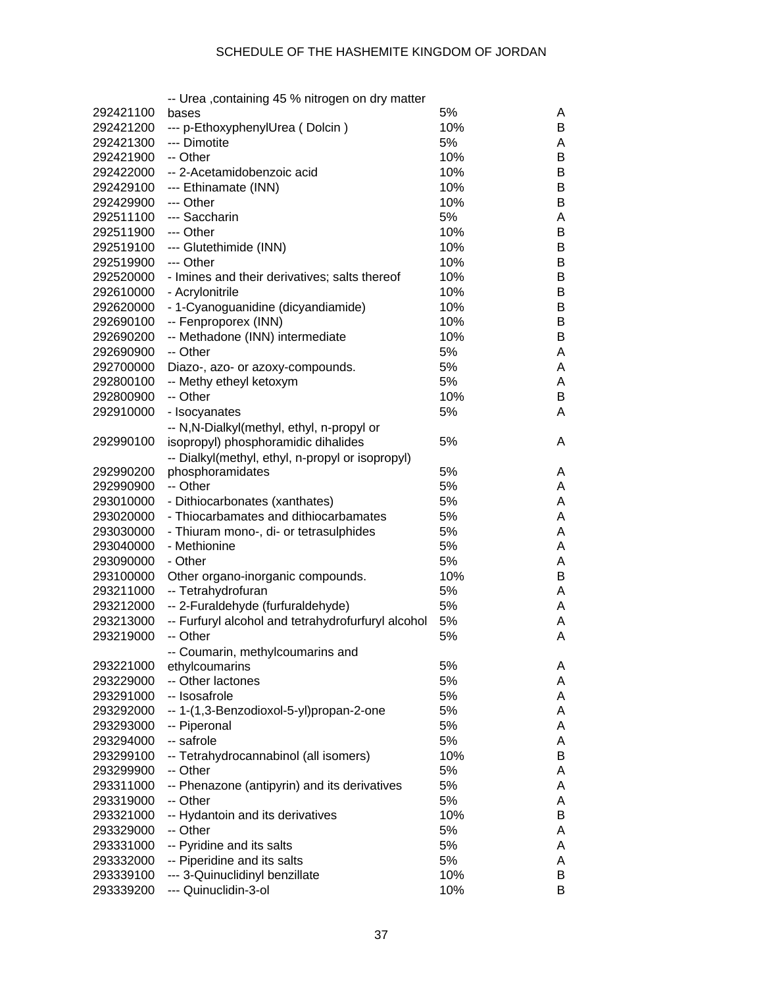|           | -- Urea , containing 45 % nitrogen on dry matter   |     |   |
|-----------|----------------------------------------------------|-----|---|
| 292421100 | bases                                              | 5%  | A |
| 292421200 | --- p-EthoxyphenylUrea (Dolcin)                    | 10% | В |
| 292421300 | --- Dimotite                                       | 5%  | A |
| 292421900 | -- Other                                           | 10% | В |
| 292422000 | -- 2-Acetamidobenzoic acid                         | 10% | B |
| 292429100 | --- Ethinamate (INN)                               | 10% | В |
| 292429900 | --- Other                                          | 10% | В |
| 292511100 | --- Saccharin                                      | 5%  | A |
| 292511900 | --- Other                                          | 10% | В |
| 292519100 | --- Glutethimide (INN)                             | 10% | B |
| 292519900 | --- Other                                          | 10% | В |
| 292520000 | - Imines and their derivatives; salts thereof      | 10% | В |
| 292610000 | - Acrylonitrile                                    | 10% | В |
| 292620000 | - 1-Cyanoguanidine (dicyandiamide)                 | 10% | В |
| 292690100 | -- Fenproporex (INN)                               | 10% | В |
| 292690200 | -- Methadone (INN) intermediate                    | 10% | В |
| 292690900 | -- Other                                           | 5%  | Α |
| 292700000 | Diazo-, azo- or azoxy-compounds.                   | 5%  | Α |
| 292800100 | -- Methy etheyl ketoxym                            | 5%  | Α |
| 292800900 | -- Other                                           | 10% | В |
| 292910000 | - Isocyanates                                      | 5%  | Α |
|           | -- N, N-Dialkyl(methyl, ethyl, n-propyl or         |     |   |
| 292990100 | isopropyl) phosphoramidic dihalides                | 5%  | A |
|           | -- Dialkyl(methyl, ethyl, n-propyl or isopropyl)   |     |   |
| 292990200 | phosphoramidates                                   | 5%  | A |
| 292990900 | -- Other                                           | 5%  | A |
| 293010000 | - Dithiocarbonates (xanthates)                     | 5%  | Α |
| 293020000 | - Thiocarbamates and dithiocarbamates              | 5%  | Α |
| 293030000 | - Thiuram mono-, di- or tetrasulphides             | 5%  | Α |
| 293040000 | - Methionine                                       | 5%  | Α |
| 293090000 | - Other                                            | 5%  | Α |
| 293100000 | Other organo-inorganic compounds.                  | 10% | В |
| 293211000 | -- Tetrahydrofuran                                 | 5%  | Α |
| 293212000 | -- 2-Furaldehyde (furfuraldehyde)                  | 5%  | Α |
| 293213000 | -- Furfuryl alcohol and tetrahydrofurfuryl alcohol | 5%  | Α |
| 293219000 | -- Other                                           | 5%  | Α |
|           |                                                    |     |   |
| 293221000 | Coumarin, methylcoumarins and<br>ethylcoumarins    | 5%  | A |
| 293229000 | -- Other lactones                                  | 5%  | A |
| 293291000 | -- Isosafrole                                      | 5%  | A |
| 293292000 | -- 1-(1,3-Benzodioxol-5-yl)propan-2-one            | 5%  | A |
| 293293000 | -- Piperonal                                       | 5%  | A |
| 293294000 | -- safrole                                         | 5%  | A |
| 293299100 | -- Tetrahydrocannabinol (all isomers)              | 10% | B |
| 293299900 | -- Other                                           | 5%  | A |
| 293311000 | -- Phenazone (antipyrin) and its derivatives       | 5%  | A |
| 293319000 | -- Other                                           | 5%  | A |
| 293321000 | -- Hydantoin and its derivatives                   | 10% | B |
| 293329000 | -- Other                                           | 5%  | A |
| 293331000 | -- Pyridine and its salts                          | 5%  | A |
| 293332000 | -- Piperidine and its salts                        | 5%  | A |
| 293339100 | --- 3-Quinuclidinyl benzillate                     | 10% | B |
| 293339200 | --- Quinuclidin-3-ol                               | 10% | B |
|           |                                                    |     |   |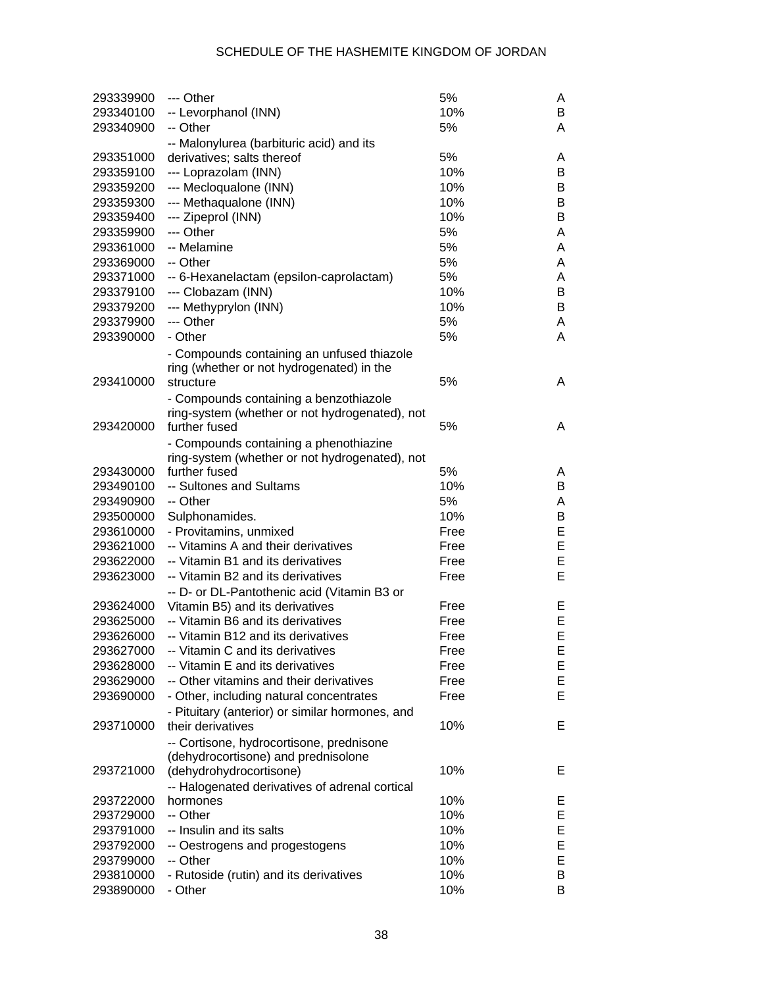| 293339900 | --- Other                                       | 5%   | A  |
|-----------|-------------------------------------------------|------|----|
| 293340100 | -- Levorphanol (INN)                            | 10%  | B  |
| 293340900 | -- Other                                        | 5%   | A  |
|           | -- Malonylurea (barbituric acid) and its        |      |    |
| 293351000 | derivatives; salts thereof                      | 5%   | A  |
| 293359100 | --- Loprazolam (INN)                            | 10%  | B  |
| 293359200 | --- Mecloqualone (INN)                          | 10%  | B  |
| 293359300 | --- Methaqualone (INN)                          | 10%  | В  |
| 293359400 | --- Zipeprol (INN)                              | 10%  | В  |
| 293359900 | --- Other                                       | 5%   | A  |
| 293361000 | -- Melamine                                     | 5%   | A  |
| 293369000 | -- Other                                        | 5%   | A  |
| 293371000 | -- 6-Hexanelactam (epsilon-caprolactam)         | 5%   | A  |
| 293379100 | --- Clobazam (INN)                              | 10%  | B  |
|           |                                                 | 10%  | В  |
| 293379200 | --- Methyprylon (INN)                           | 5%   |    |
| 293379900 | --- Other                                       |      | A  |
| 293390000 | - Other                                         | 5%   | A  |
|           | - Compounds containing an unfused thiazole      |      |    |
|           | ring (whether or not hydrogenated) in the       |      |    |
| 293410000 | structure                                       | 5%   | A  |
|           | - Compounds containing a benzothiazole          |      |    |
|           | ring-system (whether or not hydrogenated), not  |      |    |
| 293420000 | further fused                                   | 5%   | A  |
|           | - Compounds containing a phenothiazine          |      |    |
|           | ring-system (whether or not hydrogenated), not  |      |    |
| 293430000 | further fused                                   | 5%   | A  |
| 293490100 | -- Sultones and Sultams                         | 10%  | B  |
| 293490900 | -- Other                                        | 5%   | A  |
| 293500000 | Sulphonamides.                                  | 10%  | B  |
| 293610000 | - Provitamins, unmixed                          | Free | E  |
| 293621000 | -- Vitamins A and their derivatives             | Free | E  |
| 293622000 | -- Vitamin B1 and its derivatives               | Free | E  |
| 293623000 | -- Vitamin B2 and its derivatives               | Free | Е  |
|           | -- D- or DL-Pantothenic acid (Vitamin B3 or     |      |    |
| 293624000 | Vitamin B5) and its derivatives                 | Free | E. |
| 293625000 | -- Vitamin B6 and its derivatives               | Free | Е  |
| 293626000 | -- Vitamin B12 and its derivatives              | Free | E  |
| 293627000 | -- Vitamin C and its derivatives                | Free | E  |
| 293628000 | -- Vitamin E and its derivatives                | Free | Е  |
| 293629000 | -- Other vitamins and their derivatives         | Free | Е  |
|           |                                                 | Free | Е  |
| 293690000 | - Other, including natural concentrates         |      |    |
|           | - Pituitary (anterior) or similar hormones, and |      |    |
| 293710000 | their derivatives                               | 10%  | Е  |
|           | -- Cortisone, hydrocortisone, prednisone        |      |    |
|           | (dehydrocortisone) and prednisolone             |      |    |
| 293721000 | (dehydrohydrocortisone)                         | 10%  | Е  |
|           | -- Halogenated derivatives of adrenal cortical  |      |    |
| 293722000 | hormones                                        | 10%  | E. |
| 293729000 | -- Other                                        | 10%  | Е  |
| 293791000 | -- Insulin and its salts                        | 10%  | Е  |
| 293792000 | -- Oestrogens and progestogens                  | 10%  | Е  |
| 293799000 | -- Other                                        | 10%  | Е  |
| 293810000 | - Rutoside (rutin) and its derivatives          | 10%  | B  |
| 293890000 | - Other                                         | 10%  | B  |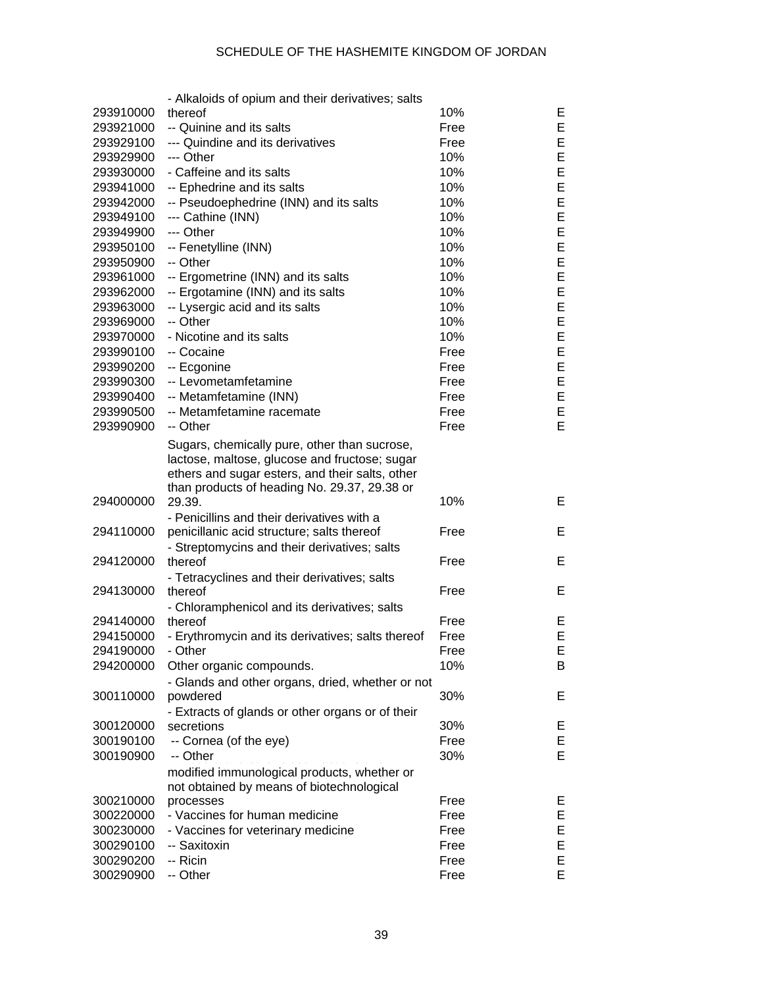|                        | - Alkaloids of opium and their derivatives; salts       |              |    |
|------------------------|---------------------------------------------------------|--------------|----|
| 293910000              | thereof                                                 | 10%          | E. |
| 293921000              | -- Quinine and its salts                                | Free         | Е  |
| 293929100              | --- Quindine and its derivatives                        | Free         | Е  |
| 293929900              | --- Other                                               | 10%          | Е  |
| 293930000              | - Caffeine and its salts                                | 10%          | Е  |
| 293941000              | -- Ephedrine and its salts                              | 10%          | E  |
| 293942000              | -- Pseudoephedrine (INN) and its salts                  | 10%          | E  |
| 293949100              | --- Cathine (INN)                                       | 10%          | Е  |
| 293949900              | --- Other                                               | 10%          | Е  |
| 293950100              | -- Fenetylline (INN)                                    | 10%          | Е  |
| 293950900              | -- Other                                                | 10%          | E  |
| 293961000              | -- Ergometrine (INN) and its salts                      | 10%          | E  |
| 293962000              | -- Ergotamine (INN) and its salts                       | 10%          | E  |
| 293963000              | -- Lysergic acid and its salts                          | 10%          | E  |
| 293969000              | -- Other                                                | 10%          | E  |
| 293970000              | - Nicotine and its salts                                | 10%          | E  |
| 293990100              | -- Cocaine                                              | Free         | Е  |
| 293990200              | -- Ecgonine                                             | Free         | Е  |
| 293990300              | -- Levometamfetamine                                    | Free         | Е  |
|                        | -- Metamfetamine (INN)                                  |              | Е  |
| 293990400<br>293990500 | -- Metamfetamine racemate                               | Free<br>Free | Е  |
| 293990900              | -- Other                                                | Free         | E. |
|                        |                                                         |              |    |
|                        | Sugars, chemically pure, other than sucrose,            |              |    |
|                        | lactose, maltose, glucose and fructose; sugar           |              |    |
|                        | ethers and sugar esters, and their salts, other         |              |    |
| 294000000              | than products of heading No. 29.37, 29.38 or<br>29.39.  | 10%          | Е  |
|                        |                                                         |              |    |
|                        | - Penicillins and their derivatives with a              |              | E  |
| 294110000              | penicillanic acid structure; salts thereof              | Free         |    |
| 294120000              | - Streptomycins and their derivatives; salts<br>thereof | Free         | Е  |
|                        |                                                         |              |    |
| 294130000              | - Tetracyclines and their derivatives; salts<br>thereof | Free         | Е  |
|                        |                                                         |              |    |
|                        | - Chloramphenicol and its derivatives; salts<br>thereof |              |    |
| 294140000              |                                                         | Free         | E. |
| 294150000              | - Erythromycin and its derivatives; salts thereof       | Free         | E  |
| 294190000              | - Other                                                 | Free         | E  |
| 294200000              | Other organic compounds.                                | 10%          | B  |
|                        | - Glands and other organs, dried, whether or not        |              |    |
| 300110000              | powdered                                                | 30%          | Е  |
|                        | - Extracts of glands or other organs or of their        |              |    |
| 300120000              | secretions                                              | 30%          | E, |
| 300190100              | -- Cornea (of the eye)                                  | Free         | Е  |
| 300190900              | -- Other                                                | 30%          | E. |
|                        | modified immunological products, whether or             |              |    |
|                        | not obtained by means of biotechnological               |              |    |
| 300210000              | processes                                               | Free         | Е, |
| 300220000              | - Vaccines for human medicine                           | Free         | Е  |
| 300230000              | - Vaccines for veterinary medicine                      | Free         | Е  |
| 300290100              | -- Saxitoxin                                            | Free         | Е  |
| 300290200              | -- Ricin                                                | Free         | Е  |
| 300290900              | -- Other                                                | Free         | E. |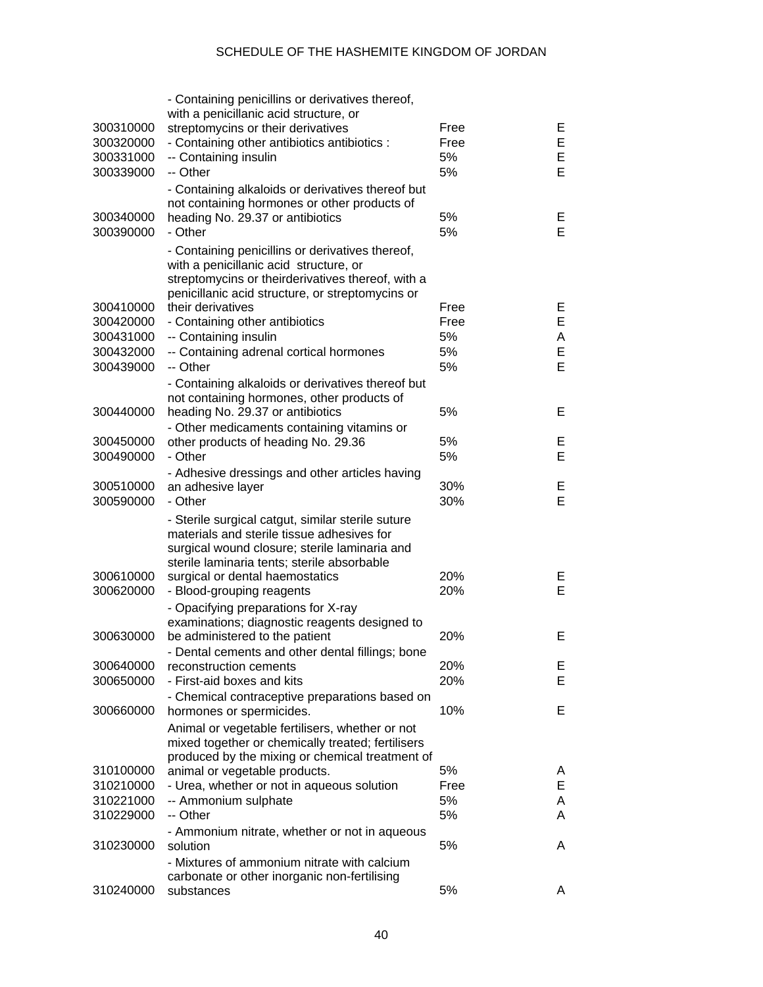| 300310000<br>300320000<br>300331000<br>300339000 | - Containing penicillins or derivatives thereof,<br>with a penicillanic acid structure, or<br>streptomycins or their derivatives<br>- Containing other antibiotics antibiotics :<br>-- Containing insulin<br>-- Other                                           | Free<br>Free<br>5%<br>5% | E.<br>E<br>E<br>Е |
|--------------------------------------------------|-----------------------------------------------------------------------------------------------------------------------------------------------------------------------------------------------------------------------------------------------------------------|--------------------------|-------------------|
| 300340000<br>300390000                           | - Containing alkaloids or derivatives thereof but<br>not containing hormones or other products of<br>heading No. 29.37 or antibiotics<br>- Other                                                                                                                | 5%<br>5%                 | E,<br>E           |
|                                                  | - Containing penicillins or derivatives thereof,<br>with a penicillanic acid structure, or<br>streptomycins or theirderivatives thereof, with a<br>penicillanic acid structure, or streptomycins or                                                             |                          |                   |
| 300410000                                        | their derivatives                                                                                                                                                                                                                                               | Free                     | E.                |
| 300420000                                        | - Containing other antibiotics                                                                                                                                                                                                                                  | Free                     | E.                |
| 300431000                                        | -- Containing insulin                                                                                                                                                                                                                                           | 5%                       | A                 |
| 300432000                                        | -- Containing adrenal cortical hormones                                                                                                                                                                                                                         | 5%                       | Е                 |
| 300439000                                        | -- Other                                                                                                                                                                                                                                                        | 5%                       | Е                 |
|                                                  | - Containing alkaloids or derivatives thereof but                                                                                                                                                                                                               |                          |                   |
|                                                  | not containing hormones, other products of                                                                                                                                                                                                                      |                          |                   |
| 300440000                                        | heading No. 29.37 or antibiotics                                                                                                                                                                                                                                | 5%                       | Е                 |
|                                                  | - Other medicaments containing vitamins or                                                                                                                                                                                                                      |                          |                   |
| 300450000                                        | other products of heading No. 29.36                                                                                                                                                                                                                             | 5%                       | E.                |
| 300490000                                        | - Other                                                                                                                                                                                                                                                         | 5%                       | Е                 |
|                                                  | - Adhesive dressings and other articles having                                                                                                                                                                                                                  |                          |                   |
| 300510000                                        | an adhesive layer                                                                                                                                                                                                                                               | 30%                      | Е                 |
| 300590000                                        | - Other                                                                                                                                                                                                                                                         | 30%                      | Е                 |
| 300610000<br>300620000                           | - Sterile surgical catgut, similar sterile suture<br>materials and sterile tissue adhesives for<br>surgical wound closure; sterile laminaria and<br>sterile laminaria tents; sterile absorbable<br>surgical or dental haemostatics<br>- Blood-grouping reagents | 20%<br>20%               | E,<br>E           |
|                                                  |                                                                                                                                                                                                                                                                 |                          |                   |
|                                                  | - Opacifying preparations for X-ray                                                                                                                                                                                                                             |                          |                   |
| 300630000                                        | examinations; diagnostic reagents designed to<br>be administered to the patient                                                                                                                                                                                 | 20%                      | Е                 |
|                                                  |                                                                                                                                                                                                                                                                 |                          |                   |
| 300640000                                        | Dental cements and other dental fillings; bone<br>reconstruction cements                                                                                                                                                                                        | 20%                      | E.                |
| 300650000                                        | - First-aid boxes and kits                                                                                                                                                                                                                                      | 20%                      | E.                |
|                                                  |                                                                                                                                                                                                                                                                 |                          |                   |
|                                                  | - Chemical contraceptive preparations based on                                                                                                                                                                                                                  | 10%                      | E.                |
| 300660000                                        | hormones or spermicides.                                                                                                                                                                                                                                        |                          |                   |
|                                                  | Animal or vegetable fertilisers, whether or not                                                                                                                                                                                                                 |                          |                   |
|                                                  | mixed together or chemically treated; fertilisers                                                                                                                                                                                                               |                          |                   |
|                                                  | produced by the mixing or chemical treatment of                                                                                                                                                                                                                 |                          |                   |
| 310100000                                        | animal or vegetable products.                                                                                                                                                                                                                                   | 5%                       | A                 |
| 310210000                                        | - Urea, whether or not in aqueous solution                                                                                                                                                                                                                      | Free                     | Е                 |
| 310221000                                        | -- Ammonium sulphate                                                                                                                                                                                                                                            | 5%                       | A                 |
| 310229000                                        | -- Other                                                                                                                                                                                                                                                        | 5%                       | A                 |
|                                                  | - Ammonium nitrate, whether or not in aqueous                                                                                                                                                                                                                   |                          |                   |
| 310230000                                        | solution                                                                                                                                                                                                                                                        | 5%                       | A                 |
|                                                  | - Mixtures of ammonium nitrate with calcium                                                                                                                                                                                                                     |                          |                   |
|                                                  | carbonate or other inorganic non-fertilising                                                                                                                                                                                                                    |                          |                   |
| 310240000                                        | substances                                                                                                                                                                                                                                                      | 5%                       | A                 |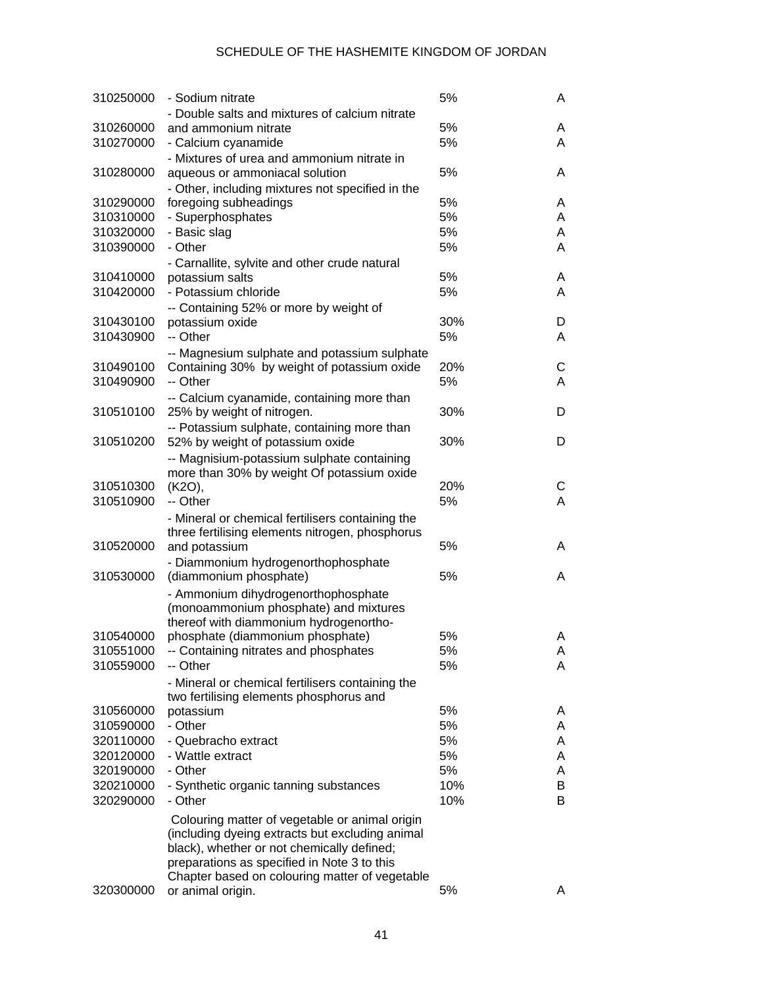| 310250000 | - Sodium nitrate                                                                            | 5%  | A |
|-----------|---------------------------------------------------------------------------------------------|-----|---|
|           | - Double salts and mixtures of calcium nitrate                                              |     |   |
| 310260000 | and ammonium nitrate                                                                        | 5%  | A |
| 310270000 | - Calcium cyanamide                                                                         | 5%  | A |
|           | - Mixtures of urea and ammonium nitrate in                                                  |     |   |
| 310280000 | aqueous or ammoniacal solution                                                              | 5%  | A |
|           | - Other, including mixtures not specified in the                                            |     |   |
| 310290000 | foregoing subheadings                                                                       | 5%  | A |
| 310310000 | - Superphosphates                                                                           | 5%  | A |
| 310320000 | - Basic slag                                                                                | 5%  | A |
| 310390000 | - Other                                                                                     | 5%  | A |
|           | - Carnallite, sylvite and other crude natural                                               |     |   |
| 310410000 | potassium salts                                                                             | 5%  | A |
| 310420000 | - Potassium chloride                                                                        | 5%  | A |
|           | -- Containing 52% or more by weight of                                                      |     |   |
| 310430100 | potassium oxide                                                                             | 30% | D |
| 310430900 | -- Other                                                                                    | 5%  | A |
|           |                                                                                             |     |   |
| 310490100 | -- Magnesium sulphate and potassium sulphate<br>Containing 30% by weight of potassium oxide | 20% | С |
| 310490900 | -- Other                                                                                    | 5%  | A |
|           |                                                                                             |     |   |
| 310510100 | -- Calcium cyanamide, containing more than                                                  | 30% | D |
|           | 25% by weight of nitrogen.                                                                  |     |   |
| 310510200 | -- Potassium sulphate, containing more than                                                 | 30% | D |
|           | 52% by weight of potassium oxide                                                            |     |   |
|           | -- Magnisium-potassium sulphate containing                                                  |     |   |
|           | more than 30% by weight Of potassium oxide                                                  |     |   |
| 310510300 | (K2O),                                                                                      | 20% | С |
| 310510900 | -- Other                                                                                    | 5%  | A |
|           | - Mineral or chemical fertilisers containing the                                            |     |   |
|           | three fertilising elements nitrogen, phosphorus                                             |     |   |
| 310520000 | and potassium                                                                               | 5%  | A |
|           | - Diammonium hydrogenorthophosphate                                                         |     |   |
| 310530000 | (diammonium phosphate)                                                                      | 5%  | A |
|           | - Ammonium dihydrogenorthophosphate                                                         |     |   |
|           | (monoammonium phosphate) and mixtures                                                       |     |   |
|           | thereof with diammonium hydrogenortho-                                                      |     |   |
| 310540000 | phosphate (diammonium phosphate)                                                            | 5%  | Α |
| 310551000 | -- Containing nitrates and phosphates                                                       | 5%  | A |
| 310559000 | -- Other                                                                                    | 5%  | A |
|           | - Mineral or chemical fertilisers containing the                                            |     |   |
|           | two fertilising elements phosphorus and                                                     |     |   |
| 310560000 | potassium                                                                                   | 5%  | A |
| 310590000 | - Other                                                                                     | 5%  | A |
| 320110000 | - Quebracho extract                                                                         | 5%  | A |
| 320120000 | - Wattle extract                                                                            | 5%  | A |
| 320190000 | - Other                                                                                     | 5%  | A |
| 320210000 | - Synthetic organic tanning substances                                                      | 10% | В |
| 320290000 | - Other                                                                                     | 10% | B |
|           | Colouring matter of vegetable or animal origin                                              |     |   |
|           | (including dyeing extracts but excluding animal                                             |     |   |
|           | black), whether or not chemically defined;                                                  |     |   |
|           | preparations as specified in Note 3 to this                                                 |     |   |
|           | Chapter based on colouring matter of vegetable                                              |     |   |
| 320300000 | or animal origin.                                                                           | 5%  | A |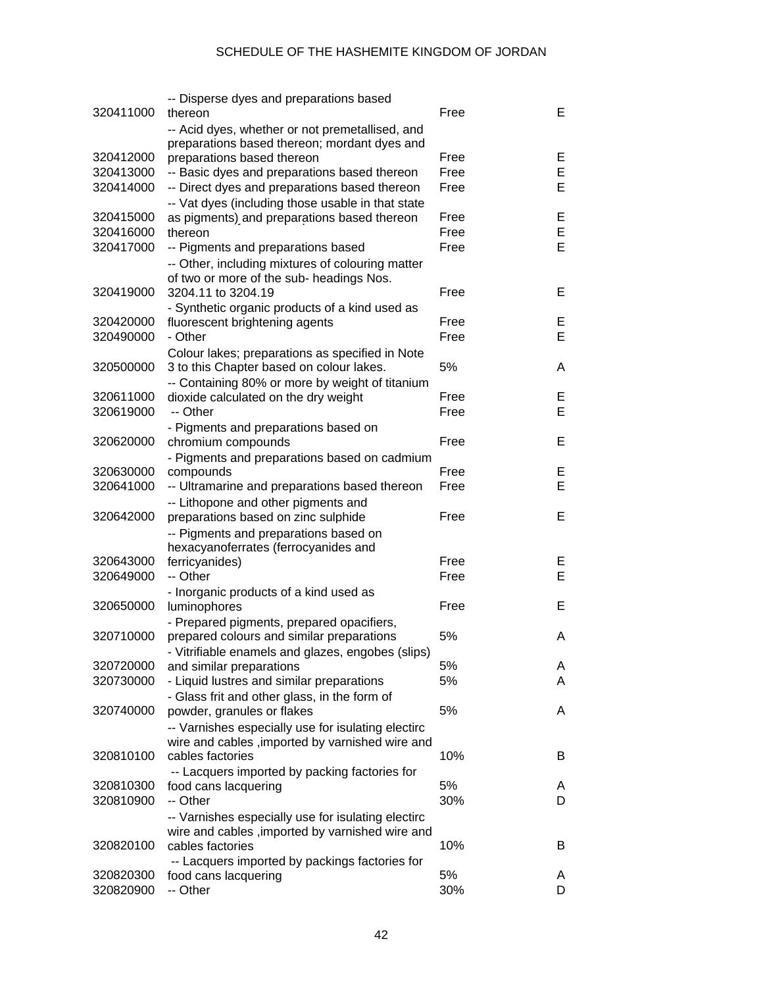|           | -- Disperse dyes and preparations based            |      |    |
|-----------|----------------------------------------------------|------|----|
| 320411000 | thereon                                            | Free | E. |
|           | -- Acid dyes, whether or not premetallised, and    |      |    |
|           | preparations based thereon; mordant dyes and       |      |    |
| 320412000 | preparations based thereon                         | Free | Ε  |
| 320413000 | -- Basic dyes and preparations based thereon       | Free | Е  |
| 320414000 | -- Direct dyes and preparations based thereon      | Free | Е  |
|           | -- Vat dyes (including those usable in that state  |      |    |
| 320415000 | as pigments) and preparations based thereon        | Free | E  |
| 320416000 | thereon                                            | Free | E  |
| 320417000 | -- Pigments and preparations based                 | Free | Е  |
|           | -- Other, including mixtures of colouring matter   |      |    |
|           | of two or more of the sub- headings Nos.           |      |    |
| 320419000 | 3204.11 to 3204.19                                 | Free | E. |
|           | - Synthetic organic products of a kind used as     |      |    |
| 320420000 | fluorescent brightening agents                     | Free | E, |
| 320490000 | - Other                                            | Free | Е  |
|           |                                                    |      |    |
|           | Colour lakes; preparations as specified in Note    | 5%   |    |
| 320500000 | 3 to this Chapter based on colour lakes.           |      | A  |
|           | -- Containing 80% or more by weight of titanium    |      |    |
| 320611000 | dioxide calculated on the dry weight               | Free | Е  |
| 320619000 | -- Other                                           | Free | E  |
|           | - Pigments and preparations based on               |      |    |
| 320620000 | chromium compounds                                 | Free | Е  |
|           | - Pigments and preparations based on cadmium       |      |    |
| 320630000 | compounds                                          | Free | E, |
| 320641000 | -- Ultramarine and preparations based thereon      | Free | E  |
|           | -- Lithopone and other pigments and                |      |    |
| 320642000 | preparations based on zinc sulphide                | Free | Е  |
|           | -- Pigments and preparations based on              |      |    |
|           | hexacyanoferrates (ferrocyanides and               |      |    |
| 320643000 | ferricyanides)                                     | Free | Е  |
| 320649000 | -- Other                                           | Free | Е  |
|           | - Inorganic products of a kind used as             |      |    |
| 320650000 | luminophores                                       | Free | Е  |
|           | - Prepared pigments, prepared opacifiers,          |      |    |
| 320710000 | prepared colours and similar preparations          | 5%   | A  |
|           | Vitrifiable enamels and glazes, engobes (slips)    |      |    |
| 320720000 | and similar preparations                           | 5%   | A  |
| 320730000 | - Liquid lustres and similar preparations          | 5%   | A  |
|           | - Glass frit and other glass, in the form of       |      |    |
| 320740000 | powder, granules or flakes                         | 5%   | A  |
|           | -- Varnishes especially use for isulating electirc |      |    |
|           | wire and cables, imported by varnished wire and    |      |    |
| 320810100 | cables factories                                   | 10%  | B  |
|           |                                                    |      |    |
|           | -- Lacquers imported by packing factories for      | 5%   |    |
| 320810300 | food cans lacquering                               |      | A  |
| 320810900 | -- Other                                           | 30%  | D  |
|           | -- Varnishes especially use for isulating electirc |      |    |
|           | wire and cables, imported by varnished wire and    |      |    |
| 320820100 | cables factories                                   | 10%  | B  |
|           | -- Lacquers imported by packings factories for     |      |    |
| 320820300 | food cans lacquering                               | 5%   | A  |
| 320820900 | -- Other                                           | 30%  | D  |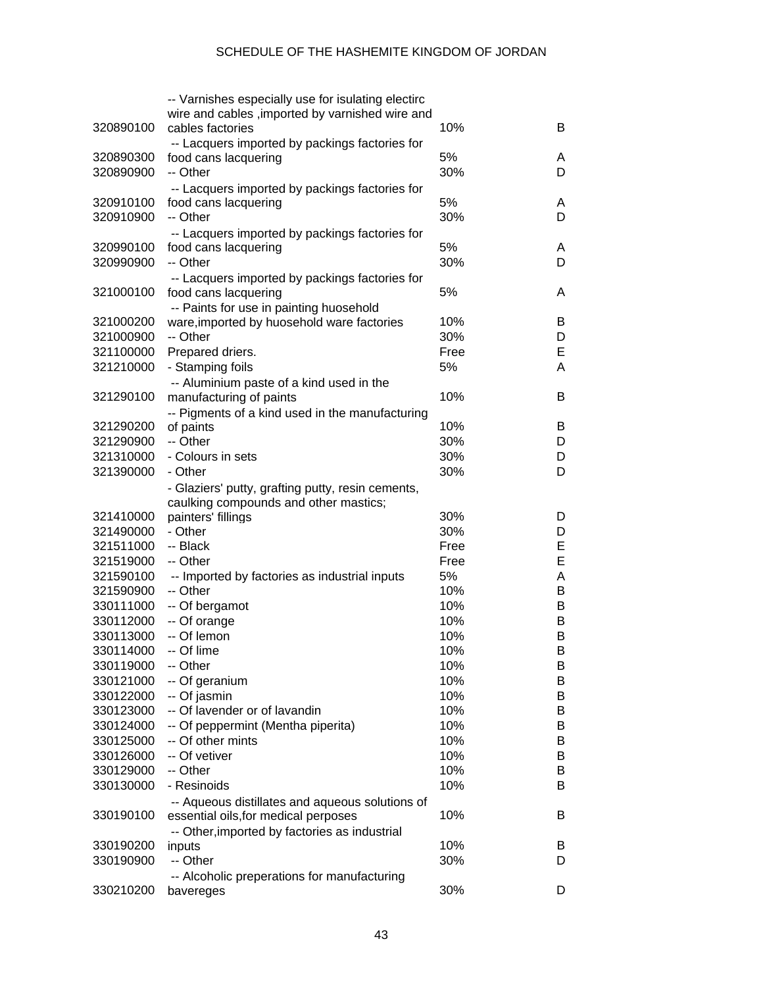|                        | -- Varnishes especially use for isulating electirc      |      |        |
|------------------------|---------------------------------------------------------|------|--------|
|                        | wire and cables , imported by varnished wire and        |      |        |
| 320890100              | cables factories                                        | 10%  | B      |
|                        | -- Lacquers imported by packings factories for          |      |        |
| 320890300              | food cans lacquering                                    | 5%   | A      |
| 320890900              | -- Other                                                | 30%  | D      |
|                        | -- Lacquers imported by packings factories for          |      |        |
| 320910100              | food cans lacquering                                    | 5%   | A      |
| 320910900              | -- Other                                                | 30%  | D      |
|                        | -- Lacquers imported by packings factories for          |      |        |
| 320990100              | food cans lacquering                                    | 5%   | A      |
| 320990900              | -- Other                                                | 30%  | D      |
|                        | -- Lacquers imported by packings factories for          |      |        |
| 321000100              | food cans lacquering                                    | 5%   | A      |
|                        | -- Paints for use in painting huosehold                 |      |        |
| 321000200              | ware, imported by huosehold ware factories              | 10%  | B      |
| 321000900              | -- Other                                                | 30%  | D      |
| 321100000              | Prepared driers.                                        | Free | Е      |
| 321210000              | - Stamping foils                                        | 5%   | A      |
|                        | -- Aluminium paste of a kind used in the                |      |        |
| 321290100              | manufacturing of paints                                 | 10%  | B      |
|                        | -- Pigments of a kind used in the manufacturing         |      |        |
| 321290200              | of paints                                               | 10%  | B      |
| 321290900              | -- Other                                                | 30%  | D      |
| 321310000              | - Colours in sets                                       | 30%  | D      |
| 321390000              | - Other                                                 | 30%  | D      |
|                        | - Glaziers' putty, grafting putty, resin cements,       |      |        |
|                        | caulking compounds and other mastics;                   |      |        |
| 321410000              | painters' fillings                                      | 30%  | D      |
| 321490000              | - Other                                                 | 30%  | D      |
| 321511000              | -- Black                                                | Free | E      |
| 321519000              | -- Other                                                | Free | E      |
| 321590100              | -- Imported by factories as industrial inputs           | 5%   | Α      |
| 321590900              | -- Other                                                | 10%  | B      |
| 330111000              | -- Of bergamot                                          | 10%  | B      |
| 330112000              | -- Of orange                                            | 10%  | B      |
| 330113000              | -- Of lemon                                             | 10%  | В      |
| 330114000              | -- Of lime                                              | 10%  | В      |
| 330119000              | -- Other                                                | 10%  |        |
| 330121000              | -- Of geranium                                          | 10%  | В<br>B |
| 330122000              | -- Of jasmin                                            | 10%  | B      |
|                        | -- Of lavender or of lavandin                           | 10%  |        |
| 330123000              |                                                         | 10%  | B      |
| 330124000<br>330125000 | -- Of peppermint (Mentha piperita)<br>-- Of other mints | 10%  | B      |
|                        |                                                         |      | B      |
| 330126000              | -- Of vetiver                                           | 10%  | B      |
| 330129000              | -- Other                                                | 10%  | B      |
| 330130000              | - Resinoids                                             | 10%  | B      |
|                        | -- Aqueous distillates and aqueous solutions of         |      |        |
| 330190100              | essential oils, for medical perposes                    | 10%  | B      |
|                        | -- Other, imported by factories as industrial           |      |        |
| 330190200              | inputs                                                  | 10%  | В      |
| 330190900              | -- Other                                                | 30%  | D      |
|                        | -- Alcoholic preperations for manufacturing             |      |        |
| 330210200              | bavereges                                               | 30%  | D      |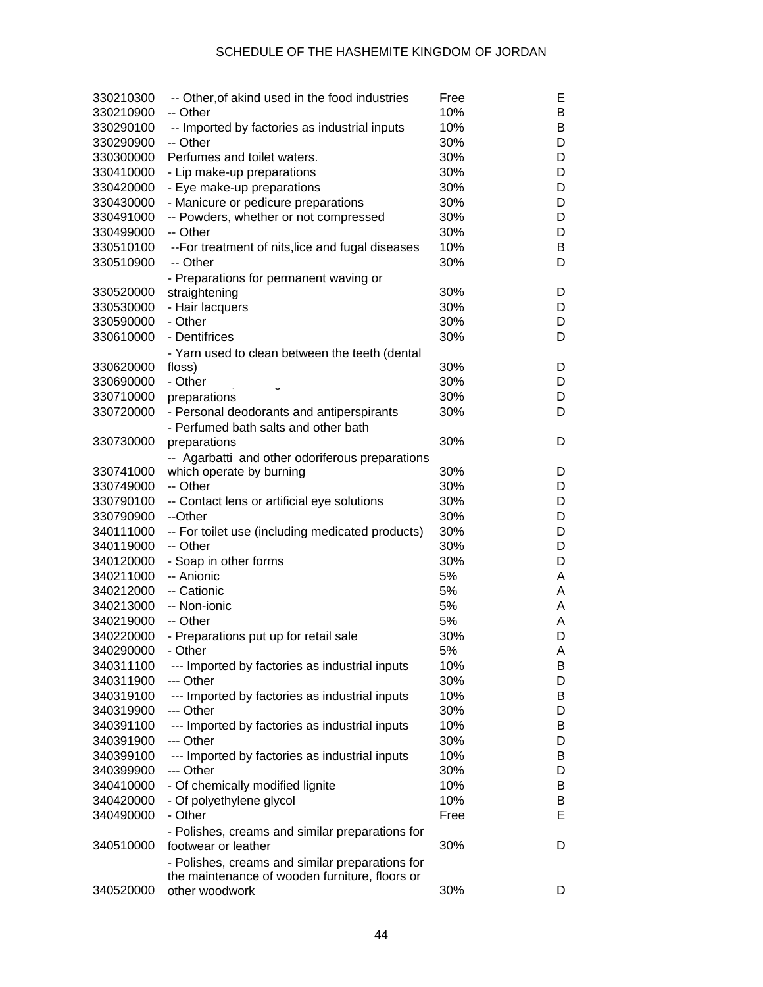| 330210300 | -- Other, of akind used in the food industries           | Free | Е |
|-----------|----------------------------------------------------------|------|---|
| 330210900 | -- Other                                                 | 10%  | B |
| 330290100 | -- Imported by factories as industrial inputs            | 10%  | B |
| 330290900 | -- Other                                                 | 30%  | D |
| 330300000 | Perfumes and toilet waters.                              | 30%  | D |
| 330410000 | - Lip make-up preparations                               | 30%  | D |
| 330420000 | - Eye make-up preparations                               | 30%  | D |
| 330430000 | - Manicure or pedicure preparations                      | 30%  | D |
| 330491000 | -- Powders, whether or not compressed                    | 30%  | D |
| 330499000 | -- Other                                                 | 30%  | D |
| 330510100 | --For treatment of nits, lice and fugal diseases         | 10%  | B |
| 330510900 | -- Other                                                 | 30%  | D |
|           | - Preparations for permanent waving or                   |      |   |
| 330520000 | straightening                                            | 30%  | D |
| 330530000 | - Hair lacquers                                          | 30%  | D |
| 330590000 | - Other                                                  | 30%  | D |
| 330610000 | - Dentifrices                                            | 30%  | D |
|           |                                                          |      |   |
| 330620000 | - Yarn used to clean between the teeth (dental<br>floss) | 30%  | D |
| 330690000 | - Other                                                  | 30%  | D |
| 330710000 |                                                          | 30%  | D |
|           | preparations                                             |      |   |
| 330720000 | - Personal deodorants and antiperspirants                | 30%  | D |
|           | - Perfumed bath salts and other bath                     |      |   |
| 330730000 | preparations                                             | 30%  | D |
|           | -- Agarbatti and other odoriferous preparations          |      |   |
| 330741000 | which operate by burning                                 | 30%  | D |
| 330749000 | -- Other                                                 | 30%  | D |
| 330790100 | -- Contact lens or artificial eye solutions              | 30%  | D |
| 330790900 | --Other                                                  | 30%  | D |
| 340111000 | -- For toilet use (including medicated products)         | 30%  | D |
| 340119000 | -- Other                                                 | 30%  | D |
| 340120000 | - Soap in other forms                                    | 30%  | D |
| 340211000 | -- Anionic                                               | 5%   | A |
| 340212000 | -- Cationic                                              | 5%   | A |
| 340213000 | -- Non-ionic                                             | 5%   | A |
| 340219000 | -- Other                                                 | 5%   | A |
| 340220000 | - Preparations put up for retail sale                    | 30%  | D |
| 340290000 | - Other                                                  | 5%   | А |
| 340311100 | --- Imported by factories as industrial inputs           | 10%  | В |
| 340311900 | --- Other                                                | 30%  | D |
| 340319100 | --- Imported by factories as industrial inputs           | 10%  | B |
| 340319900 | --- Other                                                | 30%  | D |
| 340391100 | --- Imported by factories as industrial inputs           | 10%  | B |
| 340391900 | --- Other                                                | 30%  | D |
| 340399100 | --- Imported by factories as industrial inputs           | 10%  | B |
| 340399900 | --- Other                                                | 30%  | D |
| 340410000 | - Of chemically modified lignite                         | 10%  | B |
| 340420000 | - Of polyethylene glycol                                 | 10%  | B |
| 340490000 | - Other                                                  | Free | Е |
|           | - Polishes, creams and similar preparations for          |      |   |
| 340510000 | footwear or leather                                      | 30%  | D |
|           | - Polishes, creams and similar preparations for          |      |   |
|           | the maintenance of wooden furniture, floors or           |      |   |
| 340520000 | other woodwork                                           | 30%  | D |
|           |                                                          |      |   |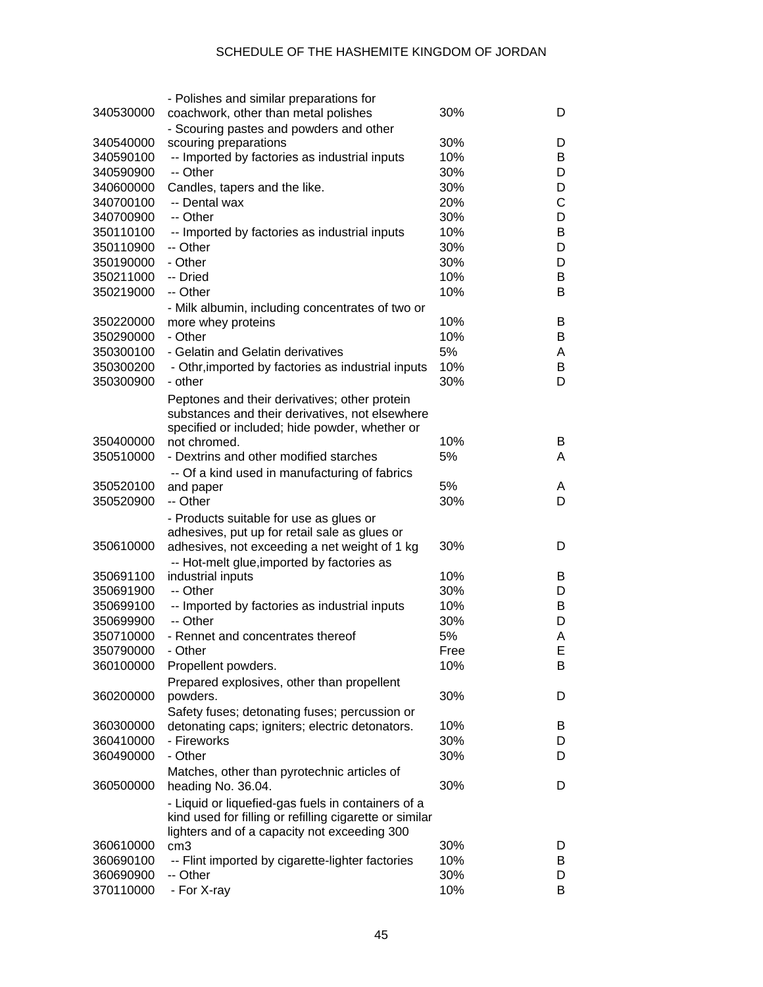|           | - Polishes and similar preparations for                 |      |   |
|-----------|---------------------------------------------------------|------|---|
| 340530000 | coachwork, other than metal polishes                    | 30%  | D |
|           | - Scouring pastes and powders and other                 |      |   |
| 340540000 | scouring preparations                                   | 30%  | D |
| 340590100 | -- Imported by factories as industrial inputs           | 10%  | В |
| 340590900 | -- Other                                                | 30%  | D |
| 340600000 | Candles, tapers and the like.                           | 30%  | D |
| 340700100 | -- Dental wax                                           | 20%  | С |
|           |                                                         |      |   |
| 340700900 | -- Other                                                | 30%  | D |
| 350110100 | -- Imported by factories as industrial inputs           | 10%  | В |
| 350110900 | -- Other                                                | 30%  | D |
| 350190000 | - Other                                                 | 30%  | D |
| 350211000 | -- Dried                                                | 10%  | В |
| 350219000 | -- Other                                                | 10%  | Β |
|           | - Milk albumin, including concentrates of two or        |      |   |
| 350220000 | more whey proteins                                      | 10%  | В |
| 350290000 | - Other                                                 | 10%  | В |
| 350300100 | - Gelatin and Gelatin derivatives                       | 5%   | A |
| 350300200 | - Othr, imported by factories as industrial inputs      | 10%  | В |
| 350300900 | - other                                                 | 30%  | D |
|           |                                                         |      |   |
|           | Peptones and their derivatives; other protein           |      |   |
|           | substances and their derivatives, not elsewhere         |      |   |
|           | specified or included; hide powder, whether or          |      |   |
| 350400000 | not chromed.                                            | 10%  | B |
| 350510000 | - Dextrins and other modified starches                  | 5%   | A |
|           | -- Of a kind used in manufacturing of fabrics           |      |   |
| 350520100 | and paper                                               | 5%   | A |
| 350520900 | -- Other                                                | 30%  | D |
|           | - Products suitable for use as glues or                 |      |   |
|           | adhesives, put up for retail sale as glues or           |      |   |
| 350610000 | adhesives, not exceeding a net weight of 1 kg           | 30%  | D |
|           | -- Hot-melt glue, imported by factories as              |      |   |
| 350691100 | industrial inputs                                       | 10%  | В |
| 350691900 | -- Other                                                | 30%  | D |
| 350699100 | -- Imported by factories as industrial inputs           | 10%  | B |
| 350699900 | -- Other                                                | 30%  | D |
|           |                                                         |      |   |
| 350710000 | - Rennet and concentrates thereof                       | 5%   | Α |
| 350790000 | - Other                                                 | Free | E |
| 360100000 | Propellent powders.                                     | 10%  | в |
|           | Prepared explosives, other than propellent              |      |   |
| 360200000 | powders.                                                | 30%  | D |
|           | Safety fuses; detonating fuses; percussion or           |      |   |
| 360300000 | detonating caps; igniters; electric detonators.         | 10%  | B |
| 360410000 | - Fireworks                                             | 30%  | D |
| 360490000 | - Other                                                 | 30%  | D |
|           | Matches, other than pyrotechnic articles of             |      |   |
| 360500000 | heading No. 36.04.                                      | 30%  | D |
|           |                                                         |      |   |
|           | - Liquid or liquefied-gas fuels in containers of a      |      |   |
|           | kind used for filling or refilling cigarette or similar |      |   |
|           | lighters and of a capacity not exceeding 300            | 30%  |   |
| 360610000 | cm <sub>3</sub>                                         |      | D |
| 360690100 | -- Flint imported by cigarette-lighter factories        | 10%  | B |
| 360690900 | -- Other                                                | 30%  | D |
| 370110000 | - For X-ray                                             | 10%  | В |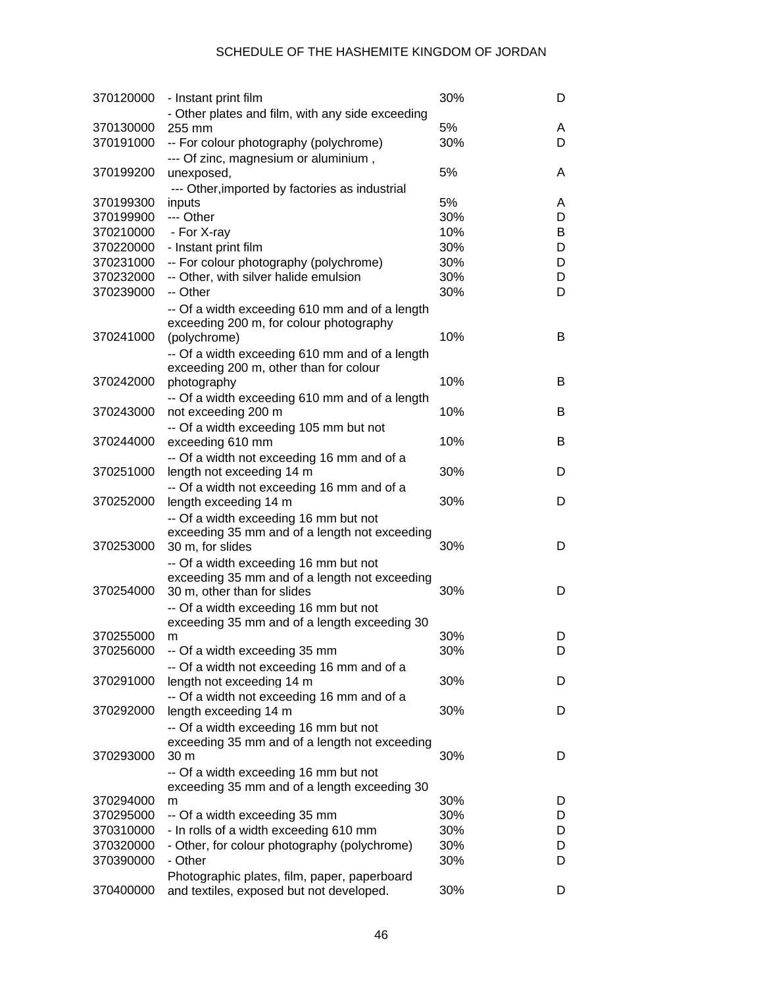| 370120000              | - Instant print film                                                            | 30%        | D      |
|------------------------|---------------------------------------------------------------------------------|------------|--------|
|                        | - Other plates and film, with any side exceeding                                |            |        |
| 370130000              | 255 mm                                                                          | 5%         | A      |
| 370191000              | -- For colour photography (polychrome)                                          | 30%        | D      |
|                        | --- Of zinc, magnesium or aluminium,                                            |            |        |
| 370199200              | unexposed,                                                                      | 5%         | A      |
|                        | --- Other, imported by factories as industrial                                  |            |        |
| 370199300              | inputs                                                                          | 5%         | A      |
| 370199900              | --- Other                                                                       | 30%        | D      |
| 370210000              | - For X-ray                                                                     | 10%        | B      |
| 370220000              | - Instant print film                                                            | 30%        | D      |
| 370231000<br>370232000 | -- For colour photography (polychrome)<br>-- Other, with silver halide emulsion | 30%<br>30% | D<br>D |
| 370239000              | -- Other                                                                        | 30%        | D      |
|                        |                                                                                 |            |        |
|                        | -- Of a width exceeding 610 mm and of a length                                  |            |        |
| 370241000              | exceeding 200 m, for colour photography<br>(polychrome)                         | 10%        | B      |
|                        | -- Of a width exceeding 610 mm and of a length                                  |            |        |
|                        | exceeding 200 m, other than for colour                                          |            |        |
| 370242000              | photography                                                                     | 10%        | B      |
|                        | -- Of a width exceeding 610 mm and of a length                                  |            |        |
| 370243000              | not exceeding 200 m                                                             | 10%        | B      |
|                        | -- Of a width exceeding 105 mm but not                                          |            |        |
| 370244000              | exceeding 610 mm                                                                | 10%        | B      |
|                        | -- Of a width not exceeding 16 mm and of a                                      |            |        |
| 370251000              | length not exceeding 14 m                                                       | 30%        | D      |
|                        | -- Of a width not exceeding 16 mm and of a                                      |            |        |
| 370252000              | length exceeding 14 m                                                           | 30%        | D      |
|                        | -- Of a width exceeding 16 mm but not                                           |            |        |
|                        | exceeding 35 mm and of a length not exceeding                                   |            |        |
| 370253000              | 30 m, for slides                                                                | 30%        | D      |
|                        | -- Of a width exceeding 16 mm but not                                           |            |        |
|                        | exceeding 35 mm and of a length not exceeding                                   |            |        |
| 370254000              | 30 m, other than for slides                                                     | 30%        | D      |
|                        | -- Of a width exceeding 16 mm but not                                           |            |        |
|                        | exceeding 35 mm and of a length exceeding 30                                    |            |        |
| 370255000              | m                                                                               | 30%        | D      |
| 370256000              | -- Of a width exceeding 35 mm                                                   | 30%        | D      |
|                        | -- Of a width not exceeding 16 mm and of a                                      |            |        |
| 370291000              | length not exceeding 14 m                                                       | 30%        | D      |
|                        | -- Of a width not exceeding 16 mm and of a                                      | 30%        |        |
| 370292000              | length exceeding 14 m                                                           |            | D      |
|                        | -- Of a width exceeding 16 mm but not                                           |            |        |
| 370293000              | exceeding 35 mm and of a length not exceeding<br>30 <sub>m</sub>                | 30%        | D      |
|                        | -- Of a width exceeding 16 mm but not                                           |            |        |
|                        | exceeding 35 mm and of a length exceeding 30                                    |            |        |
| 370294000              | m                                                                               | 30%        | D      |
| 370295000              | -- Of a width exceeding 35 mm                                                   | 30%        | D      |
| 370310000              | - In rolls of a width exceeding 610 mm                                          | 30%        | D      |
| 370320000              | - Other, for colour photography (polychrome)                                    | 30%        | D      |
| 370390000              | - Other                                                                         | 30%        | D      |
|                        | Photographic plates, film, paper, paperboard                                    |            |        |
| 370400000              | and textiles, exposed but not developed.                                        | 30%        | D      |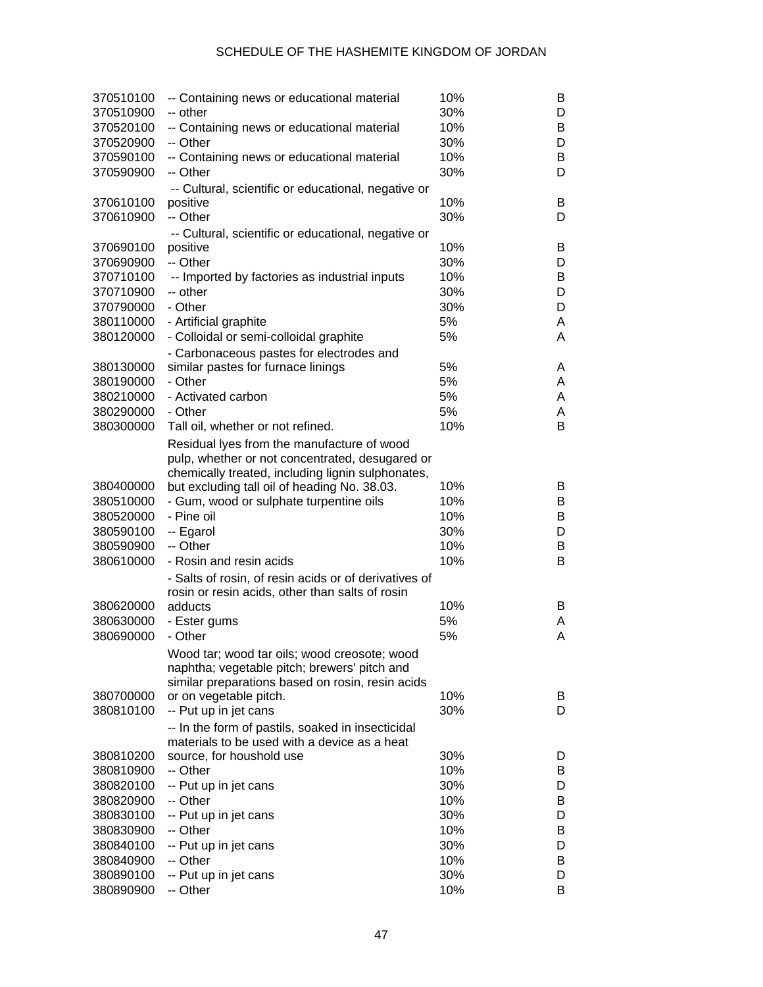| 370510100<br>370510900 | -- Containing news or educational material<br>-- other | 10%<br>30% | B<br>D |
|------------------------|--------------------------------------------------------|------------|--------|
| 370520100              | -- Containing news or educational material             | 10%        | B      |
| 370520900              | -- Other                                               | 30%        | D      |
| 370590100              | -- Containing news or educational material             | 10%        | В      |
| 370590900              | -- Other                                               | 30%        | D      |
|                        | -- Cultural, scientific or educational, negative or    |            |        |
| 370610100              | positive                                               | 10%        | B      |
| 370610900              | -- Other                                               | 30%        | D      |
|                        | -- Cultural, scientific or educational, negative or    |            |        |
| 370690100              | positive                                               | 10%        | В      |
| 370690900              | -- Other                                               | 30%        | D      |
| 370710100              | -- Imported by factories as industrial inputs          | 10%        | В      |
| 370710900              | -- other                                               | 30%        | D      |
| 370790000              | - Other                                                | 30%        | D      |
| 380110000              | - Artificial graphite                                  | 5%         | A      |
| 380120000              | - Colloidal or semi-colloidal graphite                 | 5%         | A      |
|                        | - Carbonaceous pastes for electrodes and               |            |        |
| 380130000              | similar pastes for furnace linings                     | 5%         | A      |
| 380190000              | - Other                                                | 5%         | A      |
| 380210000              | - Activated carbon                                     | 5%         | A      |
| 380290000              | - Other                                                | 5%         | A      |
| 380300000              | Tall oil, whether or not refined.                      | 10%        | B      |
|                        | Residual lyes from the manufacture of wood             |            |        |
|                        | pulp, whether or not concentrated, desugared or        |            |        |
|                        | chemically treated, including lignin sulphonates,      |            |        |
| 380400000              | but excluding tall oil of heading No. 38.03.           | 10%        | B      |
| 380510000              | - Gum, wood or sulphate turpentine oils                | 10%        | B      |
| 380520000              | - Pine oil                                             | 10%        | В      |
| 380590100              | -- Egarol                                              | 30%        | D      |
| 380590900              | -- Other                                               | 10%        | В      |
| 380610000              | - Rosin and resin acids                                | 10%        | B      |
|                        | - Salts of rosin, of resin acids or of derivatives of  |            |        |
|                        | rosin or resin acids, other than salts of rosin        |            |        |
| 380620000              | adducts                                                | 10%        | B      |
| 380630000              | - Ester gums                                           | 5%         | A      |
| 380690000              | - Other                                                | 5%         | A      |
|                        | Wood tar; wood tar oils; wood creosote; wood           |            |        |
|                        | naphtha; vegetable pitch; brewers' pitch and           |            |        |
|                        | similar preparations based on rosin, resin acids       |            |        |
| 380700000              | or on vegetable pitch.                                 | 10%        | B      |
| 380810100              | -- Put up in jet cans                                  | 30%        | D      |
|                        | -- In the form of pastils, soaked in insecticidal      |            |        |
|                        | materials to be used with a device as a heat           |            |        |
| 380810200              | source, for houshold use                               | 30%        | D      |
| 380810900              | -- Other                                               | 10%        | B      |
| 380820100              | -- Put up in jet cans                                  | 30%        | D      |
| 380820900              | -- Other                                               | 10%        | B      |
| 380830100              | -- Put up in jet cans                                  | 30%        | D      |
| 380830900              | -- Other                                               | 10%        | B      |
| 380840100              | -- Put up in jet cans                                  | 30%        | D      |
| 380840900              | -- Other                                               | 10%        | B      |
| 380890100              | -- Put up in jet cans                                  | 30%        | D      |
| 380890900              | -- Other                                               | 10%        | В      |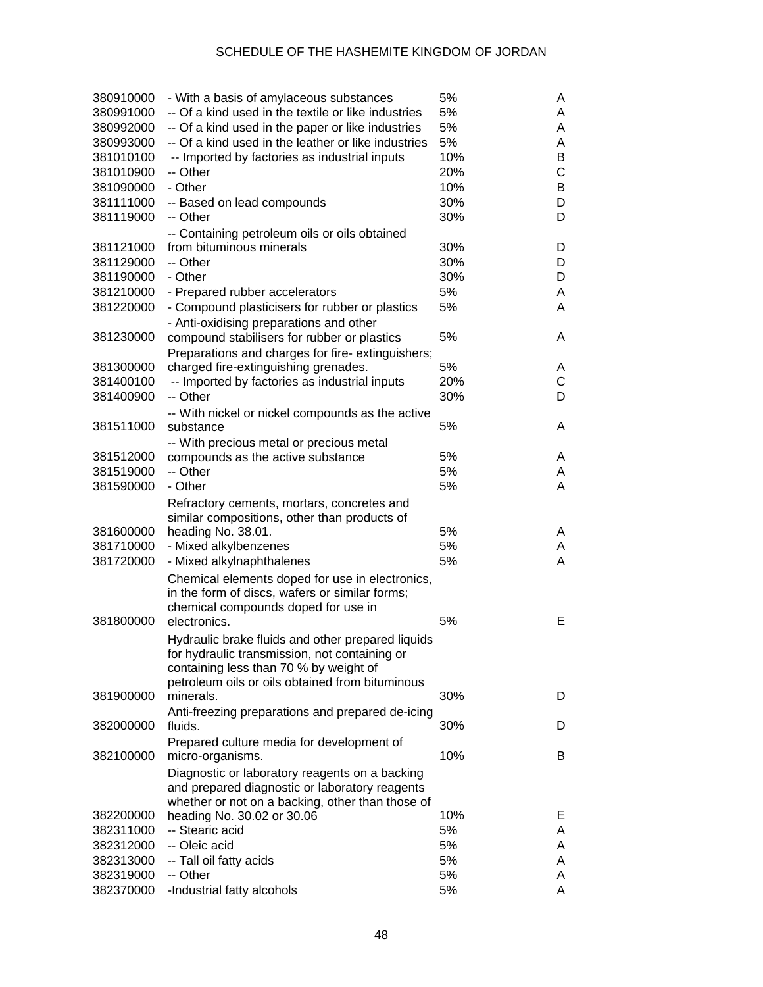| 380910000 | - With a basis of amylaceous substances                                                          | 5%  | A |
|-----------|--------------------------------------------------------------------------------------------------|-----|---|
| 380991000 | -- Of a kind used in the textile or like industries                                              | 5%  | A |
| 380992000 | -- Of a kind used in the paper or like industries                                                | 5%  | Α |
| 380993000 | -- Of a kind used in the leather or like industries                                              | 5%  | Α |
| 381010100 | -- Imported by factories as industrial inputs                                                    | 10% | B |
| 381010900 | -- Other                                                                                         | 20% | C |
| 381090000 | - Other                                                                                          | 10% | В |
| 381111000 | -- Based on lead compounds                                                                       | 30% | D |
| 381119000 | -- Other                                                                                         | 30% | D |
|           | -- Containing petroleum oils or oils obtained                                                    |     |   |
| 381121000 | from bituminous minerals                                                                         | 30% | D |
| 381129000 | -- Other                                                                                         | 30% | D |
| 381190000 | - Other                                                                                          | 30% | D |
| 381210000 | - Prepared rubber accelerators                                                                   | 5%  | Α |
| 381220000 | - Compound plasticisers for rubber or plastics                                                   | 5%  | Α |
|           |                                                                                                  |     |   |
| 381230000 | - Anti-oxidising preparations and other                                                          | 5%  | A |
|           | compound stabilisers for rubber or plastics                                                      |     |   |
|           | Preparations and charges for fire-extinguishers;                                                 |     |   |
| 381300000 | charged fire-extinguishing grenades.                                                             | 5%  | A |
| 381400100 | -- Imported by factories as industrial inputs                                                    | 20% | C |
| 381400900 | -- Other                                                                                         | 30% | D |
|           | -- With nickel or nickel compounds as the active                                                 |     |   |
| 381511000 | substance                                                                                        | 5%  | A |
|           | -- With precious metal or precious metal                                                         |     |   |
| 381512000 | compounds as the active substance                                                                | 5%  | A |
| 381519000 | -- Other                                                                                         | 5%  | A |
| 381590000 | - Other                                                                                          | 5%  | Α |
|           | Refractory cements, mortars, concretes and                                                       |     |   |
|           | similar compositions, other than products of                                                     |     |   |
| 381600000 | heading No. 38.01.                                                                               | 5%  | A |
| 381710000 | - Mixed alkylbenzenes                                                                            | 5%  | A |
| 381720000 | - Mixed alkylnaphthalenes                                                                        | 5%  | Α |
|           | Chemical elements doped for use in electronics,                                                  |     |   |
|           | in the form of discs, wafers or similar forms;                                                   |     |   |
|           | chemical compounds doped for use in                                                              |     |   |
| 381800000 | electronics.                                                                                     | 5%  | Е |
|           | Hydraulic brake fluids and other prepared liquids                                                |     |   |
|           | for hydraulic transmission, not containing or                                                    |     |   |
|           | containing less than 70 % by weight of                                                           |     |   |
|           | petroleum oils or oils obtained from bituminous                                                  |     |   |
| 381900000 | minerals.                                                                                        | 30% | D |
|           | Anti-freezing preparations and prepared de-icing                                                 |     |   |
| 382000000 | fluids.                                                                                          | 30% | D |
|           | Prepared culture media for development of                                                        |     |   |
| 382100000 | micro-organisms.                                                                                 | 10% | B |
|           |                                                                                                  |     |   |
|           | Diagnostic or laboratory reagents on a backing<br>and prepared diagnostic or laboratory reagents |     |   |
|           | whether or not on a backing, other than those of                                                 |     |   |
| 382200000 | heading No. 30.02 or 30.06                                                                       | 10% | Е |
| 382311000 | -- Stearic acid                                                                                  | 5%  | A |
| 382312000 | -- Oleic acid                                                                                    | 5%  | A |
| 382313000 | -- Tall oil fatty acids                                                                          | 5%  | A |
| 382319000 | -- Other                                                                                         | 5%  | A |
|           |                                                                                                  |     |   |
| 382370000 | -Industrial fatty alcohols                                                                       | 5%  | A |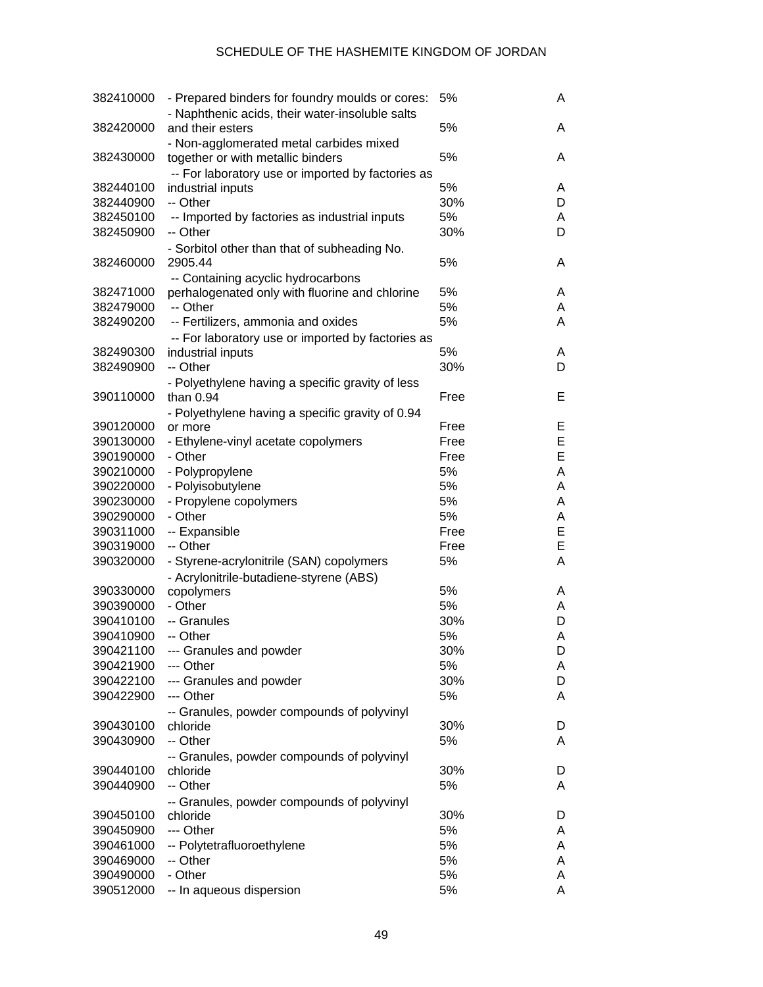| 382410000 | - Prepared binders for foundry moulds or cores:<br>- Naphthenic acids, their water-insoluble salts | 5%   | A |
|-----------|----------------------------------------------------------------------------------------------------|------|---|
| 382420000 | and their esters                                                                                   | 5%   | A |
|           | - Non-agglomerated metal carbides mixed                                                            |      |   |
| 382430000 | together or with metallic binders                                                                  | 5%   | A |
| 382440100 | -- For laboratory use or imported by factories as                                                  | 5%   | A |
| 382440900 | industrial inputs<br>-- Other                                                                      | 30%  | D |
| 382450100 | -- Imported by factories as industrial inputs                                                      | 5%   | A |
| 382450900 | -- Other                                                                                           | 30%  | D |
|           | - Sorbitol other than that of subheading No.                                                       |      |   |
| 382460000 | 2905.44                                                                                            | 5%   | A |
|           | -- Containing acyclic hydrocarbons                                                                 |      |   |
| 382471000 | perhalogenated only with fluorine and chlorine                                                     | 5%   | A |
| 382479000 | -- Other                                                                                           | 5%   | A |
| 382490200 | -- Fertilizers, ammonia and oxides                                                                 | 5%   | A |
|           | -- For laboratory use or imported by factories as                                                  |      |   |
| 382490300 | industrial inputs                                                                                  | 5%   | A |
| 382490900 | -- Other                                                                                           | 30%  | D |
|           | - Polyethylene having a specific gravity of less                                                   |      |   |
| 390110000 | than $0.94$                                                                                        | Free | Е |
|           | - Polyethylene having a specific gravity of 0.94                                                   |      |   |
| 390120000 | or more                                                                                            | Free | Е |
| 390130000 | - Ethylene-vinyl acetate copolymers                                                                | Free | Е |
| 390190000 | - Other                                                                                            | Free | E |
| 390210000 | - Polypropylene                                                                                    | 5%   | A |
| 390220000 | - Polyisobutylene                                                                                  | 5%   | A |
| 390230000 | - Propylene copolymers                                                                             | 5%   | A |
| 390290000 | - Other                                                                                            | 5%   | A |
| 390311000 | -- Expansible                                                                                      | Free | Е |
| 390319000 | -- Other                                                                                           | Free | Е |
| 390320000 | - Styrene-acrylonitrile (SAN) copolymers                                                           | 5%   | A |
|           | - Acrylonitrile-butadiene-styrene (ABS)                                                            |      |   |
| 390330000 | copolymers                                                                                         | 5%   | A |
| 390390000 | - Other                                                                                            | 5%   | A |
| 390410100 | -- Granules                                                                                        | 30%  | D |
| 390410900 | -- Other                                                                                           | 5%   | A |
| 390421100 | --- Granules and powder                                                                            | 30%  | D |
| 390421900 | --- Other                                                                                          | 5%   | A |
| 390422100 | --- Granules and powder                                                                            | 30%  | D |
| 390422900 | --- Other                                                                                          | 5%   | A |
|           | -- Granules, powder compounds of polyvinyl                                                         |      |   |
| 390430100 | chloride                                                                                           | 30%  | D |
| 390430900 | -- Other                                                                                           | 5%   | A |
|           | -- Granules, powder compounds of polyvinyl                                                         |      |   |
| 390440100 | chloride                                                                                           | 30%  | D |
| 390440900 | -- Other                                                                                           | 5%   | A |
|           | -- Granules, powder compounds of polyvinyl                                                         |      |   |
| 390450100 | chloride                                                                                           | 30%  | D |
| 390450900 | --- Other                                                                                          | 5%   | A |
| 390461000 | -- Polytetrafluoroethylene                                                                         | 5%   | A |
| 390469000 | -- Other                                                                                           | 5%   | A |
| 390490000 | - Other                                                                                            | 5%   | A |
| 390512000 | -- In aqueous dispersion                                                                           | 5%   | A |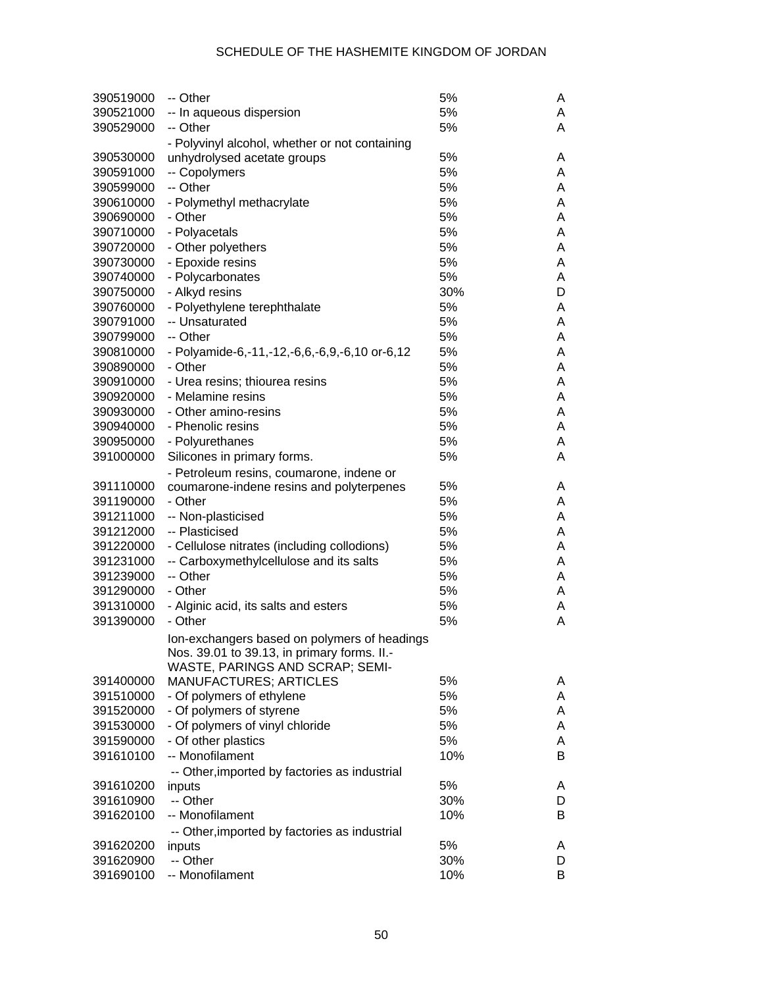| 390519000 | -- Other                                       | 5%  | A |
|-----------|------------------------------------------------|-----|---|
| 390521000 | -- In aqueous dispersion                       | 5%  | A |
| 390529000 | -- Other                                       | 5%  | A |
|           | - Polyvinyl alcohol, whether or not containing |     |   |
| 390530000 | unhydrolysed acetate groups                    | 5%  | A |
| 390591000 | -- Copolymers                                  | 5%  | A |
| 390599000 | -- Other                                       | 5%  | A |
| 390610000 | - Polymethyl methacrylate                      | 5%  | A |
| 390690000 | - Other                                        | 5%  | A |
| 390710000 | - Polyacetals                                  | 5%  | A |
| 390720000 | - Other polyethers                             | 5%  | A |
| 390730000 | - Epoxide resins                               | 5%  | A |
|           |                                                | 5%  | A |
| 390740000 | - Polycarbonates                               |     |   |
| 390750000 | - Alkyd resins                                 | 30% | D |
| 390760000 | - Polyethylene terephthalate                   | 5%  | A |
| 390791000 | -- Unsaturated                                 | 5%  | A |
| 390799000 | -- Other                                       | 5%  | A |
| 390810000 | - Polyamide-6,-11,-12,-6,6,-6,9,-6,10 or-6,12  | 5%  | A |
| 390890000 | - Other                                        | 5%  | A |
| 390910000 | - Urea resins; thiourea resins                 | 5%  | A |
| 390920000 | - Melamine resins                              | 5%  | A |
| 390930000 | - Other amino-resins                           | 5%  | A |
| 390940000 | - Phenolic resins                              | 5%  | A |
| 390950000 | - Polyurethanes                                | 5%  | A |
| 391000000 | Silicones in primary forms.                    | 5%  | A |
|           | - Petroleum resins, coumarone, indene or       |     |   |
| 391110000 | coumarone-indene resins and polyterpenes       | 5%  | A |
| 391190000 | - Other                                        | 5%  | A |
| 391211000 | -- Non-plasticised                             | 5%  | A |
| 391212000 | -- Plasticised                                 | 5%  | A |
| 391220000 | - Cellulose nitrates (including collodions)    | 5%  | A |
| 391231000 | -- Carboxymethylcellulose and its salts        | 5%  | A |
| 391239000 | -- Other                                       | 5%  | A |
| 391290000 | - Other                                        | 5%  | A |
| 391310000 | - Alginic acid, its salts and esters           | 5%  | A |
| 391390000 | - Other                                        | 5%  | A |
|           |                                                |     |   |
|           | Ion-exchangers based on polymers of headings   |     |   |
|           | Nos. 39.01 to 39.13, in primary forms. II.-    |     |   |
|           | WASTE, PARINGS AND SCRAP; SEMI-                |     |   |
| 391400000 | <b>MANUFACTURES; ARTICLES</b>                  | 5%  | A |
| 391510000 | - Of polymers of ethylene                      | 5%  | A |
| 391520000 | - Of polymers of styrene                       | 5%  | A |
| 391530000 | - Of polymers of vinyl chloride                | 5%  | A |
| 391590000 | - Of other plastics                            | 5%  | A |
| 391610100 | -- Monofilament                                | 10% | B |
|           | -- Other, imported by factories as industrial  |     |   |
| 391610200 | inputs                                         | 5%  | A |
| 391610900 | -- Other                                       | 30% | D |
| 391620100 | -- Monofilament                                | 10% | B |
|           | -- Other, imported by factories as industrial  |     |   |
| 391620200 | inputs                                         | 5%  | A |
| 391620900 | -- Other                                       | 30% | D |
| 391690100 | -- Monofilament                                | 10% | B |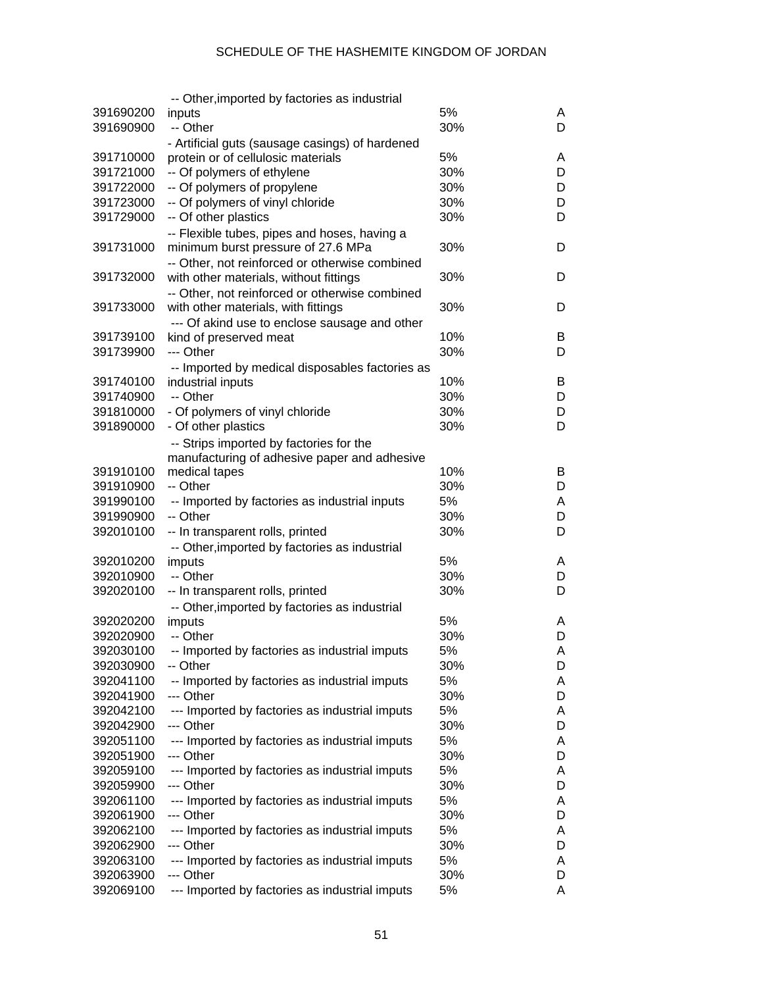|           | -- Other, imported by factories as industrial                 |     |   |
|-----------|---------------------------------------------------------------|-----|---|
| 391690200 | inputs                                                        | 5%  | A |
| 391690900 | -- Other                                                      | 30% | D |
|           | - Artificial guts (sausage casings) of hardened               |     |   |
| 391710000 | protein or of cellulosic materials                            | 5%  | A |
| 391721000 | -- Of polymers of ethylene                                    | 30% | D |
| 391722000 | -- Of polymers of propylene                                   | 30% | D |
| 391723000 | -- Of polymers of vinyl chloride                              | 30% | D |
| 391729000 | -- Of other plastics                                          | 30% | D |
|           | -- Flexible tubes, pipes and hoses, having a                  |     |   |
| 391731000 | minimum burst pressure of 27.6 MPa                            | 30% | D |
|           | -- Other, not reinforced or otherwise combined                |     |   |
| 391732000 | with other materials, without fittings                        | 30% | D |
|           | -- Other, not reinforced or otherwise combined                |     |   |
| 391733000 | with other materials, with fittings                           | 30% | D |
|           | --- Of akind use to enclose sausage and other                 |     |   |
| 391739100 | kind of preserved meat                                        | 10% | B |
| 391739900 | --- Other                                                     | 30% | D |
|           | -- Imported by medical disposables factories as               |     |   |
| 391740100 | industrial inputs                                             | 10% | B |
| 391740900 | -- Other                                                      | 30% | D |
| 391810000 | - Of polymers of vinyl chloride                               | 30% | D |
| 391890000 | - Of other plastics                                           | 30% | D |
|           |                                                               |     |   |
|           | -- Strips imported by factories for the                       |     |   |
| 391910100 | manufacturing of adhesive paper and adhesive<br>medical tapes | 10% | B |
| 391910900 | -- Other                                                      | 30% | D |
| 391990100 | -- Imported by factories as industrial inputs                 | 5%  | A |
| 391990900 | -- Other                                                      | 30% | D |
|           |                                                               |     |   |
| 392010100 | -- In transparent rolls, printed                              | 30% | D |
|           | -- Other, imported by factories as industrial                 | 5%  |   |
| 392010200 | imputs                                                        | 30% | A |
| 392010900 | -- Other                                                      |     | D |
| 392020100 | -- In transparent rolls, printed                              | 30% | D |
|           | -- Other, imported by factories as industrial                 |     |   |
| 392020200 | imputs                                                        | 5%  | A |
| 392020900 | -- Other                                                      | 30% | D |
| 392030100 | -- Imported by factories as industrial imputs                 | 5%  | Α |
| 392030900 | -- Other                                                      | 30% | D |
| 392041100 | -- Imported by factories as industrial imputs                 | 5%  | A |
| 392041900 | --- Other                                                     | 30% | D |
| 392042100 | --- Imported by factories as industrial imputs                | 5%  | A |
| 392042900 | --- Other                                                     | 30% | D |
| 392051100 | --- Imported by factories as industrial imputs                | 5%  | A |
| 392051900 | --- Other                                                     | 30% | D |
| 392059100 | --- Imported by factories as industrial imputs                | 5%  | A |
| 392059900 | --- Other                                                     | 30% | D |
| 392061100 | --- Imported by factories as industrial imputs                | 5%  | A |
| 392061900 | --- Other                                                     | 30% | D |
| 392062100 | --- Imported by factories as industrial imputs                | 5%  | A |
| 392062900 | --- Other                                                     | 30% | D |
| 392063100 | --- Imported by factories as industrial imputs                | 5%  | A |
| 392063900 | --- Other                                                     | 30% | D |
| 392069100 | --- Imported by factories as industrial imputs                | 5%  | A |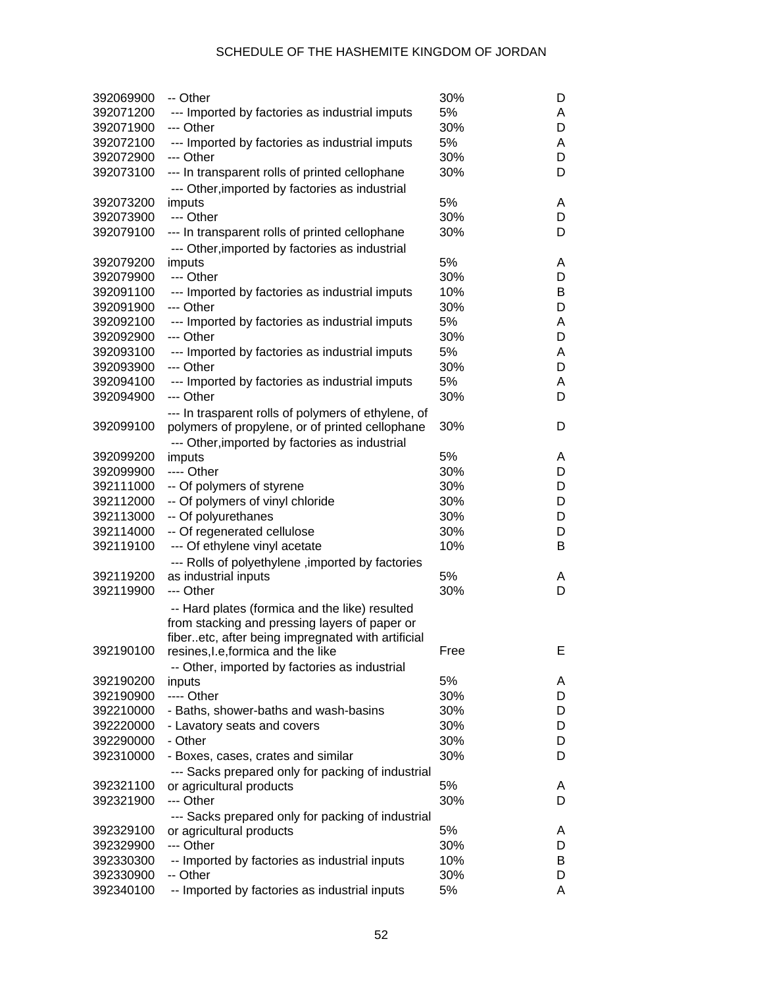| 392069900              | -- Other                                                                                         | 30%        | D      |
|------------------------|--------------------------------------------------------------------------------------------------|------------|--------|
| 392071200              | --- Imported by factories as industrial imputs                                                   | 5%         | A      |
| 392071900              | --- Other                                                                                        | 30%        | D      |
| 392072100              | --- Imported by factories as industrial imputs                                                   | 5%         | Α      |
| 392072900              | --- Other                                                                                        | 30%        | D      |
| 392073100              | --- In transparent rolls of printed cellophane                                                   | 30%        | D      |
|                        | --- Other, imported by factories as industrial                                                   |            |        |
| 392073200              | imputs                                                                                           | 5%         | A      |
| 392073900              | --- Other                                                                                        | 30%        | D      |
| 392079100              | --- In transparent rolls of printed cellophane<br>--- Other, imported by factories as industrial | 30%        | D      |
| 392079200              | imputs                                                                                           | 5%         | A      |
| 392079900              | --- Other                                                                                        | 30%        | D      |
| 392091100              | --- Imported by factories as industrial imputs                                                   | 10%        | B      |
| 392091900              | --- Other                                                                                        | 30%        | D      |
| 392092100              | --- Imported by factories as industrial imputs                                                   | 5%         | Α      |
| 392092900              | --- Other                                                                                        | 30%        | D      |
| 392093100              | --- Imported by factories as industrial imputs                                                   | 5%         | Α      |
| 392093900              | --- Other                                                                                        | 30%        | D      |
| 392094100              | --- Imported by factories as industrial imputs                                                   | 5%         | A      |
| 392094900              | --- Other                                                                                        | 30%        | D      |
|                        | --- In trasparent rolls of polymers of ethylene, of                                              |            |        |
| 392099100              | polymers of propylene, or of printed cellophane                                                  | 30%        | D      |
|                        | --- Other, imported by factories as industrial                                                   |            |        |
| 392099200              | imputs<br>---- Other                                                                             | 5%         | A      |
| 392099900              |                                                                                                  | 30%        | D      |
| 392111000<br>392112000 | -- Of polymers of styrene<br>-- Of polymers of vinyl chloride                                    | 30%<br>30% | D<br>D |
| 392113000              | -- Of polyurethanes                                                                              | 30%        | D      |
| 392114000              | -- Of regenerated cellulose                                                                      | 30%        | D      |
| 392119100              | --- Of ethylene vinyl acetate                                                                    | 10%        | B      |
|                        | --- Rolls of polyethylene, imported by factories                                                 |            |        |
| 392119200              | as industrial inputs                                                                             | 5%         | A      |
| 392119900              | --- Other                                                                                        | 30%        | D      |
|                        | -- Hard plates (formica and the like) resulted<br>from stacking and pressing layers of paper or  |            |        |
| 392190100              | fiberetc, after being impregnated with artificial<br>resines, I.e, formica and the like          | Free       | Е      |
|                        | -- Other, imported by factories as industrial                                                    |            |        |
| 392190200              | inputs                                                                                           | 5%         | A      |
| 392190900              | ---- Other                                                                                       | 30%        | D      |
| 392210000              | - Baths, shower-baths and wash-basins                                                            | 30%        | D      |
| 392220000              | - Lavatory seats and covers                                                                      | 30%        | D      |
| 392290000              | - Other                                                                                          | 30%        | D      |
| 392310000              | - Boxes, cases, crates and similar                                                               | 30%        | D      |
|                        | --- Sacks prepared only for packing of industrial                                                |            |        |
| 392321100              | or agricultural products                                                                         | 5%         | A      |
| 392321900              | --- Other                                                                                        | 30%        | D      |
|                        | --- Sacks prepared only for packing of industrial                                                |            |        |
| 392329100              | or agricultural products                                                                         | 5%         | A      |
| 392329900              | --- Other                                                                                        | 30%        | D      |
| 392330300              | -- Imported by factories as industrial inputs                                                    | 10%        | B      |
| 392330900              | -- Other                                                                                         | 30%        | D      |
| 392340100              | -- Imported by factories as industrial inputs                                                    | 5%         | A      |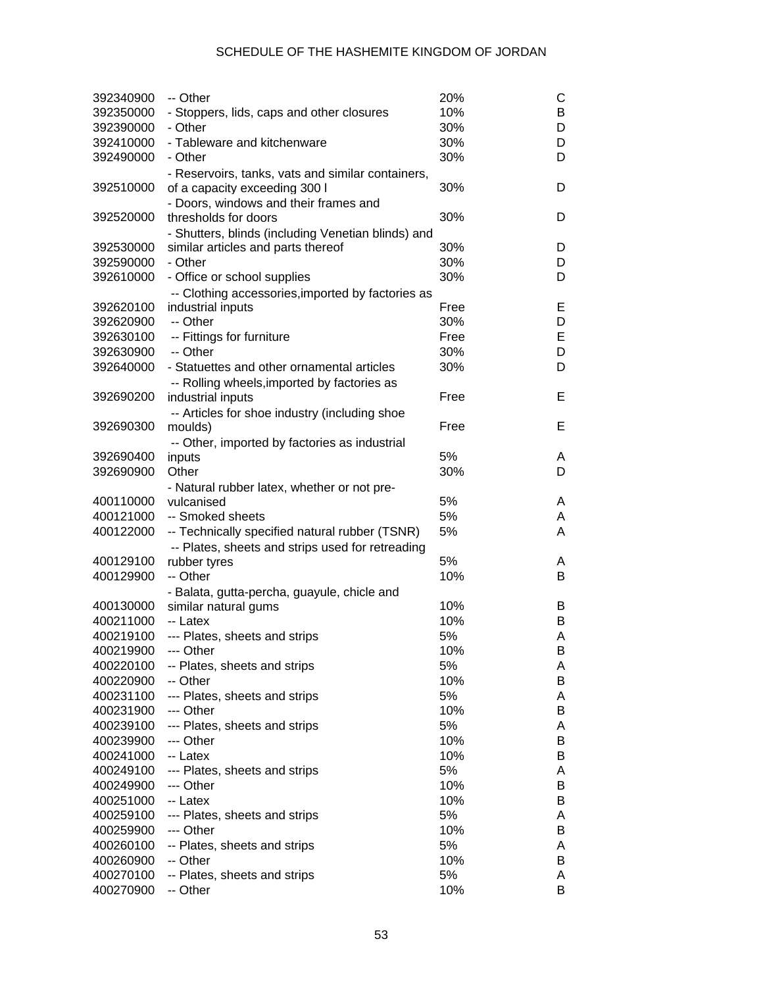| 392340900              | -- Other                                           | 20%        | С      |
|------------------------|----------------------------------------------------|------------|--------|
| 392350000              | - Stoppers, lids, caps and other closures          | 10%        | B      |
| 392390000              | - Other                                            | 30%        | D      |
| 392410000              | - Tableware and kitchenware                        | 30%        | D      |
| 392490000              | - Other                                            | 30%        | D      |
|                        | - Reservoirs, tanks, vats and similar containers,  |            |        |
| 392510000              | of a capacity exceeding 300 I                      | 30%        | D      |
|                        | - Doors, windows and their frames and              |            |        |
| 392520000              | thresholds for doors                               | 30%        | D      |
|                        | - Shutters, blinds (including Venetian blinds) and |            |        |
| 392530000              | similar articles and parts thereof                 | 30%        | D      |
| 392590000              | - Other                                            | 30%        | D      |
| 392610000              | - Office or school supplies                        | 30%        | D      |
|                        | -- Clothing accessories, imported by factories as  |            |        |
| 392620100              | industrial inputs                                  | Free       | Е      |
| 392620900              | -- Other                                           | 30%        | D      |
| 392630100              | -- Fittings for furniture                          | Free       | E      |
| 392630900              | -- Other                                           | 30%        | D      |
| 392640000              | - Statuettes and other ornamental articles         | 30%        | D      |
|                        | -- Rolling wheels, imported by factories as        |            |        |
| 392690200              | industrial inputs                                  | Free       | Е      |
|                        | -- Articles for shoe industry (including shoe      |            |        |
| 392690300              | moulds)                                            | Free       | Е      |
|                        | -- Other, imported by factories as industrial      |            |        |
| 392690400              | inputs                                             | 5%         | A      |
| 392690900              | Other                                              | 30%        | D      |
|                        | - Natural rubber latex, whether or not pre-        |            |        |
| 400110000              | vulcanised                                         | 5%         | A      |
| 400121000              | -- Smoked sheets                                   | 5%         | A      |
| 400122000              | -- Technically specified natural rubber (TSNR)     | 5%         | A      |
|                        | -- Plates, sheets and strips used for retreading   |            |        |
| 400129100              | rubber tyres                                       | 5%         | A      |
| 400129900              | -- Other                                           | 10%        | В      |
|                        | - Balata, gutta-percha, guayule, chicle and        |            |        |
| 400130000              | similar natural gums                               | 10%        | B      |
| 400211000              | -- Latex                                           | 10%        | B      |
| 400219100              | --- Plates, sheets and strips                      | 5%         | Α      |
| 400219900              | --- Other                                          | 10%        | Β      |
| 400220100              | -- Plates, sheets and strips                       | 5%         | A      |
| 400220900              | -- Other                                           | 10%        | B      |
| 400231100              | --- Plates, sheets and strips                      | 5%         | Α      |
| 400231900              | --- Other                                          | 10%        | B      |
| 400239100              | --- Plates, sheets and strips                      | 5%         | A      |
| 400239900              | --- Other                                          | 10%        | B      |
| 400241000              | -- Latex                                           | 10%        | B      |
| 400249100              | --- Plates, sheets and strips                      | 5%         | A      |
| 400249900<br>400251000 | --- Other                                          | 10%<br>10% | B      |
|                        | -- Latex                                           |            | B      |
| 400259100              | --- Plates, sheets and strips<br>--- Other         | 5%<br>10%  | A      |
| 400259900              |                                                    |            | B      |
| 400260100              | -- Plates, sheets and strips                       | 5%<br>10%  | A      |
| 400260900<br>400270100 | -- Other                                           | 5%         | B      |
| 400270900              | -- Plates, sheets and strips<br>-- Other           |            | A<br>B |
|                        |                                                    | 10%        |        |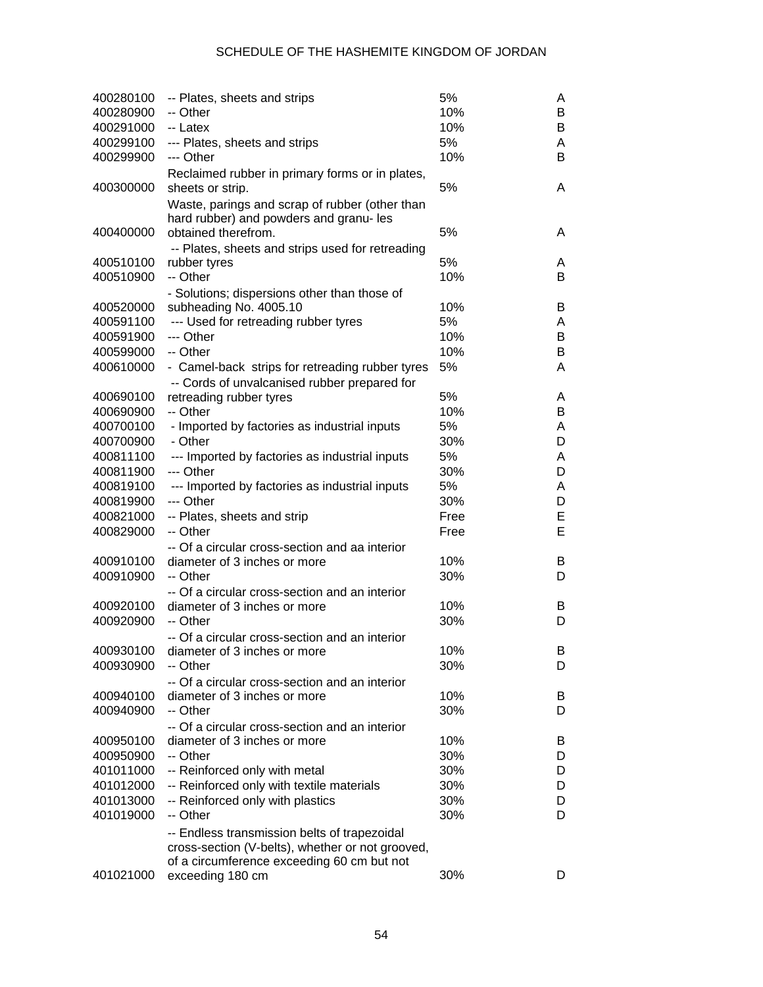| 400280100<br>400280900 | -- Plates, sheets and strips<br>-- Other         | 5%<br>10% | A<br>B |
|------------------------|--------------------------------------------------|-----------|--------|
| 400291000              | -- Latex                                         | 10%       | В      |
| 400299100              | --- Plates, sheets and strips                    | 5%        | A      |
| 400299900              | --- Other                                        | 10%       | B      |
|                        | Reclaimed rubber in primary forms or in plates,  |           |        |
| 400300000              | sheets or strip.                                 | 5%        | A      |
|                        | Waste, parings and scrap of rubber (other than   |           |        |
|                        | hard rubber) and powders and granu- les          |           |        |
| 400400000              | obtained therefrom.                              | 5%        | A      |
|                        | -- Plates, sheets and strips used for retreading |           |        |
| 400510100              | rubber tyres                                     | 5%        | A      |
| 400510900              | -- Other                                         | 10%       | B      |
|                        | - Solutions; dispersions other than those of     |           |        |
| 400520000              | subheading No. 4005.10                           | 10%       | B      |
| 400591100              | --- Used for retreading rubber tyres             | 5%        | A      |
| 400591900              | --- Other                                        | 10%       | В      |
| 400599000              | -- Other                                         | 10%       | В      |
| 400610000              |                                                  | 5%        | A      |
|                        | - Camel-back strips for retreading rubber tyres  |           |        |
|                        | -- Cords of unvalcanised rubber prepared for     |           |        |
| 400690100              | retreading rubber tyres                          | 5%        | A      |
| 400690900              | -- Other                                         | 10%       | В      |
| 400700100              | - Imported by factories as industrial inputs     | 5%        | A      |
| 400700900              | - Other                                          | 30%       | D      |
| 400811100              | --- Imported by factories as industrial inputs   | 5%        | A      |
| 400811900              | --- Other                                        | 30%       | D      |
| 400819100              | --- Imported by factories as industrial inputs   | 5%        | A      |
| 400819900              | --- Other                                        | 30%       | D      |
| 400821000              | -- Plates, sheets and strip                      | Free      | E      |
| 400829000              | -- Other                                         | Free      | E      |
|                        | -- Of a circular cross-section and aa interior   |           |        |
| 400910100              | diameter of 3 inches or more                     | 10%       | B      |
| 400910900              | -- Other                                         | 30%       | D      |
|                        | -- Of a circular cross-section and an interior   |           |        |
| 400920100              | diameter of 3 inches or more                     | 10%       | B      |
| 400920900              | -- Other                                         | 30%       | D      |
|                        | -- Of a circular cross-section and an interior   |           |        |
| 400930100              | diameter of 3 inches or more                     | 10%       | ь      |
| 400930900              | -- Other                                         | 30%       | D      |
|                        | -- Of a circular cross-section and an interior   |           |        |
| 400940100              | diameter of 3 inches or more                     | 10%       | B      |
| 400940900              | -- Other                                         | 30%       | D      |
|                        | -- Of a circular cross-section and an interior   |           |        |
| 400950100              | diameter of 3 inches or more                     | 10%       | В      |
| 400950900              | -- Other                                         | 30%       | D      |
| 401011000              | -- Reinforced only with metal                    | 30%       | D      |
| 401012000              | -- Reinforced only with textile materials        | 30%       | D      |
| 401013000              | -- Reinforced only with plastics                 | 30%       | D      |
| 401019000              | -- Other                                         | 30%       | D      |
|                        | -- Endless transmission belts of trapezoidal     |           |        |
|                        | cross-section (V-belts), whether or not grooved, |           |        |
|                        | of a circumference exceeding 60 cm but not       |           |        |
| 401021000              | exceeding 180 cm                                 | 30%       | D      |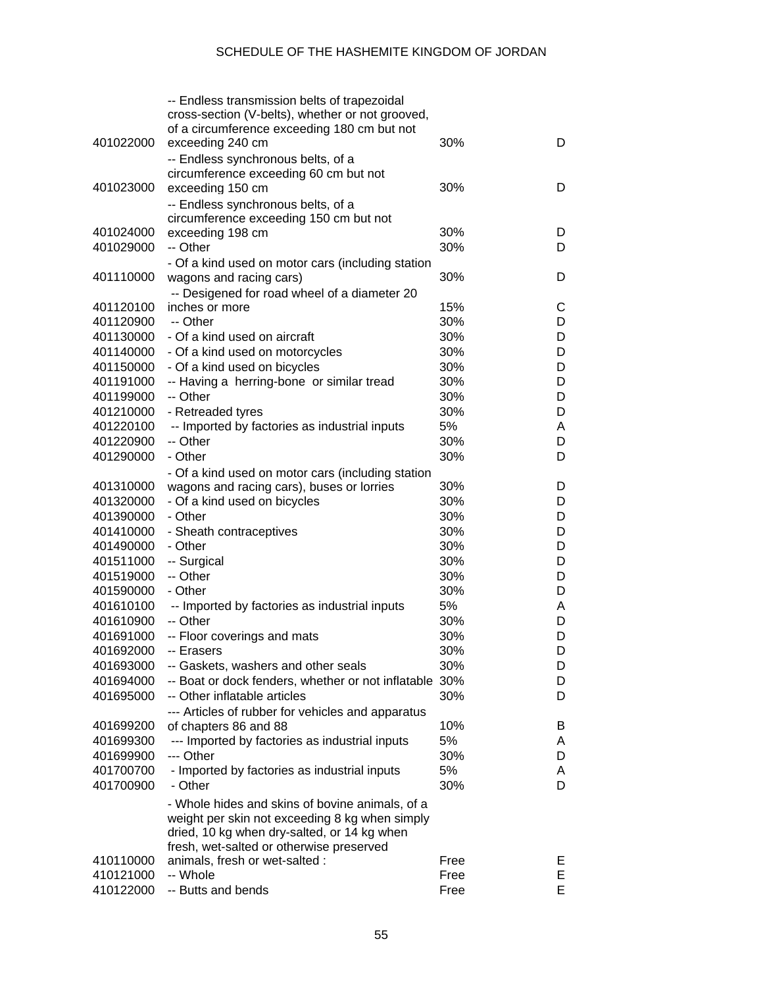|           | -- Endless transmission belts of trapezoidal<br>cross-section (V-belts), whether or not grooved,  |      |   |
|-----------|---------------------------------------------------------------------------------------------------|------|---|
| 401022000 | of a circumference exceeding 180 cm but not<br>exceeding 240 cm                                   | 30%  | D |
|           | -- Endless synchronous belts, of a                                                                |      |   |
|           | circumference exceeding 60 cm but not                                                             |      |   |
| 401023000 | exceeding 150 cm                                                                                  | 30%  | D |
|           | -- Endless synchronous belts, of a<br>circumference exceeding 150 cm but not                      |      |   |
| 401024000 | exceeding 198 cm                                                                                  | 30%  | D |
| 401029000 | -- Other                                                                                          | 30%  | D |
|           | - Of a kind used on motor cars (including station                                                 |      |   |
| 401110000 | wagons and racing cars)                                                                           | 30%  | D |
| 401120100 | -- Desigened for road wheel of a diameter 20<br>inches or more                                    | 15%  | С |
| 401120900 | -- Other                                                                                          | 30%  | D |
|           | - Of a kind used on aircraft                                                                      | 30%  | D |
| 401130000 |                                                                                                   | 30%  |   |
| 401140000 | - Of a kind used on motorcycles                                                                   |      | D |
| 401150000 | - Of a kind used on bicycles                                                                      | 30%  | D |
| 401191000 | -- Having a herring-bone or similar tread                                                         | 30%  | D |
| 401199000 | -- Other                                                                                          | 30%  | D |
| 401210000 | - Retreaded tyres                                                                                 | 30%  | D |
| 401220100 | -- Imported by factories as industrial inputs                                                     | 5%   | A |
| 401220900 | -- Other                                                                                          | 30%  | D |
| 401290000 | - Other                                                                                           | 30%  | D |
|           | - Of a kind used on motor cars (including station                                                 |      |   |
| 401310000 | wagons and racing cars), buses or lorries                                                         | 30%  | D |
| 401320000 | - Of a kind used on bicycles                                                                      | 30%  | D |
| 401390000 | - Other                                                                                           | 30%  | D |
| 401410000 | - Sheath contraceptives                                                                           | 30%  | D |
| 401490000 | - Other                                                                                           | 30%  | D |
| 401511000 | -- Surgical                                                                                       | 30%  | D |
| 401519000 | -- Other                                                                                          | 30%  | D |
| 401590000 | - Other                                                                                           | 30%  | D |
| 401610100 | -- Imported by factories as industrial inputs                                                     | 5%   | A |
| 401610900 | -- Other                                                                                          | 30%  | D |
| 401691000 | -- Floor coverings and mats                                                                       | 30%  | D |
| 401692000 | -- Erasers                                                                                        | 30%  | D |
| 401693000 | -- Gaskets, washers and other seals                                                               | 30%  | D |
| 401694000 | -- Boat or dock fenders, whether or not inflatable 30%                                            |      | D |
| 401695000 | -- Other inflatable articles                                                                      | 30%  | D |
|           | --- Articles of rubber for vehicles and apparatus                                                 |      |   |
| 401699200 | of chapters 86 and 88                                                                             | 10%  | B |
| 401699300 | --- Imported by factories as industrial inputs                                                    | 5%   | A |
| 401699900 | --- Other                                                                                         | 30%  | D |
| 401700700 | - Imported by factories as industrial inputs                                                      | 5%   | A |
| 401700900 | - Other                                                                                           | 30%  | D |
|           | - Whole hides and skins of bovine animals, of a<br>weight per skin not exceeding 8 kg when simply |      |   |
|           | dried, 10 kg when dry-salted, or 14 kg when                                                       |      |   |
|           | fresh, wet-salted or otherwise preserved                                                          |      |   |
| 410110000 | animals, fresh or wet-salted :                                                                    | Free | Е |
| 410121000 | -- Whole                                                                                          | Free | E |
| 410122000 | -- Butts and bends                                                                                | Free | E |
|           |                                                                                                   |      |   |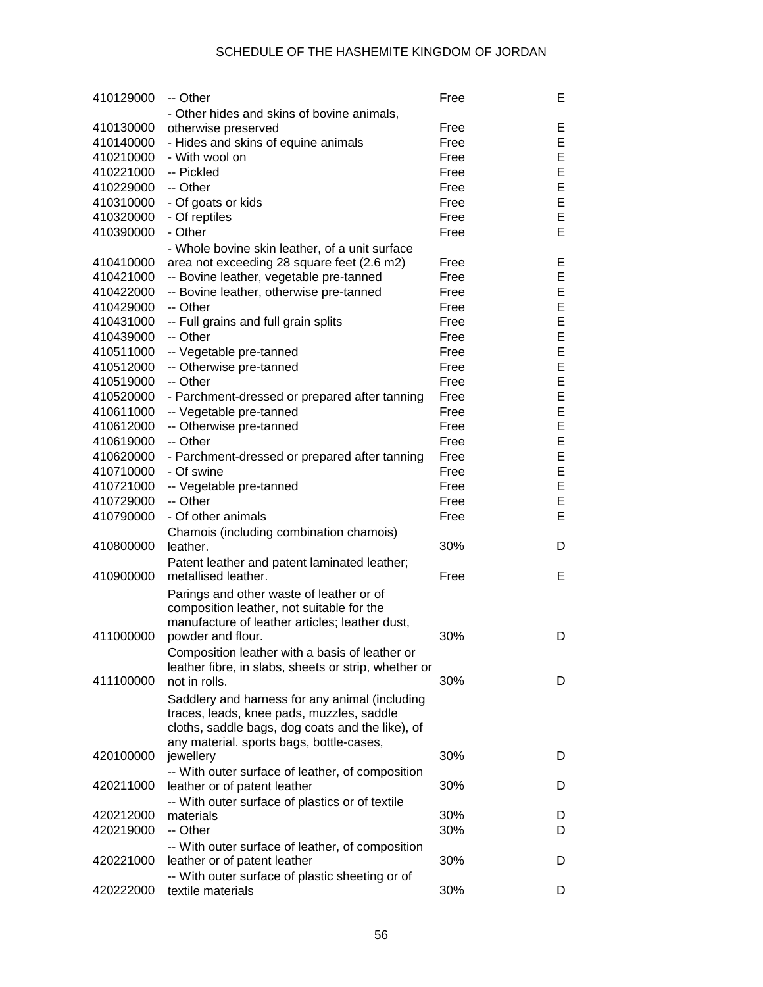| 410129000 | -- Other                                                                                    | Free | Е |
|-----------|---------------------------------------------------------------------------------------------|------|---|
|           | - Other hides and skins of bovine animals,                                                  |      |   |
| 410130000 | otherwise preserved                                                                         | Free | Е |
| 410140000 | - Hides and skins of equine animals                                                         | Free | E |
| 410210000 | - With wool on                                                                              | Free | E |
| 410221000 | -- Pickled                                                                                  | Free | E |
| 410229000 | -- Other                                                                                    | Free | E |
| 410310000 | - Of goats or kids                                                                          | Free | E |
| 410320000 | - Of reptiles                                                                               | Free | E |
| 410390000 | - Other                                                                                     | Free | E |
|           | - Whole bovine skin leather, of a unit surface                                              |      |   |
| 410410000 | area not exceeding 28 square feet (2.6 m2)                                                  | Free | Е |
| 410421000 | -- Bovine leather, vegetable pre-tanned                                                     | Free | E |
| 410422000 | -- Bovine leather, otherwise pre-tanned                                                     | Free | E |
| 410429000 | -- Other                                                                                    | Free | E |
| 410431000 | -- Full grains and full grain splits                                                        | Free | E |
| 410439000 | -- Other                                                                                    | Free | E |
| 410511000 | -- Vegetable pre-tanned                                                                     | Free | E |
| 410512000 | -- Otherwise pre-tanned                                                                     | Free | E |
| 410519000 | -- Other                                                                                    | Free | E |
| 410520000 | - Parchment-dressed or prepared after tanning                                               | Free | E |
| 410611000 | -- Vegetable pre-tanned                                                                     | Free | E |
| 410612000 | -- Otherwise pre-tanned                                                                     | Free | E |
| 410619000 | -- Other                                                                                    | Free | E |
| 410620000 | - Parchment-dressed or prepared after tanning                                               | Free | E |
| 410710000 | - Of swine                                                                                  | Free | E |
| 410721000 | -- Vegetable pre-tanned                                                                     | Free | E |
| 410729000 | -- Other                                                                                    | Free | E |
| 410790000 | - Of other animals                                                                          | Free | E |
|           |                                                                                             |      |   |
| 410800000 | Chamois (including combination chamois)<br>leather.                                         | 30%  | D |
|           |                                                                                             |      |   |
| 410900000 | Patent leather and patent laminated leather;<br>metallised leather.                         | Free | Е |
|           |                                                                                             |      |   |
|           | Parings and other waste of leather or of                                                    |      |   |
|           | composition leather, not suitable for the<br>manufacture of leather articles; leather dust, |      |   |
| 411000000 | powder and flour.                                                                           | 30%  | D |
|           |                                                                                             |      |   |
|           | Composition leather with a basis of leather or                                              |      |   |
| 411100000 | leather fibre, in slabs, sheets or strip, whether or<br>not in rolls.                       | 30%  | D |
|           |                                                                                             |      |   |
|           | Saddlery and harness for any animal (including                                              |      |   |
|           | traces, leads, knee pads, muzzles, saddle                                                   |      |   |
|           | cloths, saddle bags, dog coats and the like), of                                            |      |   |
| 420100000 | any material. sports bags, bottle-cases,<br>jewellery                                       | 30%  | D |
|           |                                                                                             |      |   |
| 420211000 | -- With outer surface of leather, of composition<br>leather or of patent leather            | 30%  | D |
|           |                                                                                             |      |   |
| 420212000 | -- With outer surface of plastics or of textile<br>materials                                | 30%  | D |
| 420219000 | -- Other                                                                                    | 30%  | D |
|           |                                                                                             |      |   |
| 420221000 | -- With outer surface of leather, of composition<br>leather or of patent leather            | 30%  | D |
|           |                                                                                             |      |   |
| 420222000 | -- With outer surface of plastic sheeting or of<br>textile materials                        | 30%  | D |
|           |                                                                                             |      |   |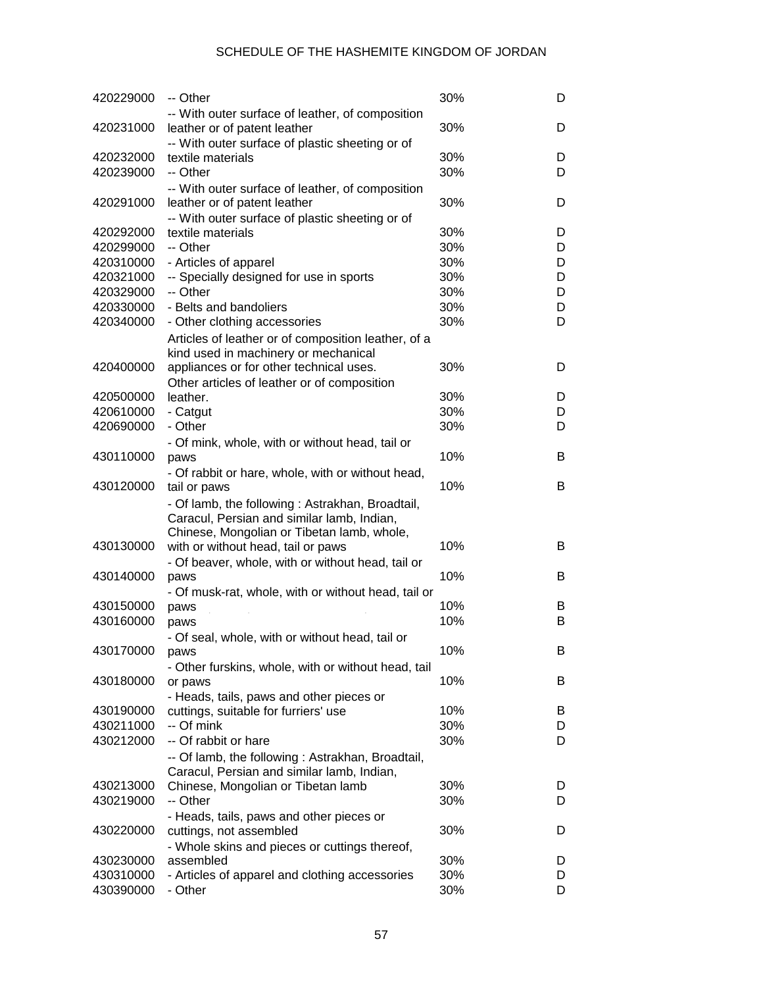| 420229000              | -- Other                                                             | 30%        | D      |
|------------------------|----------------------------------------------------------------------|------------|--------|
|                        | -- With outer surface of leather, of composition                     |            |        |
| 420231000              | leather or of patent leather                                         | 30%        | D      |
| 420232000              | -- With outer surface of plastic sheeting or of<br>textile materials | 30%        | D      |
| 420239000              | -- Other                                                             | 30%        | D      |
|                        | -- With outer surface of leather, of composition                     |            |        |
| 420291000              | leather or of patent leather                                         | 30%        | D      |
|                        | -- With outer surface of plastic sheeting or of                      |            |        |
| 420292000              | textile materials                                                    | 30%        | D      |
| 420299000              | -- Other                                                             | 30%        | D      |
| 420310000              | - Articles of apparel                                                | 30%        | D      |
| 420321000              | -- Specially designed for use in sports                              | 30%        | D      |
| 420329000              | -- Other                                                             | 30%        | D      |
| 420330000              | - Belts and bandoliers                                               | 30%        | D      |
| 420340000              | - Other clothing accessories                                         | 30%        | D      |
|                        | Articles of leather or of composition leather, of a                  |            |        |
|                        | kind used in machinery or mechanical                                 |            |        |
| 420400000              | appliances or for other technical uses.                              | 30%        | D      |
| 420500000              | Other articles of leather or of composition<br>leather.              | 30%        | D      |
| 420610000              | - Catgut                                                             | 30%        | D      |
| 420690000              | - Other                                                              | 30%        | D      |
|                        | - Of mink, whole, with or without head, tail or                      |            |        |
| 430110000              | paws                                                                 | 10%        | B      |
|                        | - Of rabbit or hare, whole, with or without head,                    |            |        |
| 430120000              | tail or paws                                                         | 10%        | B      |
|                        | - Of lamb, the following: Astrakhan, Broadtail,                      |            |        |
|                        | Caracul, Persian and similar lamb, Indian,                           |            |        |
|                        | Chinese, Mongolian or Tibetan lamb, whole,                           |            |        |
| 430130000              | with or without head, tail or paws                                   | 10%        | в      |
|                        | - Of beaver, whole, with or without head, tail or                    |            |        |
| 430140000              | paws                                                                 | 10%        | B      |
|                        | - Of musk-rat, whole, with or without head, tail or                  |            |        |
| 430150000<br>430160000 | paws                                                                 | 10%<br>10% | B<br>B |
|                        | paws                                                                 |            |        |
| 430170000              | - Of seal, whole, with or without head, tail or<br>paws              | 10%        | ь      |
|                        | - Other furskins, whole, with or without head, tail                  |            |        |
| 430180000              | or paws                                                              | 10%        | B      |
|                        | - Heads, tails, paws and other pieces or                             |            |        |
| 430190000              | cuttings, suitable for furriers' use                                 | 10%        | B      |
| 430211000              | -- Of mink                                                           | 30%        | D      |
| 430212000              | -- Of rabbit or hare                                                 | 30%        | D      |
|                        | -- Of lamb, the following: Astrakhan, Broadtail,                     |            |        |
|                        | Caracul, Persian and similar lamb, Indian,                           |            |        |
| 430213000              | Chinese, Mongolian or Tibetan lamb                                   | 30%        | D      |
| 430219000              | -- Other                                                             | 30%        | D      |
|                        | - Heads, tails, paws and other pieces or                             |            |        |
| 430220000              | cuttings, not assembled                                              | 30%        | D      |
|                        | - Whole skins and pieces or cuttings thereof,                        | 30%        |        |
| 430230000<br>430310000 | assembled<br>- Articles of apparel and clothing accessories          | 30%        | D<br>D |
| 430390000              | - Other                                                              | 30%        | D      |
|                        |                                                                      |            |        |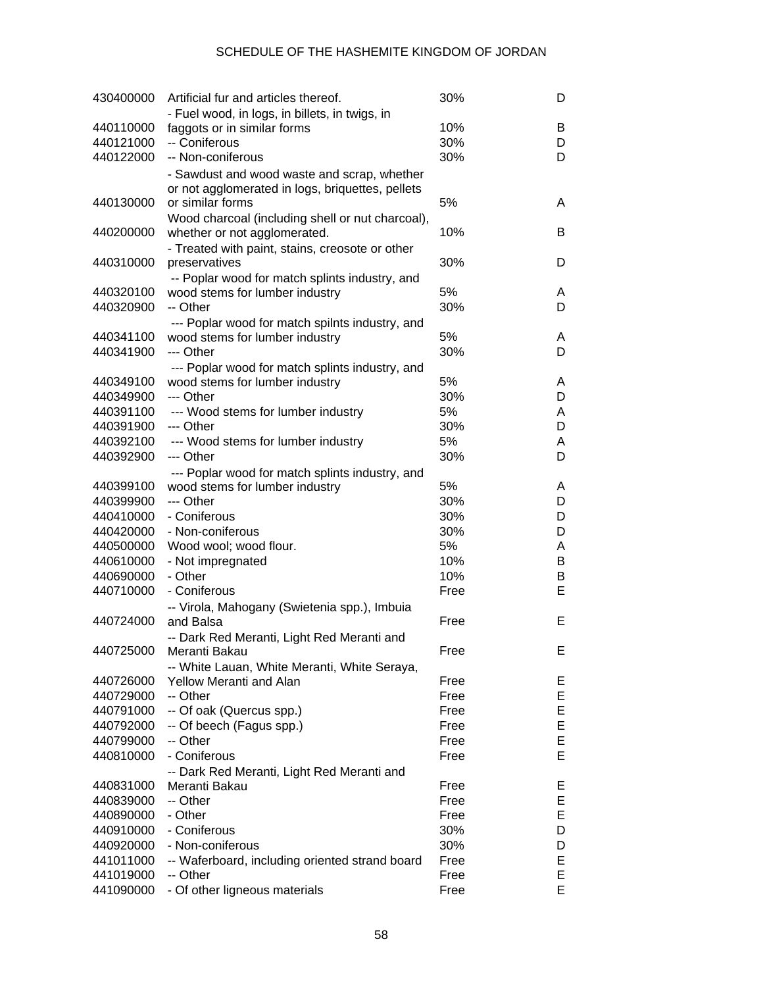| 430400000 | Artificial fur and articles thereof.                                              | 30%  | D |
|-----------|-----------------------------------------------------------------------------------|------|---|
|           | - Fuel wood, in logs, in billets, in twigs, in                                    |      |   |
| 440110000 | faggots or in similar forms                                                       | 10%  | B |
| 440121000 | -- Coniferous                                                                     | 30%  | D |
| 440122000 | -- Non-coniferous                                                                 | 30%  | D |
|           | - Sawdust and wood waste and scrap, whether                                       |      |   |
|           | or not agglomerated in logs, briquettes, pellets                                  |      |   |
| 440130000 | or similar forms                                                                  | 5%   | A |
|           | Wood charcoal (including shell or nut charcoal),                                  |      |   |
| 440200000 | whether or not agglomerated.                                                      | 10%  | B |
|           | - Treated with paint, stains, creosote or other                                   |      |   |
| 440310000 | preservatives                                                                     | 30%  | D |
|           | -- Poplar wood for match splints industry, and                                    |      |   |
| 440320100 | wood stems for lumber industry                                                    | 5%   | A |
| 440320900 | -- Other                                                                          | 30%  | D |
|           | --- Poplar wood for match spilnts industry, and                                   |      |   |
| 440341100 | wood stems for lumber industry                                                    | 5%   | A |
| 440341900 | --- Other                                                                         | 30%  | D |
|           |                                                                                   |      |   |
| 440349100 | --- Poplar wood for match splints industry, and<br>wood stems for lumber industry | 5%   | A |
| 440349900 | --- Other                                                                         | 30%  | D |
| 440391100 |                                                                                   | 5%   |   |
| 440391900 | --- Wood stems for lumber industry                                                |      | Α |
|           | --- Other                                                                         | 30%  | D |
| 440392100 | --- Wood stems for lumber industry                                                | 5%   | A |
| 440392900 | --- Other                                                                         | 30%  | D |
|           | --- Poplar wood for match splints industry, and                                   |      |   |
| 440399100 | wood stems for lumber industry                                                    | 5%   | A |
| 440399900 | --- Other                                                                         | 30%  | D |
| 440410000 | - Coniferous                                                                      | 30%  | D |
| 440420000 | - Non-coniferous                                                                  | 30%  | D |
| 440500000 | Wood wool; wood flour.                                                            | 5%   | Α |
| 440610000 | - Not impregnated                                                                 | 10%  | В |
| 440690000 | - Other                                                                           | 10%  | В |
| 440710000 | - Coniferous                                                                      | Free | E |
|           | -- Virola, Mahogany (Swietenia spp.), Imbuia                                      |      |   |
| 440724000 | and Balsa                                                                         | Free | E |
|           | -- Dark Red Meranti, Light Red Meranti and                                        |      |   |
| 440725000 | Meranti Bakau                                                                     | Free | E |
|           | -- White Lauan, White Meranti, White Seraya,                                      |      |   |
| 440726000 | <b>Yellow Meranti and Alan</b>                                                    | Free | Е |
| 440729000 | -- Other                                                                          | Free | E |
| 440791000 | -- Of oak (Quercus spp.)                                                          | Free | E |
| 440792000 | -- Of beech (Fagus spp.)                                                          | Free | E |
| 440799000 | -- Other                                                                          | Free | E |
| 440810000 | - Coniferous                                                                      | Free | Е |
|           | -- Dark Red Meranti, Light Red Meranti and                                        |      |   |
| 440831000 | Meranti Bakau                                                                     | Free | Е |
| 440839000 | -- Other                                                                          | Free | Е |
| 440890000 | - Other                                                                           | Free | E |
| 440910000 | - Coniferous                                                                      | 30%  | D |
| 440920000 | - Non-coniferous                                                                  | 30%  | D |
| 441011000 | -- Waferboard, including oriented strand board                                    | Free | Е |
| 441019000 | -- Other                                                                          | Free | Ε |
| 441090000 | - Of other ligneous materials                                                     | Free | E |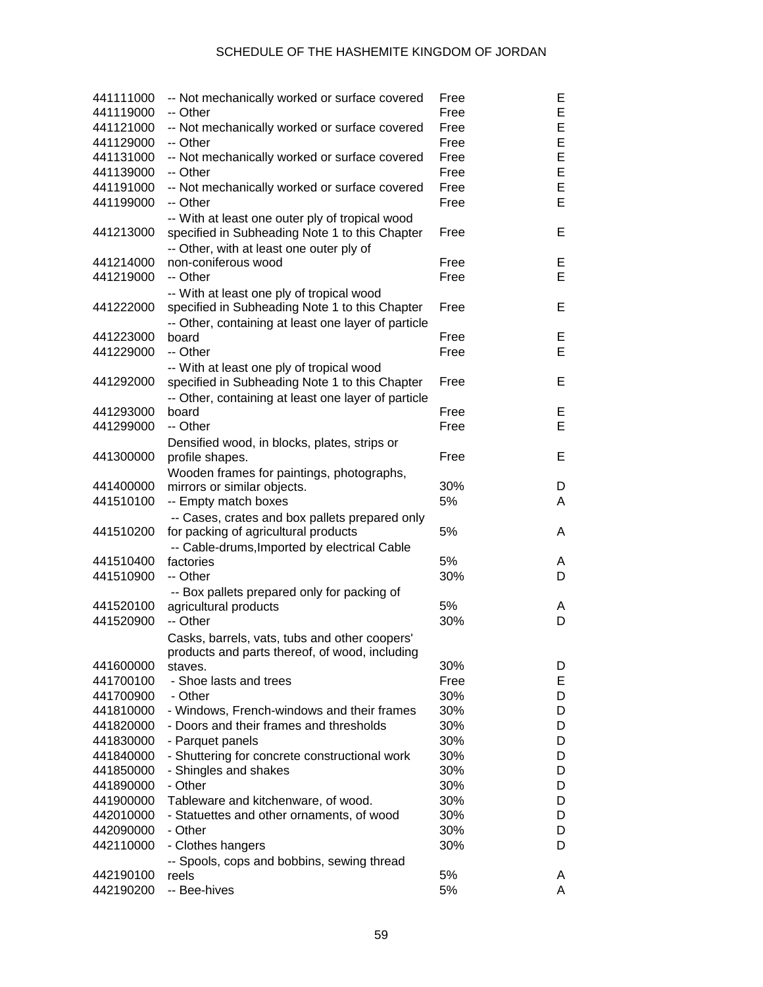| 441111000 | -- Not mechanically worked or surface covered                                              | Free | Е |
|-----------|--------------------------------------------------------------------------------------------|------|---|
| 441119000 | -- Other                                                                                   | Free | E |
| 441121000 | -- Not mechanically worked or surface covered                                              | Free | E |
| 441129000 | -- Other                                                                                   | Free | E |
| 441131000 | -- Not mechanically worked or surface covered                                              | Free | E |
| 441139000 | -- Other                                                                                   | Free | E |
| 441191000 | -- Not mechanically worked or surface covered                                              | Free | E |
| 441199000 | -- Other                                                                                   | Free | E |
|           | -- With at least one outer ply of tropical wood                                            |      |   |
| 441213000 | specified in Subheading Note 1 to this Chapter<br>-- Other, with at least one outer ply of | Free | E |
| 441214000 | non-coniferous wood                                                                        | Free | E |
| 441219000 | -- Other                                                                                   | Free | E |
|           | -- With at least one ply of tropical wood                                                  |      |   |
| 441222000 | specified in Subheading Note 1 to this Chapter                                             | Free | E |
|           | -- Other, containing at least one layer of particle                                        |      |   |
| 441223000 | board                                                                                      | Free | E |
| 441229000 | -- Other                                                                                   | Free | E |
|           | -- With at least one ply of tropical wood                                                  |      |   |
| 441292000 | specified in Subheading Note 1 to this Chapter                                             | Free | E |
|           |                                                                                            |      |   |
| 441293000 | -- Other, containing at least one layer of particle<br>board                               | Free | E |
| 441299000 | -- Other                                                                                   | Free | E |
|           |                                                                                            |      |   |
|           | Densified wood, in blocks, plates, strips or                                               |      |   |
| 441300000 | profile shapes.                                                                            | Free | E |
|           | Wooden frames for paintings, photographs,                                                  |      |   |
| 441400000 | mirrors or similar objects.                                                                | 30%  | D |
| 441510100 | -- Empty match boxes                                                                       | 5%   | Α |
| 441510200 | -- Cases, crates and box pallets prepared only<br>for packing of agricultural products     | 5%   | A |
|           | -- Cable-drums, Imported by electrical Cable                                               |      |   |
| 441510400 | factories                                                                                  | 5%   | A |
| 441510900 | -- Other                                                                                   | 30%  | D |
|           | -- Box pallets prepared only for packing of                                                |      |   |
| 441520100 | agricultural products                                                                      | 5%   | A |
| 441520900 | -- Other                                                                                   | 30%  | D |
|           | Casks, barrels, vats, tubs and other coopers'                                              |      |   |
|           | products and parts thereof, of wood, including                                             |      |   |
| 441600000 | staves.                                                                                    | 30%  | D |
| 441700100 | - Shoe lasts and trees                                                                     | Free | Е |
| 441700900 | - Other                                                                                    | 30%  | D |
| 441810000 | - Windows, French-windows and their frames                                                 | 30%  | D |
| 441820000 | - Doors and their frames and thresholds                                                    | 30%  | D |
| 441830000 | - Parquet panels                                                                           | 30%  | D |
| 441840000 | - Shuttering for concrete constructional work                                              | 30%  | D |
| 441850000 | - Shingles and shakes                                                                      | 30%  | D |
| 441890000 | - Other                                                                                    | 30%  | D |
| 441900000 | Tableware and kitchenware, of wood.                                                        | 30%  | D |
| 442010000 | - Statuettes and other ornaments, of wood                                                  | 30%  | D |
| 442090000 | - Other                                                                                    | 30%  | D |
| 442110000 |                                                                                            | 30%  | D |
|           | - Clothes hangers                                                                          |      |   |
|           | -- Spools, cops and bobbins, sewing thread                                                 | 5%   |   |
| 442190100 | reels                                                                                      | 5%   | A |
| 442190200 | -- Bee-hives                                                                               |      | A |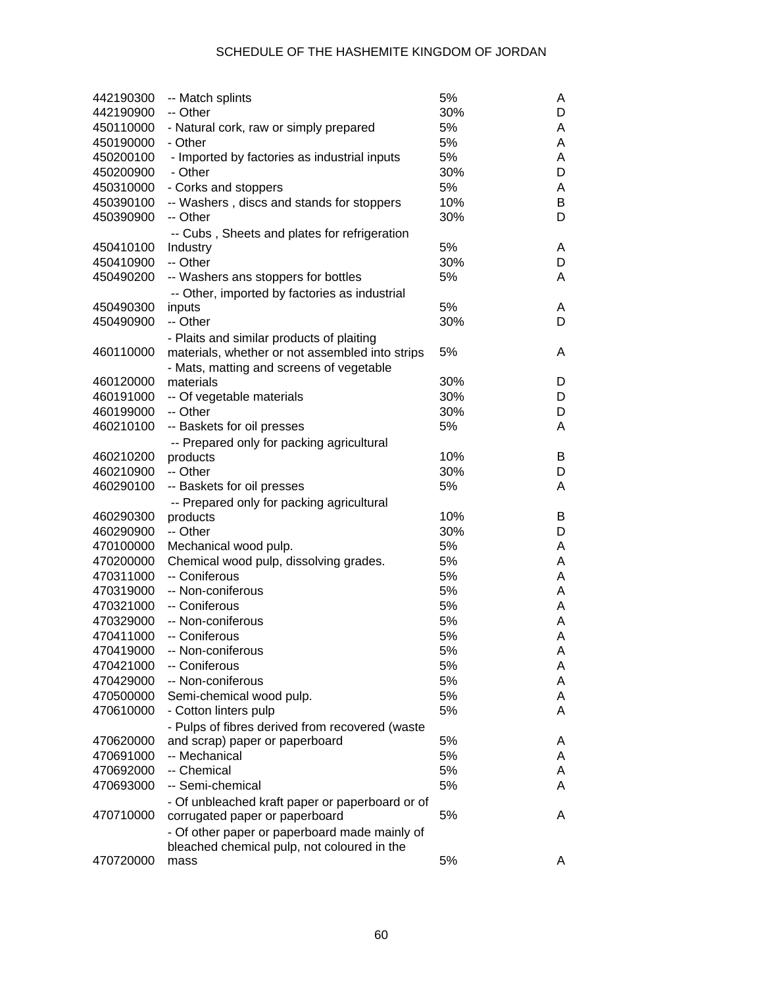| -- Other<br>30%<br>5%<br>- Natural cork, raw or simply prepared<br>5%<br>- Other<br>5%<br>- Imported by factories as industrial inputs<br>30%<br>- Other<br>5%<br>- Corks and stoppers<br>-- Washers, discs and stands for stoppers<br>10%<br>-- Other<br>30%<br>-- Cubs, Sheets and plates for refrigeration<br>5%<br>Industry<br>-- Other<br>30%<br>5%<br>-- Washers ans stoppers for bottles<br>-- Other, imported by factories as industrial<br>5%<br>inputs<br>-- Other<br>30%<br>- Plaits and similar products of plaiting<br>5%<br>materials, whether or not assembled into strips<br>- Mats, matting and screens of vegetable<br>materials<br>30%<br>30%<br>-- Of vegetable materials<br>D<br>30%<br>-- Other<br>5%<br>-- Baskets for oil presses<br>-- Prepared only for packing agricultural<br>10%<br>460210200<br>B<br>products<br>460210900<br>-- Other<br>30%<br>5%<br>460290100<br>-- Baskets for oil presses<br>A<br>-- Prepared only for packing agricultural<br>10%<br>B<br>460290300<br>products<br>-- Other<br>30%<br>460290900<br>D<br>5%<br>470100000<br>Mechanical wood pulp.<br>5%<br>470200000<br>Chemical wood pulp, dissolving grades.<br>A<br>-- Coniferous<br>5%<br>470311000<br>5%<br>470319000<br>-- Non-coniferous<br>-- Coniferous<br>5%<br>470321000<br>-- Non-coniferous<br>5%<br>470329000<br>5%<br>470411000<br>-- Coniferous<br>5%<br>470419000<br>-- Non-coniferous<br>470421000<br>-- Coniferous<br>5%<br>-- Non-coniferous<br>5%<br>470429000<br>5%<br>470500000<br>Semi-chemical wood pulp.<br>5%<br>470610000<br>- Cotton linters pulp<br>- Pulps of fibres derived from recovered (waste<br>5%<br>470620000<br>and scrap) paper or paperboard<br>5%<br>-- Mechanical<br>470691000<br>5%<br>470692000<br>-- Chemical<br>5%<br>470693000<br>-- Semi-chemical<br>- Of unbleached kraft paper or paperboard or of | 442190900<br>450110000<br>450190000<br>450200100<br>450200900<br>450310000<br>450390100<br>450390900<br>450410100<br>450410900<br>450490200<br>450490300<br>450490900<br>460110000<br>460120000<br>460191000<br>460199000<br>460210100 |  | D<br>A<br>A<br>A<br>D<br>A<br>В<br>D<br>A<br>D<br>A<br>A<br>D<br>A<br>D |
|-----------------------------------------------------------------------------------------------------------------------------------------------------------------------------------------------------------------------------------------------------------------------------------------------------------------------------------------------------------------------------------------------------------------------------------------------------------------------------------------------------------------------------------------------------------------------------------------------------------------------------------------------------------------------------------------------------------------------------------------------------------------------------------------------------------------------------------------------------------------------------------------------------------------------------------------------------------------------------------------------------------------------------------------------------------------------------------------------------------------------------------------------------------------------------------------------------------------------------------------------------------------------------------------------------------------------------------------------------------------------------------------------------------------------------------------------------------------------------------------------------------------------------------------------------------------------------------------------------------------------------------------------------------------------------------------------------------------------------------------------------------------------------------------------------------------------------------------------------------|----------------------------------------------------------------------------------------------------------------------------------------------------------------------------------------------------------------------------------------|--|-------------------------------------------------------------------------|
|                                                                                                                                                                                                                                                                                                                                                                                                                                                                                                                                                                                                                                                                                                                                                                                                                                                                                                                                                                                                                                                                                                                                                                                                                                                                                                                                                                                                                                                                                                                                                                                                                                                                                                                                                                                                                                                           |                                                                                                                                                                                                                                        |  |                                                                         |
|                                                                                                                                                                                                                                                                                                                                                                                                                                                                                                                                                                                                                                                                                                                                                                                                                                                                                                                                                                                                                                                                                                                                                                                                                                                                                                                                                                                                                                                                                                                                                                                                                                                                                                                                                                                                                                                           |                                                                                                                                                                                                                                        |  |                                                                         |
|                                                                                                                                                                                                                                                                                                                                                                                                                                                                                                                                                                                                                                                                                                                                                                                                                                                                                                                                                                                                                                                                                                                                                                                                                                                                                                                                                                                                                                                                                                                                                                                                                                                                                                                                                                                                                                                           |                                                                                                                                                                                                                                        |  |                                                                         |
|                                                                                                                                                                                                                                                                                                                                                                                                                                                                                                                                                                                                                                                                                                                                                                                                                                                                                                                                                                                                                                                                                                                                                                                                                                                                                                                                                                                                                                                                                                                                                                                                                                                                                                                                                                                                                                                           |                                                                                                                                                                                                                                        |  |                                                                         |
|                                                                                                                                                                                                                                                                                                                                                                                                                                                                                                                                                                                                                                                                                                                                                                                                                                                                                                                                                                                                                                                                                                                                                                                                                                                                                                                                                                                                                                                                                                                                                                                                                                                                                                                                                                                                                                                           |                                                                                                                                                                                                                                        |  |                                                                         |
|                                                                                                                                                                                                                                                                                                                                                                                                                                                                                                                                                                                                                                                                                                                                                                                                                                                                                                                                                                                                                                                                                                                                                                                                                                                                                                                                                                                                                                                                                                                                                                                                                                                                                                                                                                                                                                                           |                                                                                                                                                                                                                                        |  |                                                                         |
|                                                                                                                                                                                                                                                                                                                                                                                                                                                                                                                                                                                                                                                                                                                                                                                                                                                                                                                                                                                                                                                                                                                                                                                                                                                                                                                                                                                                                                                                                                                                                                                                                                                                                                                                                                                                                                                           |                                                                                                                                                                                                                                        |  |                                                                         |
|                                                                                                                                                                                                                                                                                                                                                                                                                                                                                                                                                                                                                                                                                                                                                                                                                                                                                                                                                                                                                                                                                                                                                                                                                                                                                                                                                                                                                                                                                                                                                                                                                                                                                                                                                                                                                                                           |                                                                                                                                                                                                                                        |  |                                                                         |
|                                                                                                                                                                                                                                                                                                                                                                                                                                                                                                                                                                                                                                                                                                                                                                                                                                                                                                                                                                                                                                                                                                                                                                                                                                                                                                                                                                                                                                                                                                                                                                                                                                                                                                                                                                                                                                                           |                                                                                                                                                                                                                                        |  |                                                                         |
|                                                                                                                                                                                                                                                                                                                                                                                                                                                                                                                                                                                                                                                                                                                                                                                                                                                                                                                                                                                                                                                                                                                                                                                                                                                                                                                                                                                                                                                                                                                                                                                                                                                                                                                                                                                                                                                           |                                                                                                                                                                                                                                        |  |                                                                         |
|                                                                                                                                                                                                                                                                                                                                                                                                                                                                                                                                                                                                                                                                                                                                                                                                                                                                                                                                                                                                                                                                                                                                                                                                                                                                                                                                                                                                                                                                                                                                                                                                                                                                                                                                                                                                                                                           |                                                                                                                                                                                                                                        |  |                                                                         |
|                                                                                                                                                                                                                                                                                                                                                                                                                                                                                                                                                                                                                                                                                                                                                                                                                                                                                                                                                                                                                                                                                                                                                                                                                                                                                                                                                                                                                                                                                                                                                                                                                                                                                                                                                                                                                                                           |                                                                                                                                                                                                                                        |  |                                                                         |
|                                                                                                                                                                                                                                                                                                                                                                                                                                                                                                                                                                                                                                                                                                                                                                                                                                                                                                                                                                                                                                                                                                                                                                                                                                                                                                                                                                                                                                                                                                                                                                                                                                                                                                                                                                                                                                                           |                                                                                                                                                                                                                                        |  |                                                                         |
|                                                                                                                                                                                                                                                                                                                                                                                                                                                                                                                                                                                                                                                                                                                                                                                                                                                                                                                                                                                                                                                                                                                                                                                                                                                                                                                                                                                                                                                                                                                                                                                                                                                                                                                                                                                                                                                           |                                                                                                                                                                                                                                        |  |                                                                         |
|                                                                                                                                                                                                                                                                                                                                                                                                                                                                                                                                                                                                                                                                                                                                                                                                                                                                                                                                                                                                                                                                                                                                                                                                                                                                                                                                                                                                                                                                                                                                                                                                                                                                                                                                                                                                                                                           |                                                                                                                                                                                                                                        |  |                                                                         |
|                                                                                                                                                                                                                                                                                                                                                                                                                                                                                                                                                                                                                                                                                                                                                                                                                                                                                                                                                                                                                                                                                                                                                                                                                                                                                                                                                                                                                                                                                                                                                                                                                                                                                                                                                                                                                                                           |                                                                                                                                                                                                                                        |  |                                                                         |
|                                                                                                                                                                                                                                                                                                                                                                                                                                                                                                                                                                                                                                                                                                                                                                                                                                                                                                                                                                                                                                                                                                                                                                                                                                                                                                                                                                                                                                                                                                                                                                                                                                                                                                                                                                                                                                                           |                                                                                                                                                                                                                                        |  |                                                                         |
|                                                                                                                                                                                                                                                                                                                                                                                                                                                                                                                                                                                                                                                                                                                                                                                                                                                                                                                                                                                                                                                                                                                                                                                                                                                                                                                                                                                                                                                                                                                                                                                                                                                                                                                                                                                                                                                           |                                                                                                                                                                                                                                        |  |                                                                         |
|                                                                                                                                                                                                                                                                                                                                                                                                                                                                                                                                                                                                                                                                                                                                                                                                                                                                                                                                                                                                                                                                                                                                                                                                                                                                                                                                                                                                                                                                                                                                                                                                                                                                                                                                                                                                                                                           |                                                                                                                                                                                                                                        |  |                                                                         |
|                                                                                                                                                                                                                                                                                                                                                                                                                                                                                                                                                                                                                                                                                                                                                                                                                                                                                                                                                                                                                                                                                                                                                                                                                                                                                                                                                                                                                                                                                                                                                                                                                                                                                                                                                                                                                                                           |                                                                                                                                                                                                                                        |  |                                                                         |
|                                                                                                                                                                                                                                                                                                                                                                                                                                                                                                                                                                                                                                                                                                                                                                                                                                                                                                                                                                                                                                                                                                                                                                                                                                                                                                                                                                                                                                                                                                                                                                                                                                                                                                                                                                                                                                                           |                                                                                                                                                                                                                                        |  | D                                                                       |
|                                                                                                                                                                                                                                                                                                                                                                                                                                                                                                                                                                                                                                                                                                                                                                                                                                                                                                                                                                                                                                                                                                                                                                                                                                                                                                                                                                                                                                                                                                                                                                                                                                                                                                                                                                                                                                                           |                                                                                                                                                                                                                                        |  | A                                                                       |
|                                                                                                                                                                                                                                                                                                                                                                                                                                                                                                                                                                                                                                                                                                                                                                                                                                                                                                                                                                                                                                                                                                                                                                                                                                                                                                                                                                                                                                                                                                                                                                                                                                                                                                                                                                                                                                                           |                                                                                                                                                                                                                                        |  |                                                                         |
|                                                                                                                                                                                                                                                                                                                                                                                                                                                                                                                                                                                                                                                                                                                                                                                                                                                                                                                                                                                                                                                                                                                                                                                                                                                                                                                                                                                                                                                                                                                                                                                                                                                                                                                                                                                                                                                           |                                                                                                                                                                                                                                        |  |                                                                         |
|                                                                                                                                                                                                                                                                                                                                                                                                                                                                                                                                                                                                                                                                                                                                                                                                                                                                                                                                                                                                                                                                                                                                                                                                                                                                                                                                                                                                                                                                                                                                                                                                                                                                                                                                                                                                                                                           |                                                                                                                                                                                                                                        |  | D                                                                       |
|                                                                                                                                                                                                                                                                                                                                                                                                                                                                                                                                                                                                                                                                                                                                                                                                                                                                                                                                                                                                                                                                                                                                                                                                                                                                                                                                                                                                                                                                                                                                                                                                                                                                                                                                                                                                                                                           |                                                                                                                                                                                                                                        |  |                                                                         |
|                                                                                                                                                                                                                                                                                                                                                                                                                                                                                                                                                                                                                                                                                                                                                                                                                                                                                                                                                                                                                                                                                                                                                                                                                                                                                                                                                                                                                                                                                                                                                                                                                                                                                                                                                                                                                                                           |                                                                                                                                                                                                                                        |  |                                                                         |
|                                                                                                                                                                                                                                                                                                                                                                                                                                                                                                                                                                                                                                                                                                                                                                                                                                                                                                                                                                                                                                                                                                                                                                                                                                                                                                                                                                                                                                                                                                                                                                                                                                                                                                                                                                                                                                                           |                                                                                                                                                                                                                                        |  |                                                                         |
|                                                                                                                                                                                                                                                                                                                                                                                                                                                                                                                                                                                                                                                                                                                                                                                                                                                                                                                                                                                                                                                                                                                                                                                                                                                                                                                                                                                                                                                                                                                                                                                                                                                                                                                                                                                                                                                           |                                                                                                                                                                                                                                        |  |                                                                         |
|                                                                                                                                                                                                                                                                                                                                                                                                                                                                                                                                                                                                                                                                                                                                                                                                                                                                                                                                                                                                                                                                                                                                                                                                                                                                                                                                                                                                                                                                                                                                                                                                                                                                                                                                                                                                                                                           |                                                                                                                                                                                                                                        |  | A                                                                       |
|                                                                                                                                                                                                                                                                                                                                                                                                                                                                                                                                                                                                                                                                                                                                                                                                                                                                                                                                                                                                                                                                                                                                                                                                                                                                                                                                                                                                                                                                                                                                                                                                                                                                                                                                                                                                                                                           |                                                                                                                                                                                                                                        |  |                                                                         |
|                                                                                                                                                                                                                                                                                                                                                                                                                                                                                                                                                                                                                                                                                                                                                                                                                                                                                                                                                                                                                                                                                                                                                                                                                                                                                                                                                                                                                                                                                                                                                                                                                                                                                                                                                                                                                                                           |                                                                                                                                                                                                                                        |  | A                                                                       |
|                                                                                                                                                                                                                                                                                                                                                                                                                                                                                                                                                                                                                                                                                                                                                                                                                                                                                                                                                                                                                                                                                                                                                                                                                                                                                                                                                                                                                                                                                                                                                                                                                                                                                                                                                                                                                                                           |                                                                                                                                                                                                                                        |  | A                                                                       |
|                                                                                                                                                                                                                                                                                                                                                                                                                                                                                                                                                                                                                                                                                                                                                                                                                                                                                                                                                                                                                                                                                                                                                                                                                                                                                                                                                                                                                                                                                                                                                                                                                                                                                                                                                                                                                                                           |                                                                                                                                                                                                                                        |  | A                                                                       |
|                                                                                                                                                                                                                                                                                                                                                                                                                                                                                                                                                                                                                                                                                                                                                                                                                                                                                                                                                                                                                                                                                                                                                                                                                                                                                                                                                                                                                                                                                                                                                                                                                                                                                                                                                                                                                                                           |                                                                                                                                                                                                                                        |  | A                                                                       |
|                                                                                                                                                                                                                                                                                                                                                                                                                                                                                                                                                                                                                                                                                                                                                                                                                                                                                                                                                                                                                                                                                                                                                                                                                                                                                                                                                                                                                                                                                                                                                                                                                                                                                                                                                                                                                                                           |                                                                                                                                                                                                                                        |  | A                                                                       |
|                                                                                                                                                                                                                                                                                                                                                                                                                                                                                                                                                                                                                                                                                                                                                                                                                                                                                                                                                                                                                                                                                                                                                                                                                                                                                                                                                                                                                                                                                                                                                                                                                                                                                                                                                                                                                                                           |                                                                                                                                                                                                                                        |  | А                                                                       |
|                                                                                                                                                                                                                                                                                                                                                                                                                                                                                                                                                                                                                                                                                                                                                                                                                                                                                                                                                                                                                                                                                                                                                                                                                                                                                                                                                                                                                                                                                                                                                                                                                                                                                                                                                                                                                                                           |                                                                                                                                                                                                                                        |  | A                                                                       |
|                                                                                                                                                                                                                                                                                                                                                                                                                                                                                                                                                                                                                                                                                                                                                                                                                                                                                                                                                                                                                                                                                                                                                                                                                                                                                                                                                                                                                                                                                                                                                                                                                                                                                                                                                                                                                                                           |                                                                                                                                                                                                                                        |  | A                                                                       |
|                                                                                                                                                                                                                                                                                                                                                                                                                                                                                                                                                                                                                                                                                                                                                                                                                                                                                                                                                                                                                                                                                                                                                                                                                                                                                                                                                                                                                                                                                                                                                                                                                                                                                                                                                                                                                                                           |                                                                                                                                                                                                                                        |  | A                                                                       |
|                                                                                                                                                                                                                                                                                                                                                                                                                                                                                                                                                                                                                                                                                                                                                                                                                                                                                                                                                                                                                                                                                                                                                                                                                                                                                                                                                                                                                                                                                                                                                                                                                                                                                                                                                                                                                                                           |                                                                                                                                                                                                                                        |  | A                                                                       |
|                                                                                                                                                                                                                                                                                                                                                                                                                                                                                                                                                                                                                                                                                                                                                                                                                                                                                                                                                                                                                                                                                                                                                                                                                                                                                                                                                                                                                                                                                                                                                                                                                                                                                                                                                                                                                                                           |                                                                                                                                                                                                                                        |  |                                                                         |
|                                                                                                                                                                                                                                                                                                                                                                                                                                                                                                                                                                                                                                                                                                                                                                                                                                                                                                                                                                                                                                                                                                                                                                                                                                                                                                                                                                                                                                                                                                                                                                                                                                                                                                                                                                                                                                                           |                                                                                                                                                                                                                                        |  | A                                                                       |
|                                                                                                                                                                                                                                                                                                                                                                                                                                                                                                                                                                                                                                                                                                                                                                                                                                                                                                                                                                                                                                                                                                                                                                                                                                                                                                                                                                                                                                                                                                                                                                                                                                                                                                                                                                                                                                                           |                                                                                                                                                                                                                                        |  | A                                                                       |
|                                                                                                                                                                                                                                                                                                                                                                                                                                                                                                                                                                                                                                                                                                                                                                                                                                                                                                                                                                                                                                                                                                                                                                                                                                                                                                                                                                                                                                                                                                                                                                                                                                                                                                                                                                                                                                                           |                                                                                                                                                                                                                                        |  | A                                                                       |
|                                                                                                                                                                                                                                                                                                                                                                                                                                                                                                                                                                                                                                                                                                                                                                                                                                                                                                                                                                                                                                                                                                                                                                                                                                                                                                                                                                                                                                                                                                                                                                                                                                                                                                                                                                                                                                                           |                                                                                                                                                                                                                                        |  | A                                                                       |
|                                                                                                                                                                                                                                                                                                                                                                                                                                                                                                                                                                                                                                                                                                                                                                                                                                                                                                                                                                                                                                                                                                                                                                                                                                                                                                                                                                                                                                                                                                                                                                                                                                                                                                                                                                                                                                                           |                                                                                                                                                                                                                                        |  |                                                                         |
|                                                                                                                                                                                                                                                                                                                                                                                                                                                                                                                                                                                                                                                                                                                                                                                                                                                                                                                                                                                                                                                                                                                                                                                                                                                                                                                                                                                                                                                                                                                                                                                                                                                                                                                                                                                                                                                           |                                                                                                                                                                                                                                        |  | A                                                                       |
|                                                                                                                                                                                                                                                                                                                                                                                                                                                                                                                                                                                                                                                                                                                                                                                                                                                                                                                                                                                                                                                                                                                                                                                                                                                                                                                                                                                                                                                                                                                                                                                                                                                                                                                                                                                                                                                           |                                                                                                                                                                                                                                        |  |                                                                         |
| bleached chemical pulp, not coloured in the                                                                                                                                                                                                                                                                                                                                                                                                                                                                                                                                                                                                                                                                                                                                                                                                                                                                                                                                                                                                                                                                                                                                                                                                                                                                                                                                                                                                                                                                                                                                                                                                                                                                                                                                                                                                               |                                                                                                                                                                                                                                        |  |                                                                         |
| 5%<br>A<br>mass                                                                                                                                                                                                                                                                                                                                                                                                                                                                                                                                                                                                                                                                                                                                                                                                                                                                                                                                                                                                                                                                                                                                                                                                                                                                                                                                                                                                                                                                                                                                                                                                                                                                                                                                                                                                                                           | 470720000                                                                                                                                                                                                                              |  |                                                                         |
| 5%<br>corrugated paper or paperboard<br>- Of other paper or paperboard made mainly of                                                                                                                                                                                                                                                                                                                                                                                                                                                                                                                                                                                                                                                                                                                                                                                                                                                                                                                                                                                                                                                                                                                                                                                                                                                                                                                                                                                                                                                                                                                                                                                                                                                                                                                                                                     | 470710000                                                                                                                                                                                                                              |  |                                                                         |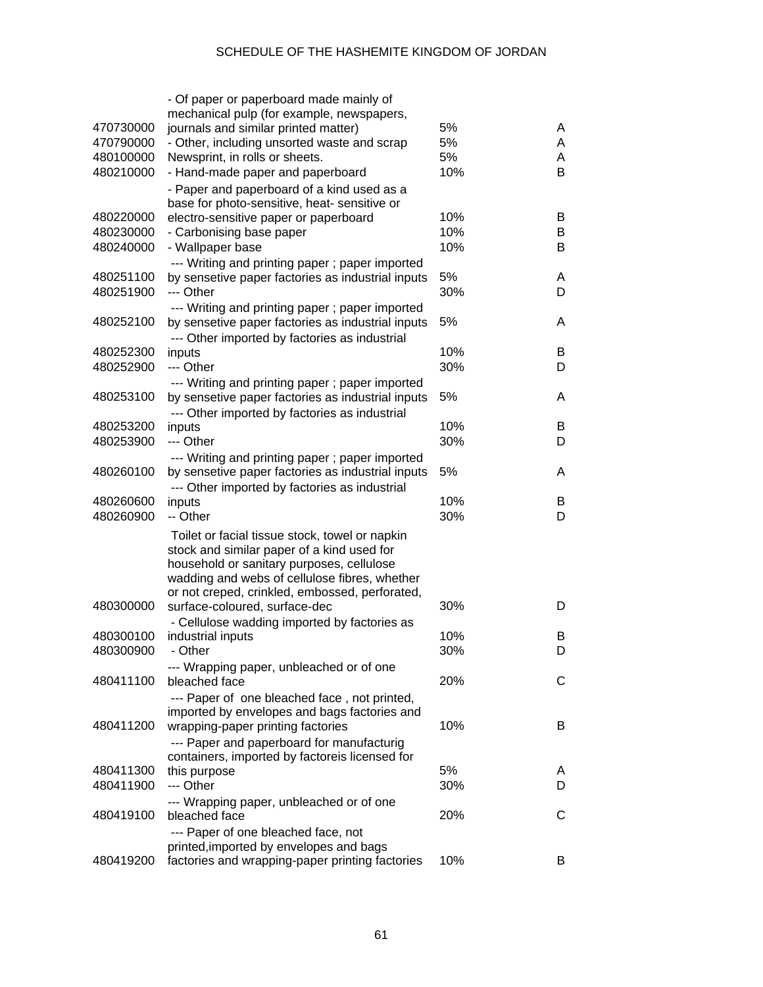|           | - Of paper or paperboard made mainly of                                                             |     |   |
|-----------|-----------------------------------------------------------------------------------------------------|-----|---|
|           | mechanical pulp (for example, newspapers,                                                           |     |   |
| 470730000 | journals and similar printed matter)                                                                | 5%  | A |
| 470790000 | - Other, including unsorted waste and scrap                                                         | 5%  | A |
| 480100000 | Newsprint, in rolls or sheets.                                                                      | 5%  | A |
| 480210000 | - Hand-made paper and paperboard                                                                    | 10% | B |
|           | - Paper and paperboard of a kind used as a                                                          |     |   |
|           | base for photo-sensitive, heat- sensitive or                                                        |     |   |
| 480220000 | electro-sensitive paper or paperboard                                                               | 10% | B |
| 480230000 | - Carbonising base paper                                                                            | 10% | B |
| 480240000 | - Wallpaper base                                                                                    | 10% | B |
|           | --- Writing and printing paper; paper imported                                                      |     |   |
| 480251100 | by sensetive paper factories as industrial inputs                                                   | 5%  | A |
| 480251900 | --- Other                                                                                           | 30% | D |
|           | --- Writing and printing paper; paper imported                                                      |     |   |
| 480252100 | by sensetive paper factories as industrial inputs                                                   | 5%  | A |
|           | --- Other imported by factories as industrial                                                       |     |   |
| 480252300 | inputs                                                                                              | 10% | B |
| 480252900 | --- Other                                                                                           | 30% | D |
|           |                                                                                                     |     |   |
| 480253100 | --- Writing and printing paper; paper imported<br>by sensetive paper factories as industrial inputs | 5%  | A |
|           |                                                                                                     |     |   |
| 480253200 | --- Other imported by factories as industrial<br>inputs                                             | 10% | B |
| 480253900 | --- Other                                                                                           | 30% | D |
|           |                                                                                                     |     |   |
|           | --- Writing and printing paper; paper imported                                                      |     |   |
| 480260100 | by sensetive paper factories as industrial inputs                                                   | 5%  | A |
|           | --- Other imported by factories as industrial                                                       |     |   |
| 480260600 | inputs                                                                                              | 10% | B |
| 480260900 | -- Other                                                                                            | 30% | D |
|           | Toilet or facial tissue stock, towel or napkin                                                      |     |   |
|           | stock and similar paper of a kind used for                                                          |     |   |
|           | household or sanitary purposes, cellulose                                                           |     |   |
|           | wadding and webs of cellulose fibres, whether                                                       |     |   |
|           | or not creped, crinkled, embossed, perforated,                                                      |     |   |
| 480300000 | surface-coloured, surface-dec                                                                       | 30% | D |
|           | - Cellulose wadding imported by factories as                                                        |     |   |
| 480300100 | industrial inputs                                                                                   | 10% | B |
| 480300900 | - Other                                                                                             | 30% | D |
|           | --- Wrapping paper, unbleached or of one                                                            |     |   |
| 480411100 | bleached face                                                                                       | 20% | С |
|           | --- Paper of one bleached face, not printed,                                                        |     |   |
|           | imported by envelopes and bags factories and                                                        |     |   |
| 480411200 | wrapping-paper printing factories                                                                   | 10% | B |
|           | --- Paper and paperboard for manufacturig                                                           |     |   |
|           | containers, imported by factoreis licensed for                                                      |     |   |
| 480411300 | this purpose                                                                                        | 5%  | A |
| 480411900 | --- Other                                                                                           | 30% | D |
|           | --- Wrapping paper, unbleached or of one                                                            |     |   |
| 480419100 | bleached face                                                                                       | 20% | С |
|           | --- Paper of one bleached face, not                                                                 |     |   |
|           | printed, imported by envelopes and bags                                                             |     |   |
| 480419200 | factories and wrapping-paper printing factories                                                     | 10% | B |
|           |                                                                                                     |     |   |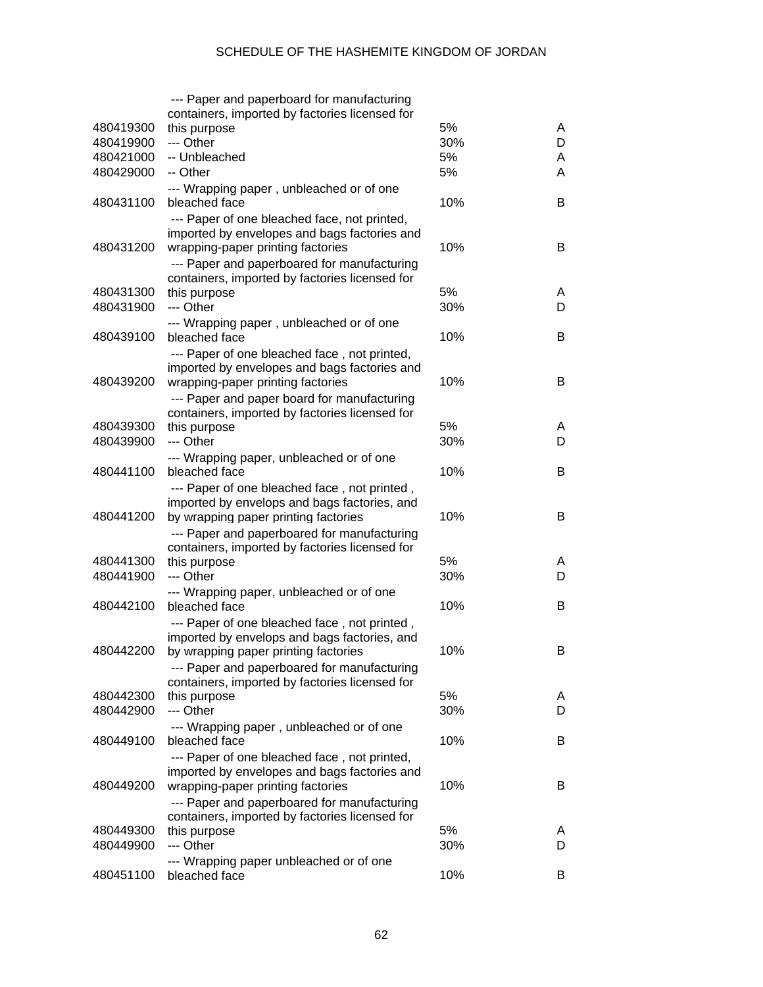|           | --- Paper and paperboard for manufacturing                                                   |     |   |
|-----------|----------------------------------------------------------------------------------------------|-----|---|
|           | containers, imported by factories licensed for                                               |     |   |
| 480419300 | this purpose                                                                                 | 5%  | A |
| 480419900 | --- Other                                                                                    | 30% | D |
| 480421000 | -- Unbleached                                                                                | 5%  | A |
| 480429000 | -- Other                                                                                     | 5%  | A |
|           | --- Wrapping paper, unbleached or of one                                                     |     |   |
| 480431100 | bleached face                                                                                | 10% | B |
|           | --- Paper of one bleached face, not printed,                                                 |     |   |
|           | imported by envelopes and bags factories and                                                 |     |   |
| 480431200 | wrapping-paper printing factories                                                            | 10% | B |
|           | --- Paper and paperboared for manufacturing                                                  |     |   |
|           | containers, imported by factories licensed for                                               |     |   |
| 480431300 | this purpose                                                                                 | 5%  | A |
| 480431900 | --- Other                                                                                    | 30% | D |
|           | --- Wrapping paper, unbleached or of one                                                     |     |   |
| 480439100 | bleached face                                                                                | 10% | B |
|           | --- Paper of one bleached face, not printed,                                                 |     |   |
|           | imported by envelopes and bags factories and                                                 |     |   |
| 480439200 | wrapping-paper printing factories                                                            | 10% | B |
|           | --- Paper and paper board for manufacturing                                                  |     |   |
|           | containers, imported by factories licensed for                                               |     |   |
| 480439300 | this purpose                                                                                 | 5%  | A |
| 480439900 | --- Other                                                                                    | 30% | D |
|           | --- Wrapping paper, unbleached or of one                                                     |     |   |
| 480441100 | bleached face                                                                                | 10% | B |
|           | --- Paper of one bleached face, not printed,                                                 |     |   |
|           | imported by envelops and bags factories, and                                                 |     |   |
| 480441200 | by wrapping paper printing factories                                                         | 10% | B |
|           | --- Paper and paperboared for manufacturing                                                  |     |   |
|           | containers, imported by factories licensed for                                               |     |   |
| 480441300 | this purpose                                                                                 | 5%  | A |
| 480441900 | --- Other                                                                                    | 30% | D |
|           | --- Wrapping paper, unbleached or of one                                                     |     |   |
| 480442100 | bleached face                                                                                | 10% | B |
|           | --- Paper of one bleached face, not printed,                                                 |     |   |
|           | imported by envelops and bags factories, and                                                 |     |   |
| 480442200 | by wrapping paper printing factories                                                         | 10% | B |
|           | --- Paper and paperboared for manufacturing                                                  |     |   |
|           | containers, imported by factories licensed for                                               |     |   |
| 480442300 | this purpose                                                                                 | 5%  | A |
| 480442900 | --- Other                                                                                    | 30% | D |
|           | --- Wrapping paper, unbleached or of one                                                     |     |   |
| 480449100 | bleached face                                                                                | 10% | B |
|           |                                                                                              |     |   |
|           | --- Paper of one bleached face, not printed,<br>imported by envelopes and bags factories and |     |   |
| 480449200 | wrapping-paper printing factories                                                            | 10% | B |
|           |                                                                                              |     |   |
|           | --- Paper and paperboared for manufacturing                                                  |     |   |
| 480449300 | containers, imported by factories licensed for<br>this purpose                               | 5%  | A |
| 480449900 | --- Other                                                                                    | 30% | D |
|           |                                                                                              |     |   |
| 480451100 | --- Wrapping paper unbleached or of one<br>bleached face                                     | 10% | В |
|           |                                                                                              |     |   |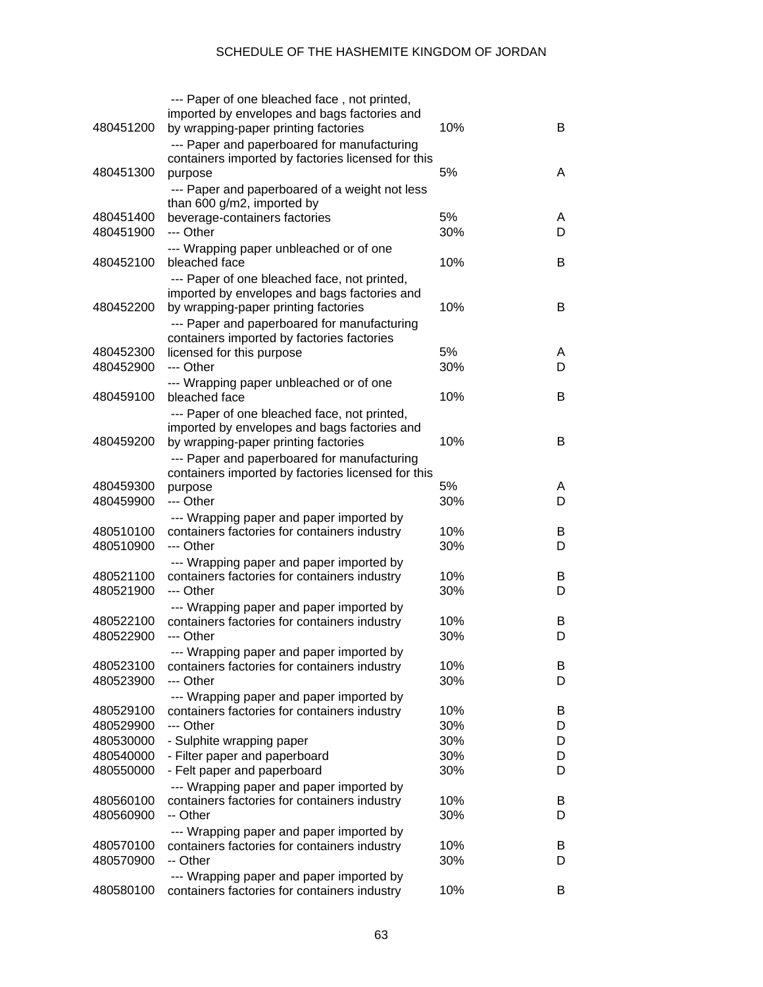|                        | --- Paper of one bleached face, not printed,                                              |            |        |
|------------------------|-------------------------------------------------------------------------------------------|------------|--------|
|                        | imported by envelopes and bags factories and                                              |            |        |
| 480451200              | by wrapping-paper printing factories                                                      | 10%        | B      |
|                        | --- Paper and paperboared for manufacturing                                               |            |        |
|                        | containers imported by factories licensed for this                                        |            |        |
| 480451300              | purpose                                                                                   | 5%         | A      |
|                        | --- Paper and paperboared of a weight not less                                            |            |        |
|                        | than 600 g/m2, imported by                                                                |            |        |
| 480451400              | beverage-containers factories                                                             | 5%         | A      |
| 480451900              | --- Other                                                                                 | 30%        | D      |
|                        | --- Wrapping paper unbleached or of one                                                   |            |        |
| 480452100              | bleached face                                                                             | 10%        | B      |
|                        | --- Paper of one bleached face, not printed,                                              |            |        |
| 480452200              | imported by envelopes and bags factories and<br>by wrapping-paper printing factories      | 10%        | B      |
|                        |                                                                                           |            |        |
|                        | --- Paper and paperboared for manufacturing<br>containers imported by factories factories |            |        |
| 480452300              | licensed for this purpose                                                                 | 5%         | A      |
| 480452900              | --- Other                                                                                 | 30%        | D      |
|                        | --- Wrapping paper unbleached or of one                                                   |            |        |
| 480459100              | bleached face                                                                             | 10%        | B      |
|                        | --- Paper of one bleached face, not printed,                                              |            |        |
|                        | imported by envelopes and bags factories and                                              |            |        |
| 480459200              | by wrapping-paper printing factories                                                      | 10%        | B      |
|                        | --- Paper and paperboared for manufacturing                                               |            |        |
|                        | containers imported by factories licensed for this                                        |            |        |
| 480459300              | purpose                                                                                   | 5%         | A      |
| 480459900              | --- Other                                                                                 | 30%        | D      |
|                        | --- Wrapping paper and paper imported by                                                  |            |        |
| 480510100              | containers factories for containers industry                                              | 10%        | B      |
| 480510900              | --- Other                                                                                 | 30%        | D      |
|                        | --- Wrapping paper and paper imported by                                                  |            |        |
| 480521100              | containers factories for containers industry                                              | 10%        | B      |
| 480521900              | --- Other                                                                                 | 30%        | D      |
|                        | --- Wrapping paper and paper imported by                                                  |            |        |
| 480522100              | containers factories for containers industry                                              | 10%        | B      |
| 480522900              | --- Other                                                                                 | 30%        | D      |
|                        | --- Wrapping paper and paper imported by                                                  |            |        |
| 480523100              | containers factories for containers industry                                              | 10%        | B      |
| 480523900              | --- Other                                                                                 | 30%        | D      |
|                        | --- Wrapping paper and paper imported by                                                  |            |        |
| 480529100              | containers factories for containers industry                                              | 10%        | B      |
| 480529900              | --- Other                                                                                 | 30%        | D      |
| 480530000<br>480540000 | - Sulphite wrapping paper<br>- Filter paper and paperboard                                | 30%<br>30% | D<br>D |
| 480550000              | - Felt paper and paperboard                                                               | 30%        | D      |
|                        | --- Wrapping paper and paper imported by                                                  |            |        |
| 480560100              | containers factories for containers industry                                              | 10%        | B      |
| 480560900              | -- Other                                                                                  | 30%        | D      |
|                        | --- Wrapping paper and paper imported by                                                  |            |        |
| 480570100              | containers factories for containers industry                                              | 10%        | B      |
| 480570900              | -- Other                                                                                  | 30%        | D      |
|                        | --- Wrapping paper and paper imported by                                                  |            |        |
| 480580100              | containers factories for containers industry                                              | 10%        | B      |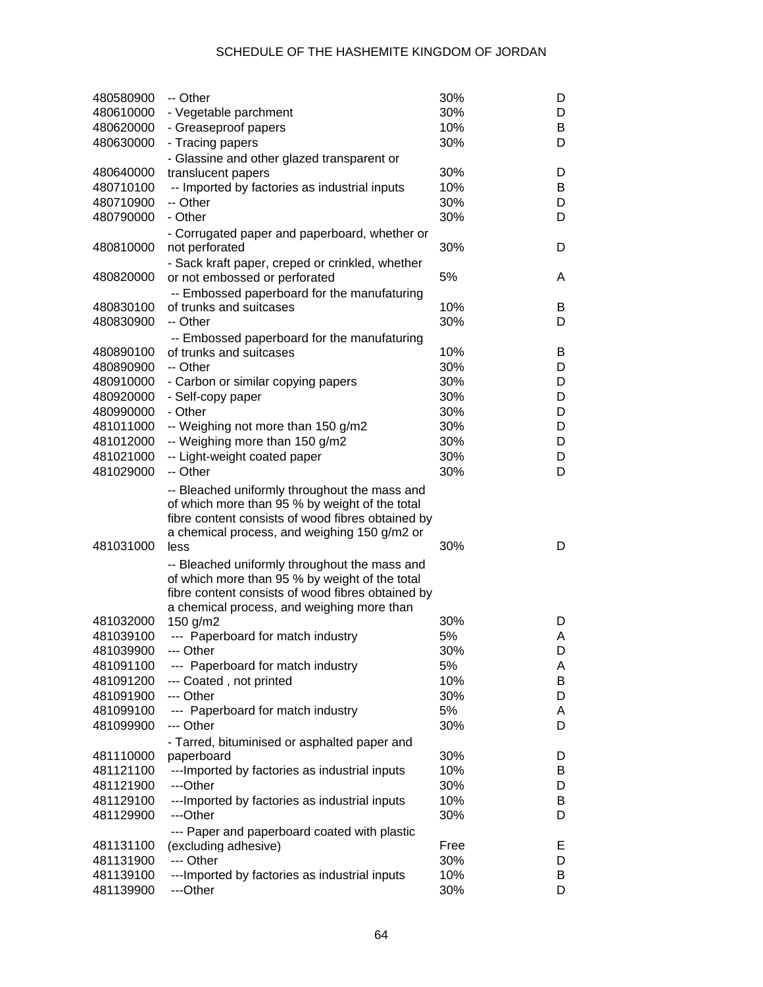| 480580900 | -- Other                                                                                                                                                                                                     | 30%  | D |
|-----------|--------------------------------------------------------------------------------------------------------------------------------------------------------------------------------------------------------------|------|---|
| 480610000 | - Vegetable parchment                                                                                                                                                                                        | 30%  | D |
| 480620000 | - Greaseproof papers                                                                                                                                                                                         | 10%  | B |
| 480630000 | - Tracing papers                                                                                                                                                                                             | 30%  | D |
|           | - Glassine and other glazed transparent or                                                                                                                                                                   |      |   |
| 480640000 | translucent papers                                                                                                                                                                                           | 30%  | D |
| 480710100 | -- Imported by factories as industrial inputs                                                                                                                                                                | 10%  | B |
| 480710900 | -- Other                                                                                                                                                                                                     | 30%  | D |
| 480790000 | - Other                                                                                                                                                                                                      | 30%  | D |
|           |                                                                                                                                                                                                              |      |   |
|           | - Corrugated paper and paperboard, whether or                                                                                                                                                                | 30%  | D |
| 480810000 | not perforated                                                                                                                                                                                               |      |   |
|           | - Sack kraft paper, creped or crinkled, whether                                                                                                                                                              |      |   |
| 480820000 | or not embossed or perforated                                                                                                                                                                                | 5%   | A |
|           | -- Embossed paperboard for the manufaturing                                                                                                                                                                  |      |   |
| 480830100 | of trunks and suitcases                                                                                                                                                                                      | 10%  | B |
| 480830900 | -- Other                                                                                                                                                                                                     | 30%  | D |
|           | -- Embossed paperboard for the manufaturing                                                                                                                                                                  |      |   |
| 480890100 | of trunks and suitcases                                                                                                                                                                                      | 10%  | B |
| 480890900 | -- Other                                                                                                                                                                                                     | 30%  | D |
| 480910000 | - Carbon or similar copying papers                                                                                                                                                                           | 30%  | D |
| 480920000 | - Self-copy paper                                                                                                                                                                                            | 30%  | D |
| 480990000 | - Other                                                                                                                                                                                                      | 30%  | D |
| 481011000 | -- Weighing not more than 150 g/m2                                                                                                                                                                           | 30%  | D |
| 481012000 | -- Weighing more than 150 g/m2                                                                                                                                                                               | 30%  | D |
| 481021000 | -- Light-weight coated paper                                                                                                                                                                                 | 30%  | D |
| 481029000 | -- Other                                                                                                                                                                                                     | 30%  | D |
|           |                                                                                                                                                                                                              |      |   |
| 481031000 | -- Bleached uniformly throughout the mass and<br>of which more than 95 % by weight of the total<br>fibre content consists of wood fibres obtained by<br>a chemical process, and weighing 150 g/m2 or<br>less | 30%  | D |
|           |                                                                                                                                                                                                              |      |   |
|           | -- Bleached uniformly throughout the mass and                                                                                                                                                                |      |   |
|           | of which more than 95 % by weight of the total                                                                                                                                                               |      |   |
|           | fibre content consists of wood fibres obtained by                                                                                                                                                            |      |   |
| 481032000 | a chemical process, and weighing more than                                                                                                                                                                   | 30%  | D |
| 481039100 | 150 $g/m2$<br>--- Paperboard for match industry                                                                                                                                                              | 5%   | A |
| 481039900 |                                                                                                                                                                                                              | 30%  | D |
|           | --- Other                                                                                                                                                                                                    |      |   |
| 481091100 | --- Paperboard for match industry                                                                                                                                                                            | 5%   | A |
| 481091200 | --- Coated, not printed                                                                                                                                                                                      | 10%  | B |
| 481091900 | --- Other                                                                                                                                                                                                    | 30%  | D |
| 481099100 | --- Paperboard for match industry                                                                                                                                                                            | 5%   | Α |
| 481099900 | --- Other                                                                                                                                                                                                    | 30%  | D |
|           | - Tarred, bituminised or asphalted paper and                                                                                                                                                                 |      |   |
| 481110000 | paperboard                                                                                                                                                                                                   | 30%  | D |
| 481121100 | --- Imported by factories as industrial inputs                                                                                                                                                               | 10%  | B |
| 481121900 | ---Other                                                                                                                                                                                                     | 30%  | D |
| 481129100 | ---Imported by factories as industrial inputs                                                                                                                                                                | 10%  | B |
| 481129900 | ---Other                                                                                                                                                                                                     | 30%  | D |
|           | --- Paper and paperboard coated with plastic                                                                                                                                                                 |      |   |
| 481131100 | (excluding adhesive)                                                                                                                                                                                         | Free | Е |
| 481131900 | --- Other                                                                                                                                                                                                    | 30%  | D |
| 481139100 | ---Imported by factories as industrial inputs                                                                                                                                                                | 10%  | B |
| 481139900 | ---Other                                                                                                                                                                                                     | 30%  | D |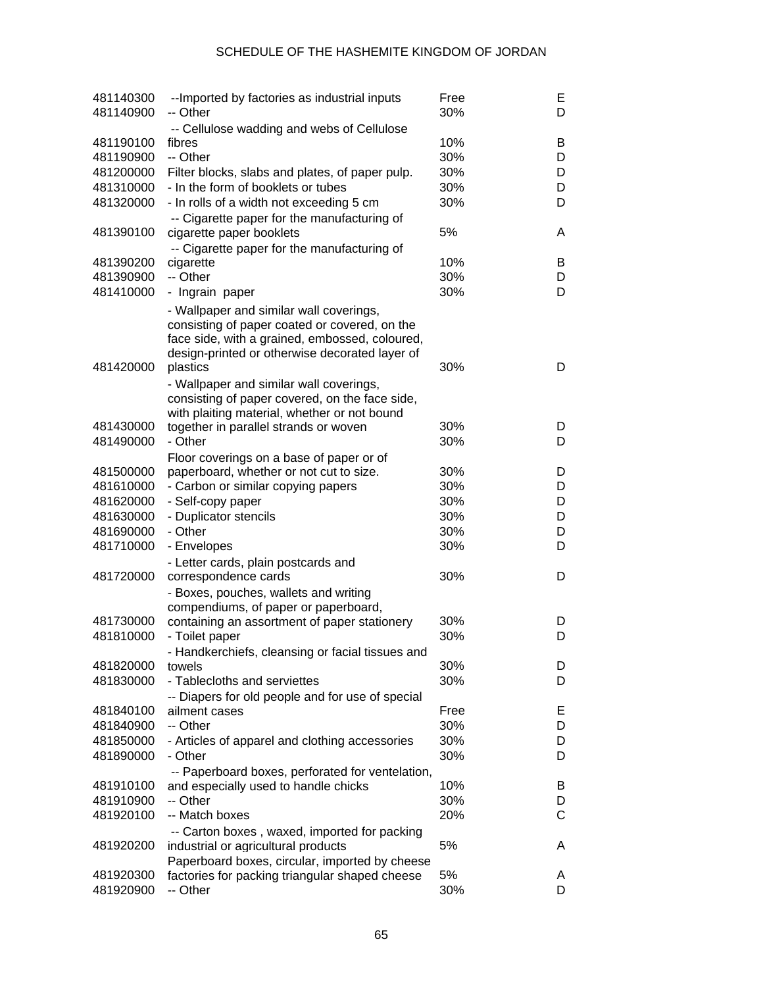| 481140300<br>481140900 | --Imported by factories as industrial inputs<br>-- Other                                                                                                                                                 | Free<br>30% | Е<br>D            |
|------------------------|----------------------------------------------------------------------------------------------------------------------------------------------------------------------------------------------------------|-------------|-------------------|
|                        | -- Cellulose wadding and webs of Cellulose                                                                                                                                                               |             |                   |
| 481190100              | fibres                                                                                                                                                                                                   | 10%         | B                 |
| 481190900              | -- Other                                                                                                                                                                                                 | 30%         | D                 |
| 481200000              | Filter blocks, slabs and plates, of paper pulp.                                                                                                                                                          | 30%         | D                 |
| 481310000              | - In the form of booklets or tubes                                                                                                                                                                       | 30%         | D                 |
| 481320000              | - In rolls of a width not exceeding 5 cm                                                                                                                                                                 | 30%         | D                 |
| 481390100              | -- Cigarette paper for the manufacturing of                                                                                                                                                              | 5%          | A                 |
|                        | cigarette paper booklets<br>-- Cigarette paper for the manufacturing of                                                                                                                                  |             |                   |
| 481390200              | cigarette                                                                                                                                                                                                | 10%         | B                 |
| 481390900              | -- Other                                                                                                                                                                                                 | 30%         | D                 |
| 481410000              | - Ingrain paper                                                                                                                                                                                          | 30%         | D                 |
|                        |                                                                                                                                                                                                          |             |                   |
| 481420000              | - Wallpaper and similar wall coverings,<br>consisting of paper coated or covered, on the<br>face side, with a grained, embossed, coloured,<br>design-printed or otherwise decorated layer of<br>plastics | 30%         | D                 |
|                        |                                                                                                                                                                                                          |             |                   |
|                        | - Wallpaper and similar wall coverings,                                                                                                                                                                  |             |                   |
|                        | consisting of paper covered, on the face side,                                                                                                                                                           |             |                   |
| 481430000              | with plaiting material, whether or not bound                                                                                                                                                             | 30%         | D                 |
|                        | together in parallel strands or woven<br>- Other                                                                                                                                                         |             |                   |
| 481490000              |                                                                                                                                                                                                          | 30%         | D                 |
|                        | Floor coverings on a base of paper or of                                                                                                                                                                 |             |                   |
| 481500000              | paperboard, whether or not cut to size.                                                                                                                                                                  | 30%         | D                 |
| 481610000              | - Carbon or similar copying papers                                                                                                                                                                       | 30%         | D                 |
| 481620000              | - Self-copy paper                                                                                                                                                                                        | 30%         | D                 |
| 481630000              | - Duplicator stencils                                                                                                                                                                                    | 30%         | D                 |
| 481690000              | - Other                                                                                                                                                                                                  | 30%         | D                 |
| 481710000              | - Envelopes                                                                                                                                                                                              | 30%         | D                 |
|                        | - Letter cards, plain postcards and                                                                                                                                                                      |             |                   |
| 481720000              | correspondence cards                                                                                                                                                                                     | 30%         | D                 |
|                        | - Boxes, pouches, wallets and writing                                                                                                                                                                    |             |                   |
|                        | compendiums, of paper or paperboard,                                                                                                                                                                     |             |                   |
| 481730000              | containing an assortment of paper stationery                                                                                                                                                             | 30%         | D                 |
| 481810000              | - Toilet paper                                                                                                                                                                                           | 30%         | D                 |
|                        | - Handkerchiefs, cleansing or facial tissues and                                                                                                                                                         |             |                   |
| 481820000              | towels                                                                                                                                                                                                   | 30%         | D                 |
| 481830000              | - Tablecloths and serviettes                                                                                                                                                                             | 30%         | D                 |
|                        | -- Diapers for old people and for use of special                                                                                                                                                         |             |                   |
| 481840100              | ailment cases                                                                                                                                                                                            | Free        | Е                 |
| 481840900              | -- Other                                                                                                                                                                                                 | 30%         | D                 |
| 481850000              | - Articles of apparel and clothing accessories                                                                                                                                                           | 30%         | D                 |
| 481890000              | - Other                                                                                                                                                                                                  | 30%         | D                 |
|                        |                                                                                                                                                                                                          |             |                   |
| 481910100              | -- Paperboard boxes, perforated for ventelation,                                                                                                                                                         | 10%         | B                 |
| 481910900              | and especially used to handle chicks<br>-- Other                                                                                                                                                         | 30%         |                   |
|                        |                                                                                                                                                                                                          |             | D<br>$\mathsf{C}$ |
| 481920100              | -- Match boxes                                                                                                                                                                                           | 20%         |                   |
|                        | -- Carton boxes, waxed, imported for packing                                                                                                                                                             |             |                   |
| 481920200              | industrial or agricultural products                                                                                                                                                                      | 5%          | A                 |
|                        | Paperboard boxes, circular, imported by cheese                                                                                                                                                           |             |                   |
| 481920300              | factories for packing triangular shaped cheese                                                                                                                                                           | 5%          | A                 |
| 481920900              | -- Other                                                                                                                                                                                                 | 30%         | D                 |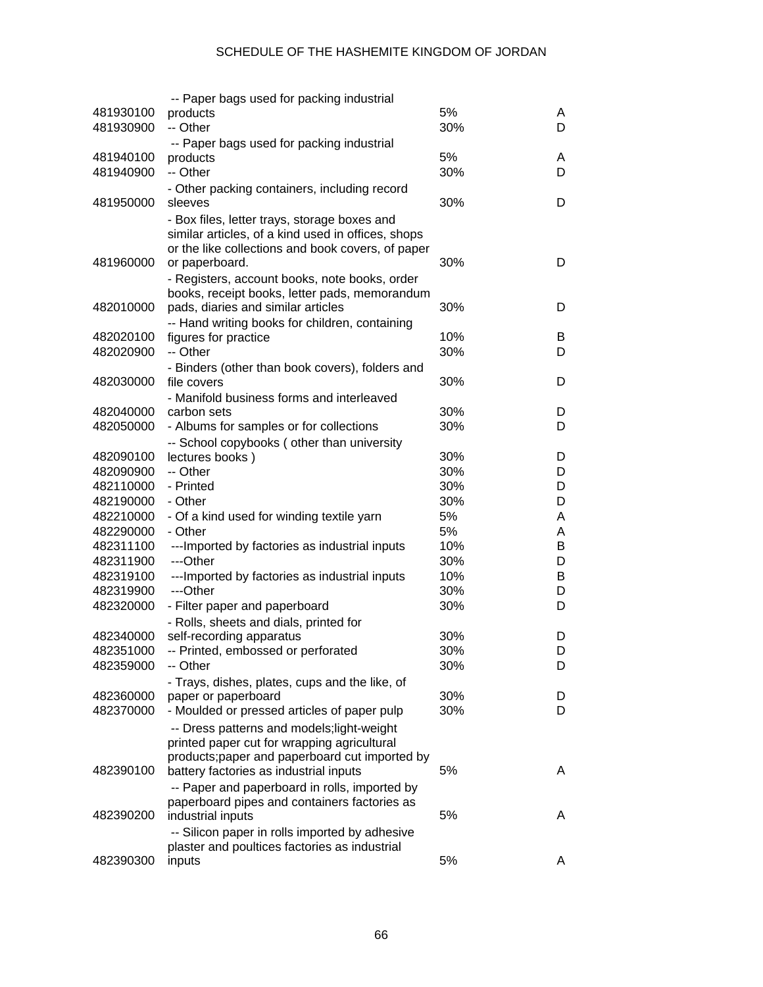|           | -- Paper bags used for packing industrial                      |            |   |
|-----------|----------------------------------------------------------------|------------|---|
| 481930100 | products                                                       | 5%         | A |
| 481930900 | -- Other                                                       | 30%        | D |
|           | -- Paper bags used for packing industrial                      |            |   |
| 481940100 | products                                                       | 5%         | A |
| 481940900 | -- Other                                                       | 30%        | D |
|           | - Other packing containers, including record                   |            |   |
| 481950000 | sleeves                                                        | 30%        | D |
|           | - Box files, letter trays, storage boxes and                   |            |   |
|           | similar articles, of a kind used in offices, shops             |            |   |
|           | or the like collections and book covers, of paper              |            |   |
| 481960000 | or paperboard.                                                 | 30%        | D |
|           | - Registers, account books, note books, order                  |            |   |
|           | books, receipt books, letter pads, memorandum                  |            |   |
| 482010000 | pads, diaries and similar articles                             | 30%        | D |
|           | -- Hand writing books for children, containing                 |            |   |
| 482020100 | figures for practice<br>-- Other                               | 10%<br>30% | B |
| 482020900 |                                                                |            | D |
| 482030000 | - Binders (other than book covers), folders and<br>file covers | 30%        | D |
|           |                                                                |            |   |
| 482040000 | - Manifold business forms and interleaved<br>carbon sets       | 30%        | D |
| 482050000 | - Albums for samples or for collections                        | 30%        | D |
|           | -- School copybooks (other than university                     |            |   |
| 482090100 | lectures books)                                                | 30%        | D |
| 482090900 | -- Other                                                       | 30%        | D |
| 482110000 | - Printed                                                      | 30%        | D |
| 482190000 | - Other                                                        | 30%        | D |
| 482210000 | - Of a kind used for winding textile yarn                      | 5%         | A |
| 482290000 | - Other                                                        | 5%         | Α |
| 482311100 | ---Imported by factories as industrial inputs                  | 10%        | В |
| 482311900 | ---Other                                                       | 30%        | D |
| 482319100 | ---Imported by factories as industrial inputs                  | 10%        | B |
| 482319900 | ---Other                                                       | 30%        | D |
| 482320000 | - Filter paper and paperboard                                  | 30%        | D |
|           | - Rolls, sheets and dials, printed for                         |            |   |
| 482340000 | self-recording apparatus                                       | 30%        | D |
| 482351000 | - Printed, embossed or perforated                              | 30%        | D |
| 482359000 | -- Other                                                       | 30%        | D |
|           | - Trays, dishes, plates, cups and the like, of                 |            |   |
| 482360000 | paper or paperboard                                            | 30%        | D |
| 482370000 | - Moulded or pressed articles of paper pulp                    | 30%        | D |
|           | -- Dress patterns and models; light-weight                     |            |   |
|           | printed paper cut for wrapping agricultural                    |            |   |
|           | products; paper and paperboard cut imported by                 |            |   |
| 482390100 | battery factories as industrial inputs                         | 5%         | A |
|           | -- Paper and paperboard in rolls, imported by                  |            |   |
|           | paperboard pipes and containers factories as                   |            |   |
| 482390200 | industrial inputs                                              | 5%         | A |
|           | -- Silicon paper in rolls imported by adhesive                 |            |   |
|           | plaster and poultices factories as industrial                  |            |   |
| 482390300 | inputs                                                         | 5%         | A |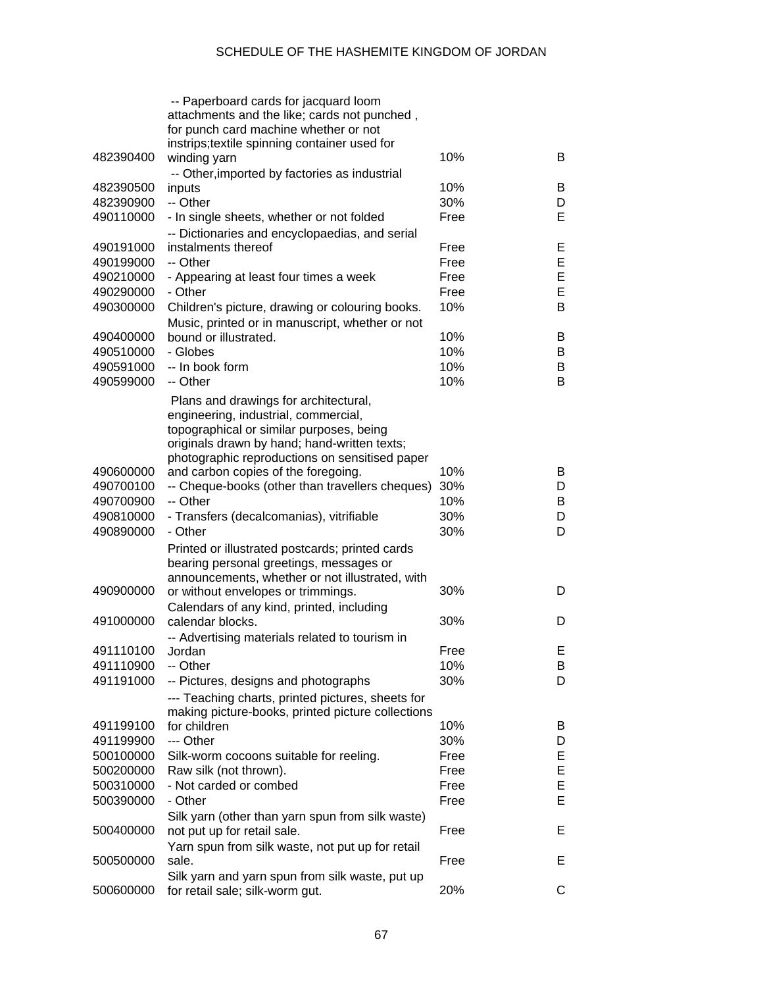|           | -- Paperboard cards for jacquard loom<br>attachments and the like; cards not punched,<br>for punch card machine whether or not<br>instrips;textile spinning container used for |      |   |
|-----------|--------------------------------------------------------------------------------------------------------------------------------------------------------------------------------|------|---|
| 482390400 |                                                                                                                                                                                | 10%  | B |
|           | winding yarn                                                                                                                                                                   |      |   |
|           | -- Other, imported by factories as industrial                                                                                                                                  |      |   |
| 482390500 | inputs                                                                                                                                                                         | 10%  | B |
| 482390900 | -- Other                                                                                                                                                                       | 30%  | D |
| 490110000 | - In single sheets, whether or not folded                                                                                                                                      | Free | Е |
|           | -- Dictionaries and encyclopaedias, and serial                                                                                                                                 |      |   |
| 490191000 | instalments thereof                                                                                                                                                            | Free | E |
| 490199000 | -- Other                                                                                                                                                                       | Free | E |
| 490210000 | - Appearing at least four times a week                                                                                                                                         | Free | E |
| 490290000 | - Other                                                                                                                                                                        | Free | E |
|           |                                                                                                                                                                                |      |   |
| 490300000 | Children's picture, drawing or colouring books.                                                                                                                                | 10%  | B |
|           | Music, printed or in manuscript, whether or not                                                                                                                                |      |   |
| 490400000 | bound or illustrated.                                                                                                                                                          | 10%  | B |
| 490510000 | - Globes                                                                                                                                                                       | 10%  | В |
| 490591000 | -- In book form                                                                                                                                                                | 10%  | В |
| 490599000 | -- Other                                                                                                                                                                       | 10%  | B |
|           | Plans and drawings for architectural,<br>engineering, industrial, commercial,<br>topographical or similar purposes, being<br>originals drawn by hand; hand-written texts;      |      |   |
|           | photographic reproductions on sensitised paper                                                                                                                                 |      |   |
| 490600000 | and carbon copies of the foregoing.                                                                                                                                            | 10%  | B |
| 490700100 | -- Cheque-books (other than travellers cheques)                                                                                                                                | 30%  | D |
| 490700900 | -- Other                                                                                                                                                                       | 10%  | В |
| 490810000 | - Transfers (decalcomanias), vitrifiable                                                                                                                                       | 30%  | D |
| 490890000 | - Other                                                                                                                                                                        | 30%  | D |
|           |                                                                                                                                                                                |      |   |
|           | Printed or illustrated postcards; printed cards<br>bearing personal greetings, messages or                                                                                     |      |   |
|           |                                                                                                                                                                                |      |   |
| 490900000 | announcements, whether or not illustrated, with                                                                                                                                |      |   |
|           | or without envelopes or trimmings.                                                                                                                                             | 30%  | D |
|           | Calendars of any kind, printed, including                                                                                                                                      |      |   |
| 491000000 | calendar blocks.                                                                                                                                                               | 30%  | D |
|           | -- Advertising materials related to tourism in                                                                                                                                 |      |   |
| 491110100 | Jordan                                                                                                                                                                         | Free | Е |
| 491110900 | -- Other                                                                                                                                                                       | 10%  | В |
| 491191000 | -- Pictures, designs and photographs                                                                                                                                           | 30%  | D |
|           | --- Teaching charts, printed pictures, sheets for                                                                                                                              |      |   |
|           |                                                                                                                                                                                |      |   |
|           | making picture-books, printed picture collections<br>for children                                                                                                              | 10%  |   |
| 491199100 |                                                                                                                                                                                |      | B |
| 491199900 | --- Other                                                                                                                                                                      | 30%  | D |
| 500100000 | Silk-worm cocoons suitable for reeling.                                                                                                                                        | Free | Е |
| 500200000 | Raw silk (not thrown).                                                                                                                                                         | Free | E |
| 500310000 | - Not carded or combed                                                                                                                                                         | Free | E |
| 500390000 | - Other                                                                                                                                                                        | Free | E |
|           | Silk yarn (other than yarn spun from silk waste)                                                                                                                               |      |   |
| 500400000 | not put up for retail sale.                                                                                                                                                    | Free | Е |
|           | Yarn spun from silk waste, not put up for retail                                                                                                                               |      |   |
| 500500000 | sale.                                                                                                                                                                          | Free | Е |
|           |                                                                                                                                                                                |      |   |
|           | Silk yarn and yarn spun from silk waste, put up                                                                                                                                |      |   |
| 500600000 | for retail sale; silk-worm gut.                                                                                                                                                | 20%  | С |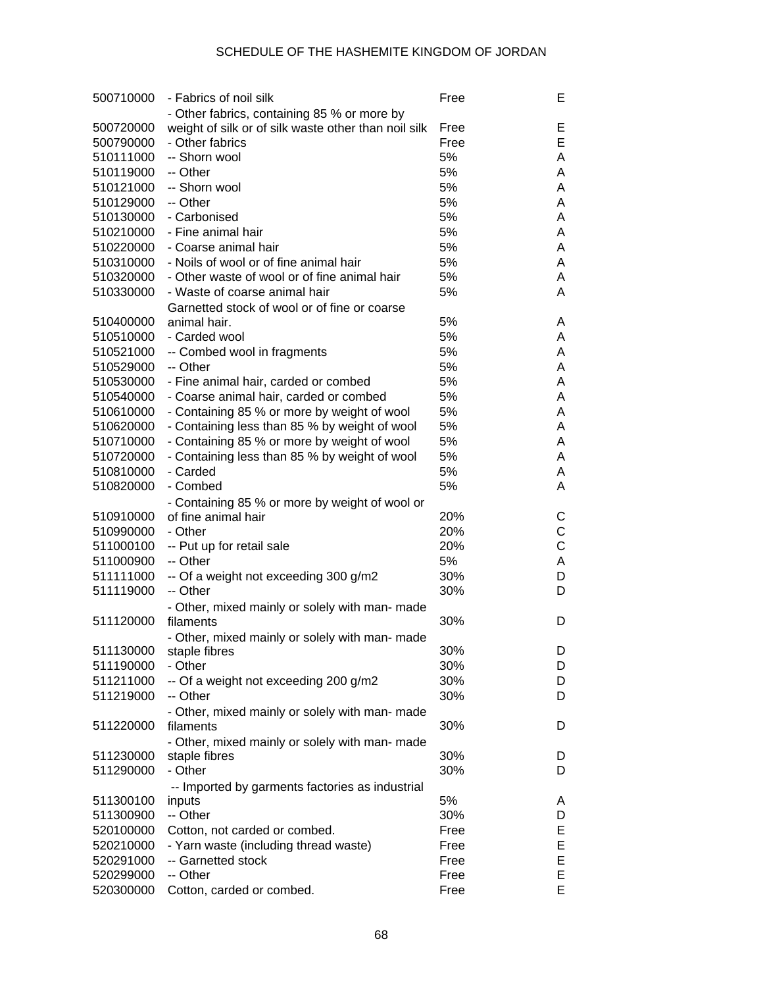| 500710000 | - Fabrics of noil silk                               | Free | Е |
|-----------|------------------------------------------------------|------|---|
|           | - Other fabrics, containing 85 % or more by          |      |   |
| 500720000 | weight of silk or of silk waste other than noil silk | Free | Е |
| 500790000 | - Other fabrics                                      | Free | E |
| 510111000 | -- Shorn wool                                        | 5%   | Α |
| 510119000 | -- Other                                             | 5%   | A |
| 510121000 | -- Shorn wool                                        | 5%   | A |
| 510129000 | -- Other                                             | 5%   | A |
| 510130000 | - Carbonised                                         | 5%   | A |
| 510210000 | - Fine animal hair                                   | 5%   | A |
| 510220000 | - Coarse animal hair                                 | 5%   | A |
| 510310000 | - Noils of wool or of fine animal hair               | 5%   | A |
| 510320000 | - Other waste of wool or of fine animal hair         | 5%   | A |
| 510330000 | - Waste of coarse animal hair                        | 5%   | A |
|           | Garnetted stock of wool or of fine or coarse         |      |   |
| 510400000 | animal hair.                                         | 5%   | A |
| 510510000 | - Carded wool                                        | 5%   | A |
| 510521000 | -- Combed wool in fragments                          | 5%   | A |
| 510529000 | -- Other                                             | 5%   | A |
| 510530000 | - Fine animal hair, carded or combed                 | 5%   | A |
| 510540000 | - Coarse animal hair, carded or combed               | 5%   | A |
| 510610000 | - Containing 85 % or more by weight of wool          | 5%   | A |
| 510620000 | - Containing less than 85 % by weight of wool        | 5%   | A |
| 510710000 | - Containing 85 % or more by weight of wool          | 5%   | A |
| 510720000 | - Containing less than 85 % by weight of wool        | 5%   | A |
| 510810000 | - Carded                                             | 5%   | A |
| 510820000 | - Combed                                             | 5%   | A |
|           | - Containing 85 % or more by weight of wool or       |      |   |
| 510910000 | of fine animal hair                                  | 20%  | С |
| 510990000 | - Other                                              | 20%  | C |
| 511000100 | -- Put up for retail sale                            | 20%  | C |
| 511000900 | -- Other                                             | 5%   | A |
| 511111000 | -- Of a weight not exceeding 300 g/m2                | 30%  | D |
| 511119000 | -- Other                                             | 30%  | D |
|           | - Other, mixed mainly or solely with man- made       |      |   |
| 511120000 | filaments                                            | 30%  | D |
|           | - Other, mixed mainly or solely with man- made       |      |   |
| 511130000 | staple fibres                                        | 30%  | D |
| 511190000 | - Other                                              | 30%  | D |
| 511211000 | -- Of a weight not exceeding 200 g/m2                | 30%  | D |
| 511219000 | -- Other                                             | 30%  | D |
|           | - Other, mixed mainly or solely with man- made       |      |   |
| 511220000 | filaments                                            | 30%  | D |
|           | - Other, mixed mainly or solely with man- made       |      |   |
| 511230000 | staple fibres                                        | 30%  | D |
| 511290000 | - Other                                              | 30%  | D |
|           | -- Imported by garments factories as industrial      |      |   |
| 511300100 | inputs                                               | 5%   | A |
| 511300900 | -- Other                                             | 30%  | D |
| 520100000 | Cotton, not carded or combed.                        | Free | Е |
| 520210000 | - Yarn waste (including thread waste)                | Free | E |
| 520291000 | -- Garnetted stock                                   | Free | E |
| 520299000 | -- Other                                             | Free | E |
| 520300000 | Cotton, carded or combed.                            | Free | E |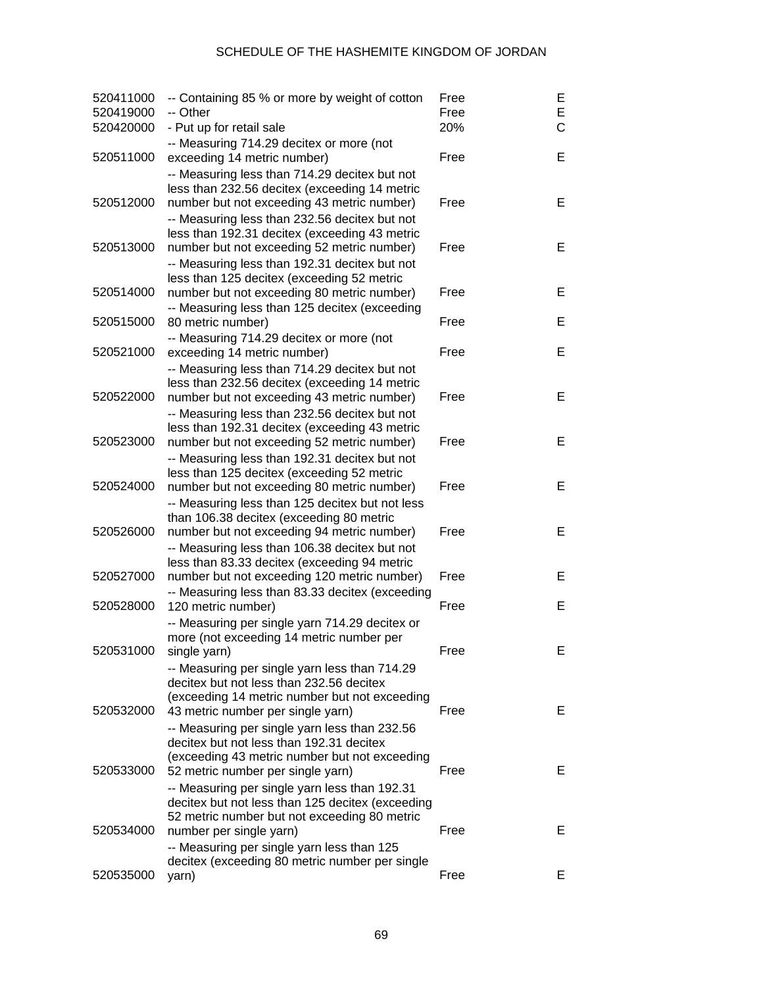| 520411000<br>520419000 | -- Containing 85 % or more by weight of cotton<br>-- Other                                                                                     | Free<br>Free | Ε<br>E       |
|------------------------|------------------------------------------------------------------------------------------------------------------------------------------------|--------------|--------------|
| 520420000              | - Put up for retail sale                                                                                                                       | 20%          | $\mathsf{C}$ |
| 520511000              | -- Measuring 714.29 decitex or more (not<br>exceeding 14 metric number)                                                                        | Free         | E            |
| 520512000              | -- Measuring less than 714.29 decitex but not<br>less than 232.56 decitex (exceeding 14 metric<br>number but not exceeding 43 metric number)   | Free         | E            |
|                        | -- Measuring less than 232.56 decitex but not<br>less than 192.31 decitex (exceeding 43 metric                                                 |              |              |
| 520513000              | number but not exceeding 52 metric number)<br>-- Measuring less than 192.31 decitex but not                                                    | Free         | E            |
| 520514000              | less than 125 decitex (exceeding 52 metric<br>number but not exceeding 80 metric number)<br>-- Measuring less than 125 decitex (exceeding      | Free         | Е            |
| 520515000              | 80 metric number)                                                                                                                              | Free         | E            |
| 520521000              | -- Measuring 714.29 decitex or more (not<br>exceeding 14 metric number)                                                                        | Free         | Е            |
|                        | -- Measuring less than 714.29 decitex but not<br>less than 232.56 decitex (exceeding 14 metric                                                 |              |              |
| 520522000              | number but not exceeding 43 metric number)<br>-- Measuring less than 232.56 decitex but not                                                    | Free         | E            |
| 520523000              | less than 192.31 decitex (exceeding 43 metric<br>number but not exceeding 52 metric number)<br>-- Measuring less than 192.31 decitex but not   | Free         | E            |
| 520524000              | less than 125 decitex (exceeding 52 metric<br>number but not exceeding 80 metric number)                                                       | Free         | E            |
| 520526000              | -- Measuring less than 125 decitex but not less<br>than 106.38 decitex (exceeding 80 metric<br>number but not exceeding 94 metric number)      | Free         | E            |
|                        | -- Measuring less than 106.38 decitex but not                                                                                                  |              |              |
| 520527000              | less than 83.33 decitex (exceeding 94 metric<br>number but not exceeding 120 metric number)<br>-- Measuring less than 83.33 decitex (exceeding | Free         | E            |
| 520528000              | 120 metric number)<br>-- Measuring per single yarn 714.29 decitex or                                                                           | Free         | E            |
| 520531000              | more (not exceeding 14 metric number per<br>single yarn)                                                                                       | Free         | Е.           |
|                        | -- Measuring per single yarn less than 714.29<br>decitex but not less than 232.56 decitex                                                      |              |              |
| 520532000              | (exceeding 14 metric number but not exceeding<br>43 metric number per single yarn)                                                             | Free         | Е            |
|                        | -- Measuring per single yarn less than 232.56<br>decitex but not less than 192.31 decitex                                                      |              |              |
| 520533000              | (exceeding 43 metric number but not exceeding<br>52 metric number per single yarn)                                                             | Free         | E.           |
|                        | -- Measuring per single yarn less than 192.31<br>decitex but not less than 125 decitex (exceeding                                              |              |              |
| 520534000              | 52 metric number but not exceeding 80 metric<br>number per single yarn)                                                                        | Free         | E.           |
| 520535000              | -- Measuring per single yarn less than 125<br>decitex (exceeding 80 metric number per single<br>yarn)                                          | Free         | E.           |
|                        |                                                                                                                                                |              |              |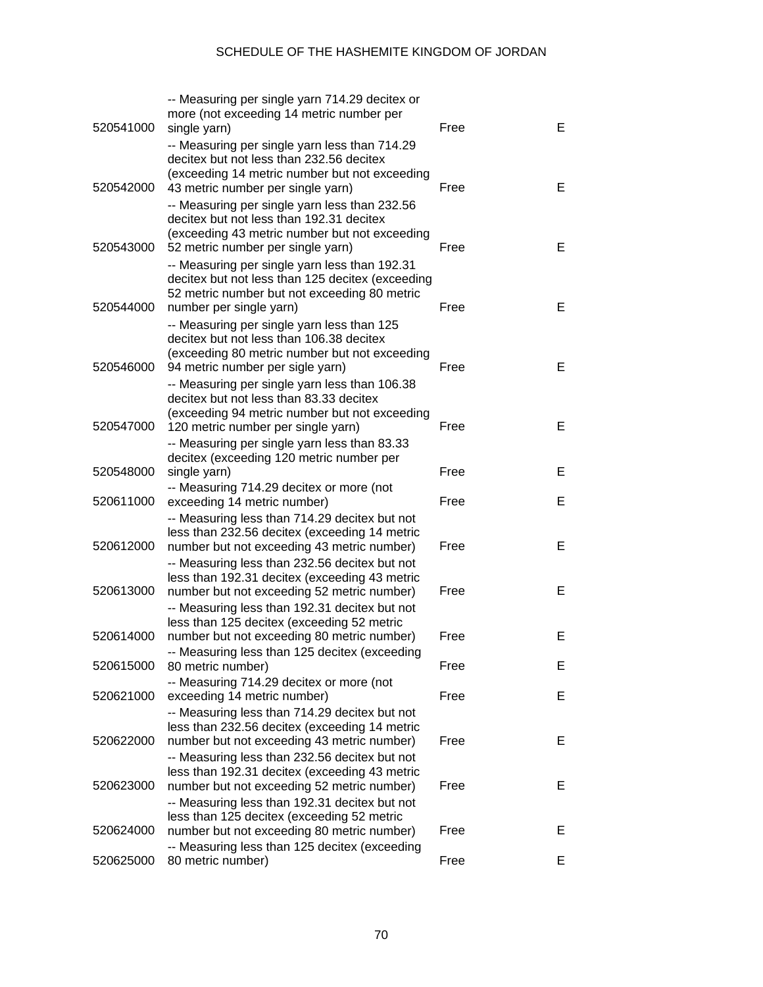| 520541000 | -- Measuring per single yarn 714.29 decitex or<br>more (not exceeding 14 metric number per<br>single yarn)                                                                      | Free | Е  |
|-----------|---------------------------------------------------------------------------------------------------------------------------------------------------------------------------------|------|----|
| 520542000 | -- Measuring per single yarn less than 714.29<br>decitex but not less than 232.56 decitex<br>(exceeding 14 metric number but not exceeding<br>43 metric number per single yarn) | Free | Е  |
|           | -- Measuring per single yarn less than 232.56<br>decitex but not less than 192.31 decitex<br>(exceeding 43 metric number but not exceeding                                      |      |    |
| 520543000 | 52 metric number per single yarn)<br>-- Measuring per single yarn less than 192.31<br>decitex but not less than 125 decitex (exceeding                                          | Free | E  |
| 520544000 | 52 metric number but not exceeding 80 metric<br>number per single yarn)<br>-- Measuring per single yarn less than 125                                                           | Free | Е  |
| 520546000 | decitex but not less than 106.38 decitex<br>(exceeding 80 metric number but not exceeding<br>94 metric number per sigle yarn)                                                   | Free | Е  |
|           | -- Measuring per single yarn less than 106.38<br>decitex but not less than 83.33 decitex<br>(exceeding 94 metric number but not exceeding                                       |      |    |
| 520547000 | 120 metric number per single yarn)<br>-- Measuring per single yarn less than 83.33<br>decitex (exceeding 120 metric number per                                                  | Free | E  |
| 520548000 | single yarn)<br>-- Measuring 714.29 decitex or more (not                                                                                                                        | Free | E  |
| 520611000 | exceeding 14 metric number)<br>-- Measuring less than 714.29 decitex but not<br>less than 232.56 decitex (exceeding 14 metric                                                   | Free | E. |
| 520612000 | number but not exceeding 43 metric number)<br>-- Measuring less than 232.56 decitex but not<br>less than 192.31 decitex (exceeding 43 metric                                    | Free | E. |
| 520613000 | number but not exceeding 52 metric number)<br>-- Measuring less than 192.31 decitex but not                                                                                     | Free | E. |
| 520614000 | less than 125 decitex (exceeding 52 metric<br>number but not exceeding 80 metric number)<br>-- Measuring less than 125 decitex (exceeding                                       | Free | Е  |
| 520615000 | 80 metric number)<br>-- Measuring 714.29 decitex or more (not                                                                                                                   | Free | Е  |
| 520621000 | exceeding 14 metric number)<br>-- Measuring less than 714.29 decitex but not                                                                                                    | Free | Е  |
| 520622000 | less than 232.56 decitex (exceeding 14 metric<br>number but not exceeding 43 metric number)<br>-- Measuring less than 232.56 decitex but not                                    | Free | Е  |
| 520623000 | less than 192.31 decitex (exceeding 43 metric<br>number but not exceeding 52 metric number)<br>-- Measuring less than 192.31 decitex but not                                    | Free | Е  |
| 520624000 | less than 125 decitex (exceeding 52 metric<br>number but not exceeding 80 metric number)                                                                                        | Free | Е  |
| 520625000 | -- Measuring less than 125 decitex (exceeding<br>80 metric number)                                                                                                              | Free | E. |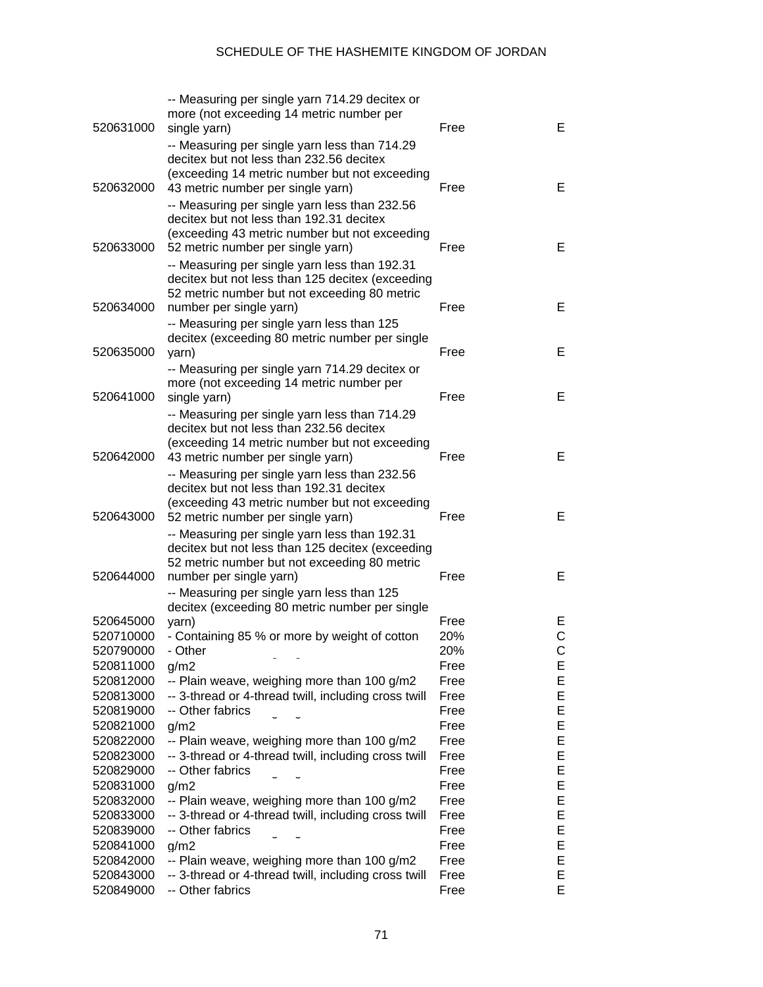| 520631000              | -- Measuring per single yarn 714.29 decitex or<br>more (not exceeding 14 metric number per<br>single yarn)                                                                             | Free | Е       |
|------------------------|----------------------------------------------------------------------------------------------------------------------------------------------------------------------------------------|------|---------|
| 520632000              | -- Measuring per single yarn less than 714.29<br>decitex but not less than 232.56 decitex<br>(exceeding 14 metric number but not exceeding                                             | Free | Е       |
|                        | 43 metric number per single yarn)<br>-- Measuring per single yarn less than 232.56<br>decitex but not less than 192.31 decitex                                                         |      |         |
| 520633000              | (exceeding 43 metric number but not exceeding<br>52 metric number per single yarn)                                                                                                     | Free | Е       |
|                        | -- Measuring per single yarn less than 192.31<br>decitex but not less than 125 decitex (exceeding<br>52 metric number but not exceeding 80 metric                                      |      |         |
| 520634000              | number per single yarn)<br>-- Measuring per single yarn less than 125                                                                                                                  | Free | E       |
| 520635000              | decitex (exceeding 80 metric number per single<br>yarn)<br>-- Measuring per single yarn 714.29 decitex or                                                                              | Free | E       |
| 520641000              | more (not exceeding 14 metric number per<br>single yarn)                                                                                                                               | Free | Е       |
|                        | -- Measuring per single yarn less than 714.29<br>decitex but not less than 232.56 decitex                                                                                              |      |         |
| 520642000              | (exceeding 14 metric number but not exceeding<br>43 metric number per single yarn)<br>-- Measuring per single yarn less than 232.56                                                    | Free | Е       |
|                        | decitex but not less than 192.31 decitex<br>(exceeding 43 metric number but not exceeding                                                                                              |      |         |
| 520643000              | 52 metric number per single yarn)<br>-- Measuring per single yarn less than 192.31<br>decitex but not less than 125 decitex (exceeding<br>52 metric number but not exceeding 80 metric | Free | Е       |
| 520644000              | number per single yarn)<br>-- Measuring per single yarn less than 125                                                                                                                  | Free | Е       |
|                        | decitex (exceeding 80 metric number per single                                                                                                                                         | Free |         |
| 520645000<br>520710000 | yarn)<br>- Containing 85 % or more by weight of cotton                                                                                                                                 | 20%  | E.<br>C |
| 520790000              | - Other                                                                                                                                                                                | 20%  | C       |
| 520811000              | g/m2                                                                                                                                                                                   | Free | Е       |
| 520812000              | -- Plain weave, weighing more than 100 g/m2                                                                                                                                            | Free | Е       |
| 520813000              | -- 3-thread or 4-thread twill, including cross twill                                                                                                                                   | Free | Е       |
| 520819000              | -- Other fabrics                                                                                                                                                                       | Free | Е       |
| 520821000              | g/m2                                                                                                                                                                                   | Free | Е       |
| 520822000              | -- Plain weave, weighing more than 100 g/m2                                                                                                                                            | Free | Е       |
| 520823000              | -- 3-thread or 4-thread twill, including cross twill                                                                                                                                   | Free | Е       |
| 520829000              | -- Other fabrics                                                                                                                                                                       | Free | Е       |
| 520831000              | g/m2                                                                                                                                                                                   | Free | Е       |
| 520832000              | -- Plain weave, weighing more than 100 g/m2                                                                                                                                            | Free | Е       |
| 520833000              | -- 3-thread or 4-thread twill, including cross twill                                                                                                                                   | Free | Е       |
| 520839000              | -- Other fabrics                                                                                                                                                                       | Free | Е       |
| 520841000              | g/m2                                                                                                                                                                                   | Free | Е       |
| 520842000              | -- Plain weave, weighing more than 100 g/m2                                                                                                                                            | Free | Е       |
| 520843000              | -- 3-thread or 4-thread twill, including cross twill                                                                                                                                   | Free | Е       |
| 520849000              | -- Other fabrics                                                                                                                                                                       | Free | E       |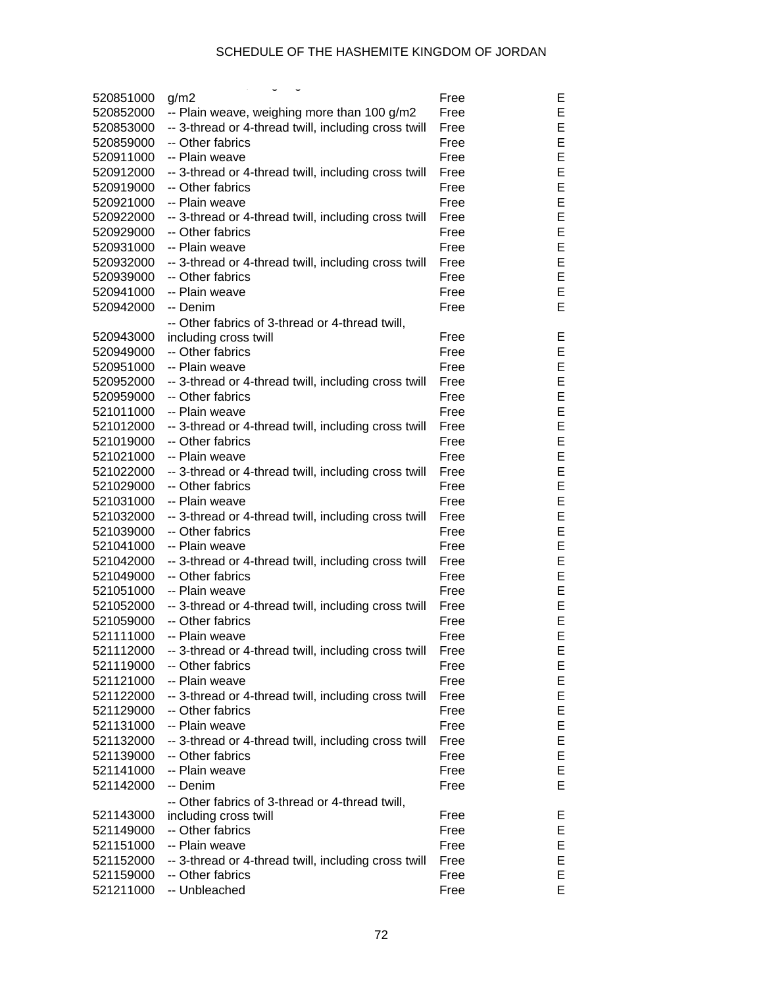| 520851000 | g/m2                                                 | Free | Е |
|-----------|------------------------------------------------------|------|---|
| 520852000 | -- Plain weave, weighing more than 100 g/m2          | Free | Ε |
| 520853000 | -- 3-thread or 4-thread twill, including cross twill | Free | Ε |
| 520859000 | -- Other fabrics                                     | Free | E |
| 520911000 | -- Plain weave                                       | Free | E |
| 520912000 | -- 3-thread or 4-thread twill, including cross twill | Free | E |
| 520919000 | -- Other fabrics                                     | Free | E |
| 520921000 | -- Plain weave                                       | Free | E |
| 520922000 | -- 3-thread or 4-thread twill, including cross twill | Free | E |
| 520929000 | -- Other fabrics                                     | Free | E |
| 520931000 | -- Plain weave                                       | Free | E |
| 520932000 | -- 3-thread or 4-thread twill, including cross twill | Free | E |
| 520939000 | -- Other fabrics                                     | Free | E |
| 520941000 | -- Plain weave                                       | Free | E |
| 520942000 | -- Denim                                             | Free | E |
|           | -- Other fabrics of 3-thread or 4-thread twill,      |      |   |
| 520943000 | including cross twill                                | Free | Е |
| 520949000 | -- Other fabrics                                     | Free | Ε |
| 520951000 | -- Plain weave                                       | Free | E |
| 520952000 | -- 3-thread or 4-thread twill, including cross twill | Free | E |
| 520959000 | -- Other fabrics                                     | Free | E |
| 521011000 | -- Plain weave                                       | Free | E |
| 521012000 | -- 3-thread or 4-thread twill, including cross twill | Free | E |
| 521019000 | -- Other fabrics                                     | Free | E |
| 521021000 | -- Plain weave                                       | Free | E |
| 521022000 | -- 3-thread or 4-thread twill, including cross twill | Free | E |
| 521029000 | -- Other fabrics                                     | Free | E |
| 521031000 | -- Plain weave                                       | Free | E |
| 521032000 | -- 3-thread or 4-thread twill, including cross twill | Free | E |
| 521039000 | -- Other fabrics                                     | Free | E |
| 521041000 | -- Plain weave                                       | Free | E |
| 521042000 | -- 3-thread or 4-thread twill, including cross twill | Free | E |
| 521049000 | -- Other fabrics                                     | Free | E |
| 521051000 | -- Plain weave                                       | Free | E |
| 521052000 | -- 3-thread or 4-thread twill, including cross twill | Free | E |
| 521059000 | -- Other fabrics                                     | Free | E |
| 521111000 | -- Plain weave                                       | Free | Е |
| 521112000 | -- 3-thread or 4-thread twill, including cross twill | Free | E |
| 521119000 | -- Other fabrics                                     | Free | E |
| 521121000 | -- Plain weave                                       | Free | E |
| 521122000 | -- 3-thread or 4-thread twill, including cross twill | Free | E |
| 521129000 | -- Other fabrics                                     | Free | E |
| 521131000 | -- Plain weave                                       | Free | E |
| 521132000 | -- 3-thread or 4-thread twill, including cross twill | Free | E |
| 521139000 | -- Other fabrics                                     | Free | E |
| 521141000 | -- Plain weave                                       | Free | E |
| 521142000 | -- Denim                                             | Free | E |
|           | -- Other fabrics of 3-thread or 4-thread twill,      |      |   |
| 521143000 | including cross twill                                | Free | E |
| 521149000 | -- Other fabrics                                     | Free | E |
| 521151000 | -- Plain weave                                       | Free | E |
| 521152000 | -- 3-thread or 4-thread twill, including cross twill | Free | E |
| 521159000 | -- Other fabrics                                     | Free | E |
| 521211000 | -- Unbleached                                        | Free | E |
|           |                                                      |      |   |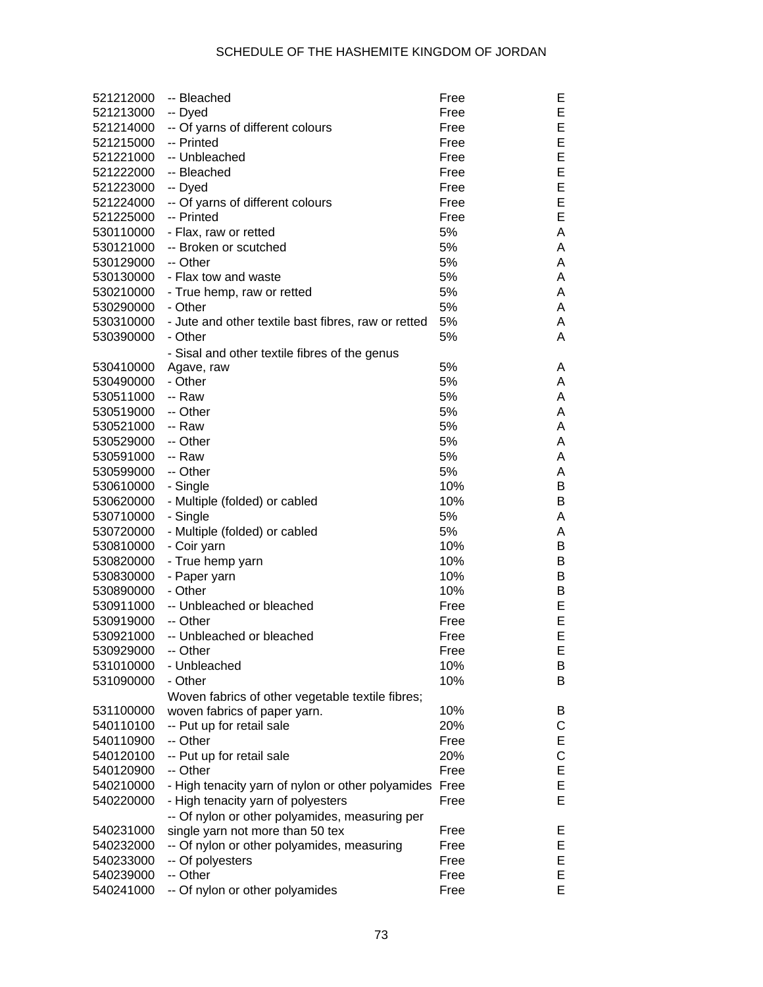| 521212000 | -- Bleached                                         | Free | Е |
|-----------|-----------------------------------------------------|------|---|
| 521213000 | -- Dyed                                             | Free | Е |
| 521214000 | -- Of yarns of different colours                    | Free | E |
| 521215000 | -- Printed                                          | Free | E |
| 521221000 | -- Unbleached                                       | Free | E |
| 521222000 | -- Bleached                                         | Free | E |
| 521223000 | -- Dyed                                             | Free | E |
| 521224000 | -- Of yarns of different colours                    | Free | E |
| 521225000 | -- Printed                                          | Free | E |
| 530110000 | - Flax, raw or retted                               | 5%   | Α |
| 530121000 | -- Broken or scutched                               | 5%   | A |
| 530129000 | -- Other                                            | 5%   | A |
| 530130000 | - Flax tow and waste                                | 5%   | A |
| 530210000 | - True hemp, raw or retted                          | 5%   | A |
| 530290000 | - Other                                             | 5%   | A |
| 530310000 | - Jute and other textile bast fibres, raw or retted | 5%   | A |
| 530390000 | - Other                                             | 5%   | A |
|           | - Sisal and other textile fibres of the genus       |      |   |
| 530410000 | Agave, raw                                          | 5%   | A |
| 530490000 | - Other                                             | 5%   | A |
| 530511000 | -- Raw                                              | 5%   | A |
| 530519000 | -- Other                                            | 5%   | A |
| 530521000 | -- Raw                                              | 5%   |   |
|           |                                                     |      | A |
| 530529000 | -- Other                                            | 5%   | A |
| 530591000 | -- Raw                                              | 5%   | A |
| 530599000 | -- Other                                            | 5%   | A |
| 530610000 | - Single                                            | 10%  | B |
| 530620000 | - Multiple (folded) or cabled                       | 10%  | В |
| 530710000 | - Single                                            | 5%   | A |
| 530720000 | - Multiple (folded) or cabled                       | 5%   | A |
| 530810000 | - Coir yarn                                         | 10%  | В |
| 530820000 | - True hemp yarn                                    | 10%  | B |
| 530830000 | - Paper yarn                                        | 10%  | B |
| 530890000 | - Other                                             | 10%  | B |
| 530911000 | -- Unbleached or bleached                           | Free | E |
| 530919000 | -- Other                                            | Free | E |
| 530921000 | -- Unbleached or bleached                           | Free | E |
| 530929000 | -- Other                                            | Free | E |
| 531010000 | - Unbleached                                        | 10%  | B |
| 531090000 | - Other                                             | 10%  | B |
|           | Woven fabrics of other vegetable textile fibres;    |      |   |
| 531100000 | woven fabrics of paper yarn.                        | 10%  | B |
| 540110100 | -- Put up for retail sale                           | 20%  | С |
| 540110900 | -- Other                                            | Free | Е |
| 540120100 | -- Put up for retail sale                           | 20%  | C |
| 540120900 | -- Other                                            | Free | Ε |
| 540210000 | - High tenacity yarn of nylon or other polyamides   | Free | E |
| 540220000 | - High tenacity yarn of polyesters                  | Free | E |
|           | -- Of nylon or other polyamides, measuring per      |      |   |
| 540231000 | single yarn not more than 50 tex                    | Free | Е |
| 540232000 | -- Of nylon or other polyamides, measuring          | Free | Е |
| 540233000 | -- Of polyesters                                    | Free | Е |
| 540239000 | -- Other                                            | Free | E |
| 540241000 | -- Of nylon or other polyamides                     | Free | Е |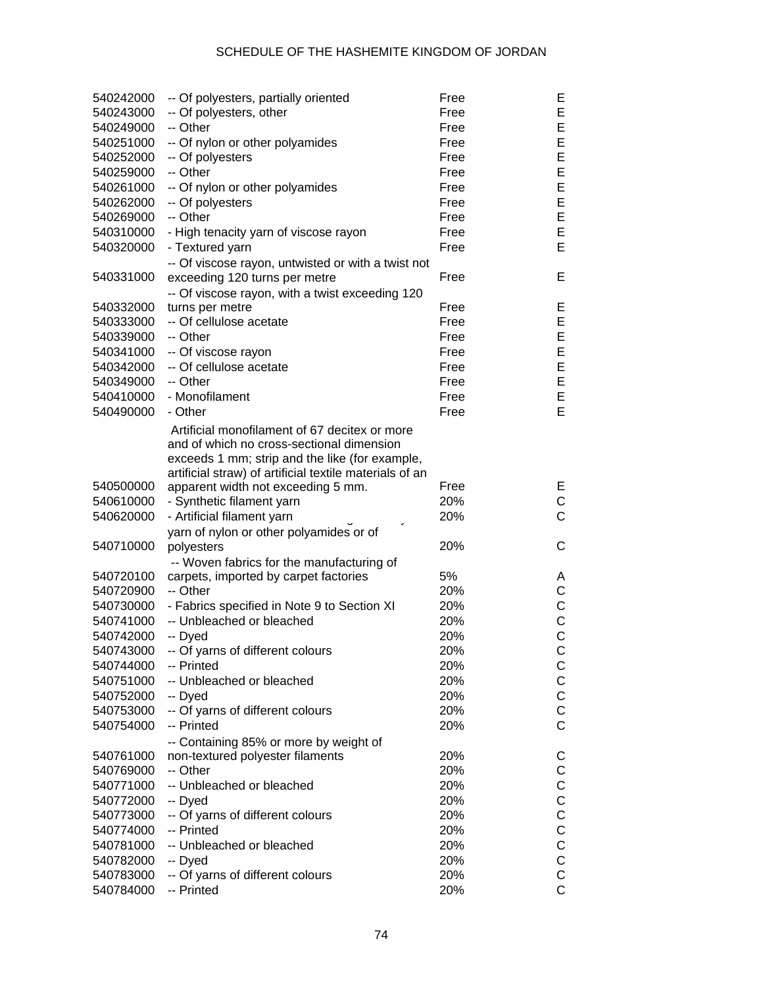| 540242000 | -- Of polyesters, partially oriented                    | Free | Е            |
|-----------|---------------------------------------------------------|------|--------------|
| 540243000 | -- Of polyesters, other                                 | Free | E            |
| 540249000 | -- Other                                                | Free | E            |
| 540251000 | -- Of nylon or other polyamides                         | Free | E            |
| 540252000 | -- Of polyesters                                        | Free | E            |
| 540259000 | -- Other                                                | Free | E            |
| 540261000 | -- Of nylon or other polyamides                         | Free | E            |
| 540262000 | -- Of polyesters                                        | Free | E            |
| 540269000 | -- Other                                                | Free | E            |
| 540310000 | - High tenacity yarn of viscose rayon                   | Free | E            |
| 540320000 | - Textured yarn                                         | Free | E            |
|           | -- Of viscose rayon, untwisted or with a twist not      |      |              |
| 540331000 | exceeding 120 turns per metre                           | Free | Е            |
|           | -- Of viscose rayon, with a twist exceeding 120         |      |              |
| 540332000 | turns per metre                                         | Free | Е            |
| 540333000 | -- Of cellulose acetate                                 | Free | E            |
| 540339000 | -- Other                                                | Free | E            |
| 540341000 | -- Of viscose rayon                                     | Free | E            |
| 540342000 | -- Of cellulose acetate                                 | Free | E            |
| 540349000 | -- Other                                                | Free | E            |
| 540410000 | - Monofilament                                          | Free | E            |
| 540490000 | - Other                                                 | Free | E            |
|           |                                                         |      |              |
|           | Artificial monofilament of 67 decitex or more           |      |              |
|           | and of which no cross-sectional dimension               |      |              |
|           | exceeds 1 mm; strip and the like (for example,          |      |              |
|           | artificial straw) of artificial textile materials of an |      |              |
| 540500000 | apparent width not exceeding 5 mm.                      | Free | Е            |
| 540610000 | - Synthetic filament yarn                               | 20%  | $\mathsf C$  |
| 540620000 | - Artificial filament yarn                              | 20%  | $\mathsf{C}$ |
|           | yarn of nylon or other polyamides or of                 |      |              |
| 540710000 | polyesters                                              | 20%  | С            |
|           | -- Woven fabrics for the manufacturing of               |      |              |
| 540720100 | carpets, imported by carpet factories                   | 5%   | A            |
| 540720900 | -- Other                                                | 20%  | C            |
| 540730000 | - Fabrics specified in Note 9 to Section XI             | 20%  | $\mathsf C$  |
| 540741000 | -- Unbleached or bleached                               | 20%  | $\mathsf C$  |
| 540742000 | -- Dyed                                                 | 20%  | $\mathsf{C}$ |
| 540743000 | -- Of yarns of different colours                        | 20%  | $\mathsf C$  |
| 540744000 | -- Printed                                              | 20%  | C            |
| 540751000 | -- Unbleached or bleached                               | 20%  | $\mathsf C$  |
| 540752000 | -- Dyed                                                 | 20%  | $\mathsf C$  |
| 540753000 | -- Of yarns of different colours                        | 20%  | $\mathsf C$  |
| 540754000 | -- Printed                                              | 20%  | $\mathsf{C}$ |
|           | -- Containing 85% or more by weight of                  |      |              |
| 540761000 | non-textured polyester filaments                        | 20%  | C            |
| 540769000 | -- Other                                                | 20%  | C            |
| 540771000 | -- Unbleached or bleached                               | 20%  | $\mathsf C$  |
| 540772000 | -- Dyed                                                 | 20%  | $\mathsf C$  |
| 540773000 | -- Of yarns of different colours                        | 20%  | $\mathsf C$  |
| 540774000 | -- Printed                                              | 20%  | $\mathsf C$  |
| 540781000 | -- Unbleached or bleached                               | 20%  | $\mathsf C$  |
| 540782000 | -- Dyed                                                 | 20%  | $\mathsf C$  |
| 540783000 | -- Of yarns of different colours                        | 20%  | $\mathsf C$  |
| 540784000 | -- Printed                                              | 20%  | $\mathsf{C}$ |
|           |                                                         |      |              |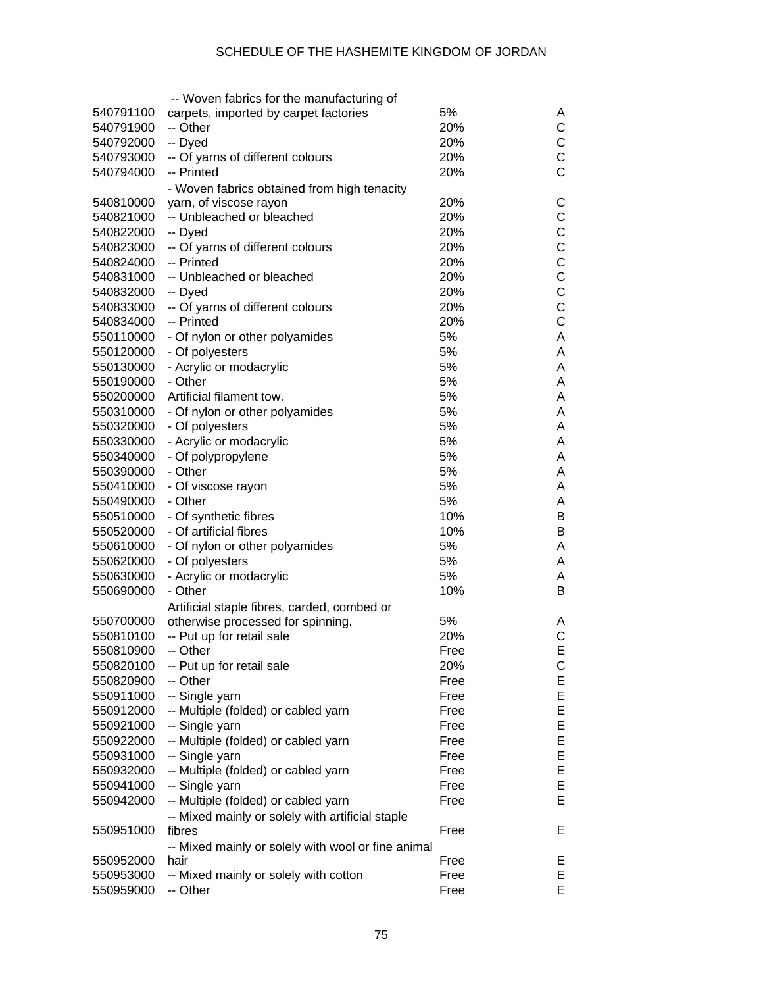|           | -- Woven fabrics for the manufacturing of          |      |              |
|-----------|----------------------------------------------------|------|--------------|
| 540791100 | carpets, imported by carpet factories              | 5%   | A            |
| 540791900 | -- Other                                           | 20%  | C            |
| 540792000 | -- Dyed                                            | 20%  | C            |
| 540793000 | -- Of yarns of different colours                   | 20%  | C            |
| 540794000 | -- Printed                                         | 20%  | C            |
|           | - Woven fabrics obtained from high tenacity        |      |              |
| 540810000 | yarn, of viscose rayon                             | 20%  | С            |
| 540821000 | -- Unbleached or bleached                          | 20%  | C            |
| 540822000 | -- Dyed                                            | 20%  | $\mathsf{C}$ |
| 540823000 | -- Of yarns of different colours                   | 20%  | $\mathsf{C}$ |
| 540824000 | -- Printed                                         | 20%  | $\mathsf{C}$ |
| 540831000 | -- Unbleached or bleached                          | 20%  | $\mathsf{C}$ |
| 540832000 | -- Dyed                                            | 20%  | $\mathsf{C}$ |
| 540833000 | -- Of yarns of different colours                   | 20%  | $\mathsf{C}$ |
| 540834000 | -- Printed                                         | 20%  | $\mathsf{C}$ |
| 550110000 | - Of nylon or other polyamides                     | 5%   | A            |
| 550120000 | - Of polyesters                                    | 5%   | A            |
| 550130000 | - Acrylic or modacrylic                            | 5%   | A            |
| 550190000 | - Other                                            | 5%   | A            |
| 550200000 | Artificial filament tow.                           | 5%   | A            |
| 550310000 | - Of nylon or other polyamides                     | 5%   | A            |
| 550320000 | - Of polyesters                                    | 5%   | A            |
| 550330000 | - Acrylic or modacrylic                            | 5%   | A            |
| 550340000 | - Of polypropylene                                 | 5%   | A            |
| 550390000 | - Other                                            | 5%   | A            |
|           |                                                    | 5%   | A            |
| 550410000 | - Of viscose rayon<br>- Other                      | 5%   |              |
| 550490000 |                                                    |      | A            |
| 550510000 | - Of synthetic fibres                              | 10%  | В            |
| 550520000 | - Of artificial fibres                             | 10%  | B            |
| 550610000 | - Of nylon or other polyamides                     | 5%   | A            |
| 550620000 | - Of polyesters                                    | 5%   | A            |
| 550630000 | - Acrylic or modacrylic                            | 5%   | A            |
| 550690000 | - Other                                            | 10%  | B            |
|           | Artificial staple fibres, carded, combed or        |      |              |
| 550700000 | otherwise processed for spinning.                  | 5%   | A            |
| 550810100 | -- Put up for retail sale                          | 20%  | C            |
| 550810900 | -- Other                                           | Free | Е            |
| 550820100 | -- Put up for retail sale                          | 20%  | C            |
| 550820900 | -- Other                                           | Free | Ε            |
| 550911000 | -- Single yarn                                     | Free | Ε            |
| 550912000 | -- Multiple (folded) or cabled yarn                | Free | Ε            |
| 550921000 | -- Single yarn                                     | Free | Ε            |
| 550922000 | -- Multiple (folded) or cabled yarn                | Free | Ε            |
| 550931000 | -- Single yarn                                     | Free | Ε            |
| 550932000 | -- Multiple (folded) or cabled yarn                | Free | E            |
| 550941000 | -- Single yarn                                     | Free | Е            |
| 550942000 | -- Multiple (folded) or cabled yarn                | Free | Е            |
|           | -- Mixed mainly or solely with artificial staple   |      |              |
| 550951000 | fibres                                             | Free | Е            |
|           | -- Mixed mainly or solely with wool or fine animal |      |              |
| 550952000 | hair                                               | Free | Е            |
| 550953000 | -- Mixed mainly or solely with cotton              | Free | Ε            |
| 550959000 | -- Other                                           | Free | E            |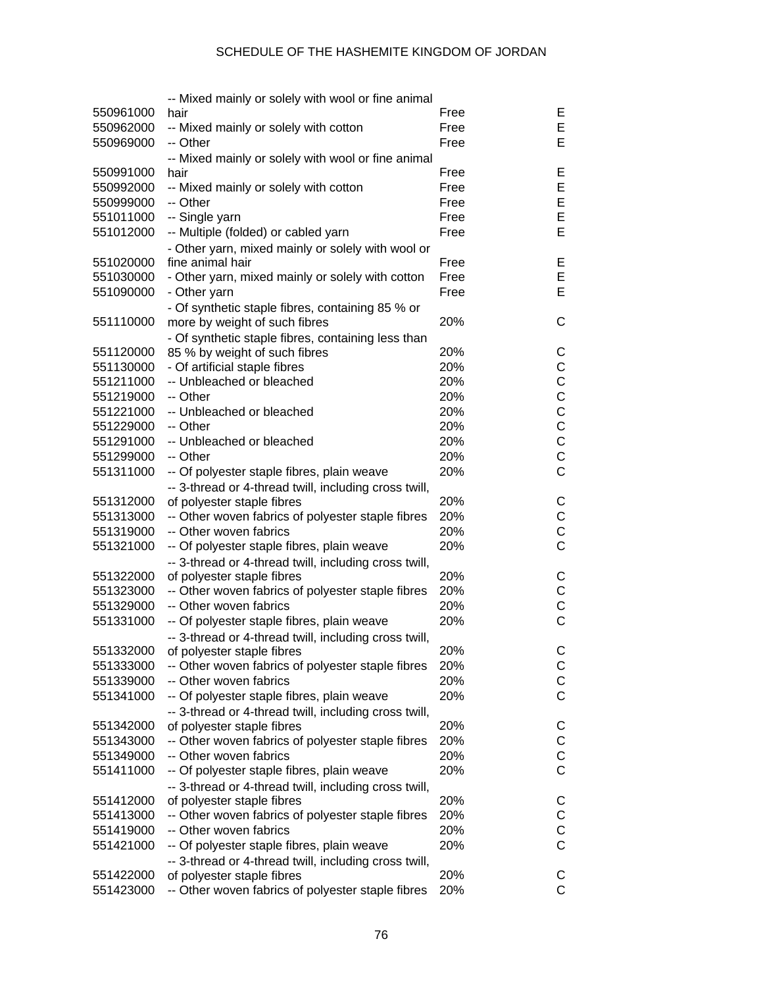|           | -- Mixed mainly or solely with wool or fine animal                                  |      |              |
|-----------|-------------------------------------------------------------------------------------|------|--------------|
| 550961000 | hair                                                                                | Free | Е            |
| 550962000 | -- Mixed mainly or solely with cotton                                               | Free | Е            |
| 550969000 | -- Other                                                                            | Free | E            |
|           | -- Mixed mainly or solely with wool or fine animal                                  |      |              |
| 550991000 | hair                                                                                | Free | Е            |
| 550992000 | -- Mixed mainly or solely with cotton                                               | Free | Е            |
| 550999000 | -- Other                                                                            | Free | E            |
| 551011000 | -- Single yarn                                                                      | Free | E            |
| 551012000 | -- Multiple (folded) or cabled yarn                                                 | Free | E            |
|           | - Other yarn, mixed mainly or solely with wool or                                   |      |              |
| 551020000 | fine animal hair                                                                    | Free | Е            |
| 551030000 | - Other yarn, mixed mainly or solely with cotton                                    | Free | Е            |
| 551090000 | - Other yarn                                                                        | Free | E            |
|           | - Of synthetic staple fibres, containing 85 % or                                    |      |              |
| 551110000 | more by weight of such fibres                                                       | 20%  | C            |
|           |                                                                                     |      |              |
| 551120000 | - Of synthetic staple fibres, containing less than<br>85 % by weight of such fibres | 20%  | C            |
| 551130000 | - Of artificial staple fibres                                                       | 20%  | $\mathsf C$  |
|           | -- Unbleached or bleached                                                           |      | $\mathsf C$  |
| 551211000 |                                                                                     | 20%  |              |
| 551219000 | -- Other                                                                            | 20%  | $\mathsf C$  |
| 551221000 | -- Unbleached or bleached                                                           | 20%  | $\mathsf C$  |
| 551229000 | -- Other                                                                            | 20%  | $\mathsf C$  |
| 551291000 | -- Unbleached or bleached                                                           | 20%  | $\mathsf{C}$ |
| 551299000 | -- Other                                                                            | 20%  | $\mathsf C$  |
| 551311000 | -- Of polyester staple fibres, plain weave                                          | 20%  | C            |
|           | -- 3-thread or 4-thread twill, including cross twill,                               |      |              |
| 551312000 | of polyester staple fibres                                                          | 20%  | C            |
| 551313000 | -- Other woven fabrics of polyester staple fibres                                   | 20%  | $\mathsf C$  |
| 551319000 | -- Other woven fabrics                                                              | 20%  | C            |
| 551321000 | -- Of polyester staple fibres, plain weave                                          | 20%  | $\mathsf C$  |
|           | -- 3-thread or 4-thread twill, including cross twill,                               |      |              |
| 551322000 | of polyester staple fibres                                                          | 20%  | C            |
| 551323000 | -- Other woven fabrics of polyester staple fibres                                   | 20%  | $\mathsf C$  |
| 551329000 | -- Other woven fabrics                                                              | 20%  | C            |
| 551331000 | -- Of polyester staple fibres, plain weave                                          | 20%  | $\mathsf{C}$ |
|           | -- 3-thread or 4-thread twill, including cross twill,                               |      |              |
| 551332000 | of polyester staple fibres                                                          | 20%  | C            |
| 551333000 | -- Other woven fabrics of polyester staple fibres                                   | 20%  | C            |
| 551339000 | -- Other woven fabrics                                                              | 20%  | С            |
| 551341000 | -- Of polyester staple fibres, plain weave                                          | 20%  | C            |
|           | -- 3-thread or 4-thread twill, including cross twill,                               |      |              |
| 551342000 | of polyester staple fibres                                                          | 20%  | C            |
| 551343000 | -- Other woven fabrics of polyester staple fibres                                   | 20%  | С            |
| 551349000 | -- Other woven fabrics                                                              | 20%  | С            |
| 551411000 | -- Of polyester staple fibres, plain weave                                          | 20%  | C            |
|           | -- 3-thread or 4-thread twill, including cross twill,                               |      |              |
| 551412000 | of polyester staple fibres                                                          | 20%  | С            |
| 551413000 | -- Other woven fabrics of polyester staple fibres                                   | 20%  | С            |
| 551419000 | -- Other woven fabrics                                                              | 20%  | С            |
| 551421000 | -- Of polyester staple fibres, plain weave                                          | 20%  | C            |
|           | -- 3-thread or 4-thread twill, including cross twill,                               |      |              |
| 551422000 | of polyester staple fibres                                                          | 20%  | С            |
| 551423000 | -- Other woven fabrics of polyester staple fibres                                   | 20%  | C            |
|           |                                                                                     |      |              |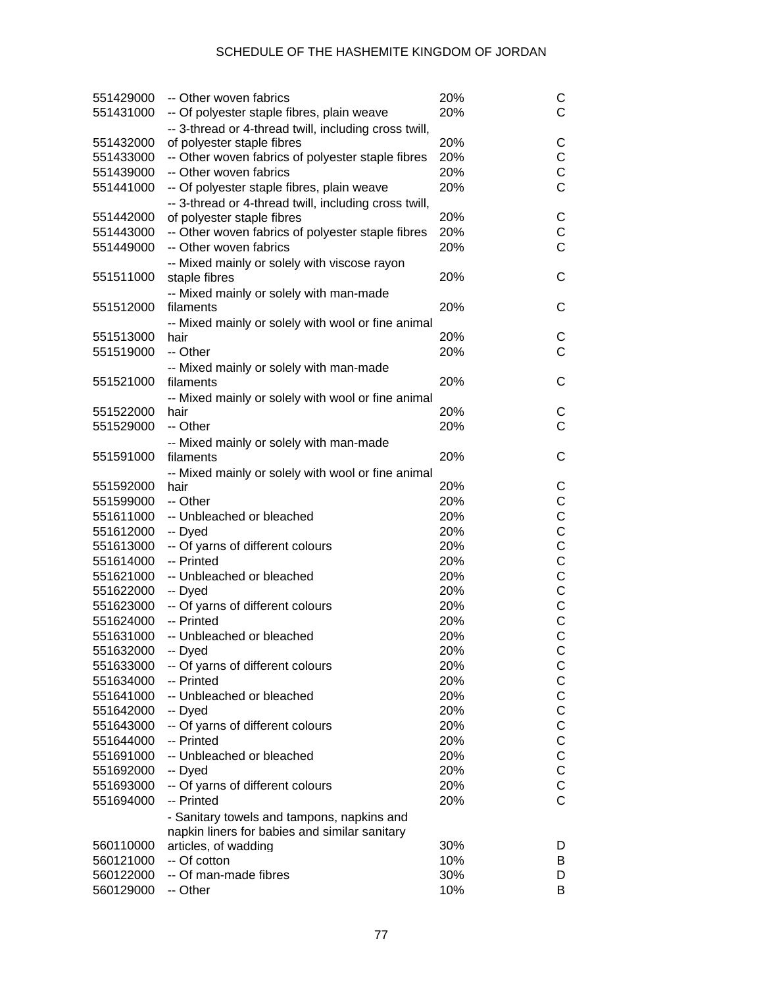| 551429000 | -- Other woven fabrics                                                                      | 20% | С              |
|-----------|---------------------------------------------------------------------------------------------|-----|----------------|
| 551431000 | -- Of polyester staple fibres, plain weave                                                  | 20% | Ć              |
|           | -- 3-thread or 4-thread twill, including cross twill,                                       |     |                |
| 551432000 | of polyester staple fibres                                                                  | 20% | С              |
| 551433000 | -- Other woven fabrics of polyester staple fibres                                           | 20% | С              |
| 551439000 | -- Other woven fabrics                                                                      | 20% | C              |
| 551441000 | -- Of polyester staple fibres, plain weave                                                  | 20% | Ċ              |
|           | -- 3-thread or 4-thread twill, including cross twill,                                       |     |                |
| 551442000 | of polyester staple fibres                                                                  | 20% | С              |
| 551443000 | -- Other woven fabrics of polyester staple fibres                                           | 20% | C              |
| 551449000 | -- Other woven fabrics                                                                      | 20% | Ċ              |
|           | -- Mixed mainly or solely with viscose rayon                                                |     |                |
| 551511000 | staple fibres                                                                               | 20% | С              |
|           | -- Mixed mainly or solely with man-made                                                     |     |                |
| 551512000 | filaments                                                                                   | 20% | С              |
|           | -- Mixed mainly or solely with wool or fine animal                                          |     |                |
| 551513000 | hair                                                                                        | 20% | С              |
| 551519000 | -- Other                                                                                    | 20% | Ć              |
|           | -- Mixed mainly or solely with man-made                                                     |     |                |
| 551521000 | filaments                                                                                   | 20% | С              |
|           | -- Mixed mainly or solely with wool or fine animal                                          |     |                |
| 551522000 | hair                                                                                        | 20% | С              |
| 551529000 | -- Other                                                                                    | 20% | Ć              |
|           | -- Mixed mainly or solely with man-made                                                     |     |                |
| 551591000 | filaments                                                                                   | 20% | С              |
|           | -- Mixed mainly or solely with wool or fine animal                                          |     |                |
| 551592000 | hair                                                                                        | 20% | С              |
| 551599000 | -- Other                                                                                    | 20% | С              |
| 551611000 | -- Unbleached or bleached                                                                   | 20% | C              |
| 551612000 | -- Dyed                                                                                     | 20% | C              |
| 551613000 | -- Of yarns of different colours                                                            | 20% | C              |
| 551614000 | -- Printed                                                                                  | 20% | C              |
| 551621000 | -- Unbleached or bleached                                                                   | 20% | C              |
| 551622000 | -- Dyed                                                                                     | 20% | C              |
| 551623000 | -- Of yarns of different colours                                                            | 20% | C              |
| 551624000 | -- Printed                                                                                  | 20% | C              |
| 551631000 | -- Unbleached or bleached                                                                   | 20% | C              |
| 551632000 | -- Dyed                                                                                     | 20% | C              |
| 551633000 | -- Of yarns of different colours                                                            | 20% | С              |
| 551634000 | -- Printed                                                                                  | 20% | C              |
| 551641000 | -- Unbleached or bleached                                                                   | 20% | C              |
| 551642000 | -- Dyed                                                                                     | 20% | C              |
| 551643000 | -- Of yarns of different colours                                                            | 20% | C              |
| 551644000 | -- Printed                                                                                  | 20% | C              |
| 551691000 | -- Unbleached or bleached                                                                   | 20% | C              |
| 551692000 | -- Dyed                                                                                     | 20% | C              |
| 551693000 | -- Of yarns of different colours                                                            | 20% | C              |
| 551694000 | -- Printed                                                                                  | 20% | $\overline{C}$ |
|           |                                                                                             |     |                |
|           | - Sanitary towels and tampons, napkins and<br>napkin liners for babies and similar sanitary |     |                |
| 560110000 | articles, of wadding                                                                        | 30% | D              |
| 560121000 | -- Of cotton                                                                                | 10% | В              |
| 560122000 | -- Of man-made fibres                                                                       | 30% | D              |
| 560129000 | -- Other                                                                                    | 10% | в              |
|           |                                                                                             |     |                |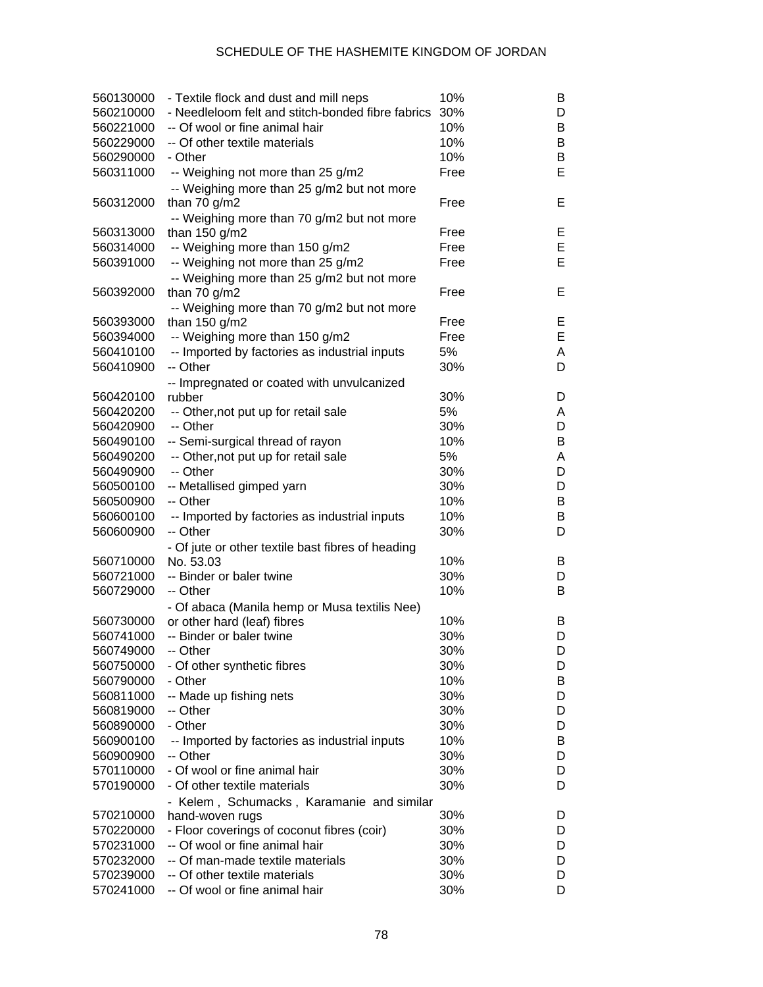| 560130000<br>560210000 | - Textile flock and dust and mill neps<br>- Needleloom felt and stitch-bonded fibre fabrics | 10%<br>30% | B<br>D |
|------------------------|---------------------------------------------------------------------------------------------|------------|--------|
| 560221000              | -- Of wool or fine animal hair                                                              | 10%        | В      |
| 560229000              | -- Of other textile materials                                                               | 10%        | В      |
|                        | - Other                                                                                     | 10%        | B      |
| 560290000              |                                                                                             |            |        |
| 560311000              | -- Weighing not more than 25 g/m2                                                           | Free       | Е      |
|                        | -- Weighing more than 25 g/m2 but not more                                                  |            |        |
| 560312000              | than $70$ g/m2                                                                              | Free       | Е      |
|                        | -- Weighing more than 70 g/m2 but not more                                                  |            |        |
| 560313000              | than 150 g/m2                                                                               | Free       | Е      |
| 560314000              | -- Weighing more than 150 g/m2                                                              | Free       | E      |
| 560391000              | -- Weighing not more than 25 g/m2                                                           | Free       | Е      |
|                        | -- Weighing more than 25 g/m2 but not more                                                  |            |        |
| 560392000              | than $70$ g/m2                                                                              | Free       | Е      |
|                        | -- Weighing more than 70 g/m2 but not more                                                  |            |        |
| 560393000              | than $150$ g/m2                                                                             | Free       | Е      |
| 560394000              | -- Weighing more than 150 g/m2                                                              | Free       | E      |
| 560410100              | -- Imported by factories as industrial inputs                                               | 5%         | A      |
| 560410900              | -- Other                                                                                    | 30%        | D      |
|                        | -- Impregnated or coated with unvulcanized                                                  |            |        |
| 560420100              | rubber                                                                                      | 30%        | D      |
| 560420200              | -- Other, not put up for retail sale                                                        | 5%         | A      |
| 560420900              | -- Other                                                                                    | 30%        | D      |
| 560490100              | -- Semi-surgical thread of rayon                                                            | 10%        | В      |
| 560490200              | -- Other, not put up for retail sale                                                        | 5%         | Α      |
| 560490900              | -- Other                                                                                    | 30%        | D      |
| 560500100              | -- Metallised gimped yarn                                                                   | 30%        | D      |
| 560500900              | -- Other                                                                                    | 10%        | В      |
| 560600100              | -- Imported by factories as industrial inputs                                               | 10%        | B      |
| 560600900              | -- Other                                                                                    | 30%        | D      |
|                        |                                                                                             |            |        |
|                        | - Of jute or other textile bast fibres of heading                                           |            |        |
| 560710000              | No. 53.03                                                                                   | 10%        | B      |
| 560721000              | -- Binder or baler twine                                                                    | 30%        | D      |
| 560729000              | -- Other                                                                                    | 10%        | B      |
|                        | - Of abaca (Manila hemp or Musa textilis Nee)                                               |            |        |
| 560730000              | or other hard (leaf) fibres                                                                 | 10%        | B      |
| 560741000              | -- Binder or baler twine                                                                    | 30%        | D      |
| 560749000              | -- Other                                                                                    | 30%        | D      |
| 560750000              | - Of other synthetic fibres                                                                 | 30%        | D      |
| 560790000              | - Other                                                                                     | 10%        | В      |
| 560811000              | -- Made up fishing nets                                                                     | 30%        | D      |
| 560819000              | -- Other                                                                                    | 30%        | D      |
| 560890000              | - Other                                                                                     | 30%        | D      |
| 560900100              | -- Imported by factories as industrial inputs                                               | 10%        | B      |
| 560900900              | -- Other                                                                                    | 30%        | D      |
| 570110000              | - Of wool or fine animal hair                                                               | 30%        | D      |
| 570190000              | - Of other textile materials                                                                | 30%        | D      |
|                        | - Kelem, Schumacks, Karamanie and similar                                                   |            |        |
| 570210000              | hand-woven rugs                                                                             | 30%        | D      |
| 570220000              | - Floor coverings of coconut fibres (coir)                                                  | 30%        | D      |
| 570231000              | -- Of wool or fine animal hair                                                              | 30%        | D      |
| 570232000              | -- Of man-made textile materials                                                            | 30%        | D      |
| 570239000              | -- Of other textile materials                                                               | 30%        | D      |
| 570241000              | -- Of wool or fine animal hair                                                              | 30%        | D      |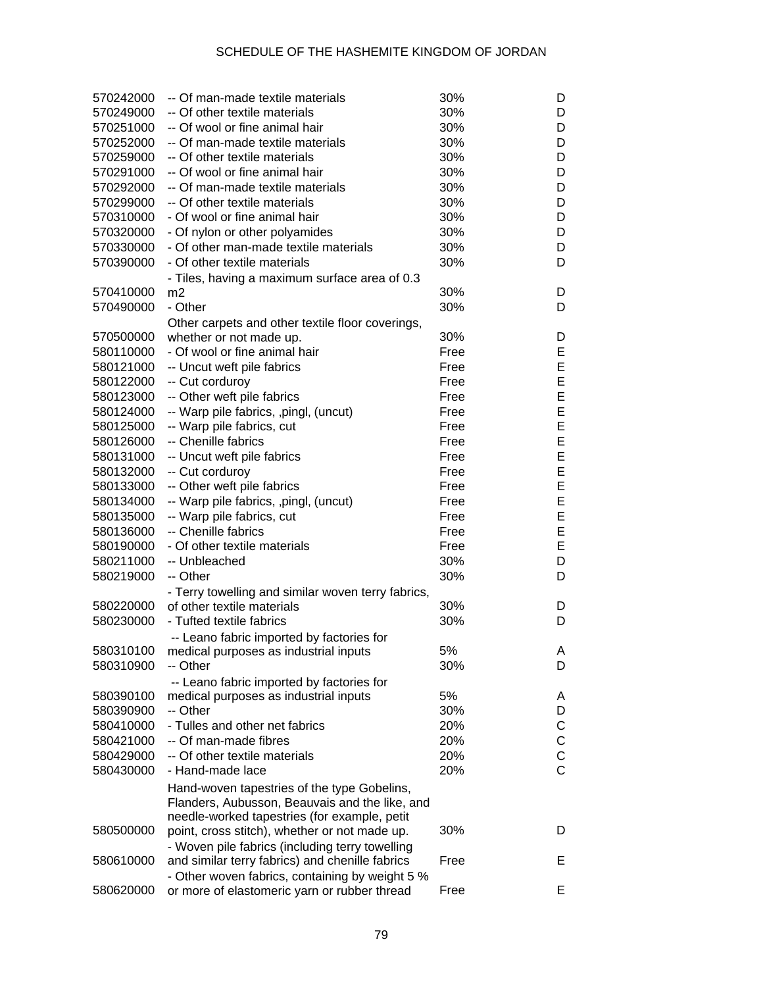| 570242000 | -- Of man-made textile materials                                                              | 30%  | D              |
|-----------|-----------------------------------------------------------------------------------------------|------|----------------|
| 570249000 | -- Of other textile materials                                                                 | 30%  | D              |
| 570251000 | -- Of wool or fine animal hair                                                                | 30%  | D              |
| 570252000 | -- Of man-made textile materials                                                              | 30%  | D              |
| 570259000 | -- Of other textile materials                                                                 | 30%  | D              |
| 570291000 | -- Of wool or fine animal hair                                                                | 30%  | D              |
| 570292000 | -- Of man-made textile materials                                                              | 30%  | D              |
| 570299000 | -- Of other textile materials                                                                 | 30%  | D              |
| 570310000 | - Of wool or fine animal hair                                                                 | 30%  | D              |
| 570320000 | - Of nylon or other polyamides                                                                | 30%  | D              |
| 570330000 | - Of other man-made textile materials                                                         | 30%  | D              |
| 570390000 | - Of other textile materials                                                                  | 30%  | D              |
|           | - Tiles, having a maximum surface area of 0.3                                                 |      |                |
| 570410000 | m2                                                                                            | 30%  | D              |
| 570490000 | - Other                                                                                       | 30%  | D              |
|           | Other carpets and other textile floor coverings,                                              |      |                |
| 570500000 | whether or not made up.                                                                       | 30%  | D              |
| 580110000 | - Of wool or fine animal hair                                                                 | Free | Е              |
| 580121000 | -- Uncut weft pile fabrics                                                                    | Free | E              |
| 580122000 | -- Cut corduroy                                                                               | Free | E              |
| 580123000 | -- Other weft pile fabrics                                                                    | Free | E              |
| 580124000 | -- Warp pile fabrics, ,pingl, (uncut)                                                         | Free | E              |
| 580125000 | -- Warp pile fabrics, cut                                                                     | Free | E              |
| 580126000 | -- Chenille fabrics                                                                           | Free | E              |
|           |                                                                                               |      | E              |
| 580131000 | -- Uncut weft pile fabrics                                                                    | Free | E              |
| 580132000 | -- Cut corduroy                                                                               | Free | E              |
| 580133000 | -- Other weft pile fabrics                                                                    | Free |                |
| 580134000 | -- Warp pile fabrics, ,pingl, (uncut)                                                         | Free | E              |
| 580135000 | -- Warp pile fabrics, cut                                                                     | Free | E              |
| 580136000 | -- Chenille fabrics                                                                           | Free | E              |
| 580190000 | - Of other textile materials                                                                  | Free | E              |
| 580211000 | -- Unbleached                                                                                 | 30%  | D              |
| 580219000 | -- Other                                                                                      | 30%  | D              |
|           | - Terry towelling and similar woven terry fabrics,                                            |      |                |
| 580220000 | of other textile materials                                                                    | 30%  | D              |
| 580230000 | - Tufted textile fabrics                                                                      | 30%  | D              |
|           | -- Leano fabric imported by factories for                                                     |      |                |
| 580310100 | medical purposes as industrial inputs                                                         | 5%   | A              |
| 580310900 | -- Other                                                                                      | 30%  | D              |
|           | -- Leano fabric imported by factories for                                                     |      |                |
| 580390100 | medical purposes as industrial inputs                                                         | 5%   | A              |
| 580390900 | -- Other                                                                                      | 30%  | D              |
| 580410000 | - Tulles and other net fabrics                                                                | 20%  | C              |
| 580421000 | -- Of man-made fibres                                                                         | 20%  | C              |
| 580429000 | -- Of other textile materials                                                                 | 20%  | C              |
| 580430000 | - Hand-made lace                                                                              | 20%  | $\overline{C}$ |
|           | Hand-woven tapestries of the type Gobelins,<br>Flanders, Aubusson, Beauvais and the like, and |      |                |
|           | needle-worked tapestries (for example, petit                                                  |      |                |
| 580500000 | point, cross stitch), whether or not made up.                                                 | 30%  | D              |
|           | - Woven pile fabrics (including terry towelling                                               |      |                |
| 580610000 | and similar terry fabrics) and chenille fabrics                                               | Free | E.             |
|           | - Other woven fabrics, containing by weight 5 %                                               |      |                |
| 580620000 | or more of elastomeric yarn or rubber thread                                                  | Free | E.             |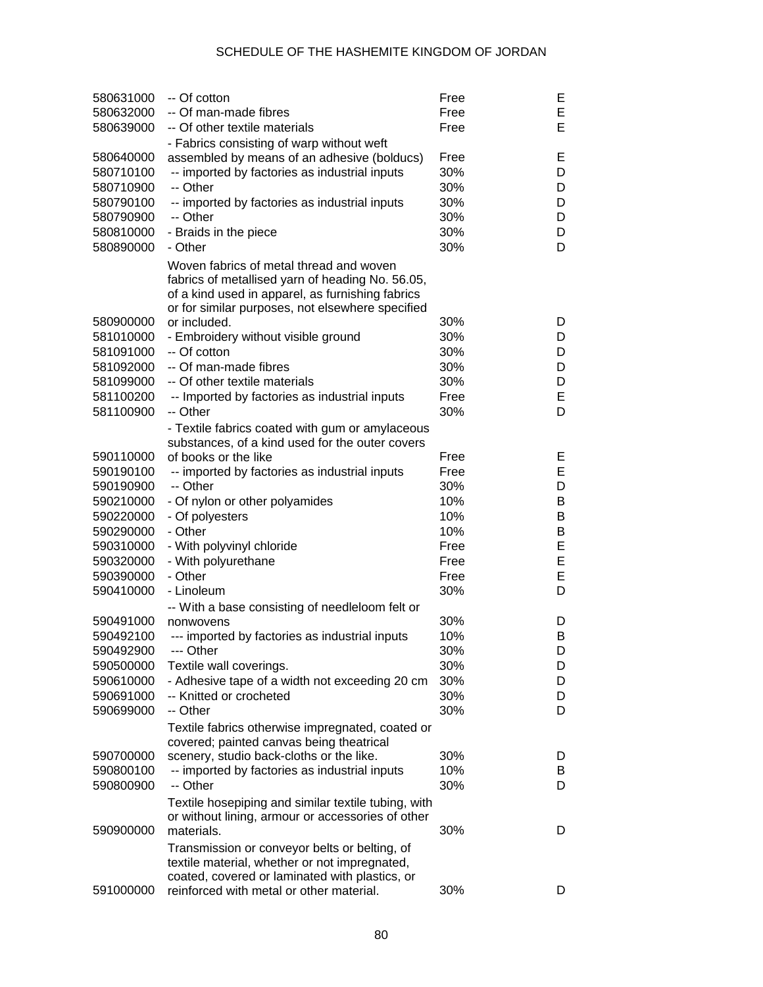| 580631000<br>580632000<br>580639000                                        | -- Of cotton<br>-- Of man-made fibres<br>-- Of other textile materials                                                                                                                                                                      | Free<br>Free<br>Free                    | Е<br>E<br>Е                |
|----------------------------------------------------------------------------|---------------------------------------------------------------------------------------------------------------------------------------------------------------------------------------------------------------------------------------------|-----------------------------------------|----------------------------|
| 580640000<br>580710100<br>580710900<br>580790100<br>580790900<br>580810000 | - Fabrics consisting of warp without weft<br>assembled by means of an adhesive (bolducs)<br>-- imported by factories as industrial inputs<br>-- Other<br>-- imported by factories as industrial inputs<br>-- Other<br>- Braids in the piece | Free<br>30%<br>30%<br>30%<br>30%<br>30% | Е<br>D<br>D<br>D<br>D<br>D |
| 580890000                                                                  | - Other<br>Woven fabrics of metal thread and woven<br>fabrics of metallised yarn of heading No. 56.05,<br>of a kind used in apparel, as furnishing fabrics<br>or for similar purposes, not elsewhere specified                              | 30%                                     | D                          |
| 580900000                                                                  | or included.                                                                                                                                                                                                                                | 30%                                     | D                          |
| 581010000                                                                  | - Embroidery without visible ground                                                                                                                                                                                                         | 30%                                     | D                          |
| 581091000                                                                  | -- Of cotton                                                                                                                                                                                                                                | 30%                                     | D                          |
| 581092000                                                                  | -- Of man-made fibres                                                                                                                                                                                                                       | 30%                                     | D                          |
| 581099000                                                                  | -- Of other textile materials                                                                                                                                                                                                               | 30%                                     | D                          |
| 581100200                                                                  | -- Imported by factories as industrial inputs                                                                                                                                                                                               | Free                                    | E                          |
| 581100900                                                                  | -- Other                                                                                                                                                                                                                                    | 30%                                     | D                          |
|                                                                            | - Textile fabrics coated with gum or amylaceous                                                                                                                                                                                             |                                         |                            |
|                                                                            | substances, of a kind used for the outer covers                                                                                                                                                                                             |                                         |                            |
| 590110000                                                                  | of books or the like                                                                                                                                                                                                                        | Free                                    | Е                          |
| 590190100                                                                  | -- imported by factories as industrial inputs                                                                                                                                                                                               | Free                                    | E                          |
| 590190900                                                                  | -- Other                                                                                                                                                                                                                                    | 30%                                     | D                          |
| 590210000                                                                  | - Of nylon or other polyamides                                                                                                                                                                                                              | 10%                                     | В                          |
| 590220000                                                                  | - Of polyesters                                                                                                                                                                                                                             | 10%                                     | В                          |
| 590290000                                                                  | - Other                                                                                                                                                                                                                                     | 10%                                     | В                          |
| 590310000                                                                  | - With polyvinyl chloride                                                                                                                                                                                                                   | Free                                    | E                          |
| 590320000                                                                  | - With polyurethane                                                                                                                                                                                                                         | Free                                    | E                          |
| 590390000                                                                  | - Other                                                                                                                                                                                                                                     | Free                                    | E                          |
| 590410000                                                                  | - Linoleum                                                                                                                                                                                                                                  | 30%                                     | D                          |
|                                                                            | -- With a base consisting of needleloom felt or                                                                                                                                                                                             |                                         |                            |
| 590491000                                                                  | nonwovens                                                                                                                                                                                                                                   | 30%                                     | D                          |
| 590492100                                                                  | --- imported by factories as industrial inputs                                                                                                                                                                                              | 10%                                     | Β                          |
| 590492900<br>590500000                                                     | --- Other                                                                                                                                                                                                                                   | 30%<br>30%                              | D                          |
| 590610000                                                                  | Textile wall coverings.<br>- Adhesive tape of a width not exceeding 20 cm                                                                                                                                                                   | 30%                                     | D<br>D                     |
| 590691000                                                                  | -- Knitted or crocheted                                                                                                                                                                                                                     | 30%                                     | D                          |
| 590699000                                                                  | -- Other                                                                                                                                                                                                                                    | 30%                                     | D                          |
|                                                                            | Textile fabrics otherwise impregnated, coated or<br>covered; painted canvas being theatrical                                                                                                                                                |                                         |                            |
| 590700000                                                                  | scenery, studio back-cloths or the like.                                                                                                                                                                                                    | 30%                                     | D                          |
| 590800100                                                                  | -- imported by factories as industrial inputs                                                                                                                                                                                               | 10%                                     | B                          |
| 590800900                                                                  | -- Other                                                                                                                                                                                                                                    | 30%                                     | D                          |
|                                                                            | Textile hosepiping and similar textile tubing, with<br>or without lining, armour or accessories of other                                                                                                                                    |                                         |                            |
| 590900000                                                                  | materials.                                                                                                                                                                                                                                  | 30%                                     | D                          |
|                                                                            | Transmission or conveyor belts or belting, of<br>textile material, whether or not impregnated,<br>coated, covered or laminated with plastics, or                                                                                            |                                         |                            |
| 591000000                                                                  | reinforced with metal or other material.                                                                                                                                                                                                    | 30%                                     | D                          |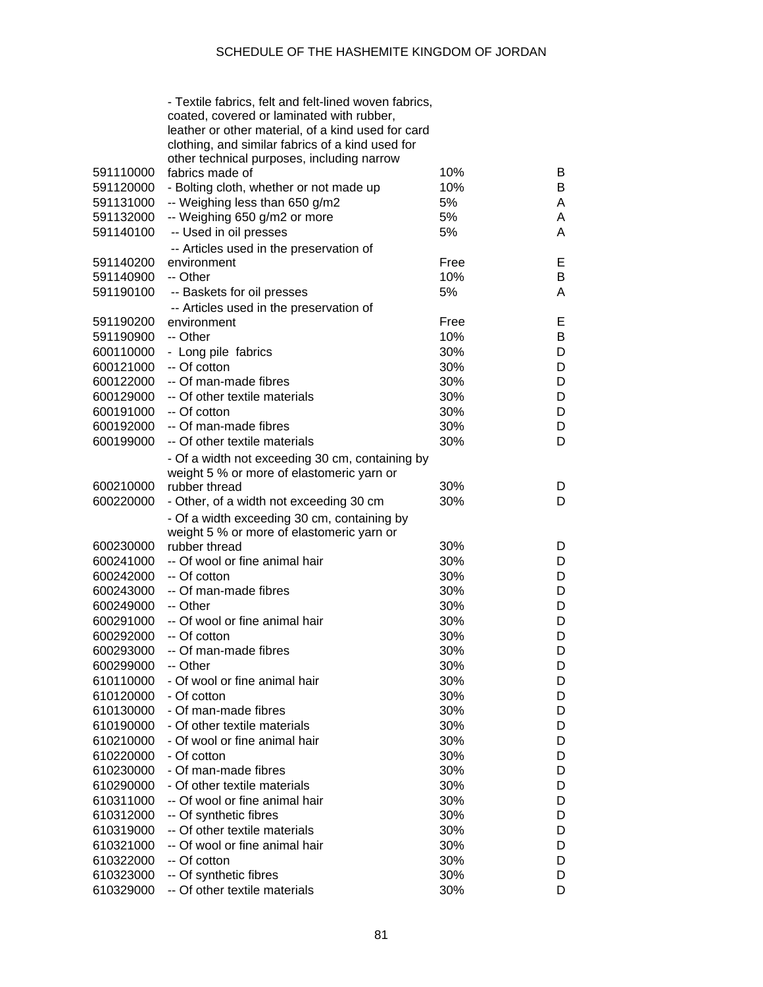|           | - Textile fabrics, felt and felt-lined woven fabrics, |      |   |
|-----------|-------------------------------------------------------|------|---|
|           | coated, covered or laminated with rubber,             |      |   |
|           | leather or other material, of a kind used for card    |      |   |
|           | clothing, and similar fabrics of a kind used for      |      |   |
|           | other technical purposes, including narrow            |      |   |
| 591110000 | fabrics made of                                       | 10%  | B |
| 591120000 | - Bolting cloth, whether or not made up               | 10%  | B |
| 591131000 | -- Weighing less than 650 g/m2                        | 5%   | A |
| 591132000 | -- Weighing 650 g/m2 or more                          | 5%   | A |
| 591140100 | -- Used in oil presses                                | 5%   | A |
|           | -- Articles used in the preservation of               |      |   |
| 591140200 | environment                                           | Free | Е |
| 591140900 | -- Other                                              | 10%  | B |
| 591190100 | -- Baskets for oil presses                            | 5%   | A |
|           | -- Articles used in the preservation of               |      |   |
| 591190200 | environment                                           | Free | Е |
| 591190900 | -- Other                                              | 10%  | B |
| 600110000 | - Long pile fabrics                                   | 30%  | D |
| 600121000 | -- Of cotton                                          | 30%  | D |
| 600122000 | -- Of man-made fibres                                 | 30%  | D |
| 600129000 | -- Of other textile materials                         | 30%  | D |
| 600191000 | -- Of cotton                                          | 30%  | D |
| 600192000 | -- Of man-made fibres                                 | 30%  | D |
|           | -- Of other textile materials                         |      |   |
| 600199000 |                                                       | 30%  | D |
|           | - Of a width not exceeding 30 cm, containing by       |      |   |
|           | weight 5 % or more of elastomeric yarn or             |      |   |
| 600210000 | rubber thread                                         | 30%  | D |
| 600220000 | - Other, of a width not exceeding 30 cm               | 30%  | D |
|           | - Of a width exceeding 30 cm, containing by           |      |   |
|           | weight 5 % or more of elastomeric yarn or             |      |   |
| 600230000 | rubber thread                                         | 30%  | D |
| 600241000 | -- Of wool or fine animal hair                        | 30%  | D |
| 600242000 | -- Of cotton                                          | 30%  | D |
| 600243000 | -- Of man-made fibres                                 | 30%  | D |
| 600249000 | -- Other                                              | 30%  | D |
| 600291000 | -- Of wool or fine animal hair                        | 30%  | D |
| 600292000 | -- Of cotton                                          | 30%  | D |
| 600293000 | -- Of man-made fibres                                 | 30%  | D |
| 600299000 | -- Other                                              | 30%  | D |
| 610110000 | - Of wool or fine animal hair                         | 30%  | D |
| 610120000 | - Of cotton                                           | 30%  | D |
| 610130000 | - Of man-made fibres                                  | 30%  | D |
| 610190000 | - Of other textile materials                          | 30%  | D |
| 610210000 | - Of wool or fine animal hair                         | 30%  | D |
| 610220000 | - Of cotton                                           | 30%  | D |
| 610230000 | - Of man-made fibres                                  | 30%  | D |
| 610290000 | - Of other textile materials                          | 30%  | D |
| 610311000 | -- Of wool or fine animal hair                        | 30%  | D |
| 610312000 | -- Of synthetic fibres                                | 30%  | D |
| 610319000 | -- Of other textile materials                         | 30%  | D |
| 610321000 | -- Of wool or fine animal hair                        | 30%  | D |
| 610322000 | -- Of cotton                                          | 30%  | D |
| 610323000 | -- Of synthetic fibres                                | 30%  | D |
| 610329000 | -- Of other textile materials                         | 30%  | D |
|           |                                                       |      |   |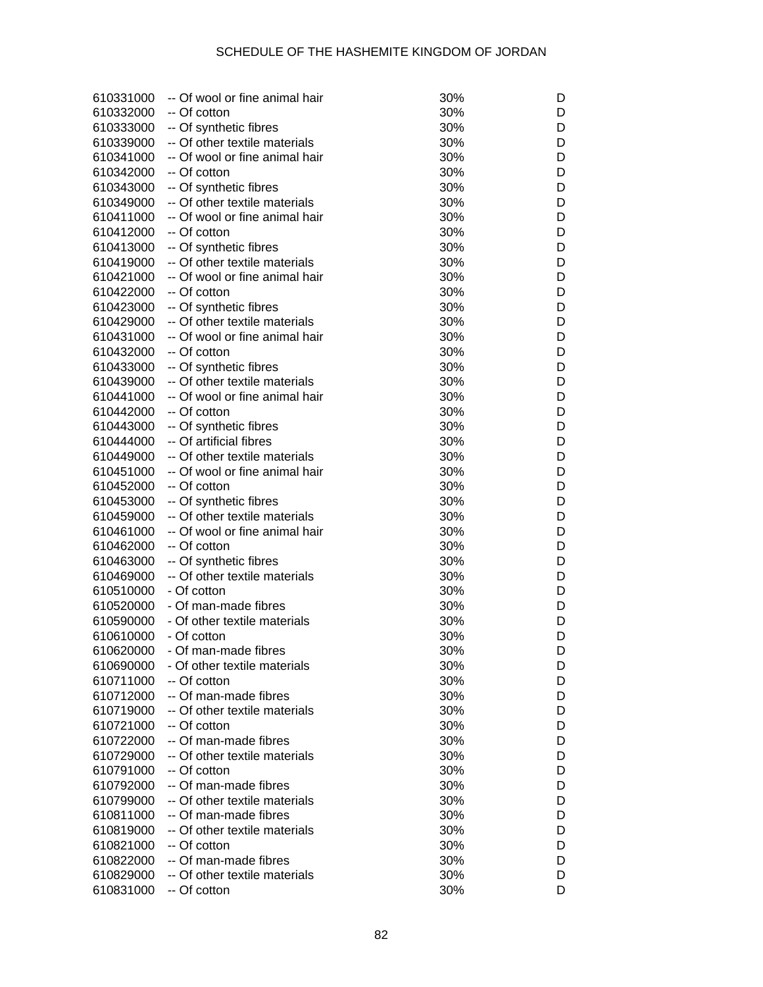| 610331000 | -- Of wool or fine animal hair | 30% | D |
|-----------|--------------------------------|-----|---|
| 610332000 | -- Of cotton                   | 30% | D |
| 610333000 |                                | 30% | D |
|           | -- Of synthetic fibres         |     |   |
| 610339000 | -- Of other textile materials  | 30% | D |
| 610341000 | -- Of wool or fine animal hair | 30% | D |
| 610342000 | -- Of cotton                   | 30% | D |
| 610343000 | -- Of synthetic fibres         | 30% | D |
| 610349000 | -- Of other textile materials  | 30% | D |
| 610411000 | -- Of wool or fine animal hair | 30% | D |
| 610412000 | -- Of cotton                   | 30% | D |
| 610413000 | -- Of synthetic fibres         | 30% | D |
| 610419000 | -- Of other textile materials  | 30% | D |
| 610421000 | -- Of wool or fine animal hair | 30% | D |
| 610422000 | -- Of cotton                   | 30% | D |
| 610423000 | -- Of synthetic fibres         | 30% | D |
| 610429000 | -- Of other textile materials  | 30% | D |
| 610431000 | -- Of wool or fine animal hair | 30% | D |
| 610432000 | -- Of cotton                   | 30% | D |
| 610433000 | -- Of synthetic fibres         | 30% | D |
| 610439000 | -- Of other textile materials  | 30% | D |
| 610441000 | -- Of wool or fine animal hair | 30% | D |
| 610442000 | -- Of cotton                   | 30% | D |
|           |                                |     |   |
| 610443000 | -- Of synthetic fibres         | 30% | D |
| 610444000 | -- Of artificial fibres        | 30% | D |
| 610449000 | -- Of other textile materials  | 30% | D |
| 610451000 | -- Of wool or fine animal hair | 30% | D |
| 610452000 | -- Of cotton                   | 30% | D |
| 610453000 | -- Of synthetic fibres         | 30% | D |
| 610459000 | -- Of other textile materials  | 30% | D |
| 610461000 | -- Of wool or fine animal hair | 30% | D |
| 610462000 | -- Of cotton                   | 30% | D |
| 610463000 | -- Of synthetic fibres         | 30% | D |
| 610469000 | -- Of other textile materials  | 30% | D |
| 610510000 | - Of cotton                    | 30% | D |
| 610520000 | - Of man-made fibres           | 30% | D |
| 610590000 | - Of other textile materials   | 30% | D |
| 610610000 | - Of cotton                    | 30% | D |
| 610620000 | - Of man-made fibres           | 30% | υ |
| 610690000 | - Of other textile materials   | 30% | D |
| 610711000 | -- Of cotton                   | 30% | D |
| 610712000 | -- Of man-made fibres          | 30% | D |
| 610719000 | -- Of other textile materials  | 30% | D |
| 610721000 | -- Of cotton                   | 30% | D |
| 610722000 | -- Of man-made fibres          | 30% | D |
| 610729000 | -- Of other textile materials  | 30% | D |
| 610791000 | -- Of cotton                   | 30% | D |
| 610792000 | -- Of man-made fibres          | 30% | D |
|           | -- Of other textile materials  |     |   |
| 610799000 |                                | 30% | D |
| 610811000 | -- Of man-made fibres          | 30% | D |
| 610819000 | -- Of other textile materials  | 30% | D |
| 610821000 | -- Of cotton                   | 30% | D |
| 610822000 | -- Of man-made fibres          | 30% | D |
| 610829000 | -- Of other textile materials  | 30% | D |
| 610831000 | -- Of cotton                   | 30% | D |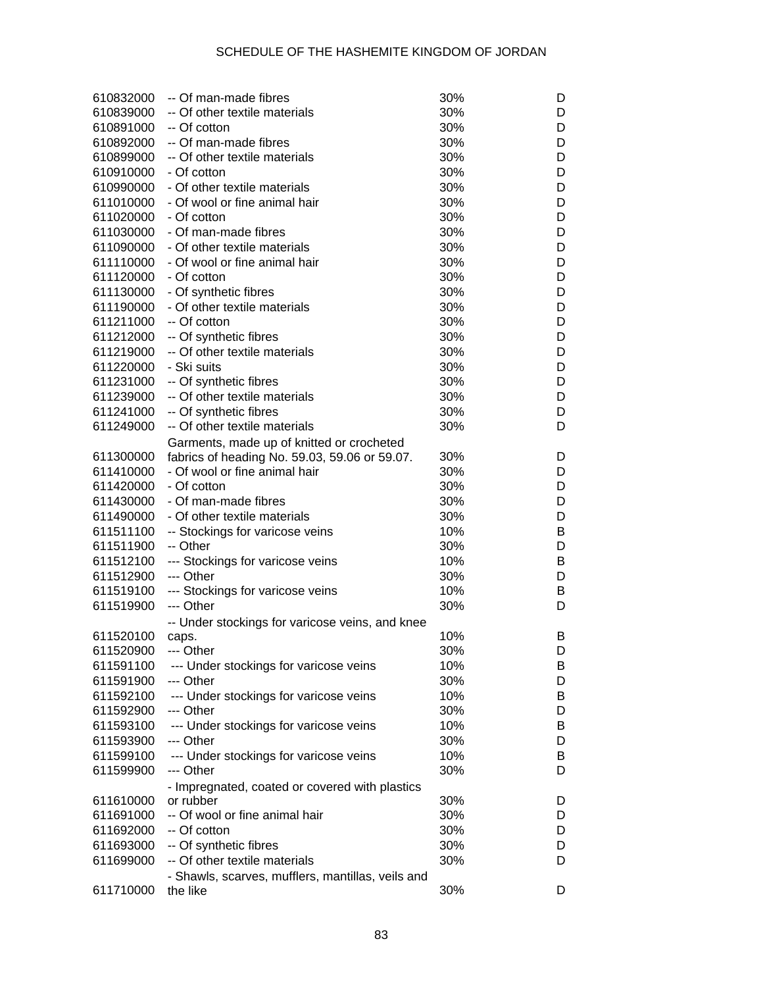| 610832000 | -- Of man-made fibres                                         | 30% | D |
|-----------|---------------------------------------------------------------|-----|---|
| 610839000 | -- Of other textile materials                                 | 30% | D |
| 610891000 | -- Of cotton                                                  | 30% | D |
| 610892000 | -- Of man-made fibres                                         | 30% | D |
| 610899000 | -- Of other textile materials                                 | 30% | D |
| 610910000 | - Of cotton                                                   | 30% | D |
| 610990000 | - Of other textile materials                                  | 30% | D |
| 611010000 | - Of wool or fine animal hair                                 | 30% | D |
| 611020000 | - Of cotton                                                   | 30% | D |
| 611030000 | - Of man-made fibres                                          | 30% | D |
| 611090000 | - Of other textile materials                                  | 30% | D |
| 611110000 | - Of wool or fine animal hair                                 | 30% | D |
| 611120000 | - Of cotton                                                   | 30% | D |
| 611130000 | - Of synthetic fibres                                         | 30% | D |
| 611190000 | - Of other textile materials                                  | 30% | D |
| 611211000 | -- Of cotton                                                  | 30% | D |
|           |                                                               | 30% | D |
| 611212000 | -- Of synthetic fibres<br>-- Of other textile materials       |     |   |
| 611219000 |                                                               | 30% | D |
| 611220000 | - Ski suits                                                   | 30% | D |
| 611231000 | -- Of synthetic fibres                                        | 30% | D |
| 611239000 | -- Of other textile materials                                 | 30% | D |
| 611241000 | -- Of synthetic fibres                                        | 30% | D |
| 611249000 | -- Of other textile materials                                 | 30% | D |
|           | Garments, made up of knitted or crocheted                     |     |   |
| 611300000 | fabrics of heading No. 59.03, 59.06 or 59.07.                 | 30% | D |
| 611410000 | - Of wool or fine animal hair                                 | 30% | D |
| 611420000 | - Of cotton                                                   | 30% | D |
| 611430000 | - Of man-made fibres                                          | 30% | D |
| 611490000 | - Of other textile materials                                  | 30% | D |
| 611511100 | -- Stockings for varicose veins                               | 10% | B |
| 611511900 | -- Other                                                      | 30% | D |
| 611512100 | --- Stockings for varicose veins                              | 10% | B |
| 611512900 | --- Other                                                     | 30% | D |
| 611519100 | --- Stockings for varicose veins                              | 10% | B |
| 611519900 | --- Other                                                     | 30% | D |
|           | -- Under stockings for varicose veins, and knee               |     |   |
| 611520100 | caps.                                                         | 10% | B |
| 611520900 | --- Other                                                     | 30% | D |
| 611591100 | --- Under stockings for varicose veins                        | 10% | B |
| 611591900 | --- Other                                                     | 30% | D |
| 611592100 | --- Under stockings for varicose veins                        | 10% | B |
| 611592900 | --- Other                                                     | 30% | D |
| 611593100 | --- Under stockings for varicose veins                        | 10% | B |
| 611593900 | --- Other                                                     | 30% | D |
| 611599100 | --- Under stockings for varicose veins                        | 10% | B |
| 611599900 | --- Other                                                     | 30% | D |
|           | - Impregnated, coated or covered with plastics                |     |   |
| 611610000 | or rubber                                                     | 30% | D |
| 611691000 | -- Of wool or fine animal hair                                | 30% | D |
| 611692000 | -- Of cotton                                                  | 30% | D |
| 611693000 | -- Of synthetic fibres                                        | 30% | D |
| 611699000 | -- Of other textile materials                                 | 30% | D |
|           |                                                               |     |   |
| 611710000 | - Shawls, scarves, mufflers, mantillas, veils and<br>the like | 30% | D |
|           |                                                               |     |   |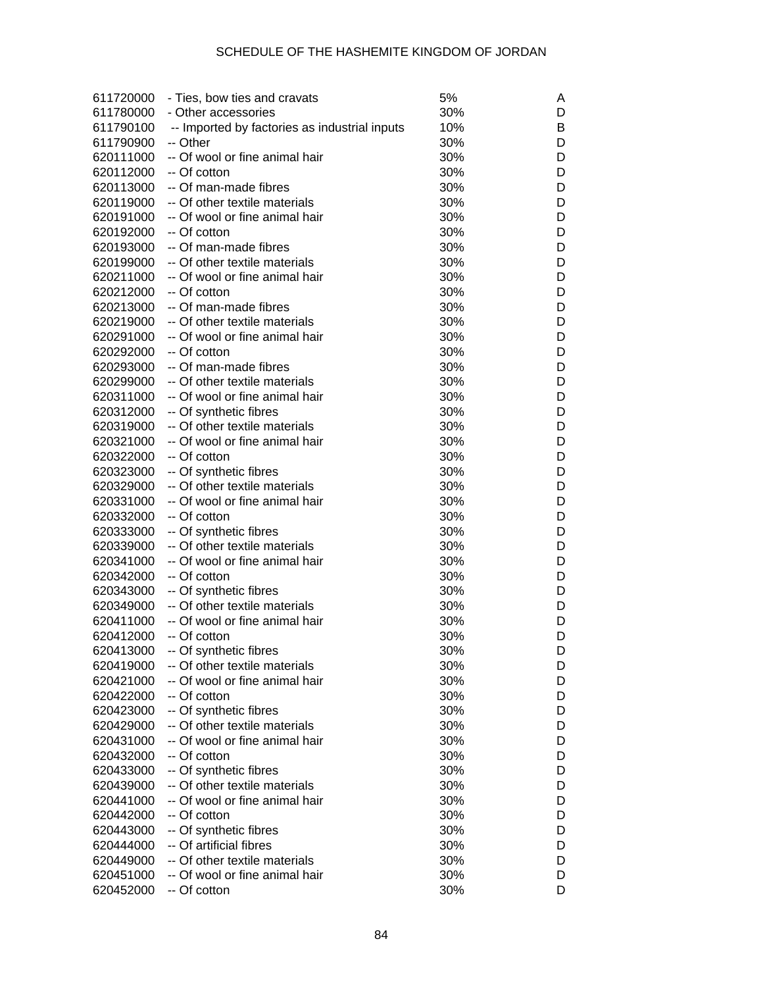| 611720000 | - Ties, bow ties and cravats                  | 5%  | Α |
|-----------|-----------------------------------------------|-----|---|
| 611780000 | - Other accessories                           | 30% | D |
| 611790100 | -- Imported by factories as industrial inputs | 10% | в |
| 611790900 | -- Other                                      | 30% | D |
| 620111000 | -- Of wool or fine animal hair                | 30% | D |
| 620112000 | -- Of cotton                                  | 30% | D |
| 620113000 | -- Of man-made fibres                         | 30% | D |
| 620119000 | -- Of other textile materials                 | 30% | D |
| 620191000 | -- Of wool or fine animal hair                | 30% | D |
|           | -- Of cotton                                  |     | D |
| 620192000 | -- Of man-made fibres                         | 30% | D |
| 620193000 |                                               | 30% |   |
| 620199000 | -- Of other textile materials                 | 30% | D |
| 620211000 | -- Of wool or fine animal hair                | 30% | D |
| 620212000 | -- Of cotton                                  | 30% | D |
| 620213000 | -- Of man-made fibres                         | 30% | D |
| 620219000 | -- Of other textile materials                 | 30% | D |
| 620291000 | -- Of wool or fine animal hair                | 30% | D |
| 620292000 | -- Of cotton                                  | 30% | D |
| 620293000 | -- Of man-made fibres                         | 30% | D |
| 620299000 | -- Of other textile materials                 | 30% | D |
| 620311000 | -- Of wool or fine animal hair                | 30% | D |
| 620312000 | -- Of synthetic fibres                        | 30% | D |
| 620319000 | -- Of other textile materials                 | 30% | D |
| 620321000 | -- Of wool or fine animal hair                | 30% | D |
| 620322000 | -- Of cotton                                  | 30% | D |
| 620323000 | -- Of synthetic fibres                        | 30% | D |
| 620329000 | -- Of other textile materials                 | 30% | D |
| 620331000 | -- Of wool or fine animal hair                | 30% | D |
| 620332000 | -- Of cotton                                  | 30% | D |
| 620333000 | -- Of synthetic fibres                        | 30% | D |
| 620339000 | -- Of other textile materials                 | 30% | D |
| 620341000 | -- Of wool or fine animal hair                | 30% | D |
| 620342000 | -- Of cotton                                  | 30% | D |
| 620343000 | -- Of synthetic fibres                        | 30% | D |
| 620349000 | -- Of other textile materials                 | 30% | D |
| 620411000 | -- Of wool or fine animal hair                | 30% | D |
| 620412000 | -- Of cotton                                  | 30% | D |
| 620413000 | -- Of synthetic fibres                        | 30% | D |
| 620419000 | -- Of other textile materials                 | 30% | D |
| 620421000 | -- Of wool or fine animal hair                | 30% | D |
| 620422000 | -- Of cotton                                  | 30% | D |
| 620423000 | -- Of synthetic fibres                        | 30% | D |
|           | -- Of other textile materials                 |     |   |
| 620429000 |                                               | 30% | D |
| 620431000 | -- Of wool or fine animal hair                | 30% | D |
| 620432000 | -- Of cotton                                  | 30% | D |
| 620433000 | -- Of synthetic fibres                        | 30% | D |
| 620439000 | -- Of other textile materials                 | 30% | D |
| 620441000 | -- Of wool or fine animal hair                | 30% | D |
| 620442000 | -- Of cotton                                  | 30% | D |
| 620443000 | -- Of synthetic fibres                        | 30% | D |
| 620444000 | -- Of artificial fibres                       | 30% | D |
| 620449000 | -- Of other textile materials                 | 30% | D |
| 620451000 | -- Of wool or fine animal hair                | 30% | D |
| 620452000 | -- Of cotton                                  | 30% | D |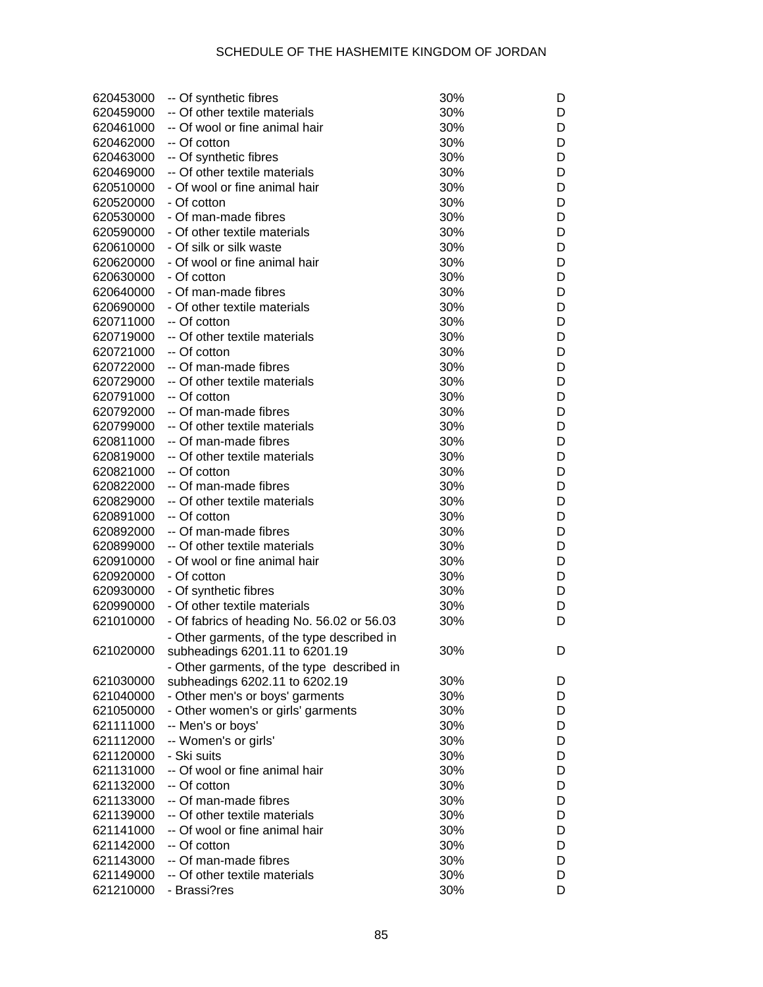| 620453000 | -- Of synthetic fibres                     | 30% | D |
|-----------|--------------------------------------------|-----|---|
| 620459000 | -- Of other textile materials              | 30% | D |
| 620461000 | -- Of wool or fine animal hair             | 30% | D |
| 620462000 | -- Of cotton                               | 30% | D |
| 620463000 | -- Of synthetic fibres                     | 30% | D |
| 620469000 | -- Of other textile materials              | 30% | D |
| 620510000 | - Of wool or fine animal hair              | 30% | D |
| 620520000 | - Of cotton                                | 30% | D |
| 620530000 | - Of man-made fibres                       | 30% | D |
| 620590000 | - Of other textile materials               | 30% | D |
| 620610000 | - Of silk or silk waste                    | 30% | D |
| 620620000 | - Of wool or fine animal hair              | 30% | D |
| 620630000 | - Of cotton                                | 30% | D |
|           |                                            |     | D |
| 620640000 | - Of man-made fibres                       | 30% |   |
| 620690000 | - Of other textile materials               | 30% | D |
| 620711000 | -- Of cotton                               | 30% | D |
| 620719000 | -- Of other textile materials              | 30% | D |
| 620721000 | -- Of cotton                               | 30% | D |
| 620722000 | -- Of man-made fibres                      | 30% | D |
| 620729000 | -- Of other textile materials              | 30% | D |
| 620791000 | -- Of cotton                               | 30% | D |
| 620792000 | -- Of man-made fibres                      | 30% | D |
| 620799000 | -- Of other textile materials              | 30% | D |
| 620811000 | -- Of man-made fibres                      | 30% | D |
| 620819000 | -- Of other textile materials              | 30% | D |
| 620821000 | -- Of cotton                               | 30% | D |
| 620822000 | -- Of man-made fibres                      | 30% | D |
| 620829000 | -- Of other textile materials              | 30% | D |
| 620891000 | -- Of cotton                               | 30% | D |
| 620892000 | -- Of man-made fibres                      | 30% | D |
| 620899000 | -- Of other textile materials              | 30% | D |
| 620910000 | - Of wool or fine animal hair              | 30% | D |
| 620920000 | - Of cotton                                | 30% | D |
| 620930000 | - Of synthetic fibres                      | 30% | D |
| 620990000 | - Of other textile materials               | 30% | D |
| 621010000 | - Of fabrics of heading No. 56.02 or 56.03 | 30% | D |
|           | - Other garments, of the type described in |     |   |
| 621020000 | subheadings 6201.11 to 6201.19             | 30% | D |
|           | - Other garments, of the type described in |     |   |
| 621030000 | subheadings 6202.11 to 6202.19             | 30% | D |
| 621040000 | - Other men's or boys' garments            | 30% | D |
| 621050000 | - Other women's or girls' garments         | 30% | D |
| 621111000 | -- Men's or boys'                          | 30% | D |
| 621112000 | -- Women's or girls'                       | 30% | D |
| 621120000 | - Ski suits                                | 30% | D |
| 621131000 | -- Of wool or fine animal hair             | 30% | D |
| 621132000 | -- Of cotton                               | 30% | D |
| 621133000 | -- Of man-made fibres                      | 30% | D |
|           | -- Of other textile materials              |     | D |
| 621139000 | -- Of wool or fine animal hair             | 30% | D |
| 621141000 |                                            | 30% |   |
| 621142000 | -- Of cotton                               | 30% | D |
| 621143000 | -- Of man-made fibres                      | 30% | D |
| 621149000 | -- Of other textile materials              | 30% | D |
| 621210000 | - Brassi?res                               | 30% | D |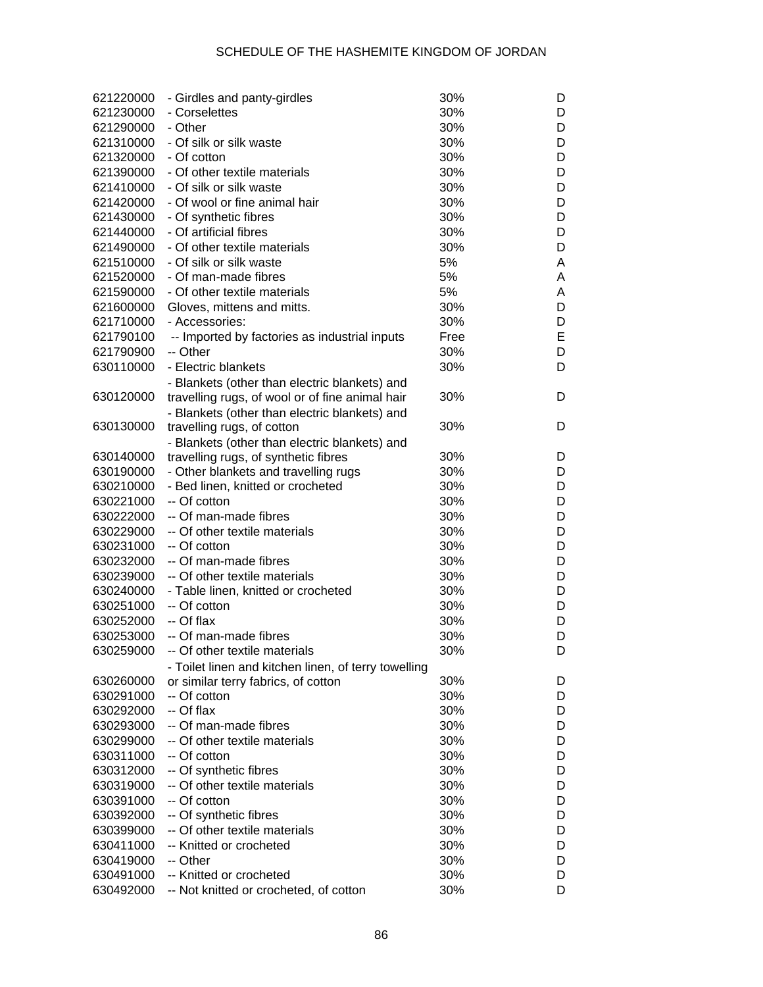| 621220000 | - Girdles and panty-girdles                          | 30%  | D |
|-----------|------------------------------------------------------|------|---|
| 621230000 | - Corselettes                                        | 30%  | D |
| 621290000 | - Other                                              | 30%  | D |
| 621310000 | - Of silk or silk waste                              | 30%  | D |
| 621320000 | - Of cotton                                          | 30%  | D |
| 621390000 | - Of other textile materials                         | 30%  | D |
| 621410000 | - Of silk or silk waste                              | 30%  | D |
| 621420000 | - Of wool or fine animal hair                        | 30%  | D |
| 621430000 | - Of synthetic fibres                                | 30%  | D |
| 621440000 | - Of artificial fibres                               | 30%  | D |
| 621490000 | - Of other textile materials                         | 30%  | D |
| 621510000 | - Of silk or silk waste                              | 5%   | A |
| 621520000 | - Of man-made fibres                                 | 5%   | A |
| 621590000 | - Of other textile materials                         | 5%   | A |
| 621600000 | Gloves, mittens and mitts.                           | 30%  | D |
| 621710000 | - Accessories:                                       | 30%  | D |
| 621790100 | -- Imported by factories as industrial inputs        | Free | E |
| 621790900 | -- Other                                             | 30%  | D |
| 630110000 |                                                      |      |   |
|           | - Electric blankets                                  | 30%  | D |
|           | - Blankets (other than electric blankets) and        |      |   |
| 630120000 | travelling rugs, of wool or of fine animal hair      | 30%  | D |
|           | - Blankets (other than electric blankets) and        |      |   |
| 630130000 | travelling rugs, of cotton                           | 30%  | D |
|           | - Blankets (other than electric blankets) and        |      |   |
| 630140000 | travelling rugs, of synthetic fibres                 | 30%  | D |
| 630190000 | - Other blankets and travelling rugs                 | 30%  | D |
| 630210000 | - Bed linen, knitted or crocheted                    | 30%  | D |
| 630221000 | -- Of cotton                                         | 30%  | D |
| 630222000 | -- Of man-made fibres                                | 30%  | D |
| 630229000 | -- Of other textile materials                        | 30%  | D |
| 630231000 | -- Of cotton                                         | 30%  | D |
| 630232000 | -- Of man-made fibres                                | 30%  | D |
| 630239000 | -- Of other textile materials                        | 30%  | D |
| 630240000 | - Table linen, knitted or crocheted                  | 30%  | D |
| 630251000 | -- Of cotton                                         | 30%  | D |
| 630252000 | -- Of flax                                           | 30%  | D |
| 630253000 | -- Of man-made fibres                                | 30%  | D |
| 630259000 | -- Of other textile materials                        | 30%  | D |
|           | - Toilet linen and kitchen linen, of terry towelling |      |   |
| 630260000 | or similar terry fabrics, of cotton                  | 30%  | D |
| 630291000 | -- Of cotton                                         | 30%  | D |
| 630292000 | -- Of flax                                           | 30%  | D |
| 630293000 | -- Of man-made fibres                                | 30%  | D |
| 630299000 | -- Of other textile materials                        | 30%  | D |
| 630311000 | -- Of cotton                                         | 30%  | D |
| 630312000 | -- Of synthetic fibres                               | 30%  | D |
| 630319000 | -- Of other textile materials                        | 30%  | D |
| 630391000 | -- Of cotton                                         | 30%  | D |
| 630392000 | -- Of synthetic fibres                               | 30%  | D |
| 630399000 | -- Of other textile materials                        | 30%  | D |
| 630411000 | -- Knitted or crocheted                              | 30%  | D |
| 630419000 | -- Other                                             | 30%  | D |
| 630491000 | -- Knitted or crocheted                              | 30%  | D |
| 630492000 | -- Not knitted or crocheted, of cotton               | 30%  | D |
|           |                                                      |      |   |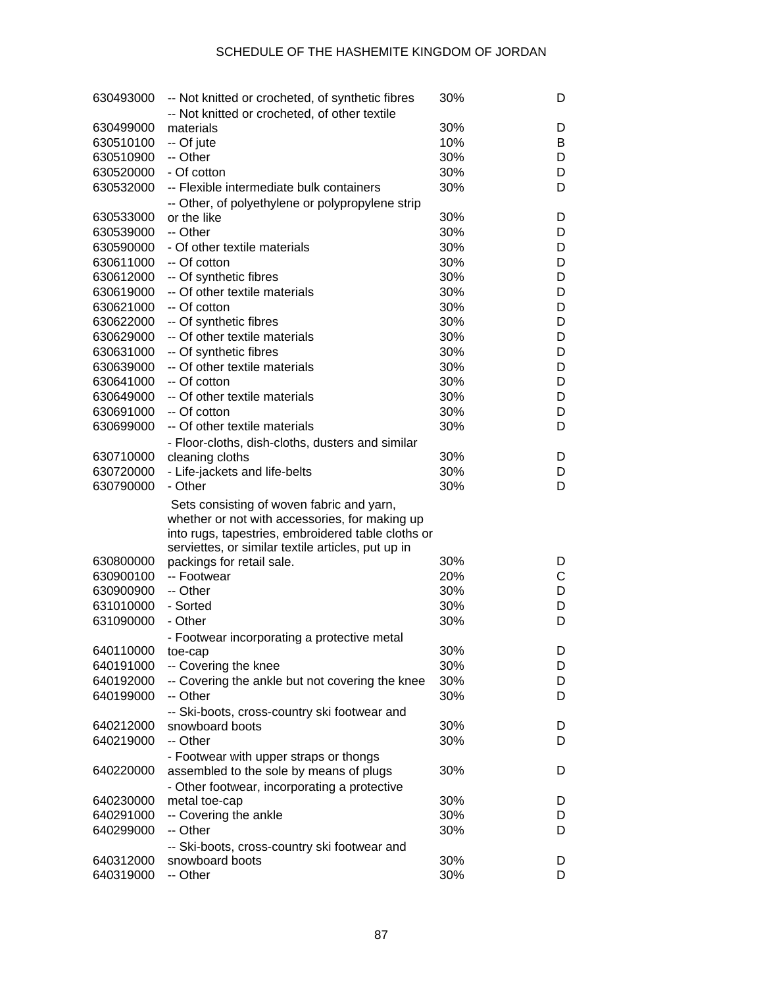| 630493000 | -- Not knitted or crocheted, of synthetic fibres   | 30% | D |
|-----------|----------------------------------------------------|-----|---|
|           | -- Not knitted or crocheted, of other textile      |     |   |
| 630499000 | materials                                          | 30% | D |
| 630510100 | -- Of jute                                         | 10% | В |
| 630510900 | -- Other                                           | 30% | D |
| 630520000 | - Of cotton                                        | 30% | D |
| 630532000 | -- Flexible intermediate bulk containers           | 30% | D |
|           | -- Other, of polyethylene or polypropylene strip   |     |   |
| 630533000 | or the like                                        | 30% | D |
| 630539000 | -- Other                                           | 30% | D |
| 630590000 | - Of other textile materials                       | 30% | D |
| 630611000 | -- Of cotton                                       | 30% | D |
| 630612000 | -- Of synthetic fibres                             | 30% | D |
| 630619000 | -- Of other textile materials                      | 30% | D |
| 630621000 | -- Of cotton                                       | 30% | D |
| 630622000 | -- Of synthetic fibres                             | 30% | D |
| 630629000 | -- Of other textile materials                      | 30% | D |
| 630631000 | -- Of synthetic fibres                             | 30% | D |
| 630639000 | -- Of other textile materials                      | 30% | D |
| 630641000 | -- Of cotton                                       | 30% | D |
| 630649000 | -- Of other textile materials                      | 30% | D |
| 630691000 | -- Of cotton                                       | 30% | D |
| 630699000 | -- Of other textile materials                      | 30% | D |
|           | - Floor-cloths, dish-cloths, dusters and similar   |     |   |
| 630710000 | cleaning cloths                                    | 30% | D |
| 630720000 | - Life-jackets and life-belts                      | 30% | D |
| 630790000 | - Other                                            | 30% | D |
|           | Sets consisting of woven fabric and yarn,          |     |   |
|           | whether or not with accessories, for making up     |     |   |
|           | into rugs, tapestries, embroidered table cloths or |     |   |
|           | serviettes, or similar textile articles, put up in |     |   |
| 630800000 | packings for retail sale.                          | 30% | D |
| 630900100 | -- Footwear                                        | 20% | С |
| 630900900 | -- Other                                           | 30% | D |
| 631010000 | - Sorted                                           | 30% | D |
| 631090000 | - Other                                            | 30% | D |
|           | - Footwear incorporating a protective metal        |     |   |
| 640110000 | toe-cap                                            | 30% | D |
| 640191000 | -- Covering the knee                               | 30% | D |
| 640192000 | -- Covering the ankle but not covering the knee    | 30% | D |
| 640199000 | -- Other                                           | 30% | D |
|           | -- Ski-boots, cross-country ski footwear and       |     |   |
| 640212000 | snowboard boots                                    | 30% | D |
| 640219000 | -- Other                                           | 30% | D |
|           | - Footwear with upper straps or thongs             |     |   |
| 640220000 | assembled to the sole by means of plugs            | 30% | D |
|           | - Other footwear, incorporating a protective       |     |   |
| 640230000 | metal toe-cap                                      | 30% | D |
| 640291000 | -- Covering the ankle                              | 30% | D |
| 640299000 | -- Other                                           | 30% | D |
|           | -- Ski-boots, cross-country ski footwear and       |     |   |
| 640312000 | snowboard boots                                    | 30% | D |
| 640319000 | -- Other                                           | 30% | D |
|           |                                                    |     |   |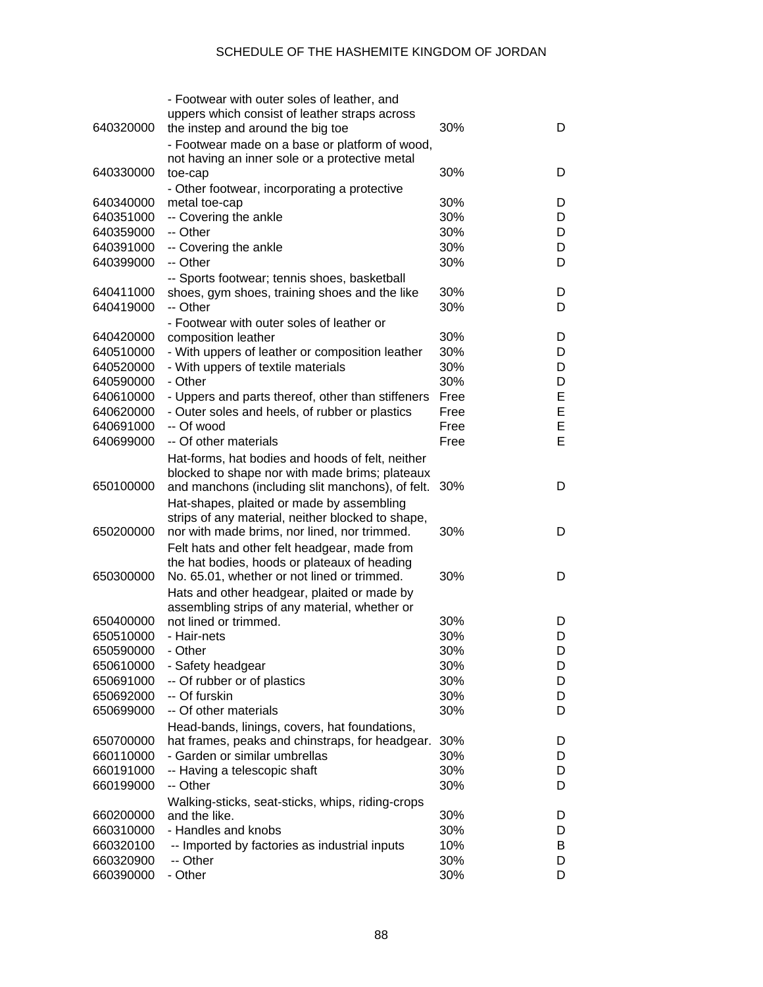|           | - Footwear with outer soles of leather, and       |      |   |
|-----------|---------------------------------------------------|------|---|
|           | uppers which consist of leather straps across     |      |   |
| 640320000 | the instep and around the big toe                 | 30%  | D |
|           | - Footwear made on a base or platform of wood,    |      |   |
|           | not having an inner sole or a protective metal    |      |   |
| 640330000 | toe-cap                                           | 30%  | D |
|           | - Other footwear, incorporating a protective      |      |   |
| 640340000 | metal toe-cap                                     | 30%  | D |
| 640351000 | -- Covering the ankle                             | 30%  | D |
| 640359000 | -- Other                                          | 30%  | D |
| 640391000 | -- Covering the ankle                             | 30%  | D |
| 640399000 | -- Other                                          | 30%  | D |
|           | -- Sports footwear; tennis shoes, basketball      |      |   |
| 640411000 | shoes, gym shoes, training shoes and the like     | 30%  | D |
| 640419000 | -- Other                                          | 30%  | D |
|           | - Footwear with outer soles of leather or         |      |   |
| 640420000 | composition leather                               | 30%  | D |
| 640510000 | - With uppers of leather or composition leather   | 30%  | D |
| 640520000 | - With uppers of textile materials                | 30%  | D |
| 640590000 | - Other                                           | 30%  | D |
| 640610000 | - Uppers and parts thereof, other than stiffeners | Free | E |
| 640620000 | - Outer soles and heels, of rubber or plastics    | Free | E |
| 640691000 | -- Of wood                                        | Free | E |
| 640699000 | -- Of other materials                             | Free | E |
|           |                                                   |      |   |
|           | Hat-forms, hat bodies and hoods of felt, neither  |      |   |
|           | blocked to shape nor with made brims; plateaux    |      |   |
| 650100000 | and manchons (including slit manchons), of felt.  | 30%  | D |
|           | Hat-shapes, plaited or made by assembling         |      |   |
|           | strips of any material, neither blocked to shape, |      |   |
| 650200000 | nor with made brims, nor lined, nor trimmed.      | 30%  | D |
|           | Felt hats and other felt headgear, made from      |      |   |
|           | the hat bodies, hoods or plateaux of heading      |      |   |
| 650300000 | No. 65.01, whether or not lined or trimmed.       | 30%  | D |
|           | Hats and other headgear, plaited or made by       |      |   |
|           | assembling strips of any material, whether or     |      |   |
| 650400000 | not lined or trimmed.                             | 30%  | D |
| 650510000 | - Hair-nets                                       | 30%  | D |
| 650590000 | - Other                                           | 30%  | D |
| 650610000 | - Safety headgear                                 | 30%  | D |
| 650691000 | -- Of rubber or of plastics                       | 30%  | D |
| 650692000 | -- Of furskin                                     | 30%  | D |
| 650699000 | -- Of other materials                             | 30%  | D |
|           | Head-bands, linings, covers, hat foundations,     |      |   |
| 650700000 | hat frames, peaks and chinstraps, for headgear.   | 30%  | D |
| 660110000 | - Garden or similar umbrellas                     | 30%  | D |
| 660191000 | -- Having a telescopic shaft                      | 30%  | D |
| 660199000 | -- Other                                          | 30%  | D |
|           | Walking-sticks, seat-sticks, whips, riding-crops  |      |   |
| 660200000 | and the like.                                     | 30%  | D |
| 660310000 | - Handles and knobs                               | 30%  | D |
| 660320100 | -- Imported by factories as industrial inputs     | 10%  | В |
| 660320900 | -- Other                                          | 30%  | D |
| 660390000 | - Other                                           | 30%  | D |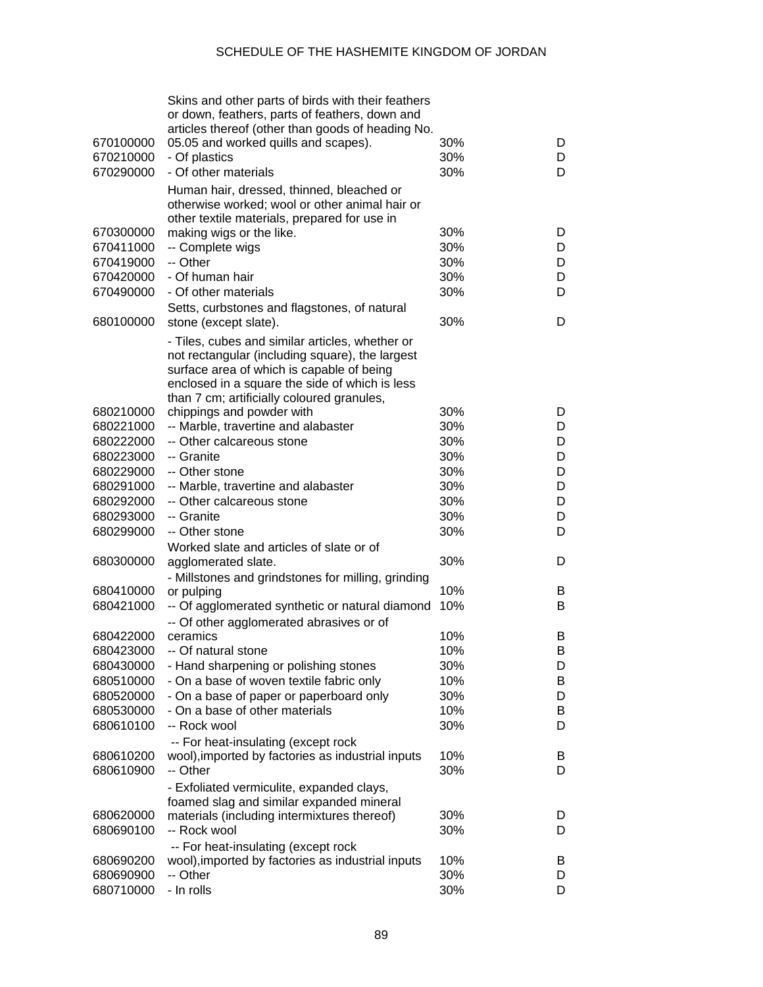| 670100000<br>670210000 | Skins and other parts of birds with their feathers<br>or down, feathers, parts of feathers, down and<br>articles thereof (other than goods of heading No.<br>05.05 and worked quills and scapes).<br>- Of plastics                              | 30%<br>30% | D<br>D |
|------------------------|-------------------------------------------------------------------------------------------------------------------------------------------------------------------------------------------------------------------------------------------------|------------|--------|
| 670290000              | - Of other materials                                                                                                                                                                                                                            | 30%        | D      |
|                        | Human hair, dressed, thinned, bleached or<br>otherwise worked; wool or other animal hair or<br>other textile materials, prepared for use in                                                                                                     |            |        |
| 670300000              | making wigs or the like.                                                                                                                                                                                                                        | 30%        | D      |
| 670411000              | -- Complete wigs                                                                                                                                                                                                                                | 30%        | D      |
| 670419000              | -- Other                                                                                                                                                                                                                                        | 30%        | D      |
| 670420000              | - Of human hair                                                                                                                                                                                                                                 | 30%        | D      |
| 670490000              | - Of other materials                                                                                                                                                                                                                            | 30%        | D      |
| 680100000              | Setts, curbstones and flagstones, of natural<br>stone (except slate).                                                                                                                                                                           | 30%        | D      |
|                        | - Tiles, cubes and similar articles, whether or<br>not rectangular (including square), the largest<br>surface area of which is capable of being<br>enclosed in a square the side of which is less<br>than 7 cm; artificially coloured granules, |            |        |
| 680210000              | chippings and powder with                                                                                                                                                                                                                       | 30%        | D      |
| 680221000              | -- Marble, travertine and alabaster                                                                                                                                                                                                             | 30%        | D      |
| 680222000              | -- Other calcareous stone                                                                                                                                                                                                                       | 30%        | D      |
| 680223000              | -- Granite                                                                                                                                                                                                                                      | 30%        | D      |
| 680229000              | -- Other stone                                                                                                                                                                                                                                  | 30%        | D      |
| 680291000              | -- Marble, travertine and alabaster                                                                                                                                                                                                             | 30%        | D      |
| 680292000              | -- Other calcareous stone                                                                                                                                                                                                                       | 30%        | D      |
|                        |                                                                                                                                                                                                                                                 |            |        |
| 680293000              | -- Granite                                                                                                                                                                                                                                      | 30%        | D      |
| 680299000              | -- Other stone                                                                                                                                                                                                                                  | 30%        | D      |
|                        | Worked slate and articles of slate or of                                                                                                                                                                                                        |            |        |
| 680300000              | agglomerated slate.                                                                                                                                                                                                                             | 30%        | D      |
|                        | - Millstones and grindstones for milling, grinding                                                                                                                                                                                              |            |        |
| 680410000              | or pulping                                                                                                                                                                                                                                      | 10%        | B      |
| 680421000              | -- Of agglomerated synthetic or natural diamond                                                                                                                                                                                                 | 10%        | B      |
|                        | -- Of other agglomerated abrasives or of                                                                                                                                                                                                        |            |        |
| 680422000              | ceramics                                                                                                                                                                                                                                        | 10%        | B      |
| 680423000              | -- Of natural stone                                                                                                                                                                                                                             | 10%        | Β      |
| 680430000              | - Hand sharpening or polishing stones                                                                                                                                                                                                           | 30%        | D      |
| 680510000              | - On a base of woven textile fabric only                                                                                                                                                                                                        | 10%        | B      |
| 680520000              | - On a base of paper or paperboard only                                                                                                                                                                                                         | 30%        | D      |
| 680530000              | - On a base of other materials                                                                                                                                                                                                                  | 10%        | B      |
| 680610100              | -- Rock wool                                                                                                                                                                                                                                    | 30%        | D      |
|                        | -- For heat-insulating (except rock                                                                                                                                                                                                             |            |        |
| 680610200              | wool), imported by factories as industrial inputs                                                                                                                                                                                               | 10%        | B      |
| 680610900              | -- Other                                                                                                                                                                                                                                        | 30%        | D      |
|                        |                                                                                                                                                                                                                                                 |            |        |
|                        | - Exfoliated vermiculite, expanded clays,                                                                                                                                                                                                       |            |        |
|                        | foamed slag and similar expanded mineral                                                                                                                                                                                                        |            |        |
| 680620000              | materials (including intermixtures thereof)                                                                                                                                                                                                     | 30%        | D      |
| 680690100              | -- Rock wool                                                                                                                                                                                                                                    | 30%        | D      |
|                        | -- For heat-insulating (except rock                                                                                                                                                                                                             |            |        |
| 680690200              | wool), imported by factories as industrial inputs                                                                                                                                                                                               | 10%        | B      |
| 680690900              | -- Other                                                                                                                                                                                                                                        | 30%        | D      |
| 680710000              | - In rolls                                                                                                                                                                                                                                      | 30%        | D      |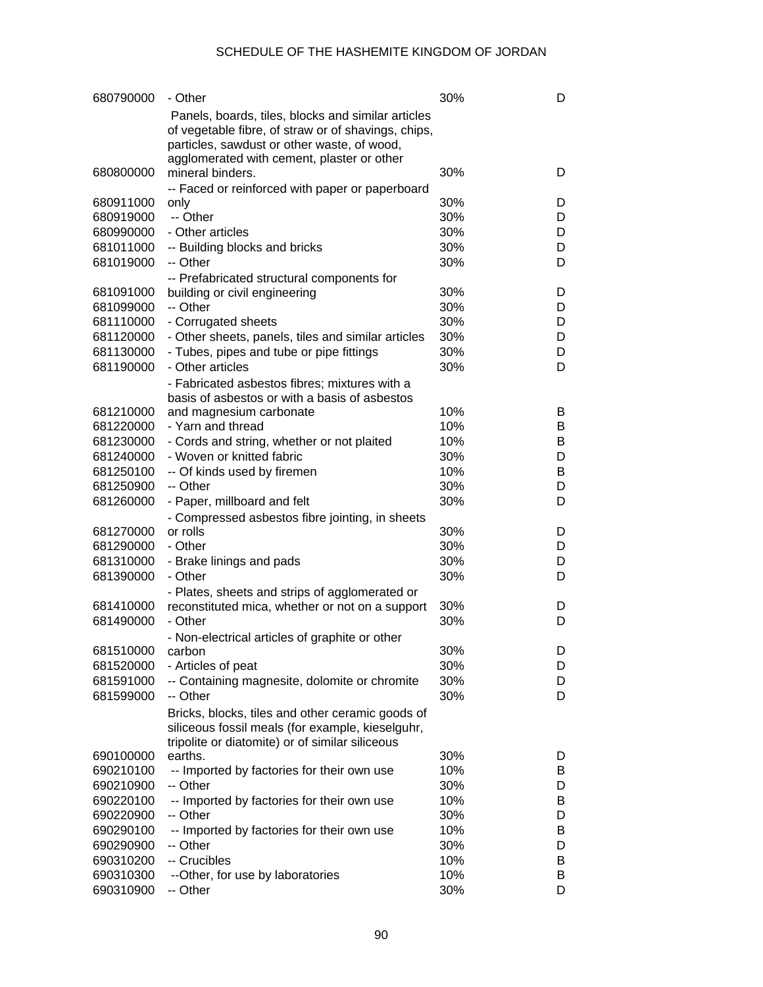| 680790000              | - Other                                                                                                   | 30% | D      |
|------------------------|-----------------------------------------------------------------------------------------------------------|-----|--------|
|                        | Panels, boards, tiles, blocks and similar articles<br>of vegetable fibre, of straw or of shavings, chips, |     |        |
|                        | particles, sawdust or other waste, of wood,                                                               |     |        |
|                        | agglomerated with cement, plaster or other                                                                |     |        |
| 680800000              | mineral binders.                                                                                          | 30% | D      |
|                        | -- Faced or reinforced with paper or paperboard                                                           | 30% |        |
| 680911000<br>680919000 | only<br>-- Other                                                                                          | 30% | D<br>D |
| 680990000              | - Other articles                                                                                          | 30% | D      |
| 681011000              | -- Building blocks and bricks                                                                             | 30% | D      |
| 681019000              | -- Other                                                                                                  | 30% | D      |
|                        | -- Prefabricated structural components for                                                                |     |        |
| 681091000              | building or civil engineering                                                                             | 30% | D      |
| 681099000              | -- Other                                                                                                  | 30% | D      |
| 681110000              | - Corrugated sheets                                                                                       | 30% | D      |
| 681120000              | - Other sheets, panels, tiles and similar articles                                                        | 30% | D      |
| 681130000              | - Tubes, pipes and tube or pipe fittings                                                                  | 30% | D      |
| 681190000              | - Other articles                                                                                          | 30% | D      |
|                        | - Fabricated asbestos fibres; mixtures with a                                                             |     |        |
|                        | basis of asbestos or with a basis of asbestos                                                             |     |        |
| 681210000              | and magnesium carbonate                                                                                   | 10% | B      |
| 681220000              | - Yarn and thread                                                                                         | 10% | В      |
| 681230000              | - Cords and string, whether or not plaited                                                                | 10% | В      |
| 681240000              | - Woven or knitted fabric                                                                                 | 30% | D      |
| 681250100              | -- Of kinds used by firemen                                                                               | 10% | В      |
| 681250900              | -- Other                                                                                                  | 30% | D      |
| 681260000              | - Paper, millboard and felt                                                                               | 30% | D      |
|                        | - Compressed asbestos fibre jointing, in sheets                                                           |     |        |
| 681270000              | or rolls                                                                                                  | 30% | D      |
| 681290000              | - Other                                                                                                   | 30% | D      |
| 681310000              | - Brake linings and pads                                                                                  | 30% | D      |
| 681390000              | - Other                                                                                                   | 30% | D      |
|                        | - Plates, sheets and strips of agglomerated or                                                            |     |        |
| 681410000              | reconstituted mica, whether or not on a support                                                           | 30% | D      |
| 681490000              | - Other                                                                                                   | 30% | D      |
|                        | - Non-electrical articles of graphite or other                                                            | 30% |        |
| 681510000<br>681520000 | carbon<br>- Articles of peat                                                                              | 30% | D<br>D |
| 681591000              | -- Containing magnesite, dolomite or chromite                                                             | 30% | D      |
| 681599000              | -- Other                                                                                                  | 30% | D      |
|                        |                                                                                                           |     |        |
|                        | Bricks, blocks, tiles and other ceramic goods of<br>siliceous fossil meals (for example, kieselguhr,      |     |        |
|                        | tripolite or diatomite) or of similar siliceous                                                           |     |        |
| 690100000              | earths.                                                                                                   | 30% | D      |
| 690210100              | -- Imported by factories for their own use                                                                | 10% | B      |
| 690210900              | -- Other                                                                                                  | 30% | D      |
| 690220100              | -- Imported by factories for their own use                                                                | 10% | В      |
| 690220900              | -- Other                                                                                                  | 30% | D      |
| 690290100              | -- Imported by factories for their own use                                                                | 10% | В      |
| 690290900              | -- Other                                                                                                  | 30% | D      |
| 690310200              | -- Crucibles                                                                                              | 10% | В      |
| 690310300              | --Other, for use by laboratories                                                                          | 10% | В      |
| 690310900              | -- Other                                                                                                  | 30% | D      |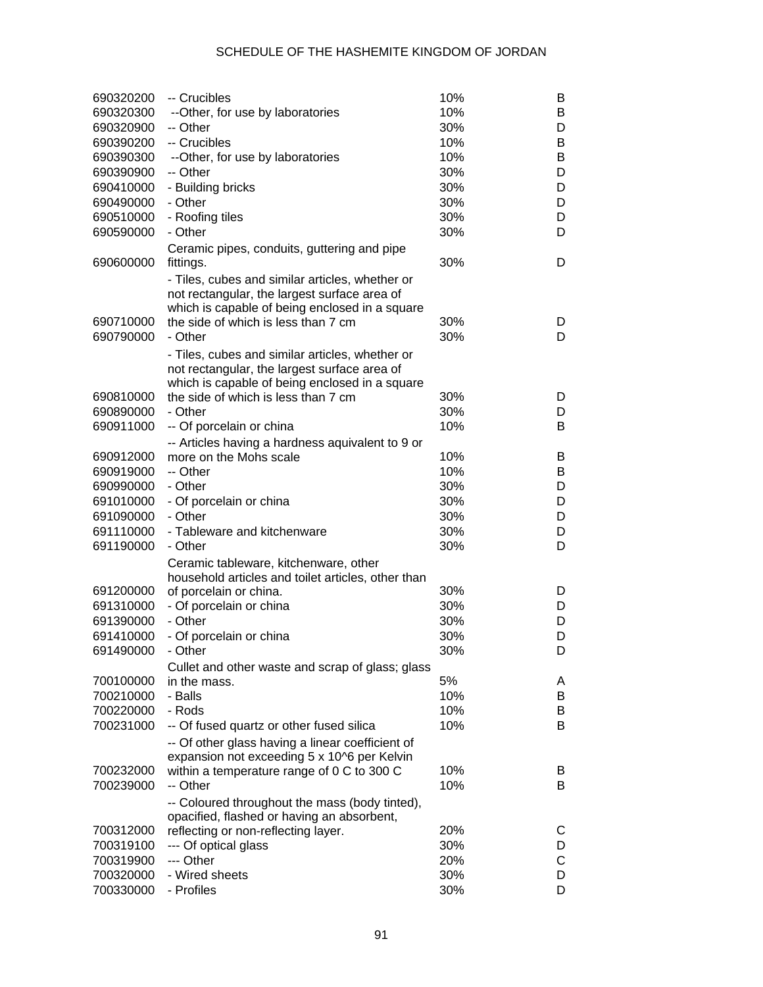| 690320200 | -- Crucibles                                                                                    | 10% | B |
|-----------|-------------------------------------------------------------------------------------------------|-----|---|
| 690320300 | --Other, for use by laboratories                                                                | 10% | B |
| 690320900 | -- Other                                                                                        | 30% | D |
| 690390200 | -- Crucibles                                                                                    | 10% | B |
| 690390300 | --Other, for use by laboratories                                                                | 10% | B |
| 690390900 | -- Other                                                                                        | 30% | D |
| 690410000 | - Building bricks                                                                               | 30% | D |
| 690490000 | - Other                                                                                         | 30% | D |
| 690510000 | - Roofing tiles                                                                                 | 30% | D |
| 690590000 | - Other                                                                                         | 30% | D |
| 690600000 | Ceramic pipes, conduits, guttering and pipe<br>fittings.                                        | 30% | D |
|           | - Tiles, cubes and similar articles, whether or                                                 |     |   |
|           | not rectangular, the largest surface area of                                                    |     |   |
|           | which is capable of being enclosed in a square                                                  |     |   |
| 690710000 | the side of which is less than 7 cm                                                             | 30% | D |
| 690790000 | - Other                                                                                         | 30% | D |
|           |                                                                                                 |     |   |
|           | - Tiles, cubes and similar articles, whether or<br>not rectangular, the largest surface area of |     |   |
|           |                                                                                                 |     |   |
| 690810000 | which is capable of being enclosed in a square<br>the side of which is less than 7 cm           | 30% | D |
| 690890000 | - Other                                                                                         | 30% | D |
| 690911000 |                                                                                                 | 10% | B |
|           | -- Of porcelain or china                                                                        |     |   |
|           | -- Articles having a hardness aquivalent to 9 or                                                | 10% |   |
| 690912000 | more on the Mohs scale                                                                          |     | B |
| 690919000 | -- Other                                                                                        | 10% | B |
| 690990000 | - Other                                                                                         | 30% | D |
| 691010000 | - Of porcelain or china                                                                         | 30% | D |
| 691090000 | - Other                                                                                         | 30% | D |
| 691110000 | - Tableware and kitchenware                                                                     | 30% | D |
| 691190000 | - Other                                                                                         | 30% | D |
|           | Ceramic tableware, kitchenware, other                                                           |     |   |
|           | household articles and toilet articles, other than                                              |     |   |
| 691200000 | of porcelain or china.                                                                          | 30% | D |
| 691310000 | - Of porcelain or china                                                                         | 30% | D |
| 691390000 | - Other                                                                                         | 30% | D |
| 691410000 | - Of porcelain or china                                                                         | 30% | D |
| 691490000 | - Other                                                                                         | 30% | D |
|           | Cullet and other waste and scrap of glass; glass                                                |     |   |
| 700100000 | in the mass.                                                                                    | 5%  | A |
| 700210000 | - Balls                                                                                         | 10% | B |
| 700220000 | - Rods                                                                                          | 10% | B |
| 700231000 | -- Of fused quartz or other fused silica                                                        | 10% | B |
|           | -- Of other glass having a linear coefficient of                                                |     |   |
|           | expansion not exceeding 5 x 10^6 per Kelvin                                                     |     |   |
| 700232000 | within a temperature range of 0 C to 300 C                                                      | 10% | B |
| 700239000 | -- Other                                                                                        | 10% | B |
|           | -- Coloured throughout the mass (body tinted),                                                  |     |   |
|           | opacified, flashed or having an absorbent,                                                      |     |   |
| 700312000 | reflecting or non-reflecting layer.                                                             | 20% | С |
| 700319100 | --- Of optical glass                                                                            | 30% | D |
| 700319900 | --- Other                                                                                       | 20% | C |
| 700320000 | - Wired sheets                                                                                  | 30% | D |
| 700330000 | - Profiles                                                                                      | 30% | D |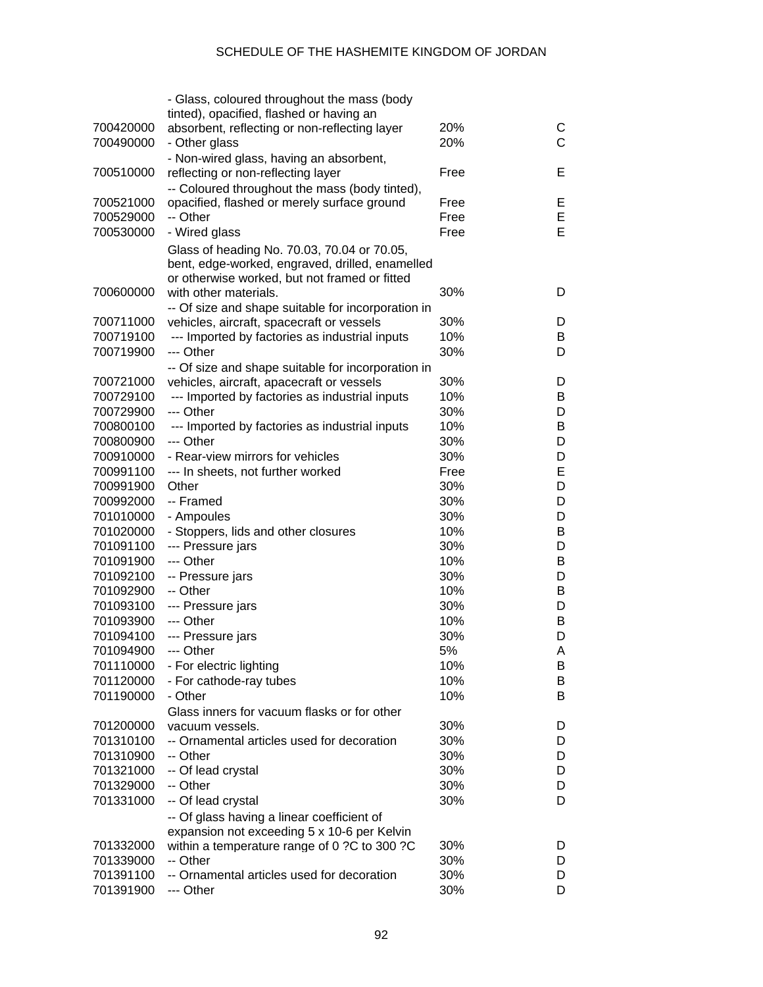|           | - Glass, coloured throughout the mass (body        |            |              |
|-----------|----------------------------------------------------|------------|--------------|
|           | tinted), opacified, flashed or having an           |            |              |
| 700420000 | absorbent, reflecting or non-reflecting layer      | 20%        | С            |
| 700490000 | - Other glass                                      | 20%        | $\mathsf{C}$ |
|           | - Non-wired glass, having an absorbent,            |            |              |
| 700510000 | reflecting or non-reflecting layer                 | Free       | Е            |
|           | -- Coloured throughout the mass (body tinted),     |            |              |
| 700521000 | opacified, flashed or merely surface ground        | Free       | E            |
| 700529000 | -- Other                                           | Free       | Ε            |
| 700530000 | - Wired glass                                      | Free       | Е            |
|           | Glass of heading No. 70.03, 70.04 or 70.05,        |            |              |
|           | bent, edge-worked, engraved, drilled, enamelled    |            |              |
|           | or otherwise worked, but not framed or fitted      |            |              |
| 700600000 | with other materials.                              | 30%        | D            |
|           | -- Of size and shape suitable for incorporation in |            |              |
| 700711000 | vehicles, aircraft, spacecraft or vessels          | 30%        | D            |
| 700719100 | --- Imported by factories as industrial inputs     | 10%        | В            |
| 700719900 | --- Other                                          | 30%        | D            |
|           |                                                    |            |              |
|           | -- Of size and shape suitable for incorporation in |            |              |
| 700721000 | vehicles, aircraft, apacecraft or vessels          | 30%        | D            |
| 700729100 | --- Imported by factories as industrial inputs     | 10%        | В            |
| 700729900 | --- Other                                          | 30%        | D            |
| 700800100 | --- Imported by factories as industrial inputs     | 10%        | В            |
| 700800900 | --- Other                                          | 30%        | D            |
| 700910000 | - Rear-view mirrors for vehicles                   | 30%        | D            |
| 700991100 | --- In sheets, not further worked                  | Free       | Е            |
| 700991900 | Other                                              | 30%        | D            |
| 700992000 | -- Framed                                          | 30%        | D            |
| 701010000 | - Ampoules                                         | 30%        | D            |
| 701020000 | - Stoppers, lids and other closures                | 10%        | В            |
| 701091100 | --- Pressure jars                                  | 30%        | D            |
| 701091900 | --- Other                                          | 10%        | В            |
| 701092100 | -- Pressure jars                                   | 30%        | D            |
| 701092900 | -- Other                                           | 10%        | В            |
| 701093100 | --- Pressure jars                                  | 30%        | D            |
| 701093900 | --- Other                                          | 10%        | B            |
| 701094100 | --- Pressure jars                                  | 30%        | D            |
| 701094900 | --- Other                                          | 5%         | Α            |
| 701110000 | - For electric lighting                            | 10%        | B            |
| 701120000 | - For cathode-ray tubes                            | 10%        | B            |
| 701190000 | - Other                                            | 10%        | B            |
|           | Glass inners for vacuum flasks or for other        |            |              |
| 701200000 | vacuum vessels.                                    | 30%        | D            |
| 701310100 | -- Ornamental articles used for decoration         | 30%        | D            |
| 701310900 | -- Other                                           | 30%        | D            |
| 701321000 | -- Of lead crystal                                 | 30%        | D            |
| 701329000 | -- Other                                           | 30%        | D            |
| 701331000 | -- Of lead crystal                                 | 30%        | D            |
|           |                                                    |            |              |
|           | -- Of glass having a linear coefficient of         |            |              |
|           | expansion not exceeding 5 x 10-6 per Kelvin        |            |              |
| 701332000 | within a temperature range of 0 ?C to 300 ?C       | 30%<br>30% | D            |
| 701339000 | -- Other                                           |            | D            |
| 701391100 | -- Ornamental articles used for decoration         | 30%        | D            |
| 701391900 | --- Other                                          | 30%        | D            |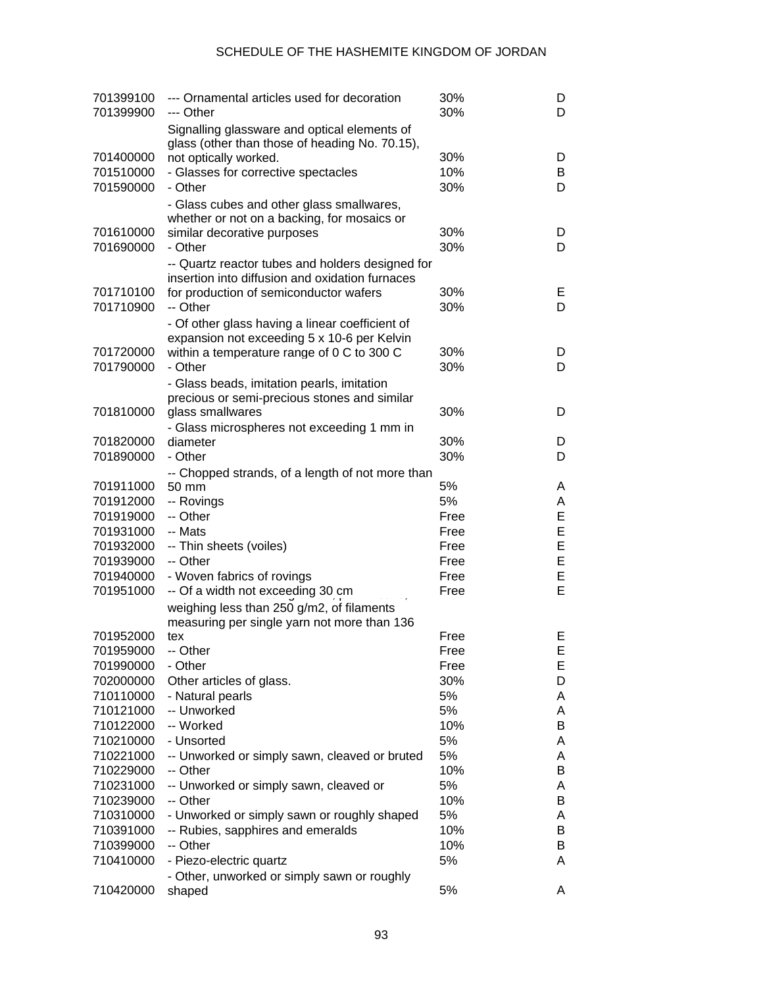| 701399100<br>701399900 | --- Ornamental articles used for decoration<br>--- Other                                       | 30%<br>30%   | D<br>D |
|------------------------|------------------------------------------------------------------------------------------------|--------------|--------|
|                        | Signalling glassware and optical elements of<br>glass (other than those of heading No. 70.15), |              |        |
| 701400000              | not optically worked.                                                                          | 30%          | D      |
| 701510000              | - Glasses for corrective spectacles                                                            | 10%          | B      |
| 701590000              | - Other                                                                                        | 30%          | D      |
|                        | - Glass cubes and other glass smallwares,                                                      |              |        |
|                        | whether or not on a backing, for mosaics or                                                    |              |        |
| 701610000<br>701690000 | similar decorative purposes<br>- Other                                                         | 30%<br>30%   | D<br>D |
|                        |                                                                                                |              |        |
|                        | -- Quartz reactor tubes and holders designed for                                               |              |        |
| 701710100              | insertion into diffusion and oxidation furnaces<br>for production of semiconductor wafers      | 30%          | Е      |
| 701710900              | -- Other                                                                                       | 30%          | D      |
|                        | - Of other glass having a linear coefficient of                                                |              |        |
|                        | expansion not exceeding 5 x 10-6 per Kelvin                                                    |              |        |
| 701720000              | within a temperature range of 0 C to 300 C                                                     | 30%          | D      |
| 701790000              | - Other                                                                                        | 30%          | D      |
|                        | - Glass beads, imitation pearls, imitation                                                     |              |        |
|                        | precious or semi-precious stones and similar                                                   |              |        |
| 701810000              | glass smallwares                                                                               | 30%          | D      |
|                        | - Glass microspheres not exceeding 1 mm in                                                     |              |        |
| 701820000              | diameter                                                                                       | 30%          | D      |
| 701890000              | - Other                                                                                        | 30%          | D      |
|                        | -- Chopped strands, of a length of not more than                                               |              |        |
| 701911000              | 50 mm                                                                                          | 5%           | A      |
| 701912000              | -- Rovings                                                                                     | 5%           | A      |
| 701919000              | -- Other                                                                                       | Free         | E      |
| 701931000              | -- Mats                                                                                        | Free         | E      |
| 701932000              | -- Thin sheets (voiles)                                                                        | Free         | E      |
| 701939000              | -- Other                                                                                       | Free         | E      |
| 701940000              | - Woven fabrics of rovings                                                                     | Free         | E      |
| 701951000              | -- Of a width not exceeding 30 cm                                                              | Free         | E      |
|                        | weighing less than 250 g/m2, of filaments                                                      |              |        |
|                        | measuring per single yarn not more than 136                                                    |              |        |
| 701952000              | tex                                                                                            | Free         | Е      |
| 701959000<br>701990000 | -- Other<br>- Other                                                                            | Free<br>Free | ᄇ<br>Е |
| 702000000              | Other articles of glass.                                                                       | 30%          | D      |
| 710110000              | - Natural pearls                                                                               | 5%           | A      |
| 710121000              | -- Unworked                                                                                    | 5%           | A      |
| 710122000              | -- Worked                                                                                      | 10%          | B      |
| 710210000              | - Unsorted                                                                                     | 5%           | A      |
| 710221000              | -- Unworked or simply sawn, cleaved or bruted                                                  | 5%           | A      |
| 710229000              | -- Other                                                                                       | 10%          | B      |
| 710231000              | -- Unworked or simply sawn, cleaved or                                                         | 5%           | A      |
| 710239000              | -- Other                                                                                       | 10%          | B      |
| 710310000              | - Unworked or simply sawn or roughly shaped                                                    | 5%           | A      |
| 710391000              | -- Rubies, sapphires and emeralds                                                              | 10%          | B      |
| 710399000              | -- Other                                                                                       | 10%          | B      |
| 710410000              | - Piezo-electric quartz                                                                        | 5%           | A      |
|                        | - Other, unworked or simply sawn or roughly                                                    |              |        |
| 710420000              | shaped                                                                                         | 5%           | A      |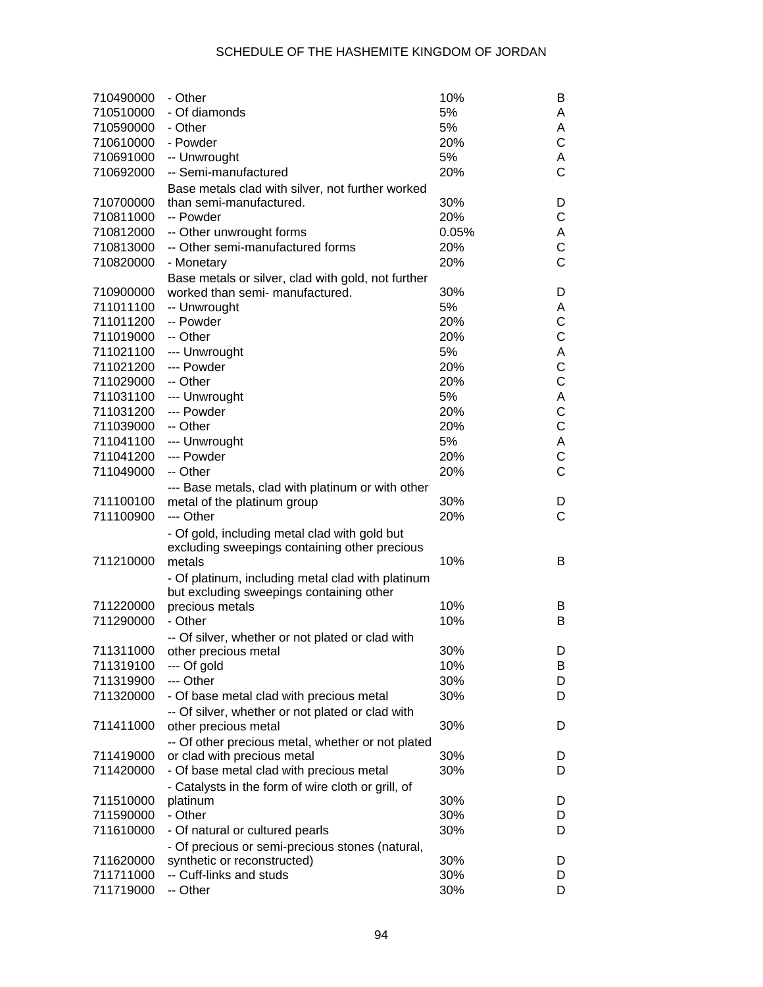| 710490000 | - Other                                            | 10%   | B              |
|-----------|----------------------------------------------------|-------|----------------|
| 710510000 | - Of diamonds                                      | 5%    | A              |
| 710590000 | - Other                                            | 5%    | Α              |
| 710610000 | - Powder                                           | 20%   | C              |
| 710691000 | -- Unwrought                                       | 5%    | A              |
| 710692000 | -- Semi-manufactured                               | 20%   | C              |
|           | Base metals clad with silver, not further worked   |       |                |
| 710700000 | than semi-manufactured.                            | 30%   | D              |
| 710811000 | -- Powder                                          | 20%   | С              |
| 710812000 | -- Other unwrought forms                           | 0.05% | Α              |
| 710813000 | -- Other semi-manufactured forms                   | 20%   | C              |
| 710820000 | - Monetary                                         | 20%   | $\overline{C}$ |
|           | Base metals or silver, clad with gold, not further |       |                |
| 710900000 | worked than semi- manufactured.                    | 30%   | D              |
| 711011100 | -- Unwrought                                       | 5%    | Α              |
| 711011200 | -- Powder                                          | 20%   | C              |
| 711019000 | -- Other                                           | 20%   | C              |
| 711021100 | --- Unwrought                                      | 5%    | А              |
| 711021200 | --- Powder                                         | 20%   | C              |
| 711029000 | -- Other                                           | 20%   | C              |
| 711031100 | --- Unwrought                                      | 5%    | А              |
| 711031200 | --- Powder                                         | 20%   | C              |
| 711039000 | -- Other                                           | 20%   | C              |
| 711041100 | --- Unwrought                                      | 5%    | А              |
| 711041200 | --- Powder                                         | 20%   | C              |
| 711049000 | -- Other                                           | 20%   | $\overline{C}$ |
|           | --- Base metals, clad with platinum or with other  |       |                |
| 711100100 | metal of the platinum group                        | 30%   | D              |
| 711100900 | --- Other                                          | 20%   | $\mathsf{C}$   |
|           | - Of gold, including metal clad with gold but      |       |                |
|           | excluding sweepings containing other precious      |       |                |
| 711210000 | metals                                             | 10%   | B              |
|           | - Of platinum, including metal clad with platinum  |       |                |
|           | but excluding sweepings containing other           |       |                |
| 711220000 | precious metals                                    | 10%   | B              |
| 711290000 | - Other                                            | 10%   | B              |
|           | -- Of silver, whether or not plated or clad with   |       |                |
| 711311000 | other precious metal                               | 30%   | D              |
| 711319100 | --- Of gold                                        | 10%   | B              |
| 711319900 | --- Other                                          | 30%   | D              |
| 711320000 | - Of base metal clad with precious metal           | 30%   | D              |
|           | -- Of silver, whether or not plated or clad with   |       |                |
| 711411000 | other precious metal                               | 30%   | D              |
|           | -- Of other precious metal, whether or not plated  |       |                |
| 711419000 | or clad with precious metal                        | 30%   | D              |
| 711420000 | - Of base metal clad with precious metal           | 30%   | D              |
|           | - Catalysts in the form of wire cloth or grill, of |       |                |
| 711510000 | platinum                                           | 30%   | D              |
| 711590000 | - Other                                            | 30%   | D              |
| 711610000 | - Of natural or cultured pearls                    | 30%   | D              |
|           | - Of precious or semi-precious stones (natural,    |       |                |
| 711620000 | synthetic or reconstructed)                        | 30%   | D              |
| 711711000 | -- Cuff-links and studs                            | 30%   | D              |
| 711719000 | -- Other                                           | 30%   | D              |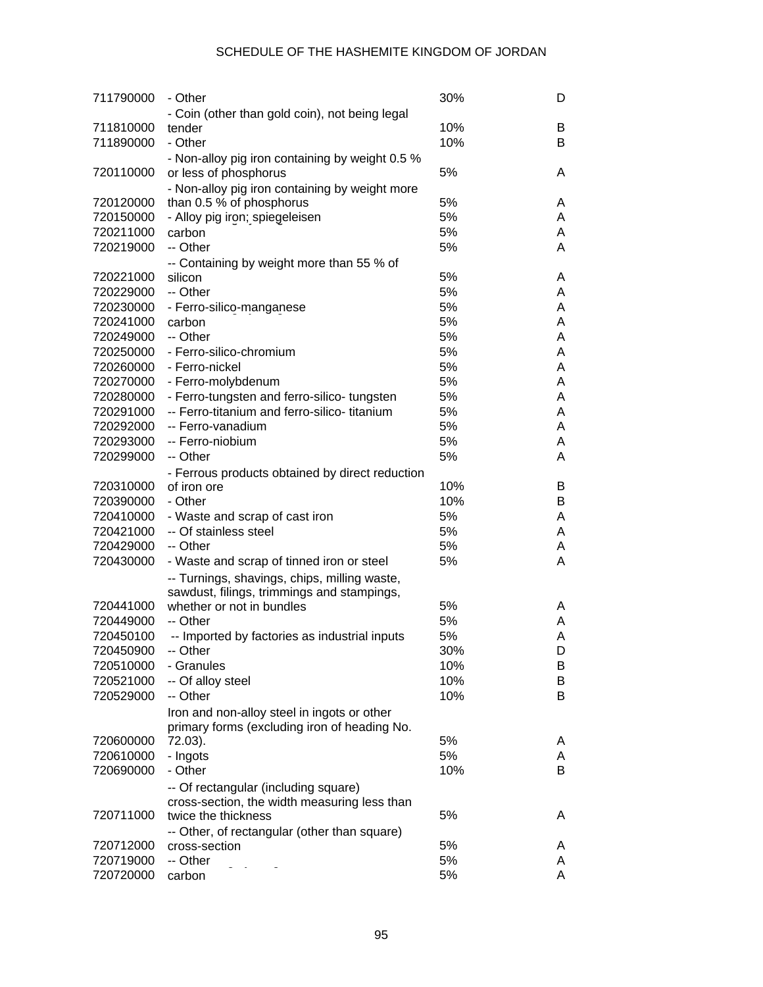| 711790000 | - Other                                         | 30% | D |
|-----------|-------------------------------------------------|-----|---|
|           | - Coin (other than gold coin), not being legal  |     |   |
| 711810000 | tender                                          | 10% | B |
| 711890000 | - Other                                         | 10% | B |
|           | - Non-alloy pig iron containing by weight 0.5 % |     |   |
| 720110000 | or less of phosphorus                           | 5%  | A |
|           | - Non-alloy pig iron containing by weight more  |     |   |
| 720120000 | than 0.5 % of phosphorus                        | 5%  | A |
| 720150000 | - Alloy pig iron; spiegeleisen                  | 5%  | A |
| 720211000 | carbon                                          | 5%  | A |
| 720219000 | -- Other                                        | 5%  | A |
|           | -- Containing by weight more than 55 % of       |     |   |
| 720221000 | silicon                                         | 5%  | A |
| 720229000 | -- Other                                        | 5%  | A |
| 720230000 | - Ferro-silico-manganese                        | 5%  | A |
| 720241000 | carbon                                          | 5%  | A |
| 720249000 | -- Other                                        | 5%  | A |
| 720250000 | - Ferro-silico-chromium                         | 5%  | A |
| 720260000 | - Ferro-nickel                                  | 5%  | A |
| 720270000 | - Ferro-molybdenum                              | 5%  | A |
| 720280000 | - Ferro-tungsten and ferro-silico- tungsten     | 5%  | A |
| 720291000 | -- Ferro-titanium and ferro-silico- titanium    | 5%  | A |
| 720292000 | -- Ferro-vanadium                               | 5%  | A |
| 720293000 | -- Ferro-niobium                                | 5%  | A |
| 720299000 | -- Other                                        | 5%  | A |
|           | - Ferrous products obtained by direct reduction |     |   |
| 720310000 | of iron ore                                     | 10% | B |
| 720390000 | - Other                                         | 10% | В |
| 720410000 | - Waste and scrap of cast iron                  | 5%  | A |
| 720421000 | -- Of stainless steel                           | 5%  | A |
| 720429000 | -- Other                                        | 5%  | A |
| 720430000 | - Waste and scrap of tinned iron or steel       | 5%  | Α |
|           | -- Turnings, shavings, chips, milling waste,    |     |   |
|           | sawdust, filings, trimmings and stampings,      |     |   |
| 720441000 | whether or not in bundles                       | 5%  | A |
| 720449000 | -- Other                                        | 5%  | A |
| 720450100 | -- Imported by factories as industrial inputs   | 5%  | A |
| 720450900 | -- Other                                        | 30% | D |
| 720510000 | - Granules                                      | 10% | B |
| 720521000 | -- Of alloy steel                               | 10% | B |
| 720529000 | -- Other                                        | 10% | B |
|           | Iron and non-alloy steel in ingots or other     |     |   |
|           | primary forms (excluding iron of heading No.    |     |   |
| 720600000 | 72.03).                                         | 5%  | A |
| 720610000 | - Ingots                                        | 5%  | A |
| 720690000 | - Other                                         | 10% | B |
|           | -- Of rectangular (including square)            |     |   |
|           | cross-section, the width measuring less than    |     |   |
| 720711000 | twice the thickness                             | 5%  | A |
|           | -- Other, of rectangular (other than square)    |     |   |
| 720712000 | cross-section                                   | 5%  | A |
| 720719000 | -- Other                                        | 5%  | A |
| 720720000 | carbon                                          | 5%  | A |
|           |                                                 |     |   |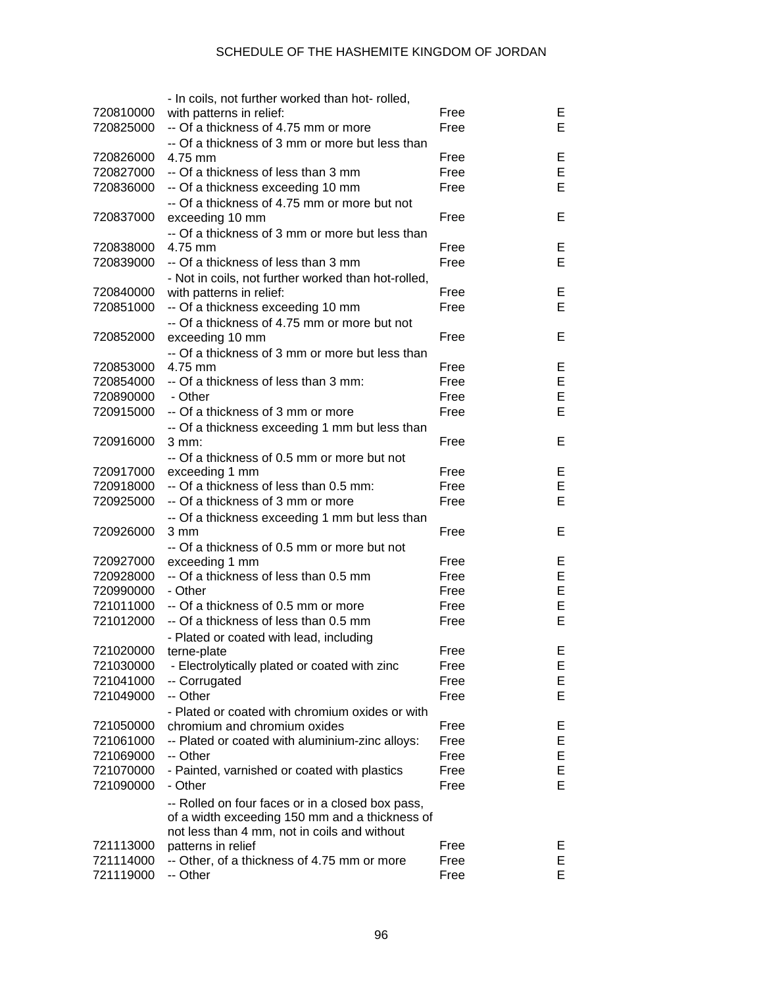|           | - In coils, not further worked than hot-rolled,     |      |    |
|-----------|-----------------------------------------------------|------|----|
| 720810000 | with patterns in relief:                            | Free | Е  |
| 720825000 | -- Of a thickness of 4.75 mm or more                | Free | E  |
|           | -- Of a thickness of 3 mm or more but less than     |      |    |
| 720826000 | 4.75 mm                                             | Free | Е  |
| 720827000 | -- Of a thickness of less than 3 mm                 | Free | E  |
| 720836000 | -- Of a thickness exceeding 10 mm                   | Free | E  |
|           | -- Of a thickness of 4.75 mm or more but not        |      |    |
| 720837000 | exceeding 10 mm                                     | Free | E  |
|           | -- Of a thickness of 3 mm or more but less than     |      |    |
| 720838000 | 4.75 mm                                             | Free | Е  |
| 720839000 | -- Of a thickness of less than 3 mm                 | Free | E  |
|           |                                                     |      |    |
|           | - Not in coils, not further worked than hot-rolled, | Free | Е  |
| 720840000 | with patterns in relief:                            |      | E  |
| 720851000 | -- Of a thickness exceeding 10 mm                   | Free |    |
|           | -- Of a thickness of 4.75 mm or more but not        |      |    |
| 720852000 | exceeding 10 mm                                     | Free | E  |
|           | -- Of a thickness of 3 mm or more but less than     |      |    |
| 720853000 | 4.75 mm                                             | Free | Е  |
| 720854000 | -- Of a thickness of less than 3 mm:                | Free | E  |
| 720890000 | - Other                                             | Free | E  |
| 720915000 | -- Of a thickness of 3 mm or more                   | Free | E  |
|           | -- Of a thickness exceeding 1 mm but less than      |      |    |
| 720916000 | 3 mm:                                               | Free | E  |
|           | -- Of a thickness of 0.5 mm or more but not         |      |    |
| 720917000 | exceeding 1 mm                                      | Free | Е  |
| 720918000 | -- Of a thickness of less than 0.5 mm:              | Free | E  |
| 720925000 | -- Of a thickness of 3 mm or more                   | Free | E  |
|           | -- Of a thickness exceeding 1 mm but less than      |      |    |
| 720926000 | 3 mm                                                | Free | E  |
|           | -- Of a thickness of 0.5 mm or more but not         |      |    |
| 720927000 | exceeding 1 mm                                      | Free | Е  |
| 720928000 | -- Of a thickness of less than 0.5 mm               | Free | E  |
| 720990000 | - Other                                             | Free | E  |
| 721011000 | -- Of a thickness of 0.5 mm or more                 | Free | E  |
| 721012000 | -- Of a thickness of less than 0.5 mm               | Free | E  |
|           | - Plated or coated with lead, including             |      |    |
| 721020000 | terne-plate                                         | Free | Е  |
| 721030000 | - Electrolytically plated or coated with zinc       | Free | E  |
| 721041000 | -- Corrugated                                       | Free | Е  |
| 721049000 | -- Other                                            | Free | E  |
|           | - Plated or coated with chromium oxides or with     |      |    |
| 721050000 | chromium and chromium oxides                        | Free | E  |
| 721061000 | -- Plated or coated with aluminium-zinc alloys:     | Free | Е  |
| 721069000 | -- Other                                            | Free | Е  |
| 721070000 | - Painted, varnished or coated with plastics        | Free | Е  |
| 721090000 | - Other                                             | Free | E  |
|           |                                                     |      |    |
|           | -- Rolled on four faces or in a closed box pass,    |      |    |
|           | of a width exceeding 150 mm and a thickness of      |      |    |
|           | not less than 4 mm, not in coils and without        |      |    |
| 721113000 | patterns in relief                                  | Free | E, |
| 721114000 | -- Other, of a thickness of 4.75 mm or more         | Free | Е  |
| 721119000 | -- Other                                            | Free | E. |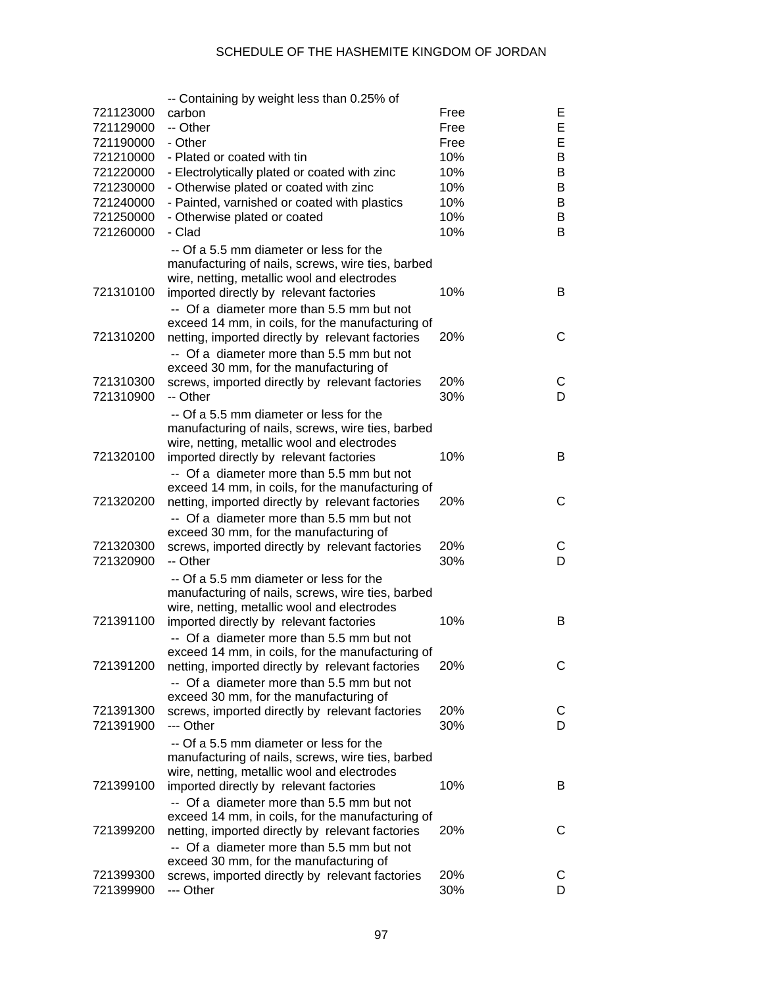|           | -- Containing by weight less than 0.25% of                                          |      |        |
|-----------|-------------------------------------------------------------------------------------|------|--------|
| 721123000 | carbon                                                                              | Free | E.     |
| 721129000 | -- Other                                                                            | Free | E      |
| 721190000 | - Other                                                                             | Free | Е      |
| 721210000 | - Plated or coated with tin                                                         | 10%  | В      |
| 721220000 | - Electrolytically plated or coated with zinc                                       | 10%  | В      |
| 721230000 | - Otherwise plated or coated with zinc                                              | 10%  | В      |
| 721240000 | - Painted, varnished or coated with plastics                                        | 10%  | B      |
| 721250000 | - Otherwise plated or coated                                                        | 10%  | В      |
| 721260000 | - Clad                                                                              | 10%  | B      |
|           | -- Of a 5.5 mm diameter or less for the                                             |      |        |
|           | manufacturing of nails, screws, wire ties, barbed                                   |      |        |
|           | wire, netting, metallic wool and electrodes                                         |      |        |
| 721310100 | imported directly by relevant factories                                             | 10%  | B      |
|           | -- Of a diameter more than 5.5 mm but not                                           |      |        |
|           | exceed 14 mm, in coils, for the manufacturing of                                    |      |        |
| 721310200 | netting, imported directly by relevant factories                                    | 20%  | С      |
|           |                                                                                     |      |        |
|           | -- Of a diameter more than 5.5 mm but not<br>exceed 30 mm, for the manufacturing of |      |        |
| 721310300 |                                                                                     | 20%  |        |
| 721310900 | screws, imported directly by relevant factories<br>-- Other                         | 30%  | С<br>D |
|           |                                                                                     |      |        |
|           | -- Of a 5.5 mm diameter or less for the                                             |      |        |
|           | manufacturing of nails, screws, wire ties, barbed                                   |      |        |
|           | wire, netting, metallic wool and electrodes                                         |      |        |
| 721320100 | imported directly by relevant factories                                             | 10%  | B      |
|           | -- Of a diameter more than 5.5 mm but not                                           |      |        |
|           | exceed 14 mm, in coils, for the manufacturing of                                    |      |        |
| 721320200 | netting, imported directly by relevant factories                                    | 20%  | С      |
|           | -- Of a diameter more than 5.5 mm but not                                           |      |        |
|           | exceed 30 mm, for the manufacturing of                                              |      |        |
| 721320300 | screws, imported directly by relevant factories                                     | 20%  | С      |
| 721320900 | -- Other                                                                            | 30%  | D      |
|           | -- Of a 5.5 mm diameter or less for the                                             |      |        |
|           | manufacturing of nails, screws, wire ties, barbed                                   |      |        |
|           | wire, netting, metallic wool and electrodes                                         |      |        |
| 721391100 | imported directly by relevant factories                                             | 10%  | B      |
|           | -- Of a diameter more than 5.5 mm but not                                           |      |        |
|           | exceed 14 mm, in coils, for the manufacturing of                                    |      |        |
| 721391200 | netting, imported directly by relevant factories                                    | 20%  | С      |
|           | -- Of a diameter more than 5.5 mm but not                                           |      |        |
|           | exceed 30 mm, for the manufacturing of                                              |      |        |
| 721391300 | screws, imported directly by relevant factories                                     | 20%  | C      |
| 721391900 | --- Other                                                                           | 30%  | D      |
|           | -- Of a 5.5 mm diameter or less for the                                             |      |        |
|           | manufacturing of nails, screws, wire ties, barbed                                   |      |        |
|           | wire, netting, metallic wool and electrodes                                         |      |        |
| 721399100 | imported directly by relevant factories                                             | 10%  | B      |
|           | -- Of a diameter more than 5.5 mm but not                                           |      |        |
|           | exceed 14 mm, in coils, for the manufacturing of                                    |      |        |
| 721399200 | netting, imported directly by relevant factories                                    | 20%  | С      |
|           | -- Of a diameter more than 5.5 mm but not                                           |      |        |
|           | exceed 30 mm, for the manufacturing of                                              |      |        |
| 721399300 | screws, imported directly by relevant factories                                     | 20%  | C      |
| 721399900 | --- Other                                                                           | 30%  | D      |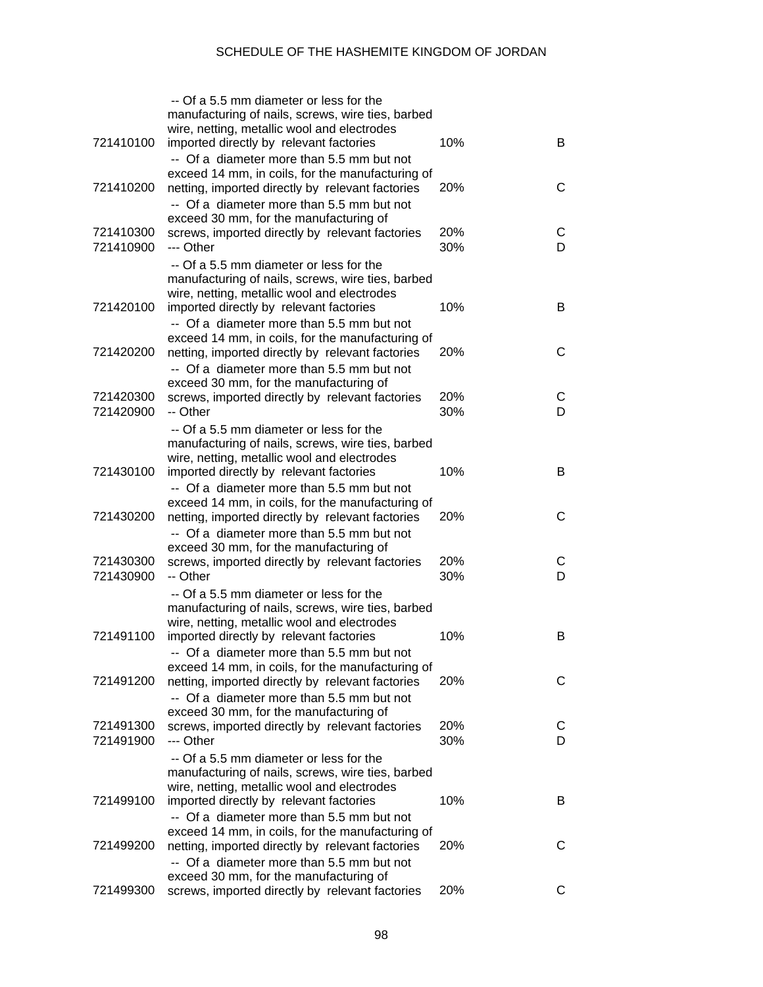|                        | -- Of a 5.5 mm diameter or less for the<br>manufacturing of nails, screws, wire ties, barbed<br>wire, netting, metallic wool and electrodes                                            |            |        |
|------------------------|----------------------------------------------------------------------------------------------------------------------------------------------------------------------------------------|------------|--------|
| 721410100              | imported directly by relevant factories<br>-- Of a diameter more than 5.5 mm but not                                                                                                   | 10%        | B      |
| 721410200              | exceed 14 mm, in coils, for the manufacturing of<br>netting, imported directly by relevant factories<br>-- Of a diameter more than 5.5 mm but not                                      | 20%        | C      |
| 721410300<br>721410900 | exceed 30 mm, for the manufacturing of<br>screws, imported directly by relevant factories<br>--- Other                                                                                 | 20%<br>30% | С<br>D |
|                        | -- Of a 5.5 mm diameter or less for the<br>manufacturing of nails, screws, wire ties, barbed<br>wire, netting, metallic wool and electrodes                                            |            |        |
| 721420100              | imported directly by relevant factories<br>-- Of a diameter more than 5.5 mm but not                                                                                                   | 10%        | B      |
| 721420200              | exceed 14 mm, in coils, for the manufacturing of<br>netting, imported directly by relevant factories<br>-- Of a diameter more than 5.5 mm but not                                      | 20%        | C      |
| 721420300<br>721420900 | exceed 30 mm, for the manufacturing of<br>screws, imported directly by relevant factories<br>-- Other                                                                                  | 20%<br>30% | С<br>D |
|                        | -- Of a 5.5 mm diameter or less for the<br>manufacturing of nails, screws, wire ties, barbed<br>wire, netting, metallic wool and electrodes                                            |            |        |
| 721430100              | imported directly by relevant factories<br>-- Of a diameter more than 5.5 mm but not                                                                                                   | 10%        | B      |
| 721430200              | exceed 14 mm, in coils, for the manufacturing of<br>netting, imported directly by relevant factories<br>-- Of a diameter more than 5.5 mm but not                                      | 20%        | C      |
| 721430300<br>721430900 | exceed 30 mm, for the manufacturing of<br>screws, imported directly by relevant factories<br>-- Other                                                                                  | 20%<br>30% | С<br>D |
|                        | -- Of a 5.5 mm diameter or less for the<br>manufacturing of nails, screws, wire ties, barbed<br>wire, netting, metallic wool and electrodes                                            |            |        |
| 721491100              | imported directly by relevant factories<br>-- Of a diameter more than 5.5 mm but not<br>exceed 14 mm, in coils, for the manufacturing of                                               | 10%        | B      |
| 721491200              | netting, imported directly by relevant factories<br>-- Of a diameter more than 5.5 mm but not                                                                                          | 20%        | С      |
| 721491300<br>721491900 | exceed 30 mm, for the manufacturing of<br>screws, imported directly by relevant factories<br>--- Other                                                                                 | 20%<br>30% | С<br>D |
| 721499100              | -- Of a 5.5 mm diameter or less for the<br>manufacturing of nails, screws, wire ties, barbed<br>wire, netting, metallic wool and electrodes<br>imported directly by relevant factories | 10%        | В      |
|                        | -- Of a diameter more than 5.5 mm but not<br>exceed 14 mm, in coils, for the manufacturing of                                                                                          |            |        |
| 721499200              | netting, imported directly by relevant factories<br>-- Of a diameter more than 5.5 mm but not                                                                                          | 20%        | С      |
| 721499300              | exceed 30 mm, for the manufacturing of<br>screws, imported directly by relevant factories                                                                                              | 20%        | С      |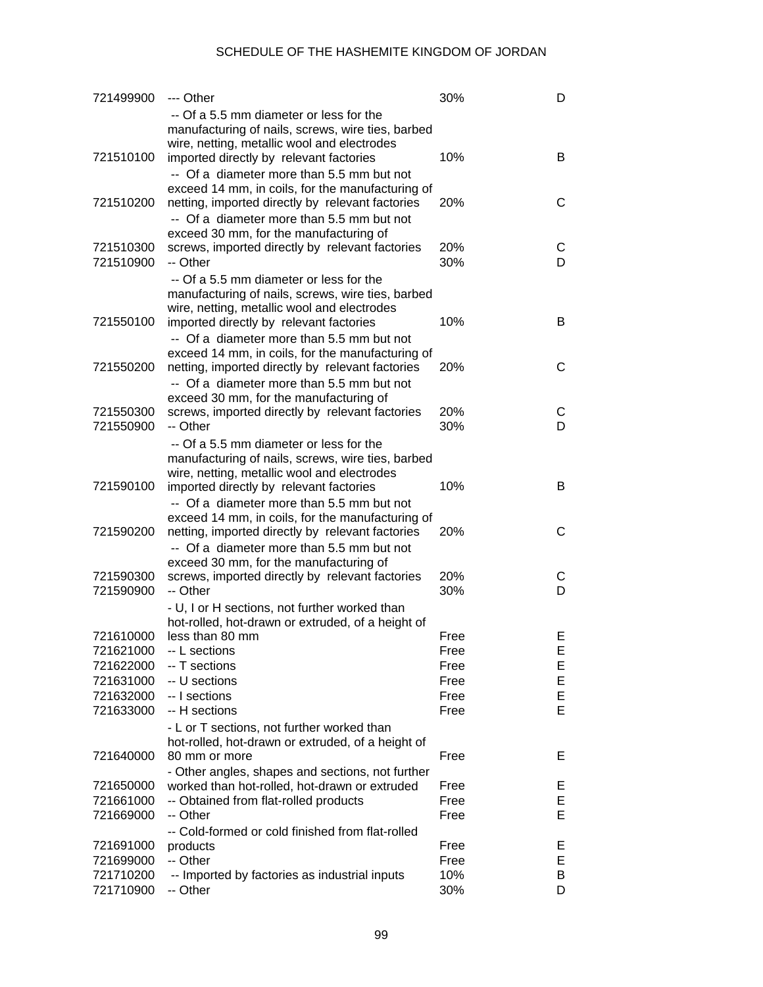| 721499900              | --- Other                                                                                          | 30%        | D      |
|------------------------|----------------------------------------------------------------------------------------------------|------------|--------|
|                        | -- Of a 5.5 mm diameter or less for the<br>manufacturing of nails, screws, wire ties, barbed       |            |        |
|                        | wire, netting, metallic wool and electrodes                                                        |            |        |
| 721510100              | imported directly by relevant factories                                                            | 10%        | B      |
|                        | -- Of a diameter more than 5.5 mm but not                                                          |            |        |
|                        | exceed 14 mm, in coils, for the manufacturing of                                                   |            |        |
| 721510200              | netting, imported directly by relevant factories                                                   | 20%        | С      |
|                        | -- Of a diameter more than 5.5 mm but not                                                          |            |        |
|                        | exceed 30 mm, for the manufacturing of                                                             |            |        |
| 721510300<br>721510900 | screws, imported directly by relevant factories                                                    | 20%<br>30% | С<br>D |
|                        | -- Other                                                                                           |            |        |
|                        | -- Of a 5.5 mm diameter or less for the                                                            |            |        |
|                        | manufacturing of nails, screws, wire ties, barbed<br>wire, netting, metallic wool and electrodes   |            |        |
| 721550100              | imported directly by relevant factories                                                            | 10%        | B      |
|                        | -- Of a diameter more than 5.5 mm but not                                                          |            |        |
|                        | exceed 14 mm, in coils, for the manufacturing of                                                   |            |        |
| 721550200              | netting, imported directly by relevant factories                                                   | 20%        | С      |
|                        | -- Of a diameter more than 5.5 mm but not                                                          |            |        |
|                        | exceed 30 mm, for the manufacturing of                                                             |            |        |
| 721550300              | screws, imported directly by relevant factories                                                    | 20%        | С      |
| 721550900              | -- Other                                                                                           | 30%        | D      |
|                        | -- Of a 5.5 mm diameter or less for the                                                            |            |        |
|                        | manufacturing of nails, screws, wire ties, barbed<br>wire, netting, metallic wool and electrodes   |            |        |
| 721590100              | imported directly by relevant factories                                                            | 10%        | В      |
|                        | -- Of a diameter more than 5.5 mm but not                                                          |            |        |
|                        | exceed 14 mm, in coils, for the manufacturing of                                                   |            |        |
| 721590200              | netting, imported directly by relevant factories                                                   | 20%        | С      |
|                        | -- Of a diameter more than 5.5 mm but not                                                          |            |        |
|                        | exceed 30 mm, for the manufacturing of                                                             |            |        |
| 721590300              | screws, imported directly by relevant factories                                                    | 20%        | С      |
| 721590900              | -- Other                                                                                           | 30%        | D      |
|                        | - U, I or H sections, not further worked than<br>hot-rolled, hot-drawn or extruded, of a height of |            |        |
| 721610000              | less than 80 mm                                                                                    | Free       | Ε      |
| 721621000              | -- L sections                                                                                      | Free       | E      |
| 721622000              | -- T sections                                                                                      | Free       | Ε      |
| 721631000              | -- U sections                                                                                      | Free       | E      |
| 721632000              | -- I sections                                                                                      | Free       | E      |
| 721633000              | -- H sections                                                                                      | Free       | E      |
|                        | - L or T sections, not further worked than                                                         |            |        |
|                        | hot-rolled, hot-drawn or extruded, of a height of                                                  |            |        |
| 721640000              | 80 mm or more<br>- Other angles, shapes and sections, not further                                  | Free       | E      |
| 721650000              | worked than hot-rolled, hot-drawn or extruded                                                      | Free       | Ε      |
| 721661000              | -- Obtained from flat-rolled products                                                              | Free       | Е      |
| 721669000              | -- Other                                                                                           | Free       | E      |
|                        | -- Cold-formed or cold finished from flat-rolled                                                   |            |        |
| 721691000              | products                                                                                           | Free       | Ε      |
| 721699000              | -- Other                                                                                           | Free       | Е      |
| 721710200              | -- Imported by factories as industrial inputs                                                      | 10%        | Β      |
| 721710900              | -- Other                                                                                           | 30%        | D      |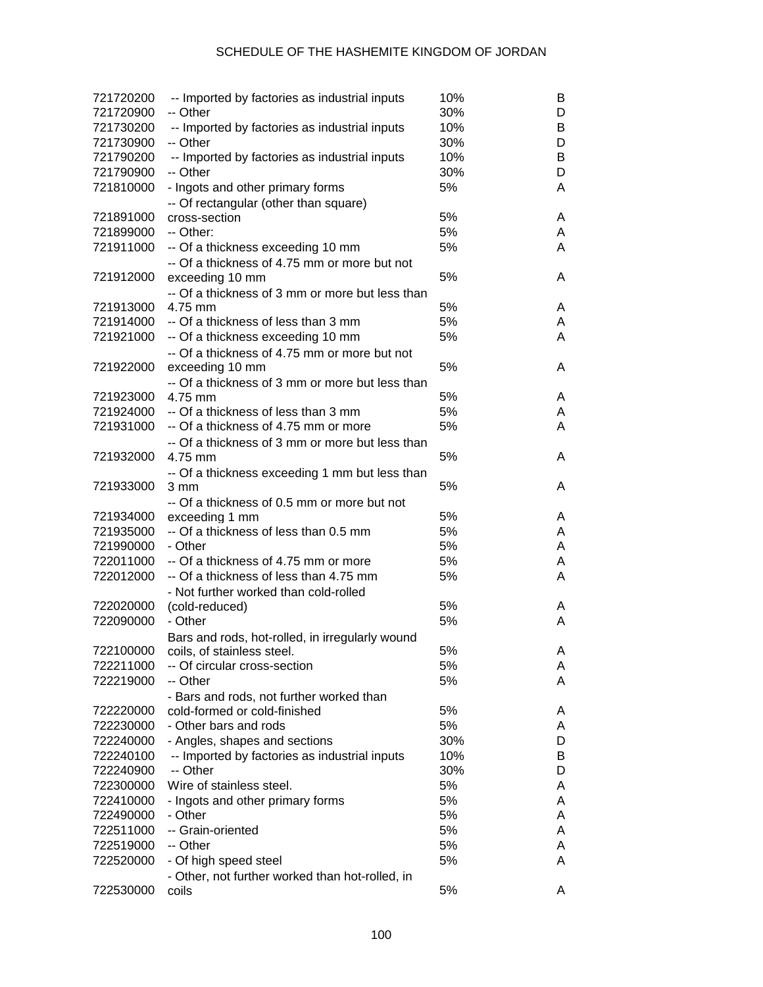| 721720200 | -- Imported by factories as industrial inputs   | 10% | B |
|-----------|-------------------------------------------------|-----|---|
| 721720900 | -- Other                                        | 30% | D |
| 721730200 | -- Imported by factories as industrial inputs   | 10% | B |
| 721730900 | -- Other                                        | 30% | D |
| 721790200 | -- Imported by factories as industrial inputs   | 10% | B |
| 721790900 | -- Other                                        | 30% | D |
| 721810000 | - Ingots and other primary forms                | 5%  | Α |
|           | -- Of rectangular (other than square)           |     |   |
| 721891000 | cross-section                                   | 5%  | A |
| 721899000 | -- Other:                                       | 5%  | A |
| 721911000 | -- Of a thickness exceeding 10 mm               | 5%  | A |
|           | -- Of a thickness of 4.75 mm or more but not    |     |   |
| 721912000 | exceeding 10 mm                                 | 5%  | A |
|           | -- Of a thickness of 3 mm or more but less than |     |   |
| 721913000 | 4.75 mm                                         | 5%  | A |
| 721914000 | -- Of a thickness of less than 3 mm             | 5%  | A |
| 721921000 | -- Of a thickness exceeding 10 mm               | 5%  | A |
|           | -- Of a thickness of 4.75 mm or more but not    |     |   |
| 721922000 | exceeding 10 mm                                 | 5%  | A |
|           | -- Of a thickness of 3 mm or more but less than |     |   |
| 721923000 | 4.75 mm                                         | 5%  | A |
| 721924000 | -- Of a thickness of less than 3 mm             | 5%  | A |
| 721931000 | -- Of a thickness of 4.75 mm or more            | 5%  | A |
|           | -- Of a thickness of 3 mm or more but less than |     |   |
| 721932000 | 4.75 mm                                         | 5%  | A |
|           | -- Of a thickness exceeding 1 mm but less than  |     |   |
| 721933000 | 3 mm                                            | 5%  | A |
|           | -- Of a thickness of 0.5 mm or more but not     |     |   |
| 721934000 | exceeding 1 mm                                  | 5%  | A |
| 721935000 | -- Of a thickness of less than 0.5 mm           | 5%  | A |
| 721990000 | - Other                                         | 5%  | A |
| 722011000 | -- Of a thickness of 4.75 mm or more            | 5%  | A |
| 722012000 | -- Of a thickness of less than 4.75 mm          | 5%  | Α |
|           | - Not further worked than cold-rolled           |     |   |
| 722020000 | (cold-reduced)                                  | 5%  | A |
| 722090000 | - Other                                         | 5%  | A |
|           | Bars and rods, hot-rolled, in irregularly wound |     |   |
| 722100000 | coils, of stainless steel.                      | 5%  | A |
| 722211000 | -- Of circular cross-section                    | 5%  | A |
| 722219000 | -- Other                                        | 5%  | A |
|           | - Bars and rods, not further worked than        |     |   |
| 722220000 | cold-formed or cold-finished                    | 5%  | A |
| 722230000 | - Other bars and rods                           | 5%  | A |
| 722240000 | - Angles, shapes and sections                   | 30% | D |
| 722240100 | -- Imported by factories as industrial inputs   | 10% | B |
| 722240900 | -- Other                                        | 30% | D |
| 722300000 | Wire of stainless steel.                        | 5%  | Α |
| 722410000 | - Ingots and other primary forms                | 5%  | Α |
| 722490000 | - Other                                         | 5%  | Α |
| 722511000 | -- Grain-oriented                               | 5%  | A |
| 722519000 | -- Other                                        | 5%  | A |
| 722520000 | - Of high speed steel                           | 5%  | A |
|           | - Other, not further worked than hot-rolled, in |     |   |
| 722530000 | coils                                           | 5%  | A |
|           |                                                 |     |   |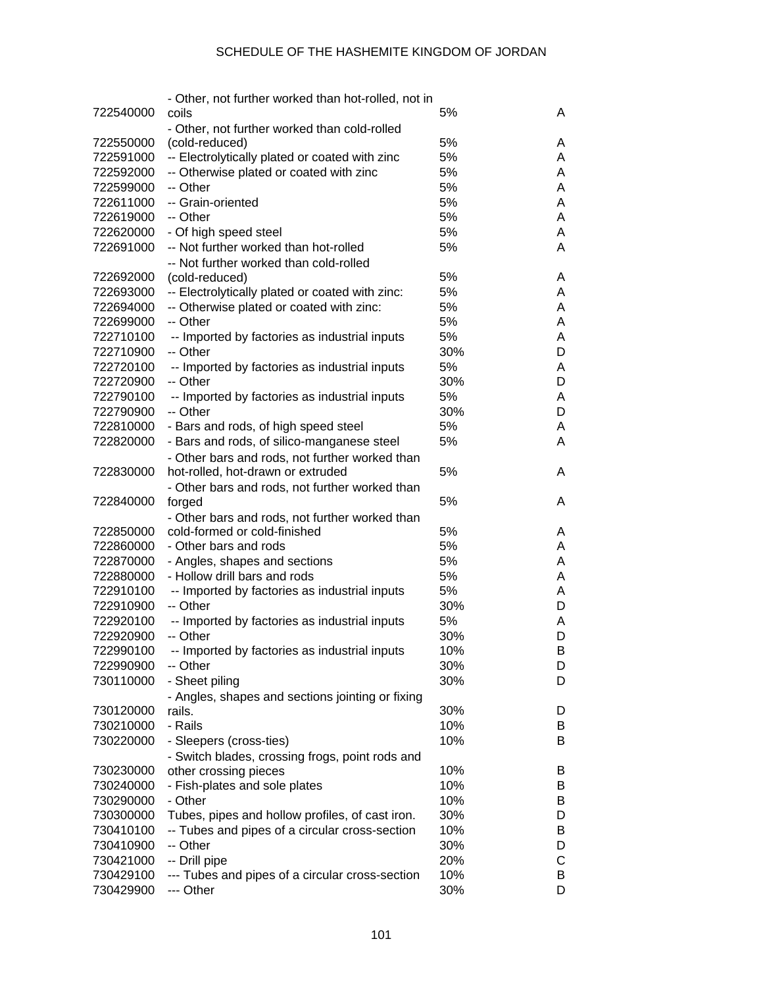|           | - Other, not further worked than hot-rolled, not in       |     |   |
|-----------|-----------------------------------------------------------|-----|---|
| 722540000 | coils                                                     | 5%  | A |
|           | - Other, not further worked than cold-rolled              |     |   |
| 722550000 | (cold-reduced)                                            | 5%  | A |
| 722591000 | -- Electrolytically plated or coated with zinc            | 5%  | A |
| 722592000 | -- Otherwise plated or coated with zinc                   | 5%  | A |
| 722599000 | -- Other                                                  | 5%  | A |
| 722611000 | -- Grain-oriented                                         | 5%  | A |
| 722619000 | -- Other                                                  | 5%  | A |
| 722620000 | - Of high speed steel                                     | 5%  | A |
| 722691000 | -- Not further worked than hot-rolled                     | 5%  | A |
|           | -- Not further worked than cold-rolled                    |     |   |
| 722692000 | (cold-reduced)                                            | 5%  | A |
| 722693000 | -- Electrolytically plated or coated with zinc:           | 5%  | A |
| 722694000 | -- Otherwise plated or coated with zinc:                  | 5%  | A |
| 722699000 | -- Other                                                  | 5%  | A |
| 722710100 | -- Imported by factories as industrial inputs             | 5%  | A |
| 722710900 | -- Other                                                  | 30% | D |
| 722720100 |                                                           | 5%  |   |
|           | -- Imported by factories as industrial inputs<br>-- Other |     | A |
| 722720900 |                                                           | 30% | D |
| 722790100 | -- Imported by factories as industrial inputs             | 5%  | A |
| 722790900 | -- Other                                                  | 30% | D |
| 722810000 | - Bars and rods, of high speed steel                      | 5%  | A |
| 722820000 | - Bars and rods, of silico-manganese steel                | 5%  | A |
|           | - Other bars and rods, not further worked than            |     |   |
| 722830000 | hot-rolled, hot-drawn or extruded                         | 5%  | A |
|           | - Other bars and rods, not further worked than            |     |   |
| 722840000 | forged                                                    | 5%  | A |
|           | - Other bars and rods, not further worked than            |     |   |
| 722850000 | cold-formed or cold-finished                              | 5%  | A |
| 722860000 | - Other bars and rods                                     | 5%  | A |
| 722870000 | - Angles, shapes and sections                             | 5%  | A |
| 722880000 | - Hollow drill bars and rods                              | 5%  | A |
| 722910100 | -- Imported by factories as industrial inputs             | 5%  | A |
| 722910900 | -- Other                                                  | 30% | D |
| 722920100 | -- Imported by factories as industrial inputs             | 5%  | A |
| 722920900 | -- Other                                                  | 30% | D |
| 722990100 | - Imported by factories as industrial inputs              | 10% | B |
| 722990900 | -- Other                                                  | 30% | D |
| 730110000 | - Sheet piling                                            | 30% | D |
|           | - Angles, shapes and sections jointing or fixing          |     |   |
| 730120000 | rails.                                                    | 30% | D |
| 730210000 | - Rails                                                   | 10% | B |
| 730220000 | - Sleepers (cross-ties)                                   | 10% | B |
|           | - Switch blades, crossing frogs, point rods and           |     |   |
| 730230000 | other crossing pieces                                     | 10% | B |
| 730240000 | - Fish-plates and sole plates                             | 10% | B |
| 730290000 | - Other                                                   | 10% | B |
| 730300000 | Tubes, pipes and hollow profiles, of cast iron.           | 30% | D |
| 730410100 | -- Tubes and pipes of a circular cross-section            | 10% | B |
| 730410900 | -- Other                                                  | 30% | D |
| 730421000 | -- Drill pipe                                             | 20% | C |
| 730429100 | --- Tubes and pipes of a circular cross-section           | 10% | В |
| 730429900 | --- Other                                                 | 30% | D |
|           |                                                           |     |   |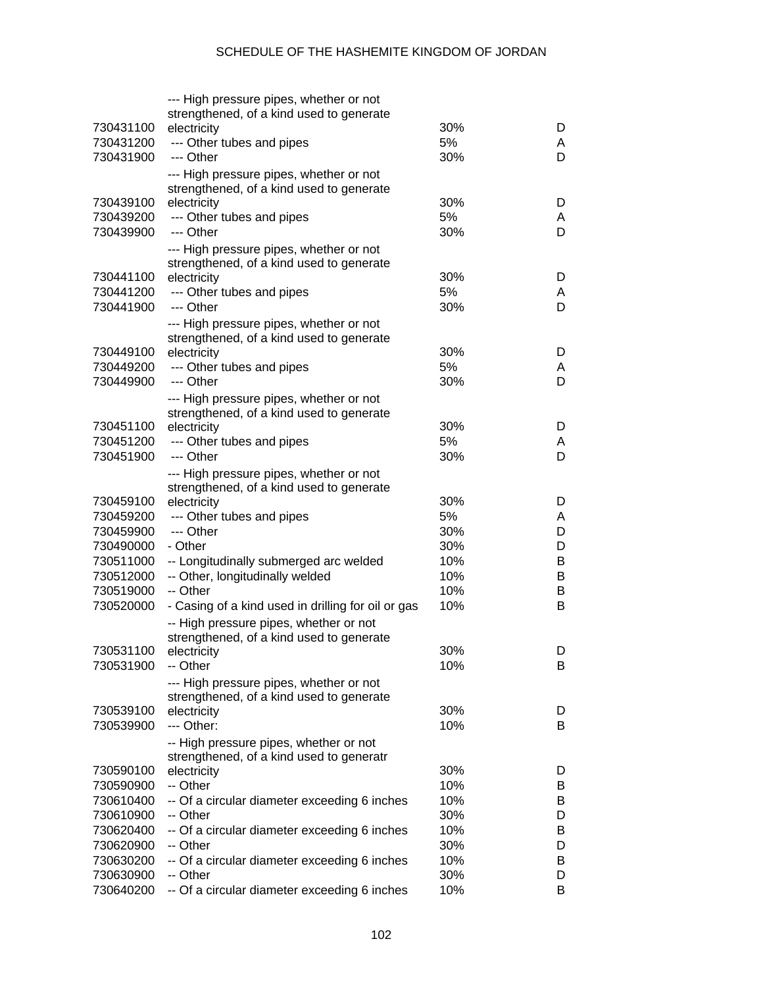|           | --- High pressure pipes, whether or not                                             |     |        |
|-----------|-------------------------------------------------------------------------------------|-----|--------|
|           | strengthened, of a kind used to generate                                            |     |        |
| 730431100 | electricity                                                                         | 30% | D      |
| 730431200 | --- Other tubes and pipes                                                           | 5%  | A      |
| 730431900 | --- Other                                                                           | 30% | D      |
|           | --- High pressure pipes, whether or not                                             |     |        |
|           | strengthened, of a kind used to generate                                            |     |        |
| 730439100 | electricity                                                                         | 30% | D      |
| 730439200 | --- Other tubes and pipes                                                           | 5%  | A      |
| 730439900 | --- Other                                                                           | 30% | D      |
|           | --- High pressure pipes, whether or not                                             |     |        |
|           | strengthened, of a kind used to generate                                            |     |        |
| 730441100 | electricity                                                                         | 30% | D      |
| 730441200 | --- Other tubes and pipes                                                           | 5%  | A      |
| 730441900 | --- Other                                                                           | 30% | D      |
|           | --- High pressure pipes, whether or not                                             |     |        |
|           | strengthened, of a kind used to generate                                            |     |        |
| 730449100 | electricity                                                                         | 30% | D      |
| 730449200 | --- Other tubes and pipes<br>--- Other                                              | 5%  | A      |
| 730449900 |                                                                                     | 30% | D      |
|           | --- High pressure pipes, whether or not                                             |     |        |
| 730451100 | strengthened, of a kind used to generate                                            |     |        |
|           | electricity                                                                         | 30% | D      |
| 730451200 | --- Other tubes and pipes<br>--- Other                                              | 5%  | A      |
| 730451900 |                                                                                     | 30% | D      |
|           | --- High pressure pipes, whether or not                                             |     |        |
| 730459100 | strengthened, of a kind used to generate                                            | 30% |        |
| 730459200 | electricity                                                                         | 5%  | D      |
| 730459900 | --- Other tubes and pipes<br>--- Other                                              | 30% | A<br>D |
| 730490000 | - Other                                                                             | 30% | D      |
| 730511000 | -- Longitudinally submerged arc welded                                              | 10% | B      |
| 730512000 | -- Other, longitudinally welded                                                     | 10% | B      |
| 730519000 | -- Other                                                                            | 10% | B      |
| 730520000 | - Casing of a kind used in drilling for oil or gas                                  | 10% | В      |
|           |                                                                                     |     |        |
|           | -- High pressure pipes, whether or not                                              |     |        |
| 730531100 | strengthened, of a kind used to generate<br>electricity                             | 30% | D      |
| 730531900 | -- Other                                                                            | 10% | B      |
|           |                                                                                     |     |        |
|           | --- High pressure pipes, whether or not<br>strengthened, of a kind used to generate |     |        |
| 730539100 | electricity                                                                         | 30% | D      |
| 730539900 | --- Other:                                                                          | 10% | B      |
|           |                                                                                     |     |        |
|           | -- High pressure pipes, whether or not<br>strengthened, of a kind used to generatr  |     |        |
| 730590100 | electricity                                                                         | 30% | D      |
| 730590900 | -- Other                                                                            | 10% | B      |
| 730610400 | -- Of a circular diameter exceeding 6 inches                                        | 10% | B      |
| 730610900 | -- Other                                                                            | 30% | D      |
| 730620400 | -- Of a circular diameter exceeding 6 inches                                        | 10% | B      |
| 730620900 | -- Other                                                                            | 30% | D      |
| 730630200 | -- Of a circular diameter exceeding 6 inches                                        | 10% | B      |
| 730630900 | -- Other                                                                            | 30% | D      |
| 730640200 | -- Of a circular diameter exceeding 6 inches                                        | 10% | В      |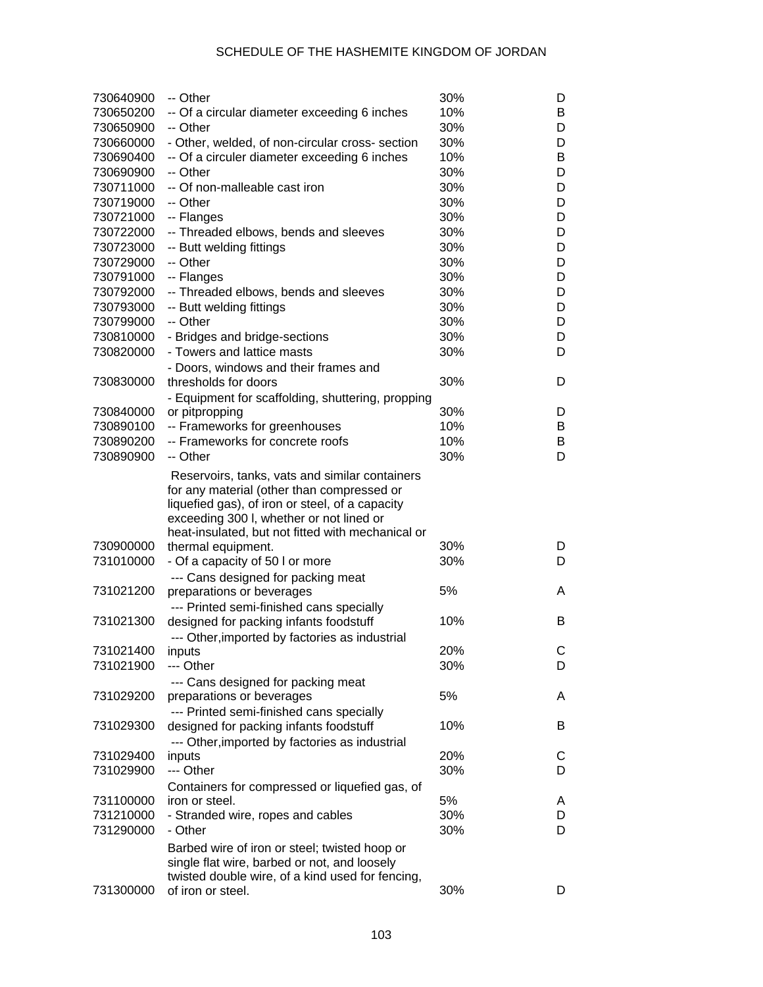| 730640900 | -- Other                                                                                                                                                                                    | 30% | D |
|-----------|---------------------------------------------------------------------------------------------------------------------------------------------------------------------------------------------|-----|---|
| 730650200 | -- Of a circular diameter exceeding 6 inches                                                                                                                                                | 10% | B |
| 730650900 | -- Other                                                                                                                                                                                    | 30% | D |
| 730660000 | - Other, welded, of non-circular cross- section                                                                                                                                             | 30% | D |
| 730690400 | -- Of a circuler diameter exceeding 6 inches                                                                                                                                                | 10% | B |
| 730690900 | -- Other                                                                                                                                                                                    | 30% | D |
| 730711000 | -- Of non-malleable cast iron                                                                                                                                                               | 30% | D |
| 730719000 | -- Other                                                                                                                                                                                    | 30% | D |
| 730721000 | -- Flanges                                                                                                                                                                                  | 30% | D |
| 730722000 | -- Threaded elbows, bends and sleeves                                                                                                                                                       | 30% | D |
| 730723000 | -- Butt welding fittings                                                                                                                                                                    | 30% | D |
| 730729000 | -- Other                                                                                                                                                                                    | 30% | D |
| 730791000 | -- Flanges                                                                                                                                                                                  | 30% | D |
| 730792000 | -- Threaded elbows, bends and sleeves                                                                                                                                                       | 30% | D |
| 730793000 | -- Butt welding fittings                                                                                                                                                                    | 30% | D |
| 730799000 | -- Other                                                                                                                                                                                    | 30% | D |
| 730810000 | - Bridges and bridge-sections                                                                                                                                                               | 30% | D |
| 730820000 | - Towers and lattice masts                                                                                                                                                                  | 30% | D |
|           |                                                                                                                                                                                             |     |   |
|           | - Doors, windows and their frames and                                                                                                                                                       |     |   |
| 730830000 | thresholds for doors                                                                                                                                                                        | 30% | D |
|           | - Equipment for scaffolding, shuttering, propping                                                                                                                                           |     |   |
| 730840000 | or pitpropping                                                                                                                                                                              | 30% | D |
| 730890100 | -- Frameworks for greenhouses                                                                                                                                                               | 10% | B |
| 730890200 | -- Frameworks for concrete roofs                                                                                                                                                            | 10% | B |
| 730890900 | -- Other                                                                                                                                                                                    | 30% | D |
|           | Reservoirs, tanks, vats and similar containers<br>for any material (other than compressed or<br>liquefied gas), of iron or steel, of a capacity<br>exceeding 300 I, whether or not lined or |     |   |
|           | heat-insulated, but not fitted with mechanical or                                                                                                                                           |     |   |
| 730900000 | thermal equipment.                                                                                                                                                                          | 30% | D |
| 731010000 | - Of a capacity of 50 I or more                                                                                                                                                             | 30% | D |
|           | --- Cans designed for packing meat                                                                                                                                                          |     |   |
| 731021200 | preparations or beverages                                                                                                                                                                   | 5%  | A |
|           | --- Printed semi-finished cans specially                                                                                                                                                    |     |   |
| 731021300 | designed for packing infants foodstuff                                                                                                                                                      | 10% | B |
|           | --- Other, imported by factories as industrial                                                                                                                                              |     |   |
| 731021400 | inputs                                                                                                                                                                                      | 20% | С |
| 731021900 | --- Other                                                                                                                                                                                   | 30% | D |
|           | --- Cans designed for packing meat                                                                                                                                                          |     |   |
| 731029200 | preparations or beverages                                                                                                                                                                   | 5%  | A |
|           | --- Printed semi-finished cans specially                                                                                                                                                    |     |   |
| 731029300 | designed for packing infants foodstuff                                                                                                                                                      | 10% | B |
|           | --- Other, imported by factories as industrial                                                                                                                                              |     |   |
| 731029400 | inputs                                                                                                                                                                                      | 20% | С |
| 731029900 | --- Other                                                                                                                                                                                   | 30% | D |
|           | Containers for compressed or liquefied gas, of                                                                                                                                              |     |   |
| 731100000 | iron or steel.                                                                                                                                                                              | 5%  | A |
| 731210000 | - Stranded wire, ropes and cables                                                                                                                                                           | 30% | D |
| 731290000 | - Other                                                                                                                                                                                     | 30% | D |
|           | Barbed wire of iron or steel; twisted hoop or<br>single flat wire, barbed or not, and loosely<br>twisted double wire, of a kind used for fencing,                                           |     |   |
| 731300000 | of iron or steel.                                                                                                                                                                           | 30% | D |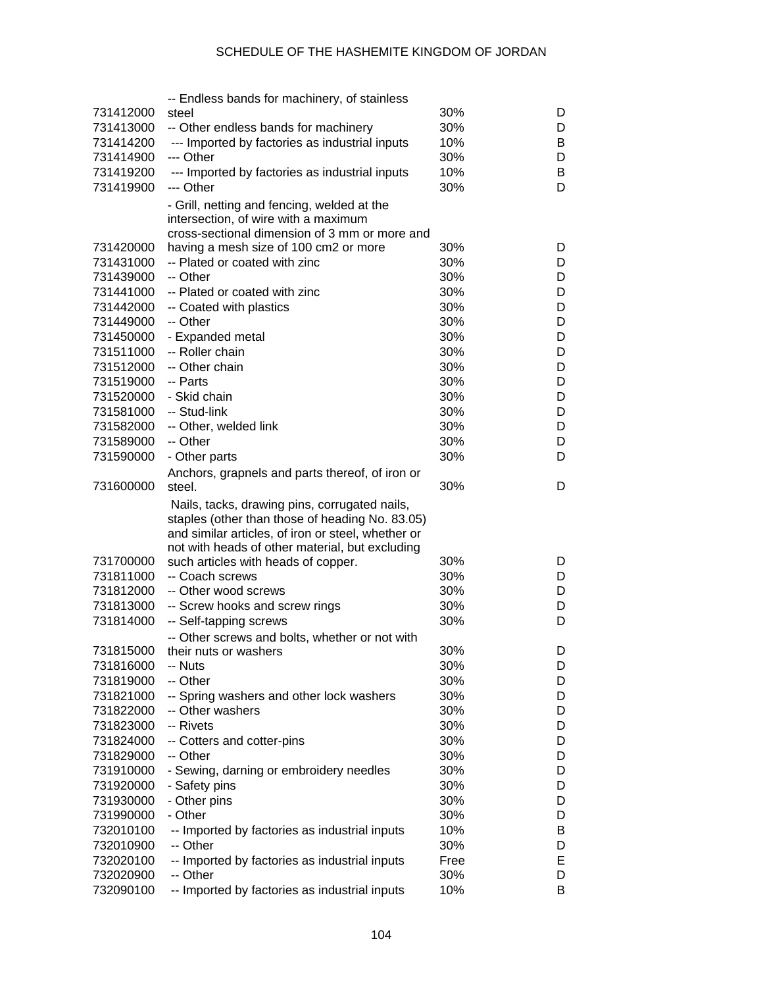|                        | -- Endless bands for machinery, of stainless                                                                                                           |            |        |
|------------------------|--------------------------------------------------------------------------------------------------------------------------------------------------------|------------|--------|
| 731412000              | steel                                                                                                                                                  | 30%        | D      |
| 731413000              | -- Other endless bands for machinery                                                                                                                   | 30%        | D      |
| 731414200              | --- Imported by factories as industrial inputs                                                                                                         | 10%        | B      |
| 731414900              | --- Other                                                                                                                                              | 30%        | D      |
| 731419200              | --- Imported by factories as industrial inputs                                                                                                         | 10%        | B      |
|                        | --- Other                                                                                                                                              |            | D      |
| 731419900              |                                                                                                                                                        | 30%        |        |
|                        | - Grill, netting and fencing, welded at the                                                                                                            |            |        |
|                        | intersection, of wire with a maximum                                                                                                                   |            |        |
|                        | cross-sectional dimension of 3 mm or more and                                                                                                          |            |        |
| 731420000              | having a mesh size of 100 cm2 or more                                                                                                                  | 30%        | D      |
| 731431000              | -- Plated or coated with zinc                                                                                                                          | 30%        | D      |
| 731439000              | -- Other                                                                                                                                               | 30%        | D      |
| 731441000              | -- Plated or coated with zinc                                                                                                                          | 30%        | D      |
| 731442000              | -- Coated with plastics                                                                                                                                | 30%        | D      |
| 731449000              | -- Other                                                                                                                                               | 30%        | D      |
| 731450000              | - Expanded metal                                                                                                                                       | 30%        | D      |
| 731511000              | -- Roller chain                                                                                                                                        | 30%        | D      |
|                        |                                                                                                                                                        |            |        |
| 731512000              | -- Other chain                                                                                                                                         | 30%        | D      |
| 731519000              | -- Parts                                                                                                                                               | 30%        | D      |
| 731520000              | - Skid chain                                                                                                                                           | 30%        | D      |
| 731581000              | -- Stud-link                                                                                                                                           | 30%        | D      |
| 731582000              | -- Other, welded link                                                                                                                                  | 30%        | D      |
| 731589000              | -- Other                                                                                                                                               | 30%        | D      |
| 731590000              | - Other parts                                                                                                                                          | 30%        | D      |
|                        | Anchors, grapnels and parts thereof, of iron or                                                                                                        |            |        |
| 731600000              | steel.                                                                                                                                                 | 30%        | D      |
|                        | Nails, tacks, drawing pins, corrugated nails,<br>staples (other than those of heading No. 83.05)<br>and similar articles, of iron or steel, whether or |            |        |
|                        | not with heads of other material, but excluding                                                                                                        |            |        |
| 731700000              | such articles with heads of copper.                                                                                                                    | 30%        | D      |
| 731811000              | -- Coach screws                                                                                                                                        | 30%        | D      |
| 731812000              | -- Other wood screws                                                                                                                                   | 30%        | D      |
| 731813000              | -- Screw hooks and screw rings                                                                                                                         | 30%        | D      |
| 731814000              | -- Self-tapping screws                                                                                                                                 | 30%        | D      |
|                        | -- Other screws and bolts, whether or not with                                                                                                         |            |        |
| 731815000              | their nuts or washers                                                                                                                                  | 30%        | D      |
| 731816000              | -- Nuts                                                                                                                                                | 30%        | D      |
| 731819000              | -- Other                                                                                                                                               | 30%        | D      |
| 731821000              | -- Spring washers and other lock washers                                                                                                               | 30%        | D      |
|                        | -- Other washers                                                                                                                                       | 30%        |        |
| 731822000              |                                                                                                                                                        |            | D      |
| 731823000              | -- Rivets                                                                                                                                              | 30%        | D      |
| 731824000              | -- Cotters and cotter-pins                                                                                                                             | 30%        | D      |
| 731829000              | -- Other                                                                                                                                               | 30%        | D      |
| 731910000              | - Sewing, darning or embroidery needles                                                                                                                | 30%        | D      |
| 731920000              | - Safety pins                                                                                                                                          | 30%        | D      |
| 731930000              | - Other pins                                                                                                                                           | 30%        | D      |
| 731990000              | - Other                                                                                                                                                | 30%        | D      |
| 732010100              | -- Imported by factories as industrial inputs                                                                                                          | 10%        | В      |
| 732010900              | -- Other                                                                                                                                               | 30%        | D      |
| 732020100              | -- Imported by factories as industrial inputs                                                                                                          | Free       | Е      |
|                        |                                                                                                                                                        |            |        |
|                        |                                                                                                                                                        |            |        |
| 732020900<br>732090100 | -- Other<br>-- Imported by factories as industrial inputs                                                                                              | 30%<br>10% | D<br>B |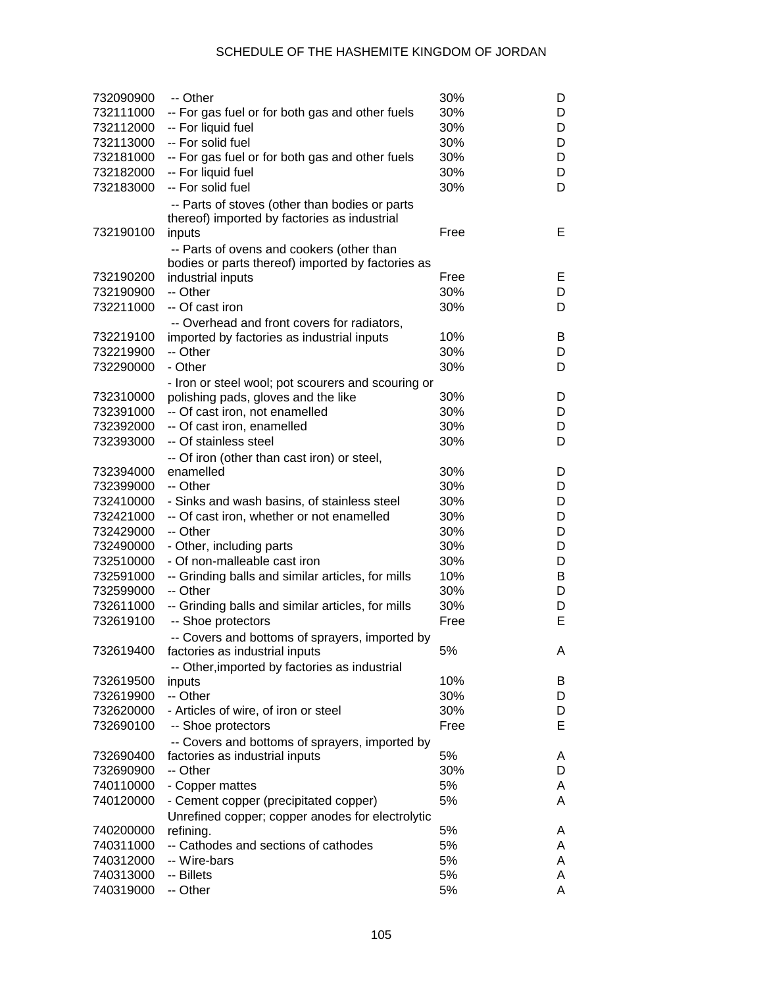| 732090900 | -- Other                                           | 30%  | D |
|-----------|----------------------------------------------------|------|---|
| 732111000 | -- For gas fuel or for both gas and other fuels    | 30%  | D |
| 732112000 | -- For liquid fuel                                 | 30%  | D |
| 732113000 | -- For solid fuel                                  | 30%  | D |
| 732181000 | -- For gas fuel or for both gas and other fuels    | 30%  | D |
| 732182000 | -- For liquid fuel                                 | 30%  | D |
| 732183000 | -- For solid fuel                                  | 30%  | D |
|           |                                                    |      |   |
|           | -- Parts of stoves (other than bodies or parts     |      |   |
|           | thereof) imported by factories as industrial       | Free | E |
| 732190100 | inputs                                             |      |   |
|           | -- Parts of ovens and cookers (other than          |      |   |
|           | bodies or parts thereof) imported by factories as  |      |   |
| 732190200 | industrial inputs                                  | Free | Е |
| 732190900 | -- Other                                           | 30%  | D |
| 732211000 | -- Of cast iron                                    | 30%  | D |
|           | -- Overhead and front covers for radiators,        |      |   |
| 732219100 | imported by factories as industrial inputs         | 10%  | B |
| 732219900 | -- Other                                           | 30%  | D |
| 732290000 | - Other                                            | 30%  | D |
|           | - Iron or steel wool; pot scourers and scouring or |      |   |
| 732310000 | polishing pads, gloves and the like                | 30%  | D |
| 732391000 | -- Of cast iron, not enamelled                     | 30%  | D |
| 732392000 | -- Of cast iron, enamelled                         | 30%  | D |
| 732393000 | -- Of stainless steel                              | 30%  | D |
|           | -- Of iron (other than cast iron) or steel,        |      |   |
| 732394000 | enamelled                                          | 30%  | D |
| 732399000 | -- Other                                           | 30%  | D |
| 732410000 | - Sinks and wash basins, of stainless steel        | 30%  | D |
| 732421000 | -- Of cast iron, whether or not enamelled          | 30%  | D |
| 732429000 | -- Other                                           | 30%  | D |
| 732490000 | - Other, including parts                           | 30%  | D |
| 732510000 | - Of non-malleable cast iron                       | 30%  | D |
| 732591000 | -- Grinding balls and similar articles, for mills  | 10%  | В |
| 732599000 | -- Other                                           | 30%  | D |
| 732611000 | -- Grinding balls and similar articles, for mills  | 30%  | D |
| 732619100 | -- Shoe protectors                                 | Free | E |
|           |                                                    |      |   |
|           | -- Covers and bottoms of sprayers, imported by     |      |   |
| 732619400 | factories as industrial inputs                     | 5%   | A |
|           | -- Other, imported by factories as industrial      |      |   |
| 732619500 | inputs                                             | 10%  | B |
| 732619900 | -- Other                                           | 30%  | D |
| 732620000 | - Articles of wire, of iron or steel               | 30%  | D |
| 732690100 | -- Shoe protectors                                 | Free | Е |
|           | -- Covers and bottoms of sprayers, imported by     |      |   |
| 732690400 | factories as industrial inputs                     | 5%   | A |
| 732690900 | -- Other                                           | 30%  | D |
| 740110000 | - Copper mattes                                    | 5%   | A |
| 740120000 | - Cement copper (precipitated copper)              | 5%   | A |
|           | Unrefined copper; copper anodes for electrolytic   |      |   |
| 740200000 | refining.                                          | 5%   | A |
| 740311000 | -- Cathodes and sections of cathodes               | 5%   | A |
| 740312000 | -- Wire-bars                                       | 5%   | A |
| 740313000 | -- Billets                                         | 5%   | A |
| 740319000 | -- Other                                           | 5%   | A |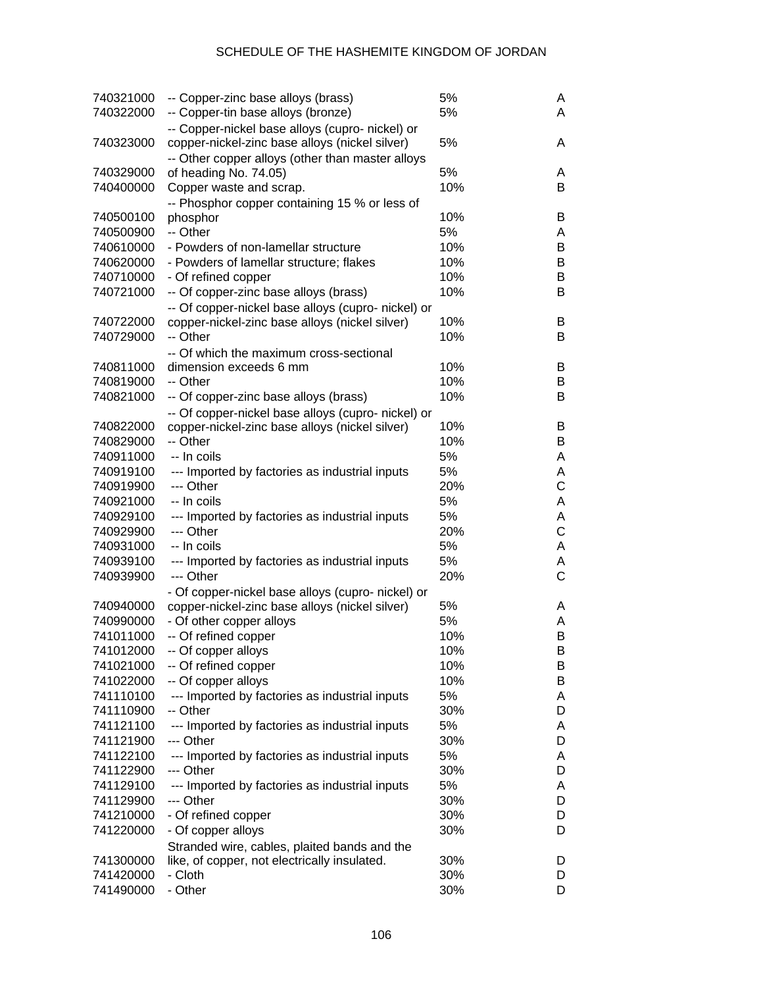| 740321000<br>740322000 | -- Copper-zinc base alloys (brass)<br>-- Copper-tin base alloys (bronze)                             | 5%<br>5% | A<br>A       |
|------------------------|------------------------------------------------------------------------------------------------------|----------|--------------|
| 740323000              | -- Copper-nickel base alloys (cupro- nickel) or<br>copper-nickel-zinc base alloys (nickel silver)    | 5%       | A            |
|                        | -- Other copper alloys (other than master alloys                                                     |          |              |
| 740329000              | of heading No. 74.05)                                                                                | 5%       | A            |
| 740400000              | Copper waste and scrap.                                                                              | 10%      | B            |
|                        | -- Phosphor copper containing 15 % or less of                                                        | 10%      |              |
| 740500100<br>740500900 | phosphor<br>-- Other                                                                                 | 5%       | B            |
|                        |                                                                                                      | 10%      | A<br>B       |
| 740610000<br>740620000 | - Powders of non-lamellar structure<br>- Powders of lamellar structure; flakes                       | 10%      | B            |
| 740710000              |                                                                                                      | 10%      | B            |
| 740721000              | - Of refined copper<br>-- Of copper-zinc base alloys (brass)                                         | 10%      | B            |
|                        |                                                                                                      |          |              |
| 740722000              | -- Of copper-nickel base alloys (cupro- nickel) or<br>copper-nickel-zinc base alloys (nickel silver) | 10%      | B            |
| 740729000              | -- Other                                                                                             | 10%      | B            |
|                        | -- Of which the maximum cross-sectional                                                              |          |              |
| 740811000              | dimension exceeds 6 mm                                                                               | 10%      | B            |
| 740819000              | -- Other                                                                                             | 10%      | B            |
| 740821000              | -- Of copper-zinc base alloys (brass)                                                                | 10%      | B            |
|                        | -- Of copper-nickel base alloys (cupro- nickel) or                                                   |          |              |
| 740822000              | copper-nickel-zinc base alloys (nickel silver)                                                       | 10%      | B            |
| 740829000              | -- Other                                                                                             | 10%      | B            |
| 740911000              | -- In coils                                                                                          | 5%       | A            |
| 740919100              | --- Imported by factories as industrial inputs                                                       | 5%       | A            |
| 740919900              | --- Other                                                                                            | 20%      | C            |
| 740921000              | -- In coils                                                                                          | 5%       | A            |
| 740929100              | --- Imported by factories as industrial inputs                                                       | 5%       | A            |
| 740929900              | --- Other                                                                                            | 20%      | C            |
| 740931000              | -- In coils                                                                                          | 5%       | A            |
| 740939100              | --- Imported by factories as industrial inputs                                                       | 5%       | A            |
| 740939900              | --- Other                                                                                            | 20%      | $\mathsf{C}$ |
|                        | - Of copper-nickel base alloys (cupro- nickel) or                                                    |          |              |
| 740940000              | copper-nickel-zinc base alloys (nickel silver)                                                       | 5%       | A            |
| 740990000              | - Of other copper alloys                                                                             | 5%       | A            |
| 741011000              | -- Of refined copper                                                                                 | 10%      | B            |
| 741012000              | -- Of copper alloys                                                                                  | 10%      | в            |
| 741021000              | -- Of refined copper                                                                                 | 10%      | B            |
| 741022000              | -- Of copper alloys                                                                                  | 10%      | В            |
| 741110100              | --- Imported by factories as industrial inputs                                                       | 5%       | A            |
| 741110900              | -- Other                                                                                             | 30%      | D            |
| 741121100              | --- Imported by factories as industrial inputs                                                       | 5%       | A            |
| 741121900              | --- Other                                                                                            | 30%      | D            |
| 741122100              | --- Imported by factories as industrial inputs                                                       | 5%       | A            |
| 741122900              | --- Other                                                                                            | 30%      | D            |
| 741129100              | --- Imported by factories as industrial inputs                                                       | 5%       | A            |
| 741129900              | --- Other                                                                                            | 30%      | D            |
| 741210000              | - Of refined copper                                                                                  | 30%      | D            |
| 741220000              | - Of copper alloys                                                                                   | 30%      | D            |
|                        | Stranded wire, cables, plaited bands and the                                                         |          |              |
| 741300000              | like, of copper, not electrically insulated.                                                         | 30%      | D            |
| 741420000              | - Cloth                                                                                              | 30%      | D            |
| 741490000              | - Other                                                                                              | 30%      | D            |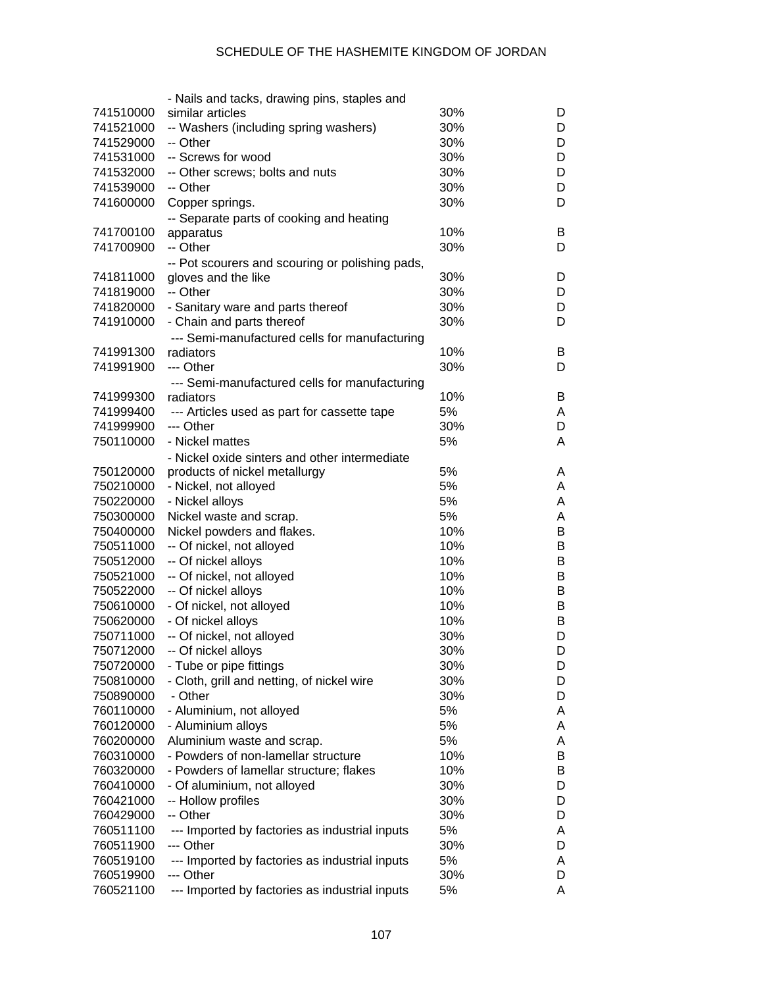|           | - Nails and tacks, drawing pins, staples and    |     |   |
|-----------|-------------------------------------------------|-----|---|
| 741510000 | similar articles                                | 30% | D |
| 741521000 | -- Washers (including spring washers)           | 30% | D |
| 741529000 | -- Other                                        | 30% | D |
| 741531000 | -- Screws for wood                              | 30% | D |
| 741532000 | -- Other screws; bolts and nuts                 | 30% | D |
| 741539000 | -- Other                                        | 30% | D |
| 741600000 | Copper springs.                                 | 30% | D |
|           | -- Separate parts of cooking and heating        |     |   |
| 741700100 | apparatus                                       | 10% | B |
| 741700900 | -- Other                                        | 30% | D |
|           | -- Pot scourers and scouring or polishing pads, |     |   |
| 741811000 | gloves and the like                             | 30% | D |
| 741819000 | -- Other                                        | 30% | D |
| 741820000 | - Sanitary ware and parts thereof               | 30% | D |
| 741910000 | - Chain and parts thereof                       | 30% | D |
|           | --- Semi-manufactured cells for manufacturing   |     |   |
| 741991300 | radiators                                       | 10% | B |
| 741991900 | --- Other                                       | 30% | D |
|           | --- Semi-manufactured cells for manufacturing   |     |   |
| 741999300 | radiators                                       | 10% | B |
| 741999400 | --- Articles used as part for cassette tape     | 5%  | A |
| 741999900 | --- Other                                       | 30% | D |
| 750110000 | - Nickel mattes                                 | 5%  | A |
|           | - Nickel oxide sinters and other intermediate   |     |   |
| 750120000 | products of nickel metallurgy                   | 5%  | A |
| 750210000 | - Nickel, not alloyed                           | 5%  | A |
| 750220000 | - Nickel alloys                                 | 5%  | A |
| 750300000 | Nickel waste and scrap.                         | 5%  | A |
| 750400000 | Nickel powders and flakes.                      | 10% | B |
| 750511000 | -- Of nickel, not alloyed                       | 10% | B |
| 750512000 | -- Of nickel alloys                             | 10% | B |
| 750521000 | -- Of nickel, not alloyed                       | 10% | B |
| 750522000 | -- Of nickel alloys                             | 10% | B |
| 750610000 | - Of nickel, not alloyed                        | 10% | B |
| 750620000 | - Of nickel alloys                              | 10% | B |
| 750711000 | -- Of nickel, not alloyed                       | 30% | D |
| 750712000 | -- Of nickel alloys                             | 30% | D |
| 750720000 | - Tube or pipe fittings                         | 30% | D |
| 750810000 | - Cloth, grill and netting, of nickel wire      | 30% | D |
| 750890000 | - Other                                         | 30% | D |
| 760110000 | - Aluminium, not alloyed                        | 5%  | A |
| 760120000 | - Aluminium alloys                              | 5%  | A |
| 760200000 | Aluminium waste and scrap.                      | 5%  | A |
| 760310000 | - Powders of non-lamellar structure             | 10% | B |
| 760320000 | - Powders of lamellar structure; flakes         | 10% | B |
| 760410000 | - Of aluminium, not alloyed                     | 30% | D |
| 760421000 | -- Hollow profiles                              | 30% | D |
| 760429000 | -- Other                                        | 30% | D |
| 760511100 | --- Imported by factories as industrial inputs  | 5%  | A |
| 760511900 | --- Other                                       | 30% | D |
| 760519100 | --- Imported by factories as industrial inputs  | 5%  | A |
| 760519900 | --- Other                                       | 30% | D |
| 760521100 | --- Imported by factories as industrial inputs  | 5%  | A |
|           |                                                 |     |   |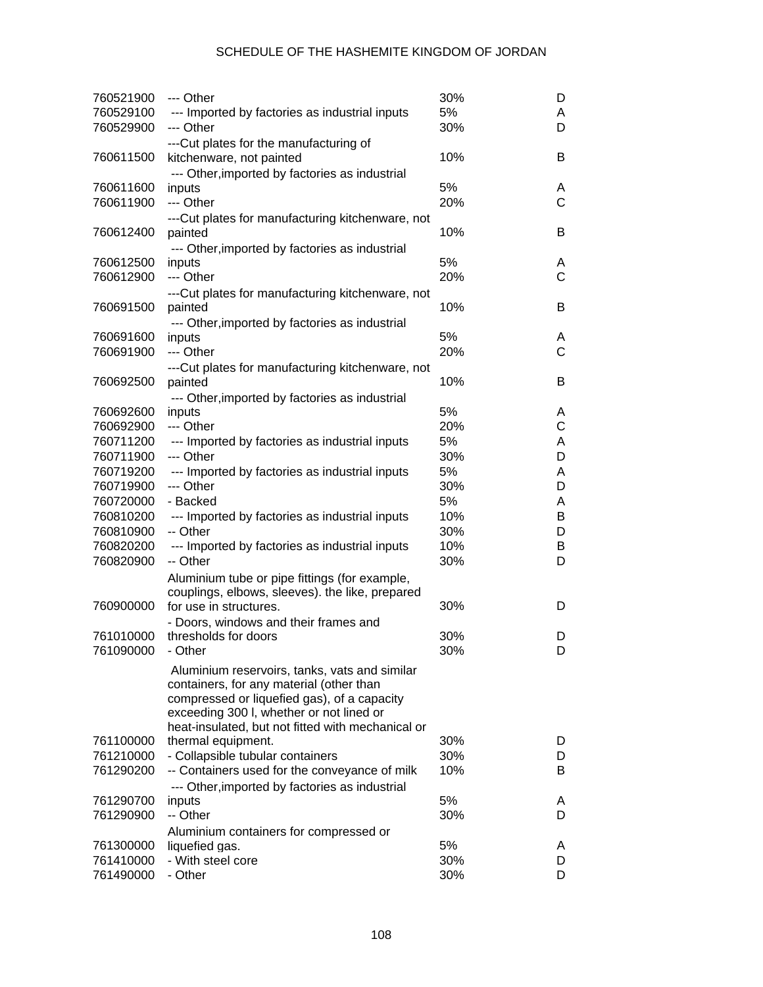| 760521900 | --- Other                                                                               | 30% | D            |
|-----------|-----------------------------------------------------------------------------------------|-----|--------------|
| 760529100 | --- Imported by factories as industrial inputs                                          | 5%  | A            |
| 760529900 | --- Other                                                                               | 30% | D            |
| 760611500 | --- Cut plates for the manufacturing of<br>kitchenware, not painted                     | 10% | B            |
|           |                                                                                         |     |              |
| 760611600 | --- Other, imported by factories as industrial<br>inputs                                | 5%  | A            |
| 760611900 | --- Other                                                                               | 20% | $\mathsf{C}$ |
|           | ---Cut plates for manufacturing kitchenware, not                                        |     |              |
| 760612400 | painted                                                                                 | 10% | В            |
|           | --- Other, imported by factories as industrial                                          |     |              |
| 760612500 | inputs                                                                                  | 5%  | A            |
| 760612900 | --- Other                                                                               | 20% | $\mathsf{C}$ |
|           | ---Cut plates for manufacturing kitchenware, not                                        |     |              |
| 760691500 | painted                                                                                 | 10% | В            |
|           | --- Other, imported by factories as industrial                                          |     |              |
| 760691600 | inputs                                                                                  | 5%  | A            |
| 760691900 | --- Other                                                                               | 20% | $\mathsf{C}$ |
|           | ---Cut plates for manufacturing kitchenware, not                                        |     |              |
| 760692500 | painted                                                                                 | 10% | В            |
|           | --- Other, imported by factories as industrial                                          |     |              |
| 760692600 | inputs                                                                                  | 5%  | A            |
| 760692900 | --- Other                                                                               | 20% | C            |
| 760711200 | --- Imported by factories as industrial inputs                                          | 5%  | A            |
| 760711900 | --- Other                                                                               | 30% | D            |
| 760719200 | --- Imported by factories as industrial inputs                                          | 5%  | A            |
| 760719900 | --- Other                                                                               | 30% | D            |
| 760720000 | - Backed                                                                                | 5%  | A            |
| 760810200 | --- Imported by factories as industrial inputs                                          | 10% | В            |
| 760810900 | -- Other                                                                                | 30% | D            |
| 760820200 | --- Imported by factories as industrial inputs                                          | 10% | B            |
| 760820900 | -- Other                                                                                | 30% | D            |
|           | Aluminium tube or pipe fittings (for example,                                           |     |              |
| 760900000 | couplings, elbows, sleeves). the like, prepared<br>for use in structures.               | 30% | D            |
|           |                                                                                         |     |              |
| 761010000 | - Doors, windows and their frames and<br>thresholds for doors                           | 30% | D            |
| 761090000 | - Other                                                                                 | 30% | D            |
|           |                                                                                         |     |              |
|           | Aluminium reservoirs, tanks, vats and similar                                           |     |              |
|           | containers, for any material (other than<br>compressed or liquefied gas), of a capacity |     |              |
|           | exceeding 300 I, whether or not lined or                                                |     |              |
|           | heat-insulated, but not fitted with mechanical or                                       |     |              |
| 761100000 | thermal equipment.                                                                      | 30% | D            |
| 761210000 | - Collapsible tubular containers                                                        | 30% | D            |
| 761290200 | -- Containers used for the conveyance of milk                                           | 10% | B            |
|           | --- Other, imported by factories as industrial                                          |     |              |
| 761290700 | inputs                                                                                  | 5%  | A            |
| 761290900 | -- Other                                                                                | 30% | D            |
|           | Aluminium containers for compressed or                                                  |     |              |
| 761300000 | liquefied gas.                                                                          | 5%  | A            |
| 761410000 | - With steel core                                                                       | 30% | D            |
| 761490000 | - Other                                                                                 | 30% | D            |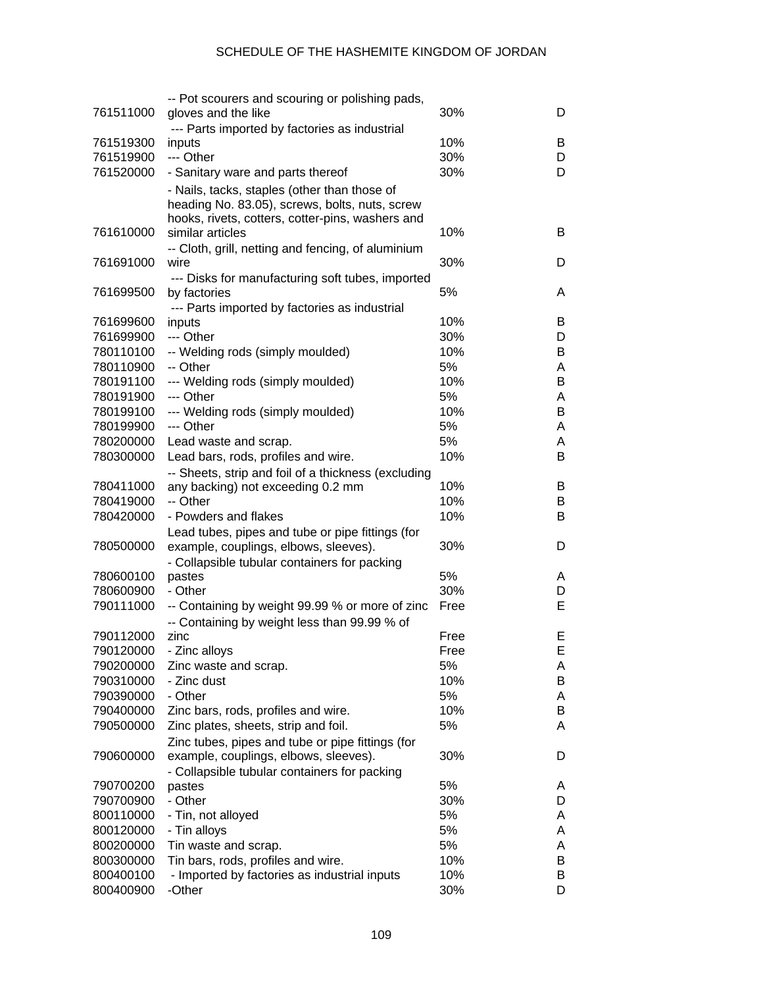|                        | -- Pot scourers and scouring or polishing pads,     |      |        |
|------------------------|-----------------------------------------------------|------|--------|
| 761511000              | gloves and the like                                 | 30%  | D      |
|                        | --- Parts imported by factories as industrial       |      |        |
| 761519300              | inputs                                              | 10%  | B      |
| 761519900              | --- Other                                           | 30%  | D      |
| 761520000              | - Sanitary ware and parts thereof                   | 30%  | D      |
|                        | - Nails, tacks, staples (other than those of        |      |        |
|                        | heading No. 83.05), screws, bolts, nuts, screw      |      |        |
|                        | hooks, rivets, cotters, cotter-pins, washers and    |      |        |
| 761610000              | similar articles                                    | 10%  | B      |
|                        | -- Cloth, grill, netting and fencing, of aluminium  |      |        |
| 761691000              | wire                                                | 30%  | D      |
|                        | --- Disks for manufacturing soft tubes, imported    |      |        |
| 761699500              | by factories                                        | 5%   | A      |
|                        | --- Parts imported by factories as industrial       |      |        |
| 761699600              | inputs                                              | 10%  | В      |
| 761699900              | --- Other                                           | 30%  | D      |
| 780110100              | -- Welding rods (simply moulded)                    | 10%  | В      |
| 780110900              | -- Other                                            | 5%   | A      |
| 780191100              | --- Welding rods (simply moulded)                   | 10%  | B      |
| 780191900              | --- Other                                           | 5%   |        |
|                        |                                                     | 10%  | A<br>B |
| 780199100<br>780199900 | --- Welding rods (simply moulded)<br>--- Other      | 5%   |        |
|                        |                                                     |      | A      |
| 780200000              | Lead waste and scrap.                               | 5%   | A      |
| 780300000              | Lead bars, rods, profiles and wire.                 | 10%  | В      |
|                        | -- Sheets, strip and foil of a thickness (excluding |      |        |
| 780411000              | any backing) not exceeding 0.2 mm                   | 10%  | В      |
| 780419000              | -- Other                                            | 10%  | В      |
| 780420000              | - Powders and flakes                                | 10%  | В      |
|                        | Lead tubes, pipes and tube or pipe fittings (for    |      |        |
| 780500000              | example, couplings, elbows, sleeves).               | 30%  | D      |
|                        | - Collapsible tubular containers for packing        |      |        |
| 780600100              | pastes                                              | 5%   | A      |
| 780600900              | - Other                                             | 30%  | D      |
| 790111000              | -- Containing by weight 99.99 % or more of zinc     | Free | E      |
|                        | -- Containing by weight less than 99.99 % of        |      |        |
| 790112000              | zinc                                                | Free | E      |
| 790120000              | - Zinc alloys                                       | Free | E.     |
| 790200000              | Zinc waste and scrap.                               | 5%   | A      |
| 790310000              | - Zinc dust                                         | 10%  | В      |
| 790390000              | - Other                                             | 5%   | A      |
| 790400000              | Zinc bars, rods, profiles and wire.                 | 10%  | В      |
| 790500000              | Zinc plates, sheets, strip and foil.                | 5%   | A      |
|                        | Zinc tubes, pipes and tube or pipe fittings (for    |      |        |
| 790600000              | example, couplings, elbows, sleeves).               | 30%  | D      |
|                        | - Collapsible tubular containers for packing        |      |        |
| 790700200              | pastes                                              | 5%   | A      |
| 790700900              | - Other                                             | 30%  | D      |
| 800110000              | - Tin, not alloyed                                  | 5%   | A      |
| 800120000              | - Tin alloys                                        | 5%   | A      |
| 800200000              | Tin waste and scrap.                                | 5%   | A      |
| 800300000              | Tin bars, rods, profiles and wire.                  | 10%  | В      |
| 800400100              | - Imported by factories as industrial inputs        | 10%  | В      |
| 800400900              | -Other                                              | 30%  | D      |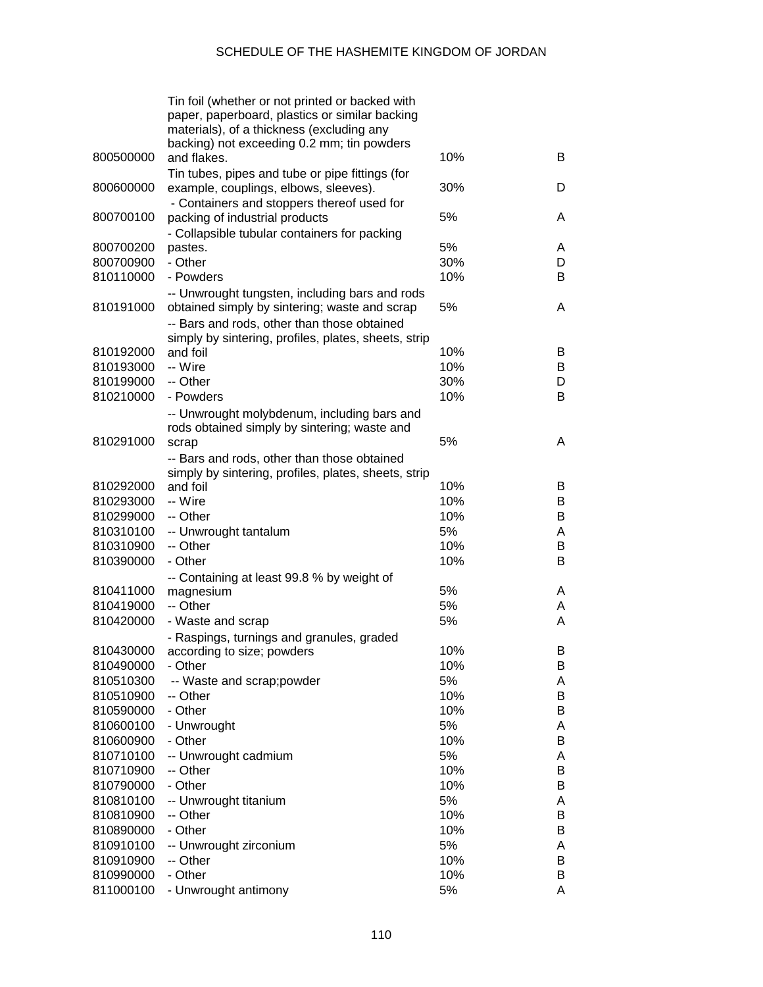|                        | Tin foil (whether or not printed or backed with<br>paper, paperboard, plastics or similar backing<br>materials), of a thickness (excluding any<br>backing) not exceeding 0.2 mm; tin powders |            |        |
|------------------------|----------------------------------------------------------------------------------------------------------------------------------------------------------------------------------------------|------------|--------|
| 800500000              | and flakes.                                                                                                                                                                                  | 10%        | B      |
| 800600000              | Tin tubes, pipes and tube or pipe fittings (for<br>example, couplings, elbows, sleeves).<br>- Containers and stoppers thereof used for                                                       | 30%        | D      |
| 800700100              | packing of industrial products<br>- Collapsible tubular containers for packing                                                                                                               | 5%         | A      |
| 800700200              | pastes.                                                                                                                                                                                      | 5%         | A      |
| 800700900              | - Other                                                                                                                                                                                      | 30%        | D      |
| 810110000              | - Powders                                                                                                                                                                                    | 10%        | B      |
| 810191000              | -- Unwrought tungsten, including bars and rods<br>obtained simply by sintering; waste and scrap                                                                                              | 5%         | A      |
|                        | -- Bars and rods, other than those obtained                                                                                                                                                  |            |        |
|                        | simply by sintering, profiles, plates, sheets, strip                                                                                                                                         |            |        |
| 810192000<br>810193000 | and foil<br>-- Wire                                                                                                                                                                          | 10%<br>10% | B<br>B |
| 810199000              | -- Other                                                                                                                                                                                     | 30%        | D      |
| 810210000              | - Powders                                                                                                                                                                                    | 10%        | B      |
|                        |                                                                                                                                                                                              |            |        |
|                        | -- Unwrought molybdenum, including bars and<br>rods obtained simply by sintering; waste and                                                                                                  |            |        |
| 810291000              | scrap                                                                                                                                                                                        | 5%         | A      |
|                        | -- Bars and rods, other than those obtained                                                                                                                                                  |            |        |
|                        | simply by sintering, profiles, plates, sheets, strip                                                                                                                                         |            |        |
| 810292000              | and foil                                                                                                                                                                                     | 10%        | B      |
| 810293000              | -- Wire                                                                                                                                                                                      | 10%        | B      |
| 810299000              | -- Other                                                                                                                                                                                     | 10%        | B      |
| 810310100              | -- Unwrought tantalum                                                                                                                                                                        | 5%         | A      |
| 810310900              | -- Other                                                                                                                                                                                     | 10%        | В      |
| 810390000              | - Other                                                                                                                                                                                      | 10%        | B      |
|                        | -- Containing at least 99.8 % by weight of                                                                                                                                                   |            |        |
| 810411000              | magnesium                                                                                                                                                                                    | 5%         | A      |
| 810419000              | -- Other                                                                                                                                                                                     | 5%         | A      |
| 810420000              | - Waste and scrap                                                                                                                                                                            | 5%         | A      |
|                        | - Raspings, turnings and granules, graded                                                                                                                                                    |            |        |
| 810430000              | according to size; powders                                                                                                                                                                   | 10%        | B      |
| 810490000              | - Other                                                                                                                                                                                      | 10%        | B      |
| 810510300              | -- Waste and scrap;powder<br>-- Other                                                                                                                                                        | 5%<br>10%  | A<br>B |
| 810510900<br>810590000 | - Other                                                                                                                                                                                      | 10%        | B      |
| 810600100              | - Unwrought                                                                                                                                                                                  | 5%         | Α      |
| 810600900              | - Other                                                                                                                                                                                      | 10%        | B      |
| 810710100              | -- Unwrought cadmium                                                                                                                                                                         | 5%         | A      |
| 810710900              | -- Other                                                                                                                                                                                     | 10%        | B      |
| 810790000              | - Other                                                                                                                                                                                      | 10%        | B      |
| 810810100              | -- Unwrought titanium                                                                                                                                                                        | 5%         | A      |
| 810810900              | -- Other                                                                                                                                                                                     | 10%        | B      |
| 810890000              | - Other                                                                                                                                                                                      | 10%        | B      |
| 810910100              | -- Unwrought zirconium                                                                                                                                                                       | 5%         | A      |
| 810910900              | -- Other                                                                                                                                                                                     | 10%        | B      |
| 810990000              | - Other                                                                                                                                                                                      | 10%        | B      |
| 811000100              | - Unwrought antimony                                                                                                                                                                         | 5%         | A      |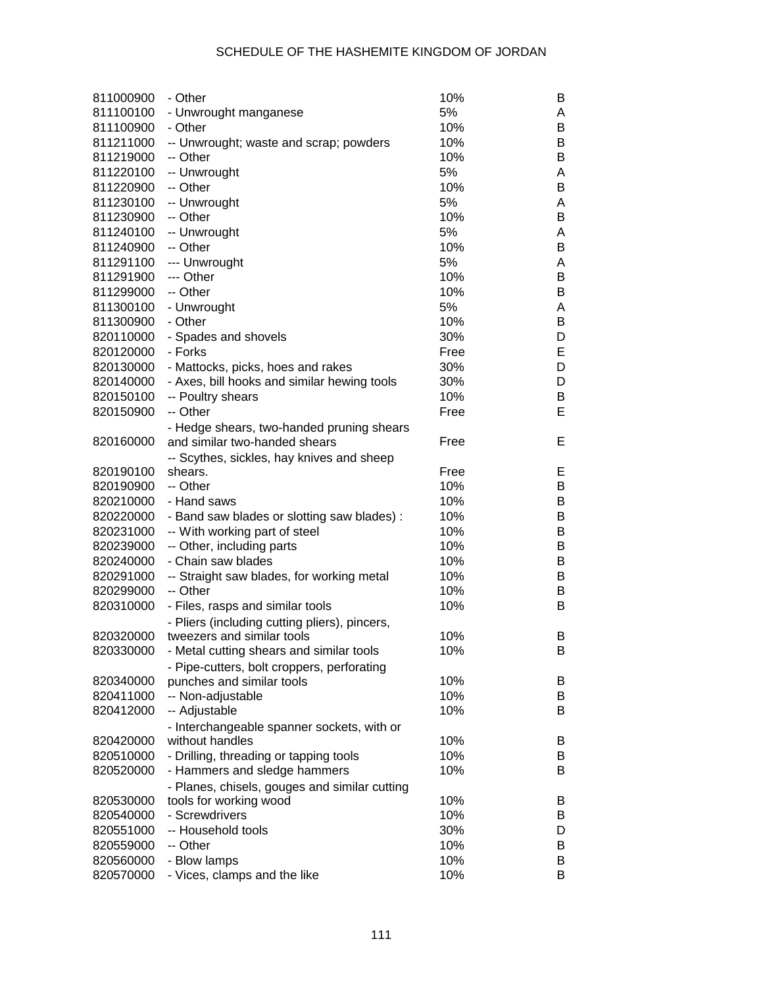| 811000900 | - Other                                       | 10%  | B |
|-----------|-----------------------------------------------|------|---|
| 811100100 | - Unwrought manganese                         | 5%   | A |
| 811100900 | - Other                                       | 10%  | В |
| 811211000 | -- Unwrought; waste and scrap; powders        | 10%  | B |
| 811219000 | -- Other                                      | 10%  | B |
| 811220100 | -- Unwrought                                  | 5%   | A |
| 811220900 | -- Other                                      | 10%  | B |
| 811230100 | -- Unwrought                                  | 5%   | A |
| 811230900 | -- Other                                      | 10%  | B |
|           | -- Unwrought                                  | 5%   |   |
| 811240100 | -- Other                                      |      | A |
| 811240900 |                                               | 10%  | B |
| 811291100 | --- Unwrought                                 | 5%   | A |
| 811291900 | --- Other                                     | 10%  | В |
| 811299000 | -- Other                                      | 10%  | B |
| 811300100 | - Unwrought                                   | 5%   | A |
| 811300900 | - Other                                       | 10%  | В |
| 820110000 | - Spades and shovels                          | 30%  | D |
| 820120000 | - Forks                                       | Free | Е |
| 820130000 | - Mattocks, picks, hoes and rakes             | 30%  | D |
| 820140000 | - Axes, bill hooks and similar hewing tools   | 30%  | D |
| 820150100 | -- Poultry shears                             | 10%  | В |
| 820150900 | -- Other                                      | Free | E |
|           | - Hedge shears, two-handed pruning shears     |      |   |
| 820160000 | and similar two-handed shears                 | Free | Е |
|           | -- Scythes, sickles, hay knives and sheep     |      |   |
| 820190100 | shears.                                       | Free | Е |
| 820190900 | -- Other                                      | 10%  | В |
| 820210000 | - Hand saws                                   | 10%  | B |
| 820220000 | - Band saw blades or slotting saw blades) :   | 10%  | B |
| 820231000 |                                               | 10%  | B |
|           | -- With working part of steel                 | 10%  |   |
| 820239000 | -- Other, including parts                     |      | B |
| 820240000 | - Chain saw blades                            | 10%  | B |
| 820291000 | -- Straight saw blades, for working metal     | 10%  | B |
| 820299000 | -- Other                                      | 10%  | B |
| 820310000 | - Files, rasps and similar tools              | 10%  | В |
|           | - Pliers (including cutting pliers), pincers, |      |   |
| 820320000 | tweezers and similar tools                    | 10%  | В |
| 820330000 | - Metal cutting shears and similar tools      | 10%  | B |
|           | - Pipe-cutters, bolt croppers, perforating    |      |   |
| 820340000 | punches and similar tools                     | 10%  | B |
| 820411000 | -- Non-adjustable                             | 10%  | B |
| 820412000 | -- Adjustable                                 | 10%  | B |
|           | - Interchangeable spanner sockets, with or    |      |   |
| 820420000 | without handles                               | 10%  | B |
| 820510000 | - Drilling, threading or tapping tools        | 10%  | B |
| 820520000 | - Hammers and sledge hammers                  | 10%  | B |
|           | - Planes, chisels, gouges and similar cutting |      |   |
| 820530000 | tools for working wood                        | 10%  | B |
| 820540000 | - Screwdrivers                                | 10%  | B |
| 820551000 | -- Household tools                            | 30%  | D |
|           | -- Other                                      | 10%  |   |
| 820559000 |                                               |      | B |
| 820560000 | - Blow lamps                                  | 10%  | В |
| 820570000 | - Vices, clamps and the like                  | 10%  | В |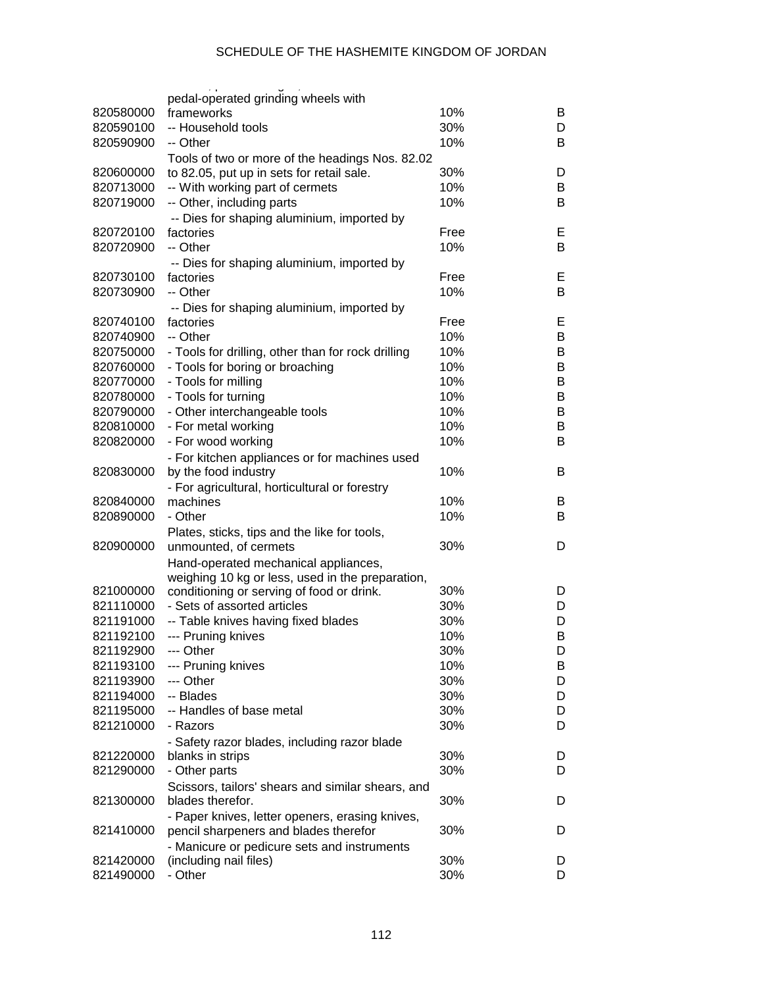|           | pedal-operated grinding wheels with                |      |   |
|-----------|----------------------------------------------------|------|---|
| 820580000 | frameworks                                         | 10%  | B |
| 820590100 | -- Household tools                                 | 30%  | D |
| 820590900 | -- Other                                           | 10%  | B |
|           | Tools of two or more of the headings Nos. 82.02    |      |   |
| 820600000 | to 82.05, put up in sets for retail sale.          | 30%  | D |
| 820713000 | -- With working part of cermets                    | 10%  | B |
| 820719000 | -- Other, including parts                          | 10%  | B |
|           | -- Dies for shaping aluminium, imported by         |      |   |
| 820720100 | factories                                          | Free | Е |
| 820720900 | -- Other                                           | 10%  | B |
|           | -- Dies for shaping aluminium, imported by         |      |   |
| 820730100 | factories                                          | Free | Е |
| 820730900 | -- Other                                           | 10%  | B |
|           | -- Dies for shaping aluminium, imported by         |      |   |
| 820740100 | factories                                          | Free | Е |
| 820740900 | -- Other                                           | 10%  | B |
| 820750000 | - Tools for drilling, other than for rock drilling | 10%  | B |
| 820760000 | - Tools for boring or broaching                    | 10%  | B |
| 820770000 | - Tools for milling                                | 10%  | B |
| 820780000 | - Tools for turning                                | 10%  | B |
| 820790000 | - Other interchangeable tools                      | 10%  | B |
| 820810000 | - For metal working                                | 10%  | B |
| 820820000 | - For wood working                                 | 10%  | B |
|           | - For kitchen appliances or for machines used      |      |   |
| 820830000 | by the food industry                               | 10%  | B |
|           | - For agricultural, horticultural or forestry      |      |   |
| 820840000 | machines                                           | 10%  | B |
| 820890000 | - Other                                            | 10%  | B |
|           | Plates, sticks, tips and the like for tools,       |      |   |
| 820900000 | unmounted, of cermets                              | 30%  | D |
|           | Hand-operated mechanical appliances,               |      |   |
|           | weighing 10 kg or less, used in the preparation,   |      |   |
| 821000000 | conditioning or serving of food or drink.          | 30%  | D |
| 821110000 | - Sets of assorted articles                        | 30%  | D |
| 821191000 | -- Table knives having fixed blades                | 30%  | D |
| 821192100 | --- Pruning knives                                 | 10%  | В |
| 821192900 | --- Other                                          | 30%  | D |
| 821193100 | --- Pruning knives                                 | 10%  | В |
| 821193900 | --- Other                                          | 30%  | D |
| 821194000 | -- Blades                                          | 30%  | D |
| 821195000 | -- Handles of base metal                           | 30%  | D |
| 821210000 | - Razors                                           | 30%  | D |
|           | - Safety razor blades, including razor blade       |      |   |
| 821220000 | blanks in strips                                   | 30%  | D |
| 821290000 | - Other parts                                      | 30%  | D |
|           | Scissors, tailors' shears and similar shears, and  |      |   |
| 821300000 | blades therefor.                                   | 30%  | D |
|           | - Paper knives, letter openers, erasing knives,    |      |   |
| 821410000 | pencil sharpeners and blades therefor              | 30%  | D |
|           | - Manicure or pedicure sets and instruments        |      |   |
| 821420000 | (including nail files)                             | 30%  | D |
| 821490000 | - Other                                            | 30%  | D |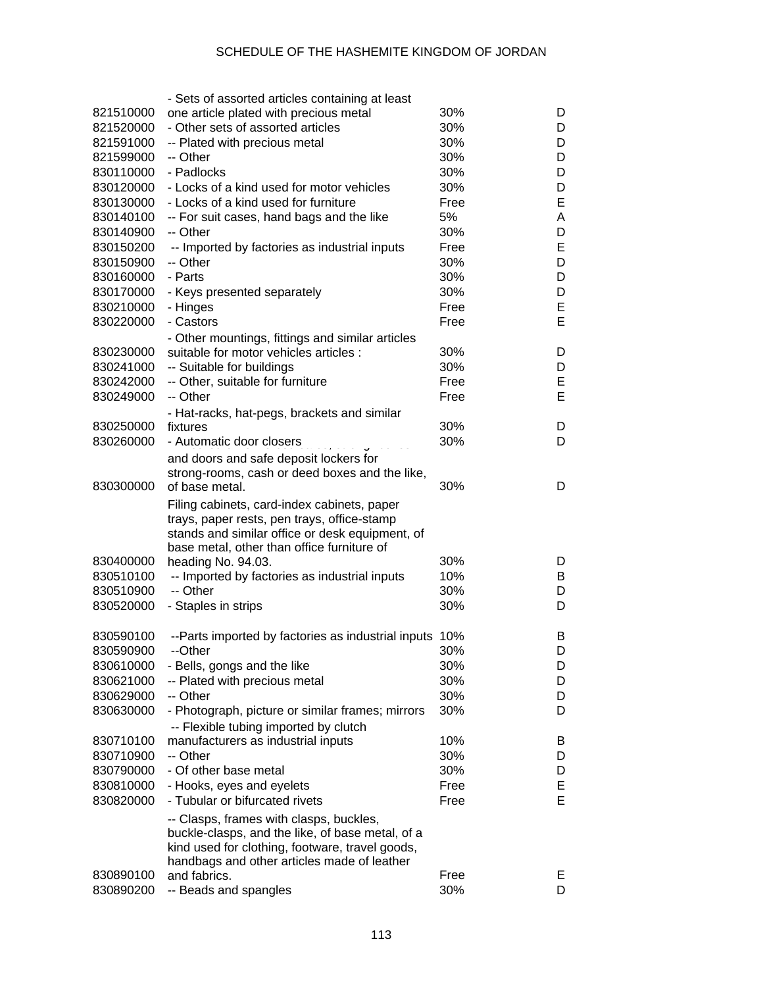|           | - Sets of assorted articles containing at least                                            |      |    |
|-----------|--------------------------------------------------------------------------------------------|------|----|
| 821510000 | one article plated with precious metal                                                     | 30%  | D  |
| 821520000 | - Other sets of assorted articles                                                          | 30%  | D  |
| 821591000 | -- Plated with precious metal                                                              | 30%  | D  |
| 821599000 | -- Other                                                                                   | 30%  | D  |
| 830110000 | - Padlocks                                                                                 | 30%  | D  |
| 830120000 | - Locks of a kind used for motor vehicles                                                  | 30%  | D  |
| 830130000 | - Locks of a kind used for furniture                                                       | Free | E  |
| 830140100 | -- For suit cases, hand bags and the like                                                  | 5%   | A  |
| 830140900 | -- Other                                                                                   | 30%  | D  |
| 830150200 | -- Imported by factories as industrial inputs                                              | Free | E  |
| 830150900 | -- Other                                                                                   | 30%  | D  |
| 830160000 | - Parts                                                                                    | 30%  | D  |
| 830170000 | - Keys presented separately                                                                | 30%  | D  |
| 830210000 | - Hinges                                                                                   | Free | E  |
| 830220000 | - Castors                                                                                  | Free | E  |
|           |                                                                                            |      |    |
| 830230000 | - Other mountings, fittings and similar articles<br>suitable for motor vehicles articles : | 30%  | D  |
|           |                                                                                            |      |    |
| 830241000 | -- Suitable for buildings                                                                  | 30%  | D  |
| 830242000 | -- Other, suitable for furniture                                                           | Free | Е  |
| 830249000 | -- Other                                                                                   | Free | E  |
|           | - Hat-racks, hat-pegs, brackets and similar                                                |      |    |
| 830250000 | fixtures                                                                                   | 30%  | D  |
| 830260000 | - Automatic door closers                                                                   | 30%  | D  |
|           | and doors and safe deposit lockers for                                                     |      |    |
|           | strong-rooms, cash or deed boxes and the like,                                             |      |    |
| 830300000 | of base metal.                                                                             | 30%  | D  |
|           | Filing cabinets, card-index cabinets, paper                                                |      |    |
|           | trays, paper rests, pen trays, office-stamp                                                |      |    |
|           | stands and similar office or desk equipment, of                                            |      |    |
|           | base metal, other than office furniture of                                                 |      |    |
| 830400000 | heading No. 94.03.                                                                         | 30%  | D  |
| 830510100 | -- Imported by factories as industrial inputs                                              | 10%  | B  |
| 830510900 | -- Other                                                                                   | 30%  | D  |
| 830520000 | - Staples in strips                                                                        | 30%  | D  |
|           |                                                                                            |      |    |
| 830590100 | --Parts imported by factories as industrial inputs 10%                                     |      | B  |
| 830590900 | --Other                                                                                    | 30%  | D  |
| 830610000 | - Bells, gongs and the like                                                                | 30%  | D  |
| 830621000 | -- Plated with precious metal                                                              | 30%  | D  |
| 830629000 | -- Other                                                                                   | 30%  | D  |
| 830630000 | - Photograph, picture or similar frames; mirrors                                           | 30%  | D  |
|           | -- Flexible tubing imported by clutch                                                      |      |    |
| 830710100 | manufacturers as industrial inputs                                                         | 10%  | B  |
| 830710900 | -- Other                                                                                   | 30%  | D  |
| 830790000 | - Of other base metal                                                                      | 30%  | D  |
| 830810000 | - Hooks, eyes and eyelets                                                                  | Free | E  |
| 830820000 | - Tubular or bifurcated rivets                                                             | Free | Е  |
|           |                                                                                            |      |    |
|           | -- Clasps, frames with clasps, buckles,                                                    |      |    |
|           | buckle-clasps, and the like, of base metal, of a                                           |      |    |
|           | kind used for clothing, footware, travel goods,                                            |      |    |
| 830890100 | handbags and other articles made of leather<br>and fabrics.                                | Free | E. |
| 830890200 | -- Beads and spangles                                                                      | 30%  | D  |
|           |                                                                                            |      |    |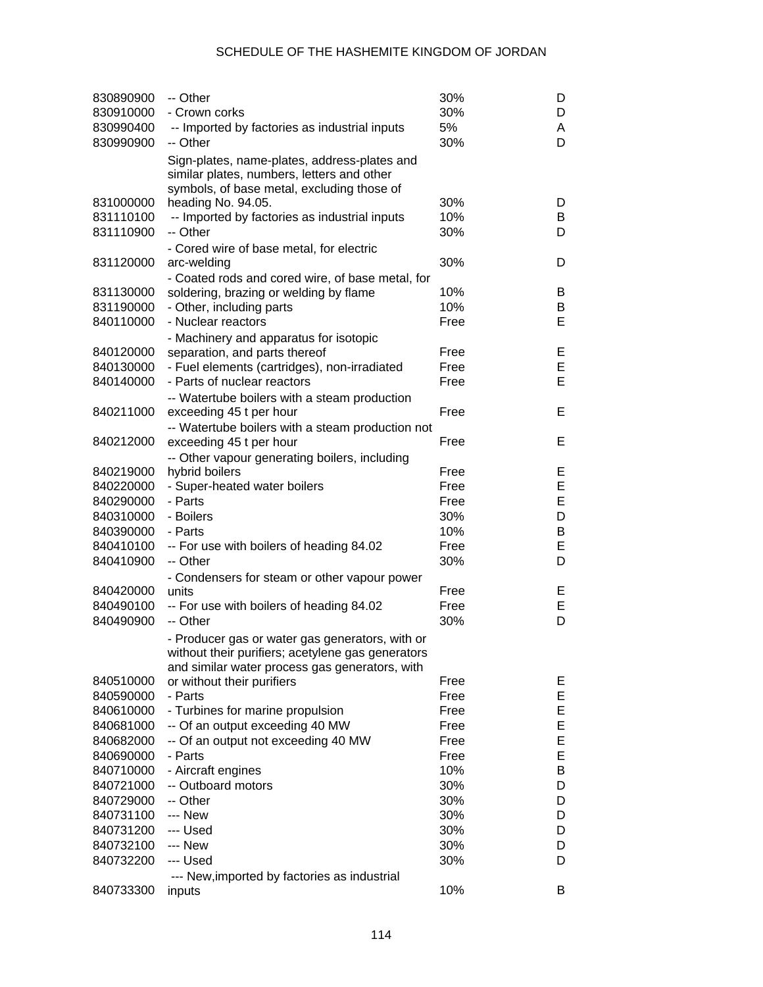| 830890900<br>830910000<br>830990400<br>830990900 | -- Other<br>- Crown corks<br>-- Imported by factories as industrial inputs<br>-- Other                                                   | 30%<br>30%<br>5%<br>30% | D<br>D<br>A<br>D |
|--------------------------------------------------|------------------------------------------------------------------------------------------------------------------------------------------|-------------------------|------------------|
|                                                  | Sign-plates, name-plates, address-plates and<br>similar plates, numbers, letters and other<br>symbols, of base metal, excluding those of |                         |                  |
| 831000000                                        | heading No. 94.05.                                                                                                                       | 30%                     | D                |
| 831110100                                        | -- Imported by factories as industrial inputs                                                                                            | 10%                     | B                |
| 831110900                                        | -- Other                                                                                                                                 | 30%                     | D                |
|                                                  | - Cored wire of base metal, for electric                                                                                                 |                         |                  |
| 831120000                                        | arc-welding                                                                                                                              | 30%                     | D                |
|                                                  | - Coated rods and cored wire, of base metal, for                                                                                         |                         |                  |
| 831130000                                        | soldering, brazing or welding by flame                                                                                                   | 10%                     | B                |
| 831190000                                        | - Other, including parts                                                                                                                 | 10%                     | B                |
| 840110000                                        | - Nuclear reactors                                                                                                                       | Free                    | Е                |
|                                                  | - Machinery and apparatus for isotopic                                                                                                   |                         |                  |
| 840120000                                        | separation, and parts thereof                                                                                                            | Free                    | Е                |
| 840130000                                        | - Fuel elements (cartridges), non-irradiated                                                                                             | Free                    | E                |
| 840140000                                        | - Parts of nuclear reactors                                                                                                              | Free                    | E                |
|                                                  | -- Watertube boilers with a steam production                                                                                             |                         |                  |
| 840211000                                        | exceeding 45 t per hour                                                                                                                  | Free                    | Е                |
|                                                  | -- Watertube boilers with a steam production not                                                                                         |                         |                  |
| 840212000                                        | exceeding 45 t per hour                                                                                                                  | Free                    | Е                |
|                                                  | -- Other vapour generating boilers, including                                                                                            |                         |                  |
| 840219000                                        | hybrid boilers                                                                                                                           | Free                    | Е                |
| 840220000                                        | - Super-heated water boilers                                                                                                             | Free                    | E                |
| 840290000                                        | - Parts                                                                                                                                  | Free                    | E                |
| 840310000                                        | - Boilers                                                                                                                                | 30%                     | D                |
| 840390000                                        | - Parts                                                                                                                                  | 10%                     | B                |
| 840410100                                        | -- For use with boilers of heading 84.02                                                                                                 | Free                    | E                |
| 840410900                                        | -- Other                                                                                                                                 | 30%                     | D                |
|                                                  | - Condensers for steam or other vapour power                                                                                             |                         |                  |
| 840420000                                        | units                                                                                                                                    | Free                    | Е                |
| 840490100                                        | -- For use with boilers of heading 84.02                                                                                                 | Free                    | E<br>D           |
| 840490900                                        | -- Other                                                                                                                                 | 30%                     |                  |
|                                                  | - Producer gas or water gas generators, with or                                                                                          |                         |                  |
|                                                  | without their purifiers; acetylene gas generators                                                                                        |                         |                  |
| 840510000                                        | and similar water process gas generators, with<br>or without their purifiers                                                             | Free                    | Е                |
| 840590000                                        | - Parts                                                                                                                                  | Free                    | E                |
| 840610000                                        | - Turbines for marine propulsion                                                                                                         | Free                    | E                |
| 840681000                                        | -- Of an output exceeding 40 MW                                                                                                          | Free                    | E                |
| 840682000                                        | -- Of an output not exceeding 40 MW                                                                                                      | Free                    | E                |
| 840690000                                        | - Parts                                                                                                                                  | Free                    | E                |
| 840710000                                        | - Aircraft engines                                                                                                                       | 10%                     | B                |
| 840721000                                        | -- Outboard motors                                                                                                                       | 30%                     | D                |
| 840729000                                        | -- Other                                                                                                                                 | 30%                     | D                |
| 840731100                                        | --- New                                                                                                                                  | 30%                     | D                |
| 840731200                                        | --- Used                                                                                                                                 | 30%                     | D                |
| 840732100                                        | --- New                                                                                                                                  | 30%                     | D                |
| 840732200                                        | --- Used                                                                                                                                 | 30%                     | D                |
|                                                  | --- New, imported by factories as industrial                                                                                             |                         |                  |
| 840733300                                        | inputs                                                                                                                                   | 10%                     | B                |
|                                                  |                                                                                                                                          |                         |                  |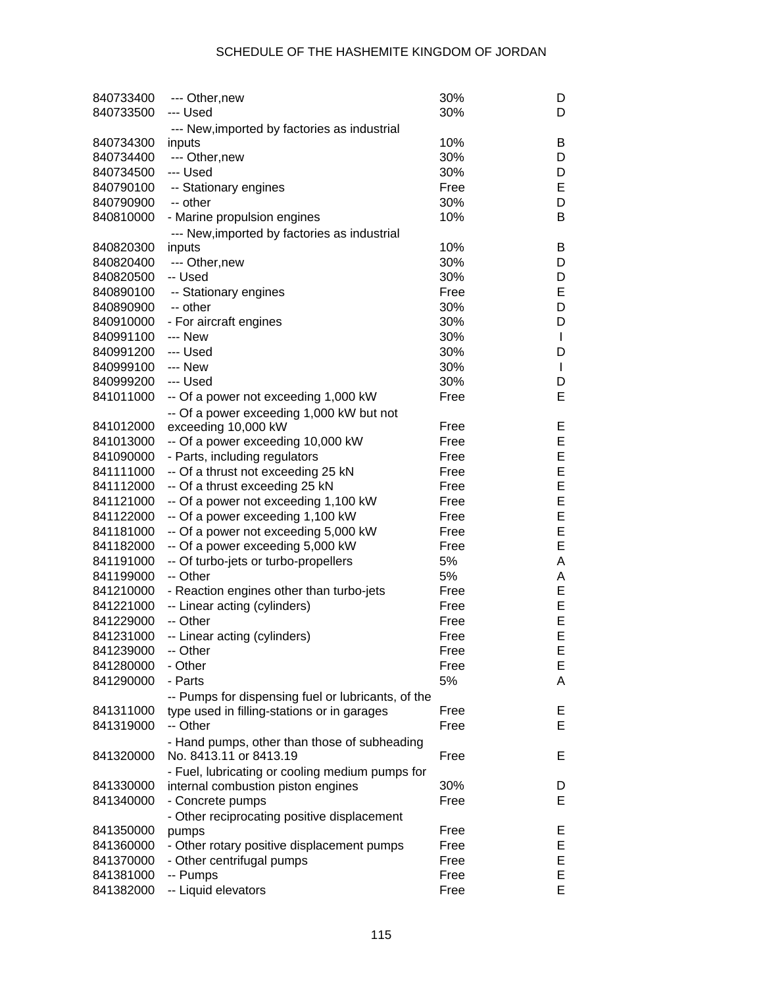| 840733400 | --- Other, new                                     | 30%  | D            |
|-----------|----------------------------------------------------|------|--------------|
| 840733500 | --- Used                                           | 30%  | D            |
|           | --- New, imported by factories as industrial       |      |              |
| 840734300 | inputs                                             | 10%  | B            |
| 840734400 | --- Other, new                                     | 30%  | D            |
| 840734500 | --- Used                                           | 30%  | D            |
| 840790100 | -- Stationary engines                              | Free | Е            |
| 840790900 | -- other                                           | 30%  | D            |
| 840810000 | - Marine propulsion engines                        | 10%  | B            |
|           | --- New, imported by factories as industrial       |      |              |
| 840820300 | inputs                                             | 10%  | B            |
| 840820400 | --- Other, new                                     | 30%  | D            |
| 840820500 | -- Used                                            | 30%  | D            |
| 840890100 | -- Stationary engines                              | Free | Е            |
| 840890900 | -- other                                           | 30%  | D            |
| 840910000 | - For aircraft engines                             | 30%  | D            |
| 840991100 | --- New                                            | 30%  | $\mathbf{I}$ |
| 840991200 | --- Used                                           | 30%  | D            |
| 840999100 | --- New                                            | 30%  | $\mathbf{I}$ |
| 840999200 | --- Used                                           | 30%  | D            |
|           |                                                    |      | Е            |
| 841011000 | -- Of a power not exceeding 1,000 kW               | Free |              |
|           | -- Of a power exceeding 1,000 kW but not           |      |              |
| 841012000 | exceeding 10,000 kW                                | Free | E            |
| 841013000 | -- Of a power exceeding 10,000 kW                  | Free | E            |
| 841090000 | - Parts, including regulators                      | Free | E            |
| 841111000 | -- Of a thrust not exceeding 25 kN                 | Free | E            |
| 841112000 | -- Of a thrust exceeding 25 kN                     | Free | E            |
| 841121000 | -- Of a power not exceeding 1,100 kW               | Free | E            |
| 841122000 | -- Of a power exceeding 1,100 kW                   | Free | E            |
| 841181000 | -- Of a power not exceeding 5,000 kW               | Free | E            |
| 841182000 | -- Of a power exceeding 5,000 kW                   | Free | E            |
| 841191000 | -- Of turbo-jets or turbo-propellers               | 5%   | A            |
| 841199000 | -- Other                                           | 5%   | A            |
| 841210000 | - Reaction engines other than turbo-jets           | Free | E            |
| 841221000 | -- Linear acting (cylinders)                       | Free | E            |
| 841229000 | -- Other                                           | Free | E            |
| 841231000 | -- Linear acting (cylinders)                       | Free | E            |
| 841239000 | -- Other                                           | Free | E            |
| 841280000 | - Other                                            | Free | Ε            |
| 841290000 | - Parts                                            | 5%   | A            |
|           | -- Pumps for dispensing fuel or lubricants, of the |      |              |
| 841311000 | type used in filling-stations or in garages        | Free | E            |
| 841319000 | -- Other                                           | Free | Е            |
|           | - Hand pumps, other than those of subheading       |      |              |
| 841320000 | No. 8413.11 or 8413.19                             | Free | Е            |
|           | - Fuel, lubricating or cooling medium pumps for    |      |              |
| 841330000 | internal combustion piston engines                 | 30%  | D            |
| 841340000 | - Concrete pumps                                   | Free | Е            |
|           | - Other reciprocating positive displacement        |      |              |
| 841350000 | pumps                                              | Free | Е            |
| 841360000 | - Other rotary positive displacement pumps         | Free | E            |
| 841370000 | - Other centrifugal pumps                          | Free | E            |
| 841381000 | -- Pumps                                           | Free | E            |
| 841382000 | -- Liquid elevators                                | Free | E            |
|           |                                                    |      |              |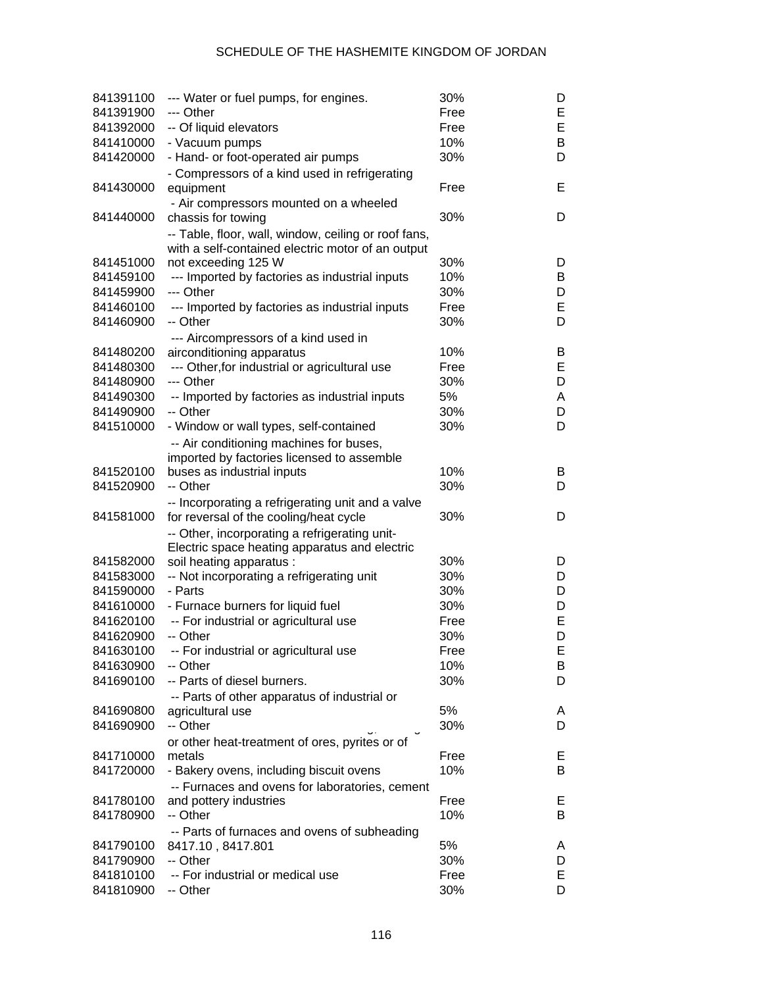| 841391100 | --- Water or fuel pumps, for engines.                                                                     | 30%  | D      |
|-----------|-----------------------------------------------------------------------------------------------------------|------|--------|
| 841391900 | --- Other                                                                                                 | Free | E      |
| 841392000 | -- Of liquid elevators                                                                                    | Free | E      |
| 841410000 | - Vacuum pumps                                                                                            | 10%  | B      |
| 841420000 | - Hand- or foot-operated air pumps                                                                        | 30%  | D      |
| 841430000 | - Compressors of a kind used in refrigerating<br>equipment                                                | Free | E      |
|           | - Air compressors mounted on a wheeled                                                                    |      |        |
| 841440000 | chassis for towing                                                                                        | 30%  | D      |
|           | -- Table, floor, wall, window, ceiling or roof fans,<br>with a self-contained electric motor of an output |      |        |
| 841451000 | not exceeding 125 W                                                                                       | 30%  | D      |
| 841459100 | --- Imported by factories as industrial inputs                                                            | 10%  | В      |
| 841459900 | --- Other                                                                                                 | 30%  | D      |
| 841460100 | --- Imported by factories as industrial inputs                                                            | Free | E      |
| 841460900 | -- Other                                                                                                  | 30%  | D      |
|           | --- Aircompressors of a kind used in                                                                      |      |        |
| 841480200 | airconditioning apparatus                                                                                 | 10%  | B      |
| 841480300 | --- Other, for industrial or agricultural use                                                             | Free | E      |
| 841480900 | --- Other                                                                                                 | 30%  | D      |
| 841490300 | -- Imported by factories as industrial inputs                                                             | 5%   | A      |
| 841490900 | -- Other                                                                                                  | 30%  | D      |
| 841510000 | - Window or wall types, self-contained                                                                    | 30%  | D      |
|           |                                                                                                           |      |        |
|           | -- Air conditioning machines for buses,                                                                   |      |        |
| 841520100 | imported by factories licensed to assemble                                                                | 10%  |        |
|           | buses as industrial inputs<br>-- Other                                                                    | 30%  | В<br>D |
| 841520900 |                                                                                                           |      |        |
| 841581000 | -- Incorporating a refrigerating unit and a valve<br>for reversal of the cooling/heat cycle               | 30%  | D      |
|           | -- Other, incorporating a refrigerating unit-                                                             |      |        |
|           | Electric space heating apparatus and electric                                                             |      |        |
| 841582000 | soil heating apparatus :                                                                                  | 30%  | D      |
| 841583000 | -- Not incorporating a refrigerating unit                                                                 | 30%  | D      |
| 841590000 | - Parts                                                                                                   | 30%  | D      |
| 841610000 | - Furnace burners for liquid fuel                                                                         | 30%  | D      |
| 841620100 | -- For industrial or agricultural use                                                                     | Free | E      |
| 841620900 | -- Other                                                                                                  | 30%  | D      |
| 841630100 | -- For industrial or agricultural use                                                                     | Free | E      |
| 841630900 | -- Other                                                                                                  | 10%  | В      |
| 841690100 | -- Parts of diesel burners.                                                                               | 30%  | D      |
|           | -- Parts of other apparatus of industrial or                                                              |      |        |
| 841690800 | agricultural use                                                                                          | 5%   | A      |
| 841690900 | -- Other                                                                                                  | 30%  | D      |
|           | or other heat-treatment of ores, pyrites or of                                                            |      |        |
| 841710000 | metals                                                                                                    | Free | E.     |
| 841720000 | - Bakery ovens, including biscuit ovens                                                                   | 10%  | В      |
|           | -- Furnaces and ovens for laboratories, cement                                                            |      |        |
| 841780100 | and pottery industries                                                                                    | Free | Е      |
| 841780900 | -- Other                                                                                                  | 10%  | В      |
|           | -- Parts of furnaces and ovens of subheading                                                              |      |        |
| 841790100 | 8417.10, 8417.801                                                                                         | 5%   | A      |
| 841790900 | -- Other                                                                                                  | 30%  | D      |
| 841810100 | -- For industrial or medical use                                                                          | Free | Е      |
| 841810900 | -- Other                                                                                                  | 30%  | D      |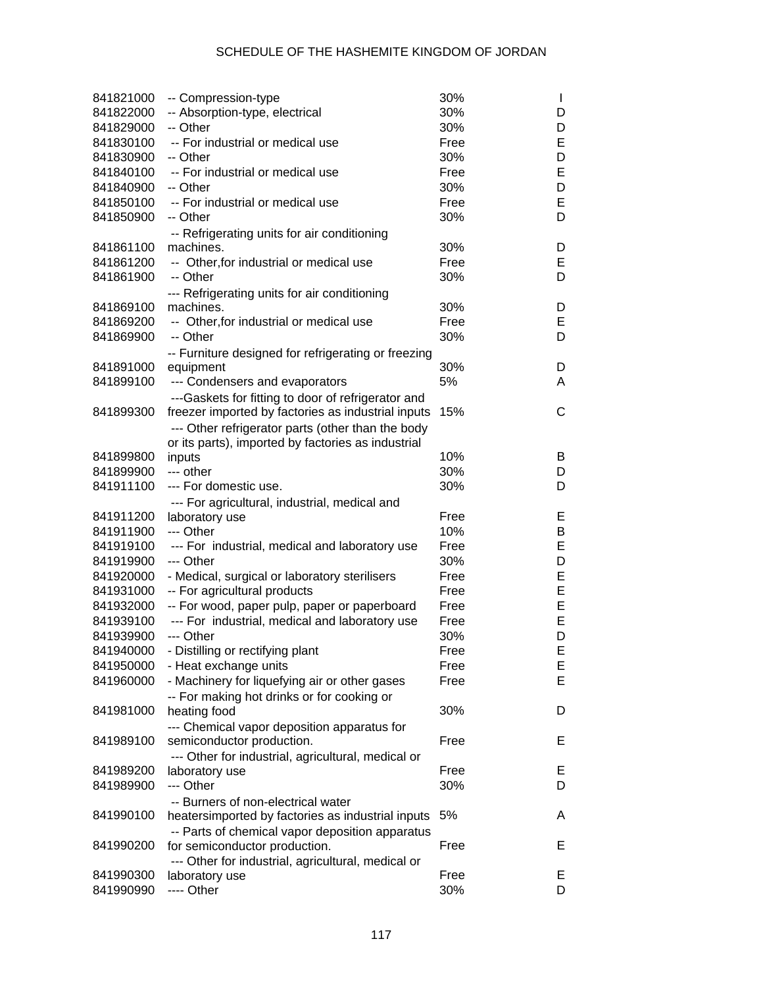| 841821000 | -- Compression-type                                 | 30%  | $\mathbf{I}$ |
|-----------|-----------------------------------------------------|------|--------------|
| 841822000 | -- Absorption-type, electrical                      | 30%  | D            |
| 841829000 | -- Other                                            | 30%  | D            |
| 841830100 | -- For industrial or medical use                    | Free | E            |
| 841830900 | -- Other                                            | 30%  | D            |
| 841840100 | -- For industrial or medical use                    | Free | E            |
| 841840900 | -- Other                                            | 30%  | D            |
| 841850100 | -- For industrial or medical use                    | Free | E            |
| 841850900 | -- Other                                            | 30%  | D            |
|           | -- Refrigerating units for air conditioning         |      |              |
| 841861100 | machines.                                           | 30%  | D            |
| 841861200 | -- Other, for industrial or medical use             | Free | Е            |
| 841861900 | -- Other                                            | 30%  | D            |
|           | --- Refrigerating units for air conditioning        |      |              |
| 841869100 | machines.                                           | 30%  | D            |
| 841869200 | -- Other, for industrial or medical use             | Free | Е            |
| 841869900 | -- Other                                            | 30%  | D            |
|           | -- Furniture designed for refrigerating or freezing |      |              |
| 841891000 | equipment                                           | 30%  | D            |
| 841899100 | --- Condensers and evaporators                      | 5%   | A            |
|           | ---Gaskets for fitting to door of refrigerator and  |      |              |
| 841899300 | freezer imported by factories as industrial inputs  | 15%  | $\mathsf{C}$ |
|           | --- Other refrigerator parts (other than the body   |      |              |
|           | or its parts), imported by factories as industrial  |      |              |
| 841899800 | inputs                                              | 10%  | B            |
| 841899900 | --- other                                           | 30%  | D            |
| 841911100 | --- For domestic use.                               | 30%  | D            |
|           | --- For agricultural, industrial, medical and       |      |              |
| 841911200 | laboratory use                                      | Free | Е            |
| 841911900 | --- Other                                           | 10%  | B            |
| 841919100 | --- For industrial, medical and laboratory use      | Free | E            |
| 841919900 | --- Other                                           | 30%  | D            |
| 841920000 | - Medical, surgical or laboratory sterilisers       | Free | E            |
| 841931000 | -- For agricultural products                        | Free | E            |
| 841932000 | -- For wood, paper pulp, paper or paperboard        | Free | E            |
| 841939100 | --- For industrial, medical and laboratory use      | Free | E            |
| 841939900 | --- Other                                           | 30%  | D            |
| 841940000 | - Distilling or rectifying plant                    | Free | E            |
| 841950000 | - Heat exchange units                               | Free | E            |
| 841960000 | - Machinery for liquefying air or other gases       | Free | E            |
|           | -- For making hot drinks or for cooking or          |      |              |
| 841981000 | heating food                                        | 30%  | D            |
|           | --- Chemical vapor deposition apparatus for         |      |              |
| 841989100 | semiconductor production.                           | Free | Е            |
|           | --- Other for industrial, agricultural, medical or  |      |              |
| 841989200 | laboratory use                                      | Free | E,           |
| 841989900 | --- Other                                           | 30%  | D            |
|           | -- Burners of non-electrical water                  |      |              |
| 841990100 | heatersimported by factories as industrial inputs   | 5%   | A            |
|           | -- Parts of chemical vapor deposition apparatus     |      |              |
| 841990200 | for semiconductor production.                       | Free | Е            |
|           | --- Other for industrial, agricultural, medical or  |      |              |
| 841990300 | laboratory use                                      | Free | E,           |
| 841990990 | ---- Other                                          | 30%  | D            |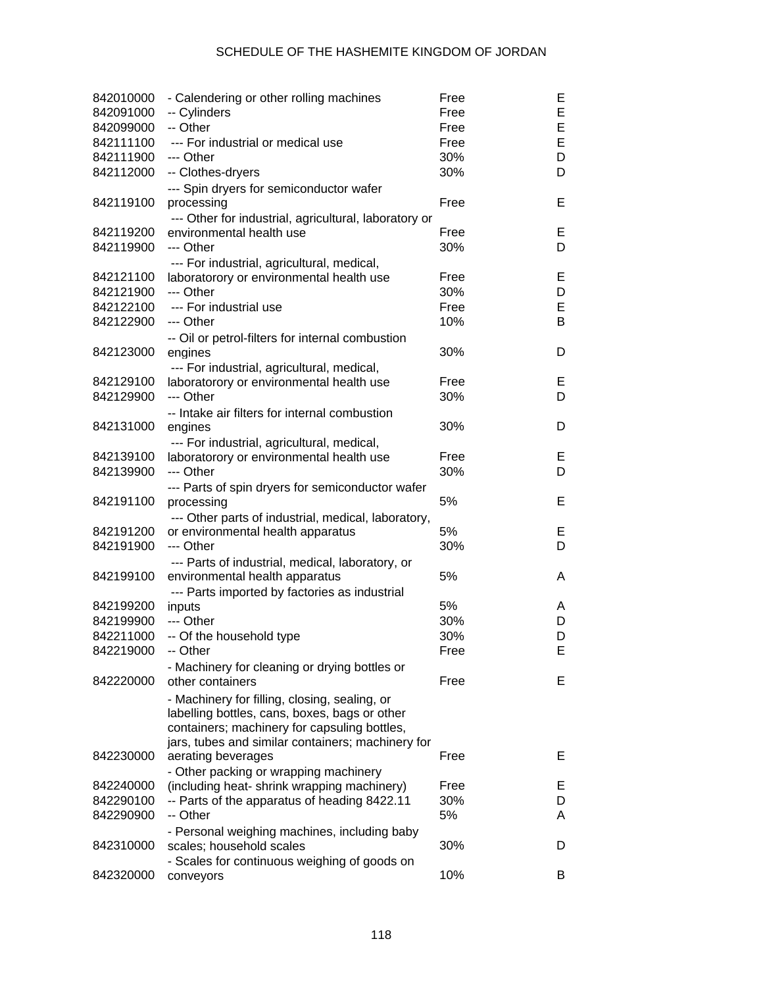| 842010000<br>842091000 | - Calendering or other rolling machines<br>-- Cylinders | Free<br>Free | Ε<br>E |
|------------------------|---------------------------------------------------------|--------------|--------|
|                        | -- Other                                                |              | E      |
| 842099000              |                                                         | Free         |        |
| 842111100              | --- For industrial or medical use                       | Free         | E      |
| 842111900              | --- Other                                               | 30%          | D      |
| 842112000              | -- Clothes-dryers                                       | 30%          | D      |
| 842119100              | --- Spin dryers for semiconductor wafer<br>processing   | Free         | Е      |
|                        | --- Other for industrial, agricultural, laboratory or   |              |        |
| 842119200              | environmental health use                                | Free         | Е      |
| 842119900              | --- Other                                               | 30%          | D      |
|                        | --- For industrial, agricultural, medical,              |              |        |
| 842121100              | laboratorory or environmental health use                | Free         | Е      |
| 842121900              | --- Other                                               | 30%          | D      |
| 842122100              | --- For industrial use                                  | Free         | E      |
| 842122900              | --- Other                                               | 10%          | B      |
|                        | -- Oil or petrol-filters for internal combustion        |              |        |
| 842123000              | engines                                                 | 30%          | D      |
|                        |                                                         |              |        |
|                        | --- For industrial, agricultural, medical,              |              | Е      |
| 842129100              | laboratorory or environmental health use                | Free         |        |
| 842129900              | --- Other                                               | 30%          | D      |
|                        | -- Intake air filters for internal combustion           |              |        |
| 842131000              | engines                                                 | 30%          | D      |
|                        | --- For industrial, agricultural, medical,              |              |        |
| 842139100              | laboratorory or environmental health use                | Free         | Е      |
| 842139900              | --- Other                                               | 30%          | D      |
|                        | --- Parts of spin dryers for semiconductor wafer        |              |        |
| 842191100              | processing                                              | 5%           | Е      |
|                        | --- Other parts of industrial, medical, laboratory,     |              |        |
| 842191200              | or environmental health apparatus                       | 5%           | Е      |
| 842191900              | --- Other                                               | 30%          | D      |
|                        | --- Parts of industrial, medical, laboratory, or        |              |        |
| 842199100              |                                                         | 5%           | A      |
|                        | environmental health apparatus                          |              |        |
|                        | --- Parts imported by factories as industrial           |              |        |
| 842199200              | inputs                                                  | 5%           | A      |
| 842199900              | --- Other                                               | 30%          | D      |
| 842211000              | -- Of the household type                                | 30%          | D      |
| 842219000              | -- Other                                                | Free         | E      |
|                        | - Machinery for cleaning or drying bottles or           |              |        |
| 842220000              | other containers                                        | Free         | Е      |
|                        | - Machinery for filling, closing, sealing, or           |              |        |
|                        | labelling bottles, cans, boxes, bags or other           |              |        |
|                        | containers; machinery for capsuling bottles,            |              |        |
|                        | jars, tubes and similar containers; machinery for       |              |        |
| 842230000              | aerating beverages                                      | Free         | Е      |
|                        | - Other packing or wrapping machinery                   |              |        |
| 842240000              | (including heat- shrink wrapping machinery)             | Free         | E.     |
| 842290100              | -- Parts of the apparatus of heading 8422.11            | 30%          | D      |
|                        |                                                         |              |        |
| 842290900              | -- Other                                                | 5%           | A      |
|                        | - Personal weighing machines, including baby            |              |        |
| 842310000              | scales; household scales                                | 30%          | D      |
|                        | - Scales for continuous weighing of goods on            |              |        |
| 842320000              | conveyors                                               | 10%          | B      |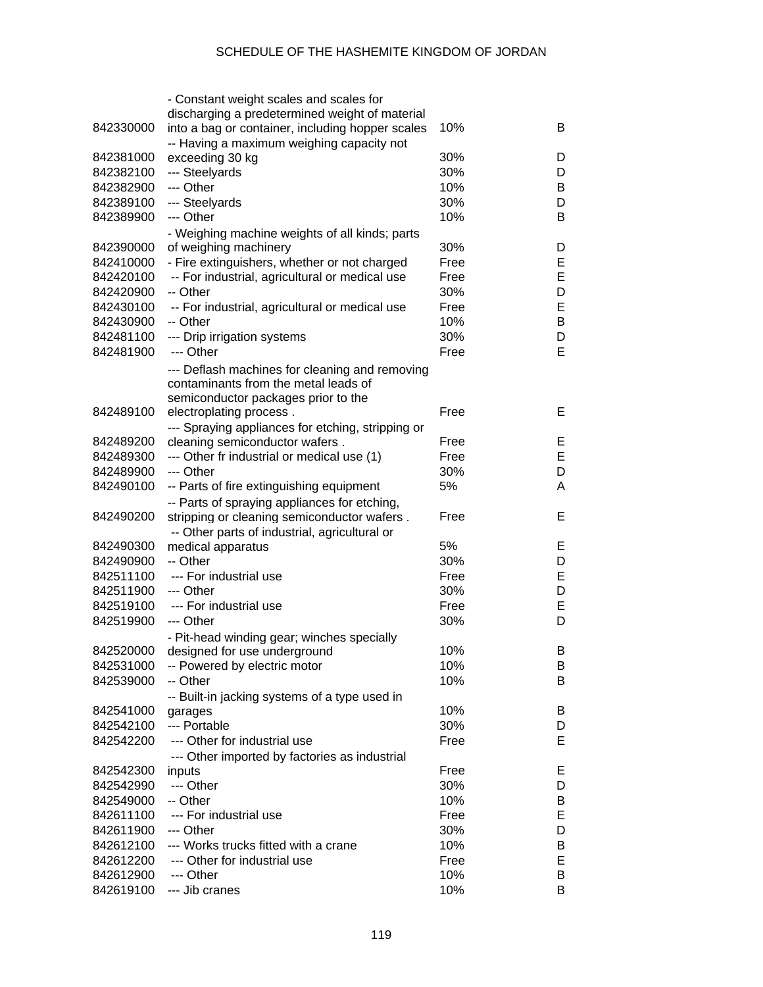|           | - Constant weight scales and scales for           |      |   |
|-----------|---------------------------------------------------|------|---|
|           | discharging a predetermined weight of material    |      |   |
| 842330000 | into a bag or container, including hopper scales  | 10%  | B |
|           | -- Having a maximum weighing capacity not         |      |   |
| 842381000 | exceeding 30 kg                                   | 30%  | D |
| 842382100 | --- Steelyards                                    | 30%  | D |
| 842382900 | --- Other                                         | 10%  | B |
| 842389100 | --- Steelyards                                    | 30%  | D |
| 842389900 | --- Other                                         | 10%  | B |
|           | - Weighing machine weights of all kinds; parts    |      |   |
| 842390000 | of weighing machinery                             | 30%  | D |
| 842410000 | - Fire extinguishers, whether or not charged      | Free | Е |
| 842420100 | -- For industrial, agricultural or medical use    | Free | E |
| 842420900 | -- Other                                          | 30%  | D |
| 842430100 | -- For industrial, agricultural or medical use    | Free | E |
| 842430900 | -- Other                                          | 10%  | В |
| 842481100 | --- Drip irrigation systems                       | 30%  | D |
| 842481900 | --- Other                                         | Free | E |
|           |                                                   |      |   |
|           | --- Deflash machines for cleaning and removing    |      |   |
|           | contaminants from the metal leads of              |      |   |
| 842489100 | semiconductor packages prior to the               | Free | Е |
|           | electroplating process.                           |      |   |
|           | --- Spraying appliances for etching, stripping or |      |   |
| 842489200 | cleaning semiconductor wafers.                    | Free | Е |
| 842489300 | --- Other fr industrial or medical use (1)        | Free | E |
| 842489900 | --- Other                                         | 30%  | D |
| 842490100 | -- Parts of fire extinguishing equipment          | 5%   | A |
|           | -- Parts of spraying appliances for etching,      |      |   |
| 842490200 | stripping or cleaning semiconductor wafers.       | Free | Е |
|           | -- Other parts of industrial, agricultural or     |      |   |
| 842490300 | medical apparatus                                 | 5%   | Е |
| 842490900 | -- Other                                          | 30%  | D |
| 842511100 | --- For industrial use                            | Free | Е |
| 842511900 | --- Other                                         | 30%  | D |
| 842519100 | --- For industrial use                            | Free | E |
| 842519900 | --- Other                                         | 30%  | D |
|           | - Pit-head winding gear; winches specially        |      |   |
| 842520000 | designed for use underground                      | 10%  | B |
| 842531000 | -- Powered by electric motor                      | 10%  | В |
| 842539000 | -- Other                                          | 10%  | B |
|           | -- Built-in jacking systems of a type used in     |      |   |
| 842541000 | garages                                           | 10%  | В |
| 842542100 | --- Portable                                      | 30%  | D |
| 842542200 | --- Other for industrial use                      | Free | Е |
|           | --- Other imported by factories as industrial     |      |   |
| 842542300 | inputs                                            | Free | Е |
| 842542990 | --- Other                                         | 30%  | D |
| 842549000 | -- Other                                          | 10%  | В |
| 842611100 | --- For industrial use                            | Free | Е |
| 842611900 | --- Other                                         | 30%  | D |
| 842612100 | --- Works trucks fitted with a crane              | 10%  | В |
| 842612200 | --- Other for industrial use                      | Free | Е |
| 842612900 | --- Other                                         | 10%  | B |
| 842619100 | --- Jib cranes                                    | 10%  | B |
|           |                                                   |      |   |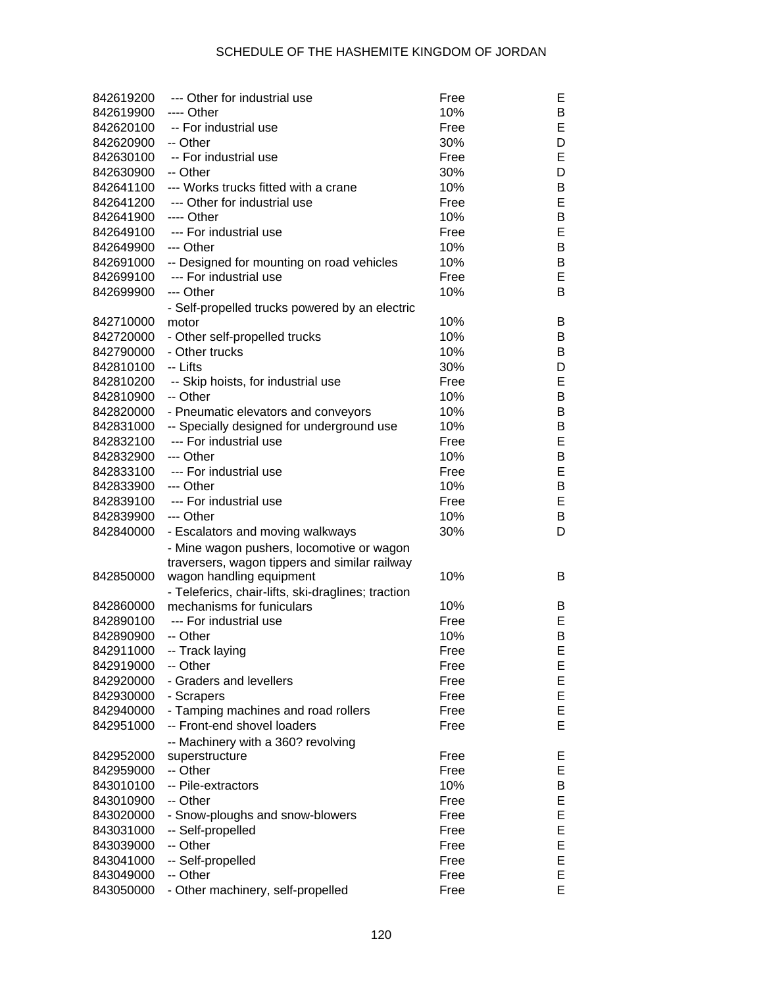| 842619200 | --- Other for industrial use                       | Free | Е  |
|-----------|----------------------------------------------------|------|----|
| 842619900 | ---- Other                                         | 10%  | В  |
| 842620100 | -- For industrial use                              | Free | Е  |
| 842620900 | -- Other                                           | 30%  | D  |
| 842630100 | -- For industrial use                              | Free | E  |
| 842630900 | -- Other                                           | 30%  | D  |
| 842641100 | --- Works trucks fitted with a crane               | 10%  | В  |
| 842641200 | --- Other for industrial use                       | Free | E  |
| 842641900 | ---- Other                                         | 10%  | B  |
| 842649100 | --- For industrial use                             | Free | E  |
| 842649900 | --- Other                                          | 10%  | B  |
| 842691000 | -- Designed for mounting on road vehicles          | 10%  | B  |
| 842699100 | --- For industrial use                             | Free | E  |
| 842699900 | --- Other                                          | 10%  | B  |
|           | - Self-propelled trucks powered by an electric     |      |    |
| 842710000 | motor                                              | 10%  | В  |
| 842720000 | - Other self-propelled trucks                      | 10%  | B  |
| 842790000 | - Other trucks                                     | 10%  | B  |
| 842810100 | -- Lifts                                           | 30%  | D  |
| 842810200 | -- Skip hoists, for industrial use                 | Free | E  |
| 842810900 | -- Other                                           | 10%  | B  |
| 842820000 | - Pneumatic elevators and conveyors                | 10%  | В  |
| 842831000 | -- Specially designed for underground use          | 10%  | B  |
| 842832100 | --- For industrial use                             | Free | E  |
|           | --- Other                                          | 10%  | B  |
| 842832900 |                                                    |      |    |
| 842833100 | --- For industrial use                             | Free | E  |
| 842833900 | --- Other                                          | 10%  | B  |
| 842839100 | --- For industrial use                             | Free | E  |
| 842839900 | --- Other                                          | 10%  | В  |
| 842840000 | - Escalators and moving walkways                   | 30%  | D  |
|           | - Mine wagon pushers, locomotive or wagon          |      |    |
|           | traversers, wagon tippers and similar railway      |      |    |
| 842850000 | wagon handling equipment                           | 10%  | B  |
|           | - Teleferics, chair-lifts, ski-draglines; traction |      |    |
| 842860000 | mechanisms for funiculars                          | 10%  | B  |
| 842890100 | --- For industrial use                             | Free | E. |
| 842890900 | -- Other                                           | 10%  | В  |
| 842911000 | -- Track laying                                    | Free | E  |
| 842919000 | -- Other                                           | Free | Е  |
| 842920000 | - Graders and levellers                            | Free | Е  |
| 842930000 | - Scrapers                                         | Free | Е  |
| 842940000 | - Tamping machines and road rollers                | Free | E  |
| 842951000 | -- Front-end shovel loaders                        | Free | Е  |
|           | -- Machinery with a 360? revolving                 |      |    |
| 842952000 | superstructure                                     | Free | Е  |
| 842959000 | -- Other                                           | Free | Е  |
| 843010100 | -- Pile-extractors                                 | 10%  | В  |
| 843010900 | -- Other                                           | Free | Е  |
| 843020000 | - Snow-ploughs and snow-blowers                    | Free | E  |
| 843031000 | -- Self-propelled                                  | Free | E  |
| 843039000 | -- Other                                           | Free | Е  |
| 843041000 | -- Self-propelled                                  | Free | Е  |
| 843049000 | -- Other                                           | Free | E  |
| 843050000 | - Other machinery, self-propelled                  | Free | E  |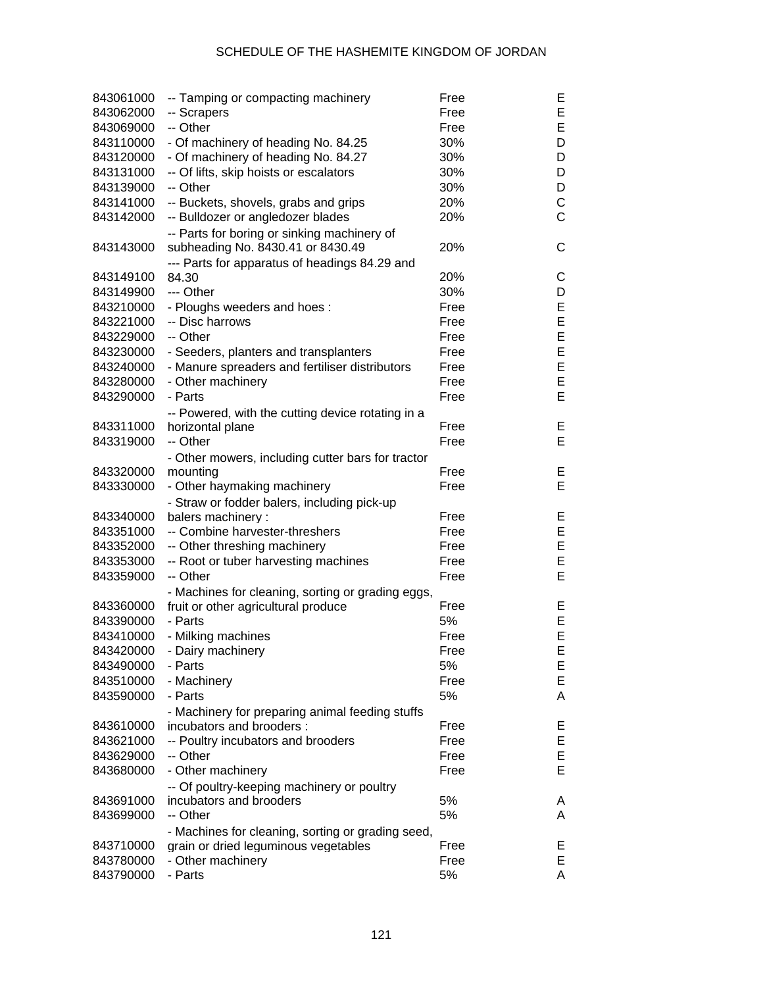| 843061000 | -- Tamping or compacting machinery                | Free | Е           |
|-----------|---------------------------------------------------|------|-------------|
| 843062000 | -- Scrapers                                       | Free | E           |
| 843069000 | -- Other                                          | Free | E           |
| 843110000 | - Of machinery of heading No. 84.25               | 30%  | D           |
| 843120000 | - Of machinery of heading No. 84.27               | 30%  | D           |
| 843131000 | -- Of lifts, skip hoists or escalators            | 30%  | D           |
| 843139000 | -- Other                                          | 30%  | D           |
| 843141000 | -- Buckets, shovels, grabs and grips              | 20%  | $\mathsf C$ |
| 843142000 | -- Bulldozer or angledozer blades                 | 20%  | C           |
|           | -- Parts for boring or sinking machinery of       |      |             |
| 843143000 | subheading No. 8430.41 or 8430.49                 | 20%  | C           |
|           | --- Parts for apparatus of headings 84.29 and     |      |             |
| 843149100 | 84.30                                             | 20%  | C           |
| 843149900 | --- Other                                         | 30%  | D           |
| 843210000 | - Ploughs weeders and hoes:                       | Free | E           |
| 843221000 | -- Disc harrows                                   | Free | E           |
| 843229000 | -- Other                                          | Free | E           |
| 843230000 | - Seeders, planters and transplanters             | Free | E           |
| 843240000 | - Manure spreaders and fertiliser distributors    | Free | E           |
| 843280000 | - Other machinery                                 | Free | E           |
| 843290000 | - Parts                                           | Free | E           |
|           | -- Powered, with the cutting device rotating in a |      |             |
| 843311000 | horizontal plane                                  | Free | E           |
| 843319000 | -- Other                                          | Free | E           |
|           | - Other mowers, including cutter bars for tractor |      |             |
| 843320000 | mounting                                          | Free | Е           |
| 843330000 | - Other haymaking machinery                       | Free | E           |
|           | - Straw or fodder balers, including pick-up       |      |             |
| 843340000 | balers machinery:                                 | Free | Е           |
| 843351000 | -- Combine harvester-threshers                    | Free | E           |
| 843352000 | -- Other threshing machinery                      | Free | E           |
| 843353000 | -- Root or tuber harvesting machines              | Free | E           |
| 843359000 | -- Other                                          | Free | E           |
|           | - Machines for cleaning, sorting or grading eggs, |      |             |
| 843360000 | fruit or other agricultural produce               | Free | Е           |
| 843390000 | - Parts                                           | 5%   | E           |
| 843410000 | - Milking machines                                | Free | E           |
| 843420000 | - Dairy machinery                                 | Free | E           |
| 843490000 | - Parts                                           | 5%   | Е           |
| 843510000 | - Machinery                                       | Free | E           |
| 843590000 | - Parts                                           | 5%   | Α           |
|           | - Machinery for preparing animal feeding stuffs   |      |             |
| 843610000 | incubators and brooders :                         | Free | Е           |
| 843621000 | -- Poultry incubators and brooders                | Free | E           |
| 843629000 | -- Other                                          | Free | E           |
| 843680000 | - Other machinery                                 | Free | E           |
|           | -- Of poultry-keeping machinery or poultry        |      |             |
| 843691000 | incubators and brooders                           | 5%   | Α           |
| 843699000 | -- Other                                          | 5%   | A           |
|           | - Machines for cleaning, sorting or grading seed, |      |             |
| 843710000 | grain or dried leguminous vegetables              | Free | Е           |
| 843780000 | - Other machinery                                 | Free | E           |
| 843790000 | - Parts                                           | 5%   | A           |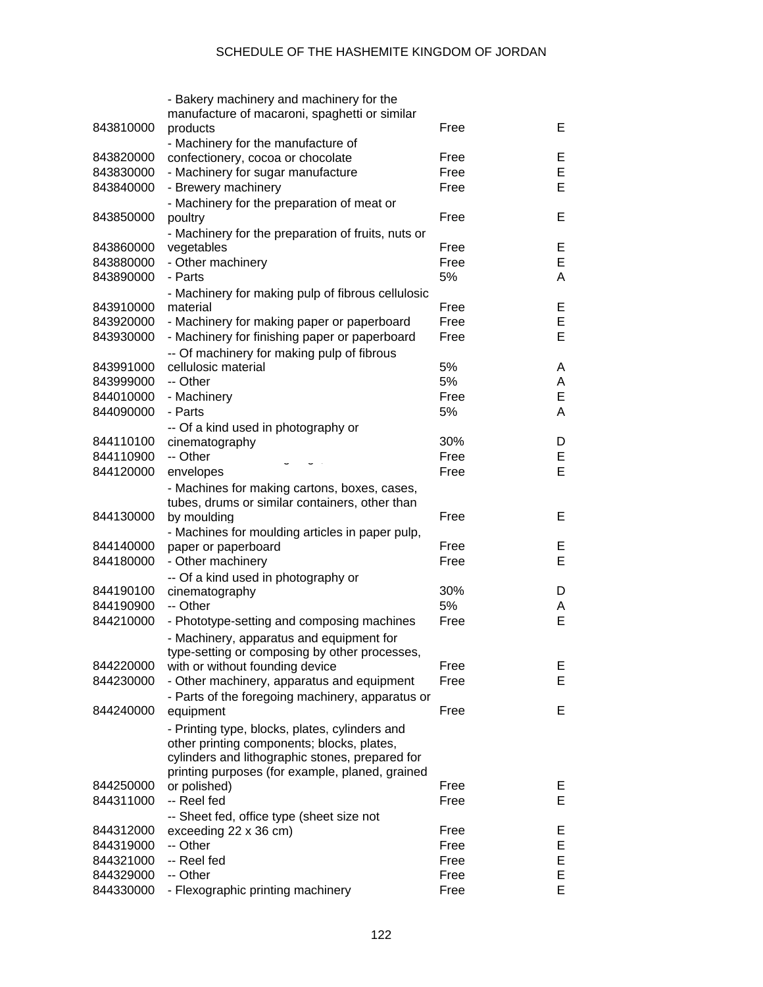|           | - Bakery machinery and machinery for the              |      |   |
|-----------|-------------------------------------------------------|------|---|
|           | manufacture of macaroni, spaghetti or similar         |      |   |
| 843810000 | products                                              | Free | E |
|           | - Machinery for the manufacture of                    |      |   |
| 843820000 | confectionery, cocoa or chocolate                     | Free | E |
| 843830000 | - Machinery for sugar manufacture                     | Free | E |
| 843840000 | - Brewery machinery                                   | Free | E |
|           | - Machinery for the preparation of meat or            |      |   |
| 843850000 | poultry                                               | Free | Е |
|           | - Machinery for the preparation of fruits, nuts or    |      |   |
| 843860000 | vegetables                                            | Free | E |
| 843880000 | - Other machinery                                     | Free | E |
| 843890000 | - Parts                                               | 5%   | Α |
|           | - Machinery for making pulp of fibrous cellulosic     |      |   |
| 843910000 | material                                              | Free | E |
| 843920000 | - Machinery for making paper or paperboard            | Free | E |
| 843930000 | - Machinery for finishing paper or paperboard         | Free | E |
|           | -- Of machinery for making pulp of fibrous            |      |   |
| 843991000 | cellulosic material                                   | 5%   | Α |
| 843999000 | -- Other                                              | 5%   | A |
| 844010000 | - Machinery                                           | Free | E |
| 844090000 | - Parts                                               | 5%   | Α |
|           |                                                       |      |   |
| 844110100 | -- Of a kind used in photography or<br>cinematography | 30%  | D |
| 844110900 | -- Other                                              | Free | E |
| 844120000 |                                                       | Free | E |
|           | envelopes                                             |      |   |
|           | - Machines for making cartons, boxes, cases,          |      |   |
| 844130000 | tubes, drums or similar containers, other than        | Free | E |
|           | by moulding                                           |      |   |
|           | - Machines for moulding articles in paper pulp,       |      |   |
| 844140000 | paper or paperboard                                   | Free | Е |
| 844180000 | - Other machinery                                     | Free | Е |
|           | -- Of a kind used in photography or                   |      |   |
| 844190100 | cinematography                                        | 30%  | D |
| 844190900 | -- Other                                              | 5%   | А |
| 844210000 | - Phototype-setting and composing machines            | Free | Е |
|           | - Machinery, apparatus and equipment for              |      |   |
|           | type-setting or composing by other processes,         |      |   |
| 844220000 | with or without founding device                       | Free | Е |
| 844230000 | - Other machinery, apparatus and equipment            | Free | Е |
|           | - Parts of the foregoing machinery, apparatus or      |      |   |
| 844240000 | equipment                                             | Free | Е |
|           | - Printing type, blocks, plates, cylinders and        |      |   |
|           | other printing components; blocks, plates,            |      |   |
|           | cylinders and lithographic stones, prepared for       |      |   |
|           | printing purposes (for example, planed, grained       |      |   |
| 844250000 | or polished)                                          | Free | Е |
| 844311000 | -- Reel fed                                           | Free | E |
|           | -- Sheet fed, office type (sheet size not             |      |   |
| 844312000 | exceeding 22 x 36 cm)                                 | Free | Е |
| 844319000 | -- Other                                              | Free | Е |
| 844321000 | -- Reel fed                                           | Free | E |
| 844329000 | -- Other                                              | Free | E |
| 844330000 | - Flexographic printing machinery                     | Free | E |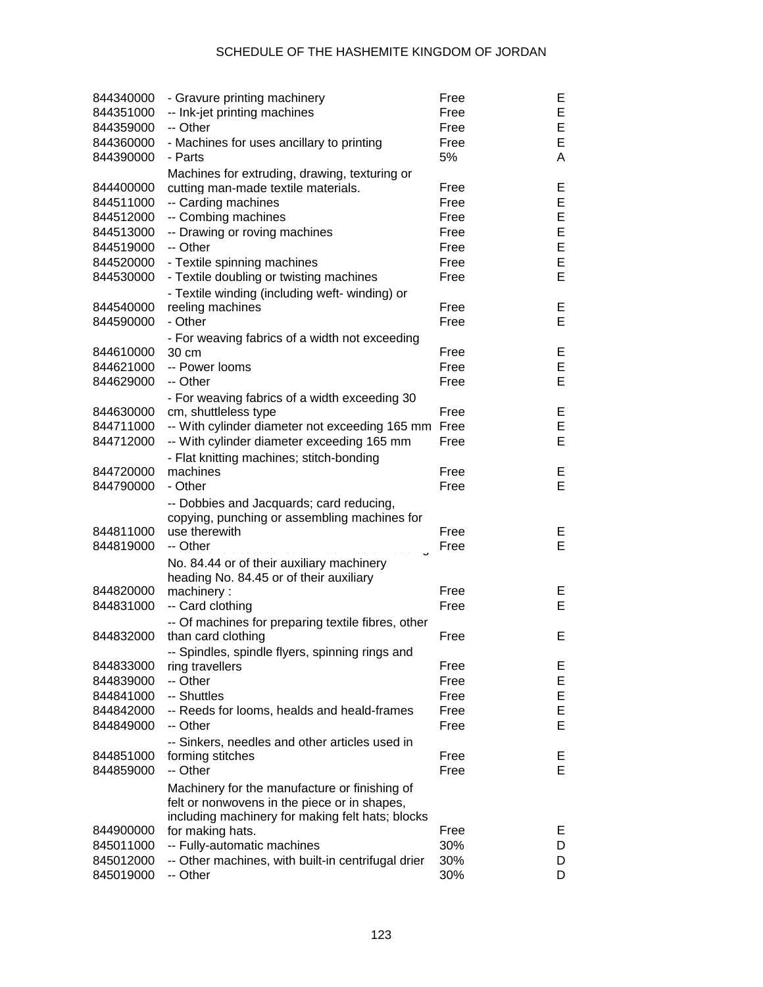| 844340000 | - Gravure printing machinery                       | Free | E |
|-----------|----------------------------------------------------|------|---|
| 844351000 | -- Ink-jet printing machines                       | Free | E |
| 844359000 | -- Other                                           | Free | E |
| 844360000 | - Machines for uses ancillary to printing          | Free | E |
| 844390000 | - Parts                                            | 5%   | A |
|           | Machines for extruding, drawing, texturing or      |      |   |
| 844400000 | cutting man-made textile materials.                | Free | Е |
| 844511000 | -- Carding machines                                | Free | E |
| 844512000 | -- Combing machines                                | Free | E |
| 844513000 | -- Drawing or roving machines                      | Free | E |
| 844519000 | -- Other                                           | Free | E |
| 844520000 | - Textile spinning machines                        | Free | E |
| 844530000 | - Textile doubling or twisting machines            | Free | E |
|           |                                                    |      |   |
|           | - Textile winding (including weft- winding) or     |      |   |
| 844540000 | reeling machines                                   | Free | Ε |
| 844590000 | - Other                                            | Free | E |
|           | - For weaving fabrics of a width not exceeding     |      |   |
| 844610000 | 30 cm                                              | Free | Ε |
| 844621000 | -- Power looms                                     | Free | E |
| 844629000 | -- Other                                           | Free | E |
|           | - For weaving fabrics of a width exceeding 30      |      |   |
| 844630000 | cm, shuttleless type                               | Free | Ε |
| 844711000 | -- With cylinder diameter not exceeding 165 mm     | Free | E |
| 844712000 | -- With cylinder diameter exceeding 165 mm         | Free | E |
|           | - Flat knitting machines; stitch-bonding           |      |   |
| 844720000 | machines                                           | Free | Е |
| 844790000 | - Other                                            | Free | E |
|           | -- Dobbies and Jacquards; card reducing,           |      |   |
|           | copying, punching or assembling machines for       |      |   |
| 844811000 | use therewith                                      | Free | Е |
| 844819000 | -- Other                                           | Free | E |
|           | No. 84.44 or of their auxiliary machinery          |      |   |
|           | heading No. 84.45 or of their auxiliary            |      |   |
| 844820000 | machinery:                                         | Free | Е |
| 844831000 | -- Card clothing                                   | Free | E |
|           | -- Of machines for preparing textile fibres, other |      |   |
| 844832000 | than card clothing                                 | Free | E |
|           | -- Spindles, spindle flyers, spinning rings and    |      |   |
| 844833000 | ring travellers                                    | Free | Е |
| 844839000 | -- Other                                           | Free | E |
| 844841000 | -- Shuttles                                        | Free | E |
| 844842000 | -- Reeds for looms, healds and heald-frames        | Free | E |
| 844849000 |                                                    |      | E |
|           | -- Other                                           | Free |   |
|           | -- Sinkers, needles and other articles used in     |      |   |
| 844851000 | forming stitches                                   | Free | Е |
| 844859000 | -- Other                                           | Free | E |
|           | Machinery for the manufacture or finishing of      |      |   |
|           | felt or nonwovens in the piece or in shapes,       |      |   |
|           | including machinery for making felt hats; blocks   |      |   |
| 844900000 | for making hats.                                   | Free | Е |
| 845011000 | -- Fully-automatic machines                        | 30%  | D |
| 845012000 | -- Other machines, with built-in centrifugal drier | 30%  | D |
| 845019000 | -- Other                                           | 30%  | D |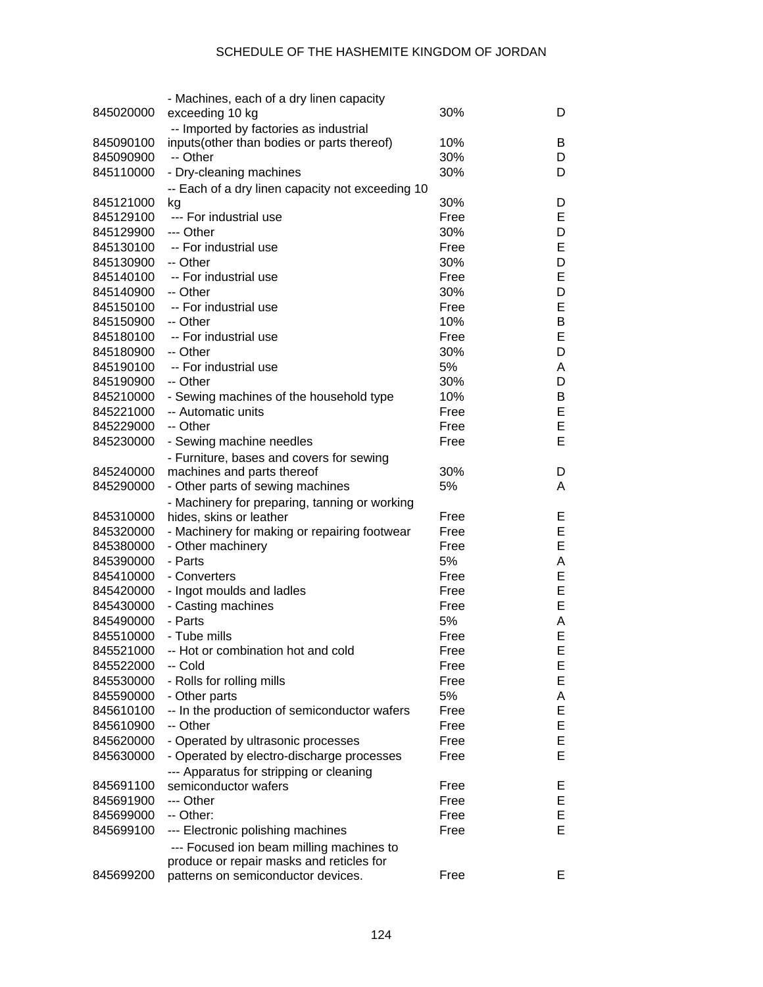|                        | - Machines, each of a dry linen capacity         |      |        |
|------------------------|--------------------------------------------------|------|--------|
| 845020000              | exceeding 10 kg                                  | 30%  | D      |
|                        | -- Imported by factories as industrial           |      |        |
| 845090100              | inputs(other than bodies or parts thereof)       | 10%  | B      |
| 845090900              | -- Other                                         | 30%  | D      |
| 845110000              | - Dry-cleaning machines                          | 30%  | D      |
|                        | -- Each of a dry linen capacity not exceeding 10 |      |        |
| 845121000              | kg                                               | 30%  | D      |
| 845129100              | --- For industrial use                           | Free | E      |
| 845129900              | --- Other                                        | 30%  | D      |
| 845130100              | -- For industrial use                            | Free | E      |
| 845130900              | -- Other                                         | 30%  | D      |
| 845140100              | -- For industrial use                            | Free | E      |
| 845140900              | -- Other                                         | 30%  | D      |
| 845150100              | -- For industrial use                            | Free | E      |
| 845150900              | -- Other                                         | 10%  | B      |
| 845180100              | -- For industrial use                            | Free | E      |
| 845180900              | -- Other                                         | 30%  | D      |
| 845190100              | -- For industrial use                            | 5%   | A      |
| 845190900              | -- Other                                         | 30%  | D      |
| 845210000              | - Sewing machines of the household type          | 10%  | B      |
| 845221000              | -- Automatic units                               | Free | E      |
| 845229000              | -- Other                                         | Free | E      |
| 845230000              | - Sewing machine needles                         | Free | E      |
|                        | - Furniture, bases and covers for sewing         |      |        |
| 845240000              | machines and parts thereof                       | 30%  | D      |
| 845290000              | - Other parts of sewing machines                 | 5%   | A      |
|                        | - Machinery for preparing, tanning or working    |      |        |
| 845310000              | hides, skins or leather                          | Free | Е      |
| 845320000              | - Machinery for making or repairing footwear     | Free | E      |
| 845380000              | - Other machinery                                | Free | E      |
| 845390000              | - Parts                                          | 5%   | A      |
| 845410000              | - Converters                                     | Free | E      |
| 845420000              | - Ingot moulds and ladles                        | Free | E      |
| 845430000              | - Casting machines                               | Free | E      |
| 845490000              | - Parts                                          | 5%   | A      |
| 845510000              | - Tube mills                                     | Free | E      |
|                        | 845521000 -- Hot or combination hot and cold     | Free | E      |
| 845522000              | -- Cold                                          | Free | E      |
| 845530000              | - Rolls for rolling mills                        | Free | E      |
|                        |                                                  | 5%   |        |
| 845590000<br>845610100 | - Other parts                                    | Free | A<br>E |
|                        | -- In the production of semiconductor wafers     |      |        |
| 845610900              | -- Other                                         | Free | E      |
| 845620000              | - Operated by ultrasonic processes               | Free | E      |
| 845630000              | - Operated by electro-discharge processes        | Free | E      |
|                        | --- Apparatus for stripping or cleaning          |      |        |
| 845691100              | semiconductor wafers                             | Free | Е      |
| 845691900              | --- Other                                        | Free | E      |
| 845699000              | -- Other:                                        | Free | Е      |
| 845699100              | --- Electronic polishing machines                | Free | E      |
|                        | --- Focused ion beam milling machines to         |      |        |
|                        | produce or repair masks and reticles for         |      |        |
| 845699200              | patterns on semiconductor devices.               | Free | Е      |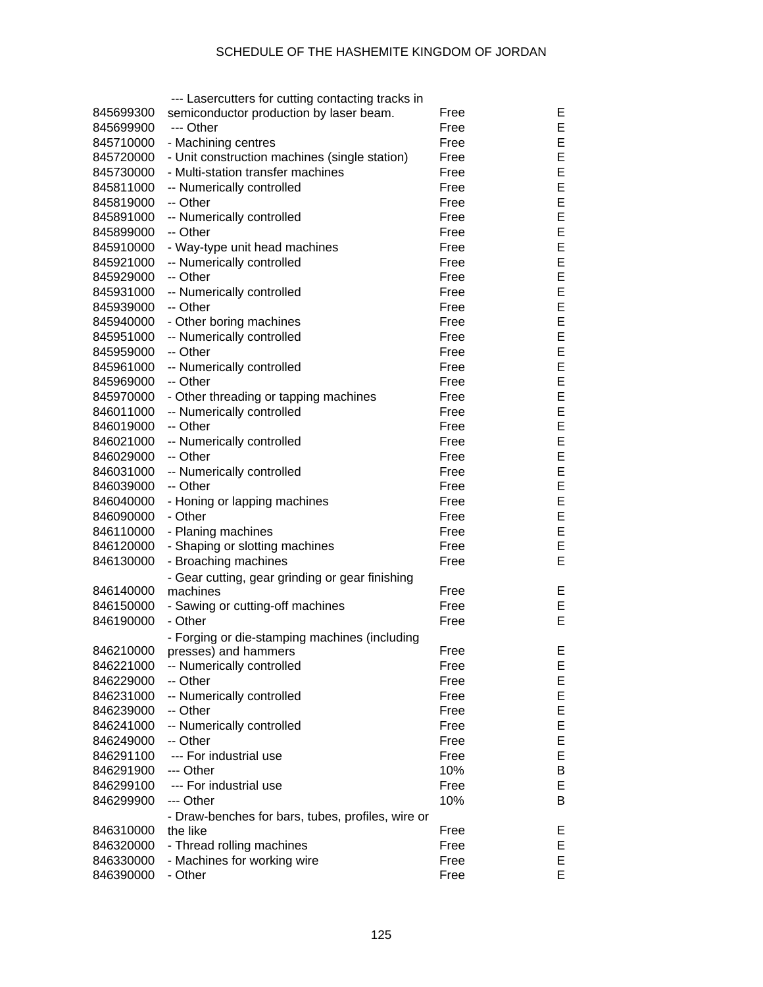|           | --- Lasercutters for cutting contacting tracks in           |      |        |
|-----------|-------------------------------------------------------------|------|--------|
| 845699300 | semiconductor production by laser beam.                     | Free | Е      |
| 845699900 | --- Other                                                   | Free | E      |
| 845710000 | - Machining centres                                         | Free | E      |
| 845720000 | - Unit construction machines (single station)               | Free | E      |
| 845730000 | - Multi-station transfer machines                           | Free | E      |
| 845811000 | -- Numerically controlled                                   | Free | E      |
| 845819000 | -- Other                                                    | Free | E      |
| 845891000 | -- Numerically controlled                                   | Free | E      |
| 845899000 | -- Other                                                    | Free | E      |
| 845910000 | - Way-type unit head machines                               | Free | E      |
| 845921000 | -- Numerically controlled                                   | Free | E      |
| 845929000 | -- Other                                                    | Free | E      |
| 845931000 | -- Numerically controlled                                   | Free | E      |
| 845939000 | -- Other                                                    | Free | E      |
| 845940000 | - Other boring machines                                     | Free | E      |
| 845951000 | -- Numerically controlled                                   | Free | E      |
| 845959000 | -- Other                                                    | Free | E      |
| 845961000 | -- Numerically controlled                                   | Free | E      |
| 845969000 | -- Other                                                    | Free | E      |
| 845970000 | - Other threading or tapping machines                       | Free | E      |
| 846011000 | -- Numerically controlled                                   | Free | E      |
| 846019000 | -- Other                                                    | Free | E      |
| 846021000 | -- Numerically controlled                                   | Free | E      |
| 846029000 | -- Other                                                    | Free | E      |
| 846031000 | -- Numerically controlled                                   | Free | E      |
| 846039000 | -- Other                                                    | Free | E      |
| 846040000 |                                                             | Free | E      |
| 846090000 | - Honing or lapping machines<br>- Other                     | Free | E      |
| 846110000 | - Planing machines                                          | Free | E      |
| 846120000 |                                                             | Free | E      |
| 846130000 | - Shaping or slotting machines<br>- Broaching machines      | Free | E      |
|           |                                                             |      |        |
| 846140000 | - Gear cutting, gear grinding or gear finishing<br>machines | Free |        |
|           |                                                             | Free | Ε<br>E |
| 846150000 | - Sawing or cutting-off machines<br>- Other                 |      | E      |
| 846190000 |                                                             | Free |        |
|           | - Forging or die-stamping machines (including               |      | Е      |
| 846210000 | presses) and hammers                                        | Free |        |
| 846221000 | -- Numerically controlled                                   | Free | E      |
| 846229000 | -- Other                                                    | Free | E      |
| 846231000 | -- Numerically controlled                                   | Free | E      |
| 846239000 | -- Other                                                    | Free | E      |
| 846241000 | -- Numerically controlled                                   | Free | E      |
| 846249000 | -- Other                                                    | Free | E      |
| 846291100 | --- For industrial use                                      | Free | E      |
| 846291900 | --- Other                                                   | 10%  | Β      |
| 846299100 | --- For industrial use                                      | Free | E      |
| 846299900 | --- Other                                                   | 10%  | B      |
|           | - Draw-benches for bars, tubes, profiles, wire or           |      |        |
| 846310000 | the like                                                    | Free | Ε      |
| 846320000 | - Thread rolling machines                                   | Free | Е      |
| 846330000 | - Machines for working wire                                 | Free | E      |
| 846390000 | - Other                                                     | Free | E      |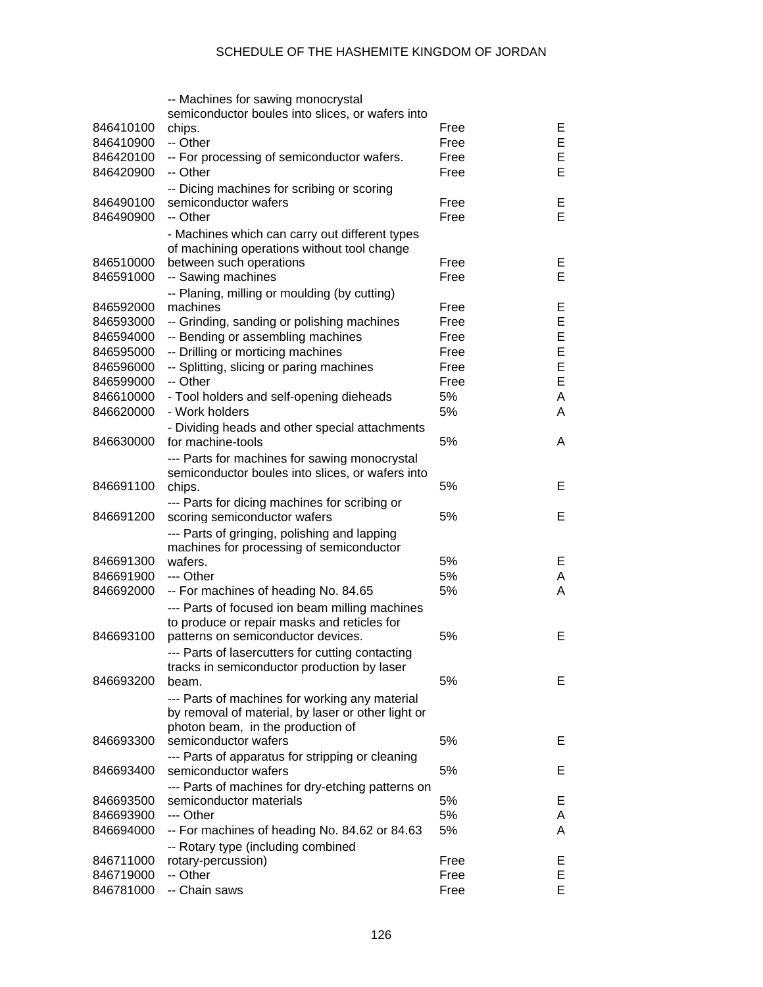|           | -- Machines for sawing monocrystal                   |      |    |
|-----------|------------------------------------------------------|------|----|
|           | semiconductor boules into slices, or wafers into     |      |    |
| 846410100 | chips.                                               | Free | Е  |
| 846410900 | -- Other                                             | Free | E  |
| 846420100 | -- For processing of semiconductor wafers.           | Free | E  |
| 846420900 | -- Other                                             | Free | E  |
|           | -- Dicing machines for scribing or scoring           |      |    |
| 846490100 | semiconductor wafers                                 | Free | Е  |
| 846490900 | -- Other                                             | Free | E  |
|           |                                                      |      |    |
|           | - Machines which can carry out different types       |      |    |
|           | of machining operations without tool change          |      |    |
| 846510000 | between such operations                              | Free | Е  |
| 846591000 | -- Sawing machines                                   | Free | Е  |
|           | -- Planing, milling or moulding (by cutting)         |      |    |
| 846592000 | machines                                             | Free | Е  |
| 846593000 | -- Grinding, sanding or polishing machines           | Free | E  |
| 846594000 | -- Bending or assembling machines                    | Free | E  |
| 846595000 | -- Drilling or morticing machines                    | Free | E  |
| 846596000 | -- Splitting, slicing or paring machines             | Free | E  |
| 846599000 | -- Other                                             | Free | E  |
| 846610000 | - Tool holders and self-opening dieheads             | 5%   | A  |
| 846620000 | - Work holders                                       | 5%   | A  |
|           | - Dividing heads and other special attachments       |      |    |
| 846630000 | for machine-tools                                    | 5%   | A  |
|           |                                                      |      |    |
|           | --- Parts for machines for sawing monocrystal        |      |    |
|           | semiconductor boules into slices, or wafers into     |      |    |
| 846691100 | chips.                                               | 5%   | Е  |
|           | --- Parts for dicing machines for scribing or        |      |    |
| 846691200 | scoring semiconductor wafers                         | 5%   | Е  |
|           | --- Parts of gringing, polishing and lapping         |      |    |
|           | machines for processing of semiconductor             |      |    |
| 846691300 | wafers.                                              | 5%   | Е  |
| 846691900 | --- Other                                            | 5%   | A  |
| 846692000 | -- For machines of heading No. 84.65                 | 5%   | A  |
|           | --- Parts of focused ion beam milling machines       |      |    |
|           | to produce or repair masks and reticles for          |      |    |
| 846693100 | patterns on semiconductor devices.                   | 5%   | Е  |
|           | --- Parts of lasercutters for cutting contacting     |      |    |
|           |                                                      |      |    |
| 846693200 | tracks in semiconductor production by laser<br>beam. | 5%   | E  |
|           |                                                      |      |    |
|           | --- Parts of machines for working any material       |      |    |
|           | by removal of material, by laser or other light or   |      |    |
|           | photon beam, in the production of                    |      |    |
| 846693300 | semiconductor wafers                                 | 5%   | Е  |
|           | --- Parts of apparatus for stripping or cleaning     |      |    |
| 846693400 | semiconductor wafers                                 | 5%   | Е  |
|           | --- Parts of machines for dry-etching patterns on    |      |    |
| 846693500 | semiconductor materials                              | 5%   | E. |
| 846693900 | --- Other                                            | 5%   | A  |
| 846694000 | -- For machines of heading No. 84.62 or 84.63        | 5%   | A  |
|           | -- Rotary type (including combined                   |      |    |
| 846711000 | rotary-percussion)                                   | Free | Е  |
| 846719000 | -- Other                                             | Free | E  |
| 846781000 | -- Chain saws                                        | Free | Е  |
|           |                                                      |      |    |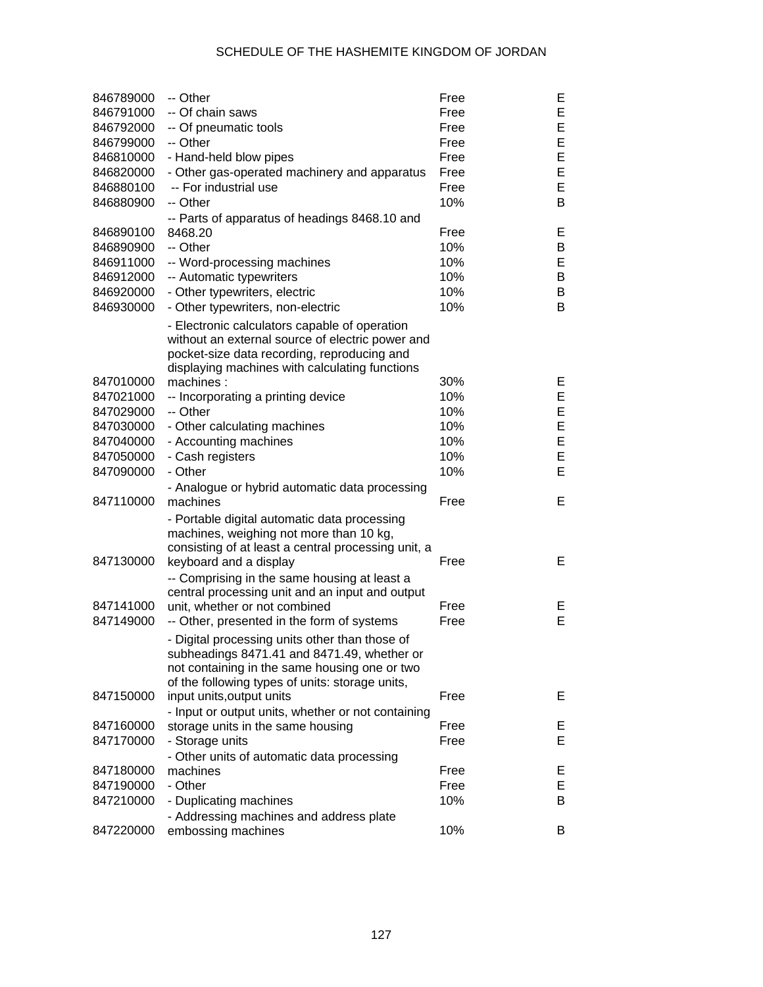| 846789000 | -- Other                                                    | Free | Е  |
|-----------|-------------------------------------------------------------|------|----|
| 846791000 | -- Of chain saws                                            | Free | E  |
| 846792000 | -- Of pneumatic tools                                       | Free | E  |
| 846799000 | -- Other                                                    | Free | E  |
| 846810000 | - Hand-held blow pipes                                      | Free | E  |
| 846820000 | - Other gas-operated machinery and apparatus                | Free | E  |
| 846880100 | -- For industrial use                                       | Free | E  |
| 846880900 | -- Other                                                    | 10%  | B  |
|           | -- Parts of apparatus of headings 8468.10 and               |      |    |
| 846890100 | 8468.20                                                     | Free | Е  |
| 846890900 | -- Other                                                    | 10%  | B  |
| 846911000 | -- Word-processing machines                                 | 10%  | E  |
| 846912000 | -- Automatic typewriters                                    | 10%  | B  |
| 846920000 | - Other typewriters, electric                               | 10%  | B  |
| 846930000 | - Other typewriters, non-electric                           | 10%  | B  |
|           | - Electronic calculators capable of operation               |      |    |
|           | without an external source of electric power and            |      |    |
|           | pocket-size data recording, reproducing and                 |      |    |
| 847010000 | displaying machines with calculating functions<br>machines: | 30%  | Е  |
| 847021000 | -- Incorporating a printing device                          | 10%  | E  |
| 847029000 | -- Other                                                    | 10%  | E  |
| 847030000 | - Other calculating machines                                | 10%  | E  |
| 847040000 | - Accounting machines                                       | 10%  | E  |
| 847050000 | - Cash registers                                            | 10%  | E  |
| 847090000 | - Other                                                     | 10%  | E  |
|           | - Analogue or hybrid automatic data processing              |      |    |
| 847110000 | machines                                                    | Free | Е  |
|           | - Portable digital automatic data processing                |      |    |
|           | machines, weighing not more than 10 kg,                     |      |    |
|           | consisting of at least a central processing unit, a         |      |    |
| 847130000 | keyboard and a display                                      | Free | Е  |
|           | -- Comprising in the same housing at least a                |      |    |
|           | central processing unit and an input and output             |      |    |
| 847141000 | unit, whether or not combined                               | Free | Е  |
| 847149000 | -- Other, presented in the form of systems                  | Free | E  |
|           | - Digital processing units other than those of              |      |    |
|           | subheadings 8471.41 and 8471.49, whether or                 |      |    |
|           | not containing in the same housing one or two               |      |    |
|           | of the following types of units: storage units,             |      |    |
| 847150000 | input units, output units                                   | Free | E. |
|           | - Input or output units, whether or not containing          |      |    |
| 847160000 | storage units in the same housing                           | Free | E  |
| 847170000 | - Storage units                                             | Free | Е  |
|           | - Other units of automatic data processing                  |      |    |
| 847180000 | machines                                                    | Free | Е  |
| 847190000 | - Other                                                     | Free | Е  |
| 847210000 | - Duplicating machines                                      | 10%  | B  |
|           | - Addressing machines and address plate                     |      |    |
| 847220000 | embossing machines                                          | 10%  | B  |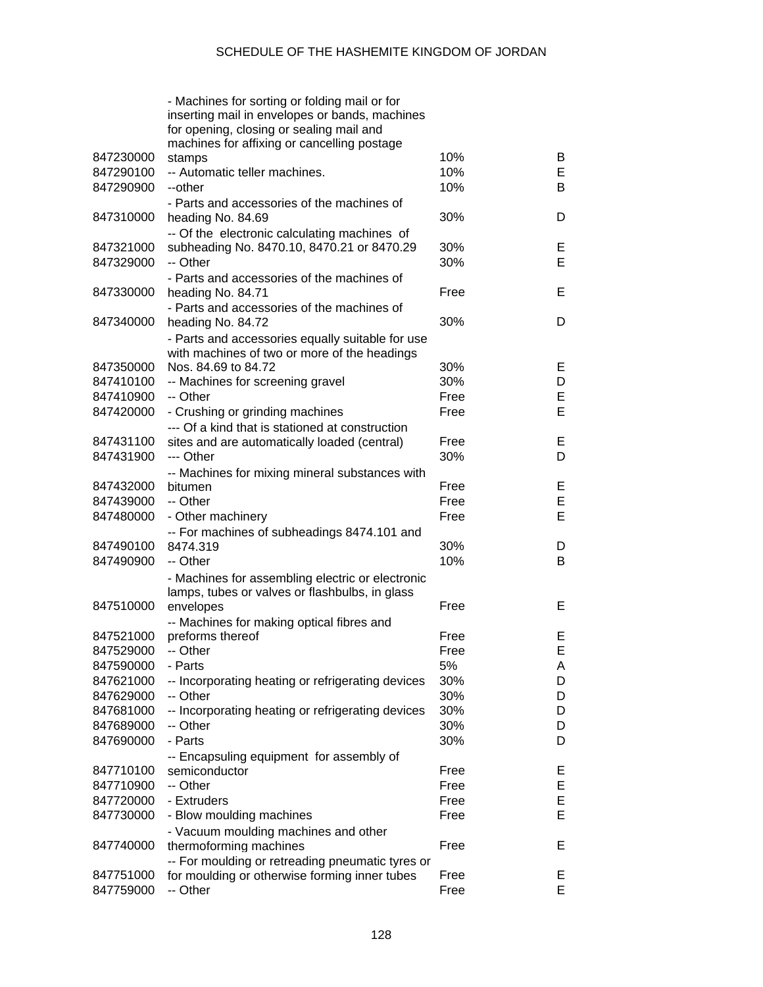|           | - Machines for sorting or folding mail or for<br>inserting mail in envelopes or bands, machines<br>for opening, closing or sealing mail and<br>machines for affixing or cancelling postage |      |    |
|-----------|--------------------------------------------------------------------------------------------------------------------------------------------------------------------------------------------|------|----|
| 847230000 | stamps                                                                                                                                                                                     | 10%  | B  |
| 847290100 | -- Automatic teller machines.                                                                                                                                                              | 10%  | Е  |
| 847290900 | --other                                                                                                                                                                                    | 10%  | B  |
|           | - Parts and accessories of the machines of                                                                                                                                                 |      |    |
|           |                                                                                                                                                                                            |      |    |
| 847310000 | heading No. 84.69                                                                                                                                                                          | 30%  | D  |
|           | -- Of the electronic calculating machines of                                                                                                                                               |      |    |
| 847321000 | subheading No. 8470.10, 8470.21 or 8470.29                                                                                                                                                 | 30%  | Е  |
| 847329000 | -- Other                                                                                                                                                                                   | 30%  | E  |
|           | - Parts and accessories of the machines of                                                                                                                                                 |      |    |
| 847330000 |                                                                                                                                                                                            | Free | E  |
|           | heading No. 84.71                                                                                                                                                                          |      |    |
|           | - Parts and accessories of the machines of                                                                                                                                                 |      |    |
| 847340000 | heading No. 84.72                                                                                                                                                                          | 30%  | D  |
|           | - Parts and accessories equally suitable for use                                                                                                                                           |      |    |
|           | with machines of two or more of the headings                                                                                                                                               |      |    |
| 847350000 | Nos. 84.69 to 84.72                                                                                                                                                                        | 30%  | Е  |
| 847410100 |                                                                                                                                                                                            | 30%  | D  |
|           | -- Machines for screening gravel                                                                                                                                                           |      |    |
| 847410900 | -- Other                                                                                                                                                                                   | Free | E  |
| 847420000 | - Crushing or grinding machines                                                                                                                                                            | Free | E  |
|           | --- Of a kind that is stationed at construction                                                                                                                                            |      |    |
| 847431100 | sites and are automatically loaded (central)                                                                                                                                               | Free | Е  |
| 847431900 | --- Other                                                                                                                                                                                  | 30%  | D  |
|           |                                                                                                                                                                                            |      |    |
|           | -- Machines for mixing mineral substances with                                                                                                                                             |      |    |
| 847432000 | bitumen                                                                                                                                                                                    | Free | Е  |
| 847439000 | -- Other                                                                                                                                                                                   | Free | E  |
| 847480000 | - Other machinery                                                                                                                                                                          | Free | E  |
|           | -- For machines of subheadings 8474.101 and                                                                                                                                                |      |    |
| 847490100 | 8474.319                                                                                                                                                                                   | 30%  | D  |
| 847490900 | -- Other                                                                                                                                                                                   | 10%  | B  |
|           |                                                                                                                                                                                            |      |    |
|           | - Machines for assembling electric or electronic                                                                                                                                           |      |    |
|           | lamps, tubes or valves or flashbulbs, in glass                                                                                                                                             |      |    |
| 847510000 | envelopes                                                                                                                                                                                  | Free | E  |
|           | -- Machines for making optical fibres and                                                                                                                                                  |      |    |
| 847521000 | preforms thereof                                                                                                                                                                           | Free | Е  |
| 847529000 | -- Other                                                                                                                                                                                   | Free | F. |
| 847590000 | - Parts                                                                                                                                                                                    | 5%   | A  |
|           |                                                                                                                                                                                            |      |    |
| 847621000 | -- Incorporating heating or refrigerating devices                                                                                                                                          | 30%  | D  |
| 847629000 | -- Other                                                                                                                                                                                   | 30%  | D  |
| 847681000 | -- Incorporating heating or refrigerating devices                                                                                                                                          | 30%  | D  |
| 847689000 | -- Other                                                                                                                                                                                   | 30%  | D  |
| 847690000 | - Parts                                                                                                                                                                                    | 30%  | D  |
|           | -- Encapsuling equipment for assembly of                                                                                                                                                   |      |    |
| 847710100 |                                                                                                                                                                                            |      |    |
|           | semiconductor                                                                                                                                                                              | Free | Е  |
| 847710900 | -- Other                                                                                                                                                                                   | Free | E  |
| 847720000 | - Extruders                                                                                                                                                                                | Free | E  |
| 847730000 | - Blow moulding machines                                                                                                                                                                   | Free | Е  |
|           | - Vacuum moulding machines and other                                                                                                                                                       |      |    |
| 847740000 | thermoforming machines                                                                                                                                                                     | Free | Е  |
|           |                                                                                                                                                                                            |      |    |
|           | -- For moulding or retreading pneumatic tyres or                                                                                                                                           |      |    |
| 847751000 | for moulding or otherwise forming inner tubes                                                                                                                                              | Free | Е  |
| 847759000 | -- Other                                                                                                                                                                                   | Free | E  |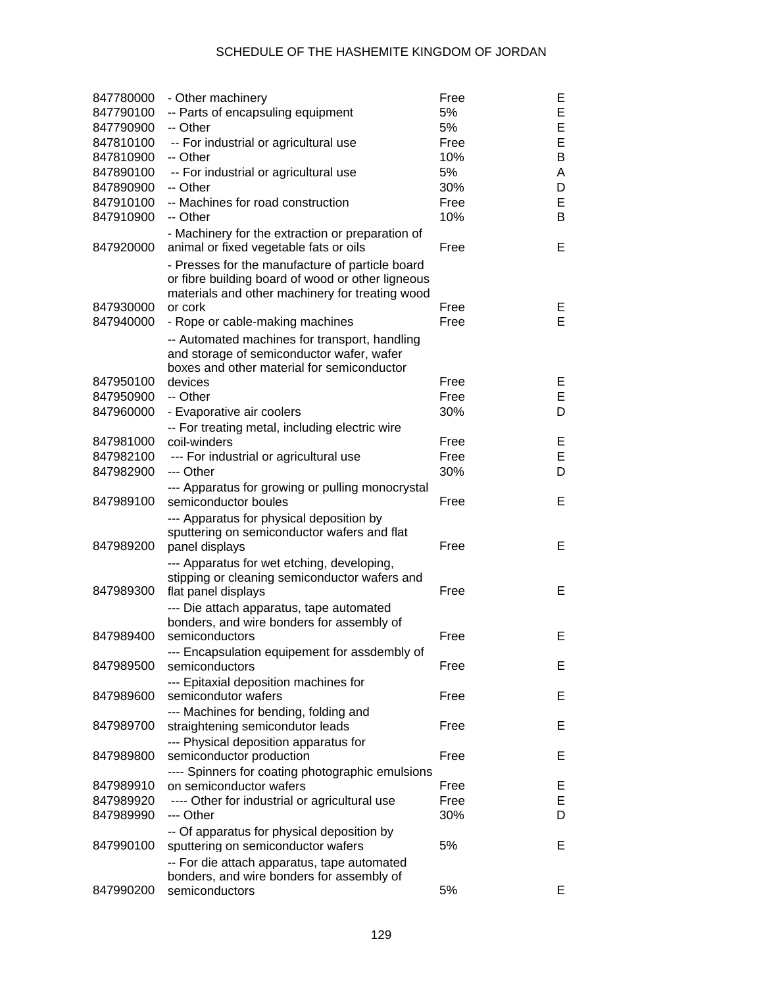| 847780000 | - Other machinery                                                                                                                                       | Free | Е |
|-----------|---------------------------------------------------------------------------------------------------------------------------------------------------------|------|---|
| 847790100 | -- Parts of encapsuling equipment                                                                                                                       | 5%   | E |
| 847790900 | -- Other                                                                                                                                                | 5%   | E |
| 847810100 | -- For industrial or agricultural use                                                                                                                   | Free | E |
| 847810900 | -- Other                                                                                                                                                | 10%  | B |
| 847890100 | -- For industrial or agricultural use                                                                                                                   | 5%   | A |
| 847890900 | -- Other                                                                                                                                                | 30%  | D |
| 847910100 | -- Machines for road construction                                                                                                                       | Free | E |
| 847910900 | -- Other                                                                                                                                                | 10%  | B |
| 847920000 | - Machinery for the extraction or preparation of<br>animal or fixed vegetable fats or oils                                                              | Free | Е |
|           | - Presses for the manufacture of particle board<br>or fibre building board of wood or other ligneous<br>materials and other machinery for treating wood |      |   |
| 847930000 | or cork                                                                                                                                                 | Free | Е |
| 847940000 | - Rope or cable-making machines                                                                                                                         | Free | E |
|           | -- Automated machines for transport, handling<br>and storage of semiconductor wafer, wafer<br>boxes and other material for semiconductor                |      |   |
| 847950100 | devices                                                                                                                                                 | Free | Е |
| 847950900 | -- Other                                                                                                                                                | Free | E |
| 847960000 | - Evaporative air coolers                                                                                                                               | 30%  | D |
|           | -- For treating metal, including electric wire                                                                                                          |      |   |
| 847981000 | coil-winders                                                                                                                                            | Free | Е |
| 847982100 | --- For industrial or agricultural use                                                                                                                  | Free | E |
| 847982900 | --- Other                                                                                                                                               | 30%  | D |
|           |                                                                                                                                                         |      |   |
| 847989100 | --- Apparatus for growing or pulling monocrystal<br>semiconductor boules                                                                                | Free | Е |
| 847989200 | --- Apparatus for physical deposition by<br>sputtering on semiconductor wafers and flat<br>panel displays                                               | Free | Е |
|           | --- Apparatus for wet etching, developing,                                                                                                              |      |   |
| 847989300 | stipping or cleaning semiconductor wafers and<br>flat panel displays                                                                                    | Free | Е |
|           | --- Die attach apparatus, tape automated                                                                                                                |      |   |
|           | bonders, and wire bonders for assembly of                                                                                                               |      |   |
| 847989400 | semiconductors                                                                                                                                          | Free | Е |
|           | --- Encapsulation equipement for assdembly of                                                                                                           |      |   |
| 847989500 | semiconductors                                                                                                                                          | Free | Е |
|           | --- Epitaxial deposition machines for                                                                                                                   |      |   |
| 847989600 | semicondutor wafers                                                                                                                                     | Free | Е |
|           | --- Machines for bending, folding and                                                                                                                   |      |   |
| 847989700 | straightening semicondutor leads                                                                                                                        | Free | Е |
|           | --- Physical deposition apparatus for                                                                                                                   |      |   |
| 847989800 | semiconductor production                                                                                                                                | Free | Е |
|           | ---- Spinners for coating photographic emulsions                                                                                                        |      |   |
| 847989910 | on semiconductor wafers                                                                                                                                 | Free | Е |
| 847989920 | ---- Other for industrial or agricultural use                                                                                                           | Free | E |
| 847989990 | --- Other                                                                                                                                               | 30%  | D |
|           | -- Of apparatus for physical deposition by                                                                                                              |      |   |
| 847990100 | sputtering on semiconductor wafers                                                                                                                      | 5%   | Е |
|           |                                                                                                                                                         |      |   |
|           | -- For die attach apparatus, tape automated                                                                                                             |      |   |
| 847990200 | bonders, and wire bonders for assembly of<br>semiconductors                                                                                             | 5%   | Е |
|           |                                                                                                                                                         |      |   |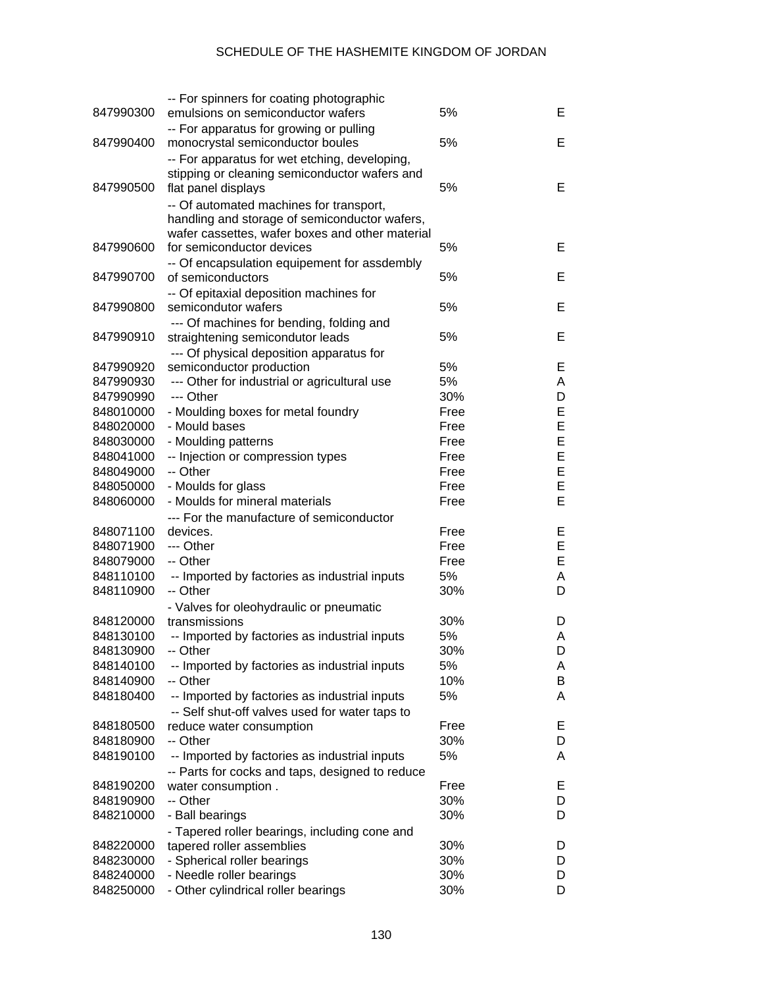| 847990300 | -- For spinners for coating photographic<br>emulsions on semiconductor wafers | 5%   | Е |
|-----------|-------------------------------------------------------------------------------|------|---|
|           | -- For apparatus for growing or pulling                                       |      |   |
| 847990400 | monocrystal semiconductor boules                                              | 5%   | Е |
|           |                                                                               |      |   |
|           | -- For apparatus for wet etching, developing,                                 |      |   |
| 847990500 | stipping or cleaning semiconductor wafers and                                 | 5%   | Е |
|           | flat panel displays                                                           |      |   |
|           | -- Of automated machines for transport,                                       |      |   |
|           | handling and storage of semiconductor wafers,                                 |      |   |
|           | wafer cassettes, wafer boxes and other material                               |      |   |
| 847990600 | for semiconductor devices                                                     | 5%   | Е |
|           | -- Of encapsulation equipement for assdembly                                  |      |   |
| 847990700 | of semiconductors                                                             | 5%   | Е |
|           | -- Of epitaxial deposition machines for                                       |      |   |
| 847990800 | semicondutor wafers                                                           | 5%   | Е |
|           | --- Of machines for bending, folding and                                      |      |   |
| 847990910 | straightening semicondutor leads                                              | 5%   | Е |
|           | --- Of physical deposition apparatus for                                      |      |   |
| 847990920 | semiconductor production                                                      | 5%   | Е |
| 847990930 | --- Other for industrial or agricultural use                                  | 5%   | A |
| 847990990 | --- Other                                                                     | 30%  | D |
| 848010000 | - Moulding boxes for metal foundry                                            | Free | E |
| 848020000 | - Mould bases                                                                 | Free | E |
| 848030000 | - Moulding patterns                                                           | Free | E |
| 848041000 | -- Injection or compression types                                             | Free | E |
| 848049000 | -- Other                                                                      | Free | E |
| 848050000 | - Moulds for glass                                                            | Free | E |
| 848060000 | - Moulds for mineral materials                                                | Free | E |
|           | --- For the manufacture of semiconductor                                      |      |   |
| 848071100 | devices.                                                                      | Free | Е |
| 848071900 | --- Other                                                                     | Free | E |
| 848079000 | -- Other                                                                      | Free | E |
| 848110100 | -- Imported by factories as industrial inputs                                 | 5%   | A |
| 848110900 | -- Other                                                                      | 30%  | D |
|           | - Valves for oleohydraulic or pneumatic                                       |      |   |
| 848120000 | transmissions                                                                 | 30%  | D |
| 848130100 | -- Imported by factories as industrial inputs                                 | 5%   | A |
| 848130900 | Other                                                                         | 30%  | D |
| 848140100 | -- Imported by factories as industrial inputs                                 | 5%   | A |
| 848140900 | -- Other                                                                      | 10%  | B |
| 848180400 | -- Imported by factories as industrial inputs                                 | 5%   | A |
|           | -- Self shut-off valves used for water taps to                                |      |   |
| 848180500 | reduce water consumption                                                      | Free | Ε |
| 848180900 | -- Other                                                                      | 30%  | D |
| 848190100 | -- Imported by factories as industrial inputs                                 | 5%   | A |
|           | -- Parts for cocks and taps, designed to reduce                               |      |   |
| 848190200 | water consumption.                                                            | Free | E |
| 848190900 | -- Other                                                                      | 30%  | D |
| 848210000 | - Ball bearings                                                               | 30%  | D |
|           | - Tapered roller bearings, including cone and                                 |      |   |
|           |                                                                               |      |   |
| 848220000 |                                                                               | 30%  | D |
| 848230000 | tapered roller assemblies<br>- Spherical roller bearings                      | 30%  | D |
| 848240000 | - Needle roller bearings                                                      | 30%  | D |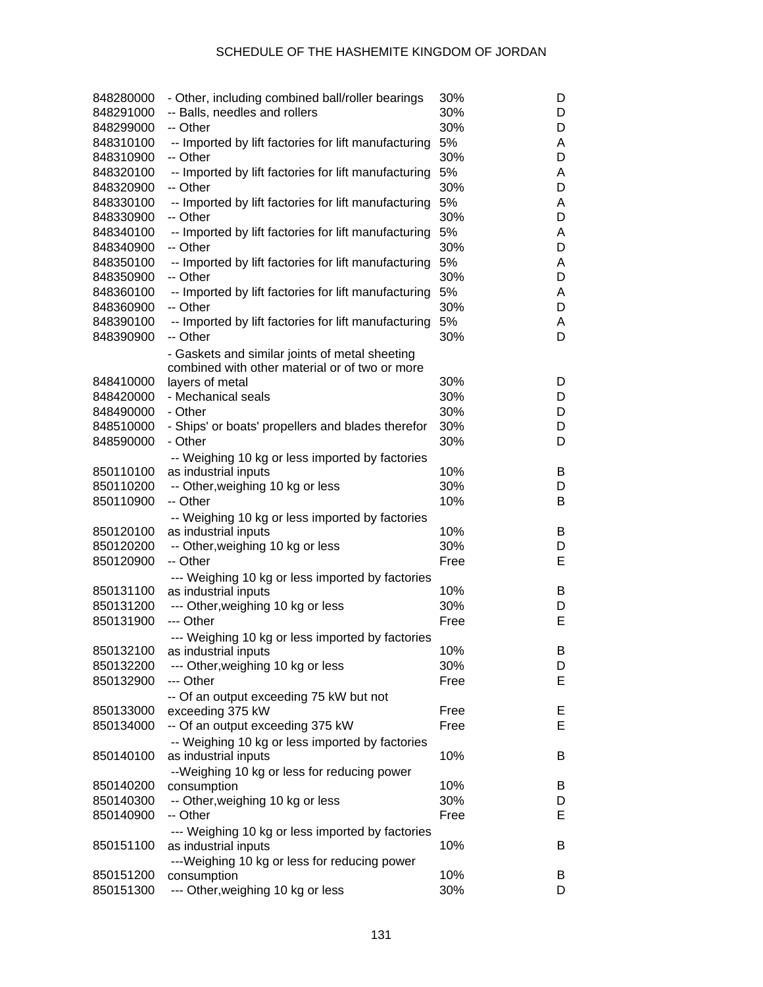| 848280000<br>848291000 | - Other, including combined ball/roller bearings<br>-- Balls, needles and rollers | 30%<br>30% | D<br>D |
|------------------------|-----------------------------------------------------------------------------------|------------|--------|
| 848299000              | -- Other                                                                          | 30%        | D      |
| 848310100              | -- Imported by lift factories for lift manufacturing                              | 5%         | A      |
| 848310900              | -- Other                                                                          | 30%        | D      |
| 848320100              | -- Imported by lift factories for lift manufacturing                              | 5%         | A      |
| 848320900              | -- Other                                                                          | 30%        | D      |
|                        |                                                                                   |            |        |
| 848330100              | -- Imported by lift factories for lift manufacturing                              | 5%         | A      |
| 848330900              | -- Other                                                                          | 30%        | D      |
| 848340100<br>848340900 | -- Imported by lift factories for lift manufacturing<br>-- Other                  | 5%<br>30%  | A<br>D |
| 848350100              | -- Imported by lift factories for lift manufacturing                              | 5%         | A      |
| 848350900              | -- Other                                                                          | 30%        | D      |
| 848360100              | -- Imported by lift factories for lift manufacturing                              | 5%         | A      |
| 848360900              | -- Other                                                                          | 30%        | D      |
| 848390100              | -- Imported by lift factories for lift manufacturing                              | 5%         | A      |
| 848390900              | -- Other                                                                          | 30%        | D      |
|                        | - Gaskets and similar joints of metal sheeting                                    |            |        |
|                        | combined with other material or of two or more                                    |            |        |
|                        |                                                                                   |            |        |
| 848410000              | layers of metal                                                                   | 30%        | D      |
| 848420000              | - Mechanical seals                                                                | 30%        | D      |
| 848490000              | - Other                                                                           | 30%        | D      |
| 848510000              | - Ships' or boats' propellers and blades therefor                                 | 30%        | D      |
| 848590000              | - Other                                                                           | 30%        | D      |
|                        | -- Weighing 10 kg or less imported by factories                                   |            |        |
| 850110100              | as industrial inputs                                                              | 10%        | B      |
| 850110200              | -- Other, weighing 10 kg or less                                                  | 30%        | D      |
| 850110900              | -- Other                                                                          | 10%        | B      |
|                        | -- Weighing 10 kg or less imported by factories                                   |            |        |
| 850120100              | as industrial inputs                                                              | 10%        | B      |
| 850120200              |                                                                                   | 30%        | D      |
|                        | -- Other, weighing 10 kg or less                                                  |            |        |
| 850120900              | -- Other                                                                          | Free       | Е      |
|                        | --- Weighing 10 kg or less imported by factories                                  |            |        |
| 850131100              | as industrial inputs                                                              | 10%        | B      |
| 850131200              | --- Other, weighing 10 kg or less                                                 | 30%        | D      |
| 850131900              | --- Other                                                                         | Free       | Е      |
|                        | --- Weighing 10 kg or less imported by factories                                  |            |        |
| 850132100              | as industrial inputs                                                              | 10%        | Β      |
| 850132200              | --- Other, weighing 10 kg or less                                                 | 30%        | D      |
| 850132900              | --- Other                                                                         | Free       | Е      |
|                        | -- Of an output exceeding 75 kW but not                                           |            |        |
| 850133000              | exceeding 375 kW                                                                  | Free       | E,     |
| 850134000              | -- Of an output exceeding 375 kW                                                  | Free       | Е      |
|                        |                                                                                   |            |        |
|                        | -- Weighing 10 kg or less imported by factories                                   |            |        |
| 850140100              | as industrial inputs                                                              | 10%        | B      |
|                        | --Weighing 10 kg or less for reducing power                                       |            |        |
| 850140200              | consumption                                                                       | 10%        | B      |
| 850140300              | -- Other, weighing 10 kg or less                                                  | 30%        | D      |
| 850140900              | -- Other                                                                          | Free       | Е      |
|                        | --- Weighing 10 kg or less imported by factories                                  |            |        |
| 850151100              | as industrial inputs                                                              | 10%        | B      |
|                        | ---Weighing 10 kg or less for reducing power                                      |            |        |
| 850151200              | consumption                                                                       | 10%        | B      |
| 850151300              | --- Other, weighing 10 kg or less                                                 | 30%        | D      |
|                        |                                                                                   |            |        |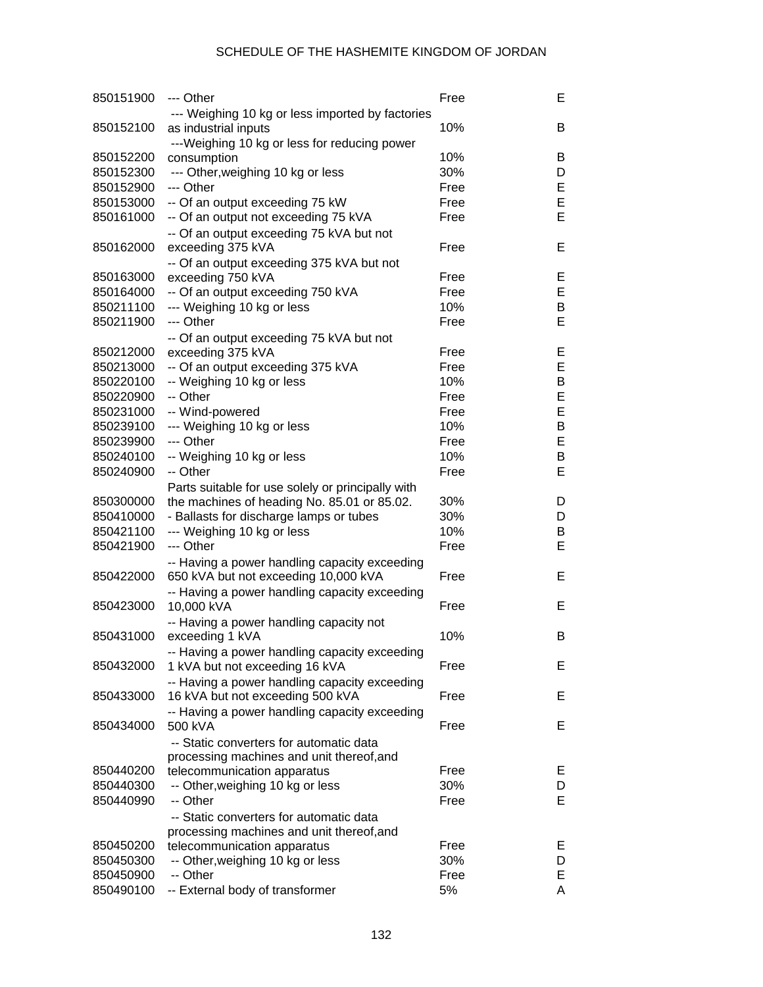| 850151900              | --- Other                                                                             | Free        | E      |
|------------------------|---------------------------------------------------------------------------------------|-------------|--------|
|                        | --- Weighing 10 kg or less imported by factories                                      |             |        |
| 850152100              | as industrial inputs<br>---Weighing 10 kg or less for reducing power                  | 10%         | В      |
| 850152200              | consumption                                                                           | 10%         | В      |
| 850152300              | --- Other, weighing 10 kg or less                                                     | 30%         | D      |
| 850152900              | --- Other                                                                             | Free        | E      |
| 850153000              | -- Of an output exceeding 75 kW                                                       | Free        | E      |
| 850161000              | -- Of an output not exceeding 75 kVA                                                  | Free        | E      |
|                        | -- Of an output exceeding 75 kVA but not                                              |             |        |
| 850162000              | exceeding 375 kVA                                                                     | Free        | Е      |
|                        | -- Of an output exceeding 375 kVA but not                                             |             |        |
| 850163000              | exceeding 750 kVA                                                                     | Free        | E      |
| 850164000              | -- Of an output exceeding 750 kVA                                                     | Free        | E      |
| 850211100              | --- Weighing 10 kg or less                                                            | 10%         | В      |
| 850211900              | --- Other                                                                             | Free        | E      |
|                        | -- Of an output exceeding 75 kVA but not                                              |             |        |
| 850212000              | exceeding 375 kVA                                                                     | Free        | E      |
| 850213000              | -- Of an output exceeding 375 kVA                                                     | Free        | E      |
| 850220100              | -- Weighing 10 kg or less                                                             | 10%         | В      |
| 850220900              | -- Other                                                                              | Free        | E      |
| 850231000              | -- Wind-powered                                                                       | Free        | E      |
| 850239100              | --- Weighing 10 kg or less                                                            | 10%         | В      |
| 850239900              | --- Other                                                                             | Free        | E      |
| 850240100              | -- Weighing 10 kg or less                                                             | 10%         | В      |
| 850240900              | -- Other                                                                              | Free        | E      |
|                        | Parts suitable for use solely or principally with                                     |             |        |
| 850300000              | the machines of heading No. 85.01 or 85.02.                                           | 30%         | D      |
| 850410000              | - Ballasts for discharge lamps or tubes                                               | 30%         | D      |
| 850421100              | --- Weighing 10 kg or less<br>--- Other                                               | 10%         | В<br>E |
| 850421900              |                                                                                       | Free        |        |
| 850422000              | -- Having a power handling capacity exceeding<br>650 kVA but not exceeding 10,000 kVA | Free        | E      |
|                        | -- Having a power handling capacity exceeding                                         |             |        |
| 850423000              | 10,000 kVA                                                                            | Free        | Е      |
|                        | -- Having a power handling capacity not                                               |             |        |
| 850431000              | exceeding 1 kVA                                                                       | 10%         | В      |
|                        | -- Having a power handling capacity exceeding                                         |             |        |
| 850432000              | 1 kVA but not exceeding 16 kVA                                                        | Free        | Е      |
|                        | -- Having a power handling capacity exceeding                                         |             |        |
| 850433000              | 16 kVA but not exceeding 500 kVA                                                      | Free        | E.     |
|                        | -- Having a power handling capacity exceeding                                         |             |        |
| 850434000              | 500 kVA                                                                               | Free        | Е      |
|                        | -- Static converters for automatic data                                               |             |        |
|                        | processing machines and unit thereof, and                                             |             |        |
| 850440200<br>850440300 | telecommunication apparatus                                                           | Free<br>30% | Е<br>D |
| 850440990              | -- Other, weighing 10 kg or less<br>-- Other                                          | Free        | Е      |
|                        |                                                                                       |             |        |
|                        | -- Static converters for automatic data<br>processing machines and unit thereof, and  |             |        |
| 850450200              | telecommunication apparatus                                                           | Free        | Е      |
| 850450300              | -- Other, weighing 10 kg or less                                                      | 30%         | D      |
| 850450900              | -- Other                                                                              | Free        | Е      |
| 850490100              | -- External body of transformer                                                       | 5%          | A      |
|                        |                                                                                       |             |        |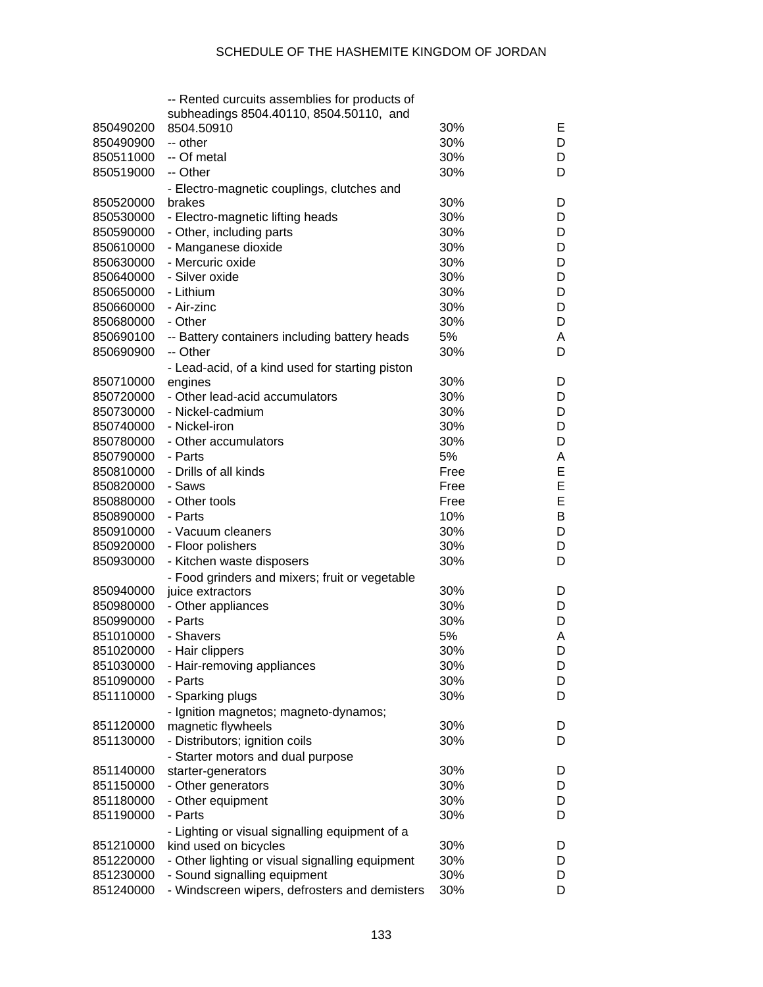|                        | -- Rented curcuits assemblies for products of                |            |        |
|------------------------|--------------------------------------------------------------|------------|--------|
|                        | subheadings 8504.40110, 8504.50110, and                      |            |        |
| 850490200              | 8504.50910                                                   | 30%<br>30% | E      |
| 850490900              | -- other<br>-- Of metal                                      | 30%        | D      |
| 850511000              |                                                              |            | D      |
| 850519000              | -- Other                                                     | 30%        | D      |
|                        | - Electro-magnetic couplings, clutches and                   | 30%        |        |
| 850520000<br>850530000 | brakes                                                       | 30%        | D<br>D |
|                        | - Electro-magnetic lifting heads<br>- Other, including parts | 30%        | D      |
| 850590000<br>850610000 | - Manganese dioxide                                          | 30%        | D      |
|                        | - Mercuric oxide                                             | 30%        | D      |
| 850630000              | - Silver oxide                                               | 30%        | D      |
| 850640000              |                                                              |            |        |
| 850650000              | - Lithium                                                    | 30%        | D      |
| 850660000              | - Air-zinc                                                   | 30%        | D      |
| 850680000              | - Other                                                      | 30%        | D      |
| 850690100              | -- Battery containers including battery heads                | 5%         | A      |
| 850690900              | -- Other                                                     | 30%        | D      |
|                        | - Lead-acid, of a kind used for starting piston              |            |        |
| 850710000              | engines                                                      | 30%        | D      |
| 850720000              | - Other lead-acid accumulators                               | 30%        | D      |
| 850730000              | - Nickel-cadmium                                             | 30%        | D      |
| 850740000              | - Nickel-iron                                                | 30%        | D      |
| 850780000              | - Other accumulators                                         | 30%        | D      |
| 850790000              | - Parts                                                      | 5%         | A      |
| 850810000              | - Drills of all kinds                                        | Free       | E      |
| 850820000              | - Saws                                                       | Free       | E      |
| 850880000              | - Other tools                                                | Free       | E      |
| 850890000              | - Parts                                                      | 10%        | B      |
| 850910000              | - Vacuum cleaners                                            | 30%        | D      |
| 850920000              | - Floor polishers                                            | 30%        | D      |
| 850930000              | - Kitchen waste disposers                                    | 30%        | D      |
|                        | - Food grinders and mixers; fruit or vegetable               |            |        |
| 850940000              | juice extractors                                             | 30%        | D      |
| 850980000              | - Other appliances                                           | 30%        | D      |
| 850990000              | - Parts                                                      | 30%        | D      |
| 851010000              | - Shavers                                                    | 5%         | A      |
| 851020000              | - Hair clippers                                              | 30%        | D      |
| 851030000              | - Hair-removing appliances                                   | 30%        | D      |
| 851090000              | - Parts                                                      | 30%        | D      |
| 851110000              | - Sparking plugs                                             | 30%        | D      |
|                        | - Ignition magnetos; magneto-dynamos;                        |            |        |
| 851120000              | magnetic flywheels                                           | 30%        | D      |
| 851130000              | - Distributors; ignition coils                               | 30%        | D      |
|                        | - Starter motors and dual purpose                            |            |        |
| 851140000              | starter-generators                                           | 30%        | D      |
| 851150000              | - Other generators                                           | 30%        | D      |
| 851180000              | - Other equipment                                            | 30%        | D      |
| 851190000              | - Parts                                                      | 30%        | D      |
|                        | - Lighting or visual signalling equipment of a               |            |        |
| 851210000              | kind used on bicycles                                        | 30%        | D      |
| 851220000              | - Other lighting or visual signalling equipment              | 30%        | D      |
| 851230000              | - Sound signalling equipment                                 | 30%        | D      |
| 851240000              | - Windscreen wipers, defrosters and demisters                | 30%        | D      |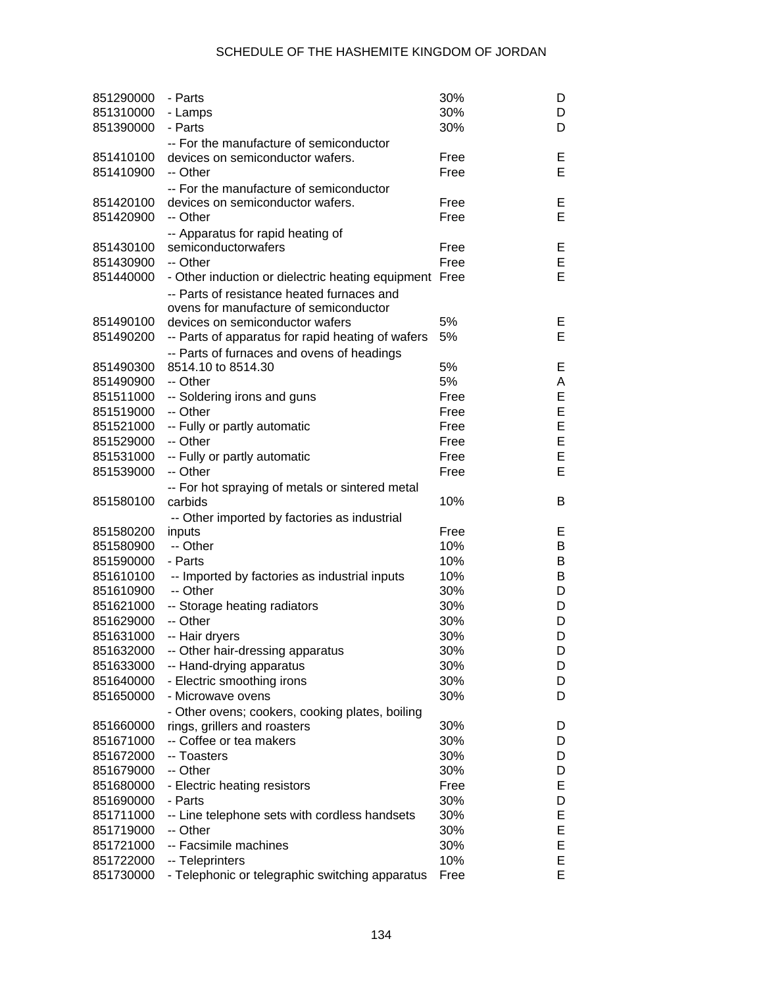| 851290000              | - Parts                                                            | 30%  | D      |
|------------------------|--------------------------------------------------------------------|------|--------|
| 851310000              | - Lamps                                                            | 30%  | D      |
| 851390000              | - Parts                                                            | 30%  | D      |
|                        | -- For the manufacture of semiconductor                            |      |        |
| 851410100              | devices on semiconductor wafers.                                   | Free | Е      |
| 851410900              | -- Other                                                           | Free | E      |
|                        | -- For the manufacture of semiconductor                            |      |        |
| 851420100              | devices on semiconductor wafers.                                   | Free | Е      |
| 851420900              | -- Other                                                           | Free | E      |
|                        | -- Apparatus for rapid heating of                                  |      |        |
| 851430100              | semiconductorwafers                                                | Free | Е      |
| 851430900              | -- Other                                                           | Free | E      |
| 851440000              | - Other induction or dielectric heating equipment Free             |      | E      |
|                        | -- Parts of resistance heated furnaces and                         |      |        |
|                        | ovens for manufacture of semiconductor                             |      |        |
| 851490100              | devices on semiconductor wafers                                    | 5%   | Е      |
| 851490200              | -- Parts of apparatus for rapid heating of wafers                  | 5%   | E      |
|                        | -- Parts of furnaces and ovens of headings                         |      |        |
| 851490300              | 8514.10 to 8514.30                                                 | 5%   | Е      |
| 851490900              | -- Other                                                           | 5%   | Α      |
| 851511000              | -- Soldering irons and guns                                        | Free | E      |
| 851519000              | -- Other                                                           | Free | E      |
| 851521000              | -- Fully or partly automatic                                       | Free | E      |
| 851529000              | -- Other                                                           | Free | E      |
| 851531000              | -- Fully or partly automatic                                       | Free | E      |
| 851539000              | -- Other                                                           | Free | E      |
|                        |                                                                    |      |        |
|                        | -- For hot spraying of metals or sintered metal                    |      |        |
|                        |                                                                    |      |        |
| 851580100              | carbids                                                            | 10%  | B      |
|                        | -- Other imported by factories as industrial                       |      |        |
| 851580200              | inputs                                                             | Free | E.     |
| 851580900              | -- Other                                                           | 10%  | В      |
| 851590000              | - Parts                                                            | 10%  | В      |
| 851610100              | -- Imported by factories as industrial inputs                      | 10%  | В      |
| 851610900              | -- Other                                                           | 30%  | D      |
| 851621000              | -- Storage heating radiators                                       | 30%  | D      |
| 851629000              | -- Other                                                           | 30%  | D      |
| 851631000              | -- Hair dryers                                                     | 30%  | D      |
| 851632000              | -- Other hair-dressing apparatus                                   | 30%  | D      |
| 851633000              | -- Hand-drying apparatus                                           | 30%  | D      |
| 851640000              | - Electric smoothing irons                                         | 30%  | D      |
| 851650000              | - Microwave ovens                                                  | 30%  | D      |
|                        | - Other ovens; cookers, cooking plates, boiling                    |      |        |
| 851660000              | rings, grillers and roasters                                       | 30%  | D      |
| 851671000              | -- Coffee or tea makers                                            | 30%  | D      |
| 851672000              | -- Toasters                                                        | 30%  | D      |
| 851679000              | -- Other                                                           | 30%  | D      |
| 851680000              | - Electric heating resistors                                       | Free | Е      |
| 851690000              | - Parts                                                            | 30%  | D      |
| 851711000              | -- Line telephone sets with cordless handsets                      | 30%  | Е      |
| 851719000              | -- Other                                                           | 30%  | E      |
| 851721000              | -- Facsimile machines                                              | 30%  | E      |
| 851722000<br>851730000 | -- Teleprinters<br>- Telephonic or telegraphic switching apparatus | 10%  | E<br>E |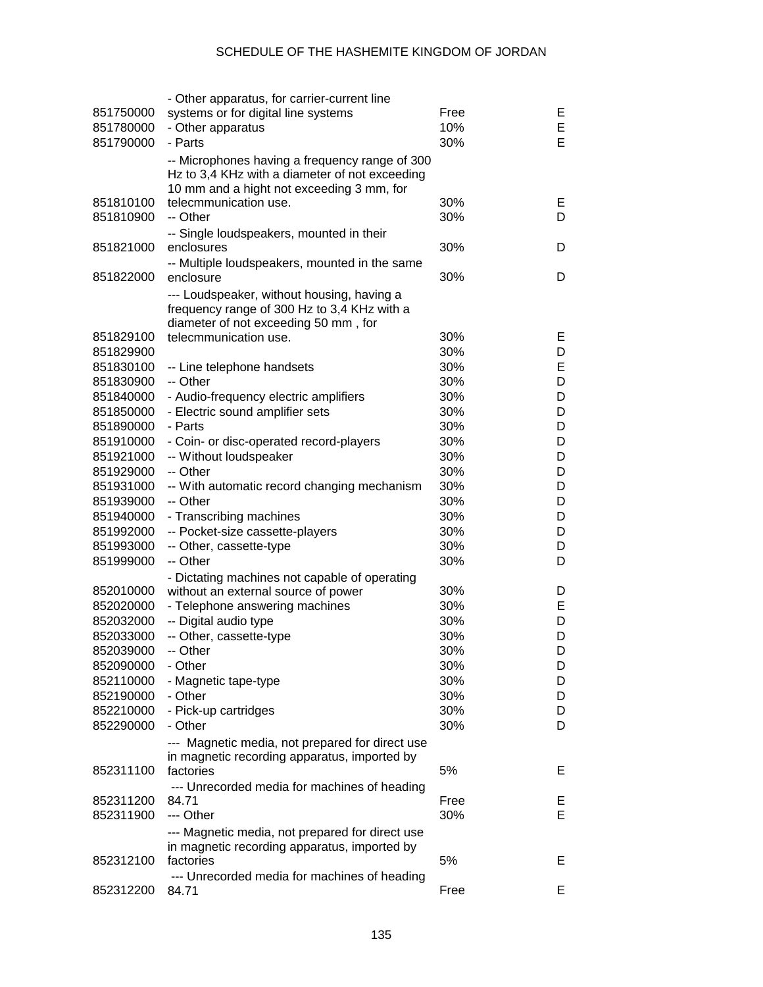| 851750000              | - Other apparatus, for carrier-current line<br>systems or for digital line systems               | Free       | E.      |
|------------------------|--------------------------------------------------------------------------------------------------|------------|---------|
| 851780000<br>851790000 | - Other apparatus<br>- Parts                                                                     | 10%<br>30% | Е<br>E  |
|                        | -- Microphones having a frequency range of 300<br>Hz to 3,4 KHz with a diameter of not exceeding |            |         |
|                        | 10 mm and a hight not exceeding 3 mm, for                                                        |            |         |
| 851810100<br>851810900 | telecmmunication use.<br>-- Other                                                                | 30%<br>30% | E.<br>D |
| 851821000              | -- Single loudspeakers, mounted in their<br>enclosures                                           | 30%        | D       |
|                        | -- Multiple loudspeakers, mounted in the same                                                    |            |         |
| 851822000              | enclosure                                                                                        | 30%        | D       |
|                        | --- Loudspeaker, without housing, having a<br>frequency range of 300 Hz to 3,4 KHz with a        |            |         |
|                        | diameter of not exceeding 50 mm, for                                                             |            |         |
| 851829100              | telecmmunication use.                                                                            | 30%        | E.      |
| 851829900              |                                                                                                  | 30%        | D       |
| 851830100              | -- Line telephone handsets                                                                       | 30%        | Е       |
| 851830900              | -- Other                                                                                         | 30%        | D       |
| 851840000              | - Audio-frequency electric amplifiers                                                            | 30%        | D       |
| 851850000              | - Electric sound amplifier sets                                                                  | 30%        | D       |
| 851890000              | - Parts                                                                                          | 30%        | D       |
| 851910000              | - Coin- or disc-operated record-players                                                          | 30%        | D       |
| 851921000              | -- Without loudspeaker                                                                           | 30%        | D       |
| 851929000              | -- Other                                                                                         | 30%        | D       |
| 851931000              | -- With automatic record changing mechanism                                                      | 30%        | D       |
| 851939000              | -- Other                                                                                         | 30%        | D       |
| 851940000              | - Transcribing machines                                                                          | 30%        | D       |
| 851992000              | -- Pocket-size cassette-players                                                                  | 30%        | D       |
| 851993000              | -- Other, cassette-type                                                                          | 30%        | D       |
| 851999000              | -- Other                                                                                         | 30%        | D       |
|                        | - Dictating machines not capable of operating                                                    |            |         |
| 852010000              | without an external source of power                                                              | 30%        | D       |
| 852020000              | - Telephone answering machines                                                                   | 30%        | Е       |
| 852032000              | -- Digital audio type                                                                            | 30%        | D       |
| 852033000              | -- Other, cassette-type                                                                          | 30%        | D       |
| 852039000              | -- Other                                                                                         | 30%        | D       |
| 852090000              | - Other                                                                                          | 30%        | D       |
| 852110000              | - Magnetic tape-type                                                                             | 30%        | D       |
| 852190000              | - Other                                                                                          | 30%        | D       |
| 852210000              | - Pick-up cartridges                                                                             | 30%        | D       |
| 852290000              | - Other                                                                                          | 30%        | D       |
|                        | --- Magnetic media, not prepared for direct use                                                  |            |         |
|                        | in magnetic recording apparatus, imported by                                                     |            |         |
| 852311100              | factories                                                                                        | 5%         | Е       |
|                        | --- Unrecorded media for machines of heading                                                     |            |         |
| 852311200              | 84.71                                                                                            | Free       | E,      |
| 852311900              | --- Other                                                                                        | 30%        | Е       |
|                        | --- Magnetic media, not prepared for direct use                                                  |            |         |
|                        | in magnetic recording apparatus, imported by                                                     |            |         |
| 852312100              | factories                                                                                        | 5%         | E.      |
|                        | --- Unrecorded media for machines of heading                                                     |            |         |
| 852312200              | 84.71                                                                                            | Free       | E.      |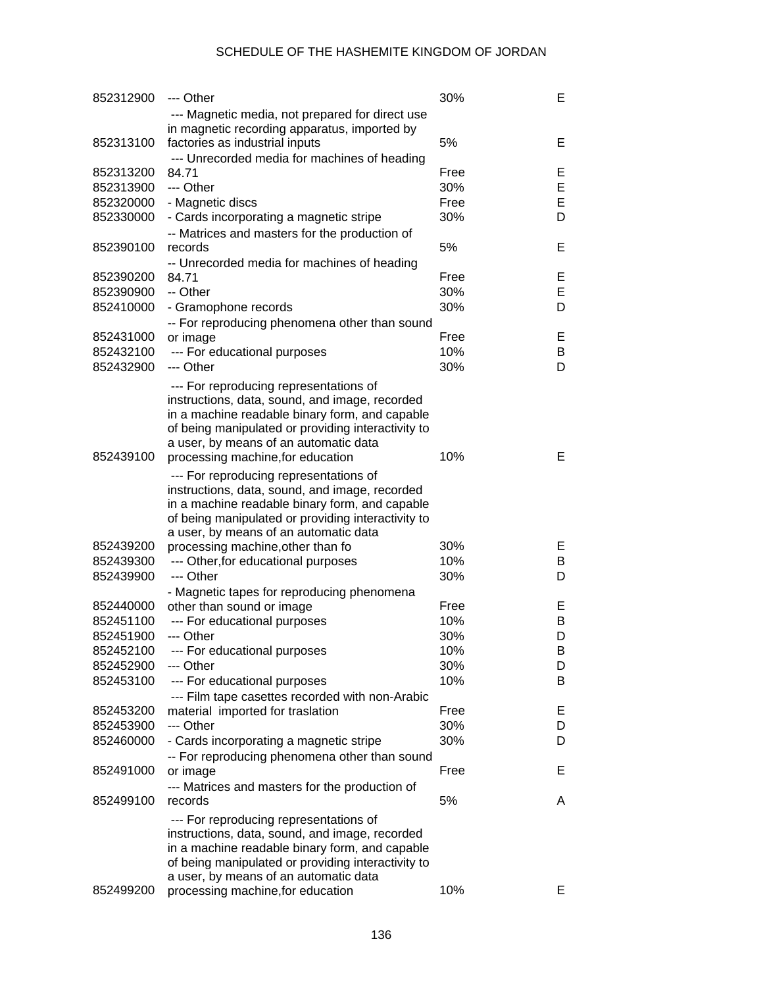| 852312900 | --- Other                                                                                       | 30%  | Е |
|-----------|-------------------------------------------------------------------------------------------------|------|---|
|           | --- Magnetic media, not prepared for direct use<br>in magnetic recording apparatus, imported by |      |   |
| 852313100 | factories as industrial inputs                                                                  | 5%   | Е |
|           | --- Unrecorded media for machines of heading                                                    |      |   |
| 852313200 | 84.71                                                                                           | Free | Е |
| 852313900 | --- Other                                                                                       | 30%  | E |
| 852320000 | - Magnetic discs                                                                                | Free | E |
| 852330000 | - Cards incorporating a magnetic stripe                                                         | 30%  | D |
|           | -- Matrices and masters for the production of                                                   |      |   |
| 852390100 | records                                                                                         | 5%   | Е |
|           | -- Unrecorded media for machines of heading                                                     |      |   |
| 852390200 | 84.71                                                                                           | Free | Е |
| 852390900 | -- Other                                                                                        | 30%  | E |
| 852410000 | - Gramophone records                                                                            | 30%  | D |
|           | -- For reproducing phenomena other than sound                                                   |      |   |
| 852431000 | or image                                                                                        | Free | Е |
| 852432100 | --- For educational purposes                                                                    | 10%  | B |
| 852432900 | --- Other                                                                                       | 30%  | D |
|           | --- For reproducing representations of                                                          |      |   |
|           | instructions, data, sound, and image, recorded                                                  |      |   |
|           | in a machine readable binary form, and capable                                                  |      |   |
|           | of being manipulated or providing interactivity to                                              |      |   |
|           | a user, by means of an automatic data                                                           |      | Е |
| 852439100 | processing machine, for education                                                               | 10%  |   |
|           | --- For reproducing representations of                                                          |      |   |
|           | instructions, data, sound, and image, recorded                                                  |      |   |
|           | in a machine readable binary form, and capable                                                  |      |   |
|           | of being manipulated or providing interactivity to                                              |      |   |
|           | a user, by means of an automatic data                                                           |      |   |
| 852439200 | processing machine, other than fo                                                               | 30%  | Е |
| 852439300 | --- Other, for educational purposes                                                             | 10%  | B |
| 852439900 | --- Other                                                                                       | 30%  | D |
|           | - Magnetic tapes for reproducing phenomena                                                      |      |   |
| 852440000 | other than sound or image                                                                       | Free | Е |
| 852451100 | --- For educational purposes                                                                    | 10%  | B |
| 852451900 | --- Other                                                                                       | 30%  | D |
| 852452100 | --- For educational purposes                                                                    | 10%  | B |
| 852452900 | --- Other                                                                                       | 30%  | D |
| 852453100 | --- For educational purposes                                                                    | 10%  | B |
|           | --- Film tape casettes recorded with non-Arabic                                                 |      |   |
| 852453200 | material imported for traslation                                                                | Free | Е |
| 852453900 | --- Other                                                                                       | 30%  | D |
| 852460000 | - Cards incorporating a magnetic stripe                                                         | 30%  | D |
|           | -- For reproducing phenomena other than sound                                                   |      |   |
| 852491000 | or image                                                                                        | Free | Е |
|           | --- Matrices and masters for the production of                                                  |      |   |
| 852499100 | records                                                                                         | 5%   | A |
|           | --- For reproducing representations of                                                          |      |   |
|           | instructions, data, sound, and image, recorded                                                  |      |   |
|           | in a machine readable binary form, and capable                                                  |      |   |
|           | of being manipulated or providing interactivity to                                              |      |   |
|           | a user, by means of an automatic data                                                           |      |   |
| 852499200 | processing machine, for education                                                               | 10%  | Е |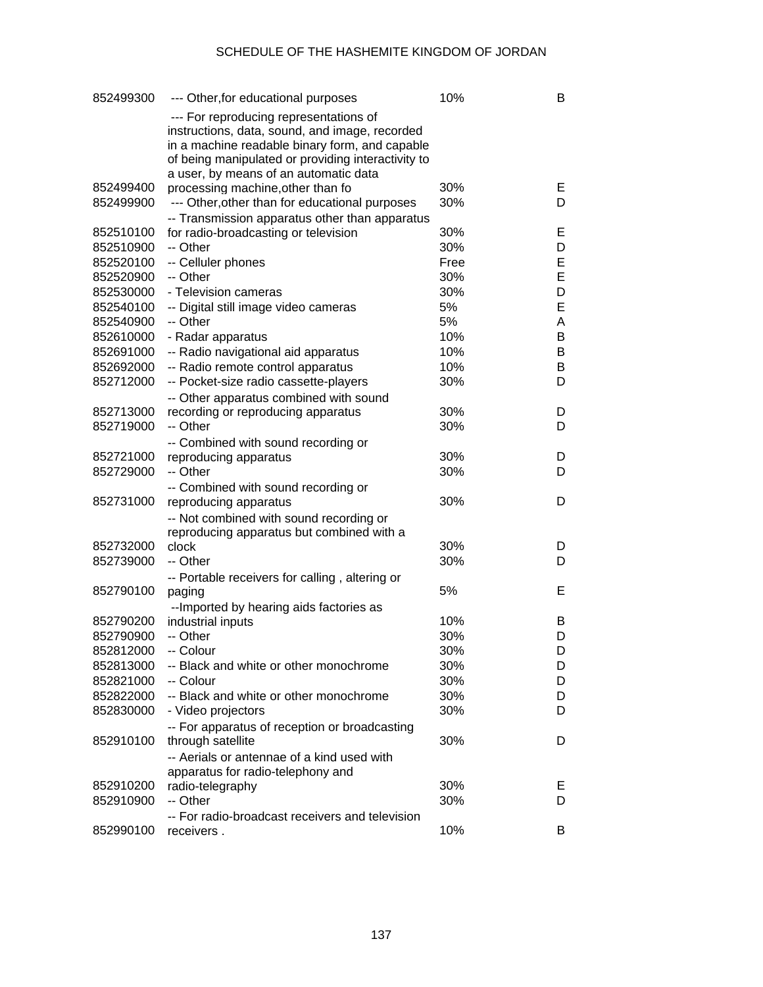| 852499300              | --- Other, for educational purposes                 | 10%        | В       |
|------------------------|-----------------------------------------------------|------------|---------|
|                        | --- For reproducing representations of              |            |         |
|                        | instructions, data, sound, and image, recorded      |            |         |
|                        | in a machine readable binary form, and capable      |            |         |
|                        | of being manipulated or providing interactivity to  |            |         |
|                        | a user, by means of an automatic data               |            |         |
| 852499400              | processing machine, other than fo                   | 30%        | E.      |
| 852499900              | --- Other, other than for educational purposes      | 30%        | D       |
|                        | -- Transmission apparatus other than apparatus      |            |         |
| 852510100              | for radio-broadcasting or television                | 30%        | E.      |
| 852510900              | -- Other                                            | 30%        | D       |
| 852520100              | -- Celluler phones                                  | Free       | Е       |
| 852520900              | -- Other                                            | 30%        | E       |
| 852530000              | - Television cameras                                | 30%        | D       |
| 852540100              | -- Digital still image video cameras                | 5%         | E       |
| 852540900              | -- Other                                            | 5%         | A       |
| 852610000              | - Radar apparatus                                   | 10%        | B       |
| 852691000              | -- Radio navigational aid apparatus                 | 10%        | B       |
| 852692000              | -- Radio remote control apparatus                   | 10%        | B       |
| 852712000              | -- Pocket-size radio cassette-players               | 30%        | D       |
|                        | -- Other apparatus combined with sound              |            |         |
| 852713000              | recording or reproducing apparatus                  | 30%        | D       |
| 852719000              | -- Other                                            | 30%        | D       |
|                        | -- Combined with sound recording or                 |            |         |
| 852721000              | reproducing apparatus                               | 30%        | D       |
| 852729000              | -- Other                                            | 30%        | D       |
|                        | -- Combined with sound recording or                 |            |         |
| 852731000              | reproducing apparatus                               | 30%        | D       |
|                        | -- Not combined with sound recording or             |            |         |
|                        | reproducing apparatus but combined with a           |            |         |
| 852732000              | clock                                               | 30%        | D       |
| 852739000              | -- Other                                            | 30%        | D       |
|                        | -- Portable receivers for calling, altering or      |            |         |
| 852790100              | paging                                              | 5%         | Е       |
|                        | -- Imported by hearing aids factories as            |            |         |
| 852790200              | industrial inputs                                   | 10%        | B       |
| 852790900              | -- Other                                            | 30%        | D       |
| 852812000              | -- Colour                                           | 30%        | D       |
| 852813000              | -- Black and white or other monochrome              | 30%        | D       |
| 852821000              | -- Colour<br>-- Black and white or other monochrome | 30%        | D       |
| 852822000              |                                                     | 30%        | D<br>D  |
| 852830000              | - Video projectors                                  | 30%        |         |
|                        | -- For apparatus of reception or broadcasting       |            |         |
| 852910100              | through satellite                                   | 30%        | D       |
|                        | -- Aerials or antennae of a kind used with          |            |         |
|                        | apparatus for radio-telephony and                   |            |         |
| 852910200<br>852910900 | radio-telegraphy<br>-- Other                        | 30%<br>30% | E.<br>D |
|                        |                                                     |            |         |
| 852990100              | -- For radio-broadcast receivers and television     | 10%        |         |
|                        | receivers.                                          |            | B       |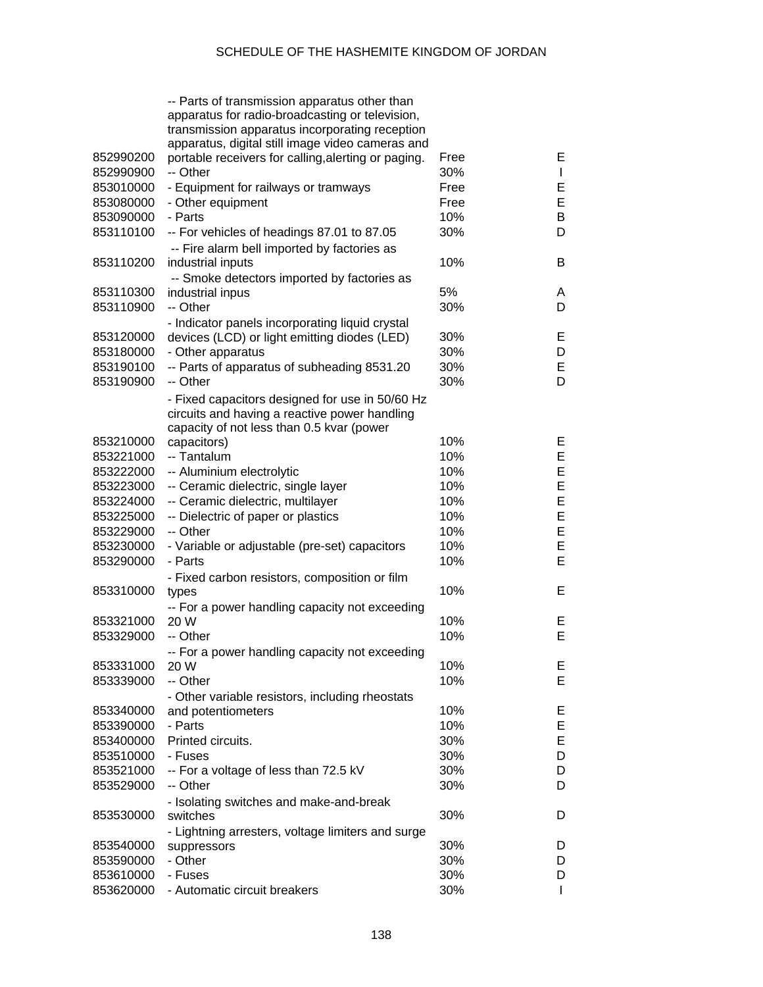|           | -- Parts of transmission apparatus other than<br>apparatus for radio-broadcasting or television,<br>transmission apparatus incorporating reception<br>apparatus, digital still image video cameras and |      |              |
|-----------|--------------------------------------------------------------------------------------------------------------------------------------------------------------------------------------------------------|------|--------------|
| 852990200 | portable receivers for calling, alerting or paging.                                                                                                                                                    | Free | E.           |
| 852990900 | -- Other                                                                                                                                                                                               | 30%  | $\mathbf{I}$ |
| 853010000 | - Equipment for railways or tramways                                                                                                                                                                   | Free | E            |
| 853080000 | - Other equipment                                                                                                                                                                                      | Free | E            |
| 853090000 | - Parts                                                                                                                                                                                                | 10%  | B            |
| 853110100 | -- For vehicles of headings 87.01 to 87.05<br>-- Fire alarm bell imported by factories as                                                                                                              | 30%  | D            |
| 853110200 | industrial inputs                                                                                                                                                                                      | 10%  | B            |
|           | -- Smoke detectors imported by factories as                                                                                                                                                            |      |              |
| 853110300 | industrial inpus                                                                                                                                                                                       | 5%   | A            |
| 853110900 | -- Other                                                                                                                                                                                               | 30%  | D            |
|           | - Indicator panels incorporating liquid crystal                                                                                                                                                        |      |              |
| 853120000 | devices (LCD) or light emitting diodes (LED)                                                                                                                                                           | 30%  | Е            |
| 853180000 | - Other apparatus                                                                                                                                                                                      | 30%  | D            |
| 853190100 | -- Parts of apparatus of subheading 8531.20                                                                                                                                                            | 30%  | E            |
| 853190900 | -- Other                                                                                                                                                                                               | 30%  | D            |
|           | - Fixed capacitors designed for use in 50/60 Hz<br>circuits and having a reactive power handling                                                                                                       |      |              |
|           | capacity of not less than 0.5 kvar (power                                                                                                                                                              |      |              |
| 853210000 | capacitors)                                                                                                                                                                                            | 10%  | Е            |
| 853221000 | -- Tantalum                                                                                                                                                                                            | 10%  | E            |
| 853222000 | -- Aluminium electrolytic                                                                                                                                                                              | 10%  | E            |
| 853223000 | -- Ceramic dielectric, single layer                                                                                                                                                                    | 10%  | E            |
| 853224000 | -- Ceramic dielectric, multilayer                                                                                                                                                                      | 10%  | E            |
| 853225000 | -- Dielectric of paper or plastics                                                                                                                                                                     | 10%  | E            |
| 853229000 | -- Other                                                                                                                                                                                               | 10%  | E            |
| 853230000 | - Variable or adjustable (pre-set) capacitors                                                                                                                                                          | 10%  | E            |
| 853290000 | - Parts                                                                                                                                                                                                | 10%  | E            |
|           | - Fixed carbon resistors, composition or film                                                                                                                                                          |      |              |
| 853310000 | types                                                                                                                                                                                                  | 10%  | Е            |
|           | -- For a power handling capacity not exceeding                                                                                                                                                         |      |              |
| 853321000 | 20 W                                                                                                                                                                                                   | 10%  | Е            |
| 853329000 | -- Other                                                                                                                                                                                               | 10%  | E            |
|           | -- For a power handling capacity not exceeding                                                                                                                                                         |      |              |
| 853331000 | 20 W                                                                                                                                                                                                   | 10%  | Е            |
| 853339000 | -- Other                                                                                                                                                                                               | 10%  | E            |
|           | - Other variable resistors, including rheostats                                                                                                                                                        |      |              |
| 853340000 | and potentiometers                                                                                                                                                                                     | 10%  | Е            |
| 853390000 | - Parts                                                                                                                                                                                                | 10%  | E            |
| 853400000 | Printed circuits.                                                                                                                                                                                      | 30%  | E            |
| 853510000 | - Fuses                                                                                                                                                                                                | 30%  | D            |
| 853521000 | -- For a voltage of less than 72.5 kV                                                                                                                                                                  | 30%  | D            |
| 853529000 | -- Other                                                                                                                                                                                               | 30%  | D            |
|           | - Isolating switches and make-and-break                                                                                                                                                                |      |              |
| 853530000 | switches                                                                                                                                                                                               | 30%  | D            |
|           | - Lightning arresters, voltage limiters and surge                                                                                                                                                      |      |              |
| 853540000 | suppressors                                                                                                                                                                                            | 30%  | D            |
| 853590000 | - Other                                                                                                                                                                                                | 30%  | D            |
| 853610000 | - Fuses                                                                                                                                                                                                | 30%  | D            |
| 853620000 | - Automatic circuit breakers                                                                                                                                                                           | 30%  | $\mathsf{I}$ |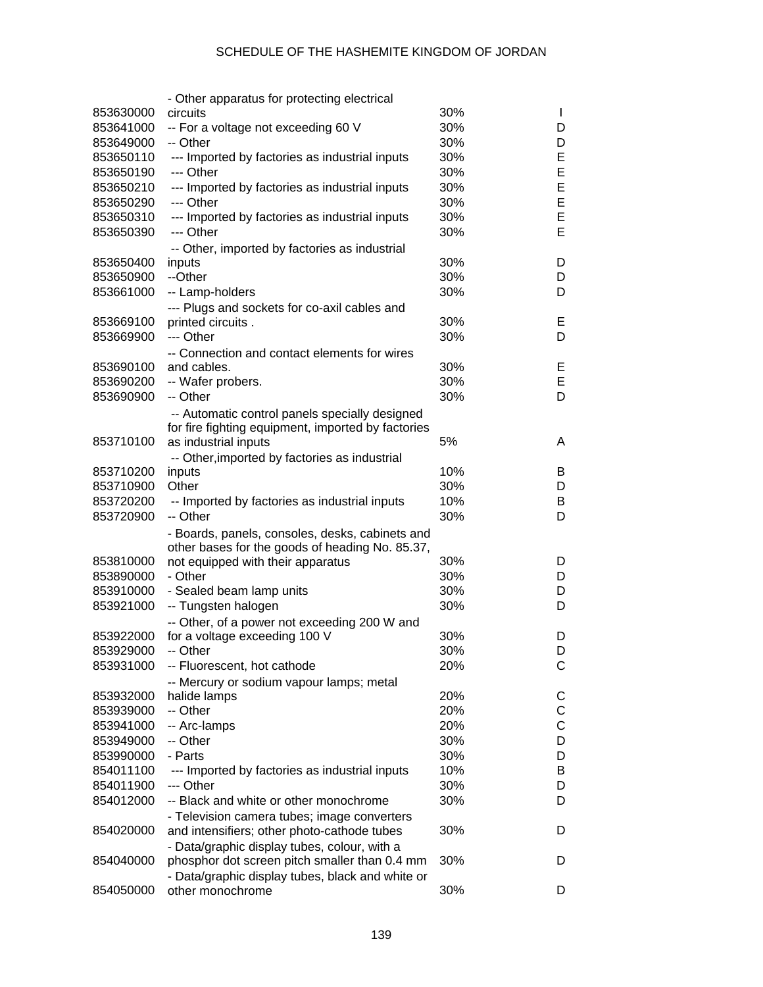|           | - Other apparatus for protecting electrical                                                   |     |              |
|-----------|-----------------------------------------------------------------------------------------------|-----|--------------|
| 853630000 | circuits                                                                                      | 30% | $\mathbf{I}$ |
| 853641000 | -- For a voltage not exceeding 60 V                                                           | 30% | D            |
| 853649000 | -- Other                                                                                      | 30% | D            |
| 853650110 | --- Imported by factories as industrial inputs                                                | 30% | Е            |
| 853650190 | --- Other                                                                                     | 30% | E            |
| 853650210 | --- Imported by factories as industrial inputs                                                | 30% | E            |
| 853650290 | --- Other                                                                                     | 30% | E            |
| 853650310 | --- Imported by factories as industrial inputs                                                | 30% | E            |
| 853650390 | --- Other                                                                                     | 30% | Е            |
|           |                                                                                               |     |              |
| 853650400 | -- Other, imported by factories as industrial<br>inputs                                       | 30% | D            |
| 853650900 | --Other                                                                                       | 30% | D            |
| 853661000 | -- Lamp-holders                                                                               | 30% | D            |
|           |                                                                                               |     |              |
|           | --- Plugs and sockets for co-axil cables and                                                  | 30% | Е            |
| 853669100 | printed circuits.<br>--- Other                                                                | 30% |              |
| 853669900 |                                                                                               |     | D            |
|           | -- Connection and contact elements for wires                                                  |     |              |
| 853690100 | and cables.                                                                                   | 30% | Е            |
| 853690200 | -- Wafer probers.                                                                             | 30% | Е            |
| 853690900 | -- Other                                                                                      | 30% | D            |
|           | -- Automatic control panels specially designed                                                |     |              |
|           | for fire fighting equipment, imported by factories                                            |     |              |
| 853710100 | as industrial inputs                                                                          | 5%  | A            |
|           | -- Other, imported by factories as industrial                                                 |     |              |
| 853710200 | inputs                                                                                        | 10% | B            |
| 853710900 | Other                                                                                         | 30% | D            |
| 853720200 | -- Imported by factories as industrial inputs                                                 | 10% | B            |
| 853720900 | -- Other                                                                                      | 30% | D            |
|           | - Boards, panels, consoles, desks, cabinets and                                               |     |              |
|           | other bases for the goods of heading No. 85.37,                                               |     |              |
| 853810000 | not equipped with their apparatus                                                             | 30% | D            |
| 853890000 | - Other                                                                                       | 30% | D            |
| 853910000 | - Sealed beam lamp units                                                                      | 30% | D            |
| 853921000 | -- Tungsten halogen                                                                           | 30% | D            |
|           | -- Other, of a power not exceeding 200 W and                                                  |     |              |
| 853922000 | for a voltage exceeding 100 V                                                                 | 30% | D            |
| 853929000 | -- Other                                                                                      | 30% | D            |
| 853931000 | -- Fluorescent, hot cathode                                                                   | 20% | С            |
|           | -- Mercury or sodium vapour lamps; metal                                                      |     |              |
| 853932000 | halide lamps                                                                                  | 20% | C            |
| 853939000 | -- Other                                                                                      | 20% | С            |
| 853941000 | -- Arc-lamps                                                                                  | 20% | С            |
| 853949000 | -- Other                                                                                      | 30% | D            |
| 853990000 | - Parts                                                                                       | 30% | D            |
| 854011100 | --- Imported by factories as industrial inputs                                                | 10% | В            |
| 854011900 | --- Other                                                                                     | 30% | D            |
| 854012000 | -- Black and white or other monochrome                                                        | 30% | D            |
|           |                                                                                               |     |              |
| 854020000 | - Television camera tubes; image converters<br>and intensifiers; other photo-cathode tubes    | 30% | D            |
|           |                                                                                               |     |              |
| 854040000 | - Data/graphic display tubes, colour, with a<br>phosphor dot screen pitch smaller than 0.4 mm | 30% | D            |
|           |                                                                                               |     |              |
| 854050000 | - Data/graphic display tubes, black and white or<br>other monochrome                          | 30% | D            |
|           |                                                                                               |     |              |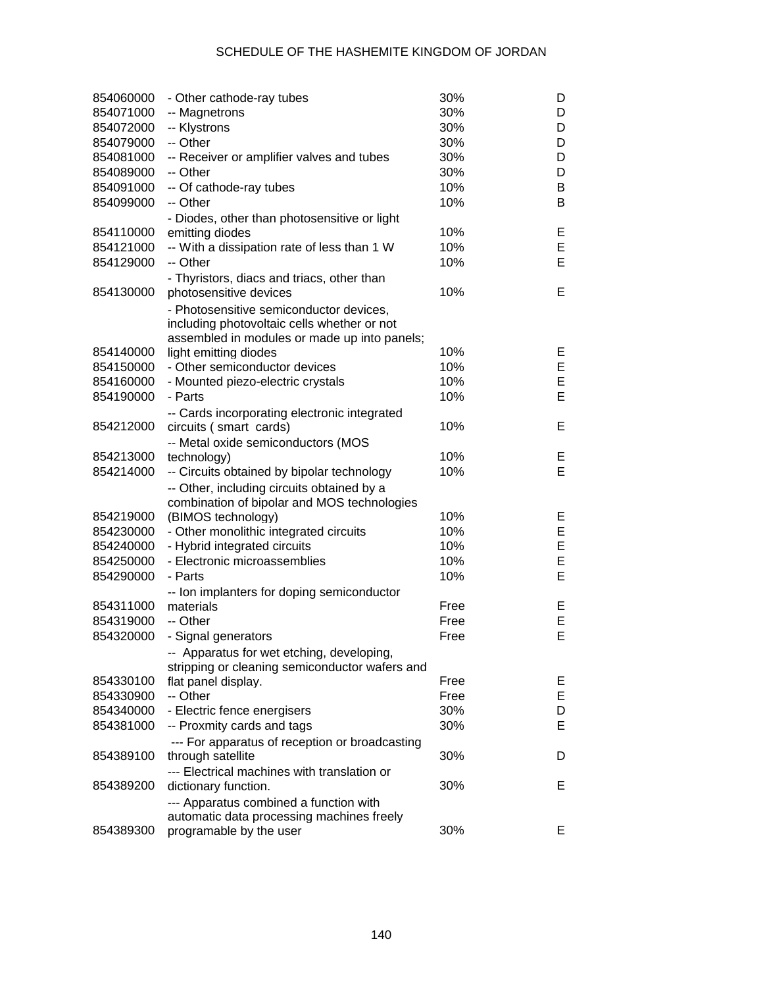| 854060000              | - Other cathode-ray tubes                                           | 30%          | D       |
|------------------------|---------------------------------------------------------------------|--------------|---------|
| 854071000              | -- Magnetrons                                                       | 30%          | D       |
| 854072000              | -- Klystrons                                                        | 30%          | D       |
| 854079000              | -- Other                                                            | 30%          | D       |
| 854081000              | -- Receiver or amplifier valves and tubes                           | 30%          | D       |
| 854089000              | -- Other                                                            | 30%          | D       |
| 854091000              | -- Of cathode-ray tubes                                             | 10%          | B       |
| 854099000              | -- Other                                                            | 10%          | B       |
|                        | - Diodes, other than photosensitive or light                        |              |         |
| 854110000              | emitting diodes                                                     | 10%          | Е       |
| 854121000              | -- With a dissipation rate of less than 1 W                         | 10%          | E       |
| 854129000              | -- Other                                                            | 10%          | E       |
|                        | - Thyristors, diacs and triacs, other than                          |              |         |
| 854130000              | photosensitive devices                                              | 10%          | Е       |
|                        | - Photosensitive semiconductor devices,                             |              |         |
|                        | including photovoltaic cells whether or not                         |              |         |
|                        | assembled in modules or made up into panels;                        |              |         |
| 854140000              | light emitting diodes                                               | 10%          | E.      |
| 854150000              | - Other semiconductor devices                                       | 10%          | E       |
| 854160000              | - Mounted piezo-electric crystals                                   | 10%          | E       |
| 854190000              | - Parts                                                             | 10%          | E       |
|                        | -- Cards incorporating electronic integrated                        |              |         |
| 854212000              | circuits (smart cards)                                              | 10%          | Е       |
|                        | -- Metal oxide semiconductors (MOS                                  |              |         |
| 854213000              | technology)                                                         | 10%          | E.      |
| 854214000              | -- Circuits obtained by bipolar technology                          | 10%          | Е       |
|                        | -- Other, including circuits obtained by a                          |              |         |
|                        | combination of bipolar and MOS technologies                         |              |         |
| 854219000              | (BIMOS technology)                                                  | 10%          | E.      |
| 854230000              | - Other monolithic integrated circuits                              | 10%          | E       |
| 854240000              | - Hybrid integrated circuits                                        | 10%          | E       |
| 854250000              | - Electronic microassemblies                                        | 10%          | E       |
| 854290000              | - Parts                                                             | 10%          | E       |
|                        | -- Ion implanters for doping semiconductor                          |              |         |
| 854311000              | materials                                                           | Free         | Е       |
| 854319000              | -- Other                                                            | Free         | E<br>E  |
| 854320000              | - Signal generators                                                 | Free         |         |
|                        | -- Apparatus for wet etching, developing,                           |              |         |
|                        | stripping or cleaning semiconductor wafers and                      |              |         |
| 854330100<br>854330900 | flat panel display.<br>-- Other                                     | Free<br>Free | E.<br>Е |
| 854340000              | - Electric fence energisers                                         | 30%          | D       |
| 854381000              | -- Proxmity cards and tags                                          | 30%          | Е       |
|                        |                                                                     |              |         |
| 854389100              | --- For apparatus of reception or broadcasting<br>through satellite | 30%          | D       |
|                        | --- Electrical machines with translation or                         |              |         |
| 854389200              | dictionary function.                                                | 30%          | E       |
|                        | --- Apparatus combined a function with                              |              |         |
|                        | automatic data processing machines freely                           |              |         |
| 854389300              | programable by the user                                             | 30%          | E       |
|                        |                                                                     |              |         |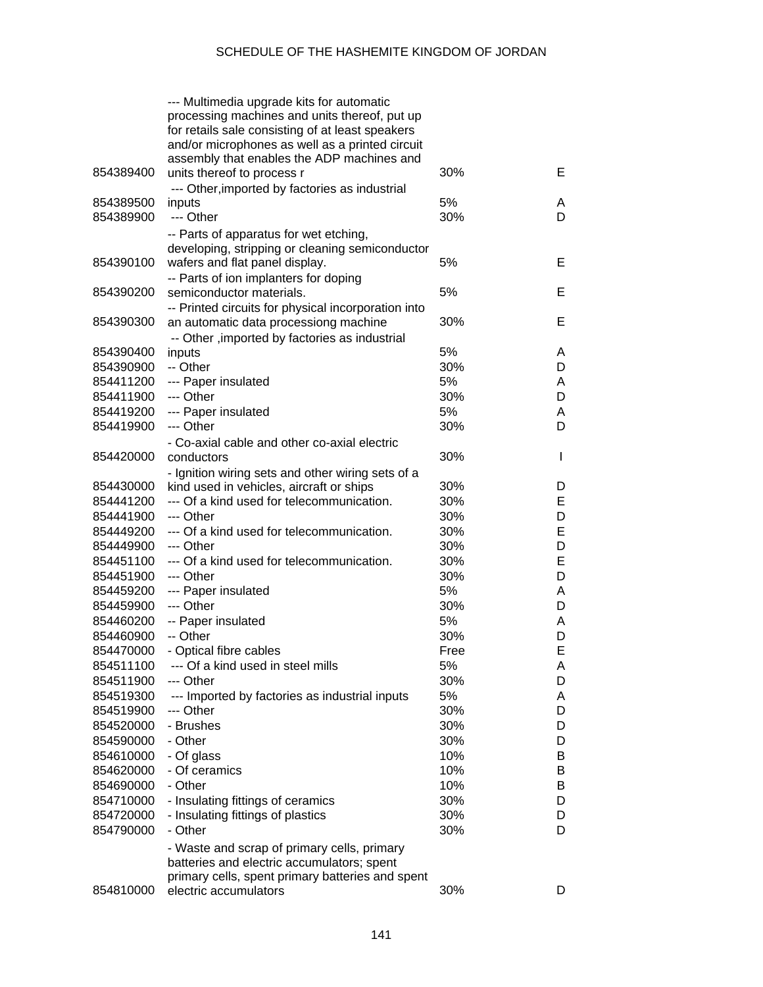|           | --- Multimedia upgrade kits for automatic                              |      |              |
|-----------|------------------------------------------------------------------------|------|--------------|
|           | processing machines and units thereof, put up                          |      |              |
|           | for retails sale consisting of at least speakers                       |      |              |
|           | and/or microphones as well as a printed circuit                        |      |              |
|           | assembly that enables the ADP machines and                             |      |              |
| 854389400 | units thereof to process r                                             | 30%  | Е            |
|           | --- Other, imported by factories as industrial                         |      |              |
| 854389500 | inputs                                                                 | 5%   | A            |
| 854389900 | --- Other                                                              | 30%  | D            |
|           | -- Parts of apparatus for wet etching,                                 |      |              |
|           | developing, stripping or cleaning semiconductor                        |      |              |
| 854390100 | wafers and flat panel display.                                         | 5%   | Е            |
|           | -- Parts of ion implanters for doping                                  |      |              |
| 854390200 | semiconductor materials.                                               | 5%   | Е            |
|           | -- Printed circuits for physical incorporation into                    |      |              |
| 854390300 | an automatic data processiong machine                                  | 30%  | Е            |
|           | -- Other , imported by factories as industrial                         |      |              |
| 854390400 | inputs                                                                 | 5%   | A            |
| 854390900 | -- Other                                                               | 30%  | D            |
| 854411200 | --- Paper insulated                                                    | 5%   | A            |
| 854411900 | --- Other                                                              | 30%  | D            |
| 854419200 | --- Paper insulated                                                    | 5%   | A            |
| 854419900 | --- Other                                                              | 30%  | D            |
|           | - Co-axial cable and other co-axial electric                           |      |              |
| 854420000 | conductors                                                             | 30%  | $\mathsf{I}$ |
|           | - Ignition wiring sets and other wiring sets of a                      |      |              |
| 854430000 | kind used in vehicles, aircraft or ships                               | 30%  | D            |
| 854441200 | --- Of a kind used for telecommunication.                              | 30%  | E            |
| 854441900 | --- Other                                                              | 30%  | D            |
| 854449200 | --- Of a kind used for telecommunication.                              | 30%  | E            |
| 854449900 | --- Other                                                              | 30%  | D            |
| 854451100 | --- Of a kind used for telecommunication.                              | 30%  | E            |
| 854451900 | --- Other                                                              | 30%  | D            |
| 854459200 | --- Paper insulated                                                    | 5%   | A            |
| 854459900 | --- Other                                                              | 30%  | D            |
| 854460200 | -- Paper insulated                                                     | 5%   | A            |
| 854460900 | -- Other                                                               | 30%  | D            |
| 854470000 | - Optical fibre cables                                                 | Free | Е            |
| 854511100 | --- Of a kind used in steel mills                                      | 5%   | A            |
| 854511900 | --- Other                                                              | 30%  | D            |
| 854519300 | --- Imported by factories as industrial inputs                         | 5%   | Α            |
| 854519900 | --- Other                                                              | 30%  | D            |
| 854520000 | - Brushes                                                              | 30%  | D            |
| 854590000 | - Other                                                                | 30%  | D            |
| 854610000 | - Of glass                                                             | 10%  | B            |
| 854620000 | - Of ceramics                                                          | 10%  | B            |
| 854690000 | - Other                                                                | 10%  | B            |
| 854710000 |                                                                        | 30%  | D            |
| 854720000 | - Insulating fittings of ceramics<br>- Insulating fittings of plastics | 30%  | D            |
|           |                                                                        |      |              |
| 854790000 | - Other                                                                | 30%  | D            |
|           | - Waste and scrap of primary cells, primary                            |      |              |
|           | batteries and electric accumulators; spent                             |      |              |
|           | primary cells, spent primary batteries and spent                       |      |              |
| 854810000 | electric accumulators                                                  | 30%  | D            |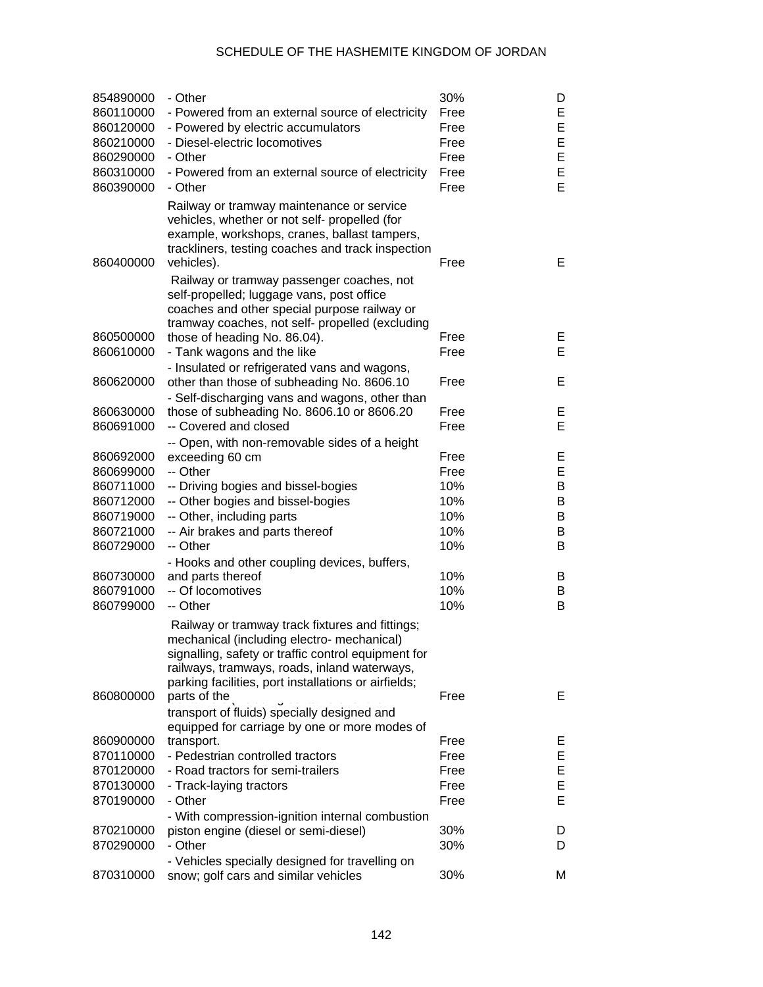| 854890000<br>860110000<br>860120000<br>860210000<br>860290000<br>860310000<br>860390000 | - Other<br>- Powered from an external source of electricity<br>- Powered by electric accumulators<br>- Diesel-electric locomotives<br>- Other<br>- Powered from an external source of electricity<br>- Other                                                 | 30%<br>Free<br>Free<br>Free<br>Free<br>Free<br>Free | D<br>Е<br>E<br>E<br>E<br>E<br>E |
|-----------------------------------------------------------------------------------------|--------------------------------------------------------------------------------------------------------------------------------------------------------------------------------------------------------------------------------------------------------------|-----------------------------------------------------|---------------------------------|
| 860400000                                                                               | Railway or tramway maintenance or service<br>vehicles, whether or not self- propelled (for<br>example, workshops, cranes, ballast tampers,<br>trackliners, testing coaches and track inspection<br>vehicles).                                                | Free                                                | E                               |
| 860500000<br>860610000                                                                  | Railway or tramway passenger coaches, not<br>self-propelled; luggage vans, post office<br>coaches and other special purpose railway or<br>tramway coaches, not self- propelled (excluding<br>those of heading No. 86.04).<br>- Tank wagons and the like      | Free<br>Free                                        | Е<br>Е                          |
| 860620000                                                                               | - Insulated or refrigerated vans and wagons,<br>other than those of subheading No. 8606.10                                                                                                                                                                   | Free                                                | Е                               |
| 860630000<br>860691000                                                                  | - Self-discharging vans and wagons, other than<br>those of subheading No. 8606.10 or 8606.20<br>-- Covered and closed                                                                                                                                        | Free<br>Free                                        | Е<br>Е                          |
| 860692000<br>860699000<br>860711000<br>860712000<br>860719000<br>860721000<br>860729000 | -- Open, with non-removable sides of a height<br>exceeding 60 cm<br>-- Other<br>-- Driving bogies and bissel-bogies<br>-- Other bogies and bissel-bogies<br>-- Other, including parts<br>-- Air brakes and parts thereof<br>-- Other                         | Free<br>Free<br>10%<br>10%<br>10%<br>10%<br>10%     | Е<br>E<br>B<br>B<br>B<br>B<br>B |
| 860730000<br>860791000<br>860799000                                                     | - Hooks and other coupling devices, buffers,<br>and parts thereof<br>-- Of locomotives<br>-- Other                                                                                                                                                           | 10%<br>10%<br>10%                                   | B<br>B<br>B                     |
|                                                                                         | Railway or tramway track fixtures and fittings;<br>mechanical (including electro- mechanical)<br>signalling, safety or traffic control equipment for<br>railways, tramways, roads, inland waterways,<br>parking facilities, port installations or airfields; |                                                     |                                 |
| 860800000                                                                               | parts of the<br>transport of fluids) specially designed and                                                                                                                                                                                                  | Free                                                | E.                              |
| 860900000<br>870110000<br>870120000<br>870130000<br>870190000                           | equipped for carriage by one or more modes of<br>transport.<br>- Pedestrian controlled tractors<br>- Road tractors for semi-trailers<br>- Track-laying tractors<br>- Other                                                                                   | Free<br>Free<br>Free<br>Free<br>Free                | Е<br>E<br>E<br>E<br>E           |
| 870210000<br>870290000                                                                  | - With compression-ignition internal combustion<br>piston engine (diesel or semi-diesel)<br>- Other                                                                                                                                                          | 30%<br>30%                                          | D<br>D                          |
| 870310000                                                                               | - Vehicles specially designed for travelling on<br>snow; golf cars and similar vehicles                                                                                                                                                                      | 30%                                                 | М                               |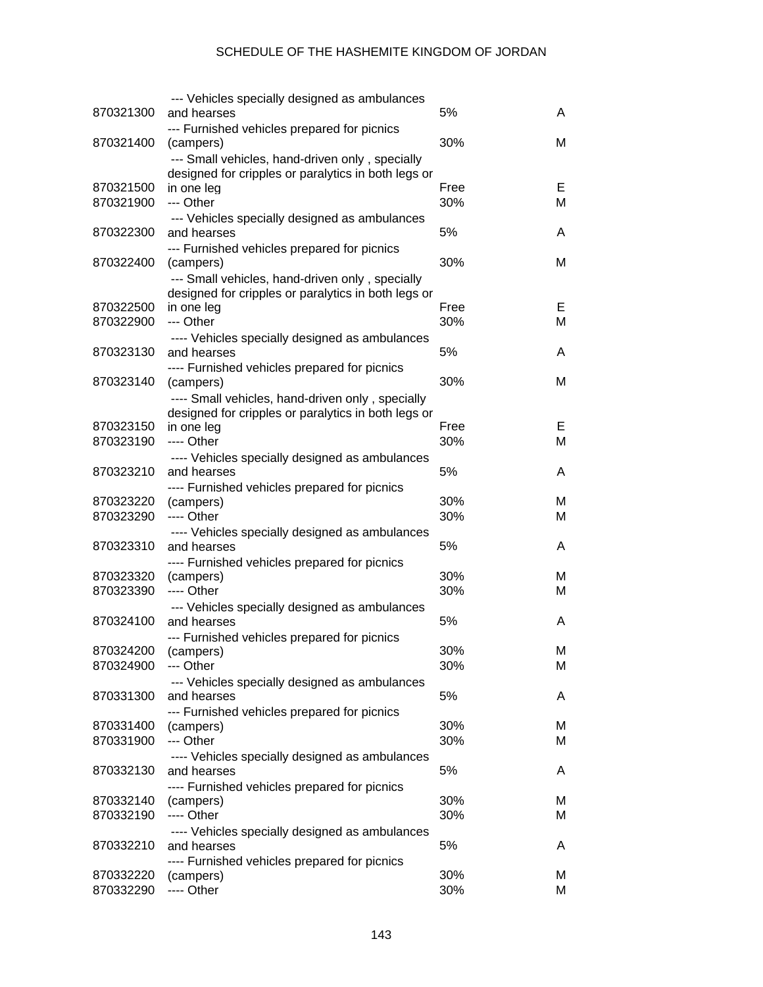|                     | --- Vehicles specially designed as ambulances                     |      |   |
|---------------------|-------------------------------------------------------------------|------|---|
| 870321300           | and hearses                                                       | 5%   | A |
|                     | --- Furnished vehicles prepared for picnics                       |      |   |
| 870321400           | (campers)                                                         | 30%  | м |
|                     | --- Small vehicles, hand-driven only, specially                   |      |   |
| 870321500           | designed for cripples or paralytics in both legs or<br>in one leg | Free | Е |
| 870321900           | --- Other                                                         | 30%  | M |
|                     | --- Vehicles specially designed as ambulances                     |      |   |
| 870322300           | and hearses                                                       | 5%   | A |
|                     | --- Furnished vehicles prepared for picnics                       |      |   |
| 870322400           | (campers)                                                         | 30%  | М |
|                     | --- Small vehicles, hand-driven only, specially                   |      |   |
|                     | designed for cripples or paralytics in both legs or               |      |   |
| 870322500           | in one leg                                                        | Free | Е |
| 870322900           | --- Other                                                         | 30%  | M |
|                     | ---- Vehicles specially designed as ambulances                    |      |   |
| 870323130           | and hearses                                                       | 5%   | A |
|                     | ---- Furnished vehicles prepared for picnics                      |      |   |
| 870323140           | (campers)                                                         | 30%  | М |
|                     | ---- Small vehicles, hand-driven only, specially                  |      |   |
| 870323150           | designed for cripples or paralytics in both legs or<br>in one leg | Free | Е |
| 870323190           | ---- Other                                                        | 30%  | M |
|                     | ---- Vehicles specially designed as ambulances                    |      |   |
| 870323210           | and hearses                                                       | 5%   | A |
|                     | ---- Furnished vehicles prepared for picnics                      |      |   |
| 870323220           | (campers)                                                         | 30%  | м |
| 870323290           | ---- Other                                                        | 30%  | М |
|                     | ---- Vehicles specially designed as ambulances                    |      |   |
| 870323310           | and hearses                                                       | 5%   | A |
|                     | ---- Furnished vehicles prepared for picnics                      |      |   |
| 870323320           | (campers)                                                         | 30%  | м |
| 870323390           | ---- Other                                                        | 30%  | М |
| 870324100           | --- Vehicles specially designed as ambulances                     | 5%   | A |
|                     | and hearses                                                       |      |   |
| 870324200 (campers) | --- Furnished vehicles prepared for picnics                       | 30%  | Μ |
| 870324900           | --- Other                                                         | 30%  | M |
|                     | --- Vehicles specially designed as ambulances                     |      |   |
| 870331300           | and hearses                                                       | 5%   | A |
|                     | --- Furnished vehicles prepared for picnics                       |      |   |
| 870331400           | (campers)                                                         | 30%  | м |
| 870331900           | --- Other                                                         | 30%  | м |
|                     | ---- Vehicles specially designed as ambulances                    |      |   |
| 870332130           | and hearses                                                       | 5%   | A |
|                     | ---- Furnished vehicles prepared for picnics                      |      |   |
| 870332140           | (campers)                                                         | 30%  | M |
| 870332190           | ---- Other                                                        | 30%  | М |
| 870332210           | ---- Vehicles specially designed as ambulances<br>and hearses     | 5%   | A |
|                     |                                                                   |      |   |
| 870332220           | ---- Furnished vehicles prepared for picnics<br>(campers)         | 30%  | м |
| 870332290           | ---- Other                                                        | 30%  | м |
|                     |                                                                   |      |   |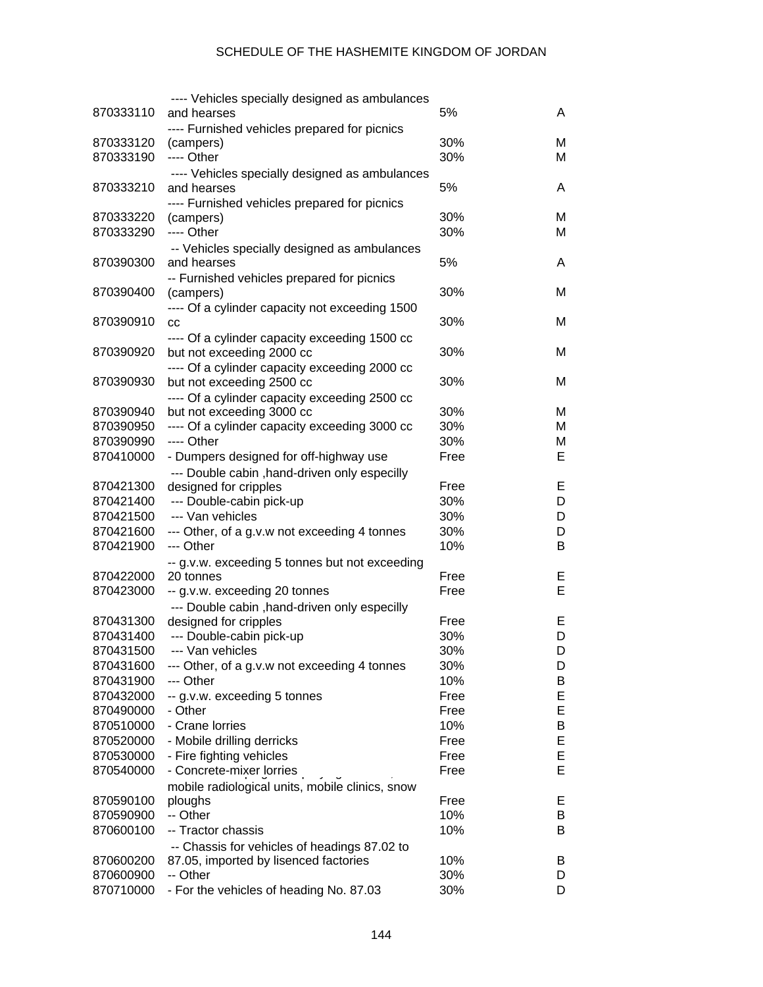|           | ---- Vehicles specially designed as ambulances  |      |   |
|-----------|-------------------------------------------------|------|---|
| 870333110 | and hearses                                     | 5%   | A |
|           | ---- Furnished vehicles prepared for picnics    |      |   |
| 870333120 | (campers)                                       | 30%  | M |
| 870333190 | ---- Other                                      | 30%  | м |
|           | ---- Vehicles specially designed as ambulances  |      |   |
| 870333210 | and hearses                                     | 5%   | A |
|           |                                                 |      |   |
|           | ---- Furnished vehicles prepared for picnics    |      |   |
| 870333220 | (campers)                                       | 30%  | M |
| 870333290 | ---- Other                                      | 30%  | М |
|           | -- Vehicles specially designed as ambulances    |      |   |
| 870390300 | and hearses                                     | 5%   | A |
|           | -- Furnished vehicles prepared for picnics      |      |   |
| 870390400 | (campers)                                       | 30%  | M |
|           | ---- Of a cylinder capacity not exceeding 1500  |      |   |
| 870390910 | cc                                              | 30%  | M |
|           | ---- Of a cylinder capacity exceeding 1500 cc   |      |   |
| 870390920 | but not exceeding 2000 cc                       | 30%  | M |
|           | ---- Of a cylinder capacity exceeding 2000 cc   |      |   |
| 870390930 | but not exceeding 2500 cc                       | 30%  | M |
|           | ---- Of a cylinder capacity exceeding 2500 cc   |      |   |
| 870390940 | but not exceeding 3000 cc                       | 30%  | M |
| 870390950 |                                                 | 30%  | М |
|           | ---- Of a cylinder capacity exceeding 3000 cc   |      |   |
| 870390990 | ---- Other                                      | 30%  | М |
| 870410000 | - Dumpers designed for off-highway use          | Free | E |
|           | --- Double cabin , hand-driven only especilly   |      |   |
| 870421300 | designed for cripples                           | Free | E |
| 870421400 | --- Double-cabin pick-up                        | 30%  | D |
| 870421500 | --- Van vehicles                                | 30%  | D |
| 870421600 | --- Other, of a g.v.w not exceeding 4 tonnes    | 30%  | D |
| 870421900 | --- Other                                       | 10%  | В |
|           | -- g.v.w. exceeding 5 tonnes but not exceeding  |      |   |
| 870422000 | 20 tonnes                                       | Free | E |
| 870423000 | -- g.v.w. exceeding 20 tonnes                   | Free | E |
|           | --- Double cabin , hand-driven only especilly   |      |   |
| 870431300 | designed for cripples                           | Free | Е |
| 870431400 | --- Double-cabin pick-up                        | 30%  | D |
| 870431500 | --- Van vehicles                                | 30%  | D |
| 870431600 | --- Other, of a g.v.w not exceeding 4 tonnes    | 30%  | D |
| 870431900 | --- Other                                       | 10%  |   |
|           |                                                 |      | B |
| 870432000 | -- g.v.w. exceeding 5 tonnes                    | Free | Е |
| 870490000 | - Other                                         | Free | Ε |
| 870510000 | - Crane lorries                                 | 10%  | B |
| 870520000 | - Mobile drilling derricks                      | Free | Е |
| 870530000 | - Fire fighting vehicles                        | Free | E |
| 870540000 | - Concrete-mixer lorries                        | Free | E |
|           | mobile radiological units, mobile clinics, snow |      |   |
| 870590100 | ploughs                                         | Free | Е |
| 870590900 | -- Other                                        | 10%  | B |
| 870600100 | -- Tractor chassis                              | 10%  | B |
|           | -- Chassis for vehicles of headings 87.02 to    |      |   |
| 870600200 | 87.05, imported by lisenced factories           | 10%  | B |
| 870600900 | -- Other                                        | 30%  | D |
| 870710000 | - For the vehicles of heading No. 87.03         | 30%  | D |
|           |                                                 |      |   |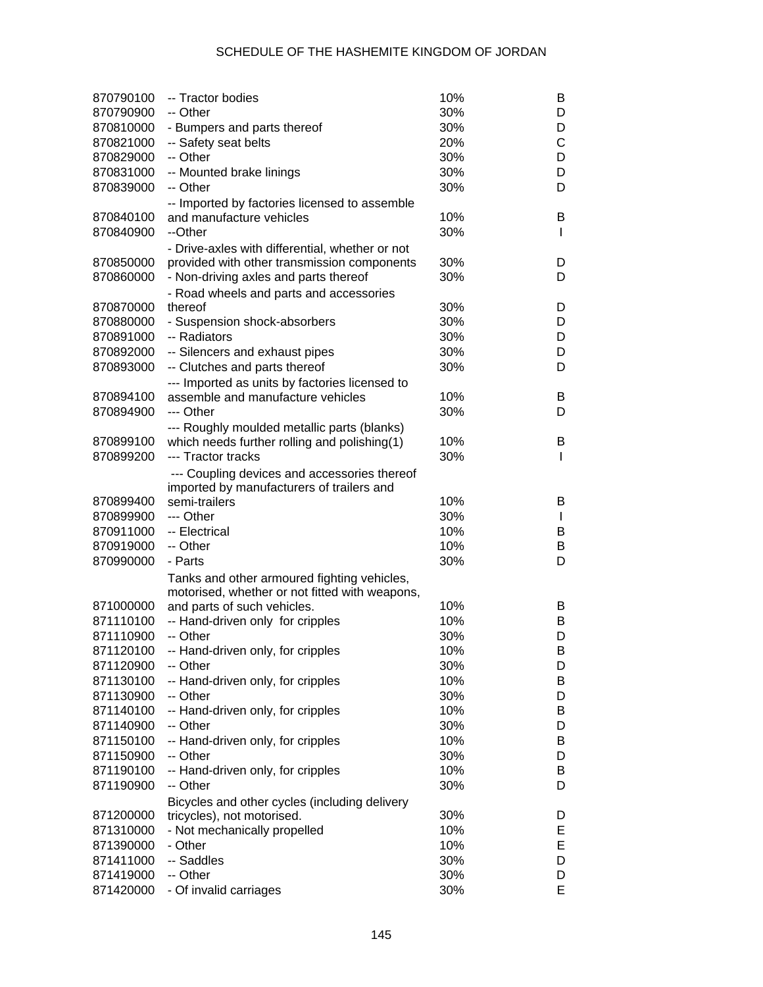| 870790100 | -- Tractor bodies                               | 10% | B            |
|-----------|-------------------------------------------------|-----|--------------|
| 870790900 | -- Other                                        | 30% | D            |
| 870810000 | - Bumpers and parts thereof                     | 30% | D            |
| 870821000 | -- Safety seat belts                            | 20% | C            |
| 870829000 | -- Other                                        | 30% | D            |
| 870831000 | -- Mounted brake linings                        | 30% | D            |
| 870839000 | -- Other                                        | 30% | D            |
|           | -- Imported by factories licensed to assemble   |     |              |
| 870840100 | and manufacture vehicles                        | 10% | B            |
| 870840900 | --Other                                         | 30% | L            |
|           | - Drive-axles with differential, whether or not |     |              |
| 870850000 | provided with other transmission components     | 30% | D            |
| 870860000 | - Non-driving axles and parts thereof           | 30% | D            |
|           | - Road wheels and parts and accessories         |     |              |
| 870870000 | thereof                                         | 30% | D            |
| 870880000 | - Suspension shock-absorbers                    | 30% | D            |
| 870891000 | -- Radiators                                    | 30% | D            |
| 870892000 | -- Silencers and exhaust pipes                  | 30% | D            |
| 870893000 | -- Clutches and parts thereof                   | 30% | D            |
|           | --- Imported as units by factories licensed to  |     |              |
| 870894100 | assemble and manufacture vehicles               | 10% | B            |
| 870894900 | --- Other                                       | 30% | D            |
|           | --- Roughly moulded metallic parts (blanks)     |     |              |
| 870899100 | which needs further rolling and polishing(1)    | 10% | B            |
| 870899200 | --- Tractor tracks                              | 30% | L            |
|           | --- Coupling devices and accessories thereof    |     |              |
|           | imported by manufacturers of trailers and       |     |              |
| 870899400 | semi-trailers                                   | 10% | B            |
| 870899900 | --- Other                                       | 30% | $\mathbf{I}$ |
| 870911000 | -- Electrical                                   | 10% | B            |
| 870919000 | -- Other                                        | 10% | B            |
| 870990000 | - Parts                                         | 30% | D            |
|           | Tanks and other armoured fighting vehicles,     |     |              |
|           | motorised, whether or not fitted with weapons,  |     |              |
| 871000000 | and parts of such vehicles.                     | 10% | B            |
| 871110100 | -- Hand-driven only for cripples                | 10% | B            |
| 871110900 | -- Other                                        | 30% | D            |
| 871120100 | -- Hand-driven only, for cripples               | 10% | В            |
| 871120900 | -- Other                                        | 30% | D            |
| 871130100 | -- Hand-driven only, for cripples               | 10% | В            |
| 871130900 | -- Other                                        | 30% | D            |
| 871140100 | -- Hand-driven only, for cripples               | 10% | В            |
| 871140900 | -- Other                                        | 30% | D            |
| 871150100 | -- Hand-driven only, for cripples               | 10% | В            |
| 871150900 | -- Other                                        | 30% | D            |
| 871190100 | -- Hand-driven only, for cripples               | 10% | В            |
| 871190900 | -- Other                                        | 30% | D            |
|           | Bicycles and other cycles (including delivery   |     |              |
| 871200000 | tricycles), not motorised.                      | 30% | D            |
| 871310000 | - Not mechanically propelled                    | 10% | Е            |
| 871390000 | - Other                                         | 10% | E            |
| 871411000 | -- Saddles                                      | 30% | D            |
| 871419000 | -- Other                                        | 30% | D            |
| 871420000 | - Of invalid carriages                          | 30% | E            |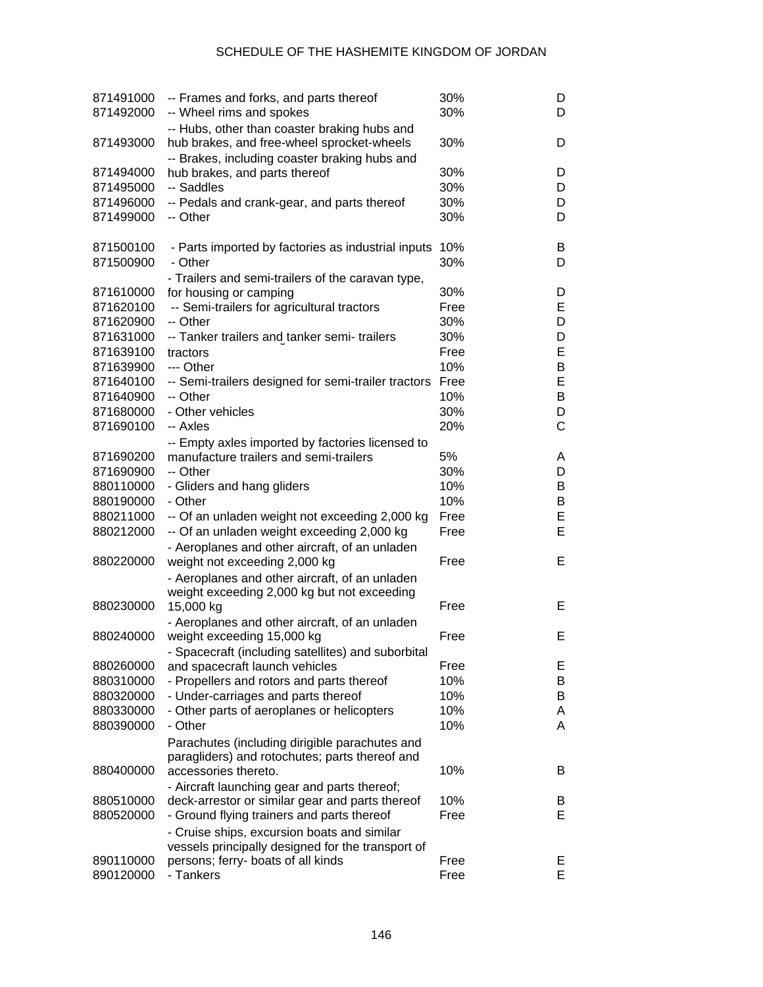## SCHEDULE OF THE HASHEMITE KINGDOM OF JORDAN

| 871491000<br>871492000 | -- Frames and forks, and parts thereof<br>-- Wheel rims and spokes                            | 30%<br>30%  | D<br>D |
|------------------------|-----------------------------------------------------------------------------------------------|-------------|--------|
| 871493000              | -- Hubs, other than coaster braking hubs and<br>hub brakes, and free-wheel sprocket-wheels    | 30%         | D      |
|                        | -- Brakes, including coaster braking hubs and                                                 | 30%         |        |
| 871494000              | hub brakes, and parts thereof<br>-- Saddles                                                   | 30%         | D      |
| 871495000<br>871496000 | -- Pedals and crank-gear, and parts thereof                                                   | 30%         | D<br>D |
| 871499000              | -- Other                                                                                      | 30%         | D      |
| 871500100              | - Parts imported by factories as industrial inputs                                            | 10%         | B      |
| 871500900              | - Other                                                                                       | 30%         | D      |
|                        | - Trailers and semi-trailers of the caravan type,                                             |             |        |
| 871610000              | for housing or camping                                                                        | 30%         | D      |
| 871620100              | -- Semi-trailers for agricultural tractors                                                    | Free        | Е      |
| 871620900              | -- Other                                                                                      | 30%         | D      |
| 871631000              | -- Tanker trailers and tanker semi- trailers                                                  | 30%         | D<br>E |
| 871639100              | tractors                                                                                      | Free<br>10% |        |
| 871639900<br>871640100 | --- Other                                                                                     | Free        | B<br>E |
| 871640900              | -- Semi-trailers designed for semi-trailer tractors<br>-- Other                               | 10%         | В      |
| 871680000              | - Other vehicles                                                                              | 30%         | D      |
| 871690100              | -- Axles                                                                                      | 20%         | C      |
|                        |                                                                                               |             |        |
| 871690200              | -- Empty axles imported by factories licensed to<br>manufacture trailers and semi-trailers    | 5%          | A      |
| 871690900              | -- Other                                                                                      | 30%         | D      |
| 880110000              | - Gliders and hang gliders                                                                    | 10%         | В      |
| 880190000              | - Other                                                                                       | 10%         | В      |
| 880211000              | -- Of an unladen weight not exceeding 2,000 kg                                                | Free        | E      |
| 880212000              | -- Of an unladen weight exceeding 2,000 kg                                                    | Free        | E      |
|                        | - Aeroplanes and other aircraft, of an unladen                                                |             |        |
| 880220000              | weight not exceeding 2,000 kg                                                                 | Free        | Е      |
|                        | - Aeroplanes and other aircraft, of an unladen<br>weight exceeding 2,000 kg but not exceeding |             |        |
| 880230000              | 15,000 kg                                                                                     | Free        | Е      |
|                        | - Aeroplanes and other aircraft, of an unladen                                                |             |        |
| 880240000              | weight exceeding 15,000 kg                                                                    | Free        | Е      |
|                        | - Spacecraft (including satellites) and suborbital                                            |             |        |
| 880260000              | and spacecraft launch vehicles                                                                | Free        | Е      |
| 880310000              | - Propellers and rotors and parts thereof                                                     | 10%         | B      |
| 880320000              | - Under-carriages and parts thereof                                                           | 10%         | B      |
| 880330000              | - Other parts of aeroplanes or helicopters                                                    | 10%         | A      |
| 880390000              | - Other                                                                                       | 10%         | A      |
|                        | Parachutes (including dirigible parachutes and                                                |             |        |
|                        | paragliders) and rotochutes; parts thereof and                                                |             |        |
| 880400000              | accessories thereto.                                                                          | 10%         | B      |
|                        | - Aircraft launching gear and parts thereof;                                                  |             |        |
| 880510000              | deck-arrestor or similar gear and parts thereof                                               | 10%         | B      |
| 880520000              | - Ground flying trainers and parts thereof                                                    | Free        | Е      |
|                        | - Cruise ships, excursion boats and similar                                                   |             |        |
|                        | vessels principally designed for the transport of                                             |             |        |
| 890110000              | persons; ferry- boats of all kinds                                                            | Free        | E.     |
| 890120000              | - Tankers                                                                                     | Free        | E.     |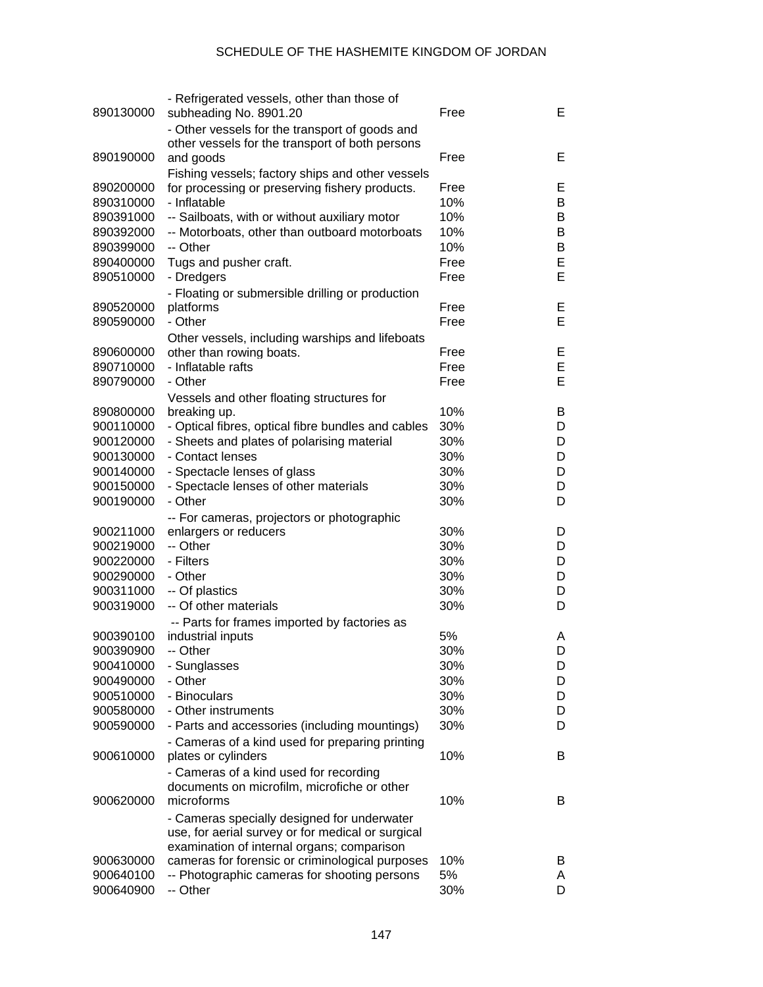| 890130000 | - Refrigerated vessels, other than those of<br>subheading No. 8901.20 | Free | E. |
|-----------|-----------------------------------------------------------------------|------|----|
|           | - Other vessels for the transport of goods and                        |      |    |
| 890190000 | other vessels for the transport of both persons                       | Free | Е  |
|           | and goods                                                             |      |    |
|           | Fishing vessels; factory ships and other vessels                      | Free |    |
| 890200000 | for processing or preserving fishery products.                        |      | Е  |
| 890310000 | - Inflatable                                                          | 10%  | B  |
| 890391000 | -- Sailboats, with or without auxiliary motor                         | 10%  | B  |
| 890392000 | -- Motorboats, other than outboard motorboats                         | 10%  | B  |
| 890399000 | -- Other                                                              | 10%  | B  |
| 890400000 | Tugs and pusher craft.                                                | Free | E  |
| 890510000 | - Dredgers                                                            | Free | Е  |
|           | - Floating or submersible drilling or production                      |      |    |
| 890520000 | platforms                                                             | Free | Е  |
| 890590000 | - Other                                                               | Free | Е  |
|           | Other vessels, including warships and lifeboats                       |      |    |
| 890600000 | other than rowing boats.                                              | Free | Е  |
| 890710000 | - Inflatable rafts                                                    | Free | E  |
| 890790000 | - Other                                                               | Free | E  |
|           | Vessels and other floating structures for                             |      |    |
| 890800000 | breaking up.                                                          | 10%  | B  |
| 900110000 | - Optical fibres, optical fibre bundles and cables                    | 30%  | D  |
| 900120000 | - Sheets and plates of polarising material                            | 30%  | D  |
| 900130000 | - Contact lenses                                                      | 30%  | D  |
| 900140000 | - Spectacle lenses of glass                                           | 30%  | D  |
| 900150000 | - Spectacle lenses of other materials                                 | 30%  | D  |
| 900190000 | - Other                                                               | 30%  | D  |
|           | -- For cameras, projectors or photographic                            |      |    |
| 900211000 | enlargers or reducers                                                 | 30%  | D  |
| 900219000 | -- Other                                                              | 30%  | D  |
| 900220000 | - Filters                                                             | 30%  | D  |
| 900290000 | - Other                                                               | 30%  | D  |
| 900311000 | -- Of plastics                                                        | 30%  | D  |
| 900319000 | -- Of other materials                                                 | 30%  | D  |
|           | -- Parts for frames imported by factories as                          |      |    |
| 900390100 | industrial inputs                                                     | 5%   | A  |
| 900390900 | -- Other                                                              | 30%  | D  |
| 900410000 | - Sunglasses                                                          | 30%  | D  |
| 900490000 | - Other                                                               | 30%  | D  |
| 900510000 | - Binoculars                                                          | 30%  | D  |
| 900580000 | - Other instruments                                                   | 30%  | D  |
| 900590000 | - Parts and accessories (including mountings)                         | 30%  | D  |
|           | - Cameras of a kind used for preparing printing                       |      |    |
| 900610000 | plates or cylinders                                                   | 10%  | B  |
|           | - Cameras of a kind used for recording                                |      |    |
|           | documents on microfilm, microfiche or other                           |      |    |
| 900620000 | microforms                                                            | 10%  | B  |
|           | - Cameras specially designed for underwater                           |      |    |
|           | use, for aerial survey or for medical or surgical                     |      |    |
|           | examination of internal organs; comparison                            |      |    |
| 900630000 | cameras for forensic or criminological purposes                       | 10%  | B  |
| 900640100 | -- Photographic cameras for shooting persons                          | 5%   | A  |
| 900640900 | -- Other                                                              | 30%  | D  |
|           |                                                                       |      |    |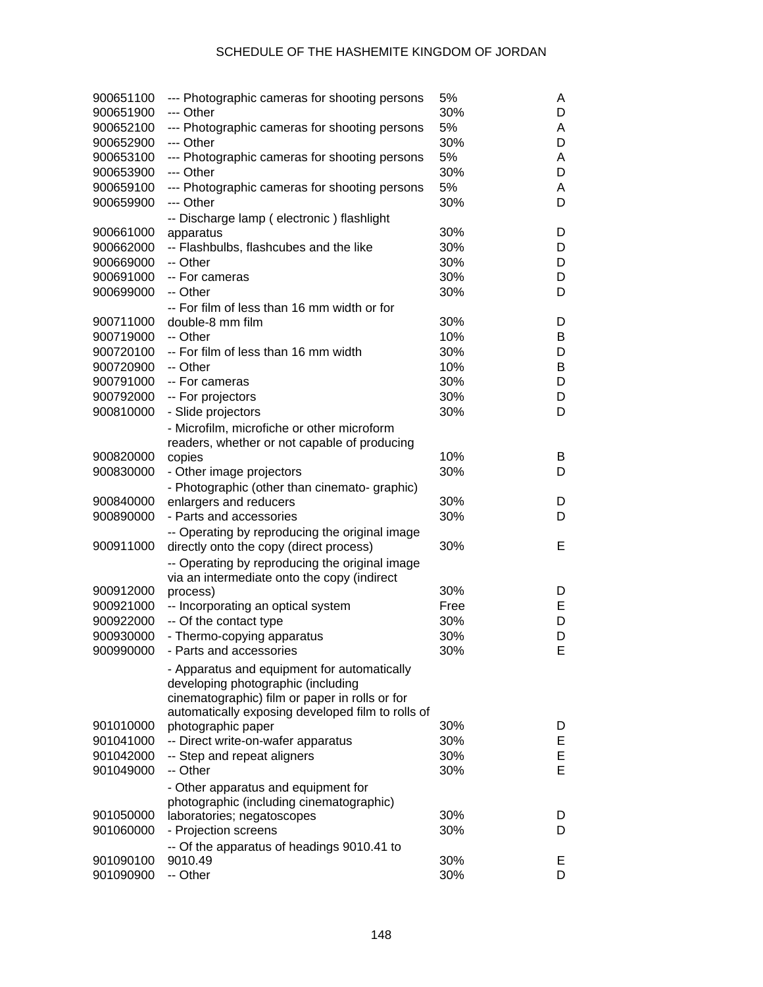## SCHEDULE OF THE HASHEMITE KINGDOM OF JORDAN

| 900651100<br>900651900 | --- Photographic cameras for shooting persons<br>--- Other                        | 5%<br>30% | A<br>D |
|------------------------|-----------------------------------------------------------------------------------|-----------|--------|
| 900652100              | --- Photographic cameras for shooting persons                                     | 5%        | A      |
| 900652900              | --- Other                                                                         | 30%       | D      |
| 900653100              | --- Photographic cameras for shooting persons                                     | 5%        | A      |
| 900653900              | --- Other                                                                         | 30%       | D      |
| 900659100              | --- Photographic cameras for shooting persons                                     | 5%        | A      |
| 900659900              | --- Other                                                                         | 30%       | D      |
|                        | -- Discharge lamp (electronic) flashlight                                         |           |        |
| 900661000              | apparatus                                                                         | 30%       | D      |
| 900662000              | -- Flashbulbs, flashcubes and the like                                            | 30%       | D      |
| 900669000              | -- Other                                                                          | 30%       | D      |
| 900691000              | -- For cameras                                                                    | 30%       | D      |
| 900699000              |                                                                                   |           |        |
|                        | -- Other                                                                          | 30%       | D      |
|                        | -- For film of less than 16 mm width or for                                       |           |        |
| 900711000              | double-8 mm film                                                                  | 30%       | D      |
| 900719000              | -- Other                                                                          | 10%       | B      |
| 900720100              | -- For film of less than 16 mm width                                              | 30%       | D      |
| 900720900              | -- Other                                                                          | 10%       | В      |
| 900791000              | -- For cameras                                                                    | 30%       | D      |
| 900792000              | -- For projectors                                                                 | 30%       | D      |
| 900810000              | - Slide projectors                                                                | 30%       | D      |
|                        | - Microfilm, microfiche or other microform                                        |           |        |
|                        | readers, whether or not capable of producing                                      |           |        |
| 900820000              | copies                                                                            | 10%       | B      |
| 900830000              | - Other image projectors                                                          | 30%       | D      |
|                        | - Photographic (other than cinemato- graphic)                                     |           |        |
| 900840000              | enlargers and reducers                                                            | 30%       | D      |
| 900890000              | - Parts and accessories                                                           | 30%       | D      |
|                        | -- Operating by reproducing the original image                                    |           |        |
| 900911000              | directly onto the copy (direct process)                                           | 30%       | Е      |
|                        | -- Operating by reproducing the original image                                    |           |        |
|                        | via an intermediate onto the copy (indirect                                       |           |        |
| 900912000              | process)                                                                          | 30%       | D      |
| 900921000              | -- Incorporating an optical system                                                | Free      | Е      |
| 900922000              | -- Of the contact type                                                            | 30%       | D      |
| 900930000              | - Thermo-copying apparatus                                                        | 30%       | D      |
| 900990000              | - Parts and accessories                                                           | 30%       | E      |
|                        |                                                                                   |           |        |
|                        | - Apparatus and equipment for automatically<br>developing photographic (including |           |        |
|                        | cinematographic) film or paper in rolls or for                                    |           |        |
|                        | automatically exposing developed film to rolls of                                 |           |        |
| 901010000              | photographic paper                                                                | 30%       | D      |
| 901041000              | -- Direct write-on-wafer apparatus                                                | 30%       | E      |
| 901042000              | -- Step and repeat aligners                                                       | 30%       | E      |
| 901049000              | -- Other                                                                          | 30%       | E      |
|                        |                                                                                   |           |        |
|                        | - Other apparatus and equipment for                                               |           |        |
|                        | photographic (including cinematographic)                                          |           |        |
| 901050000              | laboratories; negatoscopes                                                        | 30%       | D      |
| 901060000              | - Projection screens                                                              | 30%       | D      |
|                        | -- Of the apparatus of headings 9010.41 to                                        |           |        |
| 901090100              | 9010.49                                                                           | 30%       | E.     |
| 901090900              | -- Other                                                                          | 30%       | D      |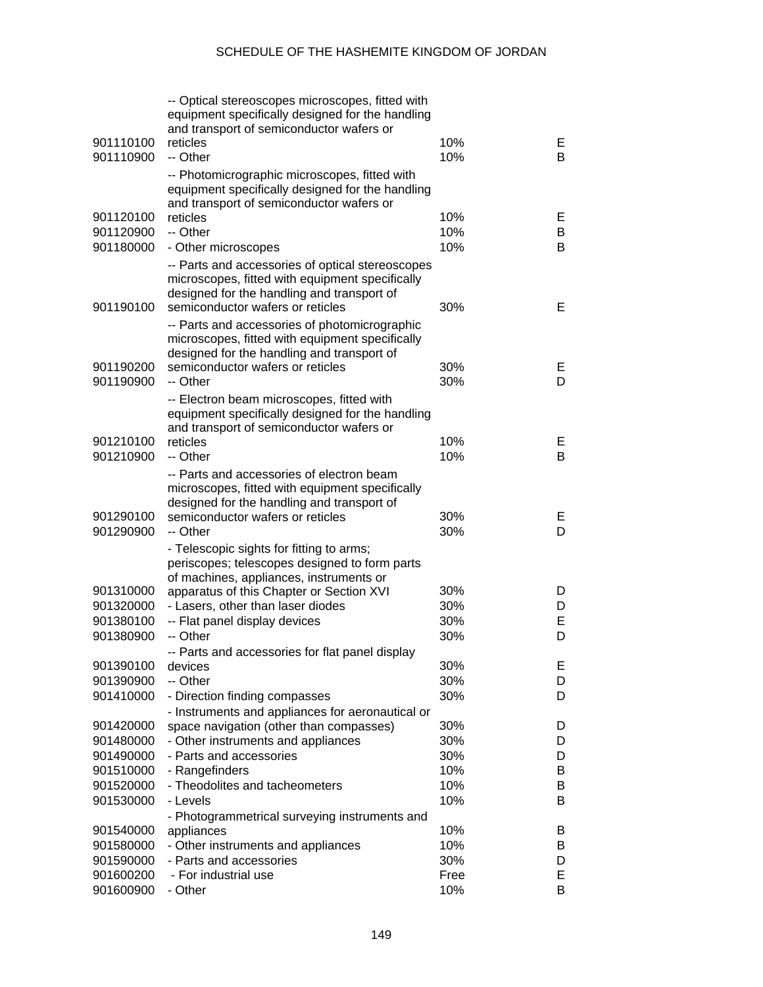| 901110100<br>901110900 | -- Optical stereoscopes microscopes, fitted with<br>equipment specifically designed for the handling<br>and transport of semiconductor wafers or<br>reticles<br>-- Other              | 10%<br>10% | Е<br>B |
|------------------------|---------------------------------------------------------------------------------------------------------------------------------------------------------------------------------------|------------|--------|
|                        | -- Photomicrographic microscopes, fitted with<br>equipment specifically designed for the handling<br>and transport of semiconductor wafers or                                         |            |        |
| 901120100              | reticles                                                                                                                                                                              | 10%        | E.     |
| 901120900              | -- Other                                                                                                                                                                              | 10%        | B      |
| 901180000              | - Other microscopes                                                                                                                                                                   | 10%        | В      |
| 901190100              | -- Parts and accessories of optical stereoscopes<br>microscopes, fitted with equipment specifically<br>designed for the handling and transport of<br>semiconductor wafers or reticles | 30%        | Е      |
|                        | -- Parts and accessories of photomicrographic<br>microscopes, fitted with equipment specifically<br>designed for the handling and transport of                                        |            |        |
| 901190200              | semiconductor wafers or reticles                                                                                                                                                      | 30%        | E.     |
| 901190900              | -- Other                                                                                                                                                                              | 30%        | D      |
|                        | -- Electron beam microscopes, fitted with<br>equipment specifically designed for the handling<br>and transport of semiconductor wafers or                                             |            |        |
| 901210100              | reticles                                                                                                                                                                              | 10%        | E.     |
| 901210900              | -- Other                                                                                                                                                                              | 10%        | В      |
|                        | -- Parts and accessories of electron beam<br>microscopes, fitted with equipment specifically<br>designed for the handling and transport of                                            |            |        |
| 901290100              | semiconductor wafers or reticles                                                                                                                                                      | 30%        | E.     |
| 901290900              | -- Other                                                                                                                                                                              | 30%        | D      |
|                        | - Telescopic sights for fitting to arms;<br>periscopes; telescopes designed to form parts<br>of machines, appliances, instruments or                                                  |            |        |
| 901310000              | apparatus of this Chapter or Section XVI                                                                                                                                              | 30%        | D      |
| 901320000              | - Lasers, other than laser diodes                                                                                                                                                     | 30%        | D      |
| 901380100              | -- Flat panel display devices                                                                                                                                                         | 30%        | E      |
| 901380900              | -- Other                                                                                                                                                                              | 30%        | D      |
|                        | -- Parts and accessories for flat panel display                                                                                                                                       |            |        |
| 901390100              | devices                                                                                                                                                                               | 30%        | Е      |
| 901390900              | -- Other                                                                                                                                                                              | 30%        | D      |
| 901410000              | - Direction finding compasses                                                                                                                                                         | 30%        | D      |
|                        | - Instruments and appliances for aeronautical or                                                                                                                                      |            |        |
| 901420000              | space navigation (other than compasses)                                                                                                                                               | 30%        | D      |
| 901480000              | - Other instruments and appliances                                                                                                                                                    | 30%        | D      |
| 901490000              | - Parts and accessories                                                                                                                                                               | 30%        | D      |
| 901510000              | - Rangefinders                                                                                                                                                                        | 10%        | B      |
| 901520000              | - Theodolites and tacheometers                                                                                                                                                        | 10%        | B      |
| 901530000              | - Levels                                                                                                                                                                              | 10%        | B      |
|                        | - Photogrammetrical surveying instruments and                                                                                                                                         |            |        |
| 901540000<br>901580000 | appliances<br>- Other instruments and appliances                                                                                                                                      | 10%<br>10% | B<br>B |
| 901590000              | - Parts and accessories                                                                                                                                                               | 30%        | D      |
| 901600200              | - For industrial use                                                                                                                                                                  | Free       | E      |
| 901600900              | - Other                                                                                                                                                                               | 10%        | В      |
|                        |                                                                                                                                                                                       |            |        |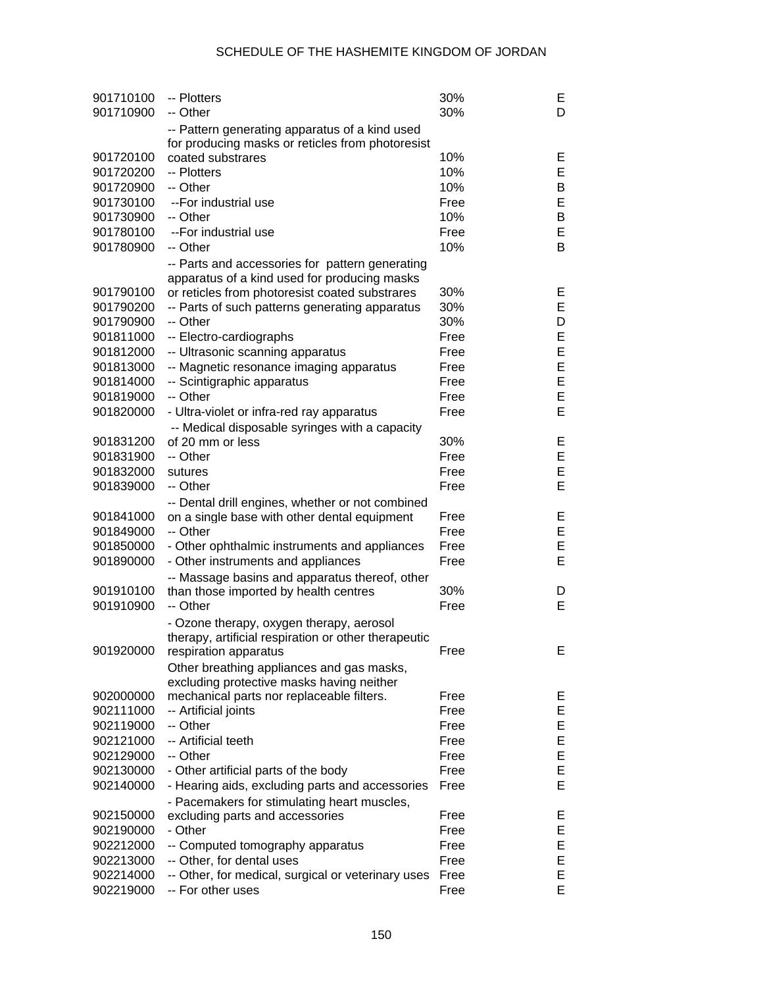| 901710100 | -- Plotters                                          | 30%  | Е |
|-----------|------------------------------------------------------|------|---|
| 901710900 | -- Other                                             | 30%  | D |
|           | -- Pattern generating apparatus of a kind used       |      |   |
|           | for producing masks or reticles from photoresist     |      |   |
| 901720100 | coated substrares                                    | 10%  | Е |
| 901720200 | -- Plotters                                          | 10%  | E |
| 901720900 | -- Other                                             | 10%  | B |
| 901730100 | --For industrial use                                 | Free | E |
| 901730900 | -- Other                                             | 10%  | B |
| 901780100 | --For industrial use                                 | Free | E |
| 901780900 | -- Other                                             | 10%  | В |
|           | -- Parts and accessories for pattern generating      |      |   |
|           | apparatus of a kind used for producing masks         |      |   |
| 901790100 | or reticles from photoresist coated substrares       | 30%  | Е |
| 901790200 | -- Parts of such patterns generating apparatus       | 30%  | E |
| 901790900 | -- Other                                             | 30%  | D |
| 901811000 | -- Electro-cardiographs                              | Free | Е |
| 901812000 | -- Ultrasonic scanning apparatus                     | Free | E |
| 901813000 | -- Magnetic resonance imaging apparatus              | Free | E |
| 901814000 | -- Scintigraphic apparatus                           | Free | E |
| 901819000 | -- Other                                             | Free | E |
| 901820000 | - Ultra-violet or infra-red ray apparatus            | Free | E |
|           | -- Medical disposable syringes with a capacity       |      |   |
| 901831200 | of 20 mm or less                                     | 30%  | Е |
| 901831900 | -- Other                                             | Free | Е |
| 901832000 | sutures                                              | Free | Е |
| 901839000 | -- Other                                             | Free | E |
|           | -- Dental drill engines, whether or not combined     |      |   |
| 901841000 | on a single base with other dental equipment         | Free | Е |
| 901849000 | -- Other                                             | Free | Е |
| 901850000 | - Other ophthalmic instruments and appliances        | Free | Е |
| 901890000 | - Other instruments and appliances                   | Free | E |
|           | -- Massage basins and apparatus thereof, other       |      |   |
| 901910100 | than those imported by health centres                | 30%  | D |
| 901910900 | -- Other                                             | Free | E |
|           | - Ozone therapy, oxygen therapy, aerosol             |      |   |
|           | therapy, artificial respiration or other therapeutic |      |   |
|           | 901920000 respiration apparatus                      | Free | Е |
|           | Other breathing appliances and gas masks,            |      |   |
|           | excluding protective masks having neither            |      |   |
| 902000000 | mechanical parts nor replaceable filters.            | Free | Е |
| 902111000 | -- Artificial joints                                 | Free | E |
| 902119000 | -- Other                                             | Free | Е |
| 902121000 | -- Artificial teeth                                  | Free | Е |
| 902129000 | -- Other                                             | Free | Е |
| 902130000 | - Other artificial parts of the body                 | Free | E |
| 902140000 | - Hearing aids, excluding parts and accessories      | Free | E |
|           | - Pacemakers for stimulating heart muscles,          |      |   |
| 902150000 | excluding parts and accessories                      | Free | Е |
| 902190000 | - Other                                              | Free | E |
| 902212000 | -- Computed tomography apparatus                     | Free | Е |
| 902213000 | -- Other, for dental uses                            | Free | Е |
| 902214000 | -- Other, for medical, surgical or veterinary uses   | Free | Е |
| 902219000 | -- For other uses                                    | Free | E |
|           |                                                      |      |   |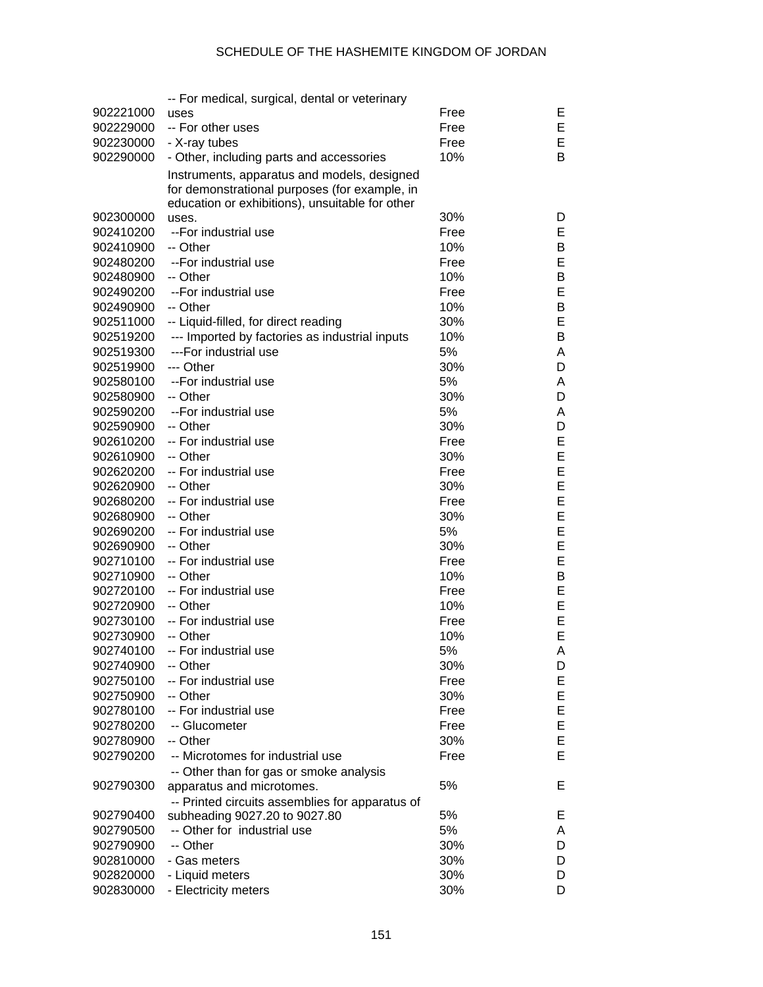|                        | -- For medical, surgical, dental or veterinary                                   |      |    |
|------------------------|----------------------------------------------------------------------------------|------|----|
| 902221000              | uses                                                                             | Free | Е  |
| 902229000              | -- For other uses                                                                | Free | Е  |
| 902230000              | - X-ray tubes                                                                    | Free | Е  |
| 902290000              | - Other, including parts and accessories                                         | 10%  | B  |
|                        | Instruments, apparatus and models, designed                                      |      |    |
|                        | for demonstrational purposes (for example, in                                    |      |    |
|                        | education or exhibitions), unsuitable for other                                  |      |    |
| 902300000              | uses.                                                                            | 30%  | D  |
| 902410200              | --For industrial use                                                             | Free | Е  |
| 902410900              | -- Other                                                                         | 10%  | B  |
| 902480200              | --For industrial use                                                             | Free | Е  |
| 902480900              | -- Other                                                                         | 10%  | В  |
| 902490200              | --For industrial use                                                             | Free | Е  |
| 902490900              | -- Other                                                                         | 10%  | B  |
| 902511000              | -- Liquid-filled, for direct reading                                             | 30%  | Е  |
| 902519200              | --- Imported by factories as industrial inputs                                   | 10%  | В  |
| 902519300              | ---For industrial use                                                            | 5%   | A  |
| 902519900              | --- Other                                                                        | 30%  | D  |
|                        |                                                                                  | 5%   |    |
| 902580100              | --For industrial use                                                             |      | A  |
| 902580900              | -- Other                                                                         | 30%  | D  |
| 902590200              | --For industrial use                                                             | 5%   | A  |
| 902590900              | -- Other                                                                         | 30%  | D  |
| 902610200              | -- For industrial use                                                            | Free | Е  |
| 902610900              | -- Other                                                                         | 30%  | Ε  |
| 902620200              | -- For industrial use                                                            | Free | Ε  |
| 902620900              | -- Other                                                                         | 30%  | Ε  |
| 902680200              | -- For industrial use                                                            | Free | Ε  |
| 902680900              | -- Other                                                                         | 30%  | Ε  |
| 902690200              | -- For industrial use                                                            | 5%   | Ε  |
| 902690900              | -- Other                                                                         | 30%  | Ε  |
| 902710100              | -- For industrial use                                                            | Free | Ε  |
| 902710900              | -- Other                                                                         | 10%  | В  |
| 902720100              | -- For industrial use                                                            | Free | Ε  |
| 902720900              | -- Other                                                                         | 10%  | Ε  |
| 902730100              | -- For industrial use                                                            | Free | E  |
| 902730900              | -- Other                                                                         | 10%  | E  |
| 902740100              | -- For industrial use                                                            | 5%   | Α  |
| 902740900              | -- Other                                                                         | 30%  | D  |
| 902750100              | -- For industrial use                                                            | Free | E. |
| 902750900              | -- Other                                                                         | 30%  | E, |
| 902780100              | -- For industrial use                                                            | Free | Е  |
| 902780200              | -- Glucometer                                                                    | Free | E, |
| 902780900              | -- Other                                                                         | 30%  | Е  |
| 902790200              | -- Microtomes for industrial use                                                 | Free | Е  |
|                        | -- Other than for gas or smoke analysis                                          |      |    |
| 902790300              | apparatus and microtomes.                                                        | 5%   | Е  |
|                        |                                                                                  |      |    |
|                        | -- Printed circuits assemblies for apparatus of<br>subheading 9027.20 to 9027.80 | 5%   | Е  |
| 902790400<br>902790500 | -- Other for industrial use                                                      | 5%   | A  |
|                        | -- Other                                                                         | 30%  |    |
| 902790900              |                                                                                  |      | D  |
| 902810000              | - Gas meters                                                                     | 30%  | D  |
| 902820000              | - Liquid meters                                                                  | 30%  | D  |
| 902830000              | - Electricity meters                                                             | 30%  | D  |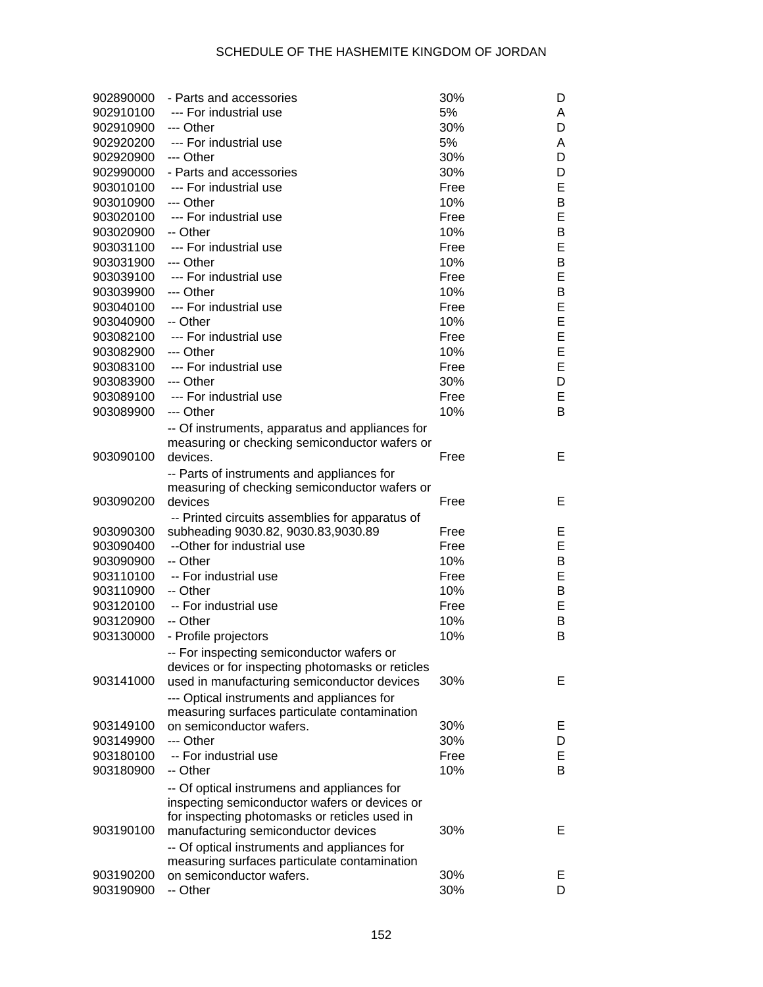| 902890000 | - Parts and accessories                          | 30%  | D |
|-----------|--------------------------------------------------|------|---|
| 902910100 | --- For industrial use                           | 5%   | A |
| 902910900 | --- Other                                        | 30%  | D |
| 902920200 | --- For industrial use                           | 5%   | A |
| 902920900 | --- Other                                        | 30%  | D |
| 902990000 | - Parts and accessories                          | 30%  | D |
| 903010100 | --- For industrial use                           | Free | E |
| 903010900 | --- Other                                        | 10%  | B |
| 903020100 | --- For industrial use                           | Free | E |
| 903020900 | -- Other                                         | 10%  | B |
| 903031100 | --- For industrial use                           | Free | E |
| 903031900 | --- Other                                        | 10%  | B |
| 903039100 | --- For industrial use                           | Free | E |
| 903039900 | --- Other                                        | 10%  | В |
| 903040100 | --- For industrial use                           | Free | E |
| 903040900 | -- Other                                         | 10%  | E |
| 903082100 | --- For industrial use                           | Free | E |
| 903082900 | --- Other                                        | 10%  | E |
| 903083100 | --- For industrial use                           | Free | E |
| 903083900 | --- Other                                        | 30%  | D |
| 903089100 | --- For industrial use                           | Free | E |
| 903089900 | --- Other                                        | 10%  | В |
|           | -- Of instruments, apparatus and appliances for  |      |   |
|           | measuring or checking semiconductor wafers or    |      |   |
| 903090100 | devices.                                         | Free | Е |
|           | -- Parts of instruments and appliances for       |      |   |
|           | measuring of checking semiconductor wafers or    |      |   |
| 903090200 | devices                                          | Free | Е |
|           | -- Printed circuits assemblies for apparatus of  |      |   |
| 903090300 | subheading 9030.82, 9030.83,9030.89              | Free | Е |
| 903090400 | --Other for industrial use                       | Free | Е |
| 903090900 | -- Other                                         | 10%  | B |
| 903110100 | -- For industrial use                            | Free | E |
| 903110900 | -- Other                                         | 10%  | B |
| 903120100 | -- For industrial use                            | Free | E |
| 903120900 | -- Other                                         | 10%  | B |
| 903130000 | - Profile projectors                             | 10%  | В |
|           | -- For inspecting semiconductor wafers or        |      |   |
|           | devices or for inspecting photomasks or reticles |      |   |
| 903141000 | used in manufacturing semiconductor devices      | 30%  | Е |
|           | --- Optical instruments and appliances for       |      |   |
|           | measuring surfaces particulate contamination     |      |   |
| 903149100 | on semiconductor wafers.                         | 30%  | Е |
| 903149900 | --- Other                                        | 30%  | D |
| 903180100 | -- For industrial use                            | Free | Е |
| 903180900 | -- Other                                         | 10%  | B |
|           | -- Of optical instrumens and appliances for      |      |   |
|           | inspecting semiconductor wafers or devices or    |      |   |
|           | for inspecting photomasks or reticles used in    |      |   |
| 903190100 | manufacturing semiconductor devices              | 30%  | Е |
|           | -- Of optical instruments and appliances for     |      |   |
|           | measuring surfaces particulate contamination     |      |   |
| 903190200 | on semiconductor wafers.                         | 30%  | Е |
| 903190900 | -- Other                                         | 30%  | D |
|           |                                                  |      |   |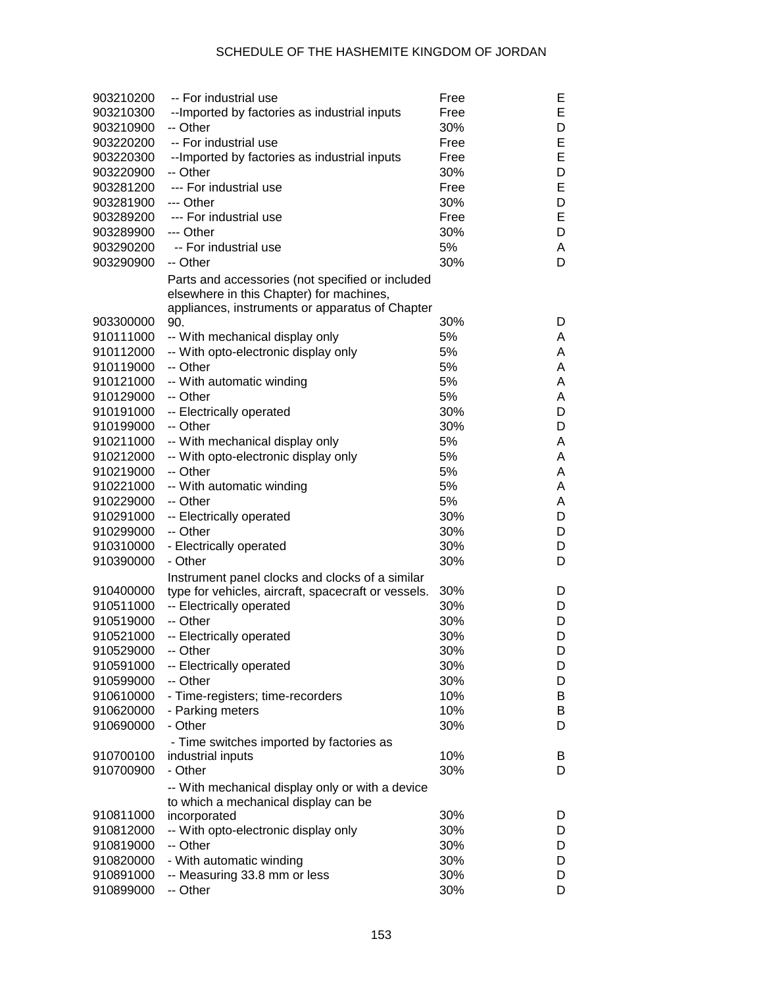| 903210200 | -- For industrial use                               | Free | Е |
|-----------|-----------------------------------------------------|------|---|
| 903210300 | -- Imported by factories as industrial inputs       | Free | E |
| 903210900 | -- Other                                            | 30%  | D |
| 903220200 | -- For industrial use                               | Free | E |
| 903220300 | --Imported by factories as industrial inputs        | Free | E |
| 903220900 | -- Other                                            | 30%  | D |
| 903281200 | --- For industrial use                              | Free | E |
| 903281900 | --- Other                                           | 30%  | D |
| 903289200 | --- For industrial use                              | Free | E |
| 903289900 | --- Other                                           | 30%  | D |
| 903290200 | -- For industrial use                               | 5%   | A |
| 903290900 | -- Other                                            | 30%  | D |
|           | Parts and accessories (not specified or included    |      |   |
|           | elsewhere in this Chapter) for machines,            |      |   |
|           | appliances, instruments or apparatus of Chapter     |      |   |
| 903300000 | 90.                                                 | 30%  | D |
| 910111000 | -- With mechanical display only                     | 5%   | A |
| 910112000 | -- With opto-electronic display only                | 5%   | A |
| 910119000 | -- Other                                            | 5%   | Α |
| 910121000 | -- With automatic winding                           | 5%   | Α |
| 910129000 | -- Other                                            | 5%   | A |
| 910191000 | -- Electrically operated                            | 30%  | D |
| 910199000 | -- Other                                            | 30%  | D |
|           |                                                     | 5%   |   |
| 910211000 | -- With mechanical display only                     |      | A |
| 910212000 | -- With opto-electronic display only                | 5%   | Α |
| 910219000 | -- Other                                            | 5%   | Α |
| 910221000 | -- With automatic winding                           | 5%   | Α |
| 910229000 | -- Other                                            | 5%   | A |
| 910291000 | -- Electrically operated                            | 30%  | D |
| 910299000 | -- Other                                            | 30%  | D |
| 910310000 | - Electrically operated                             | 30%  | D |
| 910390000 | - Other                                             | 30%  | D |
|           | Instrument panel clocks and clocks of a similar     |      |   |
| 910400000 | type for vehicles, aircraft, spacecraft or vessels. | 30%  | D |
| 910511000 | -- Electrically operated                            | 30%  | D |
| 910519000 | -- Other                                            | 30%  | D |
| 910521000 | -- Electrically operated                            | 30%  | D |
| 910529000 | -- Other                                            | 30%  | D |
| 910591000 | -- Electrically operated                            | 30%  | D |
| 910599000 | -- Other                                            | 30%  | D |
| 910610000 | - Time-registers; time-recorders                    | 10%  | B |
| 910620000 | - Parking meters                                    | 10%  | B |
| 910690000 | - Other                                             | 30%  | D |
|           | - Time switches imported by factories as            |      |   |
| 910700100 | industrial inputs                                   | 10%  | B |
| 910700900 | - Other                                             | 30%  | D |
|           | -- With mechanical display only or with a device    |      |   |
|           | to which a mechanical display can be                |      |   |
| 910811000 | incorporated                                        | 30%  | D |
| 910812000 | -- With opto-electronic display only                | 30%  | D |
| 910819000 | -- Other                                            | 30%  | D |
| 910820000 | - With automatic winding                            | 30%  | D |
| 910891000 | -- Measuring 33.8 mm or less                        | 30%  | D |
| 910899000 | -- Other                                            | 30%  | D |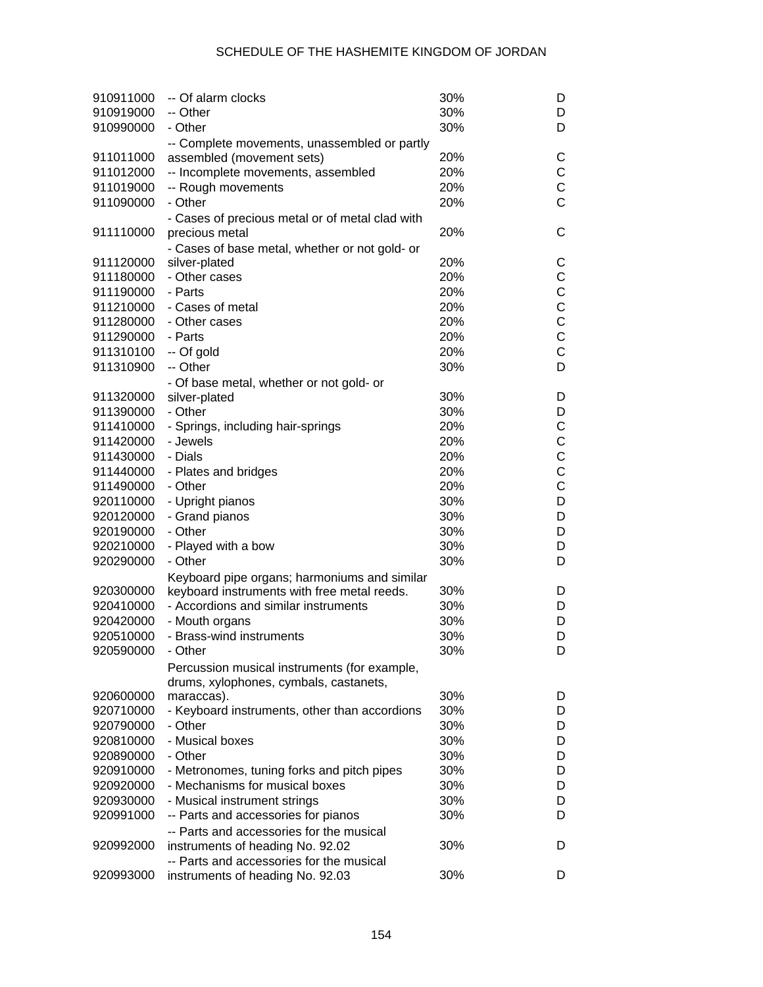## SCHEDULE OF THE HASHEMITE KINGDOM OF JORDAN

| 910911000<br>910919000<br>910990000 | -- Of alarm clocks<br>-- Other<br>- Other                                 | 30%<br>30%<br>30% | D<br>D<br>D    |
|-------------------------------------|---------------------------------------------------------------------------|-------------------|----------------|
|                                     |                                                                           |                   |                |
| 911011000                           | -- Complete movements, unassembled or partly<br>assembled (movement sets) | 20%               | С              |
| 911012000                           | -- Incomplete movements, assembled                                        | 20%               | $\mathsf C$    |
| 911019000                           | -- Rough movements                                                        | 20%               | $\mathsf C$    |
| 911090000                           | - Other                                                                   | 20%               | $\overline{C}$ |
|                                     |                                                                           |                   |                |
| 911110000                           | - Cases of precious metal or of metal clad with<br>precious metal         | 20%               | С              |
|                                     |                                                                           |                   |                |
| 911120000                           | - Cases of base metal, whether or not gold- or<br>silver-plated           | 20%               | С              |
| 911180000                           | - Other cases                                                             | 20%               | С              |
| 911190000                           | - Parts                                                                   | 20%               | C              |
| 911210000                           | - Cases of metal                                                          | 20%               | C              |
| 911280000                           | - Other cases                                                             | 20%               | C              |
| 911290000                           | - Parts                                                                   | 20%               | $\mathsf C$    |
| 911310100                           | -- Of gold                                                                | 20%               | $\mathsf{C}$   |
| 911310900                           | -- Other                                                                  | 30%               | D              |
|                                     | - Of base metal, whether or not gold- or                                  |                   |                |
| 911320000                           | silver-plated                                                             | 30%               | D              |
| 911390000                           | - Other                                                                   | 30%               | D              |
| 911410000                           | - Springs, including hair-springs                                         | 20%               | $\mathsf C$    |
| 911420000                           | - Jewels                                                                  | 20%               | $\mathsf C$    |
| 911430000                           | - Dials                                                                   | 20%               | C              |
| 911440000                           | - Plates and bridges                                                      | 20%               | C              |
| 911490000                           | - Other                                                                   | 20%               | $\mathsf{C}$   |
| 920110000                           | - Upright pianos                                                          | 30%               | D              |
| 920120000                           | - Grand pianos                                                            | 30%               | D              |
| 920190000                           | - Other                                                                   | 30%               | D              |
| 920210000                           | - Played with a bow                                                       | 30%               | D              |
| 920290000                           | - Other                                                                   | 30%               | D              |
|                                     | Keyboard pipe organs; harmoniums and similar                              |                   |                |
| 920300000                           | keyboard instruments with free metal reeds.                               | 30%               | D              |
| 920410000                           | - Accordions and similar instruments                                      | 30%               | D              |
| 920420000                           | - Mouth organs                                                            | 30%               | D              |
| 920510000                           | - Brass-wind instruments                                                  | 30%               | D              |
| 920590000                           | - Other                                                                   | 30%               | D              |
|                                     | Percussion musical instruments (for example,                              |                   |                |
|                                     | drums, xylophones, cymbals, castanets,                                    |                   |                |
| 920600000                           | maraccas).                                                                | 30%               | D              |
| 920710000                           | - Keyboard instruments, other than accordions                             | 30%               | D              |
| 920790000                           | - Other                                                                   | 30%               | D              |
| 920810000                           | - Musical boxes                                                           | 30%               | D              |
| 920890000                           | - Other                                                                   | 30%               | D              |
| 920910000                           | - Metronomes, tuning forks and pitch pipes                                | 30%               | D              |
| 920920000                           | - Mechanisms for musical boxes                                            | 30%               | D              |
| 920930000                           | - Musical instrument strings                                              | 30%               | D              |
| 920991000                           | -- Parts and accessories for pianos                                       | 30%               | D              |
|                                     | -- Parts and accessories for the musical                                  |                   |                |
| 920992000                           | instruments of heading No. 92.02                                          | 30%               | D              |
|                                     | -- Parts and accessories for the musical                                  |                   |                |
| 920993000                           | instruments of heading No. 92.03                                          | 30%               | D              |
|                                     |                                                                           |                   |                |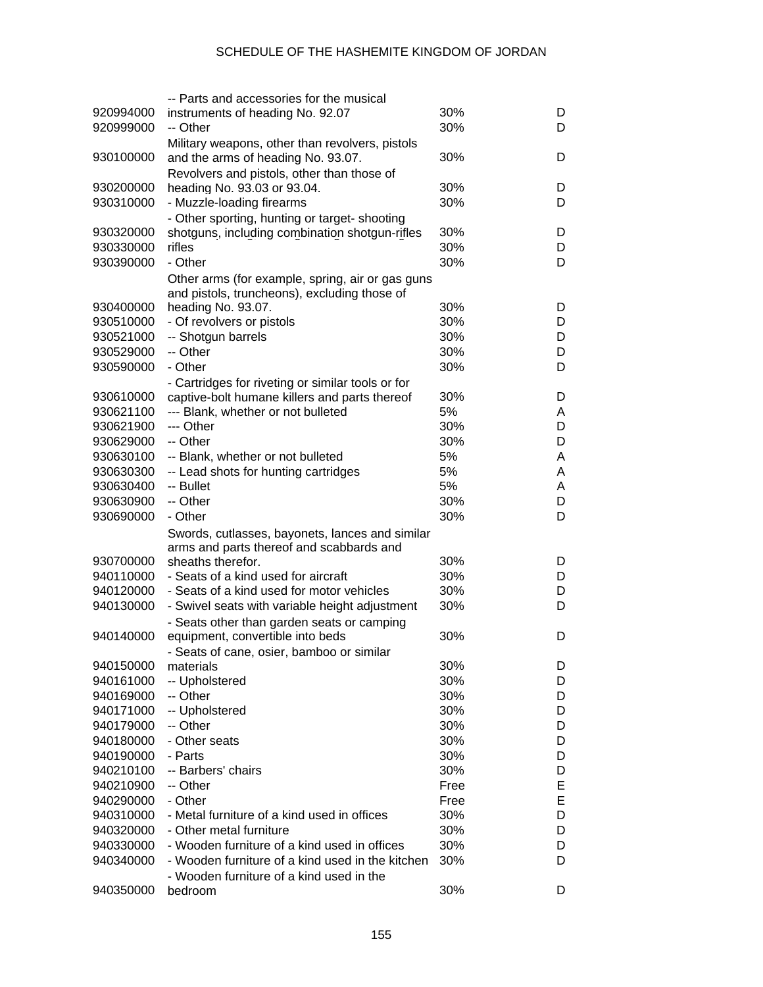|           | -- Parts and accessories for the musical          |      |   |
|-----------|---------------------------------------------------|------|---|
| 920994000 | instruments of heading No. 92.07                  | 30%  | D |
| 920999000 | -- Other                                          | 30%  | D |
|           | Military weapons, other than revolvers, pistols   |      |   |
| 930100000 | and the arms of heading No. 93.07.                | 30%  | D |
|           |                                                   |      |   |
|           | Revolvers and pistols, other than those of        |      |   |
| 930200000 | heading No. 93.03 or 93.04.                       | 30%  | D |
| 930310000 | - Muzzle-loading firearms                         | 30%  | D |
|           | - Other sporting, hunting or target-shooting      |      |   |
| 930320000 | shotguns, including combination shotgun-rifles    | 30%  | D |
| 930330000 | rifles                                            | 30%  | D |
| 930390000 | - Other                                           | 30%  | D |
|           | Other arms (for example, spring, air or gas guns  |      |   |
|           | and pistols, truncheons), excluding those of      |      |   |
| 930400000 | heading No. 93.07.                                | 30%  | D |
| 930510000 | - Of revolvers or pistols                         | 30%  | D |
| 930521000 | -- Shotgun barrels                                | 30%  | D |
|           | -- Other                                          |      |   |
| 930529000 |                                                   | 30%  | D |
| 930590000 | - Other                                           | 30%  | D |
|           | - Cartridges for riveting or similar tools or for |      |   |
| 930610000 | captive-bolt humane killers and parts thereof     | 30%  | D |
| 930621100 | --- Blank, whether or not bulleted                | 5%   | A |
| 930621900 | --- Other                                         | 30%  | D |
| 930629000 | -- Other                                          | 30%  | D |
| 930630100 | -- Blank, whether or not bulleted                 | 5%   | A |
| 930630300 | -- Lead shots for hunting cartridges              | 5%   | Α |
| 930630400 | -- Bullet                                         | 5%   | A |
| 930630900 | -- Other                                          | 30%  | D |
| 930690000 | - Other                                           | 30%  |   |
|           |                                                   |      | D |
|           | Swords, cutlasses, bayonets, lances and similar   |      |   |
|           | arms and parts thereof and scabbards and          |      |   |
| 930700000 | sheaths therefor.                                 | 30%  | D |
| 940110000 | - Seats of a kind used for aircraft               | 30%  | D |
| 940120000 | - Seats of a kind used for motor vehicles         | 30%  | D |
| 940130000 | - Swivel seats with variable height adjustment    | 30%  | D |
|           | - Seats other than garden seats or camping        |      |   |
| 940140000 | equipment, convertible into beds                  | 30%  | D |
|           | - Seats of cane, osier, bamboo or similar         |      |   |
| 940150000 | materials                                         | 30%  | D |
| 940161000 | -- Upholstered                                    | 30%  | D |
|           |                                                   |      |   |
| 940169000 | -- Other                                          | 30%  | D |
| 940171000 | -- Upholstered                                    | 30%  | D |
| 940179000 | -- Other                                          | 30%  | D |
| 940180000 | - Other seats                                     | 30%  | D |
| 940190000 | - Parts                                           | 30%  | D |
| 940210100 | -- Barbers' chairs                                | 30%  | D |
| 940210900 | -- Other                                          | Free | Е |
| 940290000 | - Other                                           | Free | E |
| 940310000 | - Metal furniture of a kind used in offices       | 30%  | D |
| 940320000 | - Other metal furniture                           | 30%  | D |
| 940330000 | - Wooden furniture of a kind used in offices      | 30%  | D |
| 940340000 | - Wooden furniture of a kind used in the kitchen  | 30%  | D |
|           |                                                   |      |   |
|           | - Wooden furniture of a kind used in the          |      |   |
| 940350000 | bedroom                                           | 30%  | D |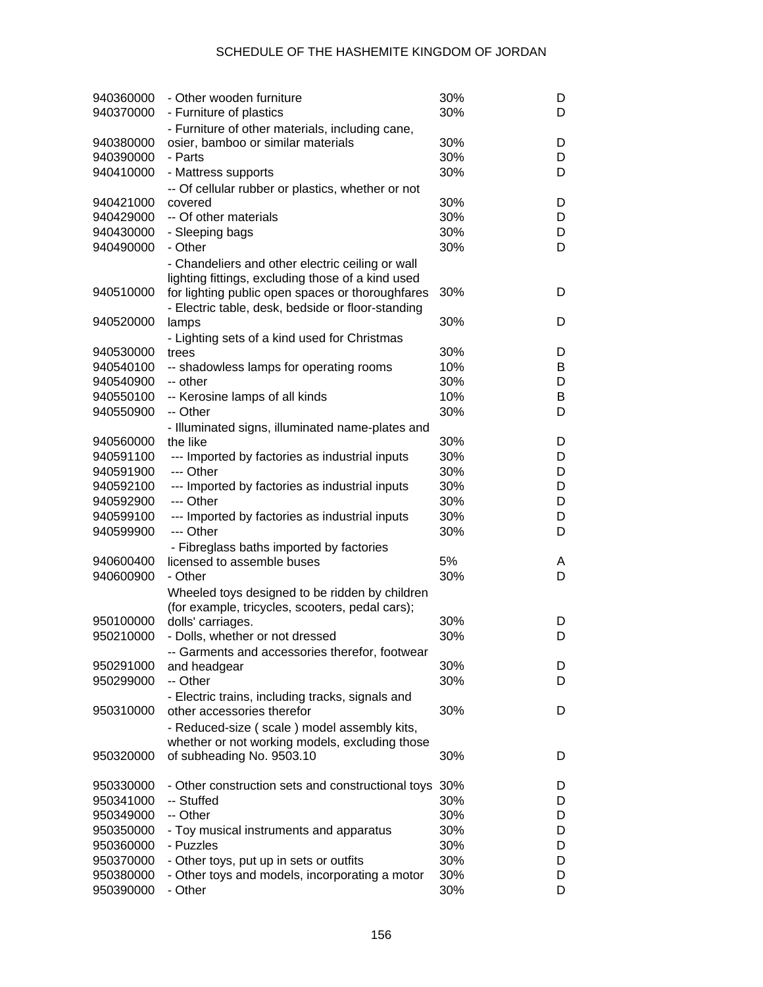| 940360000<br>940370000 | - Other wooden furniture<br>- Furniture of plastics                    | 30%<br>30% | D<br>D |
|------------------------|------------------------------------------------------------------------|------------|--------|
|                        | - Furniture of other materials, including cane,                        |            |        |
| 940380000              | osier, bamboo or similar materials                                     | 30%        | D      |
| 940390000              | - Parts                                                                | 30%        | D      |
| 940410000              | - Mattress supports                                                    | 30%        | D      |
|                        | -- Of cellular rubber or plastics, whether or not                      |            |        |
| 940421000              | covered                                                                | 30%        | D      |
| 940429000              | -- Of other materials                                                  | 30%        | D      |
| 940430000              | - Sleeping bags                                                        | 30%        | D      |
| 940490000              | - Other                                                                | 30%        | D      |
|                        | - Chandeliers and other electric ceiling or wall                       |            |        |
|                        | lighting fittings, excluding those of a kind used                      |            |        |
| 940510000              | for lighting public open spaces or thoroughfares                       | 30%        | D      |
|                        | - Electric table, desk, bedside or floor-standing                      |            |        |
| 940520000              | lamps                                                                  | 30%        | D      |
|                        | - Lighting sets of a kind used for Christmas                           |            |        |
| 940530000              | trees                                                                  | 30%        | D      |
| 940540100              | -- shadowless lamps for operating rooms                                | 10%        | B      |
| 940540900              | -- other                                                               | 30%        | D      |
| 940550100              | -- Kerosine lamps of all kinds                                         | 10%        | В      |
| 940550900              | -- Other                                                               | 30%        | D      |
|                        | - Illuminated signs, illuminated name-plates and                       |            |        |
| 940560000<br>940591100 | the like                                                               | 30%<br>30% | D<br>D |
| 940591900              | --- Imported by factories as industrial inputs<br>--- Other            | 30%        | D      |
| 940592100              |                                                                        | 30%        | D      |
| 940592900              | --- Imported by factories as industrial inputs<br>--- Other            | 30%        | D      |
| 940599100              | --- Imported by factories as industrial inputs                         | 30%        | D      |
| 940599900              | --- Other                                                              | 30%        | D      |
|                        |                                                                        |            |        |
| 940600400              | - Fibreglass baths imported by factories<br>licensed to assemble buses | 5%         | A      |
| 940600900              | - Other                                                                | 30%        | D      |
|                        | Wheeled toys designed to be ridden by children                         |            |        |
|                        | (for example, tricycles, scooters, pedal cars);                        |            |        |
| 950100000              | dolls' carriages.                                                      | 30%        | D      |
| 950210000              | - Dolls, whether or not dressed                                        | 30%        | D      |
|                        | -- Garments and accessories therefor, footwear                         |            |        |
| 950291000              | and headgear                                                           | 30%        | D      |
| 950299000              | -- Other                                                               | 30%        | D      |
|                        | - Electric trains, including tracks, signals and                       |            |        |
| 950310000              | other accessories therefor                                             | 30%        | D      |
|                        | - Reduced-size (scale) model assembly kits,                            |            |        |
|                        | whether or not working models, excluding those                         |            |        |
| 950320000              | of subheading No. 9503.10                                              | 30%        | D      |
|                        |                                                                        |            |        |
| 950330000              | - Other construction sets and constructional toys                      | 30%        | D      |
| 950341000              | -- Stuffed                                                             | 30%        | D      |
| 950349000              | -- Other                                                               | 30%        | D      |
| 950350000              | - Toy musical instruments and apparatus                                | 30%        | D      |
| 950360000              | - Puzzles                                                              | 30%        | D      |
| 950370000              | - Other toys, put up in sets or outfits                                | 30%        | D      |
| 950380000              | - Other toys and models, incorporating a motor<br>- Other              | 30%        | D      |
| 950390000              |                                                                        | 30%        | D      |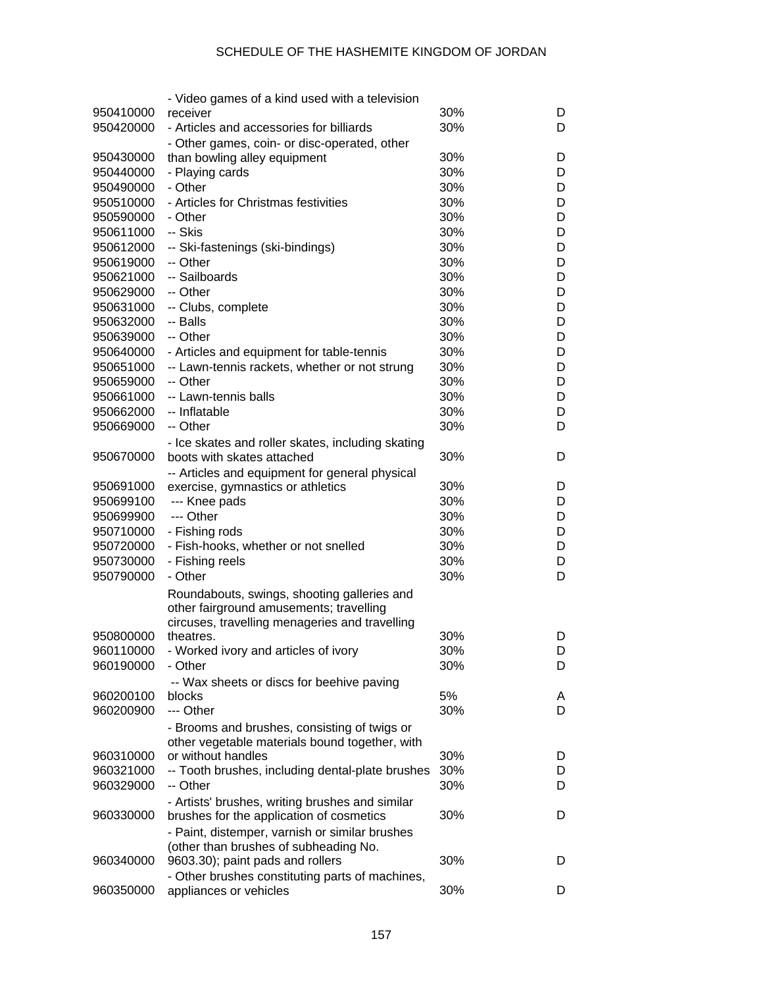|           | - Video games of a kind used with a television    |     |   |
|-----------|---------------------------------------------------|-----|---|
| 950410000 | receiver                                          | 30% | D |
| 950420000 | - Articles and accessories for billiards          | 30% | D |
|           | - Other games, coin- or disc-operated, other      |     |   |
| 950430000 | than bowling alley equipment                      | 30% | D |
| 950440000 | - Playing cards                                   | 30% | D |
| 950490000 | - Other                                           | 30% | D |
| 950510000 | - Articles for Christmas festivities              | 30% | D |
| 950590000 | - Other                                           | 30% | D |
| 950611000 | -- Skis                                           | 30% | D |
| 950612000 | -- Ski-fastenings (ski-bindings)                  | 30% | D |
| 950619000 | -- Other                                          | 30% | D |
| 950621000 | -- Sailboards                                     | 30% | D |
| 950629000 | -- Other                                          | 30% | D |
| 950631000 | -- Clubs, complete                                | 30% | D |
| 950632000 | -- Balls                                          | 30% | D |
| 950639000 | -- Other                                          | 30% | D |
| 950640000 | - Articles and equipment for table-tennis         | 30% | D |
| 950651000 | -- Lawn-tennis rackets, whether or not strung     | 30% | D |
| 950659000 | -- Other                                          | 30% | D |
| 950661000 | -- Lawn-tennis balls                              | 30% | D |
| 950662000 | -- Inflatable                                     | 30% | D |
| 950669000 | -- Other                                          | 30% | D |
|           | - Ice skates and roller skates, including skating |     |   |
| 950670000 | boots with skates attached                        | 30% | D |
|           | -- Articles and equipment for general physical    |     |   |
| 950691000 | exercise, gymnastics or athletics                 | 30% | D |
| 950699100 | --- Knee pads                                     | 30% | D |
| 950699900 | --- Other                                         | 30% | D |
| 950710000 | - Fishing rods                                    | 30% | D |
| 950720000 | - Fish-hooks, whether or not snelled              | 30% | D |
| 950730000 | - Fishing reels                                   | 30% | D |
| 950790000 | - Other                                           | 30% | D |
|           | Roundabouts, swings, shooting galleries and       |     |   |
|           | other fairground amusements; travelling           |     |   |
|           | circuses, travelling menageries and travelling    |     |   |
| 950800000 | theatres.                                         | 30% | D |
| 960110000 | - Worked ivory and articles of ivory              | 30% | D |
| 960190000 | - Other                                           | 30% | D |
|           | -- Wax sheets or discs for beehive paving         |     |   |
| 960200100 | blocks                                            | 5%  | A |
| 960200900 | --- Other                                         | 30% | D |
|           | - Brooms and brushes, consisting of twigs or      |     |   |
|           | other vegetable materials bound together, with    |     |   |
| 960310000 | or without handles                                | 30% | D |
| 960321000 | -- Tooth brushes, including dental-plate brushes  | 30% | D |
| 960329000 | -- Other                                          | 30% | D |
|           | - Artists' brushes, writing brushes and similar   |     |   |
| 960330000 | brushes for the application of cosmetics          | 30% | D |
|           | - Paint, distemper, varnish or similar brushes    |     |   |
|           | (other than brushes of subheading No.             |     |   |
| 960340000 | 9603.30); paint pads and rollers                  | 30% | D |
|           | - Other brushes constituting parts of machines,   |     |   |
| 960350000 | appliances or vehicles                            | 30% | D |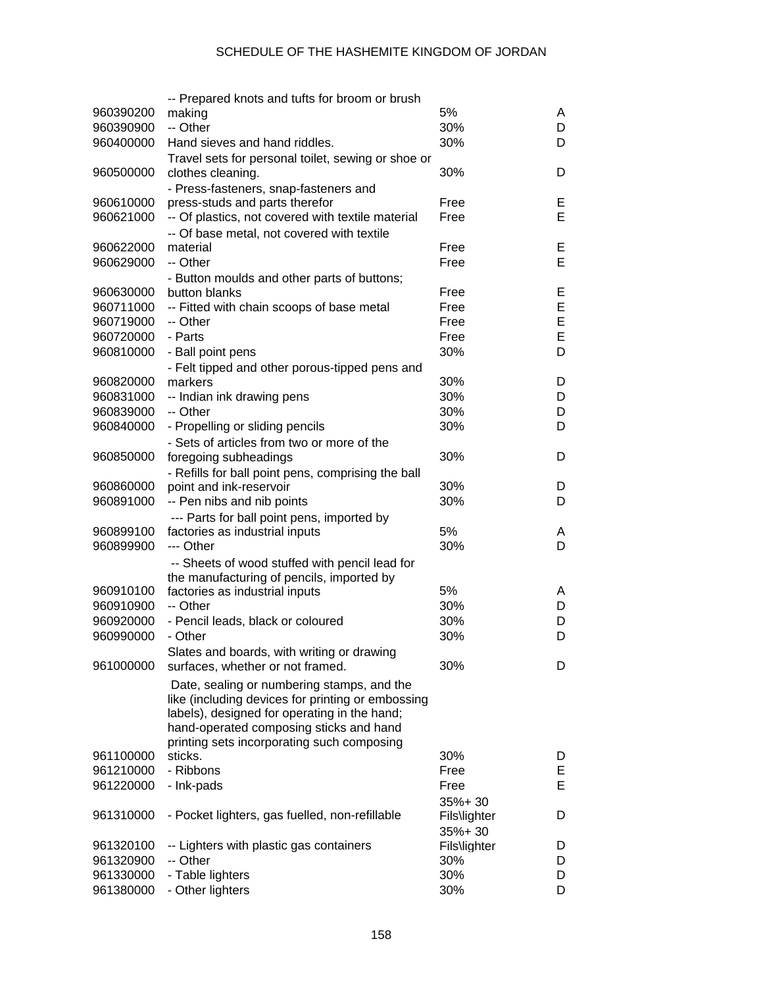|           | -- Prepared knots and tufts for broom or brush     |              |    |
|-----------|----------------------------------------------------|--------------|----|
| 960390200 | making                                             | 5%           | A  |
| 960390900 | -- Other                                           | 30%          | D  |
| 960400000 | Hand sieves and hand riddles.                      | 30%          | D  |
|           | Travel sets for personal toilet, sewing or shoe or |              |    |
| 960500000 | clothes cleaning.                                  | 30%          | D  |
|           | - Press-fasteners, snap-fasteners and              |              |    |
| 960610000 | press-studs and parts therefor                     | Free         | Е  |
| 960621000 | -- Of plastics, not covered with textile material  | Free         | E. |
|           | -- Of base metal, not covered with textile         |              |    |
| 960622000 | material                                           | Free         | Е  |
| 960629000 | -- Other                                           | Free         | E  |
|           | - Button moulds and other parts of buttons;        |              |    |
| 960630000 | button blanks                                      | Free         | Е  |
| 960711000 | -- Fitted with chain scoops of base metal          | Free         | E  |
| 960719000 | -- Other                                           | Free         | E  |
| 960720000 | - Parts                                            | Free         | E  |
| 960810000 |                                                    | 30%          | D  |
|           | - Ball point pens                                  |              |    |
|           | - Felt tipped and other porous-tipped pens and     |              |    |
| 960820000 | markers                                            | 30%          | D  |
| 960831000 | -- Indian ink drawing pens                         | 30%          | D  |
| 960839000 | -- Other                                           | 30%          | D  |
| 960840000 | - Propelling or sliding pencils                    | 30%          | D  |
|           | - Sets of articles from two or more of the         |              |    |
| 960850000 | foregoing subheadings                              | 30%          | D  |
|           | - Refills for ball point pens, comprising the ball |              |    |
| 960860000 | point and ink-reservoir                            | 30%          | D  |
| 960891000 | -- Pen nibs and nib points                         | 30%          | D  |
|           | --- Parts for ball point pens, imported by         |              |    |
| 960899100 | factories as industrial inputs                     | 5%           | A  |
| 960899900 | --- Other                                          | 30%          | D  |
|           | -- Sheets of wood stuffed with pencil lead for     |              |    |
|           | the manufacturing of pencils, imported by          |              |    |
| 960910100 | factories as industrial inputs                     | 5%           | A  |
| 960910900 | -- Other                                           | 30%          | D  |
| 960920000 | - Pencil leads, black or coloured                  | 30%          | D  |
| 960990000 | - Other                                            | 30%          | D  |
|           | Slates and boards, with writing or drawing         |              |    |
| 961000000 | surfaces, whether or not framed.                   | 30%          | D  |
|           | Date, sealing or numbering stamps, and the         |              |    |
|           | like (including devices for printing or embossing  |              |    |
|           | labels), designed for operating in the hand;       |              |    |
|           | hand-operated composing sticks and hand            |              |    |
|           | printing sets incorporating such composing         |              |    |
| 961100000 | sticks.                                            | 30%          | D  |
| 961210000 | - Ribbons                                          | Free         | Е  |
| 961220000 | - Ink-pads                                         | Free         | E  |
|           |                                                    |              |    |
|           |                                                    | 35%+30       |    |
| 961310000 | - Pocket lighters, gas fuelled, non-refillable     | Fils\lighter | D  |
|           |                                                    | 35%+30       |    |
| 961320100 | -- Lighters with plastic gas containers            | Fils\lighter | D  |
| 961320900 | -- Other                                           | 30%          | D  |
| 961330000 | - Table lighters                                   | 30%          | D  |
| 961380000 | - Other lighters                                   | 30%          | D  |